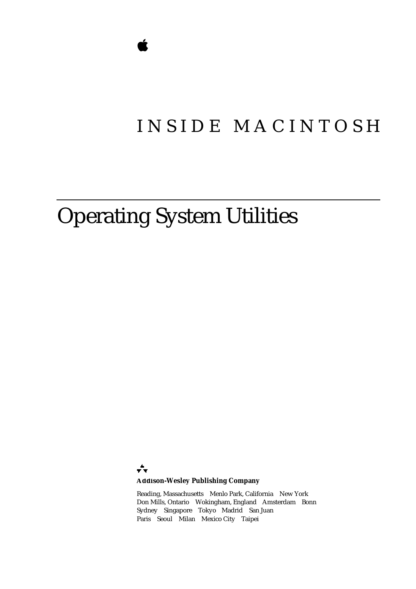## INSIDE MACINTOSH

# Operating System Utilities

÷

### **Addison-Wesley Publishing Company**

Reading, Massachusetts Menlo Park, California New York Don Mills, Ontario Wokingham, England Amsterdam Bonn Sydney Singapore Tokyo Madrid San Juan Paris Seoul Milan Mexico City Taipei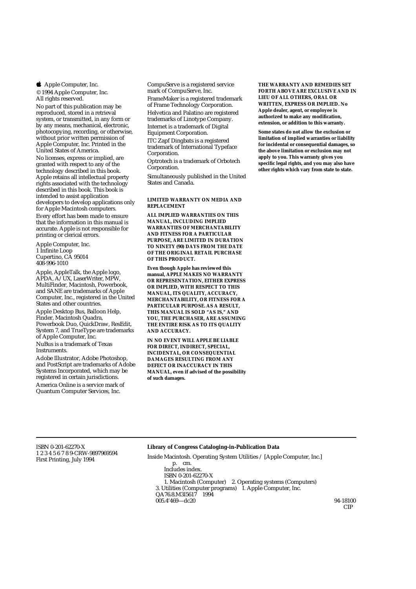**S** Apple Computer, Inc.

© 1994 Apple Computer, Inc. All rights reserved.

No part of this publication may be reproduced, stored in a retrieval system, or transmitted, in any form or by any means, mechanical, electronic, photocopying, recording, or otherwise, without prior written permission of Apple Computer, Inc. Printed in the United States of America. No licenses, express or implied, are granted with respect to any of the technology described in this book. Apple retains all intellectual property rights associated with the technology described in this book. This book is intended to assist application developers to develop applications only for Apple Macintosh computers.

Every effort has been made to ensure that the information in this manual is accurate. Apple is not responsible for printing or clerical errors.

Apple Computer, Inc. 1 Infinite Loop Cupertino, CA 95014 408-996-1010

Apple, AppleTalk, the Apple logo, APDA, A/UX, LaserWriter, MPW, MultiFinder, Macintosh, Powerbook, and SANE are trademarks of Apple Computer, Inc., registered in the United States and other countries.

Apple Desktop Bus, Balloon Help, Finder, Macintosh Quadra, Powerbook Duo, QuickDraw, ResEdit, System 7, and TrueType are trademarks of Apple Computer, Inc. NuBus is a trademark of Texas **Instruments** 

Adobe Illustrator, Adobe Photoshop, and PostScript are trademarks of Adobe Systems Incorporated, which may be registered in certain jurisdictions.

America Online is a service mark of Quantum Computer Services, Inc.

CompuServe is a registered service mark of CompuServe, Inc. FrameMaker is a registered trademark of Frame Technology Corporation. Helvetica and Palatino are registered trademarks of Linotype Company. Internet is a trademark of Digital Equipment Corporation. ITC Zapf Dingbats is a registered trademark of International Typeface Corporation.

Optrotech is a trademark of Orbotech Corporation.

Simultaneously published in the United States and Canada.

#### **LIMITED WARRANTY ON MEDIA AND REPLACEMENT**

**ALL IMPLIED WARRANTIES ON THIS MANUAL, INCLUDING IMPLIED WARRANTIES OF MERCHANTABILITY AND FITNESS FOR A PARTICULAR PURPOSE, ARE LIMITED IN DURATION TO NINETY (90) DAYS FROM THE DATE OF THE ORIGINAL RETAIL PURCHASE OF THIS PRODUCT.**

**Even though Apple has reviewed this manual, APPLE MAKES NO WARRANTY OR REPRESENTATION, EITHER EXPRESS OR IMPLIED, WITH RESPECT TO THIS MANUAL, ITS QUALITY, ACCURACY, MERCHANTABILITY, OR FITNESS FOR A PARTICULAR PURPOSE. AS A RESULT, THIS MANUAL IS SOLD "AS IS," AND YOU, THE PURCHASER, ARE ASSUMING THE ENTIRE RISK AS TO ITS QUALITY AND ACCURACY.**

**IN NO EVENT WILL APPLE BE LIABLE FOR DIRECT, INDIRECT, SPECIAL, INCIDENTAL, OR CONSEQUENTIAL DAMAGES RESULTING FROM ANY DEFECT OR INACCURACY IN THIS MANUAL, even if advised of the possibility of such damages.**

**THE WARRANTY AND REMEDIES SET FORTH ABOVE ARE EXCLUSIVE AND IN LIEU OF ALL OTHERS, ORAL OR WRITTEN, EXPRESS OR IMPLIED. No Apple dealer, agent, or employee is authorized to make any modification, extension, or addition to this warranty.**

**Some states do not allow the exclusion or limitation of implied warranties or liability for incidental or consequential damages, so the above limitation or exclusion may not apply to you. This warranty gives you specific legal rights, and you may also have other rights which vary from state to state.**

#### ISBN 0-201-62270-X 1 2 3 4 5 6 7 8 9-CRW-9897969594 First Printing, July 1994

#### **Library of Congress Cataloging-in-Publication Data**

Inside Macintosh. Operating System Utilities / [Apple Computer, Inc.] p. cm. Includes index. ISBN 0-201-62270-X 1. Macintosh (Computer) 2. Operating systems (Computers) 3. Utilities (Computer programs) I. Apple Computer, Inc. QA76.8.M3I5617 1994  $005.4'469 - d c 20$  94-18100

CIP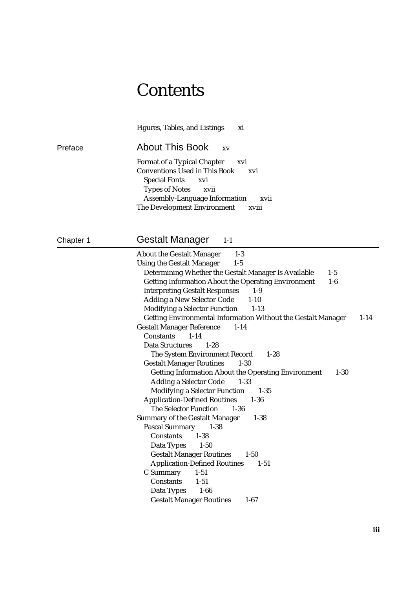## **Contents**

Figures, Tables, and Listings xi

Preface About This Book xv

Format of a Typical Chapter xvi Conventions Used in This Book xvi Special Fonts xvi Types of Notes xvii Assembly-Language Information xvii The Development Environment xviii

### Chapter 1 **Gestalt Manager** 1-1

| <b>About the Gestalt Manager</b><br>$1-3$                              |          |
|------------------------------------------------------------------------|----------|
| <b>Using the Gestalt Manager</b><br>$1-5$                              |          |
| Determining Whether the Gestalt Manager Is Available<br>$1-5$          |          |
| <b>Getting Information About the Operating Environment</b><br>$1-6$    |          |
| <b>Interpreting Gestalt Responses</b><br>$1-9$                         |          |
| <b>Adding a New Selector Code</b><br>$1 - 10$                          |          |
| <b>Modifying a Selector Function</b><br>$1-13$                         |          |
| Getting Environmental Information Without the Gestalt Manager          | $1 - 14$ |
| <b>Gestalt Manager Reference</b><br>$1 - 14$                           |          |
| <b>Constants</b><br>$1 - 14$                                           |          |
| <b>Data Structures</b><br>$1 - 28$                                     |          |
| The System Environment Record<br>$1-28$                                |          |
| <b>Gestalt Manager Routines</b><br>$1 - 30$                            |          |
| <b>Getting Information About the Operating Environment</b><br>$1 - 30$ |          |
| <b>Adding a Selector Code</b><br>$1 - 33$                              |          |
| <b>Modifying a Selector Function</b><br>$1 - 35$                       |          |
| <b>Application-Defined Routines</b><br>$1 - 36$                        |          |
| <b>The Selector Function</b><br>$1 - 36$                               |          |
| <b>Summary of the Gestalt Manager</b><br>$1 - 38$                      |          |
| <b>Pascal Summary</b><br>$1 - 38$                                      |          |
| <b>Constants</b><br>$1 - 38$                                           |          |
| Data Types<br>$1 - 50$                                                 |          |
| <b>Gestalt Manager Routines</b><br>$1 - 50$                            |          |
| <b>Application-Defined Routines</b><br>$1 - 51$                        |          |
| C Summary<br>$1 - 51$                                                  |          |
| Constants<br>$1 - 51$                                                  |          |
| Data Types 1-66                                                        |          |
| <b>Gestalt Manager Routines</b><br>$1 - 67$                            |          |
|                                                                        |          |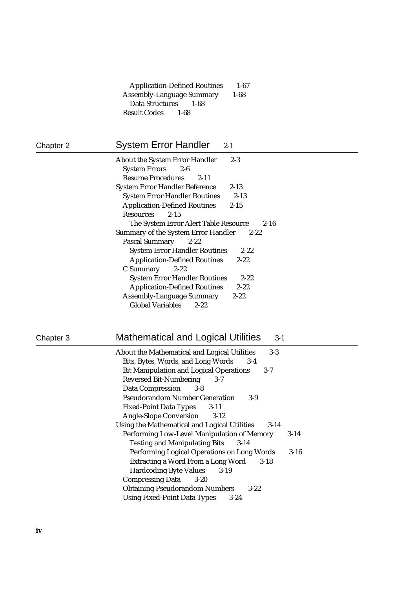| <b>Application-Defined Routines</b> | $1 - 67$ |
|-------------------------------------|----------|
| <b>Assembly-Language Summary</b>    | $1 - 68$ |
| Data Structures 1-68                |          |
| <b>Result Codes</b> 1-68            |          |

| Chapter 2 |  |  |
|-----------|--|--|
|-----------|--|--|

### System Error Handler 2-1

| <b>About the System Error Handler</b> | $2 - 3$  |
|---------------------------------------|----------|
| System Errors 2-6                     |          |
| <b>Resume Procedures</b><br>$2 - 11$  |          |
| <b>System Error Handler Reference</b> | $2 - 13$ |
| <b>System Error Handler Routines</b>  | $2 - 13$ |
| <b>Application-Defined Routines</b>   | $2 - 15$ |
| $2 - 15$<br><b>Resources</b>          |          |
| The System Error Alert Table Resource | 2-16     |
| Summary of the System Error Handler   | $2 - 22$ |
| Pascal Summary 2-22                   |          |
| <b>System Error Handler Routines</b>  | $2 - 22$ |
| <b>Application-Defined Routines</b>   | $2 - 22$ |
| $C$ Summary 2-22                      |          |
| <b>System Error Handler Routines</b>  | $2 - 22$ |
| <b>Application-Defined Routines</b>   | $2 - 22$ |
| <b>Assembly-Language Summary</b>      | $2 - 22$ |
| <b>Global Variables</b><br>$2 - 22$   |          |

## Chapter 3 Mathematical and Logical Utilities 3-1

| About the Mathematical and Logical Utilities<br>$3-3$   |          |
|---------------------------------------------------------|----------|
| Bits, Bytes, Words, and Long Words<br>$3-4$             |          |
| <b>Bit Manipulation and Logical Operations</b><br>$3-7$ |          |
| <b>Reversed Bit-Numbering</b><br>$3 - 7$                |          |
| <b>Data Compression</b><br>$3 - 8$                      |          |
| <b>Pseudorandom Number Generation</b><br>3-9            |          |
| <b>Fixed-Point Data Types</b> 3-11                      |          |
| <b>Angle-Slope Conversion</b><br>$3-12$                 |          |
| Using the Mathematical and Logical Utilities<br>$3-14$  |          |
| Performing Low-Level Manipulation of Memory             | $3-14$   |
| <b>Testing and Manipulating Bits</b><br>$3-14$          |          |
| Performing Logical Operations on Long Words             | $3 - 16$ |
| Extracting a Word From a Long Word<br>$3 - 18$          |          |
| <b>Hardcoding Byte Values</b><br>$3-19$                 |          |
| <b>Compressing Data</b> 3-20                            |          |
| <b>Obtaining Pseudorandom Numbers</b><br>$3-22$         |          |
| <b>Using Fixed-Point Data Types</b><br>$3 - 24$         |          |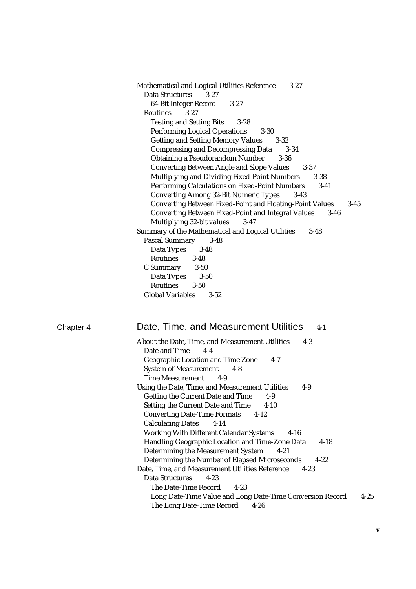| Mathematical and Logical Utilities Reference<br>$3 - 27$                    |
|-----------------------------------------------------------------------------|
| Data Structures<br>$3 - 27$                                                 |
| 64-Bit Integer Record<br>$3 - 27$                                           |
| Routines 3-27                                                               |
| <b>Testing and Setting Bits</b><br>$3 - 28$                                 |
| <b>Performing Logical Operations 3-30</b>                                   |
| <b>Getting and Setting Memory Values</b><br>$3 - 32$                        |
| <b>Compressing and Decompressing Data</b><br>$3 - 34$                       |
| <b>Obtaining a Pseudorandom Number 3-36</b>                                 |
| <b>Converting Between Angle and Slope Values</b><br>$3 - 37$                |
| <b>Multiplying and Dividing Fixed-Point Numbers</b><br>$3 - 38$             |
| Performing Calculations on Fixed-Point Numbers 3-41                         |
| <b>Converting Among 32-Bit Numeric Types</b><br>$3 - 43$                    |
| <b>Converting Between Fixed-Point and Floating-Point Values</b><br>$3 - 45$ |
| <b>Converting Between Fixed-Point and Integral Values</b><br>$3 - 46$       |
| Multiplying 32-bit values<br>$3 - 47$                                       |
| Summary of the Mathematical and Logical Utilities<br>$3 - 48$               |
| <b>Pascal Summary</b><br>$3 - 48$                                           |
| Data Types 3-48                                                             |
| Routines 3-48                                                               |
| C Summary 3-50                                                              |
| Data Types 3-50                                                             |
| Routines 3-50                                                               |
| <b>Global Variables</b><br>$3 - 52$                                         |

| Chapter <sup>∠</sup> |
|----------------------|
|----------------------|

### 4 Date, Time, and Measurement Utilities 4-1

| About the Date, Time, and Measurement Utilities<br>$4-3$              |
|-----------------------------------------------------------------------|
| Date and Time 4-4                                                     |
| <b>Geographic Location and Time Zone</b><br>$4-7$                     |
| <b>System of Measurement</b> 4-8                                      |
| Time Measurement 4-9                                                  |
| Using the Date, Time, and Measurement Utilities<br>$4-9$              |
| <b>Getting the Current Date and Time</b><br>$4-9$                     |
| Setting the Current Date and Time 4-10                                |
| <b>Converting Date-Time Formats</b> 4-12                              |
| Calculating Dates 4-14                                                |
| <b>Working With Different Calendar Systems</b><br>$4-16$              |
| Handling Geographic Location and Time-Zone Data<br>$4-18$             |
| <b>Determining the Measurement System</b><br>4-21                     |
| Determining the Number of Elapsed Microseconds<br>$4 - 22$            |
| Date, Time, and Measurement Utilities Reference<br>$4 - 23$           |
| Data Structures<br>$4-23$                                             |
| The Date-Time Record 4-23                                             |
| $4 - 25$<br>Long Date-Time Value and Long Date-Time Conversion Record |
| The Long Date-Time Record<br>$4 - 26$                                 |
|                                                                       |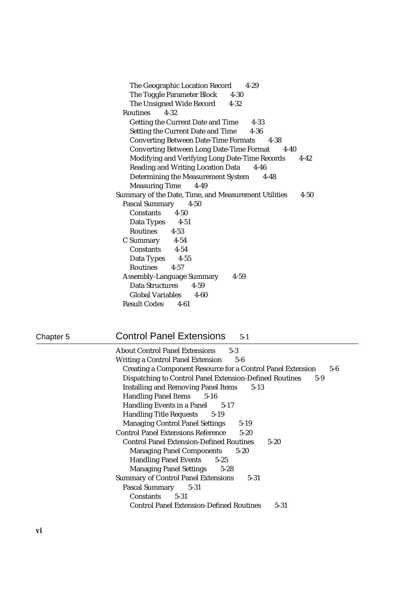## Chapter 5 Control Panel Extensions 5-1

| <b>About Control Panel Extensions</b><br>$5-3$                            |
|---------------------------------------------------------------------------|
| Writing a Control Panel Extension 5-6                                     |
| <b>Creating a Component Resource for a Control Panel Extension</b><br>5-6 |
| <b>Dispatching to Control Panel Extension-Defined Routines</b><br>$5-9$   |
| <b>Installing and Removing Panel Items</b><br>$5-13$                      |
| <b>Handling Panel Items</b> 5-16                                          |
| Handling Events in a Panel 5-17                                           |
| <b>Handling Title Requests 5-19</b>                                       |
| <b>Managing Control Panel Settings</b><br>$5-19$                          |
| <b>Control Panel Extensions Reference</b><br>$5 - 20$                     |
| <b>Control Panel Extension-Defined Routines</b><br>$5 - 20$               |
| <b>Managing Panel Components</b><br>$5-20$                                |
| Handling Panel Events 5-25                                                |
| <b>Managing Panel Settings 5-28</b>                                       |
| <b>Summary of Control Panel Extensions</b><br>$5 - 31$                    |
| Pascal Summary 5-31                                                       |
| Constants 5-31                                                            |
| <b>Control Panel Extension-Defined Routines</b><br>5-31                   |
|                                                                           |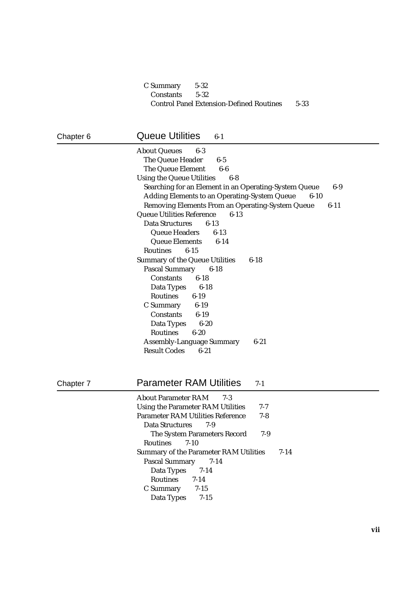### C Summary 5-32 Constants 5-32 Control Panel Extension-Defined Routines 5-33

### Chapter 6 **Queue Utilities** 6-1 About Queues 6-3 The Queue Header 6-5 The Queue Element 6-6 Using the Queue Utilities 6-8 Searching for an Element in an Operating-System Queue 6-9 Adding Elements to an Operating-System Queue 6-10 Removing Elements From an Operating-System Queue 6-11 Queue Utilities Reference 6-13 Data Structures 6-13 Queue Headers 6-13 Queue Elements 6-14 Routines 6-15 Summary of the Queue Utilities 6-18 Pascal Summary 6-18 Constants 6-18 Data Types 6-18 Routines 6-19 C Summary 6-19 Constants 6-19 Data Types 6-20 Routines 6-20 Assembly-Language Summary 6-21 Result Codes 6-21 Chapter 7 **Parameter RAM Utilities** 7-1 About Parameter RAM 7-3 Using the Parameter RAM Utilities 7-7 Parameter RAM Utilities Reference 7-8 Data Structures 7-9 The System Parameters Record 7-9 Routines 7-10 Summary of the Parameter RAM Utilities 7-14 Pascal Summary 7-14 Data Types 7-14 Routines 7-14 C Summary 7-15 Data Types 7-15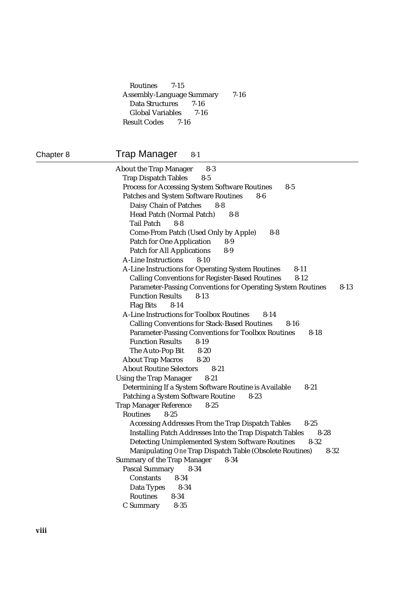Routines 7-15 Assembly-Language Summary 7-16 Data Structures 7-16 Global Variables 7-16 Result Codes 7-16

### Chapter 8 Trap Manager 8-1

| <b>About the Trap Manager</b><br>$8-3$                                         |
|--------------------------------------------------------------------------------|
| <b>Trap Dispatch Tables</b><br>$8-5$                                           |
| <b>Process for Accessing System Software Routines</b><br>$8 - 5$               |
| <b>Patches and System Software Routines</b><br>8-6                             |
| Daisy Chain of Patches<br>8-8                                                  |
| Head Patch (Normal Patch)<br>$8 - 8$                                           |
| <b>Tail Patch</b><br>$8 - 8$                                                   |
| <b>Come-From Patch (Used Only by Apple)</b><br>$8-8$                           |
| <b>Patch for One Application</b><br>$8-9$                                      |
| <b>Patch for All Applications</b><br>$8-9$                                     |
| <b>A-Line Instructions</b><br>$8 - 10$                                         |
| A-Line Instructions for Operating System Routines<br>$8 - 11$                  |
| <b>Calling Conventions for Register-Based Routines</b><br>$8 - 12$             |
| <b>Parameter-Passing Conventions for Operating System Routines</b><br>$8 - 13$ |
| <b>Function Results</b><br>$8 - 13$                                            |
| <b>Flag Bits</b><br>$8 - 14$                                                   |
| <b>A-Line Instructions for Toolbox Routines</b><br>$8 - 14$                    |
| <b>Calling Conventions for Stack-Based Routines</b><br>8-16                    |
| <b>Parameter-Passing Conventions for Toolbox Routines</b><br>$8 - 18$          |
| <b>Function Results</b><br>$8 - 19$                                            |
| The Auto-Pop Bit<br>$8 - 20$                                                   |
| <b>About Trap Macros</b><br>$8 - 20$                                           |
| <b>About Routine Selectors</b><br>$8 - 21$                                     |
| <b>Using the Trap Manager</b><br>$8 - 21$                                      |
| Determining If a System Software Routine is Available<br>$8 - 21$              |
| <b>Patching a System Software Routine</b><br>$8 - 23$                          |
| <b>Trap Manager Reference</b><br>$8 - 25$                                      |
| <b>Routines</b><br>$8 - 25$                                                    |
| Accessing Addresses From the Trap Dispatch Tables<br>$8 - 25$                  |
| <b>Installing Patch Addresses Into the Trap Dispatch Tables</b><br>$8-28$      |
| <b>Detecting Unimplemented System Software Routines</b><br>8-32                |
| Manipulating One Trap Dispatch Table (Obsolete Routines)<br>$8 - 32$           |
| <b>Summary of the Trap Manager</b><br>$8 - 34$                                 |
| <b>Pascal Summary</b><br>$8 - 34$                                              |
| <b>Constants</b><br>$8 - 34$                                                   |
| Data Types<br>$8-34$                                                           |
| <b>Routines</b><br>$8 - 34$                                                    |
| C Summary<br>$8 - 35$                                                          |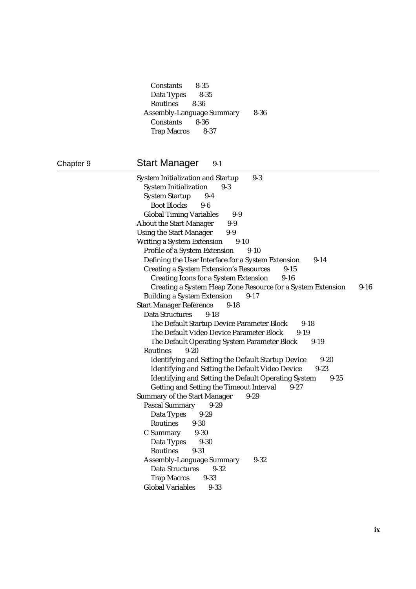Constants 8-35 Data Types 8-35 Routines 8-36 Assembly-Language Summary 8-36 Constants 8-36 Trap Macros 8-37

### Chapter 9 **Start Manager** 9-1

System Initialization and Startup 9-3 System Initialization 9-3 System Startup 9-4 Boot Blocks 9-6 Global Timing Variables 9-9 About the Start Manager 9-9 Using the Start Manager 9-9 Writing a System Extension 9-10 Profile of a System Extension 9-10 Defining the User Interface for a System Extension 9-14 Creating a System Extension's Resources 9-15 Creating Icons for a System Extension 9-16 Creating a System Heap Zone Resource for a System Extension 9-16 Building a System Extension 9-17 Start Manager Reference 9-18 Data Structures 9-18 The Default Startup Device Parameter Block 9-18 The Default Video Device Parameter Block 9-19 The Default Operating System Parameter Block 9-19 Routines 9-20 Identifying and Setting the Default Startup Device 9-20 Identifying and Setting the Default Video Device 9-23 Identifying and Setting the Default Operating System 9-25 Getting and Setting the Timeout Interval 9-27 Summary of the Start Manager 9-29 Pascal Summary 9-29 Data Types 9-29 Routines 9-30 C Summary 9-30 Data Types 9-30 Routines 9-31 Assembly-Language Summary 9-32 Data Structures 9-32 Trap Macros 9-33 Global Variables 9-33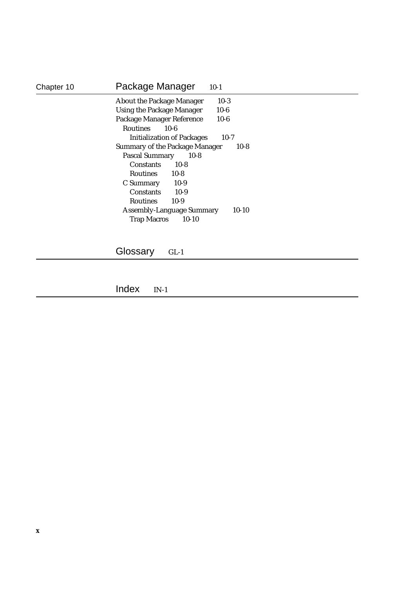| Chapter 10 | Package Manager<br>$10-1$                       |
|------------|-------------------------------------------------|
|            | $10-3$<br><b>About the Package Manager</b>      |
|            | $10 - 6$<br><b>Using the Package Manager</b>    |
|            | Package Manager Reference<br>$10-6$             |
|            | <b>Routines</b><br>$10 - 6$                     |
|            | <b>Initialization of Packages</b><br>$10-7$     |
|            | <b>Summary of the Package Manager</b><br>$10-8$ |
|            | <b>Pascal Summary</b><br>$10-8$                 |
|            | <b>Constants</b><br>$10-8$                      |
|            | $10-8$<br><b>Routines</b>                       |
|            | $10-9$<br>C Summary                             |
|            | $10-9$<br><b>Constants</b>                      |
|            | $10-9$<br><b>Routines</b>                       |
|            | $10-10$<br><b>Assembly-Language Summary</b>     |
|            | <b>Trap Macros</b><br>$10-10$                   |
|            |                                                 |

Glossary GL-1

Index IN-1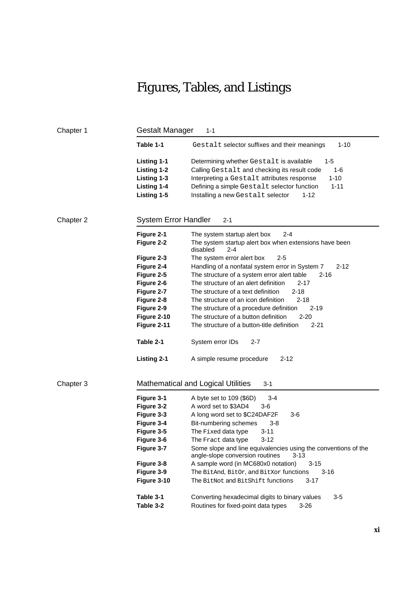## Figures, Tables, and Listings

| Table 1-1<br>Gestalt selector suffixes and their meanings<br>$1 - 10$<br><b>Listing 1-1</b><br>$1 - 5$<br>Determining whether Gestalt is available<br><b>Listing 1-2</b><br>Calling Gestalt and checking its result code<br>$1 - 6$<br>$1 - 10$<br>Listing 1-3<br>Interpreting a Gestalt attributes response<br><b>Listing 1-4</b><br>Defining a simple Gestalt selector function<br>$1 - 11$<br>Listing 1-5<br>Installing a new Gestalt selector<br>1-12<br><b>System Error Handler</b><br>Chapter 2<br>$2 - 1$<br>Figure 2-1<br>The system startup alert box<br>2-4<br>Figure 2-2<br>The system startup alert box when extensions have been<br>disabled<br>$2 - 4$<br>Figure 2-3<br>The system error alert box<br>$2 - 5$<br>Figure 2-4<br>Handling of a nonfatal system error in System 7<br>2-12<br>The structure of a system error alert table<br>Figure 2-5<br>$2 - 16$<br>The structure of an alert definition<br>Figure 2-6<br>2-17<br>Figure 2-7<br>The structure of a text definition<br>$2 - 18$<br>Figure 2-8<br>The structure of an icon definition<br>$2 - 18$<br>Figure 2-9<br>The structure of a procedure definition<br>$2 - 19$<br>Figure 2-10<br>The structure of a button definition<br>$2 - 20$<br>Figure 2-11<br>The structure of a button-title definition<br>$2 - 21$<br>Table 2-1<br>System error IDs<br>$2 - 7$<br><b>Listing 2-1</b><br>$2 - 12$<br>A simple resume procedure<br><b>Mathematical and Logical Utilities</b><br>Chapter 3<br>$3 - 1$<br>Figure 3-1<br>$3 - 4$<br>A byte set to 109 (\$6D)<br>Figure 3-2<br>A word set to \$3AD4<br>$3-6$<br>Figure 3-3<br>A long word set to \$C24DAF2F<br>3-6<br>Figure 3-4<br>Bit-numbering schemes<br>$3 - 8$<br>Figure 3-5<br>$3 - 11$<br>The Fixed data type<br>Figure 3-6<br>The Fract data type<br>$3 - 12$<br>Figure 3-7<br>Some slope and line equivalencies using the conventions of the<br>angle-slope conversion routines<br>$3 - 13$<br>Figure 3-8<br>A sample word (in MC680x0 notation)<br>3-15<br>Figure 3-9<br>The BitAnd, BitOr, and BitXor functions<br>3-16<br>Figure 3-10<br>The BitNot and BitShift functions<br>$3 - 17$<br>Table 3-1<br>Converting hexadecimal digits to binary values<br>$3-5$<br>Table 3-2<br>Routines for fixed-point data types<br>$3 - 26$ | <b>Gestalt Manager</b><br>Chapter 1<br>$1 - 1$ |  |  |  |  |
|------------------------------------------------------------------------------------------------------------------------------------------------------------------------------------------------------------------------------------------------------------------------------------------------------------------------------------------------------------------------------------------------------------------------------------------------------------------------------------------------------------------------------------------------------------------------------------------------------------------------------------------------------------------------------------------------------------------------------------------------------------------------------------------------------------------------------------------------------------------------------------------------------------------------------------------------------------------------------------------------------------------------------------------------------------------------------------------------------------------------------------------------------------------------------------------------------------------------------------------------------------------------------------------------------------------------------------------------------------------------------------------------------------------------------------------------------------------------------------------------------------------------------------------------------------------------------------------------------------------------------------------------------------------------------------------------------------------------------------------------------------------------------------------------------------------------------------------------------------------------------------------------------------------------------------------------------------------------------------------------------------------------------------------------------------------------------------------------------------------------------------------------------------------------------------------------------------------------------------------------------------------|------------------------------------------------|--|--|--|--|
|                                                                                                                                                                                                                                                                                                                                                                                                                                                                                                                                                                                                                                                                                                                                                                                                                                                                                                                                                                                                                                                                                                                                                                                                                                                                                                                                                                                                                                                                                                                                                                                                                                                                                                                                                                                                                                                                                                                                                                                                                                                                                                                                                                                                                                                                  |                                                |  |  |  |  |
|                                                                                                                                                                                                                                                                                                                                                                                                                                                                                                                                                                                                                                                                                                                                                                                                                                                                                                                                                                                                                                                                                                                                                                                                                                                                                                                                                                                                                                                                                                                                                                                                                                                                                                                                                                                                                                                                                                                                                                                                                                                                                                                                                                                                                                                                  |                                                |  |  |  |  |
|                                                                                                                                                                                                                                                                                                                                                                                                                                                                                                                                                                                                                                                                                                                                                                                                                                                                                                                                                                                                                                                                                                                                                                                                                                                                                                                                                                                                                                                                                                                                                                                                                                                                                                                                                                                                                                                                                                                                                                                                                                                                                                                                                                                                                                                                  |                                                |  |  |  |  |
|                                                                                                                                                                                                                                                                                                                                                                                                                                                                                                                                                                                                                                                                                                                                                                                                                                                                                                                                                                                                                                                                                                                                                                                                                                                                                                                                                                                                                                                                                                                                                                                                                                                                                                                                                                                                                                                                                                                                                                                                                                                                                                                                                                                                                                                                  |                                                |  |  |  |  |
|                                                                                                                                                                                                                                                                                                                                                                                                                                                                                                                                                                                                                                                                                                                                                                                                                                                                                                                                                                                                                                                                                                                                                                                                                                                                                                                                                                                                                                                                                                                                                                                                                                                                                                                                                                                                                                                                                                                                                                                                                                                                                                                                                                                                                                                                  |                                                |  |  |  |  |
|                                                                                                                                                                                                                                                                                                                                                                                                                                                                                                                                                                                                                                                                                                                                                                                                                                                                                                                                                                                                                                                                                                                                                                                                                                                                                                                                                                                                                                                                                                                                                                                                                                                                                                                                                                                                                                                                                                                                                                                                                                                                                                                                                                                                                                                                  |                                                |  |  |  |  |
|                                                                                                                                                                                                                                                                                                                                                                                                                                                                                                                                                                                                                                                                                                                                                                                                                                                                                                                                                                                                                                                                                                                                                                                                                                                                                                                                                                                                                                                                                                                                                                                                                                                                                                                                                                                                                                                                                                                                                                                                                                                                                                                                                                                                                                                                  |                                                |  |  |  |  |
|                                                                                                                                                                                                                                                                                                                                                                                                                                                                                                                                                                                                                                                                                                                                                                                                                                                                                                                                                                                                                                                                                                                                                                                                                                                                                                                                                                                                                                                                                                                                                                                                                                                                                                                                                                                                                                                                                                                                                                                                                                                                                                                                                                                                                                                                  |                                                |  |  |  |  |
|                                                                                                                                                                                                                                                                                                                                                                                                                                                                                                                                                                                                                                                                                                                                                                                                                                                                                                                                                                                                                                                                                                                                                                                                                                                                                                                                                                                                                                                                                                                                                                                                                                                                                                                                                                                                                                                                                                                                                                                                                                                                                                                                                                                                                                                                  |                                                |  |  |  |  |
|                                                                                                                                                                                                                                                                                                                                                                                                                                                                                                                                                                                                                                                                                                                                                                                                                                                                                                                                                                                                                                                                                                                                                                                                                                                                                                                                                                                                                                                                                                                                                                                                                                                                                                                                                                                                                                                                                                                                                                                                                                                                                                                                                                                                                                                                  |                                                |  |  |  |  |
|                                                                                                                                                                                                                                                                                                                                                                                                                                                                                                                                                                                                                                                                                                                                                                                                                                                                                                                                                                                                                                                                                                                                                                                                                                                                                                                                                                                                                                                                                                                                                                                                                                                                                                                                                                                                                                                                                                                                                                                                                                                                                                                                                                                                                                                                  |                                                |  |  |  |  |
|                                                                                                                                                                                                                                                                                                                                                                                                                                                                                                                                                                                                                                                                                                                                                                                                                                                                                                                                                                                                                                                                                                                                                                                                                                                                                                                                                                                                                                                                                                                                                                                                                                                                                                                                                                                                                                                                                                                                                                                                                                                                                                                                                                                                                                                                  |                                                |  |  |  |  |
|                                                                                                                                                                                                                                                                                                                                                                                                                                                                                                                                                                                                                                                                                                                                                                                                                                                                                                                                                                                                                                                                                                                                                                                                                                                                                                                                                                                                                                                                                                                                                                                                                                                                                                                                                                                                                                                                                                                                                                                                                                                                                                                                                                                                                                                                  |                                                |  |  |  |  |
|                                                                                                                                                                                                                                                                                                                                                                                                                                                                                                                                                                                                                                                                                                                                                                                                                                                                                                                                                                                                                                                                                                                                                                                                                                                                                                                                                                                                                                                                                                                                                                                                                                                                                                                                                                                                                                                                                                                                                                                                                                                                                                                                                                                                                                                                  |                                                |  |  |  |  |
|                                                                                                                                                                                                                                                                                                                                                                                                                                                                                                                                                                                                                                                                                                                                                                                                                                                                                                                                                                                                                                                                                                                                                                                                                                                                                                                                                                                                                                                                                                                                                                                                                                                                                                                                                                                                                                                                                                                                                                                                                                                                                                                                                                                                                                                                  |                                                |  |  |  |  |
|                                                                                                                                                                                                                                                                                                                                                                                                                                                                                                                                                                                                                                                                                                                                                                                                                                                                                                                                                                                                                                                                                                                                                                                                                                                                                                                                                                                                                                                                                                                                                                                                                                                                                                                                                                                                                                                                                                                                                                                                                                                                                                                                                                                                                                                                  |                                                |  |  |  |  |
|                                                                                                                                                                                                                                                                                                                                                                                                                                                                                                                                                                                                                                                                                                                                                                                                                                                                                                                                                                                                                                                                                                                                                                                                                                                                                                                                                                                                                                                                                                                                                                                                                                                                                                                                                                                                                                                                                                                                                                                                                                                                                                                                                                                                                                                                  |                                                |  |  |  |  |
|                                                                                                                                                                                                                                                                                                                                                                                                                                                                                                                                                                                                                                                                                                                                                                                                                                                                                                                                                                                                                                                                                                                                                                                                                                                                                                                                                                                                                                                                                                                                                                                                                                                                                                                                                                                                                                                                                                                                                                                                                                                                                                                                                                                                                                                                  |                                                |  |  |  |  |
|                                                                                                                                                                                                                                                                                                                                                                                                                                                                                                                                                                                                                                                                                                                                                                                                                                                                                                                                                                                                                                                                                                                                                                                                                                                                                                                                                                                                                                                                                                                                                                                                                                                                                                                                                                                                                                                                                                                                                                                                                                                                                                                                                                                                                                                                  |                                                |  |  |  |  |
|                                                                                                                                                                                                                                                                                                                                                                                                                                                                                                                                                                                                                                                                                                                                                                                                                                                                                                                                                                                                                                                                                                                                                                                                                                                                                                                                                                                                                                                                                                                                                                                                                                                                                                                                                                                                                                                                                                                                                                                                                                                                                                                                                                                                                                                                  |                                                |  |  |  |  |
|                                                                                                                                                                                                                                                                                                                                                                                                                                                                                                                                                                                                                                                                                                                                                                                                                                                                                                                                                                                                                                                                                                                                                                                                                                                                                                                                                                                                                                                                                                                                                                                                                                                                                                                                                                                                                                                                                                                                                                                                                                                                                                                                                                                                                                                                  |                                                |  |  |  |  |
|                                                                                                                                                                                                                                                                                                                                                                                                                                                                                                                                                                                                                                                                                                                                                                                                                                                                                                                                                                                                                                                                                                                                                                                                                                                                                                                                                                                                                                                                                                                                                                                                                                                                                                                                                                                                                                                                                                                                                                                                                                                                                                                                                                                                                                                                  |                                                |  |  |  |  |
|                                                                                                                                                                                                                                                                                                                                                                                                                                                                                                                                                                                                                                                                                                                                                                                                                                                                                                                                                                                                                                                                                                                                                                                                                                                                                                                                                                                                                                                                                                                                                                                                                                                                                                                                                                                                                                                                                                                                                                                                                                                                                                                                                                                                                                                                  |                                                |  |  |  |  |
|                                                                                                                                                                                                                                                                                                                                                                                                                                                                                                                                                                                                                                                                                                                                                                                                                                                                                                                                                                                                                                                                                                                                                                                                                                                                                                                                                                                                                                                                                                                                                                                                                                                                                                                                                                                                                                                                                                                                                                                                                                                                                                                                                                                                                                                                  |                                                |  |  |  |  |
|                                                                                                                                                                                                                                                                                                                                                                                                                                                                                                                                                                                                                                                                                                                                                                                                                                                                                                                                                                                                                                                                                                                                                                                                                                                                                                                                                                                                                                                                                                                                                                                                                                                                                                                                                                                                                                                                                                                                                                                                                                                                                                                                                                                                                                                                  |                                                |  |  |  |  |
|                                                                                                                                                                                                                                                                                                                                                                                                                                                                                                                                                                                                                                                                                                                                                                                                                                                                                                                                                                                                                                                                                                                                                                                                                                                                                                                                                                                                                                                                                                                                                                                                                                                                                                                                                                                                                                                                                                                                                                                                                                                                                                                                                                                                                                                                  |                                                |  |  |  |  |
|                                                                                                                                                                                                                                                                                                                                                                                                                                                                                                                                                                                                                                                                                                                                                                                                                                                                                                                                                                                                                                                                                                                                                                                                                                                                                                                                                                                                                                                                                                                                                                                                                                                                                                                                                                                                                                                                                                                                                                                                                                                                                                                                                                                                                                                                  |                                                |  |  |  |  |
|                                                                                                                                                                                                                                                                                                                                                                                                                                                                                                                                                                                                                                                                                                                                                                                                                                                                                                                                                                                                                                                                                                                                                                                                                                                                                                                                                                                                                                                                                                                                                                                                                                                                                                                                                                                                                                                                                                                                                                                                                                                                                                                                                                                                                                                                  |                                                |  |  |  |  |
|                                                                                                                                                                                                                                                                                                                                                                                                                                                                                                                                                                                                                                                                                                                                                                                                                                                                                                                                                                                                                                                                                                                                                                                                                                                                                                                                                                                                                                                                                                                                                                                                                                                                                                                                                                                                                                                                                                                                                                                                                                                                                                                                                                                                                                                                  |                                                |  |  |  |  |
|                                                                                                                                                                                                                                                                                                                                                                                                                                                                                                                                                                                                                                                                                                                                                                                                                                                                                                                                                                                                                                                                                                                                                                                                                                                                                                                                                                                                                                                                                                                                                                                                                                                                                                                                                                                                                                                                                                                                                                                                                                                                                                                                                                                                                                                                  |                                                |  |  |  |  |
|                                                                                                                                                                                                                                                                                                                                                                                                                                                                                                                                                                                                                                                                                                                                                                                                                                                                                                                                                                                                                                                                                                                                                                                                                                                                                                                                                                                                                                                                                                                                                                                                                                                                                                                                                                                                                                                                                                                                                                                                                                                                                                                                                                                                                                                                  |                                                |  |  |  |  |
|                                                                                                                                                                                                                                                                                                                                                                                                                                                                                                                                                                                                                                                                                                                                                                                                                                                                                                                                                                                                                                                                                                                                                                                                                                                                                                                                                                                                                                                                                                                                                                                                                                                                                                                                                                                                                                                                                                                                                                                                                                                                                                                                                                                                                                                                  |                                                |  |  |  |  |
|                                                                                                                                                                                                                                                                                                                                                                                                                                                                                                                                                                                                                                                                                                                                                                                                                                                                                                                                                                                                                                                                                                                                                                                                                                                                                                                                                                                                                                                                                                                                                                                                                                                                                                                                                                                                                                                                                                                                                                                                                                                                                                                                                                                                                                                                  |                                                |  |  |  |  |
|                                                                                                                                                                                                                                                                                                                                                                                                                                                                                                                                                                                                                                                                                                                                                                                                                                                                                                                                                                                                                                                                                                                                                                                                                                                                                                                                                                                                                                                                                                                                                                                                                                                                                                                                                                                                                                                                                                                                                                                                                                                                                                                                                                                                                                                                  |                                                |  |  |  |  |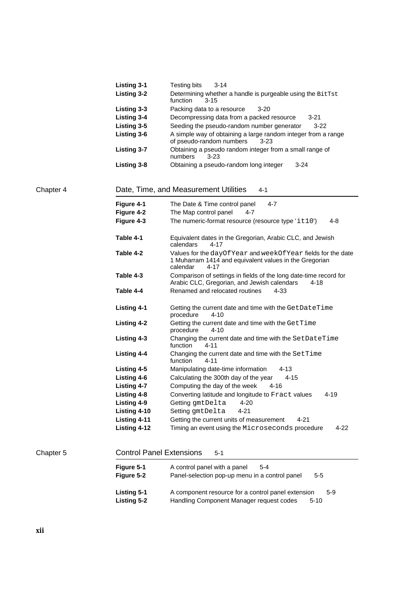|           | <b>Listing 3-1</b>                       | Testing bits<br>$3 - 14$                                                                                                                      |
|-----------|------------------------------------------|-----------------------------------------------------------------------------------------------------------------------------------------------|
|           | <b>Listing 3-2</b>                       | Determining whether a handle is purgeable using the BitTst<br>function<br>3-15                                                                |
|           | Listing 3-3                              | Packing data to a resource<br>3-20                                                                                                            |
|           | <b>Listing 3-4</b>                       | Decompressing data from a packed resource<br>3-21                                                                                             |
|           | Listing 3-5                              | Seeding the pseudo-random number generator<br>$3-22$                                                                                          |
|           | Listing 3-6                              | A simple way of obtaining a large random integer from a range<br>of pseudo-random numbers<br>$3 - 23$                                         |
|           | <b>Listing 3-7</b>                       | Obtaining a pseudo random integer from a small range of<br>$3 - 23$<br>numbers                                                                |
|           | Listing 3-8                              | Obtaining a pseudo-random long integer<br>$3 - 24$                                                                                            |
| Chapter 4 |                                          | Date, Time, and Measurement Utilities<br>4-1                                                                                                  |
|           | Figure 4-1                               | $4 - 7$<br>The Date & Time control panel                                                                                                      |
|           | Figure 4-2                               | The Map control panel<br>4-7                                                                                                                  |
|           | Figure 4-3                               | The numeric-format resource (resource type 'it10')<br>4-8                                                                                     |
|           | Table 4-1                                | Equivalent dates in the Gregorian, Arabic CLC, and Jewish<br>calendars<br>$4 - 17$                                                            |
|           | Table 4-2                                | Values for the dayOfYear and weekOfYear fields for the date<br>1 Muharram 1414 and equivalent values in the Gregorian<br>calendar<br>$4 - 17$ |
|           | Table 4-3                                | Comparison of settings in fields of the long date-time record for<br>Arabic CLC, Gregorian, and Jewish calendars<br>4-18                      |
|           | Table 4-4                                | Renamed and relocated routines<br>4-33                                                                                                        |
|           | <b>Listing 4-1</b>                       | Getting the current date and time with the GetDateTime<br>procedure<br>4-10                                                                   |
|           | <b>Listing 4-2</b>                       | Getting the current date and time with the GetTime<br>procedure<br>$4 - 10$                                                                   |
|           | <b>Listing 4-3</b>                       | Changing the current date and time with the SetDateTime<br>function<br>4-11                                                                   |
|           | <b>Listing 4-4</b>                       | Changing the current date and time with the SetTime<br>function<br>4-11                                                                       |
|           | <b>Listing 4-5</b>                       | Manipulating date-time information<br>4-13                                                                                                    |
|           | Listing 4-6                              | Calculating the 300th day of the year<br>$4 - 15$                                                                                             |
|           | <b>Listing 4-7</b>                       | Computing the day of the week<br>4-16                                                                                                         |
|           | <b>Listing 4-8</b>                       | Converting latitude and longitude to Fract values<br>$4 - 19$                                                                                 |
|           | <b>Listing 4-9</b>                       | Getting gmtDelta<br>4-20                                                                                                                      |
|           | Listing 4-10                             | Setting gmtDelta<br>$4 - 21$                                                                                                                  |
|           | Listing 4-11                             | Getting the current units of measurement<br>$4 - 21$                                                                                          |
|           | Listing 4-12                             | Timing an event using the Microseconds procedure<br>$4 - 22$                                                                                  |
| Chapter 5 |                                          | <b>Control Panel Extensions</b><br>$5 - 1$                                                                                                    |
|           | Figure 5-1                               | A control panel with a panel<br>5-4                                                                                                           |
|           | Figure 5-2                               | Panel-selection pop-up menu in a control panel<br>$5 - 5$                                                                                     |
|           | <b>Listing 5-1</b><br><b>Listing 5-2</b> | A component resource for a control panel extension<br>$5 - 9$<br>Handling Component Manager request codes<br>$5 - 10$                         |
|           |                                          |                                                                                                                                               |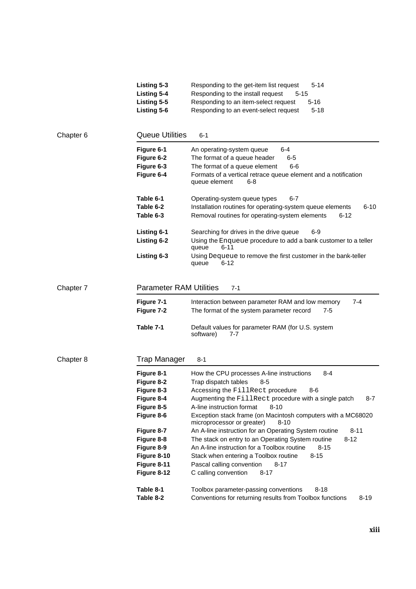|           | Listing 5-3<br><b>Listing 5-4</b><br>Listing 5-5<br>Listing 5-6                                                                                                         | 5-14<br>Responding to the get-item list request<br>Responding to the install request<br>$5 - 15$<br>Responding to an item-select request<br>$5 - 16$<br>Responding to an event-select request<br>$5 - 18$                                                                                                                                                                                                                                                                                                                                                                                                                                                                                |  |  |
|-----------|-------------------------------------------------------------------------------------------------------------------------------------------------------------------------|------------------------------------------------------------------------------------------------------------------------------------------------------------------------------------------------------------------------------------------------------------------------------------------------------------------------------------------------------------------------------------------------------------------------------------------------------------------------------------------------------------------------------------------------------------------------------------------------------------------------------------------------------------------------------------------|--|--|
| Chapter 6 | <b>Queue Utilities</b>                                                                                                                                                  | 6-1                                                                                                                                                                                                                                                                                                                                                                                                                                                                                                                                                                                                                                                                                      |  |  |
|           | Figure 6-1<br>Figure 6-2<br>Figure 6-3<br>Figure 6-4                                                                                                                    | An operating-system queue<br>6-4<br>The format of a queue header<br>$6-5$<br>The format of a queue element<br>6-6<br>Formats of a vertical retrace queue element and a notification<br>queue element<br>6-8                                                                                                                                                                                                                                                                                                                                                                                                                                                                              |  |  |
|           | Table 6-1<br>Table 6-2<br>Table 6-3                                                                                                                                     | Operating-system queue types<br>6-7<br>Installation routines for operating-system queue elements<br>$6 - 10$<br>Removal routines for operating-system elements<br>$6 - 12$                                                                                                                                                                                                                                                                                                                                                                                                                                                                                                               |  |  |
|           | Listing 6-1<br><b>Listing 6-2</b>                                                                                                                                       | Searching for drives in the drive queue<br>6-9<br>Using the Enqueue procedure to add a bank customer to a teller<br>6-11<br>queue                                                                                                                                                                                                                                                                                                                                                                                                                                                                                                                                                        |  |  |
|           | Listing 6-3                                                                                                                                                             | Using Dequeue to remove the first customer in the bank-teller<br>6-12<br>queue                                                                                                                                                                                                                                                                                                                                                                                                                                                                                                                                                                                                           |  |  |
| Chapter 7 | <b>Parameter RAM Utilities</b><br>7-1                                                                                                                                   |                                                                                                                                                                                                                                                                                                                                                                                                                                                                                                                                                                                                                                                                                          |  |  |
|           | Figure 7-1<br>Figure 7-2                                                                                                                                                | Interaction between parameter RAM and low memory<br>7-4<br>The format of the system parameter record<br>$7-5$                                                                                                                                                                                                                                                                                                                                                                                                                                                                                                                                                                            |  |  |
|           | Table 7-1                                                                                                                                                               | Default values for parameter RAM (for U.S. system<br>software)<br>7-7                                                                                                                                                                                                                                                                                                                                                                                                                                                                                                                                                                                                                    |  |  |
| Chapter 8 | <b>Trap Manager</b>                                                                                                                                                     | $8 - 1$                                                                                                                                                                                                                                                                                                                                                                                                                                                                                                                                                                                                                                                                                  |  |  |
|           | Figure 8-1<br>Figure 8-2<br>Figure 8-3<br>Figure 8-4<br>Figure 8-5<br>Figure 8-6<br>Figure 8-7<br>Figure 8-8<br>Figure 8-9<br>Figure 8-10<br>Figure 8-11<br>Figure 8-12 | How the CPU processes A-line instructions<br>$8 - 4$<br>Trap dispatch tables<br>$8 - 5$<br>Accessing the FillRect procedure<br>8-6<br>Augmenting the FillRect procedure with a single patch<br>8-7<br>A-line instruction format<br>$8 - 10$<br>Exception stack frame (on Macintosh computers with a MC68020<br>microprocessor or greater)<br>$8 - 10$<br>An A-line instruction for an Operating System routine<br>$8 - 11$<br>The stack on entry to an Operating System routine<br>$8 - 12$<br>An A-line instruction for a Toolbox routine<br>$8 - 15$<br>Stack when entering a Toolbox routine<br>$8 - 15$<br>Pascal calling convention<br>$8 - 17$<br>C calling convention<br>$8 - 17$ |  |  |
|           | Table 8-1<br>Table 8-2                                                                                                                                                  | Toolbox parameter-passing conventions<br>$8 - 18$<br>Conventions for returning results from Toolbox functions<br>$8 - 19$                                                                                                                                                                                                                                                                                                                                                                                                                                                                                                                                                                |  |  |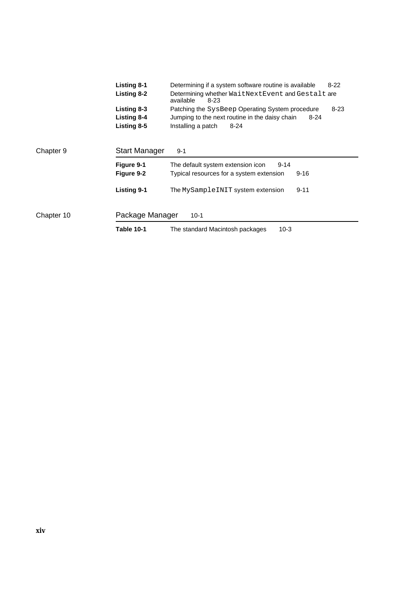|            | <b>Listing 8-1</b>   | Determining if a system software routine is available                  | $8 - 22$ |
|------------|----------------------|------------------------------------------------------------------------|----------|
|            | Listing 8-2          | Determining whether WaitNextEvent and Gestalt are<br>available<br>8-23 |          |
|            | Listing 8-3          | Patching the SysBeep Operating System procedure                        | $8 - 23$ |
|            | <b>Listing 8-4</b>   | Jumping to the next routine in the daisy chain<br>$8 - 24$             |          |
|            | Listing 8-5          | Installing a patch<br>$8 - 24$                                         |          |
|            |                      |                                                                        |          |
| Chapter 9  | <b>Start Manager</b> | $9 - 1$                                                                |          |
|            | Figure 9-1           | The default system extension icon<br>$9 - 14$                          |          |
|            | Figure 9-2           | Typical resources for a system extension<br>$9 - 16$                   |          |
|            | <b>Listing 9-1</b>   | The MySampleINIT system extension<br>$9 - 11$                          |          |
| Chapter 10 | Package Manager      | $10-1$                                                                 |          |
|            | Table 10-1           | 10-3<br>The standard Macintosh packages                                |          |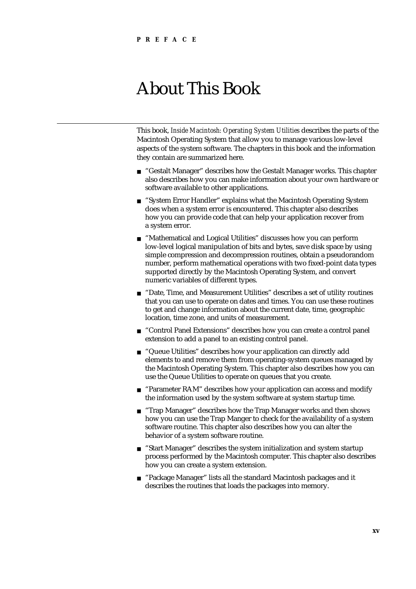## About This Book

This book, *Inside Macintosh: Operating System Utilities* describes the parts of the Macintosh Operating System that allow you to manage various low-level aspects of the system software. The chapters in this book and the information they contain are summarized here.

- n "Gestalt Manager" describes how the Gestalt Manager works. This chapter also describes how you can make information about your own hardware or software available to other applications.
- n "System Error Handler" explains what the Macintosh Operating System does when a system error is encountered. This chapter also describes how you can provide code that can help your application recover from a system error.
- n "Mathematical and Logical Utilities" discusses how you can perform low-level logical manipulation of bits and bytes, save disk space by using simple compression and decompression routines, obtain a pseudorandom number, perform mathematical operations with two fixed-point data types supported directly by the Macintosh Operating System, and convert numeric variables of different types.
- "Date, Time, and Measurement Utilities" describes a set of utility routines  $n$ that you can use to operate on dates and times. You can use these routines to get and change information about the current date, time, geographic location, time zone, and units of measurement.
- "Control Panel Extensions" describes how you can create a control panel  $n$ extension to add a panel to an existing control panel.
- "Queue Utilities" describes how your application can directly add  $n$ elements to and remove them from operating-system queues managed by the Macintosh Operating System. This chapter also describes how you can use the Queue Utilities to operate on queues that you create.
- n "Parameter RAM" describes how your application can access and modify the information used by the system software at system startup time.
- n "Trap Manager" describes how the Trap Manager works and then shows how you can use the Trap Manger to check for the availability of a system software routine. This chapter also describes how you can alter the behavior of a system software routine.
- n "Start Manager" describes the system initialization and system startup process performed by the Macintosh computer. This chapter also describes how you can create a system extension.
- "Package Manager" lists all the standard Macintosh packages and it describes the routines that loads the packages into memory.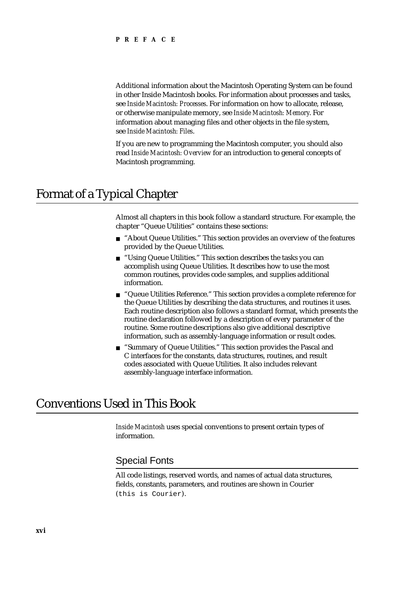Additional information about the Macintosh Operating System can be found in other Inside Macintosh books. For information about processes and tasks, see *Inside Macintosh: Processes*. For information on how to allocate, release, or otherwise manipulate memory, see *Inside Macintosh: Memory*. For information about managing files and other objects in the file system, see *Inside Macintosh: Files*.

If you are new to programming the Macintosh computer, you should also read *Inside Macintosh: Overview* for an introduction to general concepts of Macintosh programming.

### Format of a Typical Chapter

Almost all chapters in this book follow a standard structure. For example, the chapter "Queue Utilities" contains these sections:

- n "About Queue Utilities." This section provides an overview of the features provided by the Queue Utilities.
- "Using Queue Utilities." This section describes the tasks you can n. accomplish using Queue Utilities. It describes how to use the most common routines, provides code samples, and supplies additional information.
- n "Queue Utilities Reference." This section provides a complete reference for the Queue Utilities by describing the data structures, and routines it uses. Each routine description also follows a standard format, which presents the routine declaration followed by a description of every parameter of the routine. Some routine descriptions also give additional descriptive information, such as assembly-language information or result codes.
- n "Summary of Queue Utilities." This section provides the Pascal and C interfaces for the constants, data structures, routines, and result codes associated with Queue Utilities. It also includes relevant assembly-language interface information.

### Conventions Used in This Book

*Inside Macintosh* uses special conventions to present certain types of information.

### Special Fonts

All code listings, reserved words, and names of actual data structures, fields, constants, parameters, and routines are shown in Courier (this is Courier).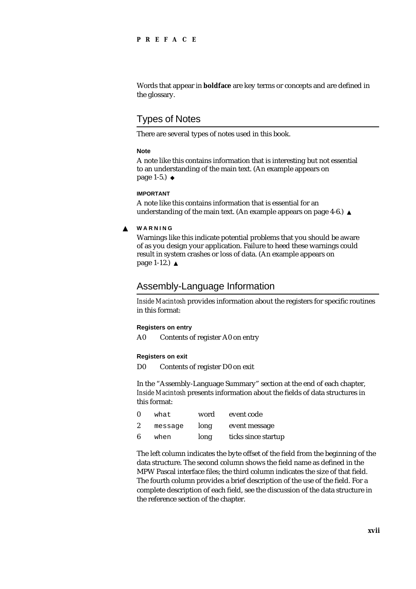### **PREFACE**

Words that appear in **boldface** are key terms or concepts and are defined in the glossary.

### Types of Notes

There are several types of notes used in this book.

#### **Note**

A note like this contains information that is interesting but not essential to an understanding of the main text. (An example appears on page 1-5.)

#### **IMPORTANT**

A note like this contains information that is essential for an understanding of the main text. (An example appears on page 4-6.)

#### **WARNING**  $\mathbf{S}$

Warnings like this indicate potential problems that you should be aware of as you design your application. Failure to heed these warnings could result in system crashes or loss of data. (An example appears on page 1-12.)

### Assembly-Language Information

*Inside Macintosh* provides information about the registers for specific routines in this format:

### **Registers on entry**

A0 Contents of register A0 on entry

### **Registers on exit**

D0 Contents of register D0 on exit

In the "Assembly-Language Summary" section at the end of each chapter, *Inside Macintosh* presents information about the fields of data structures in this format:

|    | what    | word | event code          |
|----|---------|------|---------------------|
| -2 | message | long | event message       |
| -6 | when    | long | ticks since startup |

The left column indicates the byte offset of the field from the beginning of the data structure. The second column shows the field name as defined in the MPW Pascal interface files; the third column indicates the size of that field. The fourth column provides a brief description of the use of the field. For a complete description of each field, see the discussion of the data structure in the reference section of the chapter.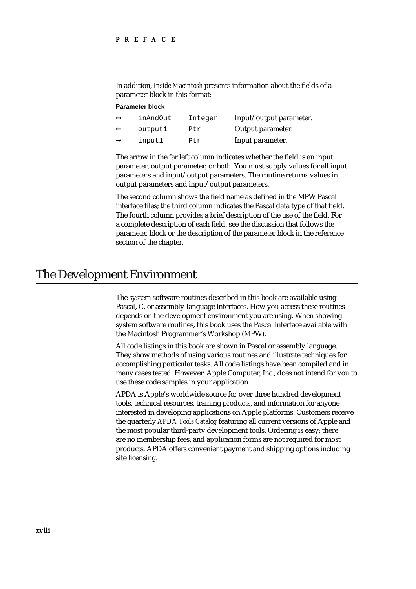In addition, *Inside Macintosh* presents information about the fields of a parameter block in this format:

### **Parameter block**

| inAndOut | Integer | Input/output parameter. |
|----------|---------|-------------------------|
| output1  | Ptr     | Output parameter.       |
| input1   | Ptr     | Input parameter.        |

The arrow in the far left column indicates whether the field is an input parameter, output parameter, or both. You must supply values for all input parameters and input/output parameters. The routine returns values in output parameters and input/output parameters.

The second column shows the field name as defined in the MPW Pascal interface files; the third column indicates the Pascal data type of that field. The fourth column provides a brief description of the use of the field. For a complete description of each field, see the discussion that follows the parameter block or the description of the parameter block in the reference section of the chapter.

### The Development Environment

The system software routines described in this book are available using Pascal, C, or assembly-language interfaces. How you access these routines depends on the development environment you are using. When showing system software routines, this book uses the Pascal interface available with the Macintosh Programmer's Workshop (MPW).

All code listings in this book are shown in Pascal or assembly language. They show methods of using various routines and illustrate techniques for accomplishing particular tasks. All code listings have been compiled and in many cases tested. However, Apple Computer, Inc., does not intend for you to use these code samples in your application.

APDA is Apple's worldwide source for over three hundred development tools, technical resources, training products, and information for anyone interested in developing applications on Apple platforms. Customers receive the quarterly *APDA Tools Catalog* featuring all current versions of Apple and the most popular third-party development tools. Ordering is easy; there are no membership fees, and application forms are not required for most products. APDA offers convenient payment and shipping options including site licensing.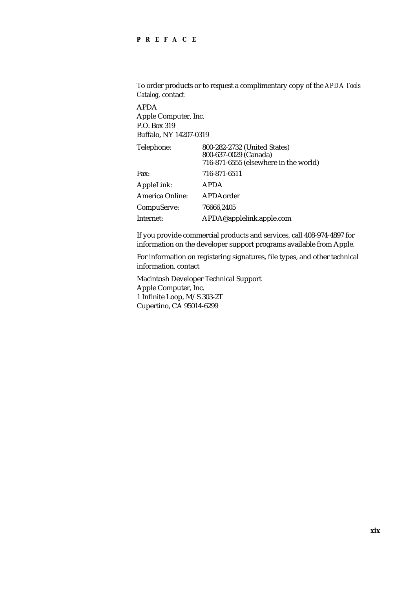### **PREFACE**

To order products or to request a complimentary copy of the *APDA Tools Catalog,* contact APDA Apple Computer, Inc. P.O. Box 319 Buffalo, NY 14207-0319 Telephone: 800-282-2732 (United States) 800-637-0029 (Canada) 716-871-6555 (elsewhere in the world) Fax: 716-871-6511 AppleLink: APDA America Online: APDAorder CompuServe: 76666,2405

If you provide commercial products and services, call 408-974-4897 for information on the developer support programs available from Apple.

For information on registering signatures, file types, and other technical information, contact

Macintosh Developer Technical Support Apple Computer, Inc. 1 Infinite Loop, M/S 303-2T Cupertino, CA 95014-6299

Internet: APDA@applelink.apple.com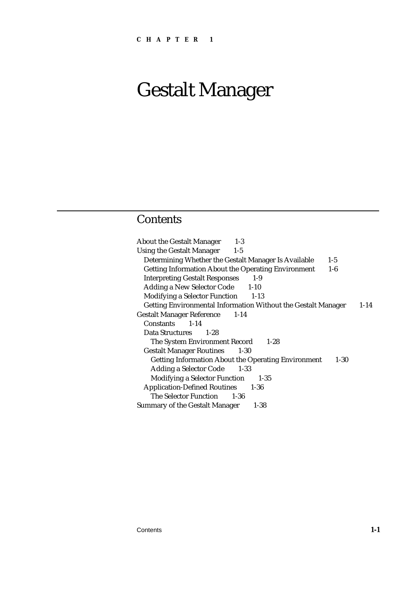### Contents

About the Gestalt Manager 1-3 Using the Gestalt Manager 1-5 Determining Whether the Gestalt Manager Is Available 1-5 Getting Information About the Operating Environment 1-6 Interpreting Gestalt Responses 1-9 Adding a New Selector Code 1-10 Modifying a Selector Function 1-13 Getting Environmental Information Without the Gestalt Manager 1-14 Gestalt Manager Reference 1-14 Constants 1-14 Data Structures 1-28 The System Environment Record 1-28 Gestalt Manager Routines 1-30 Getting Information About the Operating Environment 1-30 Adding a Selector Code 1-33 Modifying a Selector Function 1-35 Application-Defined Routines 1-36 The Selector Function 1-36 Summary of the Gestalt Manager 1-38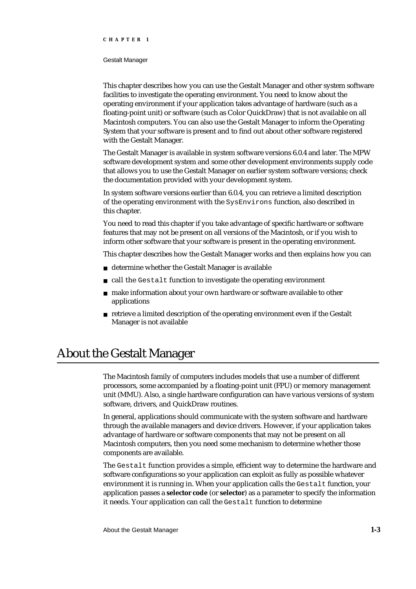#### Gestalt Manager

This chapter describes how you can use the Gestalt Manager and other system software facilities to investigate the operating environment. You need to know about the operating environment if your application takes advantage of hardware (such as a floating-point unit) or software (such as Color QuickDraw) that is not available on all Macintosh computers. You can also use the Gestalt Manager to inform the Operating System that your software is present and to find out about other software registered with the Gestalt Manager.

The Gestalt Manager is available in system software versions 6.0.4 and later. The MPW software development system and some other development environments supply code that allows you to use the Gestalt Manager on earlier system software versions; check the documentation provided with your development system.

In system software versions earlier than 6.0.4, you can retrieve a limited description of the operating environment with the SysEnvirons function, also described in this chapter.

You need to read this chapter if you take advantage of specific hardware or software features that may not be present on all versions of the Macintosh, or if you wish to inform other software that your software is present in the operating environment.

This chapter describes how the Gestalt Manager works and then explains how you can

- determine whether the Gestalt Manager is available
- call the Gestalt function to investigate the operating environment
- n make information about your own hardware or software available to other applications
- retrieve a limited description of the operating environment even if the Gestalt Manager is not available

### About the Gestalt Manager

The Macintosh family of computers includes models that use a number of different processors, some accompanied by a floating-point unit (FPU) or memory management unit (MMU). Also, a single hardware configuration can have various versions of system software, drivers, and QuickDraw routines.

In general, applications should communicate with the system software and hardware through the available managers and device drivers. However, if your application takes advantage of hardware or software components that may not be present on all Macintosh computers, then you need some mechanism to determine whether those components are available.

The Gestalt function provides a simple, efficient way to determine the hardware and software configurations so your application can exploit as fully as possible whatever environment it is running in. When your application calls the Gestalt function, your application passes a **selector code** (or **selector**) as a parameter to specify the information it needs. Your application can call the Gestalt function to determine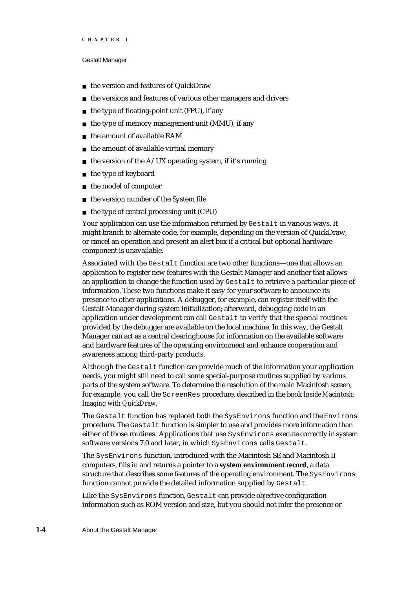#### Gestalt Manager

- the version and features of QuickDraw  $\overline{a}$
- the versions and features of various other managers and drivers n.
- the type of floating-point unit (FPU), if any
- the type of memory management unit (MMU), if any  $\overline{p}$
- the amount of available RAM n.
- the amount of available virtual memory  $\mathsf{n}$
- the version of the A/UX operating system, if it's running n.
- the type of keyboard  $\overline{a}$
- the model of computer  $\overline{p}$
- the version number of the System file  $\overline{p}$
- the type of central processing unit (CPU)  $\overline{p}$

Your application can use the information returned by Gestalt in various ways. It might branch to alternate code, for example, depending on the version of QuickDraw, or cancel an operation and present an alert box if a critical but optional hardware component is unavailable.

Associated with the Gestalt function are two other functions—one that allows an application to register new features with the Gestalt Manager and another that allows an application to change the function used by Gestalt to retrieve a particular piece of information. These two functions make it easy for your software to announce its presence to other applications. A debugger, for example, can register itself with the Gestalt Manager during system initialization; afterward, debugging code in an application under development can call Gestalt to verify that the special routines provided by the debugger are available on the local machine. In this way, the Gestalt Manager can act as a central clearinghouse for information on the available software and hardware features of the operating environment and enhance cooperation and awareness among third-party products.

Although the Gestalt function can provide much of the information your application needs, you might still need to call some special-purpose routines supplied by various parts of the system software. To determine the resolution of the main Macintosh screen, for example, you call the ScreenRes procedure, described in the book *Inside Macintosh: Imaging with QuickDraw.*

The Gestalt function has replaced both the SysEnvirons function and the Environs procedure. The Gestalt function is simpler to use and provides more information than either of those routines. Applications that use SysEnvirons execute correctly in system software versions 7.0 and later, in which SysEnvirons calls Gestalt.

The SysEnvirons function, introduced with the Macintosh SE and Macintosh II computers, fills in and returns a pointer to a **system environment record**, a data structure that describes some features of the operating environment. The SysEnvirons function cannot provide the detailed information supplied by Gestalt.

Like the SysEnvirons function, Gestalt can provide objective configuration information such as ROM version and size, but you should not infer the presence or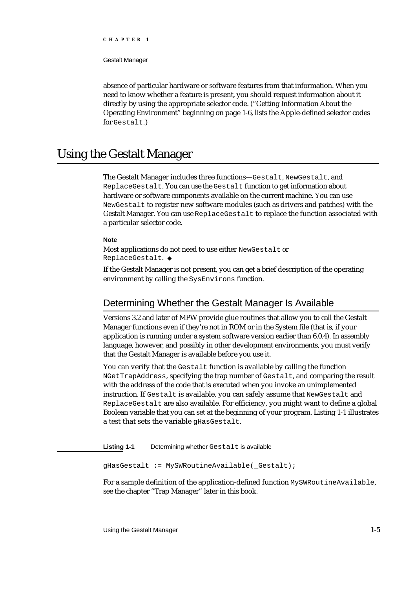Gestalt Manager

absence of particular hardware or software features from that information. When you need to know whether a feature is present, you should request information about it directly by using the appropriate selector code. ("Getting Information About the Operating Environment" beginning on page 1-6, lists the Apple-defined selector codes for Gestalt.)

### Using the Gestalt Manager

The Gestalt Manager includes three functions—Gestalt, NewGestalt, and ReplaceGestalt. You can use the Gestalt function to get information about hardware or software components available on the current machine. You can use NewGestalt to register new software modules (such as drivers and patches) with the Gestalt Manager. You can use ReplaceGestalt to replace the function associated with a particular selector code.

#### **Note**

Most applications do not need to use either NewGestalt or ReplaceGestalt.

If the Gestalt Manager is not present, you can get a brief description of the operating environment by calling the SysEnvirons function.

### Determining Whether the Gestalt Manager Is Available

Versions 3.2 and later of MPW provide glue routines that allow you to call the Gestalt Manager functions even if they're not in ROM or in the System file (that is, if your application is running under a system software version earlier than 6.0.4). In assembly language, however, and possibly in other development environments, you must verify that the Gestalt Manager is available before you use it.

You can verify that the Gestalt function is available by calling the function NGetTrapAddress, specifying the trap number of Gestalt, and comparing the result with the address of the code that is executed when you invoke an unimplemented instruction. If Gestalt is available, you can safely assume that NewGestalt and ReplaceGestalt are also available. For efficiency, you might want to define a global Boolean variable that you can set at the beginning of your program. Listing 1-1 illustrates a test that sets the variable gHasGestalt.

Listing 1-1 Determining whether Gestalt is available

gHasGestalt := MySWRoutineAvailable(\_Gestalt);

For a sample definition of the application-defined function MySWRoutineAvailable, see the chapter "Trap Manager" later in this book.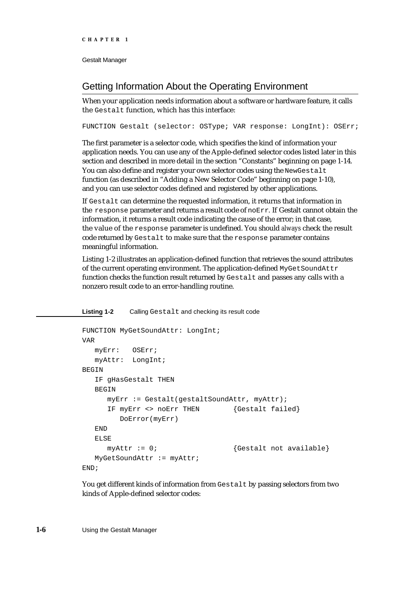### Getting Information About the Operating Environment

When your application needs information about a software or hardware feature, it calls the Gestalt function, which has this interface:

FUNCTION Gestalt (selector: OSType; VAR response: LongInt): OSErr;

The first parameter is a selector code, which specifies the kind of information your application needs. You can use any of the Apple-defined selector codes listed later in this section and described in more detail in the section "Constants" beginning on page 1-14. You can also define and register your own selector codes using the NewGestalt function (as described in "Adding a New Selector Code" beginning on page 1-10), and you can use selector codes defined and registered by other applications.

If Gestalt can determine the requested information, it returns that information in the response parameter and returns a result code of noErr. If Gestalt cannot obtain the information, it returns a result code indicating the cause of the error; in that case, the value of the response parameter is undefined. You should *always* check the result code returned by Gestalt to make sure that the response parameter contains meaningful information.

Listing 1-2 illustrates an application-defined function that retrieves the sound attributes of the current operating environment. The application-defined MyGetSoundAttr function checks the function result returned by Gestalt and passes any calls with a nonzero result code to an error-handling routine.

#### **Listing 1-2** Calling Gestalt and checking its result code

```
FUNCTION MyGetSoundAttr: LongInt;
VAR
  myErr: OSErr;
  myAttr: LongInt;
BEGIN
  IF gHasGestalt THEN
  BEGIN
     myErr := Gestalt(gestaltSoundAttr, myAttr);
     IF myErr <> noErr THEN {Gestalt failed}
        DoError(myErr)
  END
  ELSE
     myAttr := 0; {Gestalt not available}MyGetSoundAttr := myAttr;
END;
```
You get different kinds of information from Gestalt by passing selectors from two kinds of Apple-defined selector codes: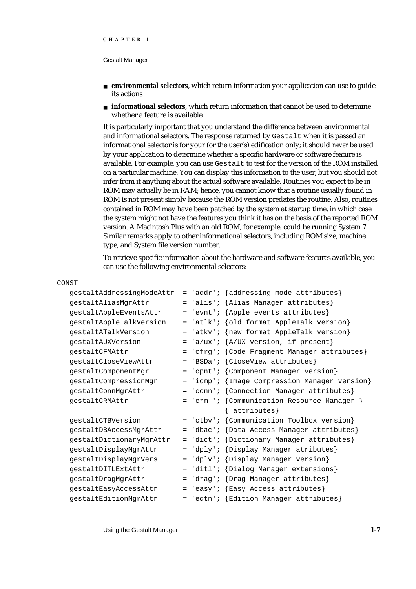- **environmental selectors**, which return information your application can use to guide its actions
- **informational selectors**, which return information that cannot be used to determine whether a feature is available

It is particularly important that you understand the difference between environmental and informational selectors. The response returned by Gestalt when it is passed an informational selector is for your (or the user's) edification only; it should *never* be used by your application to determine whether a specific hardware or software feature is available. For example, you can use Gestalt to test for the version of the ROM installed on a particular machine. You can display this information to the user, but you should not infer from it anything about the actual software available. Routines you expect to be in ROM may actually be in RAM; hence, you cannot know that a routine usually found in ROM is not present simply because the ROM version predates the routine. Also, routines contained in ROM may have been patched by the system at startup time, in which case the system might not have the features you think it has on the basis of the reported ROM version. A Macintosh Plus with an old ROM, for example, could be running System 7. Similar remarks apply to other informational selectors, including ROM size, machine type, and System file version number.

To retrieve specific information about the hardware and software features available, you can use the following environmental selectors:

| CONST                     |     |                                               |
|---------------------------|-----|-----------------------------------------------|
| gestaltAddressingModeAttr |     | = 'addr'; {addressing-mode attributes}        |
| gestaltAliasMgrAttr       |     | = 'alis'; {Alias Manager attributes}          |
| gestaltAppleEventsAttr    |     | = 'evnt'; {Apple events attributes}           |
| gestaltAppleTalkVersion   |     | = 'atlk'; {old format AppleTalk version}      |
| qestaltATalkVersion       |     | = 'atkv'; {new format AppleTalk version}      |
| gestaltAUXVersion         |     | $=$ 'a/ux'; $\{A/UX$ version, if present}     |
| gestaltCFMAttr            | $=$ | 'cfrg'; {Code Fragment Manager attributes}    |
| gestaltCloseViewAttr      | $=$ | $'BSDa'$ ; {CloseView attributes}             |
| gestaltComponentMgr       | $=$ | 'cpnt'; {Component Manager version}           |
| gestaltCompressionMgr     |     | = 'icmp'; {Image Compression Manager version} |
| gestaltConnMgrAttr        |     | = 'conn'; {Connection Manager attributes}     |
| gestaltCRMAttr            |     | = 'crm '; {Communication Resource Manager }   |
|                           |     | $\{$ attributes $\}$                          |
| gestaltCTBVersion         |     | = 'ctbv'; {Communication Toolbox version}     |
| gestaltDBAccessMgrAttr    |     | = 'dbac'; {Data Access Manager attributes}    |
| gestaltDictionaryMgrAttr  |     | = 'dict'; {Dictionary Manager attributes}     |
| gestaltDisplayMgrAttr     | $=$ | 'dply'; {Display Manager atributes}           |
| gestaltDisplayMgrVers     | $=$ | 'dplv'; {Display Manager version}             |
| gestaltDITLExtAttr        |     | = 'ditl'; {Dialog Manager extensions}         |
| gestaltDragMgrAttr        | $=$ | 'drag'; {Drag Manager attributes}             |
| gestaltEasyAccessAttr     | $=$ | 'easy'; {Easy Access attributes}              |
| gestaltEditionMgrAttr     |     | = 'edtn'; {Edition Manager attributes}        |

Using the Gestalt Manager **1-7**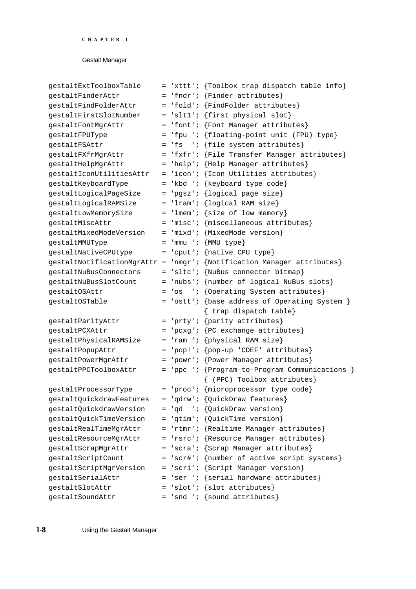| gestaltExtToolboxTable   |  | = 'xttt'; {Toolbox trap dispatch table info}                           |
|--------------------------|--|------------------------------------------------------------------------|
| gestaltFinderAttr        |  | = 'fndr'; {Finder attributes}                                          |
| gestaltFindFolderAttr    |  | = 'fold'; {FindFolder attributes}                                      |
| gestaltFirstSlotNumber   |  | = 'slt1'; {first physical slot}                                        |
| gestaltFontMgrAttr       |  | = 'font'; {Font Manager attributes}                                    |
| gestaltFPUType           |  | = 'fpu '; {floating-point unit (FPU) type}                             |
| qestaltFSAttr            |  | = 'fs '; {file system attributes}                                      |
| gestaltFXfrMgrAttr       |  | = 'fxfr'; {File Transfer Manager attributes}                           |
| gestaltHelpMgrAttr       |  | = 'help'; {Help Manager attributes}                                    |
| qestaltIconUtilitiesAttr |  | = 'icon'; {Icon Utilities attributes}                                  |
| gestaltKeyboardType      |  | = 'kbd '; {keyboard type code}                                         |
| gestaltLogicalPageSize   |  | = 'pgsz'; {logical page size}                                          |
| gestaltLogicalRAMSize    |  | $=$ 'lram'; {logical RAM size}                                         |
| gestaltLowMemorySize     |  | = 'lmem'; {size of low memory}                                         |
| gestaltMiscAttr          |  | = 'misc'; {miscellaneous attributes}                                   |
| qestaltMixedModeVersion  |  | = 'mixd'; {MixedMode version}                                          |
| gestaltMMUType           |  | $=$ 'mmu '; {MMU type}                                                 |
| gestaltNativeCPUtype     |  | = 'cput'; {native CPU type}                                            |
|                          |  | gestaltNotificationMgrAttr = 'nmgr'; {Notification Manager attributes} |
| gestaltNuBusConnectors   |  | = 'sltc'; {NuBus connector bitmap}                                     |
| gestaltNuBusSlotCount    |  | = 'nubs'; {number of logical NuBus slots}                              |
| qestaltOSAttr            |  | = 'os '; {Operating System attributes}                                 |
| gestaltOSTable           |  | = 'ostt'; {base address of Operating System }                          |
|                          |  | { trap dispatch table}                                                 |
| gestaltParityAttr        |  | = 'prty'; {parity attributes}                                          |
| qestaltPCXAttr           |  | = 'pcxg'; ${PC}$ exchange attributes}                                  |
| gestaltPhysicalRAMSize   |  | = 'ram '; {physical RAM size}                                          |
| gestaltPopupAttr         |  | $=$ 'pop!'; {pop-up 'CDEF' attributes}                                 |
| gestaltPowerMgrAttr      |  | = 'powr'; {Power Manager attributes}                                   |
| gestaltPPCToolboxAttr    |  | = 'ppc '; {Program-to-Program Communications }                         |
|                          |  | { (PPC) Toolbox attributes}                                            |
| gestaltProcessorType     |  | = 'proc'; {microprocessor type code}                                   |
| gestaltQuickdrawFeatures |  | = 'qdrw'; {QuickDraw features}                                         |
| gestaltQuickdrawVersion  |  | = 'qd '; {QuickDraw version}                                           |
| gestaltQuickTimeVersion  |  | = 'qtim'; {QuickTime version}                                          |
| gestaltRealTimeMgrAttr   |  | = 'rtmr'; {Realtime Manager attributes}                                |
| gestaltResourceMgrAttr   |  | = 'rsrc'; {Resource Manager attributes}                                |
| gestaltScrapMgrAttr      |  | = 'scra'; {Scrap Manager attributes}                                   |
| gestaltScriptCount       |  | = 'scr#'; {number of active script systems}                            |
| gestaltScriptMgrVersion  |  | = 'scri'; {Script Manager version}                                     |
| gestaltSerialAttr        |  | = 'ser '; {serial hardware attributes}                                 |
| gestaltSlotAttr          |  | $=$ 'slot'; {slot attributes}                                          |
| gestaltSoundAttr         |  | $=$ 'snd '; {sound attributes}                                         |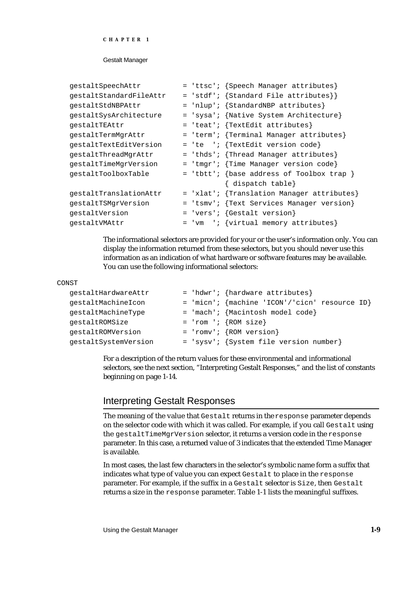```
CHAPTER 1
```

| gestaltSpeechAttr       | = 'ttsc'; {Speech Manager attributes}      |
|-------------------------|--------------------------------------------|
| gestaltStandardFileAttr | = 'stdf'; {Standard File attributes}}      |
| gestaltStdNBPAttr       | = 'nlup'; {StandardNBP attributes}         |
| gestaltSysArchitecture  | = 'sysa'; {Native System Architecture}     |
| gestaltTEAttr           | = 'teat'; {TextEdit attributes}            |
| gestaltTermMgrAttr      | = 'term'; {Terminal Manager attributes}    |
| gestaltTextEditVersion  | = 'te '; {TextEdit version code}           |
| gestaltThreadMgrAttr    | = 'thds'; {Thread Manager attributes}      |
| gestaltTimeMgrVersion   | = 'tmgr'; {Time Manager version code}      |
| gestaltToolboxTable     | = 'tbtt'; {base address of Toolbox trap }  |
|                         | { dispatch table}                          |
| qestaltTranslationAttr  | = 'xlat'; {Translation Manager attributes} |
| gestaltTSMgrVersion     | = 'tsmv'; {Text Services Manager version}  |
| qestaltVersion          | $= 'vers'$ ; {Gestalt version}             |
| qestaltVMAttr           | $=$ 'vm '; {virtual memory attributes}     |

The informational selectors are provided for your or the user's information only. You can display the information returned from these selectors, but you should never use this information as an indication of what hardware or software features may be available. You can use the following informational selectors:

#### CONST

| gestaltHardwareAttr  | = 'hdwr'; {hardware attributes}                 |
|----------------------|-------------------------------------------------|
| gestaltMachineIcon   | $=$ 'micn'; {machine 'ICON'/'cicn' resource ID} |
| qestaltMachineType   | $=$ 'mach'; {Macintosh model code}              |
| qestaltROMSize       | $=$ 'rom '; {ROM size}                          |
| qestaltROMVersion    | $= 'romv'; {ROM version}$                       |
| gestaltSystemVersion | = 'sysv'; {System file version number}          |

For a description of the return values for these environmental and informational selectors, see the next section, "Interpreting Gestalt Responses," and the list of constants beginning on page 1-14.

### Interpreting Gestalt Responses

The meaning of the value that Gestalt returns in the response parameter depends on the selector code with which it was called. For example, if you call Gestalt using the gestaltTimeMgrVersion selector, it returns a version code in the response parameter. In this case, a returned value of 3 indicates that the extended Time Manager is available.

In most cases, the last few characters in the selector's symbolic name form a suffix that indicates what type of value you can expect Gestalt to place in the response parameter. For example, if the suffix in a Gestalt selector is Size, then Gestalt returns a size in the response parameter. Table 1-1 lists the meaningful suffixes.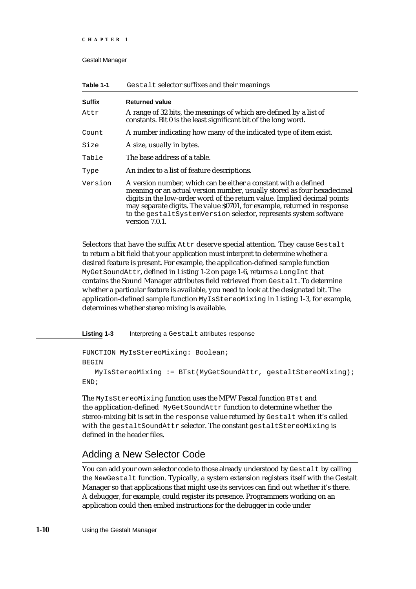| <b>Suffix</b> | <b>Returned value</b>                                                                                                                                                                                                                                                                                                                                                                    |
|---------------|------------------------------------------------------------------------------------------------------------------------------------------------------------------------------------------------------------------------------------------------------------------------------------------------------------------------------------------------------------------------------------------|
| Attr          | A range of 32 bits, the meanings of which are defined by a list of<br>constants. Bit 0 is the least significant bit of the long word.                                                                                                                                                                                                                                                    |
| Count         | A number indicating how many of the indicated type of item exist.                                                                                                                                                                                                                                                                                                                        |
| Size          | A size, usually in bytes.                                                                                                                                                                                                                                                                                                                                                                |
| Table         | The base address of a table.                                                                                                                                                                                                                                                                                                                                                             |
| Type          | An index to a list of feature descriptions.                                                                                                                                                                                                                                                                                                                                              |
| Version       | A version number, which can be either a constant with a defined<br>meaning or an actual version number, usually stored as four hexadecimal<br>digits in the low-order word of the return value. Implied decimal points<br>may separate digits. The value \$0701, for example, returned in response<br>to the gestaltSystemVersion selector, represents system software<br>version 7.0.1. |

**Table 1-1** Gestalt selector suffixes and their meanings

Selectors that have the suffix Attr deserve special attention. They cause Gestalt to return a bit field that your application must interpret to determine whether a desired feature is present. For example, the application-defined sample function MyGetSoundAttr, defined in Listing 1-2 on page 1-6, returns a LongInt that contains the Sound Manager attributes field retrieved from Gestalt. To determine whether a particular feature is available, you need to look at the designated bit. The application-defined sample function MyIsStereoMixing in Listing 1-3, for example, determines whether stereo mixing is available.

**Listing 1-3** Interpreting a Gestalt attributes response

```
FUNCTION MyIsStereoMixing: Boolean;
BEGIN
  MyIsStereoMixing := BTst(MyGetSoundAttr, gestaltStereoMixing);
END;
```
The MyIsStereoMixing function uses the MPW Pascal function BTst and the application-defined MyGetSoundAttr function to determine whether the stereo-mixing bit is set in the response value returned by Gestalt when it's called with the gestaltSoundAttr selector. The constant gestaltStereoMixing is defined in the header files.

### Adding a New Selector Code

You can add your own selector code to those already understood by Gestalt by calling the NewGestalt function. Typically, a system extension registers itself with the Gestalt Manager so that applications that might use its services can find out whether it's there. A debugger, for example, could register its presence. Programmers working on an application could then embed instructions for the debugger in code under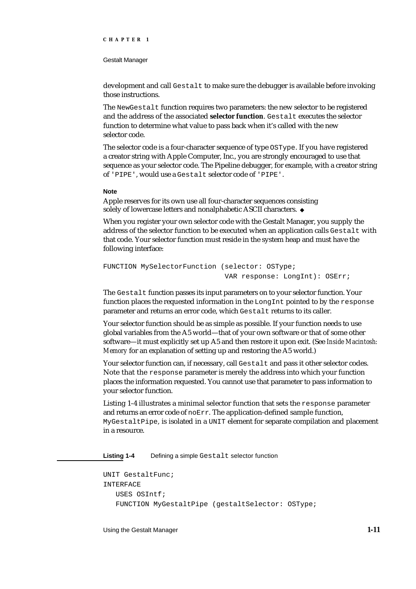#### Gestalt Manager

development and call Gestalt to make sure the debugger is available before invoking those instructions.

The NewGestalt function requires two parameters: the new selector to be registered and the address of the associated **selector function**. Gestalt executes the selector function to determine what value to pass back when it's called with the new selector code.

The selector code is a four-character sequence of type OSType. If you have registered a creator string with Apple Computer, Inc., you are strongly encouraged to use that sequence as your selector code. The Pipeline debugger, for example, with a creator string of 'PIPE', would use a Gestalt selector code of 'PIPE'.

#### **Note**

Apple reserves for its own use all four-character sequences consisting solely of lowercase letters and nonalphabetic ASCII characters. u

When you register your own selector code with the Gestalt Manager, you supply the address of the selector function to be executed when an application calls Gestalt with that code. Your selector function must reside in the system heap and must have the following interface:

```
FUNCTION MySelectorFunction (selector: OSType; 
                               VAR response: LongInt): OSErr;
```
The Gestalt function passes its input parameters on to your selector function. Your function places the requested information in the LongInt pointed to by the response parameter and returns an error code, which Gestalt returns to its caller.

Your selector function should be as simple as possible. If your function needs to use global variables from the A5 world—that of your own software or that of some other software—it must explicitly set up A5 and then restore it upon exit. (See *Inside Macintosh: Memory* for an explanation of setting up and restoring the A5 world.)

Your selector function can, if necessary, call Gestalt and pass it other selector codes. Note that the response parameter is merely the address into which your function places the information requested. You cannot use that parameter to pass information to your selector function.

Listing 1-4 illustrates a minimal selector function that sets the response parameter and returns an error code of noErr. The application-defined sample function, MyGestaltPipe, is isolated in a UNIT element for separate compilation and placement in a resource.

Listing 1-4 Defining a simple Gestalt selector function

```
UNIT GestaltFunc;
INTERFACE
   USES OSIntf;
   FUNCTION MyGestaltPipe (gestaltSelector: OSType;
```
Using the Gestalt Manager **1-11**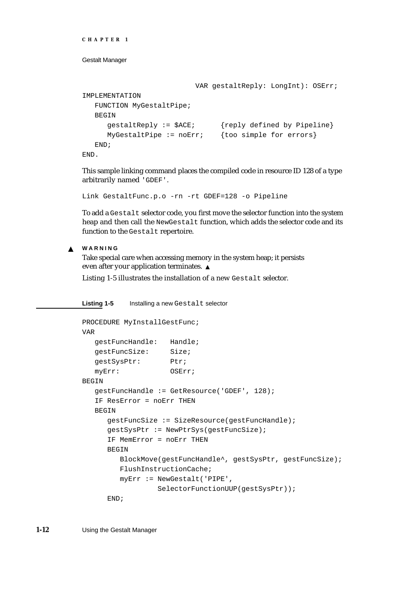```
CHAPTER 1
```

```
 VAR gestaltReply: LongInt): OSErr;
IMPLEMENTATION
  FUNCTION MyGestaltPipe;
  BEGIN
     gestaltReply := $ACE; {reply defined by Pipeline}
     MyGestaltPipe := noErr: {too simple for errors}
  END;
END.
```
This sample linking command places the compiled code in resource ID 128 of a type arbitrarily named 'GDEF'.

Link GestaltFunc.p.o -rn -rt GDEF=128 -o Pipeline

To add a Gestalt selector code, you first move the selector function into the system heap and then call the NewGestalt function, which adds the selector code and its function to the Gestalt repertoire.

**WARNING**  $\mathsf{s}$ 

> Take special care when accessing memory in the system heap; it persists even after your application terminates.

Listing 1-5 illustrates the installation of a new Gestalt selector.

**Listing 1-5** Installing a new Gestalt selector

```
PROCEDURE MyInstallGestFunc;
VAR
  gestFuncHandle: Handle;
  gestFuncSize: Size;
  gestSysPtr: Ptr;
  myErr: OSErr;
BEGIN
  gestFuncHandle := GetResource('GDEF', 128);
  IF ResError = noErr THEN
  BEGIN
     gestFuncSize := SizeResource(gestFuncHandle);
     gestSysPtr := NewPtrSys(gestFuncSize);
     IF MemError = noErr THEN
     BEGIN
        BlockMove(gestFuncHandle^, gestSysPtr, gestFuncSize);
        FlushInstructionCache;
        myErr := NewGestalt('PIPE',
                  SelectorFunctionUUP(gestSysPtr));
     END;
```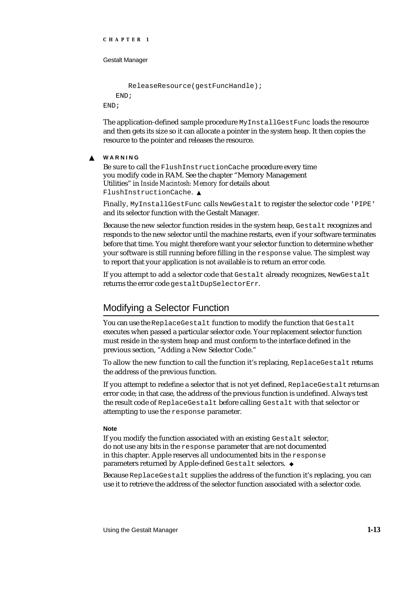```
CHAPTER 1
```

```
ReleaseResource(gestFuncHandle);
   END;
END;
```
The application-defined sample procedure MyInstallGestFunc loads the resource and then gets its size so it can allocate a pointer in the system heap. It then copies the resource to the pointer and releases the resource.

#### $\mathbf{S}$ **WARNING**

Be sure to call the FlushInstructionCache procedure every time you modify code in RAM. See the chapter "Memory Management Utilities" in *Inside Macintosh: Memory* for details about FlushInstructionCache.

Finally, MyInstallGestFunc calls NewGestalt to register the selector code 'PIPE' and its selector function with the Gestalt Manager.

Because the new selector function resides in the system heap, Gestalt recognizes and responds to the new selector until the machine restarts, even if your software terminates before that time. You might therefore want your selector function to determine whether your software is still running before filling in the response value. The simplest way to report that your application is not available is to return an error code.

If you attempt to add a selector code that Gestalt already recognizes, NewGestalt returns the error code gestaltDupSelectorErr.

### Modifying a Selector Function

You can use the ReplaceGestalt function to modify the function that Gestalt executes when passed a particular selector code. Your replacement selector function must reside in the system heap and must conform to the interface defined in the previous section, "Adding a New Selector Code."

To allow the new function to call the function it's replacing, ReplaceGestalt returns the address of the previous function.

If you attempt to redefine a selector that is not yet defined, ReplaceGestalt returns an error code; in that case, the address of the previous function is undefined. Always test the result code of ReplaceGestalt before calling Gestalt with that selector or attempting to use the response parameter.

### **Note**

If you modify the function associated with an existing Gestalt selector, do not use any bits in the response parameter that are not documented in this chapter. Apple reserves all undocumented bits in the response parameters returned by Apple-defined Gestalt selectors. u

Because ReplaceGestalt supplies the address of the function it's replacing, you can use it to retrieve the address of the selector function associated with a selector code.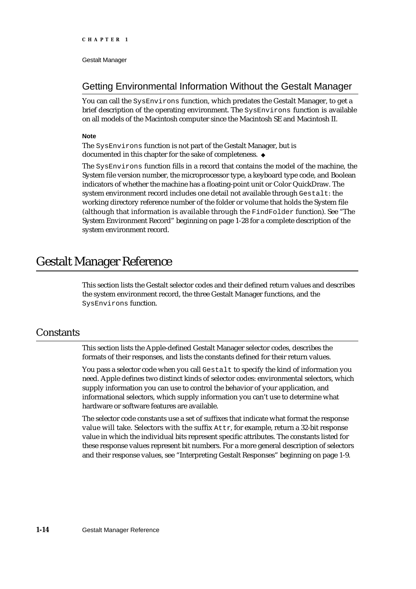### Getting Environmental Information Without the Gestalt Manager

You can call the SysEnvirons function, which predates the Gestalt Manager, to get a brief description of the operating environment. The SysEnvirons function is available on all models of the Macintosh computer since the Macintosh SE and Macintosh II.

### **Note**

The SysEnvirons function is not part of the Gestalt Manager, but is documented in this chapter for the sake of completeness.

The SysEnvirons function fills in a record that contains the model of the machine, the System file version number, the microprocessor type, a keyboard type code, and Boolean indicators of whether the machine has a floating-point unit or Color QuickDraw. The system environment record includes one detail not available through Gestalt: the working directory reference number of the folder or volume that holds the System file (although that information is available through the FindFolder function). See "The System Environment Record" beginning on page 1-28 for a complete description of the system environment record.

### Gestalt Manager Reference

This section lists the Gestalt selector codes and their defined return values and describes the system environment record, the three Gestalt Manager functions, and the SysEnvirons function.

### **Constants**

This section lists the Apple-defined Gestalt Manager selector codes, describes the formats of their responses, and lists the constants defined for their return values.

You pass a selector code when you call Gestalt to specify the kind of information you need. Apple defines two distinct kinds of selector codes: environmental selectors, which supply information you can use to control the behavior of your application, and informational selectors, which supply information you can't use to determine what hardware or software features are available.

The selector code constants use a set of suffixes that indicate what format the response value will take. Selectors with the suffix Attr, for example, return a 32-bit response value in which the individual bits represent specific attributes. The constants listed for these response values represent bit numbers. For a more general description of selectors and their response values, see "Interpreting Gestalt Responses" beginning on page 1-9.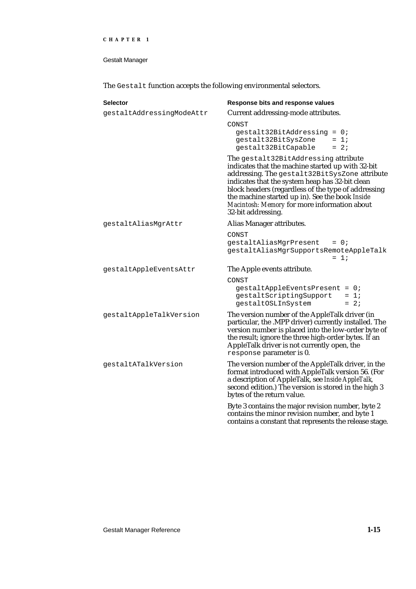Gestalt Manager

The Gestalt function accepts the following environmental selectors.

| <b>Selector</b>           | Response bits and response values                                                                                                                                                                                                                                                                                                                                             |
|---------------------------|-------------------------------------------------------------------------------------------------------------------------------------------------------------------------------------------------------------------------------------------------------------------------------------------------------------------------------------------------------------------------------|
| gestaltAddressingModeAttr | Current addressing-mode attributes.                                                                                                                                                                                                                                                                                                                                           |
|                           | CONST<br>$gestalt32BitAddressing = 0;$<br>gestalt32BitSysZone<br>$= 1i$<br>gestalt32BitCapable<br>$= 2i$                                                                                                                                                                                                                                                                      |
|                           | The gestalt32BitAddressing attribute<br>indicates that the machine started up with 32-bit<br>addressing. The gestalt32BitSysZone attribute<br>indicates that the system heap has 32-bit clean<br>block headers (regardless of the type of addressing<br>the machine started up in). See the book Inside<br>Macintosh: Memory for more information about<br>32-bit addressing. |
| gestaltAliasMgrAttr       | Alias Manager attributes.                                                                                                                                                                                                                                                                                                                                                     |
|                           | CONST<br>$gestaltAliasMgrPresent = 0;$<br>gestaltAliasMgrSupportsRemoteAppleTalk<br>$= 1i$                                                                                                                                                                                                                                                                                    |
| gestaltAppleEventsAttr    | The Apple events attribute.                                                                                                                                                                                                                                                                                                                                                   |
|                           | CONST<br>gestaltAppleEventsPresent = 0;<br>$gestaltscriptingSupport = 1$<br>gestaltOSLInSystem<br>$= 2i$                                                                                                                                                                                                                                                                      |
| gestaltAppleTalkVersion   | The version number of the AppleTalk driver (in<br>particular, the .MPP driver) currently installed. The<br>version number is placed into the low-order byte of<br>the result; ignore the three high-order bytes. If an<br>AppleTalk driver is not currently open, the<br>response parameter is 0.                                                                             |
| gestaltATalkVersion       | The version number of the AppleTalk driver, in the<br>format introduced with AppleTalk version 56. (For<br>a description of AppleTalk, see Inside AppleTalk,<br>second edition.) The version is stored in the high 3<br>bytes of the return value.                                                                                                                            |
|                           | Byte 3 contains the major revision number, byte 2<br>contains the minor revision number, and byte 1<br>contains a constant that represents the release stage.                                                                                                                                                                                                                 |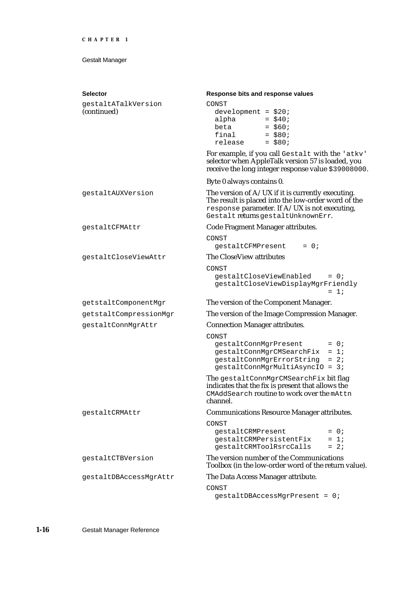| <b>Selector</b>                    | Response bits and response values                                                                                                                                                                   |
|------------------------------------|-----------------------------------------------------------------------------------------------------------------------------------------------------------------------------------------------------|
| gestaltATalkVersion<br>(continued) | CONST<br>development = $$20;$<br>alpha = $$40;$<br>beta = $$60;$<br>final<br>$=$ \$80;<br>release<br>$=$ \$80;                                                                                      |
|                                    | For example, if you call Gestalt with the 'atkv'<br>selector when AppleTalk version 57 is loaded, you<br>receive the long integer response value \$39008000.                                        |
|                                    | Byte 0 always contains 0.                                                                                                                                                                           |
| gestaltAUXVersion                  | The version of $A/UX$ if it is currently executing.<br>The result is placed into the low-order word of the<br>response parameter. If $A/UX$ is not executing,<br>Gestalt returns gestaltUnknownErr. |
| qestaltCFMAttr                     | Code Fragment Manager attributes.                                                                                                                                                                   |
|                                    | CONST<br>$= 0;$<br>gestaltCFMPresent                                                                                                                                                                |
| gestaltCloseViewAttr               | The CloseView attributes                                                                                                                                                                            |
|                                    | CONST<br>gestaltCloseViewEnabled<br>$= 0;$<br>gestaltCloseViewDisplayMgrFriendly<br>$= 1:$                                                                                                          |
| getstaltComponentMgr               | The version of the Component Manager.                                                                                                                                                               |
| getstaltCompressionMgr             | The version of the Image Compression Manager.                                                                                                                                                       |
| gestaltConnMgrAttr                 | <b>Connection Manager attributes.</b>                                                                                                                                                               |
|                                    | CONST<br>gestaltConnMgrPresent<br>$= 0;$<br>$gestaltConnMgrCMSearchFix = 1;$<br>gestaltConnMgrErrorString = 2;<br>gestaltConnMgrMultiAsyncIO = 3;                                                   |
|                                    | The gestaltConnMgrCMSearchFix bit flag<br>indicates that the fix is present that allows the<br>CMAddSearch routine to work over the mAttn<br>channel.                                               |
| gestaltCRMAttr                     | <b>Communications Resource Manager attributes.</b>                                                                                                                                                  |
|                                    | CONST<br>qestaltCRMPresent<br>$= 0;$<br>$= 1i$<br>gestaltCRMPersistentFix<br>$= 2i$<br>gestaltCRMToolRsrcCalls                                                                                      |
| gestaltCTBVersion                  | The version number of the Communications<br>Toolbox (in the low-order word of the return value).                                                                                                    |
| qestaltDBAccessMqrAttr             | The Data Access Manager attribute.                                                                                                                                                                  |
|                                    | CONST<br>gestaltDBAccessMgrPresent = 0;                                                                                                                                                             |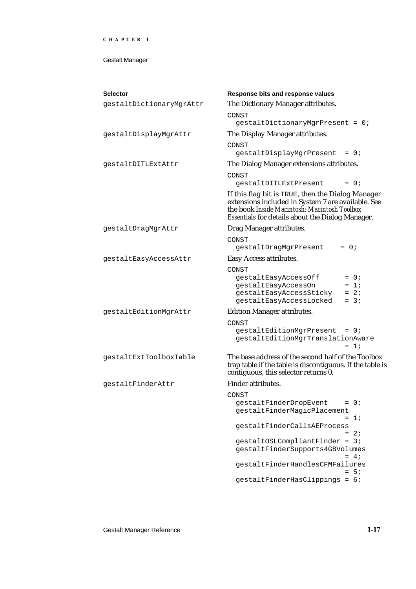| <b>Selector</b>          | Response bits and response values                                                                                                                                                                           |
|--------------------------|-------------------------------------------------------------------------------------------------------------------------------------------------------------------------------------------------------------|
| gestaltDictionaryMgrAttr | The Dictionary Manager attributes.                                                                                                                                                                          |
|                          | CONST<br>gestaltDictionaryMgrPresent = 0;                                                                                                                                                                   |
| gestaltDisplayMgrAttr    | The Display Manager attributes.                                                                                                                                                                             |
|                          | CONST<br>gestaltDisplayMgrPresent<br>$= 0$ ;                                                                                                                                                                |
| gestaltDITLExtAttr       | The Dialog Manager extensions attributes.                                                                                                                                                                   |
|                          | CONST<br>qestaltDITLExtPresent<br>$= 0;$                                                                                                                                                                    |
|                          | If this flag bit is TRUE, then the Dialog Manager<br>extensions included in System 7 are available. See<br>the book Inside Macintosh: Macintosh Toolbox<br>Essentials for details about the Dialog Manager. |
| qestaltDraqMqrAttr       | Drag Manager attributes.                                                                                                                                                                                    |
|                          | CONST<br>$= 0;$<br>gestaltDragMgrPresent                                                                                                                                                                    |
| gestaltEasyAccessAttr    | Easy Access attributes.                                                                                                                                                                                     |
|                          | CONST<br>gestaltEasyAccessOff<br>$= 0$ ;<br>gestaltEasyAccessOn<br>$= 1i$<br>gestaltEasyAccessSticky<br>$= 2i$<br>gestaltEasyAccessLocked<br>$= 3i$                                                         |
| gestaltEditionMgrAttr    | <b>Edition Manager attributes.</b>                                                                                                                                                                          |
|                          | CONST<br>gestaltEditionMgrPresent<br>$= 0;$<br>gestaltEditionMgrTranslationAware<br>$= 1i$                                                                                                                  |
| gestaltExtToolboxTable   | The base address of the second half of the Toolbox<br>trap table if the table is discontiguous. If the table is<br>contiguous, this selector returns 0.                                                     |
| gestaltFinderAttr        | <b>Finder attributes.</b>                                                                                                                                                                                   |
|                          | CONST                                                                                                                                                                                                       |
|                          | gestaltFinderDropEvent<br>$= 0;$<br>gestaltFinderMagicPlacement<br>$= 1i$                                                                                                                                   |
|                          | gestaltFinderCallsAEProcess<br>$= 2i$                                                                                                                                                                       |
|                          | $gestaltOSLCompliantFinder = 3;$<br>gestaltFinderSupports4GBVolumes<br>$= 4;$                                                                                                                               |
|                          | gestaltFinderHandlesCFMFailures<br>$= 5i$                                                                                                                                                                   |
|                          | gestaltFinderHasClippings = 6;                                                                                                                                                                              |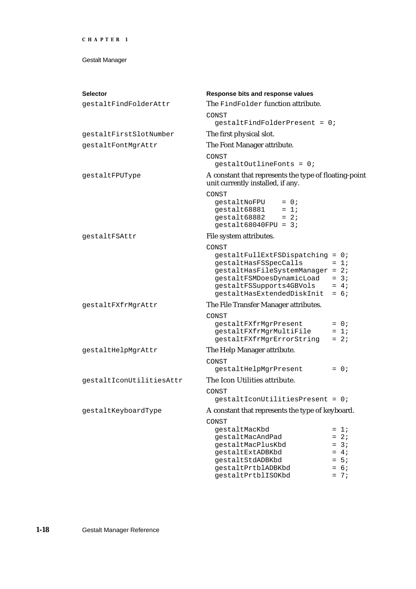| <b>Selector</b>          | Response bits and response values                                                                                                                                                               |                                      |  |
|--------------------------|-------------------------------------------------------------------------------------------------------------------------------------------------------------------------------------------------|--------------------------------------|--|
| gestaltFindFolderAttr    | The FindFolder function attribute.                                                                                                                                                              |                                      |  |
|                          | CONST<br>$gestaltfindFolderPresent = 0;$                                                                                                                                                        |                                      |  |
| gestaltFirstSlotNumber   | The first physical slot.                                                                                                                                                                        |                                      |  |
| gestaltFontMgrAttr       | The Font Manager attribute.                                                                                                                                                                     |                                      |  |
|                          | CONST<br>$qestaltOutlineFonts = 0;$                                                                                                                                                             |                                      |  |
| gestaltFPUType           | A constant that represents the type of floating-point<br>unit currently installed, if any.                                                                                                      |                                      |  |
|                          | CONST<br>gestaltNoFPU<br>$= 0;$<br>$= 1i$<br>gestalt68881<br>$= 2i$<br>gestalt68882<br>gestalt68040FPU = $3$ ;                                                                                  |                                      |  |
| qestaltFSAttr            | File system attributes.                                                                                                                                                                         |                                      |  |
|                          | CONST<br>$gestaltrullExtFSDispatching = 0;$<br>gestaltHasFSSpecCalls<br>gestaltHasFileSystemManager = 2;<br>gestaltFSMDoesDynamicLoad<br>gestaltFSSupports4GBVols<br>gestaltHasExtendedDiskInit | $= 1i$<br>$= 3i$<br>$= 4;$<br>$= 6i$ |  |
| gestaltFXfrMgrAttr       | The File Transfer Manager attributes.                                                                                                                                                           |                                      |  |
|                          | CONST<br>gestaltFXfrMgrPresent<br>gestaltFXfrMgrMultiFile<br>gestaltFXfrMgrErrorString                                                                                                          | $= 0;$<br>$= 1i$<br>$= 2i$           |  |
| gestaltHelpMgrAttr       | The Help Manager attribute.                                                                                                                                                                     |                                      |  |
|                          | CONST<br>gestaltHelpMgrPresent                                                                                                                                                                  | $= 0;$                               |  |
| gestaltIconUtilitiesAttr | The Icon Utilities attribute.                                                                                                                                                                   |                                      |  |
|                          | CONST<br>gestaltIconUtilitiesPresent = 0;                                                                                                                                                       |                                      |  |
| gestaltKeyboardType      | A constant that represents the type of keyboard.                                                                                                                                                |                                      |  |
|                          | CONST                                                                                                                                                                                           |                                      |  |
|                          | qestaltMacKbd                                                                                                                                                                                   | $= 1i$                               |  |
|                          | qestaltMacAndPad                                                                                                                                                                                | $= 2i$                               |  |
|                          | gestaltMacPlusKbd                                                                                                                                                                               | $= 3i$                               |  |
|                          | gestaltExtADBKbd                                                                                                                                                                                | $= 4i$                               |  |
|                          | gestaltStdADBKbd                                                                                                                                                                                | $= 5i$                               |  |
|                          | gestaltPrtblADBKbd<br>gestaltPrtblISOKbd                                                                                                                                                        | $= 6i$<br>$= 7i$                     |  |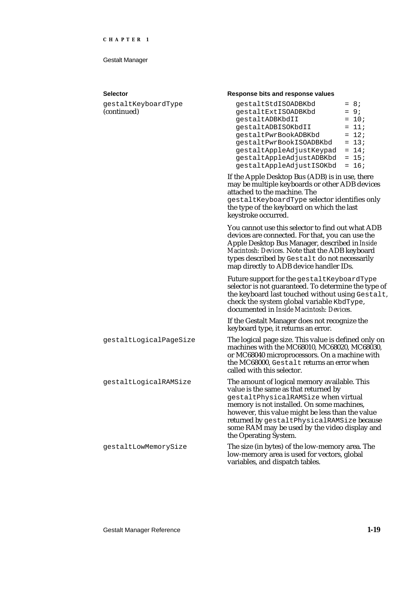| <b>Selector</b>                    | Response bits and response values                                                                                                                                                                                                                                                                                                                      |  |  |
|------------------------------------|--------------------------------------------------------------------------------------------------------------------------------------------------------------------------------------------------------------------------------------------------------------------------------------------------------------------------------------------------------|--|--|
| gestaltKeyboardType<br>(continued) | $= 8i$<br>qestaltStdISOADBKbd<br>$= 9i$<br>gestaltExtISOADBKbd<br>$= 10;$<br>gestaltADBKbdII<br>$= 11;$<br>gestaltADBISOKbdII<br>$= 12i$<br>gestaltPwrBookADBKbd<br>$= 13;$<br>gestaltPwrBookISOADBKbd<br>gestaltAppleAdjustKeypad<br>$= 14;$<br>gestaltAppleAdjustADBKbd<br>$= 15;$<br>gestaltAppleAdjustISOKbd<br>$= 16;$                            |  |  |
|                                    | If the Apple Desktop Bus (ADB) is in use, there<br>may be multiple keyboards or other ADB devices<br>attached to the machine. The<br>gestaltKeyboardType selector identifies only<br>the type of the keyboard on which the last<br>keystroke occurred.                                                                                                 |  |  |
|                                    | You cannot use this selector to find out what ADB<br>devices are connected. For that, you can use the<br>Apple Desktop Bus Manager, described in Inside<br>Macintosh: Devices. Note that the ADB keyboard<br>types described by Gestalt do not necessarily<br>map directly to ADB device handler IDs.                                                  |  |  |
|                                    | Future support for the gestaltKeyboardType<br>selector is not guaranteed. To determine the type of<br>the keyboard last touched without using Gestalt,<br>check the system global variable KbdType,<br>documented in Inside Macintosh: Devices.<br>If the Gestalt Manager does not recognize the<br>keyboard type, it returns an error.                |  |  |
|                                    |                                                                                                                                                                                                                                                                                                                                                        |  |  |
| gestaltLogicalPageSize             | The logical page size. This value is defined only on<br>machines with the MC68010, MC68020, MC68030,<br>or MC68040 microprocessors. On a machine with<br>the MC68000, Gestalt returns an error when<br>called with this selector.                                                                                                                      |  |  |
| gestaltLogicalRAMSize              | The amount of logical memory available. This<br>value is the same as that returned by<br>gestaltPhysicalRAMSize when virtual<br>memory is not installed. On some machines,<br>however, this value might be less than the value<br>returned by gestaltPhysicalRAMSize because<br>some RAM may be used by the video display and<br>the Operating System. |  |  |
| gestaltLowMemorySize               | The size (in bytes) of the low-memory area. The<br>low-memory area is used for vectors, global                                                                                                                                                                                                                                                         |  |  |

variables, and dispatch tables.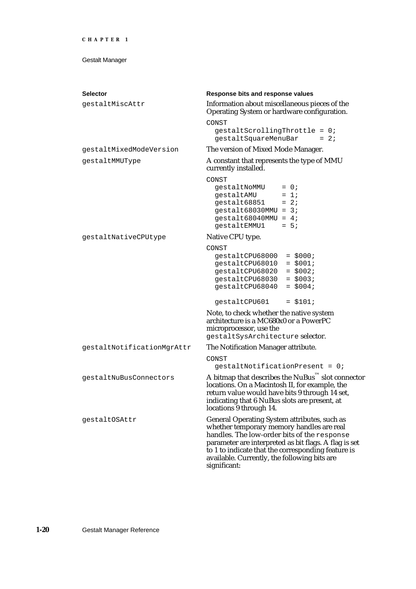| <b>Selector</b>            | Response bits and response values                                                                                                                                                                                                                                                                                       |  |  |
|----------------------------|-------------------------------------------------------------------------------------------------------------------------------------------------------------------------------------------------------------------------------------------------------------------------------------------------------------------------|--|--|
| gestaltMiscAttr            | Information about miscellaneous pieces of the<br>Operating System or hardware configuration.                                                                                                                                                                                                                            |  |  |
|                            | CONST                                                                                                                                                                                                                                                                                                                   |  |  |
|                            | $gestaltscrollingThrottle = 0;$<br>gestaltSquareMenuBar<br>$= 2i$                                                                                                                                                                                                                                                       |  |  |
| gestaltMixedModeVersion    | The version of Mixed Mode Manager.                                                                                                                                                                                                                                                                                      |  |  |
| gestaltMMUType             | A constant that represents the type of MMU<br>currently installed.                                                                                                                                                                                                                                                      |  |  |
|                            | CONST<br>$= 0;$<br>gestaltNoMMU<br>$= 1i$<br>gestaltAMU<br>$= 2i$<br>qestalt68851<br>$gestalt68030MMU = 3;$<br>gestalt68040MMU = $4$ ;<br>$= 5i$<br>qestaltEMMU1                                                                                                                                                        |  |  |
| gestaltNativeCPUtype       | Native CPU type.                                                                                                                                                                                                                                                                                                        |  |  |
|                            | CONST<br>qestaltCPU68000<br>$=$ \$000;<br>$= $001;$<br>gestaltCPU68010<br>$=$ \$002;<br>qestaltCPU68020<br>$=$ \$003;<br>gestaltCPU68030<br>qestaltCPU68040<br>$=$ \$004;                                                                                                                                               |  |  |
|                            | gestaltCPU601<br>$= $101;$                                                                                                                                                                                                                                                                                              |  |  |
|                            | Note, to check whether the native system<br>architecture is a MC680x0 or a PowerPC<br>microprocessor, use the<br>gestaltSysArchitecture selector.                                                                                                                                                                       |  |  |
| gestaltNotificationMgrAttr | The Notification Manager attribute.                                                                                                                                                                                                                                                                                     |  |  |
|                            | CONST                                                                                                                                                                                                                                                                                                                   |  |  |
|                            | $qestaltNotificationPresent = 0;$                                                                                                                                                                                                                                                                                       |  |  |
| qestaltNuBusConnectors     | A bitmap that describes the $\texttt{NuBus}^{\text{m}}$ slot connector<br>locations. On a Macintosh II, for example, the<br>return value would have bits 9 through 14 set,<br>indicating that 6 NuBus slots are present, at<br>locations 9 through 14.                                                                  |  |  |
| gestaltOSAttr              | General Operating System attributes, such as<br>whether temporary memory handles are real<br>handles. The low-order bits of the response<br>parameter are interpreted as bit flags. A flag is set<br>to 1 to indicate that the corresponding feature is<br>available. Currently, the following bits are<br>significant: |  |  |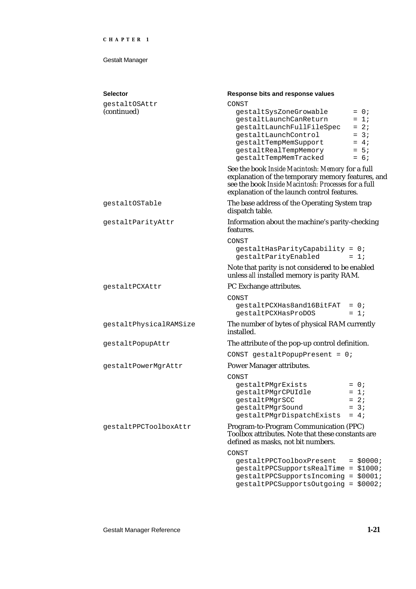| <b>Selector</b><br>qestaltOSAttr<br>(continued) | Response bits and response values<br>CONST<br>gestaltSysZoneGrowable<br>$= 0;$<br>gestaltLaunchCanReturn<br>$= 1i$<br>$= 2i$<br>gestaltLaunchFullFileSpec<br>$= 3i$<br>gestaltLaunchControl<br>gestaltTempMemSupport<br>$= 4i$<br>gestaltRealTempMemory<br>$= 5i$<br>gestaltTempMemTracked<br>$= 6;$<br>See the book Inside Macintosh: Memory for a full<br>explanation of the temporary memory features, and<br>see the book Inside Macintosh: Processes for a full |  |
|-------------------------------------------------|----------------------------------------------------------------------------------------------------------------------------------------------------------------------------------------------------------------------------------------------------------------------------------------------------------------------------------------------------------------------------------------------------------------------------------------------------------------------|--|
| qestaltOSTable                                  | explanation of the launch control features.<br>The base address of the Operating System trap<br>dispatch table.                                                                                                                                                                                                                                                                                                                                                      |  |
| gestaltParityAttr                               | Information about the machine's parity-checking<br>features.<br>CONST                                                                                                                                                                                                                                                                                                                                                                                                |  |
|                                                 | gestaltHasParityCapability = 0;<br>gestaltParityEnabled<br>$= 1i$<br>Note that parity is not considered to be enabled                                                                                                                                                                                                                                                                                                                                                |  |
|                                                 | unless all installed memory is parity RAM.                                                                                                                                                                                                                                                                                                                                                                                                                           |  |
| qestaltPCXAttr                                  | PC Exchange attributes.                                                                                                                                                                                                                                                                                                                                                                                                                                              |  |
|                                                 | CONST<br>gestaltPCXHas8and16BitFAT<br>$= 0;$<br>$= 1i$<br>gestaltPCXHasProDOS                                                                                                                                                                                                                                                                                                                                                                                        |  |
| gestaltPhysicalRAMSize                          | The number of bytes of physical RAM currently<br>installed.                                                                                                                                                                                                                                                                                                                                                                                                          |  |
| gestaltPopupAttr                                | The attribute of the pop-up control definition.                                                                                                                                                                                                                                                                                                                                                                                                                      |  |
|                                                 | CONST gestaltPopupPresent = $0$ ;                                                                                                                                                                                                                                                                                                                                                                                                                                    |  |
| gestaltPowerMgrAttr                             | Power Manager attributes.                                                                                                                                                                                                                                                                                                                                                                                                                                            |  |
|                                                 | CONST<br>gestaltPMgrExists<br>$= 0;$<br>gestaltPMgrCPUIdle<br>$= 1i$<br>$= 2i$<br>gestaltPMgrSCC<br>$= 3i$<br>gestaltPMgrSound<br>gestaltPMgrDispatchExists<br>$= 4;$                                                                                                                                                                                                                                                                                                |  |
| qestaltPPCToolboxAttr                           | Program-to-Program Communication (PPC)<br>Toolbox attributes. Note that these constants are<br>defined as masks, not bit numbers.                                                                                                                                                                                                                                                                                                                                    |  |
|                                                 | CONST<br>qestaltPPCToolboxPresent<br>$=$ \$0000;<br>gestaltPPCSupportsRealTime = \$1000;<br>gestaltPPCSupportsIncoming = \$0001;<br>gestaltPPCSupportsOutgoing = \$0002;                                                                                                                                                                                                                                                                                             |  |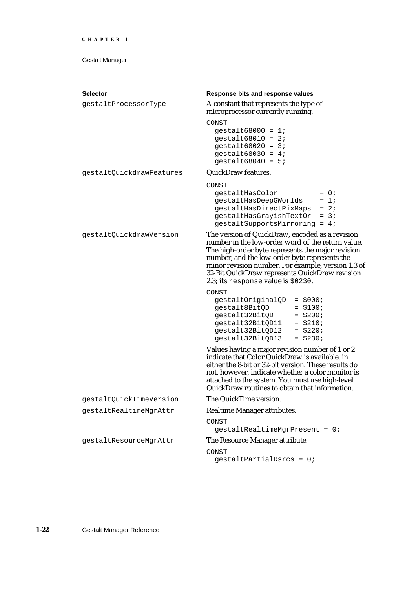| <b>Selector</b><br>gestaltProcessorType | Response bits and response values<br>A constant that represents the type of<br>microprocessor currently running.<br>CONST                                                                                                                                                                                                                                  |  |
|-----------------------------------------|------------------------------------------------------------------------------------------------------------------------------------------------------------------------------------------------------------------------------------------------------------------------------------------------------------------------------------------------------------|--|
|                                         | gestalt68000 = $1$ ;<br>gestalt68010 = $2i$<br>gestalt68020 = $3i$<br>gestalt68030 = $4$ ;<br>gestalt68040 = $5:$                                                                                                                                                                                                                                          |  |
| gestaltQuickdrawFeatures                | <b>QuickDraw features.</b>                                                                                                                                                                                                                                                                                                                                 |  |
|                                         | CONST<br>gestaltHasColor<br>$= 0;$<br>gestaltHasDeepGWorlds<br>$= 1i$<br>gestaltHasDirectPixMaps<br>$= 2i$<br>gestaltHasGrayishTextOr<br>$= 3i$<br>$gestaltsupportsMirroring = 4;$                                                                                                                                                                         |  |
| gestaltQuickdrawVersion                 | The version of QuickDraw, encoded as a revision<br>number in the low-order word of the return value.<br>The high-order byte represents the major revision<br>number, and the low-order byte represents the<br>minor revision number. For example, version 1.3 of<br>32-Bit QuickDraw represents QuickDraw revision<br>2.3; its response value is $$0230$ . |  |
|                                         | CONST<br>gestaltOriginalQD<br>$=$ \$000;<br>$= $100;$<br>gestalt8BitQD<br>gestalt32BitQD<br>$=$ \$200;<br>gestalt32BitQD11<br>$=$ \$210;<br>gestalt32BitQD12<br>$=$ \$220;<br>gestalt32BitQD13<br>$=$ \$230;                                                                                                                                               |  |
|                                         | Values having a major revision number of 1 or 2<br>indicate that Color QuickDraw is available, in<br>either the 8-bit or 32-bit version. These results do<br>not, however, indicate whether a color monitor is<br>attached to the system. You must use high-level<br>QuickDraw routines to obtain that information.                                        |  |
| gestaltQuickTimeVersion                 | The QuickTime version.                                                                                                                                                                                                                                                                                                                                     |  |
| gestaltRealtimeMgrAttr                  | Realtime Manager attributes.                                                                                                                                                                                                                                                                                                                               |  |
|                                         | CONST<br>$gestaltRealtimeMgrPresent = 0;$                                                                                                                                                                                                                                                                                                                  |  |
| gestaltResourceMgrAttr                  | The Resource Manager attribute.                                                                                                                                                                                                                                                                                                                            |  |
|                                         | CONST<br>$gestaltpartialRsrcs = 0;$                                                                                                                                                                                                                                                                                                                        |  |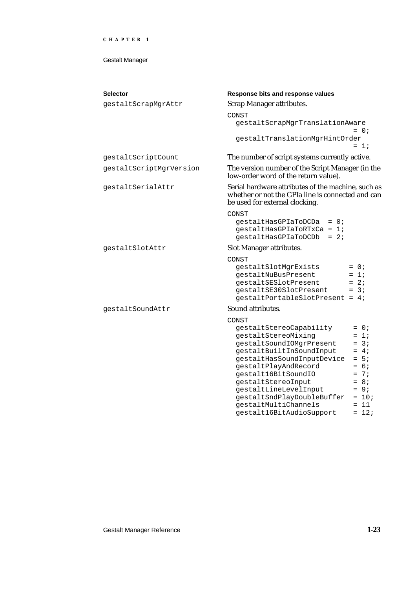#### Gestalt Manager

| <b>Selector</b>         |                                                                                                                                           |  |  |
|-------------------------|-------------------------------------------------------------------------------------------------------------------------------------------|--|--|
|                         | Response bits and response values                                                                                                         |  |  |
| gestaltScrapMgrAttr     | <b>Scrap Manager attributes.</b>                                                                                                          |  |  |
|                         | CONST                                                                                                                                     |  |  |
|                         | gestaltScrapMgrTranslationAware                                                                                                           |  |  |
|                         | $= 0$ ;                                                                                                                                   |  |  |
|                         | gestaltTranslationMgrHintOrder<br>$= 1i$                                                                                                  |  |  |
| gestaltScriptCount      |                                                                                                                                           |  |  |
|                         | The number of script systems currently active.                                                                                            |  |  |
| gestaltScriptMgrVersion | The version number of the Script Manager (in the<br>low-order word of the return value).                                                  |  |  |
| gestaltSerialAttr       | Serial hardware attributes of the machine, such as<br>whether or not the GPIa line is connected and can<br>be used for external clocking. |  |  |
|                         | CONST                                                                                                                                     |  |  |
|                         | qestaltHasGPIaToDCDa<br>$= 0;$                                                                                                            |  |  |
|                         | $gestaltHasGPIaToRTxCa = 17$                                                                                                              |  |  |
|                         | $= 2i$<br>qestaltHasGPIaToDCDb                                                                                                            |  |  |
| gestaltSlotAttr         | <b>Slot Manager attributes.</b>                                                                                                           |  |  |
|                         | CONST                                                                                                                                     |  |  |
|                         | gestaltSlotMgrExists<br>$= 0;$                                                                                                            |  |  |
|                         | $= 1i$<br>gestaltNuBusPresent                                                                                                             |  |  |
|                         | gestaltSESlotPresent<br>$= 2i$                                                                                                            |  |  |
|                         | $= 3i$<br>gestaltSE30SlotPresent                                                                                                          |  |  |
|                         | gestaltPortableSlotPresent = 4;                                                                                                           |  |  |
| gestaltSoundAttr        | Sound attributes.                                                                                                                         |  |  |
|                         | CONST                                                                                                                                     |  |  |
|                         | gestaltStereoCapability<br>$= 0;$                                                                                                         |  |  |
|                         | $= 1;$<br>gestaltStereoMixing                                                                                                             |  |  |
|                         | $= 3i$<br>gestaltSoundIOMgrPresent                                                                                                        |  |  |
|                         | gestaltBuiltInSoundInput<br>$= 4;$                                                                                                        |  |  |
|                         | $= 5i$<br>gestaltHasSoundInputDevice                                                                                                      |  |  |
|                         | $= 6i$<br>gestaltPlayAndRecord                                                                                                            |  |  |
|                         | $= 7i$<br>gestalt16BitSoundIO                                                                                                             |  |  |
|                         | $= 8;$<br>gestaltStereoInput                                                                                                              |  |  |
|                         | gestaltLineLevelInput<br>$= 9:$<br>gestaltSndPlayDoubleBuffer<br>$= 10;$                                                                  |  |  |
|                         | qestaltMultiChannels<br>$= 11$                                                                                                            |  |  |
|                         |                                                                                                                                           |  |  |

gestalt16BitAudioSupport = 12;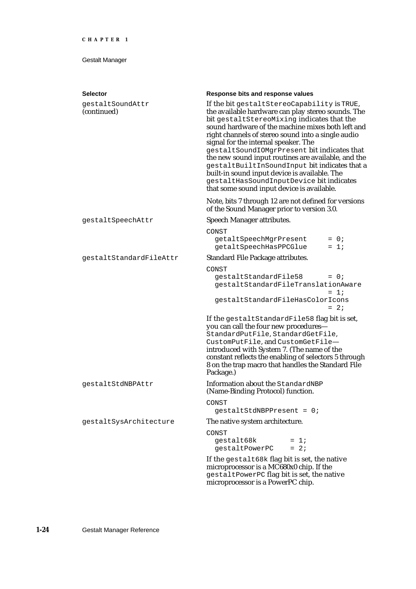| <b>Selector</b>                 | Response bits and response values                                                                                                                                                                                                                                                                                                                                                                                                                                                                                                                                                                    |  |
|---------------------------------|------------------------------------------------------------------------------------------------------------------------------------------------------------------------------------------------------------------------------------------------------------------------------------------------------------------------------------------------------------------------------------------------------------------------------------------------------------------------------------------------------------------------------------------------------------------------------------------------------|--|
| gestaltSoundAttr<br>(continued) | If the bit gestaltStereoCapability is TRUE,<br>the available hardware can play stereo sounds. The<br>bit gestaltStereoMixing indicates that the<br>sound hardware of the machine mixes both left and<br>right channels of stereo sound into a single audio<br>signal for the internal speaker. The<br>gestaltSoundIOMgrPresent bit indicates that<br>the new sound input routines are available, and the<br>gestaltBuiltInSoundInput bit indicates that a<br>built-in sound input device is available. The<br>gestaltHasSoundInputDevice bit indicates<br>that some sound input device is available. |  |
|                                 | Note, bits 7 through 12 are not defined for versions<br>of the Sound Manager prior to version 3.0.                                                                                                                                                                                                                                                                                                                                                                                                                                                                                                   |  |
| gestaltSpeechAttr               | <b>Speech Manager attributes.</b>                                                                                                                                                                                                                                                                                                                                                                                                                                                                                                                                                                    |  |
|                                 | CONST<br>getaltSpeechMgrPresent<br>$= 0;$<br>getaltSpeechHasPPCGlue<br>$= 1i$                                                                                                                                                                                                                                                                                                                                                                                                                                                                                                                        |  |
| qestaltStandardFileAttr         | <b>Standard File Package attributes.</b>                                                                                                                                                                                                                                                                                                                                                                                                                                                                                                                                                             |  |
|                                 | CONST<br>gestaltStandardFile58<br>$= 0;$<br>gestaltStandardFileTranslationAware<br>$= 1i$<br>qestaltStandardFileHasColorIcons<br>$= 2i$                                                                                                                                                                                                                                                                                                                                                                                                                                                              |  |
|                                 | If the gestaltStandardFile58 flag bit is set,<br>you can call the four new procedures-<br>StandardPutFile, StandardGetFile,<br>CustomPutFile, and CustomGetFile-<br>introduced with System 7. (The name of the<br>constant reflects the enabling of selectors 5 through<br>8 on the trap macro that handles the Standard File<br>Package.)                                                                                                                                                                                                                                                           |  |
| qestaltStdNBPAttr               | Information about the StandardNBP<br>(Name-Binding Protocol) function.                                                                                                                                                                                                                                                                                                                                                                                                                                                                                                                               |  |
|                                 | CONST<br>$qestaltStdNBPPresent = 0;$                                                                                                                                                                                                                                                                                                                                                                                                                                                                                                                                                                 |  |
| gestaltSysArchitecture          | The native system architecture.                                                                                                                                                                                                                                                                                                                                                                                                                                                                                                                                                                      |  |
|                                 | CONST<br>gestalt68k<br>$= 1i$<br>$= 2i$<br>gestaltPowerPC                                                                                                                                                                                                                                                                                                                                                                                                                                                                                                                                            |  |
|                                 | If the gestalt68k flag bit is set, the native<br>microprocessor is a MC680x0 chip. If the<br>gestaltPowerPC flag bit is set, the native<br>microprocessor is a PowerPC chip.                                                                                                                                                                                                                                                                                                                                                                                                                         |  |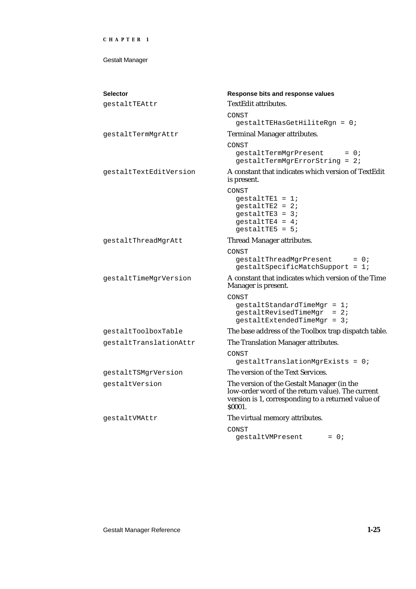| <b>Selector</b>        | Response bits and response values                                                                                                                               |  |
|------------------------|-----------------------------------------------------------------------------------------------------------------------------------------------------------------|--|
| qestaltTEAttr          | <b>TextEdit attributes.</b>                                                                                                                                     |  |
|                        | CONST<br>gestaltTEHasGetHiliteRgn = 0;                                                                                                                          |  |
| gestaltTermMgrAttr     | <b>Terminal Manager attributes.</b>                                                                                                                             |  |
|                        | CONST<br>gestaltTermMgrPresent<br>$= 0;$<br>gestaltTermMgrErrorString = 2;                                                                                      |  |
| qestaltTextEditVersion | A constant that indicates which version of TextEdit<br>is present.                                                                                              |  |
|                        | CONST<br>$qestaltTE1 = 17$<br>$gestaltrE2 = 2i$<br>$qestaltTE3 = 37$<br>$gestaltrE4 = 4;$<br>gestaltTE5 = $5:$                                                  |  |
| gestaltThreadMgrAtt    | Thread Manager attributes.                                                                                                                                      |  |
|                        | CONST<br>gestaltThreadMgrPresent<br>$= 0;$<br>gestaltSpecificMatchSupport = 1;                                                                                  |  |
| gestaltTimeMgrVersion  | A constant that indicates which version of the Time<br>Manager is present.                                                                                      |  |
|                        | CONST<br>$gestaltstandardTimeMgr = 1;$<br>$qestal the viscant product = 2;$<br>$gestaltextendedTimeMgr = 3;$                                                    |  |
| gestaltToolboxTable    | The base address of the Toolbox trap dispatch table.                                                                                                            |  |
| gestaltTranslationAttr | The Translation Manager attributes.                                                                                                                             |  |
|                        | CONST<br>$gestaltranslationMgrExists = 0;$                                                                                                                      |  |
| gestaltTSMgrVersion    | The version of the Text Services.                                                                                                                               |  |
| gestaltVersion         | The version of the Gestalt Manager (in the<br>low-order word of the return value). The current<br>version is 1, corresponding to a returned value of<br>\$0001. |  |
| qestaltVMAttr          | The virtual memory attributes.                                                                                                                                  |  |
|                        | CONST<br>$= 0$ ;<br>gestaltVMPresent                                                                                                                            |  |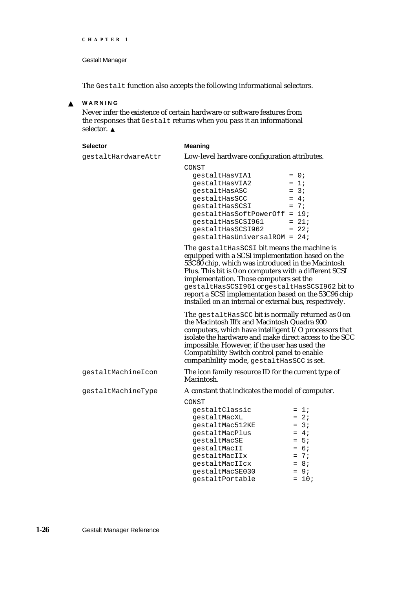#### Gestalt Manager

The Gestalt function also accepts the following informational selectors.

#### **WARNING**  $\mathbf{S}$

Never infer the existence of certain hardware or software features from the responses that Gestalt returns when you pass it an informational selector. s

| <b>Selector</b>     | <b>Meaning</b>                                                                                                                                                                                                                                                                                                                                                                                                                                                                                                                      |                                      |
|---------------------|-------------------------------------------------------------------------------------------------------------------------------------------------------------------------------------------------------------------------------------------------------------------------------------------------------------------------------------------------------------------------------------------------------------------------------------------------------------------------------------------------------------------------------------|--------------------------------------|
| gestaltHardwareAttr | Low-level hardware configuration attributes.                                                                                                                                                                                                                                                                                                                                                                                                                                                                                        |                                      |
|                     | CONST<br>qestaltHasVIA1<br>qestaltHasVIA2<br>qestaltHasASC<br>gestaltHasSCC<br>$gestaltHasSCSI$ = 7;<br>gestaltHasSoftPowerOff = 19;<br>$gestaltHasSCSI961 = 21;$<br>$qestalthasSCS1962 = 22i$<br>gestaltHasUniversalROM = 24;                                                                                                                                                                                                                                                                                                      | $= 0;$<br>$= 1i$<br>$= 3i$<br>$= 4i$ |
|                     | The gestaltHasSCSI bit means the machine is<br>equipped with a SCSI implementation based on the<br>53C80 chip, which was introduced in the Macintosh<br>Plus. This bit is 0 on computers with a different SCSI<br>implementation. Those computers set the<br>gestaltHasSCSI961 or gestaltHasSCSI962 bit to<br>report a SCSI implementation based on the 53C96 chip<br>installed on an internal or external bus, respectively.<br>The gestalthas SCC bit is normally returned as 0 on<br>the Macintosh IIfy and Macintosh Quadra 900 |                                      |

ned as 0 on the Macintosh IIfx and Macintosh Quadra 900 computers, which have intelligent I/O processors that isolate the hardware and make direct access to the SCC impossible. However, if the user has used the Compatibility Switch control panel to enable compatibility mode, gestaltHasSCC is set.

gestaltMachineIcon The icon family resource ID for the current type of Macintosh. gestaltMachineType A constant that indicates the model of computer.

| r chaentric rype | 71 constant that murtates the model of compute |         |
|------------------|------------------------------------------------|---------|
|                  | CONST                                          |         |
|                  | qestaltClassic                                 | $= 1i$  |
|                  | qestaltMacXL                                   | $= 2i$  |
|                  | qestaltMac512KE                                | $= 3i$  |
|                  | qestaltMacPlus                                 | $= 4i$  |
|                  | qestaltMacSE                                   | $= 5i$  |
|                  | qestaltMacII                                   | $= 6i$  |
|                  | qestaltMacIIx                                  | $= 7i$  |
|                  | qestaltMacIIcx                                 | $= 8i$  |
|                  | gestaltMacSE030                                | $= 9i$  |
|                  | qestaltPortable                                | $= 10;$ |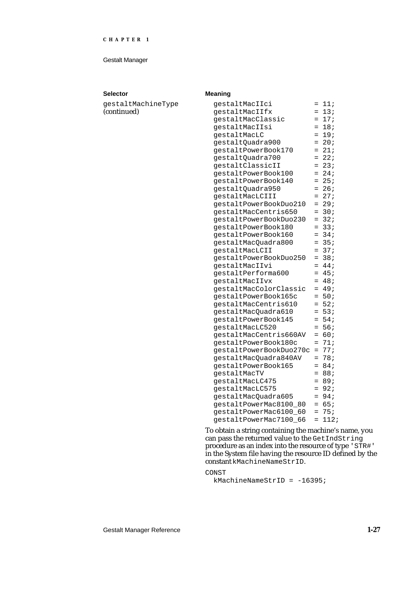#### Gestalt Manager

#### **Selector Meaning**

gestaltMachineType (continued)

| gestaltMacIIci            | $=$ | 11;             |
|---------------------------|-----|-----------------|
| gestaltMacIIfx            | $=$ | 13:             |
| gestaltMacClassic         | $=$ | 17;             |
| gestaltMacIIsi            | $=$ | 18;             |
| gestaltMacLC              | $=$ | 19;             |
| gestaltQuadra900          | $=$ | 20:             |
| gestaltPowerBook170       | $=$ | 21:             |
| gestaltQuadra700          | $=$ | 22:             |
| gestaltClassicII          | $=$ | 23:             |
| gestaltPowerBook100       | $=$ | 24;             |
| gestaltPowerBook140       | $=$ | 25:             |
| gestaltQuadra950          | $=$ | 26:             |
| gestaltMacLCIII           | $=$ | 27:             |
| gestaltPowerBookDuo210    | $=$ | 29:             |
| gestaltMacCentris650      | $=$ | 30 <sub>i</sub> |
| gestaltPowerBookDuo230    | $=$ | 32:             |
| gestaltPowerBook180       | $=$ | 33:             |
| gestaltPowerBook160       | $=$ | 34;             |
| gestaltMacQuadra800       | $=$ | 35;             |
| gestaltMacLCII            | $=$ | 37;             |
| gestaltPowerBookDuo250    | $=$ | 38 <sub>i</sub> |
| gestaltMacIIvi            | $=$ | 44;             |
| gestaltPerforma600        | $=$ | 45;             |
| gestaltMacIIvx            | $=$ | 48;             |
| qestaltMacColorClassic    | $=$ | 49;             |
| gestaltPowerBook165c      | $=$ | 50;             |
| gestaltMacCentris610      | $=$ | 52:             |
| gestaltMacQuadra610       | $=$ | 53;             |
| gestaltPowerBook145       | $=$ | 54;             |
| gestaltMacLC520           | $=$ | 56;             |
| qestaltMacCentris660AV    | $=$ | 60;             |
| gestaltPowerBook180c      | $=$ | 71;             |
| gestaltPowerBookDuo270c   | $=$ | 77;             |
| gestaltMacQuadra840AV     | $=$ | 78;             |
| gestaltPowerBook165       | $=$ | 84;             |
| gestaltMacTV              | $=$ | 88;             |
| gestaltMacLC475           | $=$ | 89;             |
| gestaltMacLC575           | $=$ | 92;             |
| gestaltMacQuadra605       | $=$ | 94;             |
| qestaltPowerMac8100 80    | $=$ | 65:             |
| qestaltPowerMac6100 60    | $=$ | 75:             |
| qestaltPowerMac7100<br>66 | $=$ | 112;            |

To obtain a string containing the machine's name, you can pass the returned value to the GetIndString procedure as an index into the resource of type 'STR#' in the System file having the resource ID defined by the constant kMachineNameStrID.

CONST kMachineNameStrID = -16395;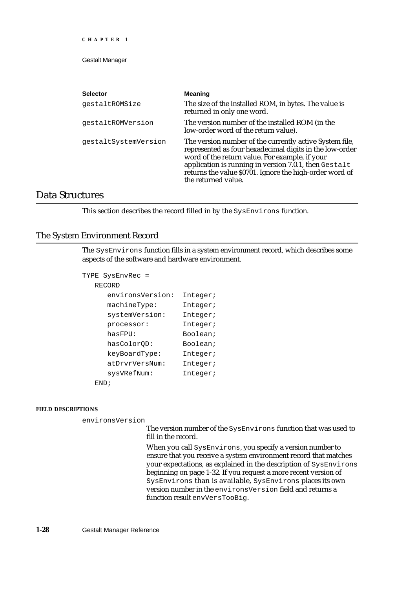Gestalt Manager

| <b>Selector</b>      | <b>Meaning</b>                                                                                                                                                                                                                                                                                                  |
|----------------------|-----------------------------------------------------------------------------------------------------------------------------------------------------------------------------------------------------------------------------------------------------------------------------------------------------------------|
| qestaltROMSize       | The size of the installed ROM, in bytes. The value is<br>returned in only one word.                                                                                                                                                                                                                             |
| qestaltROMVersion    | The version number of the installed ROM (in the<br>low-order word of the return value).                                                                                                                                                                                                                         |
| gestaltSystemVersion | The version number of the currently active System file,<br>represented as four hexadecimal digits in the low-order<br>word of the return value. For example, if your<br>application is running in version 7.0.1, then Gestalt<br>returns the value \$0701. Ignore the high-order word of<br>the returned value. |

# Data Structures

This section describes the record filled in by the SysEnvirons function.

### The System Environment Record

The SysEnvirons function fills in a system environment record, which describes some aspects of the software and hardware environment.

```
TYPE SysEnvRec =
  RECORD
     environsVersion: Integer;
     machineType: Integer;
     systemVersion: Integer;
     processor: Integer;
     hasFPU: Boolean;
     hasColorQD: Boolean;
     keyBoardType: Integer;
     atDrvrVersNum: Integer;
     sysVRefNum: Integer;
  END;
```
#### **FIELD DESCRIPTIONS**

environsVersion

The version number of the SysEnvirons function that was used to fill in the record.

When you call SysEnvirons, you specify a version number to ensure that you receive a system environment record that matches your expectations, as explained in the description of SysEnvirons beginning on page 1-32. If you request a more recent version of SysEnvirons than is available, SysEnvirons places its own version number in the environsVersion field and returns a function result envVersTooBig.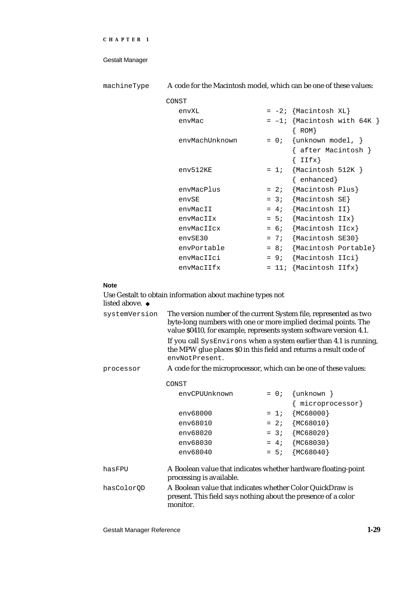| machineType | A code for the Macintosh model, which can be one of these values: |        |                                                       |
|-------------|-------------------------------------------------------------------|--------|-------------------------------------------------------|
|             | CONST                                                             |        |                                                       |
|             | envXL                                                             |        | $= -2;$ {Macintosh XL}                                |
|             | envMac                                                            |        | $= -1;$ {Macintosh with 64K }<br>$\{$ ROM $\}$        |
|             | envMachUnknown                                                    | $= 0;$ | $\{unknown model, \}$<br>{ after Macintosh }<br>IIf x |
|             | $env512$ KE                                                       | $= 1i$ | $\{Macintosh 512K\}$<br>$\{enhanced\}$                |
|             | envMacPlus                                                        |        | $= 2i$ {Macintosh Plus}                               |
|             | envSE                                                             |        | $= 3: \{Macintosh SE\}$                               |
|             | envMacII                                                          |        | $= 4;$ {Macintosh II}                                 |
|             | envMacIIx                                                         |        | $= 5;$ {Macintosh IIx}                                |
|             | envMacIIcx                                                        |        | $= 6;$ {Macintosh IIcx}                               |
|             | envSE30                                                           | $= 7i$ | {Macintosh SE30}                                      |
|             | envPortable                                                       | $= 8i$ | {Macintosh Portable}                                  |
|             | envMacIIci                                                        | $= 9i$ | {Macintosh IIci}                                      |
|             | envMacIIfx                                                        |        | $= 11;$ {Macintosh IIfx}                              |

# **Note**

| Use Gestalt to obtain information about machine types not |  |
|-----------------------------------------------------------|--|
| <b>listed above.</b> u                                    |  |

| systemVersion | The version number of the current System file, represented as two<br>byte-long numbers with one or more implied decimal points. The<br>value \$0410, for example, represents system software version 4.1. |        |                    |  |
|---------------|-----------------------------------------------------------------------------------------------------------------------------------------------------------------------------------------------------------|--------|--------------------|--|
|               | If you call SysEnvirons when a system earlier than 4.1 is running,<br>the MPW glue places \$0 in this field and returns a result code of<br>envNotPresent.                                                |        |                    |  |
| processor     | A code for the microprocessor, which can be one of these values:                                                                                                                                          |        |                    |  |
|               | CONST                                                                                                                                                                                                     |        |                    |  |
|               | envCPUUnknown                                                                                                                                                                                             | $= 0;$ | $\{unknown\}$      |  |
|               |                                                                                                                                                                                                           |        | { microprocessor}  |  |
|               | env68000                                                                                                                                                                                                  |        | $= 1; \{MC68000\}$ |  |
|               | env68010                                                                                                                                                                                                  |        | $= 2; \{MC68010\}$ |  |
|               | env68020                                                                                                                                                                                                  |        | $= 3; \{MC68020\}$ |  |
|               | env68030                                                                                                                                                                                                  |        | $= 4; \{MC68030\}$ |  |
|               | env68040                                                                                                                                                                                                  | $= 5i$ | ${MC68040}$        |  |
| hasFPU        | A Boolean value that indicates whether hardware floating-point<br>processing is available.                                                                                                                |        |                    |  |
| hasColorQD    | A Boolean value that indicates whether Color QuickDraw is<br>present. This field says nothing about the presence of a color<br>monitor.                                                                   |        |                    |  |

Gestalt Manager Reference **1-29**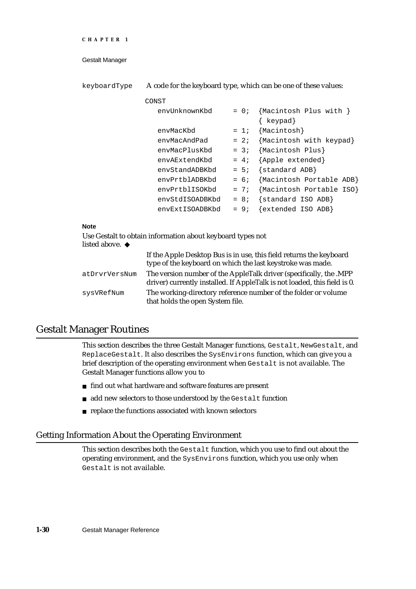```
CHAPTER 1
```
keyboardType A code for the keyboard type, which can be one of these values:

| CONST                                                      |                                    |
|------------------------------------------------------------|------------------------------------|
| envUnknownKbd                                              | {Macintosh Plus with }<br>$= 0;$   |
|                                                            | { keypad}                          |
| envMacKbd                                                  | ${Macintosh}$<br>$= 1i$            |
| envMacAndPad                                               | {Macintosh with keypad}<br>$= 2i$  |
| envMacPlusKbd                                              | {Macintosh Plus}<br>$= 3i$         |
| envAExtendKbd                                              | {Apple extended}<br>$= 4i$         |
| envStandADBKbd                                             | {standard ADB}<br>$= 5i$           |
| envPrtblADBKbd                                             | Macintosh Portable ADB}<br>$= 6;$  |
| envPrtblISOKbd                                             | {Macintosh Portable ISO}<br>$= 7i$ |
| envStdISOADBKbd                                            | $\{standard ISO ADB\}$<br>$= 8i$   |
| envExtISOADBKbd                                            | {extended ISO ADB}<br>$= 9i$       |
|                                                            |                                    |
| <b>Note</b>                                                |                                    |
| Use Gestalt to obtain information about keyboard types not |                                    |

# **Note**

| If the Apple Desktop Bus is in use, this field returns the keyboard<br>type of the keyboard on which the last keystroke was made.               |
|-------------------------------------------------------------------------------------------------------------------------------------------------|
| The version number of the AppleTalk driver (specifically, the .MPP<br>driver) currently installed. If AppleTalk is not loaded, this field is 0. |
| The working-directory reference number of the folder or volume<br>that holds the open System file.                                              |
|                                                                                                                                                 |

# Gestalt Manager Routines

This section describes the three Gestalt Manager functions, Gestalt, NewGestalt, and ReplaceGestalt. It also describes the SysEnvirons function, which can give you a brief description of the operating environment when Gestalt is not available. The Gestalt Manager functions allow you to

- n find out what hardware and software features are present
- n add new selectors to those understood by the Gestalt function
- n replace the functions associated with known selectors

### Getting Information About the Operating Environment

This section describes both the Gestalt function, which you use to find out about the operating environment, and the SysEnvirons function, which you use only when Gestalt is not available.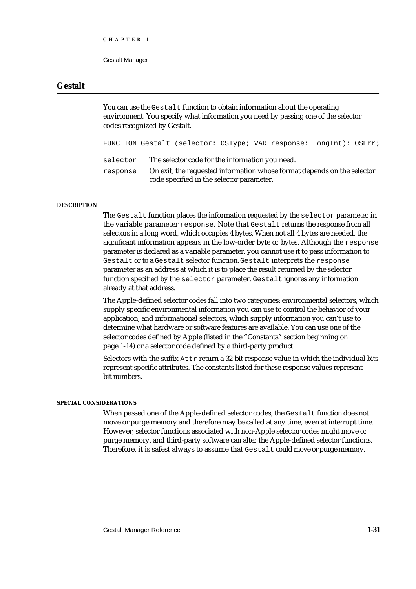```
CHAPTER 1
```
# **Gestalt**

You can use the Gestalt function to obtain information about the operating environment. You specify what information you need by passing one of the selector codes recognized by Gestalt.

FUNCTION Gestalt (selector: OSType; VAR response: LongInt): OSErr; selector The selector code for the information you need.

response On exit, the requested information whose format depends on the selector code specified in the selector parameter.

#### **DESCRIPTION**

The Gestalt function places the information requested by the selector parameter in the variable parameter response. Note that Gestalt returns the response from all selectors in a long word, which occupies 4 bytes. When not all 4 bytes are needed, the significant information appears in the low-order byte or bytes. Although the response parameter is declared as a variable parameter, you cannot use it to pass information to Gestalt or to a Gestalt selector function. Gestalt interprets the response parameter as an address at which it is to place the result returned by the selector function specified by the selector parameter. Gestalt ignores any information already at that address.

The Apple-defined selector codes fall into two categories: environmental selectors, which supply specific environmental information you can use to control the behavior of your application, and informational selectors, which supply information you can't use to determine what hardware or software features are available. You can use one of the selector codes defined by Apple (listed in the "Constants" section beginning on page 1-14) or a selector code defined by a third-party product.

Selectors with the suffix Attr return a 32-bit response value in which the individual bits represent specific attributes. The constants listed for these response values represent bit numbers.

#### **SPECIAL CONSIDERATIONS**

When passed one of the Apple-defined selector codes, the Gestalt function does not move or purge memory and therefore may be called at any time, even at interrupt time. However, selector functions associated with non-Apple selector codes might move or purge memory, and third-party software can alter the Apple-defined selector functions. Therefore, it is safest always to assume that Gestalt could move or purge memory.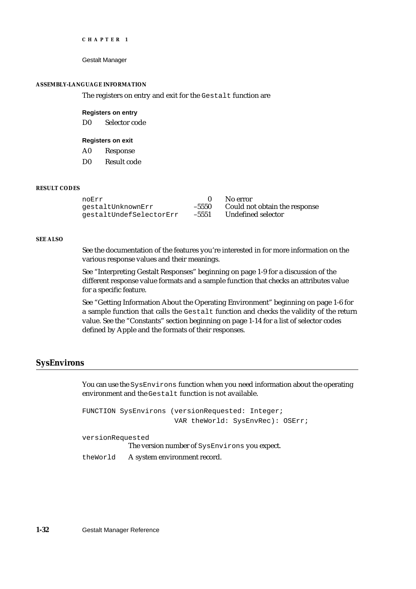```
CHAPTER 1
```
#### **ASSEMBLY-LANGUAGE INFORMATION**

The registers on entry and exit for the Gestalt function are

#### **Registers on entry**

D0 Selector code

#### **Registers on exit**

- A0 Response
- D0 Result code

#### **RESULT CODES**

| noErr                   |         | - No error                    |
|-------------------------|---------|-------------------------------|
| qestaltUnknownErr       | $-5550$ | Could not obtain the response |
| qestaltUndefSelectorErr | $-5551$ | Undefined selector            |

#### **SEE ALSO**

See the documentation of the features you're interested in for more information on the various response values and their meanings.

See "Interpreting Gestalt Responses" beginning on page 1-9 for a discussion of the different response value formats and a sample function that checks an attributes value for a specific feature.

See "Getting Information About the Operating Environment" beginning on page 1-6 for a sample function that calls the Gestalt function and checks the validity of the return value. See the "Constants" section beginning on page 1-14 for a list of selector codes defined by Apple and the formats of their responses.

#### **SysEnvirons**

You can use the SysEnvirons function when you need information about the operating environment and the Gestalt function is not available.

FUNCTION SysEnvirons (versionRequested: Integer; VAR theWorld: SysEnvRec): OSErr; versionRequested

The version number of SysEnvirons you expect.

theWorld A system environment record.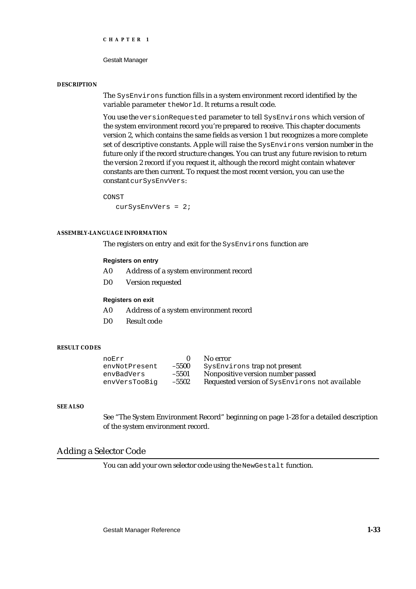Gestalt Manager

#### **DESCRIPTION**

The SysEnvirons function fills in a system environment record identified by the variable parameter theWorld. It returns a result code.

You use the versionRequested parameter to tell SysEnvirons which version of the system environment record you're prepared to receive. This chapter documents version 2, which contains the same fields as version 1 but recognizes a more complete set of descriptive constants. Apple will raise the SysEnvirons version number in the future only if the record structure changes. You can trust any future revision to return the version 2 record if you request it, although the record might contain whatever constants are then current. To request the most recent version, you can use the constant curSysEnvVers:

CONST

curSysEnvVers = 2;

#### **ASSEMBLY-LANGUAGE INFORMATION**

The registers on entry and exit for the SysEnvirons function are

#### **Registers on entry**

- A0 Address of a system environment record
- D0 Version requested

#### **Registers on exit**

- A0 Address of a system environment record
- D0 Result code

#### **RESULT CODES**

|         | No error                                       |
|---------|------------------------------------------------|
| $-5500$ | SysEnvirons trap not present                   |
| $-5501$ | Nonpositive version number passed              |
| $-5502$ | Requested version of SysEnvirons not available |
|         |                                                |

#### **SEE ALSO**

See "The System Environment Record" beginning on page 1-28 for a detailed description of the system environment record.

#### Adding a Selector Code

You can add your own selector code using the NewGestalt function.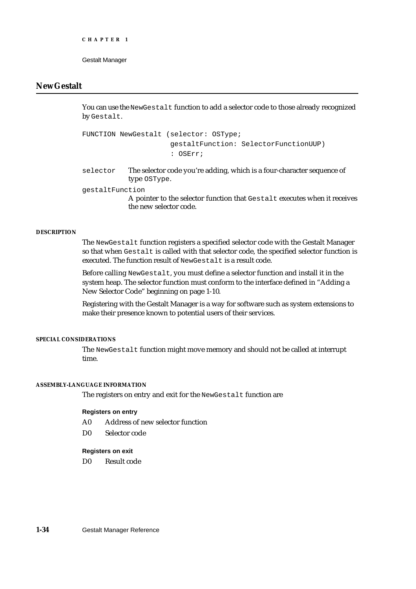# **NewGestalt**

You can use the NewGestalt function to add a selector code to those already recognized by Gestalt.

FUNCTION NewGestalt (selector: OSType; gestaltFunction: SelectorFunctionUUP) : OSErr;

selector The selector code you're adding, which is a four-character sequence of type OSType.

gestaltFunction

A pointer to the selector function that Gestalt executes when it receives the new selector code.

#### **DESCRIPTION**

The NewGestalt function registers a specified selector code with the Gestalt Manager so that when Gestalt is called with that selector code, the specified selector function is executed. The function result of NewGestalt is a result code.

Before calling NewGestalt, you must define a selector function and install it in the system heap. The selector function must conform to the interface defined in "Adding a New Selector Code" beginning on page 1-10.

Registering with the Gestalt Manager is a way for software such as system extensions to make their presence known to potential users of their services.

#### **SPECIAL CONSIDERATIONS**

The NewGestalt function might move memory and should not be called at interrupt time.

#### **ASSEMBLY-LANGUAGE INFORMATION**

The registers on entry and exit for the NewGestalt function are

#### **Registers on entry**

- A0 Address of new selector function
- D0 Selector code

#### **Registers on exit**

D0 Result code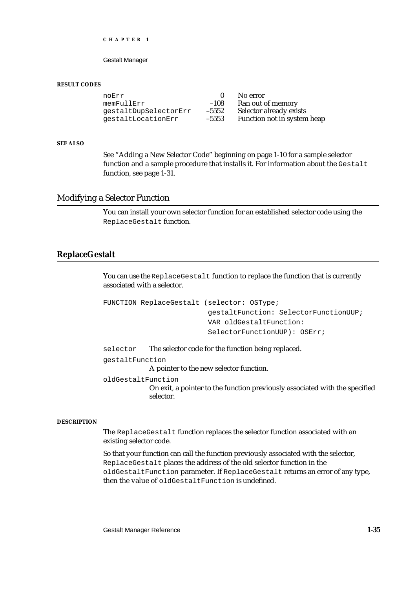Gestalt Manager

#### **RESULT CODES**

noErr 108 No error nemFullErr 108 Ran out of  $-108$  Ran out of memory<br> $-5552$  Selector already exists gestaltDupSelectorErr –5552 Selector already exists gestaltLocationErr -5553

#### **SEE ALSO**

See "Adding a New Selector Code" beginning on page 1-10 for a sample selector function and a sample procedure that installs it. For information about the Gestalt function, see page 1-31.

#### Modifying a Selector Function

You can install your own selector function for an established selector code using the ReplaceGestalt function.

#### **ReplaceGestalt**

You can use the ReplaceGestalt function to replace the function that is currently associated with a selector.

```
FUNCTION ReplaceGestalt (selector: OSType; 
                           gestaltFunction: SelectorFunctionUUP;
                           VAR oldGestaltFunction:
                           SelectorFunctionUUP): OSErr;
```
selector The selector code for the function being replaced.

gestaltFunction

A pointer to the new selector function.

oldGestaltFunction

On exit, a pointer to the function previously associated with the specified selector.

#### **DESCRIPTION**

The ReplaceGestalt function replaces the selector function associated with an existing selector code.

So that your function can call the function previously associated with the selector, ReplaceGestalt places the address of the old selector function in the oldGestaltFunction parameter. If ReplaceGestalt returns an error of any type, then the value of oldGestaltFunction is undefined.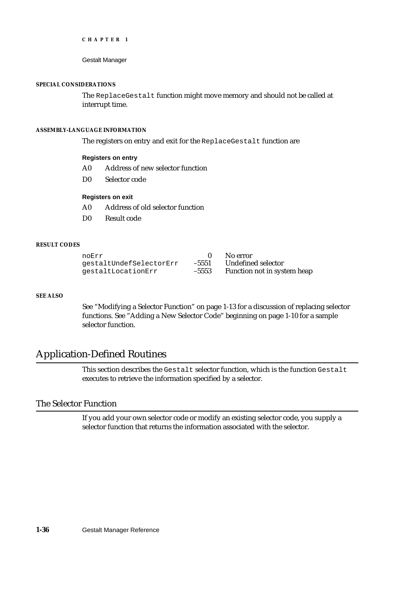#### **SPECIAL CONSIDERATIONS**

The ReplaceGestalt function might move memory and should not be called at interrupt time.

#### **ASSEMBLY-LANGUAGE INFORMATION**

The registers on entry and exit for the ReplaceGestalt function are

#### **Registers on entry**

- A0 Address of new selector function
- D0 Selector code

#### **Registers on exit**

- A0 Address of old selector function
- D0 Result code

#### **RESULT CODES**

| noErr                   |         | No error                    |
|-------------------------|---------|-----------------------------|
| qestaltUndefSelectorErr |         | -5551 Undefined selector    |
| qestaltLocationErr      | $-5553$ | Function not in system heap |

#### **SEE ALSO**

See "Modifying a Selector Function" on page 1-13 for a discussion of replacing selector functions. See "Adding a New Selector Code" beginning on page 1-10 for a sample selector function.

# Application-Defined Routines

This section describes the Gestalt selector function, which is the function Gestalt executes to retrieve the information specified by a selector.

# The Selector Function

If you add your own selector code or modify an existing selector code, you supply a selector function that returns the information associated with the selector.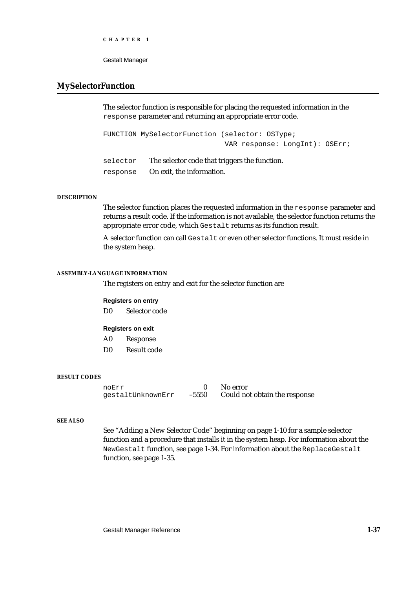Gestalt Manager

### **MySelectorFunction**

The selector function is responsible for placing the requested information in the response parameter and returning an appropriate error code.

```
FUNCTION MySelectorFunction (selector: OSType; 
                               VAR response: LongInt): OSErr;
```
selector The selector code that triggers the function. response On exit, the information.

#### **DESCRIPTION**

The selector function places the requested information in the response parameter and returns a result code. If the information is not available, the selector function returns the appropriate error code, which Gestalt returns as its function result.

A selector function can call Gestalt or even other selector functions. It must reside in the system heap.

#### **ASSEMBLY-LANGUAGE INFORMATION**

The registers on entry and exit for the selector function are

#### **Registers on entry**

D0 Selector code

#### **Registers on exit**

- A0 Response
- D0 Result code

#### **RESULT CODES**

noErr 0 No error<br>gestaltUnknownErr -5550 Could no Could not obtain the response

#### **SEE ALSO**

See "Adding a New Selector Code" beginning on page 1-10 for a sample selector function and a procedure that installs it in the system heap. For information about the NewGestalt function, see page 1-34. For information about the ReplaceGestalt function, see page 1-35.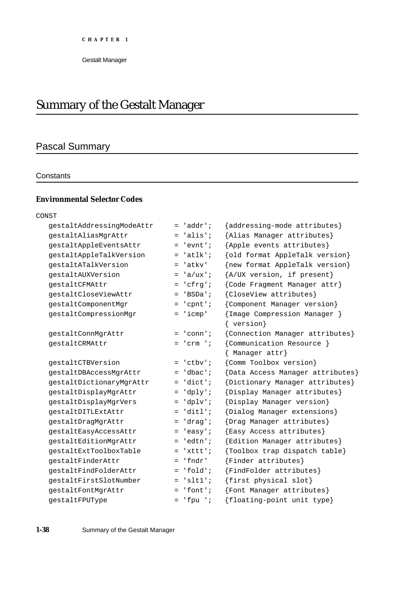# Summary of the Gestalt Manager

# Pascal Summary

#### **Constants**

# **Environmental Selector Codes**

| CONST                     |                      |                                                                 |
|---------------------------|----------------------|-----------------------------------------------------------------|
| gestaltAddressingModeAttr | 'addr';<br>$=$       | {addressing-mode attributes}                                    |
| gestaltAliasMgrAttr       | $l$ alis';<br>$=$    | {Alias Manager attributes}                                      |
| gestaltAppleEventsAttr    | 'evnt';<br>$=$       | {Apple events attributes}                                       |
| gestaltAppleTalkVersion   | 'atlk'<br>$=$        | {old format AppleTalk version}                                  |
| qestaltATalkVersion       | 'atkv'<br>$=$        | {new format AppleTalk version}                                  |
| gestaltAUXVersion         | $'a/ux$ ';<br>$=$    | ${A/UX}$ version, if present}                                   |
| qestaltCFMAttr            | 'cfrq';<br>$=$       | {Code Fragment Manager attr}                                    |
| gestaltCloseViewAttr      | 'BSDa';<br>$=$       | {CloseView attributes}                                          |
| gestaltComponentMgr       | $'$ cpnt';<br>$=$    | {Component Manager version}                                     |
| gestaltCompressionMgr     | $= 'icmp'$           | {Image Compression Manager }<br>{ version}                      |
| gestaltConnMgrAttr        | 'conn';<br>$=$       | {Connection Manager attributes}                                 |
| gestaltCRMAttr            | $'$ crm $'$ ;<br>$=$ | {Communication Resource }<br>Manager attr}<br>$\left\{ \right.$ |
| qestaltCTBVersion         | $= 'ctby';$          | {Comm Toolbox version}                                          |
| gestaltDBAccessMgrAttr    | 'dbac';<br>$=$       | {Data Access Manager attributes}                                |
| gestaltDictionaryMgrAttr  | 'dict';<br>$=$       | {Dictionary Manager attributes}                                 |
| gestaltDisplayMgrAttr     | $= 'dply'$           | {Display Manager attributes}                                    |
| gestaltDisplayMgrVers     | $= 'dplv';$          | {Display Manager version}                                       |
| gestaltDITLExtAttr        | $= 'dist1';$         | {Dialog Manager extensions}                                     |
| gestaltDragMgrAttr        | 'drag';<br>$=$       | {Drag Manager attributes}                                       |
| gestaltEasyAccessAttr     | $= 'easy';$          | {Easy Access attributes}                                        |
| gestaltEditionMgrAttr     | 'edtn';<br>$=$       | {Edition Manager attributes}                                    |
| qestaltExtToolboxTable    | $=$ 'xttt';          | {Toolbox trap dispatch table}                                   |
| qestaltFinderAttr         | 'fndr'<br>$=$        | {Finder attributes}                                             |
| qestaltFindFolderAttr     | $= 'fold';$          | {FindFolder attributes}                                         |
| qestaltFirstSlotNumber    | $'slt1$ ;<br>$=$     | {first physical slot}                                           |
| gestaltFontMgrAttr        | $=$ 'font';          | {Font Manager attributes}                                       |
| gestaltFPUType            | $=$ 'fpu ';          | {floating-point unit type}                                      |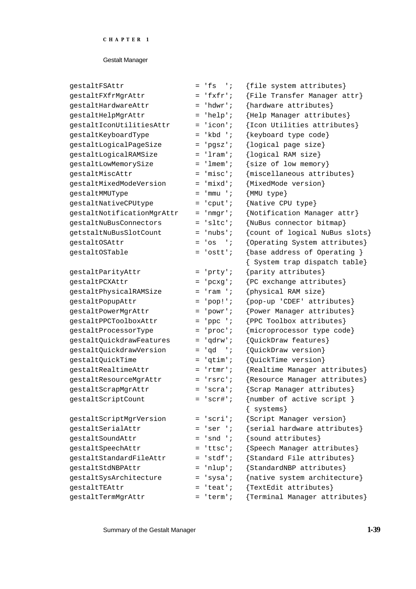| gestaltFSAttr              | $= 'fs'$            | {file system attributes}       |
|----------------------------|---------------------|--------------------------------|
| gestaltFXfrMgrAttr         | $=$ 'fxfr';         | ${File Transfer Manager attr}$ |
| qestaltHardwareAttr        | $= 'hdwr';$         | {hardware attributes}          |
| gestaltHelpMgrAttr         | 'help';<br>$=$      | {Help Manager attributes}      |
| gestaltIconUtilitiesAttr   | $= 'icon';$         | {Icon Utilities attributes}    |
| gestaltKeyboardType        | 'kbd ';<br>$=$      | {keyboard type code}           |
| gestaltLogicalPageSize     | 'pgsz';<br>=        | {logical page size}            |
| gestaltLogicalRAMSize      | = 'lram';           | {logical RAM size}             |
| gestaltLowMemorySize       | $= 'l$ mem';        | ${size of low memory}$         |
| gestaltMiscAttr            | $=$ 'misc';         | {miscellaneous attributes}     |
| gestaltMixedModeVersion    | $=$ 'mixd';         | {MixedMode version}            |
| gestaltMMUType             | $=$ 'mmu';          | ${MMU type}$                   |
| gestaltNativeCPUtype       | 'cput';<br>=        | {Native CPU type}              |
| gestaltNotificationMgrAttr | $= 'nmgr';$         | {Notification Manager attr}    |
| qestaltNuBusConnectors     | $= 'sltc';$         | {NuBus connector bitmap}       |
| getstaltNuBusSlotCount     | 'nubs';<br>$=$      | {count of logical NuBus slots} |
| gestaltOSAttr              | $=$ 'os<br>$\cdots$ | {Operating System attributes}  |
| qestaltOSTable             | $= 'ostt';$         | {base address of Operating }   |
|                            |                     | { System trap dispatch table}  |
| gestaltParityAttr          | 'prty';<br>$=$      | $\{parity attributes\}$        |
| gestaltPCXAttr             | $=$ 'pcxg';         | {PC exchange attributes}       |
| gestaltPhysicalRAMSize     | 'ram ';<br>=        | {physical RAM size}            |
| gestaltPopupAttr           | $=$ 'pop!';         | $\{pop-up$ 'CDEF' attributes}  |
| gestaltPowerMgrAttr        | $= 'powr';$         | {Power Manager attributes}     |
| gestaltPPCToolboxAttr      | 'ppc ';<br>$=$      | {PPC Toolbox attributes}       |
| gestaltProcessorType       | $= 'proc';$         | {microprocessor type code}     |
| gestaltQuickdrawFeatures   | 'qdrw';<br>$=$      | {QuickDraw features}           |
| gestaltQuickdrawVersion    | 'gd ';<br>$=$       | {QuickDraw version}            |
| gestaltQuickTime           | $= 'q\times m';$    | {QuickTime version}            |
| qestaltRealtimeAttr        | $=$ 'rtmr';         | {Realtime Manager attributes}  |
| gestaltResourceMgrAttr     | $= 'rsrc';$         | {Resource Manager attributes}  |
| gestaltScrapMgrAttr        | = 'scra';           | {Scrap Manager attributes}     |
| gestaltScriptCount         | $= 'scr$ #';        | {number of active script }     |
|                            |                     | $\{$ systems}                  |
| gestaltScriptMgrVersion    | $= 'scri';$         | {Script Manager version}       |
| gestaltSerialAttr          | $= 'ser 'i$         | {serial hardware attributes}   |
| gestaltSoundAttr           | $=$ 'snd ';         | $\{sound \text{ attributes}\}$ |
| gestaltSpeechAttr          | 'ttsc';<br>$=$      | {Speech Manager attributes}    |
| gestaltStandardFileAttr    | $= 'stdf';$         | {Standard File attributes}     |
| qestaltStdNBPAttr          | 'nlup';             | {StandardNBP attributes}       |
| gestaltSysArchitecture     | 'sysa';<br>$=$      | {native system architecture}   |
| qestaltTEAttr              | $= 'teat'$          | {TextEdit attributes}          |
| gestaltTermMgrAttr         | 'term';             | {Terminal Manager attributes}  |

Summary of the Gestalt Manager **1-39**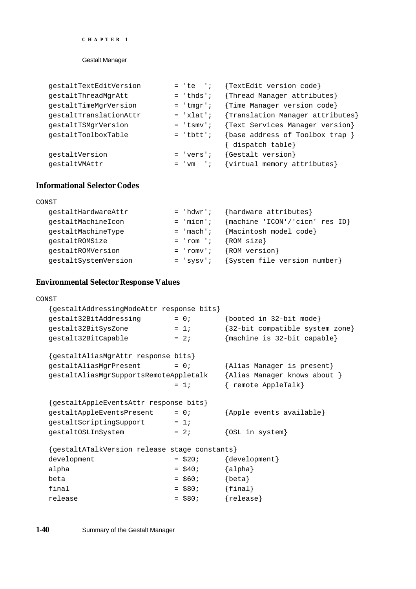#### Gestalt Manager

| gestaltTextEditVersion | $= 'te 'i$  | {TextEdit version code}          |
|------------------------|-------------|----------------------------------|
| qestaltThreadMqrAtt    | $= 'thds'$  | {Thread Manager attributes}      |
| gestaltTimeMgrVersion  | $=$ 'tmqr'; | {Time Manager version code}      |
| gestaltTranslationAttr | $= 'xlat';$ | {Translation Manager attributes} |
| gestaltTSMgrVersion    | $=$ 'tsmv'; | {Text Services Manager version}  |
| qestaltToolboxTable    | $=$ 'tbtt'; | {base address of Toolbox trap }  |
|                        |             | { dispatch table}                |
| gestaltVersion         | $= 'vers'$  | {Gestalt version}                |
| qestaltVMAttr          | $=$ 'vm ';  | {virtual memory attributes}      |

## **Informational Selector Codes**

| CONST                |             |                                |
|----------------------|-------------|--------------------------------|
| gestaltHardwareAttr  | $= 'hdwr';$ | {hardware attributes}          |
| gestaltMachineIcon   | $=$ 'micn'; | {machine 'ICON'/'cicn' res ID} |
| gestaltMachineType   | $= 'mach';$ | {Macintosh model code}         |
| gestaltROMSize       | $=$ 'rom '; | ${ROM size}$                   |
| qestaltROMVersion    | $= 'row';$  | {ROM version}                  |
| gestaltSystemVersion | $= 'SYSV';$ | {System file version number}   |
|                      |             |                                |

#### **Environmental Selector Response Values**

# CONST {gestaltAddressingModeAttr response bits}  $gestalt32BitAddressing$  = 0; {booted in 32-bit mode} gestalt32BitSysZone =  $1;$  {32-bit compatible system zone} gestalt32BitCapable  $= 2;$  {machine is 32-bit capable} {gestaltAliasMgrAttr response bits}  $gestaltAliasMgrPresent$  = 0;  ${Alias Manger is present}$ gestaltAliasMgrSupportsRemoteAppletalk {Alias Manager knows about } = 1; { remote AppleTalk} {gestaltAppleEventsAttr response bits}  $gestaltAppleEventsPresent = 0;$  {Apple events available} gestaltScriptingSupport = 1;  $gestal to SLInSystem$  = 2; {OSL in system} {gestaltATalkVersion release stage constants} development  $= $20;$  {development} alpha  $= $40;$   ${alpha}$ beta  $= $60;$  {beta} final  $= $80;$  {final}  $release$  =  $$80;$  {release}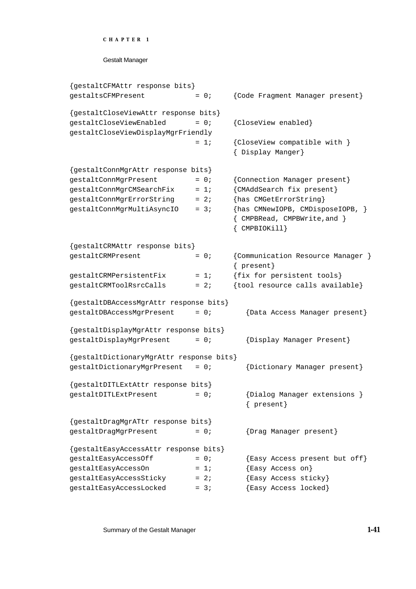```
CHAPTER 1
```
{gestaltCFMAttr response bits} gestaltsCFMPresent = 0; {Code Fragment Manager present} {gestaltCloseViewAttr response bits}  $gestaltCloseViewEnabled$  = 0; {CloseView enabled} gestaltCloseViewDisplayMgrFriendly = 1; {CloseView compatible with } { Display Manger} {gestaltConnMgrAttr response bits}  $gestaltConnMgrPresent$  = 0; {Connection Manager present}  $gestaltConnMgrCMSearchFix = 1;$  {CMAddSearch fix present} gestaltConnMgrErrorString = 2; {has CMGetErrorString}  $gestaltConnMgrMultiAsyncIO = 3;$  {has CMNewIOPB, CMDisposeIOPB, } { CMPBRead, CMPBWrite,and } { CMPBIOKill} {gestaltCRMAttr response bits} gestaltCRMPresent  $= 0;$  {Communication Resource Manager } { present} qestaltCRMPersistentFix = 1;  $\{fix\}$  for persistent tools}  $gestaltCRMToolssrcCalls = 2;$  {tool resource calls available} {gestaltDBAccessMgrAttr response bits}  $gestaltDBAccessMyrPresent = 0;$  {Data Access Manager present} {gestaltDisplayMgrAttr response bits}  $gestaltbisplayMgrPresent = 0;$  {Display Manager Present} {gestaltDictionaryMgrAttr response bits} gestaltDictionaryMgrPresent = 0; {Dictionary Manager present} {gestaltDITLExtAttr response bits}  $gestaltdITLEXDFesent$  = 0; {Dialog Manager extensions } { present} {gestaltDragMgrATtr response bits}  $gestaltDragMgrPresent$  = 0; {Drag Manager present} {gestaltEasyAccessAttr response bits} gestaltEasyAccessOff  $= 0;$  {Easy Access present but off}  $gestaltEasyAccessOn = 1;$  {Easy Access on} qestaltEasyAccessSticky = 2;  ${Easy \text{ Access} \text{stick}}$  $gestaltEasyAccessLocked$  = 3;  ${Easy Access locked}$ 

Summary of the Gestalt Manager **1-41**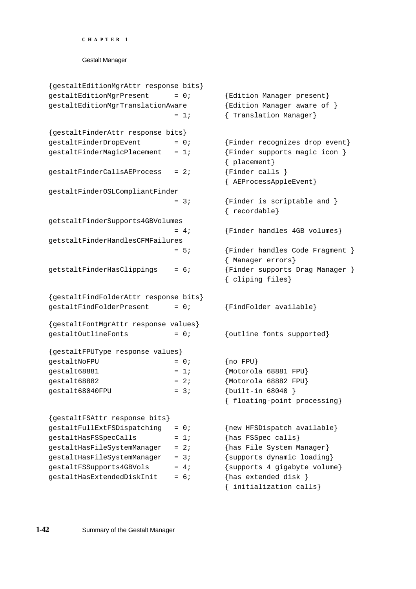```
CHAPTER 1
```

```
{gestaltEditionMgrAttr response bits}
gestaltEditionMgrPresent = 0; {Edition Manager present}
gestaltEditionMgrTranslationAware {Edition Manager aware of }
                          = 1; { Translation Manager}
{gestaltFinderAttr response bits}
gestaltFinderDropEvent = 0; {Finder recognizes drop event}gestaltFinderMagicPlacement = 1; {Finder supports magic icon}{ placement}
gestaltfinderCallsAEProcess = 2; {Finder calls }
                                    { AEProcessAppleEvent}
gestaltFinderOSLCompliantFinder
                          = 3; {Finder is scriptable and }
                                    { recordable}
getstaltFinderSupports4GBVolumes
                          = 4; {Finder handles 4GB volumes}
getstaltFinderHandlesCFMFailures
                         = 5; {Finder handles Code Fragment }
                                    { Manager errors}
getstatLFinderHasClipping = 6; {Finder supports Drag Manager }
                                    { cliping files}
{gestaltFindFolderAttr response bits}
gestaltFindFolderPresent = 0; {FindFolder available}
{gestaltFontMgrAttr response values}
gestaltOutlineFonts = 0; {outline fonts supported}
{gestaltFPUType response values}
gestalt\text{NoFPU} = 0; \{no FPU\}gestalt68881 = 1; {Motorola 68881 FPU}gestalt68882 = 2; {Motorola 68882 FPU}gestalt68040FPU = 3; {built-in 68040 }
                                    { floating-point processing}
{gestaltFSAttr response bits}
gestaltFullExtFSDispatching = 0; {new HFSDispatch available}
gestaltHasFSSpecCalls = 1; {has FSSpec} calls
gestaltHasFileSystemManager = 2; {has File System Manager}
qestaltHasFileSystemManager = 3; {supports dynamic loading}
gestaltFSSupports4GBVols = 4; {supports 4 gigabyte volume}
gestaltHasExtendedDiskInit = 6; \{has \text{ extended disk }\}{ initialization calls}
```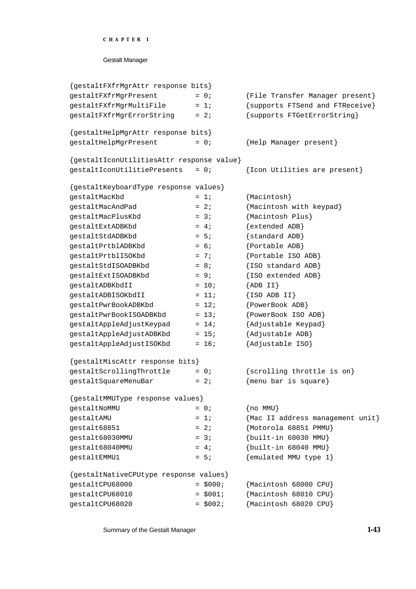```
CHAPTER 1
```

| {File Transfer Manager present}           |
|-------------------------------------------|
| {supports FTSend and FTReceive}           |
| {supports FTGetErrorString}               |
|                                           |
| {Help Manager present}                    |
| {gestaltIconUtilitiesAttr response value} |
| {Icon Utilities are present}              |
|                                           |
| ${Macintosh}$                             |
| {Macintosh with keypad}                   |
| {Macintosh Plus}                          |
| {extended ADB}                            |
| {standard ADB}                            |
| {Portable ADB}                            |
| {Portable ISO ADB}                        |
| {ISO standard ADB}                        |
| {ISO extended ADB}                        |
| ${ADB II}$                                |
| $\{ISO\,ADB\,II\}$                        |
| {PowerBook ADB}                           |
| {PowerBook ISO ADB}                       |
| {Adjustable Keypad}                       |
| {Adjustable ADB}                          |
| {Adjustable ISO}                          |
|                                           |
| {scrolling throttle is on}                |
| ${mean bar is square}$                    |
|                                           |
| $\{no$ MMU $\}$                           |
| {Mac II address management unit}          |
| {Motorola 68851 PMMU}                     |
| $\{built-in 68030 MMU\}$                  |
| $\{built-in 68040 MMU\}$                  |
| {emulated MMU type 1}                     |
|                                           |
| {Macintosh 68000 CPU}                     |
| {Macintosh 68010 CPU}                     |
| {Macintosh 68020 CPU}                     |
|                                           |

Summary of the Gestalt Manager **1-43**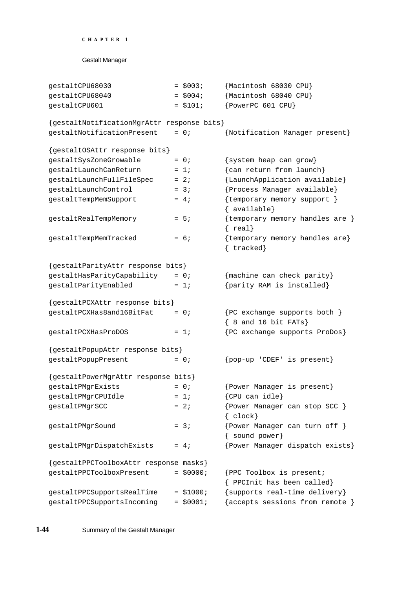```
CHAPTER 1
```

```
Gestalt Manager
```

```
gestaltCPU68030 = $003; Macintosh 68030 CPU}
gestaltCPU68040 = $004; {Macintosh 68040 CPU}
qestaltCPU601 = $101; {PowerPC 601 CPU}
{gestaltNotificationMgrAttr response bits}
gestaltNotificationPresent = 0; {Notification Manager present}
{gestaltOSAttr response bits}
gestaltsyszoneGrowable = 0; {system heap can grow}
gestaltLaunchCanReturn = 1; {can return from launch}
gestaltlaunchFullFileSpec = 2; {LaunchApplication available}
gestaltLaunchControl = 3; {Process Manager available}
gestaltTempMemSupport = 4; {temporary memory support }
                                   { available}
qestaltRealTempMemory = 5; {temporary memory handles are }
                                   { real}
gestaltTempMemTracked = 6; {temporary memory handles are}
                                   { tracked}
{gestaltParityAttr response bits}
qestaltHasParityCapability = 0; { {machine can check parity}
gestaltParityEnabled = 1; {parity RAM is installed}
{gestaltPCXAttr response bits}
gestalteCKHas8and16BitFat = 0; {PC exchange supports both }
                                   { 8 and 16 bit FATs}
gestaltPCXHasProDOS = 1; {PC exchange supports ProDos}
{gestaltPopupAttr response bits}
gestaltPopupPresent = 0; {pop-up 'CDEF' is present}{gestaltPowerMgrAttr response bits}
qestaltPMgrExists = 0; {Power Manager is present}
qestaltPMqrCPUIdle = 1; {CPU can idle}
gestaltPMgrSCC = 2; {Power Manager can stop SCC }
                                   { clock}
gestaltPMgrSound = 3; {Power Manager can turn off }
                                   { sound power}
gestaltPMgrDispatchExists = 4; {Power Manager dispatch exists}
{gestaltPPCToolboxAttr response masks}
qestaltPPCToolboxPresent = $0000; {PPC Toolbox is present;
                                   { PPCInit has been called}
gestaltPPCSupportsRealTime = $1000; {supports real-time delivery}
gestaltPPCSupportsIncoming = $0001; {accepts sessions from remote }
```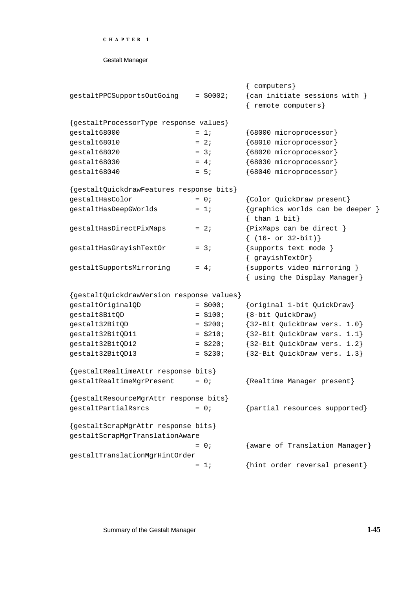```
CHAPTER 1
```

|                                           |             | { computers}                                                            |
|-------------------------------------------|-------------|-------------------------------------------------------------------------|
| gestaltPPCSupportsOutGoing                | $=$ \$0002; | {can initiate sessions with }                                           |
|                                           |             | remote computers}                                                       |
| {gestaltProcessorType response values}    |             |                                                                         |
| gestalt68000                              | $= 1i$      | {68000 microprocessor}                                                  |
| gestalt68010                              | $= 2i$      | {68010 microprocessor}                                                  |
| gestalt68020                              | $= 3i$      | {68020 microprocessor}                                                  |
| gestalt68030                              | $= 4;$      | {68030 microprocessor}                                                  |
| gestalt68040                              | $= 5i$      | {68040 microprocessor}                                                  |
| {gestaltQuickdrawFeatures response bits}  |             |                                                                         |
| gestaltHasColor                           | $= 0;$      | {Color QuickDraw present}                                               |
| gestaltHasDeepGWorlds                     | $= 1i$      | {graphics worlds can be deeper }<br>$\{ \text{ than } 1 \text{ bit} \}$ |
| gestaltHasDirectPixMaps                   | $= 2i$      | {PixMaps can be direct }<br>$\{ (16- or 32-bit) \}$                     |
| gestaltHasGrayishTextOr                   | $= 3i$      | {supports text mode }<br>$\{$ grayish Text Or $\}$                      |
| gestaltSupportsMirroring                  | $= 4i$      | {supports video mirroring }<br>{ using the Display Manager}             |
| {gestaltQuickdrawVersion response values} |             |                                                                         |
| gestaltOriginalQD                         | $=$ \$000;  | {original 1-bit QuickDraw}                                              |
| gestalt8BitQD                             | $= $100;$   | {8-bit QuickDraw}                                                       |
| gestalt32BitQD                            | $=$ \$200;  | {32-Bit QuickDraw vers. 1.0}                                            |
| gestalt32BitQD11                          | $=$ \$210;  | {32-Bit QuickDraw vers. 1.1}                                            |
| gestalt32BitQD12                          | $=$ \$220;  | {32-Bit QuickDraw vers. 1.2}                                            |
| gestalt32BitQD13                          | $=$ \$230;  | {32-Bit QuickDraw vers. 1.3}                                            |
| {gestaltRealtimeAttr response bits}       |             |                                                                         |
| gestaltRealtimeMgrPresent                 | $= 0;$      | {Realtime Manager present}                                              |
| {gestaltResourceMgrAttr response bits}    |             |                                                                         |
| gestaltPartialRsrcs                       | $= 0;$      | {partial resources supported}                                           |
| {gestaltScrapMgrAttr response bits}       |             |                                                                         |
| gestaltScrapMgrTranslationAware           |             |                                                                         |
|                                           | $= 0;$      | {aware of Translation Manager}                                          |
| gestaltTranslationMgrHintOrder            | $= 1i$      | {hint order reversal present}                                           |

Summary of the Gestalt Manager **1-45**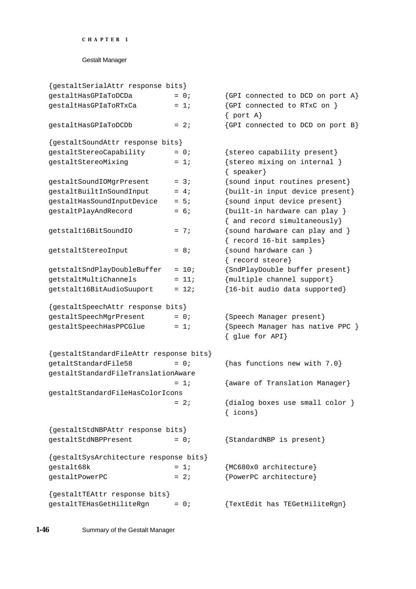| {gestaltSerialAttr response bits}       |         |                                                               |
|-----------------------------------------|---------|---------------------------------------------------------------|
| qestaltHasGPIaToDCDa                    | $= 0;$  | {GPI connected to DCD on port A}                              |
| gestaltHasGPIaToRTxCa                   | $= 1i$  | {GPI connected to RTxC on }<br>$\{$ port $A\}$                |
| gestaltHasGPIaToDCDb                    | $= 2i$  | {GPI connected to DCD on port B}                              |
| {gestaltSoundAttr response bits}        |         |                                                               |
| gestaltStereoCapability                 | $= 0;$  | {stereo capability present}                                   |
| gestaltStereoMixing                     | $= 1i$  | {stereo mixing on internal }<br>$\{$ speaker}                 |
| gestaltSoundIOMgrPresent                | $= 3i$  | {sound input routines present}                                |
| gestaltBuiltInSoundInput                | $= 4i$  | {built-in input device present}                               |
| gestaltHasSoundInputDevice              | $= 5i$  | {sound input device present}                                  |
| gestaltPlayAndRecord                    | $= 6;$  | {built-in hardware can play }<br>{ and record simultaneously} |
| getstalt16BitSoundIO                    | $= 7i$  | {sound hardware can play and }<br>{ record 16-bit samples}    |
| getstaltStereoInput                     | $= 8i$  | {sound hardware can }<br>{ record steore}                     |
| getstaltSndPlayDoubleBuffer             | $= 10;$ | {SndPlayDouble buffer present}                                |
| qetstaltMultiChannels                   | $= 11;$ | {multiple channel support}                                    |
| getstalt16BitAudioSuuport               | $= 12i$ | {16-bit audio data supported}                                 |
| {gestaltSpeechAttr response bits}       |         |                                                               |
| gestaltSpeechMgrPresent                 | $= 0;$  | {Speech Manager present}                                      |
| gestaltSpeechHasPPCGlue                 | $= 1i$  | {Speech Manager has native PPC }<br>{ glue for API}           |
| {gestaltStandardFileAttr response bits} |         |                                                               |
| qetaltStandardFile58                    | $= 0$ ; | {has functions new with $7.0$ }                               |
| gestaltStandardFileTranslationAware     |         |                                                               |
|                                         | $= 1i$  | {aware of Translation Manager}                                |
| qestaltStandardFileHasColorIcons        |         |                                                               |
|                                         | $= 2i$  | {dialog boxes use small color }<br>$\{$ icons $\}$            |
| {gestaltStdNBPAttr response bits}       |         |                                                               |
| gestaltStdNBPPresent                    | $= 0;$  | {StandardNBP is present}                                      |
| {gestaltSysArchitecture response bits}  |         |                                                               |
| gestalt68k                              | $= 1i$  | {MC680x0 architecture}                                        |
| gestaltPowerPC                          | $= 2i$  | {PowerPC architecture}                                        |
| {gestaltTEAttr response bits}           |         |                                                               |
| gestaltTEHasGetHiliteRgn                | $= 0;$  | {TextEdit has TEGetHiliteRgn}                                 |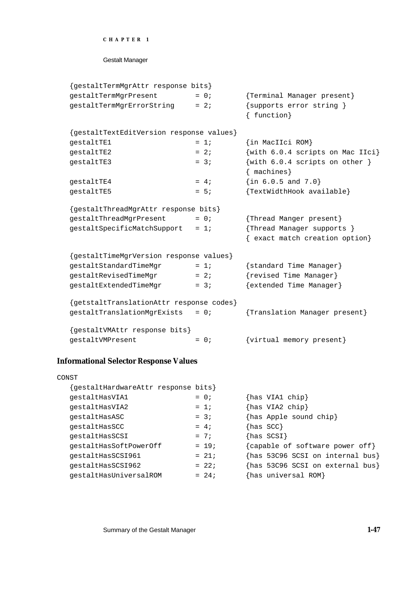Gestalt Manager

| {gestaltTermMgrAttr response bits}       |        |                                                    |  |  |
|------------------------------------------|--------|----------------------------------------------------|--|--|
| gestaltTermMgrPresent                    | $= 0;$ | {Terminal Manager present}                         |  |  |
| gestaltTermMgrErrorString                | $= 2i$ | {supports error string }<br>{ function}            |  |  |
| {gestaltTextEditVersion response values} |        |                                                    |  |  |
| gestaltTE1                               | $= 1i$ | {in MacIIci ROM}                                   |  |  |
| gestaltTE2                               | $= 2i$ | {with 6.0.4 scripts on Mac IIci}                   |  |  |
| gestaltTE3                               | $= 3i$ | $\{with 6.0.4 scripts on other \}$<br>${maxhines}$ |  |  |
|                                          |        |                                                    |  |  |
| gestaltTE4                               | $= 4i$ | $\{in 6.0.5 \text{ and } 7.0\}$                    |  |  |
| gestaltTE5                               | $= 5i$ | {TextWidthHook available}                          |  |  |
| {gestaltThreadMgrAttr response bits}     |        |                                                    |  |  |
| gestaltThreadMgrPresent                  | $= 0;$ | {Thread Manger present}                            |  |  |
| gestaltSpecificMatchSupport              | $= 1i$ | {Thread Manager supports }                         |  |  |
|                                          |        | { exact match creation option}                     |  |  |
| {gestaltTimeMgrVersion response values}  |        |                                                    |  |  |
| gestaltStandardTimeMgr                   | $= 1i$ | {standard Time Manager}                            |  |  |
| gestaltRevisedTimeMgr                    | $= 2i$ | {revised Time Manager}                             |  |  |
| gestaltExtendedTimeMgr                   | $= 3i$ | {extended Time Manager}                            |  |  |
| {getstaltTranslationAttr response codes} |        |                                                    |  |  |
| gestaltTranslationMgrExists              | $= 0;$ | {Translation Manager present}                      |  |  |
| {gestaltVMAttr response bits}            |        |                                                    |  |  |
| gestaltVMPresent                         | $= 0;$ | {virtual memory present}                           |  |  |

# **Informational Selector Response Values**

| CONST                              |         |                                                  |
|------------------------------------|---------|--------------------------------------------------|
| gestaltHardwareAttr response bits} |         |                                                  |
| gestaltHasVIA1                     | $= 0;$  | $\{has VIA1 chip\}$                              |
| qestaltHasVIA2                     | $= 1i$  | {has VIA2 chip}                                  |
| qestaltHasASC                      | $= 3i$  | {has Apple sound chip}                           |
| qestaltHasSCC                      | $= 4;$  | $\{has SCC\}$                                    |
| qestaltHasSCSI                     | $= 7i$  | $\{ {\rm has\ }$ SCSI $\}$                       |
| gestaltHasSoftPowerOff             | $= 19;$ | {capable of software power off}                  |
| qestaltHasSCSI961                  | $= 21i$ | $\{ {\tt has~53C96~SCSI~on~internal~bus} \}$     |
| qestaltHasSCSI962                  | $= 22i$ | $\{ {\rm has}\,$ 53C96 SCSI on external bus $\}$ |
| qestaltHasUniversalROM             | $= 24;$ | has universal ROM}                               |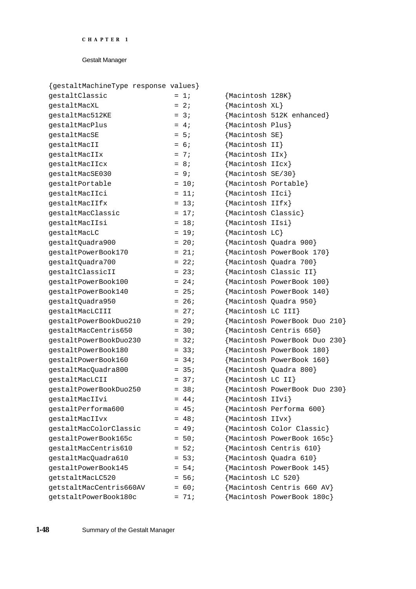| {gestaltMachineType response values} |         |                               |
|--------------------------------------|---------|-------------------------------|
| gestaltClassic                       | $= 1i$  | {Macintosh 128K}              |
| gestaltMacXL                         | $= 2i$  | {Macintosh XL}                |
| gestaltMac512KE                      | $= 3i$  | {Macintosh 512K enhanced}     |
| gestaltMacPlus                       | $= 4i$  | {Macintosh Plus}              |
| gestaltMacSE                         | $= 5i$  | ${Macintosh SF}$              |
| gestaltMacII                         | $= 6;$  | ${Macintosh II}$              |
| gestaltMacIIx                        | $= 7i$  | {Macintosh IIx}               |
| qestaltMacIIcx                       | $= 8i$  | {Macintosh IIcx}              |
| gestaltMacSE030                      | $= 9i$  | {Macintosh SE/30}             |
| gestaltPortable                      | $= 10;$ | {Macintosh Portable}          |
| gestaltMacIIci                       | $= 11;$ | {Macintosh IIci}              |
| gestaltMacIIfx                       | $= 13;$ | ${Macintosh IIfx}$            |
| gestaltMacClassic                    | $= 17;$ | {Macintosh Classic}           |
| gestaltMacIIsi                       | $= 18;$ | {Macintosh IIsi}              |
| gestaltMacLC                         | $= 19;$ | ${Macintosh LC}$              |
| gestaltQuadra900                     | $= 20;$ | {Macintosh Quadra 900}        |
| qestaltPowerBook170                  | $= 21;$ | {Macintosh PowerBook 170}     |
| gestaltQuadra700                     | $= 22i$ | {Macintosh Quadra 700}        |
| gestaltClassicII                     | $= 23;$ | {Macintosh Classic II}        |
| qestaltPowerBook100                  | $= 24;$ | {Macintosh PowerBook 100}     |
| qestaltPowerBook140                  | $= 25;$ | {Macintosh PowerBook 140}     |
| gestaltQuadra950                     | $= 26;$ | {Macintosh Quadra 950}        |
| gestaltMacLCIII                      | $= 27i$ | {Macintosh LC III}            |
| gestaltPowerBookDuo210               | $= 29;$ | {Macintosh PowerBook Duo 210} |
| gestaltMacCentris650                 | $= 30;$ | {Macintosh Centris 650}       |
| qestaltPowerBookDuo230               | $= 32i$ | {Macintosh PowerBook Duo 230} |
| qestaltPowerBook180                  | $= 33;$ | {Macintosh PowerBook 180}     |
| qestaltPowerBook160                  | $= 34;$ | {Macintosh PowerBook 160}     |
| gestaltMacQuadra800                  | $= 35;$ | {Macintosh Quadra 800}        |
| qestaltMacLCII                       | $= 37i$ | ${Macintosh LC II}$           |
| gestaltPowerBookDuo250               | $= 38i$ | {Macintosh PowerBook Duo 230} |
| gestaltMacIIvi                       | $= 44;$ | {Macintosh IIvi}              |
| qestaltPerforma600                   | $= 45;$ | {Macintosh Performa 600}      |
| qestaltMacIIvx                       | $= 48;$ | {Macintosh IIvx}              |
| gestaltMacColorClassic               | $= 49;$ | {Macintosh Color Classic}     |
| gestaltPowerBook165c                 | $= 50;$ | {Macintosh PowerBook 165c}    |
| qestaltMacCentris610                 | $= 52;$ | {Macintosh Centris 610}       |
| gestaltMacQuadra610                  | $= 53;$ | {Macintosh Quadra 610}        |
| qestaltPowerBook145                  | $= 54;$ | {Macintosh PowerBook 145}     |
| getstaltMacLC520                     | $= 56;$ | {Macintosh LC 520}            |
| getstaltMacCentris660AV              | $= 60;$ | {Macintosh Centris 660 AV}    |
| getstaltPowerBook180c                | $= 71;$ | {Macintosh PowerBook 180c}    |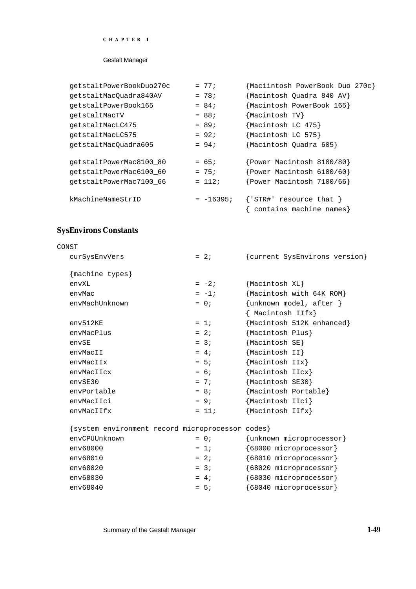#### Gestalt Manager

| qetstaltPowerBookDuo270c | $= 77;$     | {Maciintosh PowerBook Duo 270c}                                      |
|--------------------------|-------------|----------------------------------------------------------------------|
| getstaltMacQuadra840AV   | $= 78;$     | {Macintosh Quadra 840 AV}                                            |
| qetstaltPowerBook165     | $= 84;$     | {Macintosh PowerBook 165}                                            |
| qetstaltMacTV            | $= 88;$     | {Macintosh TV}                                                       |
| qetstaltMacLC475         | $= 89;$     | {Macintosh LC 475}                                                   |
| qetstaltMacLC575         | $= 92;$     | {Macintosh LC 575}                                                   |
| qetstaltMacOuadra605     | $= 94;$     | Macintosh Quadra 605}                                                |
| qetstaltPowerMac8100 80  | $= 65;$     | Power Macintosh 8100/80}                                             |
| getstaltPowerMac6100_60  | $= 75;$     | $\{Power\ Macintosh\ 6100/60\}$                                      |
| qetstaltPowerMac7100 66  | $= 112i$    | Power Macintosh 7100/66}                                             |
| kMachineNameStrID        | $= -16395;$ | ${^\{\prime\,STR\#}}'$ resource that $\}$<br>contains machine names} |

# **SysEnvirons Constants**

| CONST                                            |         |                                                    |
|--------------------------------------------------|---------|----------------------------------------------------|
| curSysEnvVers                                    | $= 2i$  | {current SysEnvirons version}                      |
| {machine types}                                  |         |                                                    |
| envXL                                            | $= -2i$ | {Macintosh XL}                                     |
| envMac                                           | $= -1;$ | {Macintosh with 64K ROM}                           |
| envMachUnknown                                   | $= 0$ ; | $\{unknown \ model, after \}$<br>{ Macintosh IIfx} |
| $env512$ KE                                      | $= 1i$  | Macintosh 512K enhanced}                           |
| envMacPlus                                       | $= 2i$  | {Macintosh Plus}                                   |
| envSE                                            | $= 3i$  | {Macintosh SE}                                     |
| envMacII                                         | $= 4i$  | {Macintosh II}                                     |
| envMacIIx                                        | $= 5i$  | {Macintosh IIx}                                    |
| envMacIIcx                                       | $= 6;$  | {Macintosh IIcx}                                   |
| envSE30                                          | $= 7i$  | {Macintosh SE30}                                   |
| envPortable                                      | $= 8i$  | {Macintosh Portable}                               |
| envMacIIci                                       | $= 9i$  | {Macintosh IIci}                                   |
| envMacIIfx                                       | $= 11;$ | {Macintosh IIfx}                                   |
| {system environment record microprocessor codes} |         |                                                    |
| envCPUUnknown                                    | $= 0;$  | {unknown microprocessor}                           |
| env68000                                         | $= 1i$  | {68000 microprocessor}                             |
| env68010                                         | $= 2i$  | {68010 microprocessor}                             |
| env68020                                         | $= 3i$  | {68020 microprocessor}                             |
| env68030                                         | $= 4i$  | {68030 microprocessor}                             |
| env68040                                         | $= 5i$  | {68040 microprocessor}                             |

Summary of the Gestalt Manager **1-49**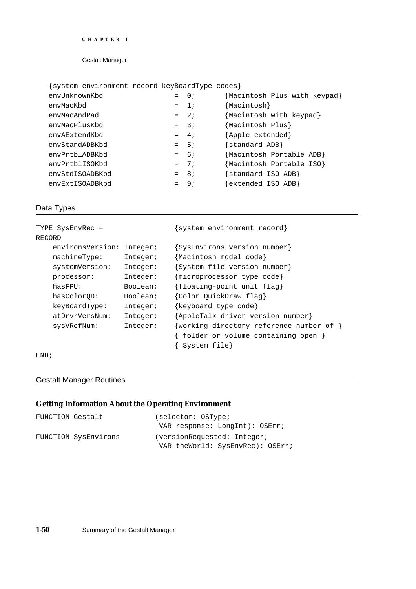### {system environment record keyBoardType codes}

| envUnknownKbd   | $= 0;$ | {Macintosh Plus with keypad} |
|-----------------|--------|------------------------------|
| envMacKbd       | $= 1$  | ${Macintosh}$                |
| envMacAndPad    | $= 2i$ | {Macintosh with keypad}      |
| envMacPlusKbd   | $=$ 3; | {Macintosh Plus}             |
| envAExtendKbd   | $= 4i$ | {Apple extended}             |
| envStandADBKbd  | $= 5i$ | {standard ADB}               |
| envPrtblADBKbd  | $= 6i$ | Macintosh Portable ADB}      |
| envPrtblISOKbd  | $= 7i$ | Macintosh Portable ISO}      |
| envStdISOADBKbd | $= 8i$ | {standard ISO ADB}           |
| envExtISOADBKbd | $= 9i$ | $\{extended\,ISO\,ADB\}$     |
|                 |        |                              |

# Data Types

| TYPE SysEnvRec = |          | {system environment record}              |
|------------------|----------|------------------------------------------|
| RECORD           |          |                                          |
| environsVersion: | Integer; | {SysEnvirons version number}             |
| machineType:     | Integer; | {Macintosh model code}                   |
| systemVersion:   | Integer; | {System file version number}             |
| processor:       | Integer; | {microprocessor type code}               |
| hasFPU:          | Boolean; | {floating-point unit flag}               |
| hasColorOD:      | Boolean; | {Color QuickDraw flag}                   |
| keyBoardType:    | Integer; | {keyboard type code}                     |
| atDrvrVersNum:   | Integer; | {AppleTalk driver version number}        |
| sysVRefNum:      | Integer; | {working directory reference number of } |
|                  |          | folder or volume containing open }       |
|                  |          | System file}                             |

#### END;

# Gestalt Manager Routines

# **Getting Information About the Operating Environment**

| FUNCTION Gestalt |                      | (selector: OSType;               |
|------------------|----------------------|----------------------------------|
|                  |                      | VAR response: LongInt): OSErr;   |
|                  | FUNCTION SysEnvirons | (versionRequested: Integer;      |
|                  |                      | VAR theWorld: SysEnvRec): OSErr; |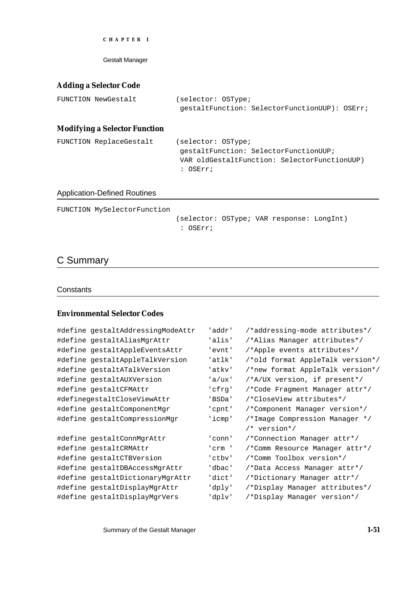Gestalt Manager

# **Adding a Selector Code**

| FUNCTION NewGestalt | (selector: OSType; |                                               |  |
|---------------------|--------------------|-----------------------------------------------|--|
|                     |                    | qestaltFunction: SelectorFunctionUUP): OSErr; |  |

# **Modifying a Selector Function**

| FUNCTION ReplaceGestalt | (selector: OSType;                           |
|-------------------------|----------------------------------------------|
|                         | qestaltFunction: SelectorFunctionUUP;        |
|                         | VAR oldGestaltFunction: SelectorFunctionUUP) |
|                         | : OSErr;                                     |

### Application-Defined Routines

FUNCTION MySelectorFunction

(selector: OSType; VAR response: LongInt) : OSErr;

# C Summary

#### **Constants**

# **Environmental Selector Codes**

| #define gestaltAddressingModeAttr | 'addr' | /*addressing-mode attributes*/   |
|-----------------------------------|--------|----------------------------------|
| #define gestaltAliasMgrAttr       | 'alis' | /*Alias Manager attributes*/     |
| #define gestaltAppleEventsAttr    | 'evnt' | /*Apple events attributes*/      |
| #define gestaltAppleTalkVersion   | 'atlk' | /*old format AppleTalk version*/ |
| #define gestaltATalkVersion       | 'atkv' | /*new format AppleTalk version*/ |
| #define gestaltAUXVersion         | 'a/ux' | /*A/UX version, if present*/     |
| #define gestaltCFMAttr            | 'cfrq' | /*Code Fragment Manager attr*/   |
| #definegestaltCloseViewAttr       | 'BSDa' | /*CloseView attributes*/         |
| #define gestaltComponentMgr       | 'cpnt' | /*Component Manager version*/    |
| #define gestaltCompressionMgr     | 'icmp' | /*Image Compression Manager */   |
|                                   |        | $/*$ version*/                   |
| #define gestaltConnMgrAttr        | 'conn' | /*Connection Manager attr*/      |
| #define gestaltCRMAttr            | 'crm ' | /*Comm Resource Manager attr*/   |
| #define gestaltCTBVersion         | 'ctbv' | /*Comm Toolbox version*/         |
| #define gestaltDBAccessMgrAttr    | 'dbac' | /*Data Access Manager attr*/     |
| #define qestaltDictionaryMqrAttr  | 'dict' | /*Dictionary Manager attr*/      |
| #define gestaltDisplayMgrAttr     | 'dply' | /*Display Manager attributes*/   |
| #define gestaltDisplayMgrVers     | 'dplv' | /*Display Manager version*/      |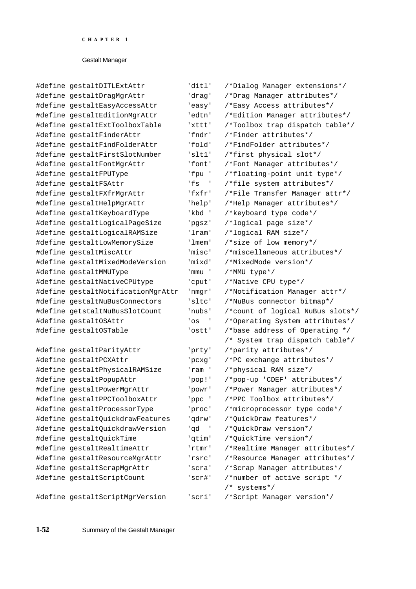| #define gestaltDITLExtAttr         | 'ditl'          | /*Dialog Manager extensions*/                |
|------------------------------------|-----------------|----------------------------------------------|
| #define gestaltDragMgrAttr         | 'drag'          | /*Drag Manager attributes*/                  |
| #define gestaltEasyAccessAttr      | 'easy'          | /*Easy Access attributes*/                   |
| #define gestaltEditionMgrAttr      | 'edtn'          | /*Edition Manager attributes*/               |
| #define gestaltExtToolboxTable     | 'xttt'          | /*Toolbox trap dispatch table*/              |
| #define gestaltFinderAttr          | 'fndr'          | /*Finder attributes*/                        |
| #define gestaltFindFolderAttr      | 'fold'          | /*FindFolder attributes*/                    |
| #define gestaltFirstSlotNumber     | 'slt1'          | /*first physical slot*/                      |
| #define gestaltFontMgrAttr         | 'font'          | /*Font Manager attributes*/                  |
| #define gestaltFPUType             | 'fpu '          | /*floating-point unit type*/                 |
| #define gestaltFSAttr              | 'fs'            | /*file system attributes*/                   |
| #define gestaltFXfrMgrAttr         | 'fxfr'          | /*File Transfer Manager attr*/               |
| #define gestaltHelpMgrAttr         | 'help'          | /*Help Manager attributes*/                  |
| #define gestaltKeyboardType        | 'kbd '          | /*keyboard type code*/                       |
| #define gestaltLogicalPageSize     | 'pgsz'          | /*logical page size*/                        |
| #define gestaltLogicalRAMSize      | 'lram'          | /*logical RAM size*/                         |
| #define gestaltLowMemorySize       | 'lmem'          | /*size of low memory*/                       |
| #define gestaltMiscAttr            | 'misc'          | /*miscellaneous attributes*/                 |
| #define qestaltMixedModeVersion    | 'mixd'          | /*MixedMode version*/                        |
| #define gestaltMMUType             | ' mmu           | /*MMU type*/                                 |
| #define gestaltNativeCPUtype       | 'cput'          | /*Native CPU type*/                          |
| #define gestaltNotificationMgrAttr | 'nmgr'          | /*Notification Manager attr*/                |
| #define gestaltNuBusConnectors     | 'sltc'          | /*NuBus connector bitmap*/                   |
| #define getstaltNuBusSlotCount     | 'nubs'          | /*count of logical NuBus slots*/             |
| #define gestaltOSAttr              | 'os<br>$\sim$ 1 | /*Operating System attributes*/              |
| #define gestaltOSTable             | 'ostt'          | /*base address of Operating */               |
|                                    |                 | /* System trap dispatch table*/              |
| #define gestaltParityAttr          | 'prty'          | /*parity attributes*/                        |
| #define gestaltPCXAttr             | 'pcxg'          | /*PC exchange attributes*/                   |
| #define gestaltPhysicalRAMSize     | 'ram '          | /*physical RAM size*/                        |
| #define gestaltPopupAttr           | 'pop!'          | /*pop-up 'CDEF' attributes*/                 |
| #define gestaltPowerMgrAttr        | 'powr'          | /*Power Manager attributes*/                 |
| #define gestaltPPCToolboxAttr      | 'ppc '          | /*PPC Toolbox attributes*/                   |
| #define gestaltProcessorType       | 'proc'          | /*microprocessor type code*/                 |
| #define gestaltQuickdrawFeatures   | 'qdrw'          | /*QuickDraw features*/                       |
| #define gestaltQuickdrawVersion    | ' qd            | /*QuickDraw version*/                        |
| #define gestaltQuickTime           | 'qtim'          | /*QuickTime version*/                        |
| #define gestaltRealtimeAttr        | 'rtmr'          | /*Realtime Manager attributes*/              |
| #define gestaltResourceMgrAttr     | 'rsrc'          | /*Resource Manager attributes*/              |
| #define gestaltScrapMgrAttr        | 'scra'          | /*Scrap Manager attributes*/                 |
| #define gestaltScriptCount         | 'scr#'          | /*number of active script */<br>/* systems*/ |
| #define gestaltScriptMgrVersion    | 'scri'          | /*Script Manager version*/                   |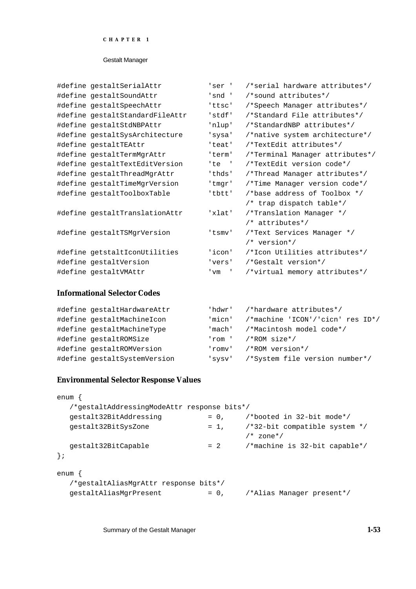#### Gestalt Manager

| #define gestaltSerialAttr       | 'ser '            | /*serial hardware attributes*/  |
|---------------------------------|-------------------|---------------------------------|
| #define gestaltSoundAttr        | 'snd'             | /*sound attributes*/            |
| #define gestaltSpeechAttr       | 'ttsc'            | /*Speech Manager attributes*/   |
| #define gestaltStandardFileAttr | 'stdf'            | /*Standard File attributes*/    |
| #define gestaltStdNBPAttr       | 'nlup'            | /*StandardNBP attributes*/      |
| #define gestaltSysArchitecture  | 'sysa'            | /*native system architecture*/  |
| #define gestaltTEAttr           | 'teat'            | /*TextEdit attributes*/         |
| #define gestaltTermMgrAttr      | 'term'            | /*Terminal Manager attributes*/ |
| #define gestaltTextEditVersion  | 'te '             | /*TextEdit version code*/       |
| #define gestaltThreadMgrAttr    | 'thds'            | /*Thread Manager attributes*/   |
| #define gestaltTimeMgrVersion   | 'tmgr'            | /*Time Manager version code*/   |
| #define gestaltToolboxTable     | 'tbtt'            | /*base address of Toolbox */    |
|                                 |                   | /* trap dispatch table*/        |
| #define gestaltTranslationAttr  | 'xlat'            | /*Translation Manager */        |
|                                 |                   | /* attributes*/                 |
| #define gestaltTSMgrVersion     | 'tsmv'            | /*Text Services Manager */      |
|                                 |                   | $/*$ version*/                  |
| #define getstaltIconUtilities   | 'icon'            | /*Icon Utilities attributes*/   |
| #define gestaltVersion          | 'vers'            | /*Gestalt_version*/             |
| #define gestaltVMAttr           | $' \,\mathrm{vm}$ | /*virtual memory attributes*/   |
|                                 |                   |                                 |

# **Informational Selector Codes**

| #define qestaltHardwareAttr  | 'hdwr' | /*hardware attributes*/          |
|------------------------------|--------|----------------------------------|
| #define gestaltMachineIcon   | 'micn' | /*machine 'ICON'/'cicn' res ID*/ |
| #define gestaltMachineType   | 'mach' | /*Macintosh model code*/         |
| #define gestaltROMSize       | 'rom ' | /*ROM size*/                     |
| #define gestaltROMVersion    | 'romv' | /*ROM version*/                  |
| #define gestaltSystemVersion | 'sysv' | /*System file version number*/   |

## **Environmental Selector Response Values**

```
enum {
  /*gestaltAddressingModeAttr response bits*/
  gestalt32BitAddressing = 0, /*booted in 32-bit mode*/
  gestalt32BitSysZone = 1, /*32-bit compatible system */
                                     /* zone*/
  gestalt32BitCapable = 2 /*machine is 32-bit capable*/
};
enum {
  /*gestaltAliasMgrAttr response bits*/
  gestaltAliasMgrPresent = 0, /*Alias Manager present*/
```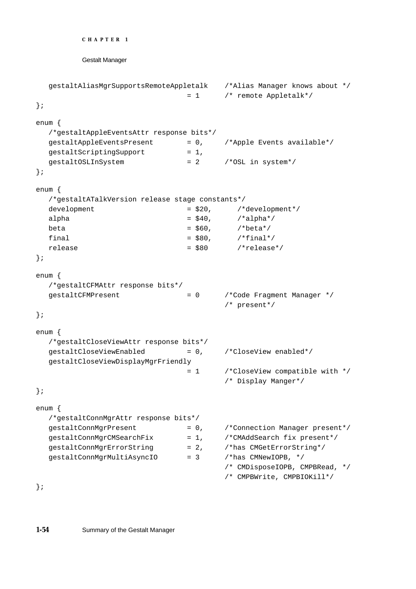```
CHAPTER 1
```

```
gestaltAliasMgrSupportsRemoteAppletalk /*Alias Manager knows about */
                             = 1 /* remote Appletalk*/
};
enum {
  /*gestaltAppleEventsAttr response bits*/
  gestaltAppleEventsPresent = 0, /*Apple Events available*/
  gestaltscriptingSupport = 1,qestaltOSLInSystem = 2 /*OSL in system*/
};
enum {
  /*gestaltATalkVersion release stage constants*/
  development = $20, /*development*/
  alpha = $40, /*alpha*/beta = $60, /*beta*/
  final = $80, /*final*/
  release r = $80 \prime*release*/
};
enum {
  /*gestaltCFMAttr response bits*/
  gestaltCFMPresent = 0 /*Code Fragment Manager */
                                    /* present*/
};
enum {
  /*gestaltCloseViewAttr response bits*/
  gestaltCloseViewEnabled = 0, /*CloseView enabled*/
  gestaltCloseViewDisplayMgrFriendly
                            = 1 /*CloseView compatible with */
                                    /* Display Manger*/
};
enum {
  /*gestaltConnMgrAttr response bits*/
  gestaltConnMgrPresent = 0, /*Connection Manager present*/
  gestaltConnMgrCMSearchFix = 1, /*CMAddSearch fix present*/
  gestaltConnMgrErrorString = 2, /*has CMGetErrorString*/
  gestaltConnMgrMultiAsyncIO = 3 /*has CMNewIOPB, */
                                    /* CMDisposeIOPB, CMPBRead, */
                                    /* CMPBWrite, CMPBIOKill*/
```
};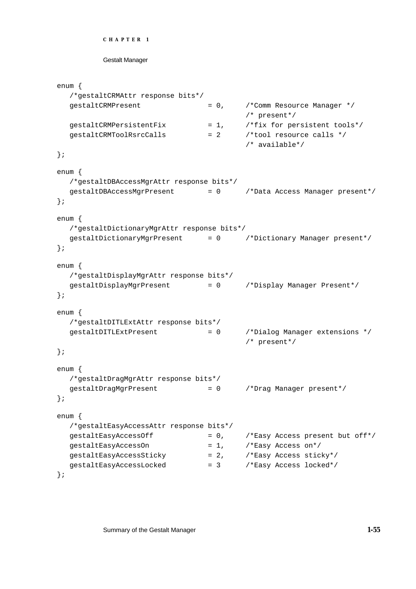```
CHAPTER 1
```

```
enum {
  /*gestaltCRMAttr response bits*/
  gestaltCRMPresent = 0, /*Comm Resource Manager */
                                      /* present*/
  gestaltCRMPersistentFix = 1, /*fix for persistent tools*/
  gestaltCRMToolRsrcCalls = 2 /*tool resource calls */
                                      /* available*/
};
enum {
  /*gestaltDBAccessMgrAttr response bits*/
  gestaltDBAccessMgrPresent = 0 /*Data Access Manager present*/
};
enum {
  /*gestaltDictionaryMgrAttr response bits*/
  gestaltDictionaryMgrPresent = 0 /*Dictionary Manager present*/
};
enum {
  /*gestaltDisplayMgrAttr response bits*/
  gestaltDisplayMgrPresent = 0 /*Display Manager Present*/
};
enum {
  /*gestaltDITLExtAttr response bits*/
  gestaltDITLExtPresent = 0 /*Dialog Manager extensions */
                                      /* present*/
};
enum {
  /*gestaltDragMgrAttr response bits*/
  gestaltDragMgrPresent = 0 /*Drag Manager present*/
};
enum {
  /*gestaltEasyAccessAttr response bits*/
  gestaltEasyAccessOff = 0, /*Easy Access present but off*/
  gestaltEasyAccessOn = 1, /*Easy Access on*/
  gestaltEasyAccessSticky = 2, /*Easy AccessstickgestaltEasyAccessLocked = 3 /*Easy Access locked*/
};
```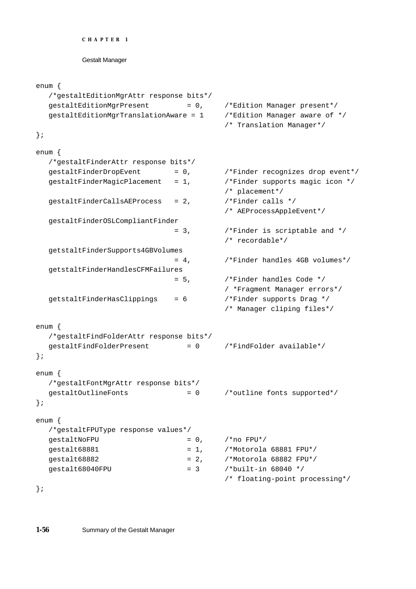```
CHAPTER 1
```

```
enum {
  /*gestaltEditionMgrAttr response bits*/
  gestaltEditionMgrPresent = 0, /*Edition Manager present*/
  gestaltEditionMgrTranslationAware = 1 /*Edition Manager aware of */
                                       /* Translation Manager*/
};
enum {
  /*gestaltFinderAttr response bits*/
  gestaltfinderDropEvent = 0, /*Finder recognizes drop event*/
  gestaltfinderMagicPlacement = 1, /*Finder supports magic icon */
                                       /* placement*/
  gestaltFinderCallsAEProcess = 2, /*Finder calls */
                                       /* AEProcessAppleEvent*/
  gestaltFinderOSLCompliantFinder
                             = 3, /*Finder is scriptable and */
                                       /* recordable*/
  getstaltFinderSupports4GBVolumes
                             = 4, /*Finder handles 4GB volumes*/
  getstaltFinderHandlesCFMFailures
                             = 5, /*Finder handles Code */
                                       / *Fragment Manager errors*/
  getstaltFinderHasClippings = 6 /*Finder supports Drag */
                                       /* Manager cliping files*/
enum {
  /*gestaltFindFolderAttr response bits*/
  gestaltFindFolderPresent = 0 /*FindFolder available*/
};
enum {
  /*gestaltFontMgrAttr response bits*/
  gestaltOutlineFonts = 0 /*outline fonts supported*/
};
enum {
  /*gestaltFPUType response values*/
  qestaltNoFPU = 0, *no FPU<sup>*</sup>/</sup>
  gestalt68881 = 1, /*Motorola 68881 FPU*/
  qestalt68882 = 2, \times 4Motorola 68882 FPU*/
  qestalt68040FPU = 3 /*built-in 68040 */
                                       /* floating-point processing*/
};
```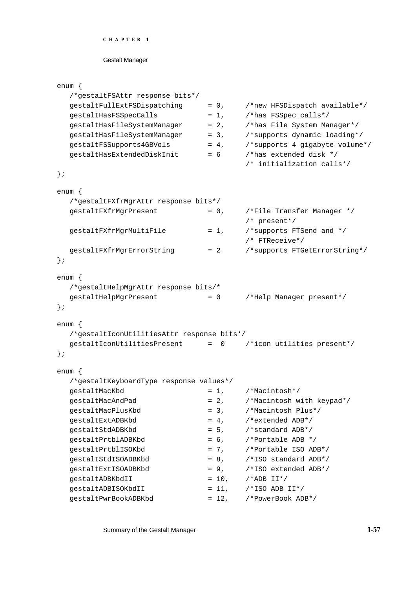#### Gestalt Manager

```
enum {
  /*gestaltFSAttr response bits*/
  qestaltFullExtFSDispatching = 0, /*new HFSDispatch available*/
  gestaltHasFSSpecCalls = 1, /*has FSSpec calls* /gestaltHasFileSystemManager = 2, /*has File System Manager*/
  gestalt\text{HasFileSystemManager} = 3, \text{/*supports dynamic loading*/}gestaltFSSupports4GBVols = 4, /*supports 4 gigabyte volume*/
  gestaltHasExtendedDiskInit = 6 /*has extended disk */
                                     /* initialization calls*/
};
enum {
  /*gestaltFXfrMgrAttr response bits*/
  gestaltrXfrMgrPresent = 0, \qquad /*File Transfer Manager */
                                     /* present*/
  gestaltFXfrMgrMultiFile = 1, /*supports FTSend and */
                                     /* FTReceive*/
  gestaltFXfrMgrErrorString = 2 /*supports FTGetErrorString*/
};
enum {
  /*gestaltHelpMgrAttr response bits/*
  gestaltHelpMgrPresent = 0 /*Help Manager present*/
};
enum {
  /*gestaltIconUtilitiesAttr response bits*/
  gestaltIconUtilitiesPresent = 0 /*icon utilities present*/
};
enum {
  /*gestaltKeyboardType response values*/
  gestaltMacKbd = 1, /*Macintosh*/gestaltMacAndPad = 2, /*Macintosh with keypad*/
  gestaltMacPlusKbd = 3, /*Macintosh Plus*/
  qestaltExtADBKbd = 4, \times 4 /*extended ADB*/
  gestaltStdADBKbd = 5, /*standard ADB*/
  qestaltPrtblADBKbd = 6, /*Portable ADB */
  gestaltPrtblISOKbd = 7, /*Portable ISO ADB*/
  gestaltStdISOADBKbd = 8, /*ISO standard ADB*/
  gestaltExtISOADBKbd = 9, /*ISO extended ADB*/
  qestaltADBKbdII = 10, /*ADB II*/qestaltADBISOKbdII = 11, /*ISO ADB II*/
  qestaltPwrBookADBKbd = 12, /*PowerBook ADB*/
```
Summary of the Gestalt Manager **1-57**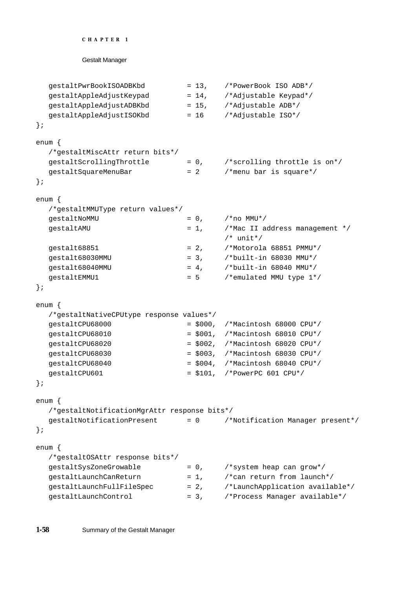```
CHAPTER 1
```

```
Gestalt Manager
```

```
gestaltPwrBookISOADBKbd = 13, /*PowerBook ISO ADB*/
  gestaltAppleAdjustKeypad = 14, /*Adjustable Keypad*/
  qestaltAppleAdjustADBKbd = 15, /*Adjustable ADB*/
  gestaltAppleAdjustISOKbd = 16 /*Adjustable ISO*/
};
enum {
  /*gestaltMiscAttr return bits*/
  qestaltScrollingThrottle = 0, /*scrolling throttle is on*/
  gestaltsquareMenuBar = 2 /*menu bar is square*/
};
enum {
  /*gestaltMMUType return values*/
  qestaltNoMMU = 0, {\#}no MMU*/
  gestaltAMU = 1, /*Mac II address management */
                                   /* unit*/
  qestalt68851 = 2, /*Motorola 68851 PMMU*/
  qestalt68030MMU = 3, {\scriptstyle\prime}^*built-in 68030 MMU*/
  gestalt68040MMU = 4, /*built-in 68040 MMU*/
  qestaltEMMU1 = 5 /*emulated MMU type 1*/};
enum {
  /*gestaltNativeCPUtype response values*/
  gestaltCPU68000 = $000, /*Macintosh 68000 CPU*/
  gestaltCPU68010 = $001, /*Macintosh 68010 CPU*/
  gestaltCPU68020 = $002, /*Macintosh 68020 CPU*/
  gestaltCPU68030 = $003, /*Macintosh 68030 CPU*/
  gestaltCPU68040 = $004, /*Macintosh 68040 CPU*/
  gestaltCPU601 = $101, /*PowerPC 601 CPU*/
};
enum {
  /*gestaltNotificationMgrAttr response bits*/
  gestaltNotificationPresent = 0 /*Notification Manager present*/
};
enum {
  /*gestaltOSAttr response bits*/
  qestaltSysZoneGrowable = 0, /*system heap can grow*/
  gestaltLaunchCanReturn = 1, /*can return from launch*/
  qestaltLaunchFullFileSpec = 2, /*LaunchApplication available*/
  gestaltLaunchControl = 3, /*Process Manager available*/
```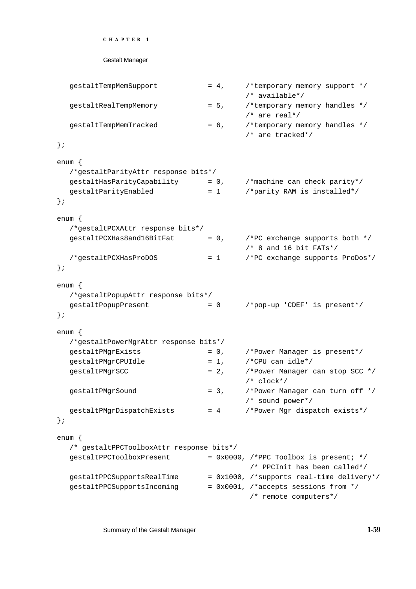```
CHAPTER 1
```

```
gestaltTempMemSupport = 4, /*temporary memory support */
                                      /* available*/
  gestaltRealTempMemory = 5, /*temporary memory handles */
                                      /* are real*/
  gestaltTempMemTracked = 6, /*temporary memory handles */
                                      /* are tracked*/
};
enum {
  /*gestaltParityAttr response bits*/
  gestaltHasParityCapability = 0, /*machine can check parity*/
  gestaltParityEnabled = 1 /*parity RAM is installed*/
};
enum {
  /*gestaltPCXAttr response bits*/
  gestalteCKHas8 and 16BitFat = 0, \gammaPC exchange supports both */
                                      /* 8 and 16 bit FATs*/
  /*gestaltPCXHasProDOS = 1 /*PC exchange supports ProDos*/
};
enum {
 /*gestaltPopupAttr response bits*/
  gestaltPopupPresent = 0 /*pop-up 'CDEF' is present*/
};
enum {
  /*gestaltPowerMgrAttr response bits*/
  gestaltPMgrExists = 0, /*Power Manager is present*/
  gestaltpMgrCPUIdle = 1, /*CPU can idle*/
  gestaltPMgrSCC = 2, /*Power Manager can stop SCC */
                                      /* clock*/
  gestaltPMgrSound = 3, /*Power Manager can turn off */
                                      /* sound power*/
  gestaltPMgrDispatchExists = 4 /*Power Mgr dispatch exists*/
};
enum {
  /* gestaltPPCToolboxAttr response bits*/
  qestaltPPCToolboxPresent = 0x0000, /*PPC Toolbox is present; */
                                        /* PPCInit has been called*/
  gestaltPPCSupportsRealTime = 0x1000, /*supports real-time delivery*/
  gestaltPPCSupportsIncoming = 0x0001, /*accepts sessions from */ /* remote computers*/
```
Summary of the Gestalt Manager **1-59**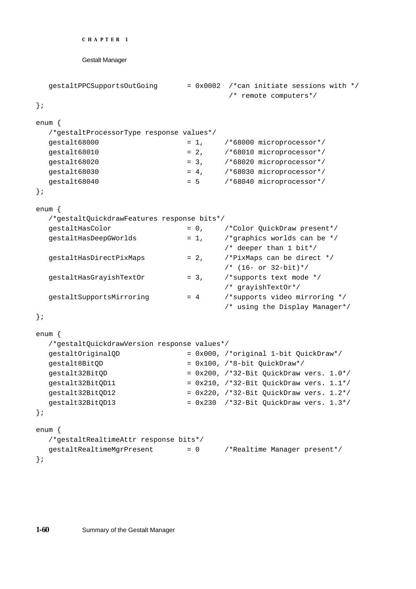```
CHAPTER 1
        Gestalt Manager
  gestaltPPCSupportsOutGoing = 0x0002 /*can initiate sessions with */
                                      /* remote computers*/
};
enum {
  /*gestaltProcessorType response values*/
  qestalt68000 = 1, /*68000 microprocessor*/
  gestalt68010 = 2, /*68010 microprocessor*/
  qestalt68020 = 3, \qquad /*68020 microprocessor*/
  gestalt68030 = 4, /*68030 microprocessor*/
  qestalt68040 = 5 /*68040 microprocessor*/
};
enum {
  /*gestaltQuickdrawFeatures response bits*/
  gestaltHasColor = 0, /*Color QuickDraw present*/
  gestaltHasDeepGWorlds = 1, /*graphics worlds can be */
                                    /* deeper than 1 bit*/
  gestaltHasDirectPixMaps = 2, /*PixMaps can be direct */
                                    /* (16- or 32-bit)*/
  qestaltHasGrayishTextOr = 3, /*supports text mode *//* grayishTextOr*/
  gestaltsupportsMirroring = 4 /*supports video mirroring */
                                    /* using the Display Manager*/
};
enum {
  /*gestaltQuickdrawVersion response values*/
  gestaltOriginalQD = 0x000, /*original 1-bit QuickDraw*/
  gestalt8BitQD = 0x100, /*8-bit QuickDraw*/
  gestalt32BitQD = 0x200, /*32-Bit QuickDraw vers. 1.0*/gestalt32BitQD11 = 0x210, / * 32-Bit QuickDraw vers. 1.1*/gestalt32BitQD12 = 0x220, /*32-Bit QuickDraw vers. 1.2*/qestalt32BitOD13 = 0x230 /*32-Bit OuickDraw vers. 1.3*/
```
};

enum {

};

/\*gestaltRealtimeAttr response bits\*/ gestaltRealtimeMgrPresent = 0 /\*Realtime Manager present\*/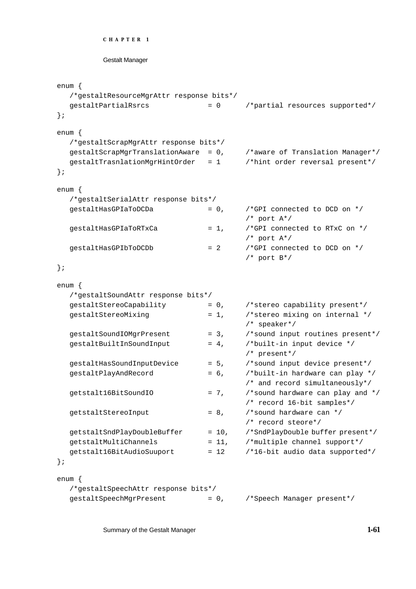```
CHAPTER 1
```

```
enum {
  /*gestaltResourceMgrAttr response bits*/
  gestaltPartialRsrcs = 0 /*partial resources supported*/
};
enum {
  /*gestaltScrapMgrAttr response bits*/
  gestaltScrapMgrTranslationAware = 0, /*aware of Translation Manager*/
  gestaltTrasnlationMgrHintOrder = 1 /*hint order reversal present*/
};
enum {
  /*gestaltSerialAttr response bits*/
  gestaltHasGPIaToDCDa = 0, /*GPI connected to DCD on * //* port A*/
  gestaltHasGPIaToRTxCa = 1, /*GPI connected to RTxC on */
                                       /* port A*/
  qestaltHasGPIbToDCDb = 2 /*GPI connected to DCD on *//* port B*/
};
enum {
  /*gestaltSoundAttr response bits*/
  gestaltStereoCapability = 0, /*stereo capability present*/
  gestaltStereoMixing = 1, /*stereo mixing on internal */
                                       /* speaker*/
  gestaltSoundIOMgrPresent = 3, /*sound input routines present*/
  gestaltBuildInSoundInput = 4, /*built-in input device */
                                       /* present*/
  gestaltHasSoundInputDevice = 5, /*sound input device present*/
  qestaltPlayAndRecord = 6, /*built-in hardware can play *//* and record simultaneously*/
  getstalt16BitSoundIO = 7, /*sound hardware can play and */
                                       /* record 16-bit samples*/
  qetstaltStereoInput = 8, \gamma*sound hardware can */
                                       /* record steore*/
  getstaltSndPlayDoubleBuffer = 10, /*SndPlayDouble buffer present*/ 
  getstaltMultiChannels = 11, /*multiple channel support*/
  getstalt16BitAudioSuuport = 12 /*16-bit audio data supported*/
};
enum {
  /*gestaltSpeechAttr response bits*/
  gestaltSpeechMgrPresent = 0, /*Speech Manager present*/
```
Summary of the Gestalt Manager **1-61**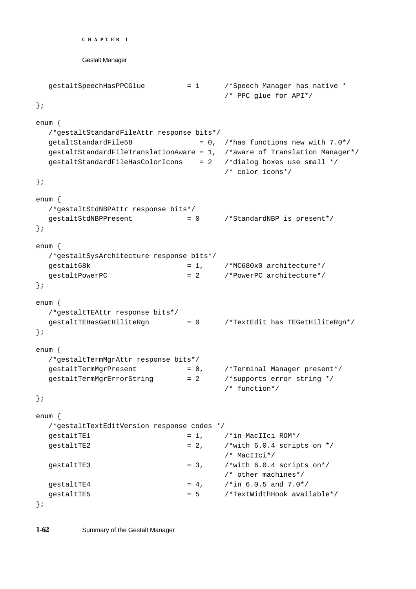```
CHAPTER 1
        Gestalt Manager
  gestaltSpeechHasPPCGlue = 1 /*Speech Manager has native *
                                    /* PPC glue for API*/
};
enum {
  /*gestaltStandardFileAttr response bits*/
  qetaltStandardFile58 = 0, /*has functions new with 7.0*/
  gestaltStandardFileTranslationAware = 1, /*aware of Translation Manager*/
  gestaltStandardFileHasColorIcons = 2 /*dialog boxes use small */
                                    /* color icons*/
};
enum {
  /*gestaltStdNBPAttr response bits*/
  gestaltStdNBPPresent = 0 /*StandardNBP is present*/
};
enum {
  /*gestaltSysArchitecture response bits*/
  qestalt68k = 1, /*MC680x0 architecture*/
  gestaltPowerPC = 2 /*PowerPC architecture*/
};
enum {
  /*gestaltTEAttr response bits*/
  gestaltTEHasGetHiliteRgn = 0 /*TextEdit has TEGetHiliteRgn*/
};
enum {
  /*gestaltTermMgrAttr response bits*/
  gestaltTermMgrPresent = 0, /*Terminal Manager present*/
  gestaltTermMgrErrorString = 2 /*supports error string */
                                    /* function*/
};
enum {
  /*gestaltTextEditVersion response codes */
  gestaltrEl = 1, /*in MacIIci ROM*/gestaltrE2 = 2, /*with 6.0.4 scripts on *//* MacIIci*/
  qestaltTE3 = 3, \t/*with 6.0.4 scripts on*/
                                    /* other machines*/
  gestaltrE4 = 4, /*in 6.0.5 and 7.0*/qestaltTE5 = 5 /*TextWidthHook available*/
```

```
};
```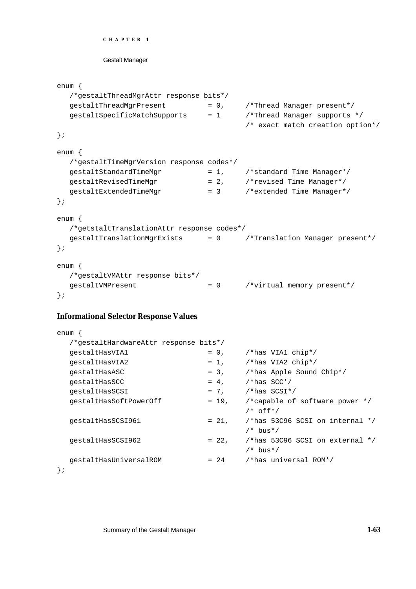```
CHAPTER 1
```

```
enum {
  /*gestaltThreadMgrAttr response bits*/
  gestaltThreadMgrPresent = 0, /*Thread Manager present*/
  gestaltSpecificMatchSupports = 1 /*Thread Manager supports */
                                              /* exact match creation option*/
};
enum {
  /*gestaltTimeMgrVersion response codes*/
  gestaltStandardTimeMgr = 1, /*standard Time Manager*/<br>gestaltRevisedTimeMgr = 2, /*revised Time Manager*/<br>gestaltExtendedTimeMgr = 3 /*extended Time Manager*/
  gestaltRevisedTimeMgr = 2, /*revised Time Manager*/
  gestaltExtendedTimeMgr = 3 /*extended Time Manager*/
};
enum {
  /*getstaltTranslationAttr response codes*/
   gestaltTranslationMgrExists = 0 /*Translation Manager present*/
};
enum {
  /*gestaltVMAttr response bits*/
  gestaltVMPresent = 0 /*virtual memory present*/
};
```
# **Informational Selector Response Values**

| enum                                    |          |                                                             |
|-----------------------------------------|----------|-------------------------------------------------------------|
| /*gestaltHardwareAttr response bits*/   |          |                                                             |
| qestaltHasVIA1                          | $= 0,$   | /*has VIA1 chip*/                                           |
| qestaltHasVIA2                          | $= 1$ ,  | /*has VIA2 $\text{chip*}/$                                  |
| qestaltHasASC                           | $= 3,$   | /*has Apple Sound Chip*/                                    |
| qestaltHasSCC                           | $= 4.$   | $/*$ has SCC*/                                              |
| qestaltHasSCSI                          | $= 7.$   | $/*$ has SCSI*/                                             |
| qestaltHasSoftPowerOff                  | $= 19$ , | /*capable of software power $*/$<br>$/*$ off*/              |
| qestaltHasSCSI961                       | $= 21.$  | /*has 53C96 SCSI on internal $*/$<br>$/*$ bus*/             |
| qestaltHasSCSI962                       | $= 22.$  | $\frac{1}{2}$ /*has 53C96 SCSI on external */<br>$/*$ bus*/ |
| qestaltHasUniversalROM<br>$\, \cdot \,$ | $= 24$   | /*has universal ROM*/                                       |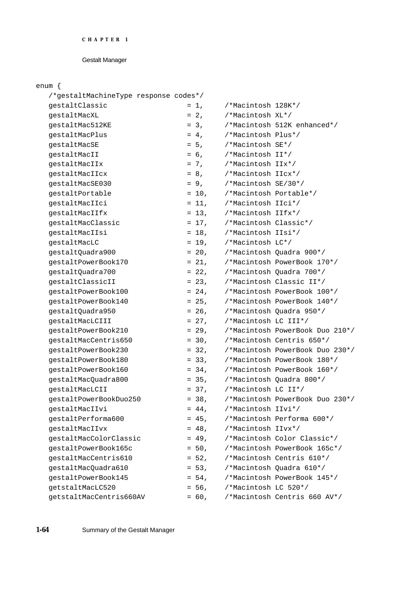# Gestalt Manager

# enum {

| um {                                  |          |                        |                                 |
|---------------------------------------|----------|------------------------|---------------------------------|
| /*gestaltMachineType response codes*/ |          |                        |                                 |
| gestaltClassic                        | $= 1$ ,  | /*Macintosh 128K*/     |                                 |
| qestaltMacXL                          | $= 2.$   | /*Macintosh XL*/       |                                 |
| qestaltMac512KE                       | $= 3.$   |                        | /*Macintosh 512K enhanced*/     |
| qestaltMacPlus                        | $= 4.$   | /*Macintosh Plus*/     |                                 |
| qestaltMacSE                          | $= 5.$   | /*Macintosh SE*/       |                                 |
| qestaltMacII                          | $= 6.$   | /*Macintosh II*/       |                                 |
| qestaltMacIIx                         | $= 7.$   | /*Macintosh IIx*/      |                                 |
| gestaltMacIIcx                        | $= 8.$   | /*Macintosh IIcx*/     |                                 |
| qestaltMacSE030                       | $= 9.$   | /*Macintosh SE/30*/    |                                 |
| qestaltPortable                       | $= 10$ , | /*Macintosh Portable*/ |                                 |
| qestaltMacIIci                        | $= 11$ , | /*Macintosh IIci*/     |                                 |
| qestaltMacIIfx                        | $= 13,$  | /*Macintosh IIfx*/     |                                 |
| qestaltMacClassic                     | $= 17,$  | /*Macintosh Classic*/  |                                 |
| qestaltMacIIsi                        | $= 18,$  | /*Macintosh IIsi*/     |                                 |
| qestaltMacLC                          | $= 19$ , | /*Macintosh LC*/       |                                 |
| qestaltQuadra900                      | $= 20$ , |                        | /*Macintosh Quadra 900*/        |
| qestaltPowerBook170                   | $= 21,$  |                        | /*Macintosh PowerBook 170*/     |
| qestaltOuadra700                      | $= 22,$  |                        | /*Macintosh Quadra 700*/        |
| qestaltClassicII                      | $= 23$ , |                        | /*Macintosh Classic II*/        |
| qestaltPowerBook100                   | $= 24,$  |                        | /*Macintosh PowerBook 100*/     |
| qestaltPowerBook140                   | $= 25.$  |                        | /*Macintosh PowerBook 140*/     |
| gestaltQuadra950                      | $= 26$ , |                        | /*Macintosh Quadra 950*/        |
| qestaltMacLCIII                       | $= 27,$  | /*Macintosh LC III*/   |                                 |
| qestaltPowerBook210                   | $= 29,$  |                        | /*Macintosh PowerBook Duo 210*/ |
| qestaltMacCentris650                  | $= 30,$  |                        | /*Macintosh Centris 650*/       |
| qestaltPowerBook230                   | $= 32,$  |                        | /*Macintosh PowerBook Duo 230*/ |
| qestaltPowerBook180                   | $= 33,$  |                        | /*Macintosh PowerBook 180*/     |
| qestaltPowerBook160                   | $= 34,$  |                        | /*Macintosh PowerBook 160*/     |
| gestaltMacQuadra800                   | $= 35,$  |                        | /*Macintosh Quadra 800*/        |
| qestaltMacLCII                        | $= 37,$  | /*Macintosh LC II*/    |                                 |
| gestaltPowerBookDuo250                | $= 38,$  |                        | /*Macintosh PowerBook Duo 230*/ |
| qestaltMacIIvi                        | $= 44.$  | /*Macintosh IIvi*/     |                                 |
| gestaltPerforma600                    | $= 45.$  |                        | /*Macintosh Performa 600*/      |
| qestaltMacIIvx                        | $= 48,$  | /*Macintosh IIvx*/     |                                 |
| gestaltMacColorClassic                | $= 49$ , |                        | /*Macintosh Color Classic*/     |
| gestaltPowerBook165c                  | $= 50$ , |                        | /*Macintosh PowerBook 165c*/    |
| qestaltMacCentris610                  | $= 52,$  |                        | /*Macintosh Centris 610*/       |
| gestaltMacQuadra610                   | $= 53.$  |                        | /*Macintosh Quadra 610*/        |
| gestaltPowerBook145                   | $= 54,$  |                        | /*Macintosh PowerBook 145*/     |
| qetstaltMacLC520                      | $= 56,$  | /*Macintosh LC 520*/   |                                 |
| getstaltMacCentris660AV               | $= 60,$  |                        | /*Macintosh Centris 660 AV*/    |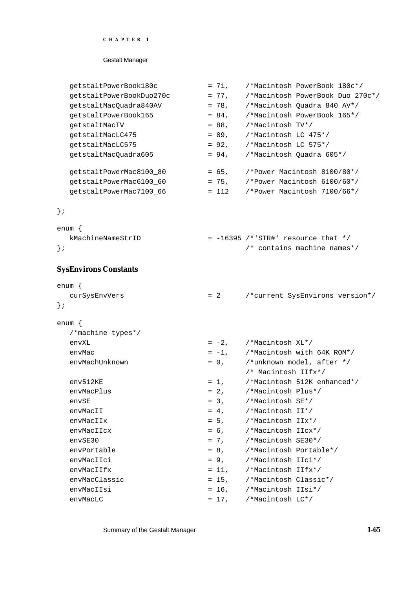## Gestalt Manager

| qetstaltPowerBook180c    | $= 71$ , | /*Macintosh PowerBook 180c*/     |
|--------------------------|----------|----------------------------------|
| qetstaltPowerBookDuo270c | $= 77.$  | /*Macintosh PowerBook Duo 270c*/ |
| qetstaltMacQuadra840AV   | $= 78.$  | /*Macintosh Ouadra 840 AV*/      |
| qetstaltPowerBook165     | $= 84$ , | /*Macintosh PowerBook 165*/      |
| qetstaltMacTV            | $= 88.$  | /*Macintosh TV*/                 |
| qetstaltMacLC475         | $= 89.$  | /*Macintosh LC 475*/             |
| qetstaltMacLC575         | $= 92.$  | /*Macintosh LC 575*/             |
| qetstaltMacOuadra605     | $= 94.$  | /*Macintosh Ouadra 605*/         |
|                          |          |                                  |
| getstaltPowerMac8100_80  | $= 65$ , | /*Power Macintosh 8100/80*/      |
| qetstaltPowerMac6100 60  | $= 75.$  | /*Power Macintosh 6100/60*/      |
| qetstaltPowerMac7100 66  | $= 112$  | /*Power Macintosh 7100/66*/      |
|                          |          |                                  |

# };

| enum {            |                                      |  |  |
|-------------------|--------------------------------------|--|--|
| kMachineNameStrID | $= -16395$ /*'STR#' resource that */ |  |  |
| $\}$ ;            | $\prime$ * contains machine names*/  |  |  |

# **SysEnvirons Constants**

| $enum \{$         |  |       |                               |                                     |  |
|-------------------|--|-------|-------------------------------|-------------------------------------|--|
| curSysEnvVers     |  | $= 2$ |                               | /*current SysEnvirons version*/     |  |
| $\}$ ;            |  |       |                               |                                     |  |
| $enum \{$         |  |       |                               |                                     |  |
| /*machine types*/ |  |       |                               |                                     |  |
| envXL             |  |       | $= -2$ , $/$ *Macintosh XL*/  |                                     |  |
| envMac            |  |       |                               | $= -1$ , /*Macintosh with 64K ROM*/ |  |
| envMachUnknown    |  |       |                               | $= 0$ , /*unknown model, after */   |  |
|                   |  |       | /* Macintosh IIfx*/           |                                     |  |
| env512KE          |  |       |                               | $= 1,$ /*Macintosh 512K enhanced*/  |  |
| envMacPlus        |  |       | $= 2$ , $/$ *Macintosh Plus*/ |                                     |  |
| envSE             |  |       | $= 3,$ /*Macintosh SE*/       |                                     |  |
| envMacII          |  |       | $= 4,$ /*Macintosh II*/       |                                     |  |
| envMacIIx         |  |       | $= 5$ , $/$ *Macintosh IIx*/  |                                     |  |
| envMacIIcx        |  |       | $= 6$ , /*Macintosh IIcx*/    |                                     |  |
| envSE30           |  |       | $= 7,$ /*Macintosh SE30*/     |                                     |  |
| envPortable       |  |       | = 8, /*Macintosh Portable*/   |                                     |  |
| envMacIIci        |  |       | $= 9$ , $/$ *Macintosh IIci*/ |                                     |  |
| envMacIIfx        |  |       | $= 11,$ /*Macintosh IIfx*/    |                                     |  |
| envMacClassic     |  |       | = 15, /*Macintosh Classic*/   |                                     |  |
| envMacIIsi        |  |       | $= 16$ . /*Macintosh IIsi*/   |                                     |  |
| envMacLC          |  |       | $= 17$ , $/$ *Macintosh LC*/  |                                     |  |

Summary of the Gestalt Manager **1-65**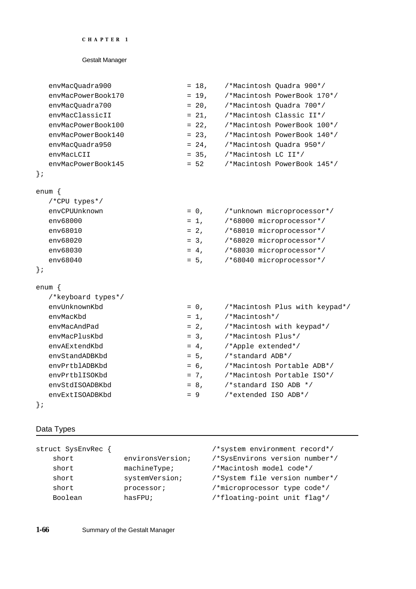# Gestalt Manager

| envMacQuadra900    | $= 18.$ |                     | /*Macintosh Ouadra 900*/                |
|--------------------|---------|---------------------|-----------------------------------------|
| envMacPowerBook170 |         |                     | $= 19$ , $/$ *Macintosh PowerBook 170*/ |
| envMacQuadra700    | $= 20.$ |                     | /*Macintosh Ouadra 700*/                |
| envMacClassicII    | $= 21.$ |                     | /*Macintosh Classic II*/                |
| envMacPowerBook100 | $= 22.$ |                     | /*Macintosh PowerBook 100*/             |
| envMacPowerBook140 | $= 23.$ |                     | /*Macintosh PowerBook 140*/             |
| envMacQuadra950    | $= 24.$ |                     | /*Macintosh Ouadra 950*/                |
| envMacLCII         | $= 35.$ | /*Macintosh LC II*/ |                                         |
| envMacPowerBook145 | $= 52$  |                     | /*Macintosh PowerBook 145*/             |
|                    |         |                     |                                         |

# };

| enum          |         |                            |
|---------------|---------|----------------------------|
| /*CPU types*/ |         |                            |
| envCPUUnknown | $= 0$ , | /*unknown microprocessor*/ |
| env68000      | $= 1$ . | /*68000 microprocessor*/   |
| eny68010      | $= 2.$  | /*68010 microprocessor*/   |
| eny68020      | $= 3.$  | /*68020 microprocessor*/   |
| eny68030      | $= 4.$  | /*68030 microprocessor*/   |
| eny68040      | $= 5.$  | /*68040 microprocessor*/   |
|               |         |                            |

# };

| enum               |         |                                |
|--------------------|---------|--------------------------------|
| /*keyboard types*/ |         |                                |
| envUnknownKbd      | $= 0$ , | /*Macintosh Plus with keypad*/ |
| envMacKbd          | $= 1$ , | /*Macintosh*/                  |
| envMacAndPad       | $= 2,$  | /*Macintosh with keypad*/      |
| envMacPlusKbd      | $= 3.$  | /*Macintosh Plus*/             |
| envAExtendKbd      | $= 4.$  | /*Apple extended*/             |
| envStandADBKbd     | $= 5.$  | /*standard ADB*/               |
| envPrtblADBKbd     | $= 6.$  | /*Macintosh Portable ADB*/     |
| envPrtblISOKbd     | $= 7.$  | /*Macintosh Portable ISO*/     |
| envStdISOADBKbd    | $= 8.$  | /*standard ISO ADB */          |
| envExtISOADBKbd    | $= 9$   | /*extended ISO ADB*/           |
|                    |         |                                |

# };

# Data Types

| struct SysEnvRec { |                  | /*system environment record*/  |
|--------------------|------------------|--------------------------------|
| short              | environsVersion; | /*SysEnvirons version number*/ |
| short              | machineType;     | /*Macintosh model code*/       |
| short              | systemVersion;   | /*System file version number*/ |
| short              | processor;       | /*microprocessor type code*/   |
| Boolean            | has FPIJ;        | /*floating-point unit flag*/   |
|                    |                  |                                |

**1-66** Summary of the Gestalt Manager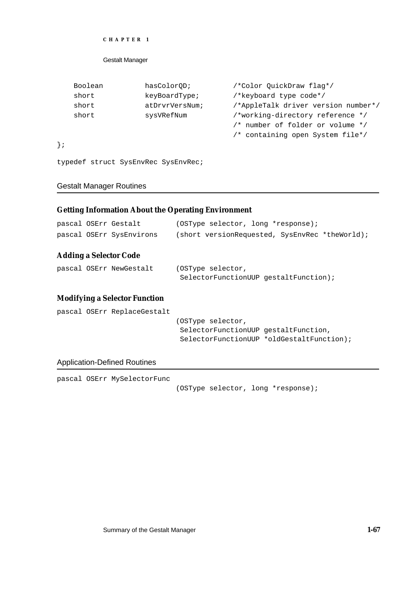## Gestalt Manager

| Boolean | hasColorOD;    | /*Color QuickDraw flag*/            |
|---------|----------------|-------------------------------------|
| short   | keyBoardType;  | /*keyboard type code*/              |
| short   | atDrvrVersNum; | /*AppleTalk driver version number*/ |
| short   | sysVRefNum     | /*working-directory reference */    |
|         |                | /* number of folder or volume */    |
|         |                | /* containing open System file*/    |

};

typedef struct SysEnvRec SysEnvRec;

# Gestalt Manager Routines

# **Getting Information About the Operating Environment**

| pascal OSErr Gestalt<br>pascal OSErr SysEnvirons | (OSType selector, long *response);<br>(short versionRequested, SysEnvRec *theWorld);                   |  |  |
|--------------------------------------------------|--------------------------------------------------------------------------------------------------------|--|--|
| <b>Adding a Selector Code</b>                    |                                                                                                        |  |  |
| pascal OSErr NewGestalt                          | (OSType selector,<br>SelectorFunctionUUP gestaltFunction);                                             |  |  |
| <b>Modifying a Selector Function</b>             |                                                                                                        |  |  |
| pascal OSErr ReplaceGestalt                      | (OSType selector,<br>SelectorFunctionUUP gestaltFunction,<br>SelectorFunctionUUP *oldGestaltFunction); |  |  |

# Application-Defined Routines

pascal OSErr MySelectorFunc

(OSType selector, long \*response);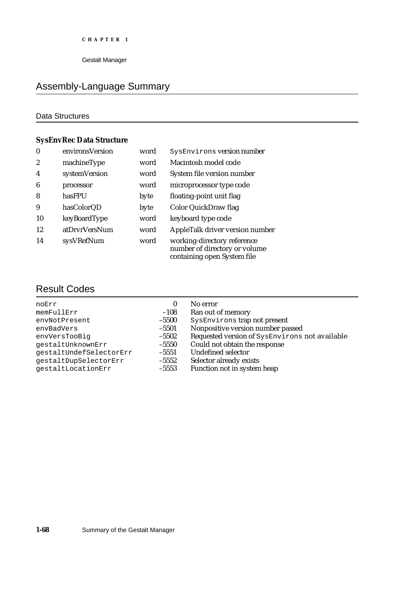# Assembly-Language Summary

# Data Structures

# **SysEnvRec Data Structure**

| $\boldsymbol{0}$ | environsVersion | word | SysEnvirons version number                                                                  |
|------------------|-----------------|------|---------------------------------------------------------------------------------------------|
| $\boldsymbol{2}$ | machineType     | word | Macintosh model code                                                                        |
| $\boldsymbol{4}$ | systemVersion   | word | System file version number                                                                  |
| 6                | processor       | word | microprocessor type code                                                                    |
| 8                | hasFPU          | byte | floating-point unit flag                                                                    |
| 9                | hasColorQD      | byte | Color QuickDraw flag                                                                        |
| 10               | keyBoardType    | word | keyboard type code                                                                          |
| 12               | atDrvrVersNum   | word | AppleTalk driver version number                                                             |
| 14               | sysVRefNum      | word | working-directory reference<br>number of directory or volume<br>containing open System file |

# Result Codes

| 0       | No error<br>Ran out of memory                  |
|---------|------------------------------------------------|
| $-5500$ | SysEnvirons trap not present                   |
| $-5501$ | Nonpositive version number passed              |
| $-5502$ | Requested version of SysEnvirons not available |
| $-5550$ | Could not obtain the response                  |
| $-5551$ | <b>Undefined selector</b>                      |
| $-5552$ | Selector already exists                        |
| $-5553$ | Function not in system heap                    |
|         | $-108$                                         |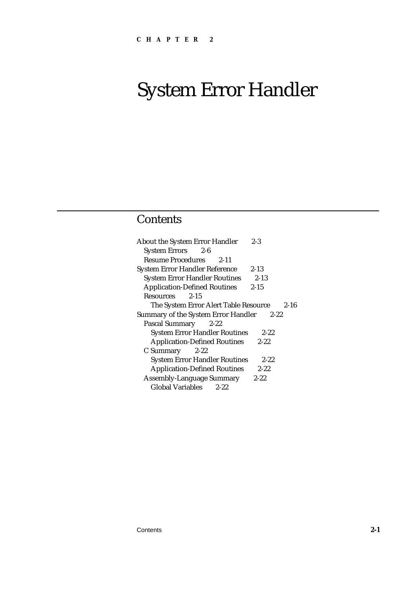# **Contents**

| <b>About the System Error Handler</b><br>$2 - 3$  |
|---------------------------------------------------|
| System Errors 2-6                                 |
| <b>Resume Procedures</b><br>$2 - 11$              |
| $2 - 13$<br><b>System Error Handler Reference</b> |
| $2 - 13$<br><b>System Error Handler Routines</b>  |
| <b>Application-Defined Routines</b><br>$2 - 15$   |
| $2 - 15$<br><b>Resources</b>                      |
| The System Error Alert Table Resource<br>$2 - 16$ |
| Summary of the System Error Handler<br>$2 - 22$   |
| Pascal Summary 2-22                               |
| <b>System Error Handler Routines</b><br>$2 - 22$  |
| <b>Application-Defined Routines</b><br>$2 - 22$   |
| $C$ Summary 2-22                                  |
| <b>System Error Handler Routines</b><br>$2 - 22$  |
| <b>Application-Defined Routines</b><br>$2 - 22$   |
| <b>Assembly-Language Summary</b><br>$2 - 22$      |
| <b>Global Variables</b><br>$2 - 22$               |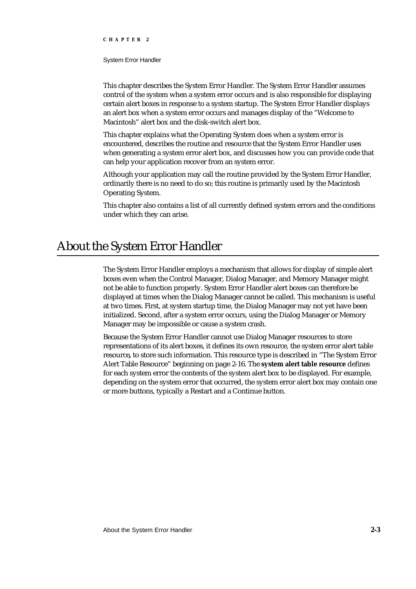#### System Error Handler

This chapter describes the System Error Handler. The System Error Handler assumes control of the system when a system error occurs and is also responsible for displaying certain alert boxes in response to a system startup. The System Error Handler displays an alert box when a system error occurs and manages display of the "Welcome to Macintosh" alert box and the disk-switch alert box.

This chapter explains what the Operating System does when a system error is encountered, describes the routine and resource that the System Error Handler uses when generating a system error alert box, and discusses how you can provide code that can help your application recover from an system error.

Although your application may call the routine provided by the System Error Handler, ordinarily there is no need to do so; this routine is primarily used by the Macintosh Operating System.

This chapter also contains a list of all currently defined system errors and the conditions under which they can arise.

# About the System Error Handler

The System Error Handler employs a mechanism that allows for display of simple alert boxes even when the Control Manager, Dialog Manager, and Memory Manager might not be able to function properly. System Error Handler alert boxes can therefore be displayed at times when the Dialog Manager cannot be called. This mechanism is useful at two times. First, at system startup time, the Dialog Manager may not yet have been initialized. Second, after a system error occurs, using the Dialog Manager or Memory Manager may be impossible or cause a system crash.

Because the System Error Handler cannot use Dialog Manager resources to store representations of its alert boxes, it defines its own resource, the system error alert table resource**,** to store such information. This resource type is described in "The System Error Alert Table Resource" beginning on page 2-16. The **system alert table resource** defines for each system error the contents of the system alert box to be displayed. For example, depending on the system error that occurred, the system error alert box may contain one or more buttons, typically a Restart and a Continue button.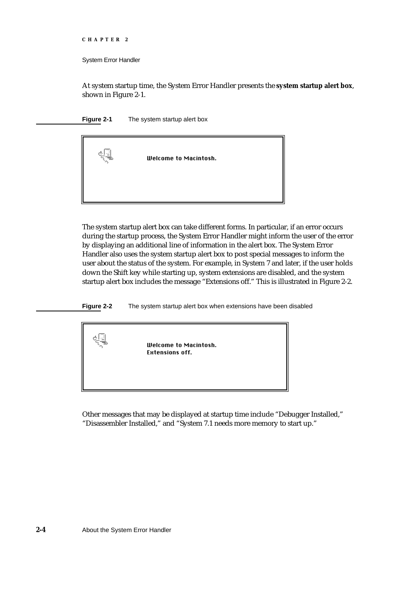```
CHAPTER 2
```
At system startup time, the System Error Handler presents the **system startup alert box**, shown in Figure 2-1.





The system startup alert box can take different forms. In particular, if an error occurs during the startup process, the System Error Handler might inform the user of the error by displaying an additional line of information in the alert box. The System Error Handler also uses the system startup alert box to post special messages to inform the user about the status of the system. For example, in System 7 and later, if the user holds down the Shift key while starting up, system extensions are disabled, and the system startup alert box includes the message "Extensions off." This is illustrated in Figure 2-2.

**Figure 2-2** The system startup alert box when extensions have been disabled



Other messages that may be displayed at startup time include "Debugger Installed," "Disassembler Installed," and "System 7.1 needs more memory to start up."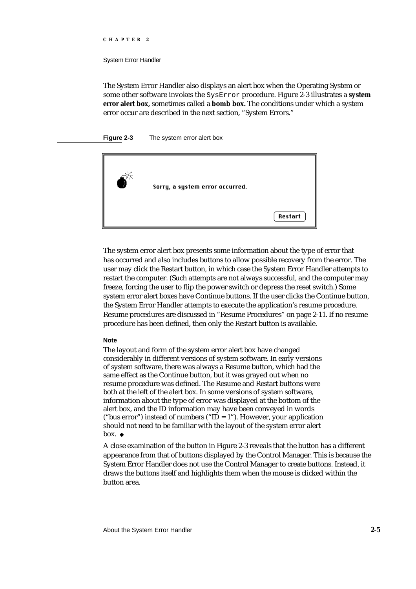#### System Error Handler

The System Error Handler also displays an alert box when the Operating System or some other software invokes the SysError procedure. Figure 2-3 illustrates a **system error alert box,** sometimes called a **bomb box.** The conditions under which a system error occur are described in the next section, "System Errors."

#### **Figure 2-3** The system error alert box



The system error alert box presents some information about the type of error that has occurred and also includes buttons to allow possible recovery from the error. The user may click the Restart button, in which case the System Error Handler attempts to restart the computer. (Such attempts are not always successful, and the computer may freeze, forcing the user to flip the power switch or depress the reset switch.) Some system error alert boxes have Continue buttons. If the user clicks the Continue button, the System Error Handler attempts to execute the application's resume procedure. Resume procedures are discussed in "Resume Procedures" on page 2-11. If no resume procedure has been defined, then only the Restart button is available.

#### **Note**

The layout and form of the system error alert box have changed considerably in different versions of system software. In early versions of system software, there was always a Resume button, which had the same effect as the Continue button, but it was grayed out when no resume procedure was defined. The Resume and Restart buttons were both at the left of the alert box. In some versions of system software, information about the type of error was displayed at the bottom of the alert box, and the ID information may have been conveyed in words ("bus error") instead of numbers ("ID = 1"). However, your application should not need to be familiar with the layout of the system error alert box. u

A close examination of the button in Figure 2-3 reveals that the button has a different appearance from that of buttons displayed by the Control Manager. This is because the System Error Handler does not use the Control Manager to create buttons. Instead, it draws the buttons itself and highlights them when the mouse is clicked within the button area.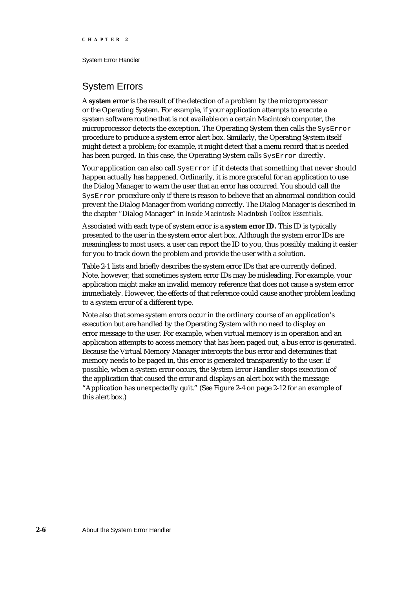# System Errors

A **system error** is the result of the detection of a problem by the microprocessor or the Operating System. For example, if your application attempts to execute a system software routine that is not available on a certain Macintosh computer, the microprocessor detects the exception. The Operating System then calls the SysError procedure to produce a system error alert box. Similarly, the Operating System itself might detect a problem; for example, it might detect that a menu record that is needed has been purged. In this case, the Operating System calls SysError directly.

Your application can also call SysError if it detects that something that never should happen actually has happened. Ordinarily, it is more graceful for an application to use the Dialog Manager to warn the user that an error has occurred. You should call the SysError procedure only if there is reason to believe that an abnormal condition could prevent the Dialog Manager from working correctly. The Dialog Manager is described in the chapter "Dialog Manager" in *Inside Macintosh: Macintosh Toolbox Essentials*.

Associated with each type of system error is a **system error ID.** This ID is typically presented to the user in the system error alert box. Although the system error IDs are meaningless to most users, a user can report the ID to you, thus possibly making it easier for you to track down the problem and provide the user with a solution.

Table 2-1 lists and briefly describes the system error IDs that are currently defined. Note, however, that sometimes system error IDs may be misleading. For example, your application might make an invalid memory reference that does not cause a system error immediately. However, the effects of that reference could cause another problem leading to a system error of a different type.

Note also that some system errors occur in the ordinary course of an application's execution but are handled by the Operating System with no need to display an error message to the user. For example, when virtual memory is in operation and an application attempts to access memory that has been paged out, a bus error is generated. Because the Virtual Memory Manager intercepts the bus error and determines that memory needs to be paged in, this error is generated transparently to the user. If possible, when a system error occurs, the System Error Handler stops execution of the application that caused the error and displays an alert box with the message "Application has unexpectedly quit." (See Figure 2-4 on page 2-12 for an example of this alert box.)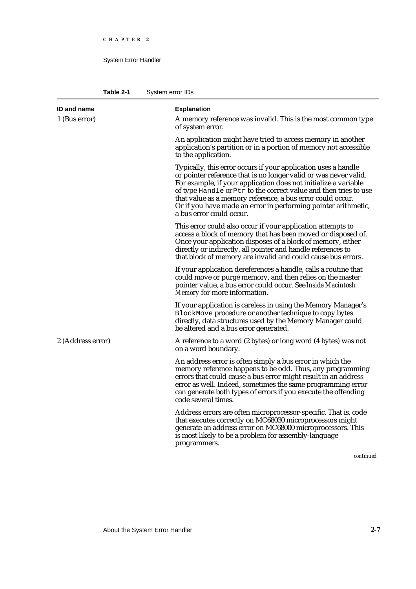| Table 2-1 | System error IDs |
|-----------|------------------|
|-----------|------------------|

| <b>ID and name</b> | <b>Explanation</b>                                                                                                                                                                                                                                                                                                                                                                                                                    |
|--------------------|---------------------------------------------------------------------------------------------------------------------------------------------------------------------------------------------------------------------------------------------------------------------------------------------------------------------------------------------------------------------------------------------------------------------------------------|
| 1 (Bus error)      | A memory reference was invalid. This is the most common type<br>of system error.                                                                                                                                                                                                                                                                                                                                                      |
|                    | An application might have tried to access memory in another<br>application's partition or in a portion of memory not accessible<br>to the application.                                                                                                                                                                                                                                                                                |
|                    | Typically, this error occurs if your application uses a handle<br>or pointer reference that is no longer valid or was never valid.<br>For example, if your application does not initialize a variable<br>of type Handle or Ptr to the correct value and then tries to use<br>that value as a memory reference, a bus error could occur.<br>Or if you have made an error in performing pointer arithmetic,<br>a bus error could occur. |
|                    | This error could also occur if your application attempts to<br>access a block of memory that has been moved or disposed of.<br>Once your application disposes of a block of memory, either<br>directly or indirectly, all pointer and handle references to<br>that block of memory are invalid and could cause bus errors.                                                                                                            |
|                    | If your application dereferences a handle, calls a routine that<br>could move or purge memory, and then relies on the master<br>pointer value, a bus error could occur. See Inside Macintosh:<br>Memory for more information.                                                                                                                                                                                                         |
|                    | If your application is careless in using the Memory Manager's<br>BlockMove procedure or another technique to copy bytes<br>directly, data structures used by the Memory Manager could<br>be altered and a bus error generated.                                                                                                                                                                                                        |
| 2 (Address error)  | A reference to a word (2 bytes) or long word (4 bytes) was not<br>on a word boundary.                                                                                                                                                                                                                                                                                                                                                 |
|                    | An address error is often simply a bus error in which the<br>memory reference happens to be odd. Thus, any programming<br>errors that could cause a bus error might result in an address<br>error as well. Indeed, sometimes the same programming error<br>can generate both types of errors if you execute the offending<br>code several times.                                                                                      |
|                    | Address errors are often microprocessor-specific. That is, code<br>that executes correctly on MC68030 microprocessors might<br>generate an address error on MC68000 microprocessors. This<br>is most likely to be a problem for assembly-language<br>programmers.                                                                                                                                                                     |
|                    | continued                                                                                                                                                                                                                                                                                                                                                                                                                             |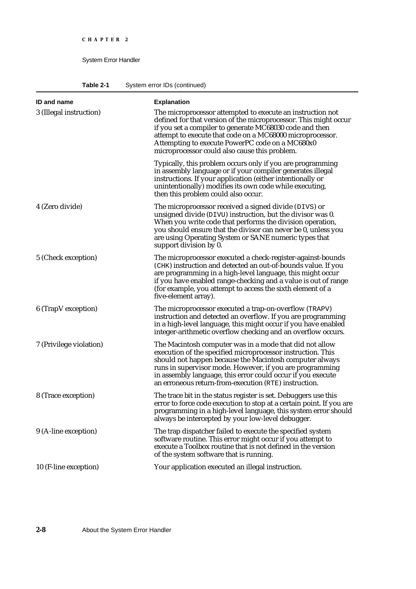**Table 2-1** System error IDs (continued)

| <b>ID and name</b>      | <b>Explanation</b>                                                                                                                                                                                                                                                                                                                                                    |
|-------------------------|-----------------------------------------------------------------------------------------------------------------------------------------------------------------------------------------------------------------------------------------------------------------------------------------------------------------------------------------------------------------------|
| 3 (Illegal instruction) | The microprocessor attempted to execute an instruction not<br>defined for that version of the microprocessor. This might occur<br>if you set a compiler to generate MC68030 code and then<br>attempt to execute that code on a MC68000 microprocessor.<br>Attempting to execute PowerPC code on a MC680x0<br>microprocessor could also cause this problem.            |
|                         | Typically, this problem occurs only if you are programming<br>in assembly language or if your compiler generates illegal<br>instructions. If your application (either intentionally or<br>unintentionally) modifies its own code while executing,<br>then this problem could also occur.                                                                              |
| 4 (Zero divide)         | The microprocessor received a signed divide (DIVS) or<br>unsigned divide (DIVU) instruction, but the divisor was 0.<br>When you write code that performs the division operation,<br>you should ensure that the divisor can never be 0, unless you<br>are using Operating System or SANE numeric types that<br>support division by 0.                                  |
| 5 (Check exception)     | The microprocessor executed a check-register-against-bounds<br>(CHK) instruction and detected an out-of-bounds value. If you<br>are programming in a high-level language, this might occur<br>if you have enabled range-checking and a value is out of range<br>(for example, you attempt to access the sixth element of a<br>five-element array).                    |
| 6 (TrapV exception)     | The microprocessor executed a trap-on-overflow (TRAPV)<br>instruction and detected an overflow. If you are programming<br>in a high-level language, this might occur if you have enabled<br>integer-arithmetic overflow checking and an overflow occurs.                                                                                                              |
| 7 (Privilege violation) | The Macintosh computer was in a mode that did not allow<br>execution of the specified microprocessor instruction. This<br>should not happen because the Macintosh computer always<br>runs in supervisor mode. However, if you are programming<br>in assembly language, this error could occur if you execute<br>an erroneous return-from-execution (RTE) instruction. |
| 8 (Trace exception)     | The trace bit in the status register is set. Debuggers use this<br>error to force code execution to stop at a certain point. If you are<br>programming in a high-level language, this system error should<br>always be intercepted by your low-level debugger.                                                                                                        |
| 9 (A-line exception)    | The trap dispatcher failed to execute the specified system<br>software routine. This error might occur if you attempt to<br>execute a Toolbox routine that is not defined in the version<br>of the system software that is running.                                                                                                                                   |
| 10 (F-line exception)   | Your application executed an illegal instruction.                                                                                                                                                                                                                                                                                                                     |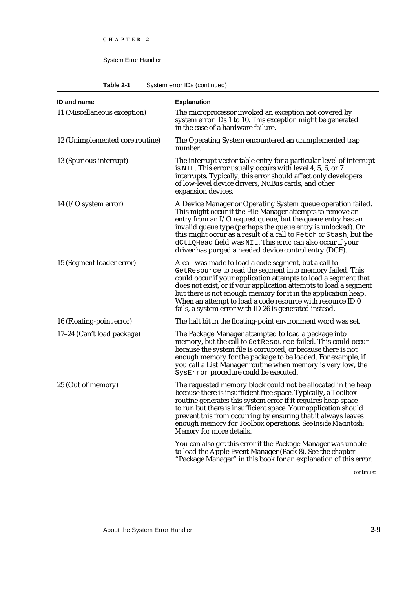**Table 2-1** System error IDs (continued)

| <b>ID and name</b>              | <b>Explanation</b>                                                                                                                                                                                                                                                                                                                                                                                                                                     |
|---------------------------------|--------------------------------------------------------------------------------------------------------------------------------------------------------------------------------------------------------------------------------------------------------------------------------------------------------------------------------------------------------------------------------------------------------------------------------------------------------|
| 11 (Miscellaneous exception)    | The microprocessor invoked an exception not covered by<br>system error IDs 1 to 10. This exception might be generated<br>in the case of a hardware failure.                                                                                                                                                                                                                                                                                            |
| 12 (Unimplemented core routine) | The Operating System encountered an unimplemented trap<br>number.                                                                                                                                                                                                                                                                                                                                                                                      |
| 13 (Spurious interrupt)         | The interrupt vector table entry for a particular level of interrupt<br>is NIL. This error usually occurs with level 4, 5, 6, or 7<br>interrupts. Typically, this error should affect only developers<br>of low-level device drivers, NuBus cards, and other<br>expansion devices.                                                                                                                                                                     |
| 14 ( $I/O$ system error)        | A Device Manager or Operating System queue operation failed.<br>This might occur if the File Manager attempts to remove an<br>entry from an I/O request queue, but the queue entry has an<br>invalid queue type (perhaps the queue entry is unlocked). Or<br>this might occur as a result of a call to Fetch or Stash, but the<br>dCt1QHead field was NIL. This error can also occur if your<br>driver has purged a needed device control entry (DCE). |
| 15 (Segment loader error)       | A call was made to load a code segment, but a call to<br>GetResource to read the segment into memory failed. This<br>could occur if your application attempts to load a segment that<br>does not exist, or if your application attempts to load a segment<br>but there is not enough memory for it in the application heap.<br>When an attempt to load a code resource with resource ID 0<br>fails, a system error with ID 26 is generated instead.    |
| 16 (Floating-point error)       | The halt bit in the floating-point environment word was set.                                                                                                                                                                                                                                                                                                                                                                                           |
| 17-24 (Can't load package)      | The Package Manager attempted to load a package into<br>memory, but the call to GetResource failed. This could occur<br>because the system file is corrupted, or because there is not<br>enough memory for the package to be loaded. For example, if<br>you call a List Manager routine when memory is very low, the<br>SysError procedure could be executed.                                                                                          |
| 25 (Out of memory)              | The requested memory block could not be allocated in the heap<br>because there is insufficient free space. Typically, a Toolbox<br>routine generates this system error if it requires heap space<br>to run but there is insufficient space. Your application should<br>prevent this from occurring by ensuring that it always leaves<br>enough memory for Toolbox operations. See Inside Macintosh:<br>Memory for more details.                        |
|                                 | You can also get this error if the Package Manager was unable<br>to load the Apple Event Manager (Pack 8). See the chapter<br>"Package Manager" in this book for an explanation of this error.                                                                                                                                                                                                                                                         |

*continued*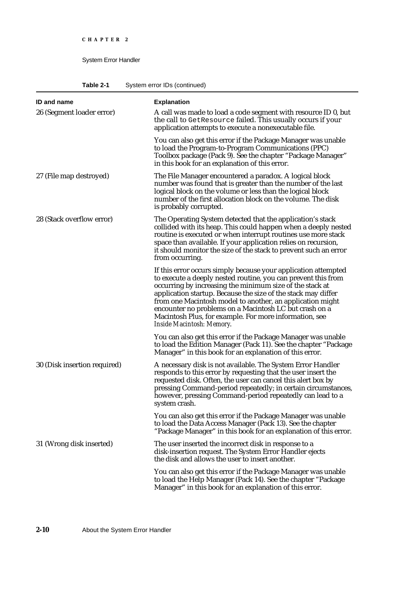**Table 2-1** System error IDs (continued)

| ID and name                  | <b>Explanation</b>                                                                                                                                                                                                                                                                                                                                                                                                                                                         |
|------------------------------|----------------------------------------------------------------------------------------------------------------------------------------------------------------------------------------------------------------------------------------------------------------------------------------------------------------------------------------------------------------------------------------------------------------------------------------------------------------------------|
| 26 (Segment loader error)    | A call was made to load a code segment with resource ID 0, but<br>the call to GetResource failed. This usually occurs if your<br>application attempts to execute a nonexecutable file.                                                                                                                                                                                                                                                                                     |
|                              | You can also get this error if the Package Manager was unable<br>to load the Program-to-Program Communications (PPC)<br>Toolbox package (Pack 9). See the chapter "Package Manager"<br>in this book for an explanation of this error.                                                                                                                                                                                                                                      |
| 27 (File map destroyed)      | The File Manager encountered a paradox. A logical block<br>number was found that is greater than the number of the last<br>logical block on the volume or less than the logical block<br>number of the first allocation block on the volume. The disk<br>is probably corrupted.                                                                                                                                                                                            |
| 28 (Stack overflow error)    | The Operating System detected that the application's stack<br>collided with its heap. This could happen when a deeply nested<br>routine is executed or when interrupt routines use more stack<br>space than available. If your application relies on recursion,<br>it should monitor the size of the stack to prevent such an error<br>from occurring.                                                                                                                     |
|                              | If this error occurs simply because your application attempted<br>to execute a deeply nested routine, you can prevent this from<br>occurring by increasing the minimum size of the stack at<br>application startup. Because the size of the stack may differ<br>from one Macintosh model to another, an application might<br>encounter no problems on a Macintosh LC but crash on a<br>Macintosh Plus, for example. For more information, see<br>Inside Macintosh: Memory. |
|                              | You can also get this error if the Package Manager was unable<br>to load the Edition Manager (Pack 11). See the chapter "Package<br>Manager" in this book for an explanation of this error.                                                                                                                                                                                                                                                                                |
| 30 (Disk insertion required) | A necessary disk is not available. The System Error Handler<br>responds to this error by requesting that the user insert the<br>requested disk. Often, the user can cancel this alert box by<br>pressing Command-period repeatedly; in certain circumstances,<br>however, pressing Command-period repeatedly can lead to a<br>system crash.                                                                                                                                |
|                              | You can also get this error if the Package Manager was unable<br>to load the Data Access Manager (Pack 13). See the chapter<br>"Package Manager" in this book for an explanation of this error.                                                                                                                                                                                                                                                                            |
| 31 (Wrong disk inserted)     | The user inserted the incorrect disk in response to a<br>disk-insertion request. The System Error Handler ejects<br>the disk and allows the user to insert another.                                                                                                                                                                                                                                                                                                        |
|                              | You can also get this error if the Package Manager was unable<br>to load the Help Manager (Pack 14). See the chapter "Package<br>Manager" in this book for an explanation of this error.                                                                                                                                                                                                                                                                                   |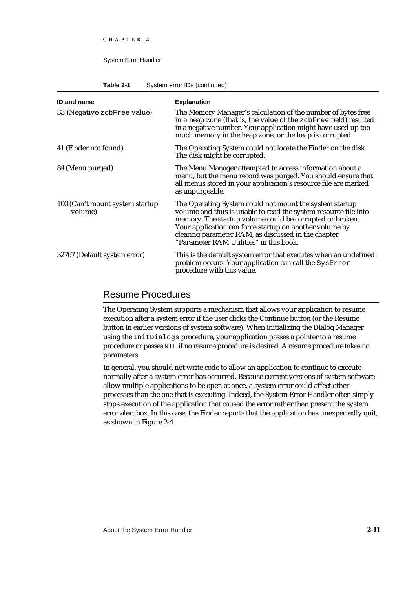**Table 2-1** System error IDs (continued)

| <b>ID and name</b>                          | <b>Explanation</b>                                                                                                                                                                                                                                                                                                                                  |
|---------------------------------------------|-----------------------------------------------------------------------------------------------------------------------------------------------------------------------------------------------------------------------------------------------------------------------------------------------------------------------------------------------------|
| 33 (Negative zcbFree value)                 | The Memory Manager's calculation of the number of bytes free<br>in a heap zone (that is, the value of the zcbFree field) resulted<br>in a negative number. Your application might have used up too<br>much memory in the heap zone, or the heap is corrupted                                                                                        |
| 41 (Finder not found)                       | The Operating System could not locate the Finder on the disk.<br>The disk might be corrupted.                                                                                                                                                                                                                                                       |
| 84 (Menu purged)                            | The Menu Manager attempted to access information about a<br>menu, but the menu record was purged. You should ensure that<br>all menus stored in your application's resource file are marked<br>as unpurgeable.                                                                                                                                      |
| 100 (Can't mount system startup)<br>volume) | The Operating System could not mount the system startup<br>volume and thus is unable to read the system resource file into<br>memory. The startup volume could be corrupted or broken.<br>Your application can force startup on another volume by<br>clearing parameter RAM, as discussed in the chapter<br>"Parameter RAM Utilities" in this book. |
| 32767 (Default system error)                | This is the default system error that executes when an undefined<br>problem occurs. Your application can call the SysError<br>procedure with this value.                                                                                                                                                                                            |

# Resume Procedures

The Operating System supports a mechanism that allows your application to resume execution after a system error if the user clicks the Continue button (or the Resume button in earlier versions of system software). When initializing the Dialog Manager using the InitDialogs procedure, your application passes a pointer to a resume procedure or passes NIL if no resume procedure is desired. A resume procedure takes no parameters.

In general, you should not write code to allow an application to continue to execute normally after a system error has occurred. Because current versions of system software allow multiple applications to be open at once, a system error could affect other processes than the one that is executing. Indeed, the System Error Handler often simply stops execution of the application that caused the error rather than present the system error alert box. In this case, the Finder reports that the application has unexpectedly quit, as shown in Figure 2-4.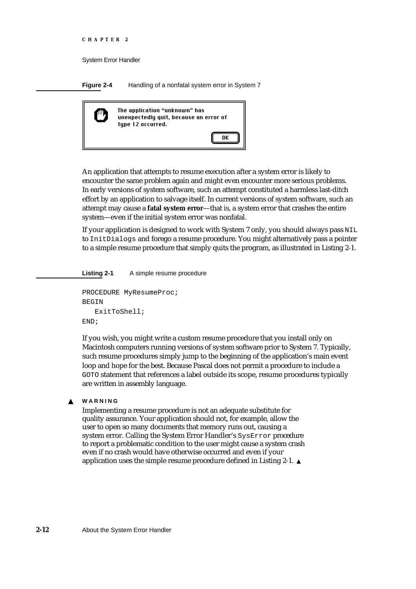```
CHAPTER 2
```
**Figure 2-4** Handling of a nonfatal system error in System 7



An application that attempts to resume execution after a system error is likely to encounter the same problem again and might even encounter more serious problems. In early versions of system software, such an attempt constituted a harmless last-ditch effort by an application to salvage itself. In current versions of system software, such an attempt may cause a **fatal system error**—that is, a system error that crashes the entire system—even if the initial system error was nonfatal.

If your application is designed to work with System 7 only, you should always pass NIL to InitDialogs and forego a resume procedure. You might alternatively pass a pointer to a simple resume procedure that simply quits the program, as illustrated in Listing 2-1.

**Listing 2-1** A simple resume procedure

```
PROCEDURE MyResumeProc;
BEGIN
   ExitToShell;
END;
```
If you wish, you might write a custom resume procedure that you install only on Macintosh computers running versions of system software prior to System 7. Typically, such resume procedures simply jump to the beginning of the application's main event loop and hope for the best. Because Pascal does not permit a procedure to include a GOTO statement that references a label outside its scope, resume procedures typically are written in assembly language.

#### **WARNING**  $\mathbf{S}$

Implementing a resume procedure is not an adequate substitute for quality assurance. Your application should not, for example, allow the user to open so many documents that memory runs out, causing a system error. Calling the System Error Handler's SysError procedure to report a problematic condition to the user might cause a system crash even if no crash would have otherwise occurred and even if your application uses the simple resume procedure defined in Listing 2-1.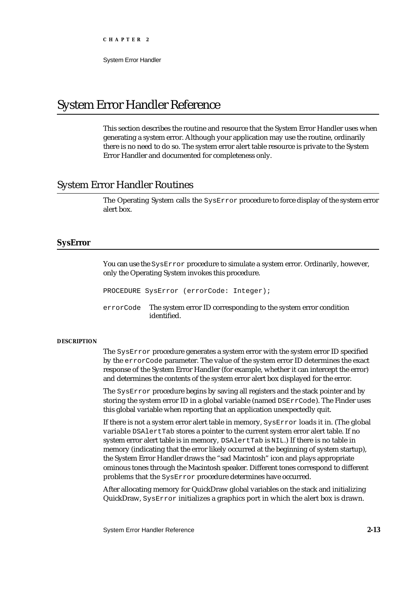System Error Handler

# System Error Handler Reference

This section describes the routine and resource that the System Error Handler uses when generating a system error. Although your application may use the routine, ordinarily there is no need to do so. The system error alert table resource is private to the System Error Handler and documented for completeness only.

# System Error Handler Routines

The Operating System calls the SysError procedure to force display of the system error alert box.

# **SysError**

You can use the SysError procedure to simulate a system error. Ordinarily, however, only the Operating System invokes this procedure.

PROCEDURE SysError (errorCode: Integer);

errorCode The system error ID corresponding to the system error condition identified.

#### **DESCRIPTION**

The SysError procedure generates a system error with the system error ID specified by the errorCode parameter. The value of the system error ID determines the exact response of the System Error Handler (for example, whether it can intercept the error) and determines the contents of the system error alert box displayed for the error.

The SysError procedure begins by saving all registers and the stack pointer and by storing the system error ID in a global variable (named DSErrCode). The Finder uses this global variable when reporting that an application unexpectedly quit.

If there is not a system error alert table in memory, SysError loads it in. (The global variable DSAlertTab stores a pointer to the current system error alert table. If no system error alert table is in memory, DSAlertTab is NIL.) If there is no table in memory (indicating that the error likely occurred at the beginning of system startup), the System Error Handler draws the "sad Macintosh" icon and plays appropriate ominous tones through the Macintosh speaker. Different tones correspond to different problems that the SysError procedure determines have occurred.

After allocating memory for QuickDraw global variables on the stack and initializing QuickDraw, SysError initializes a graphics port in which the alert box is drawn.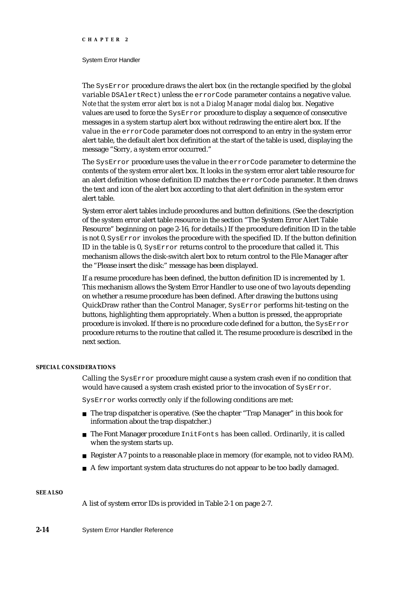#### System Error Handler

The SysError procedure draws the alert box (in the rectangle specified by the global variable DSAlertRect) unless the errorCode parameter contains a negative value. *Note that the system error alert box is not a Dialog Manager modal dialog box.* Negative values are used to force the SysError procedure to display a sequence of consecutive messages in a system startup alert box without redrawing the entire alert box. If the value in the errorCode parameter does not correspond to an entry in the system error alert table, the default alert box definition at the start of the table is used, displaying the message "Sorry, a system error occurred."

The SysError procedure uses the value in the errorCode parameter to determine the contents of the system error alert box. It looks in the system error alert table resource for an alert definition whose definition ID matches the errorCode parameter. It then draws the text and icon of the alert box according to that alert definition in the system error alert table.

System error alert tables include procedures and button definitions. (See the description of the system error alert table resource in the section "The System Error Alert Table Resource" beginning on page 2-16, for details.) If the procedure definition ID in the table is not 0, SysError invokes the procedure with the specified ID. If the button definition ID in the table is 0, SysError returns control to the procedure that called it. This mechanism allows the disk-switch alert box to return control to the File Manager after the "Please insert the disk:" message has been displayed.

If a resume procedure has been defined, the button definition ID is incremented by 1. This mechanism allows the System Error Handler to use one of two layouts depending on whether a resume procedure has been defined. After drawing the buttons using QuickDraw rather than the Control Manager, SysError performs hit-testing on the buttons, highlighting them appropriately. When a button is pressed, the appropriate procedure is invoked. If there is no procedure code defined for a button, the SysError procedure returns to the routine that called it. The resume procedure is described in the next section.

#### **SPECIAL CONSIDERATIONS**

Calling the SysError procedure might cause a system crash even if no condition that would have caused a system crash existed prior to the invocation of SysError.

SysError works correctly only if the following conditions are met:

- $n$  The trap dispatcher is operative. (See the chapter "Trap Manager" in this book for information about the trap dispatcher.)
- n The Font Manager procedure InitFonts has been called. Ordinarily, it is called when the system starts up.
- Register A7 points to a reasonable place in memory (for example, not to video RAM).
- $A$  few important system data structures do not appear to be too badly damaged.

#### **SEE ALSO**

A list of system error IDs is provided in Table 2-1 on page 2-7.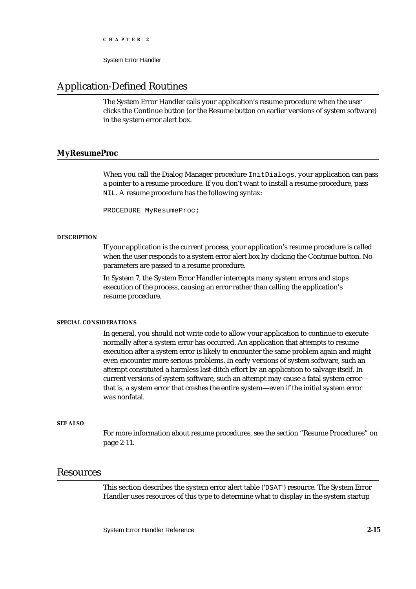System Error Handler

# Application-Defined Routines

The System Error Handler calls your application's resume procedure when the user clicks the Continue button (or the Resume button on earlier versions of system software) in the system error alert box.

## **MyResumeProc**

When you call the Dialog Manager procedure InitDialogs, your application can pass a pointer to a resume procedure. If you don't want to install a resume procedure, pass NIL. A resume procedure has the following syntax:

PROCEDURE MyResumeProc;

#### **DESCRIPTION**

If your application is the current process, your application's resume procedure is called when the user responds to a system error alert box by clicking the Continue button. No parameters are passed to a resume procedure.

In System 7, the System Error Handler intercepts many system errors and stops execution of the process, causing an error rather than calling the application's resume procedure.

#### **SPECIAL CONSIDERATIONS**

In general, you should not write code to allow your application to continue to execute normally after a system error has occurred. An application that attempts to resume execution after a system error is likely to encounter the same problem again and might even encounter more serious problems. In early versions of system software, such an attempt constituted a harmless last-ditch effort by an application to salvage itself. In current versions of system software, such an attempt may cause a fatal system error that is, a system error that crashes the entire system—even if the initial system error was nonfatal.

#### **SEE ALSO**

For more information about resume procedures, see the section "Resume Procedures" on page 2-11.

## Resources

This section describes the system error alert table ('DSAT') resource. The System Error Handler uses resources of this type to determine what to display in the system startup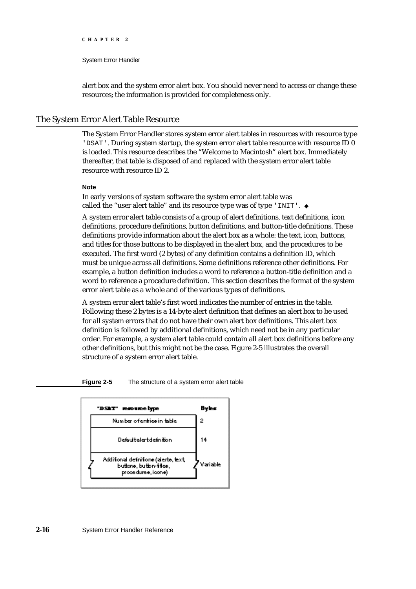#### System Error Handler

alert box and the system error alert box. You should never need to access or change these resources; the information is provided for completeness only.

#### The System Error Alert Table Resource

The System Error Handler stores system error alert tables in resources with resource type 'DSAT'. During system startup, the system error alert table resource with resource ID 0 is loaded. This resource describes the "Welcome to Macintosh" alert box. Immediately thereafter, that table is disposed of and replaced with the system error alert table resource with resource ID 2.

#### **Note**

In early versions of system software the system error alert table was called the "user alert table" and its resource type was of type 'INIT'.

A system error alert table consists of a group of alert definitions, text definitions, icon definitions, procedure definitions, button definitions, and button-title definitions. These definitions provide information about the alert box as a whole: the text, icon, buttons, and titles for those buttons to be displayed in the alert box, and the procedures to be executed. The first word (2 bytes) of any definition contains a definition ID, which must be unique across all definitions. Some definitions reference other definitions. For example, a button definition includes a word to reference a button-title definition and a word to reference a procedure definition. This section describes the format of the system error alert table as a whole and of the various types of definitions.

A system error alert table's first word indicates the number of entries in the table. Following these 2 bytes is a 14-byte alert definition that defines an alert box to be used for all system errors that do not have their own alert box definitions. This alert box definition is followed by additional definitions, which need not be in any particular order. For example, a system alert table could contain all alert box definitions before any other definitions, but this might not be the case. Figure 2-5 illustrates the overall structure of a system error alert table.

**Figure 2-5** The structure of a system error alert table

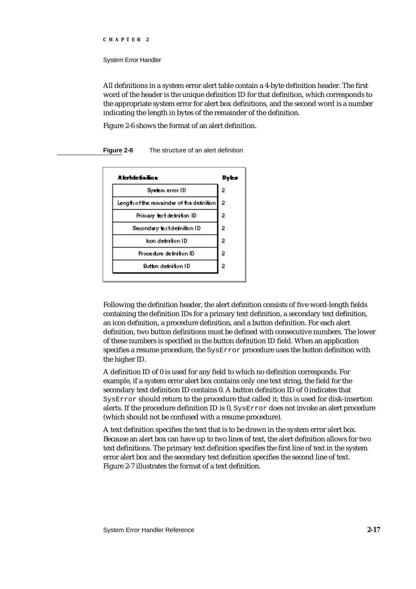System Error Handler

All definitions in a system error alert table contain a 4-byte definition header. The first word of the header is the unique definition ID for that definition, which corresponds to the appropriate system error for alert box definitions, and the second word is a number indicating the length in bytes of the remainder of the definition.

Figure 2-6 shows the format of an alert definition.

#### # betdefinition Byles Syetem error ID 2 Length of the remainder of the definition  $\overline{2}$  $\overline{2}$ Primary text definition ID  $\overline{2}$ Secondary text definition ID loon definition ID 2 Procedure definition ID 2 **Button definition ID** 2

**Figure 2-6** The structure of an alert definition

Following the definition header, the alert definition consists of five word-length fields containing the definition IDs for a primary text definition, a secondary text definition, an icon definition, a procedure definition, and a button definition. For each alert definition, two button definitions must be defined with consecutive numbers. The lower of these numbers is specified in the button definition ID field. When an application specifies a resume procedure, the SysError procedure uses the button definition with the higher ID.

A definition ID of 0 is used for any field to which no definition corresponds. For example, if a system error alert box contains only one text string, the field for the secondary text definition ID contains 0. A button definition ID of 0 indicates that SysError should return to the procedure that called it; this is used for disk-insertion alerts. If the procedure definition ID is 0, SysError does not invoke an alert procedure (which should not be confused with a resume procedure).

A text definition specifies the text that is to be drawn in the system error alert box. Because an alert box can have up to two lines of text, the alert definition allows for two text definitions. The primary text definition specifies the first line of text in the system error alert box and the secondary text definition specifies the second line of text. Figure 2-7 illustrates the format of a text definition.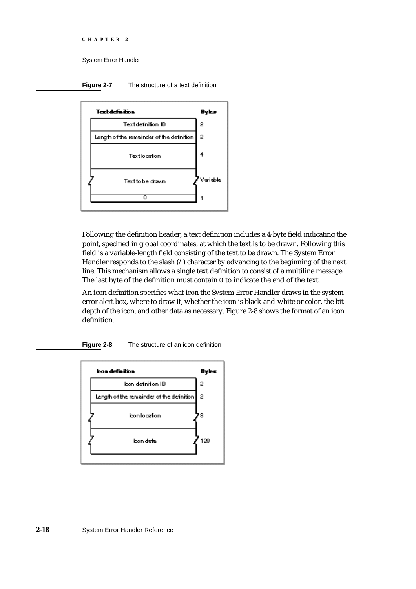```
CHAPTER 2
```
**Figure 2-7** The structure of a text definition



Following the definition header, a text definition includes a 4-byte field indicating the point, specified in global coordinates, at which the text is to be drawn. Following this field is a variable-length field consisting of the text to be drawn. The System Error Handler responds to the slash (/) character by advancing to the beginning of the next line. This mechanism allows a single text definition to consist of a multiline message. The last byte of the definition must contain 0 to indicate the end of the text.

An icon definition specifies what icon the System Error Handler draws in the system error alert box, where to draw it, whether the icon is black-and-white or color, the bit depth of the icon, and other data as necessary. Figure 2-8 shows the format of an icon definition.

**Figure 2-8** The structure of an icon definition

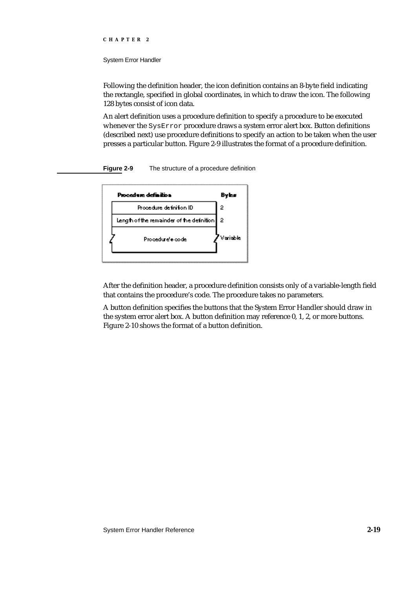#### System Error Handler

Following the definition header, the icon definition contains an 8-byte field indicating the rectangle, specified in global coordinates, in which to draw the icon. The following 128 bytes consist of icon data.

An alert definition uses a procedure definition to specify a procedure to be executed whenever the SysError procedure draws a system error alert box. Button definitions (described next) use procedure definitions to specify an action to be taken when the user presses a particular button. Figure 2-9 illustrates the format of a procedure definition.





After the definition header, a procedure definition consists only of a variable-length field that contains the procedure's code. The procedure takes no parameters.

A button definition specifies the buttons that the System Error Handler should draw in the system error alert box. A button definition may reference 0, 1, 2, or more buttons. Figure 2-10 shows the format of a button definition.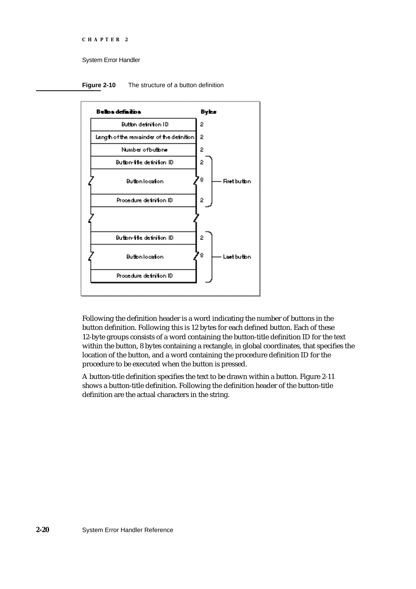```
CHAPTER 2
```
**Figure 2-10** The structure of a button definition



Following the definition header is a word indicating the number of buttons in the button definition. Following this is 12 bytes for each defined button. Each of these 12-byte groups consists of a word containing the button-title definition ID for the text within the button, 8 bytes containing a rectangle, in global coordinates, that specifies the location of the button, and a word containing the procedure definition ID for the procedure to be executed when the button is pressed.

A button-title definition specifies the text to be drawn within a button. Figure 2-11 shows a button-title definition. Following the definition header of the button-title definition are the actual characters in the string.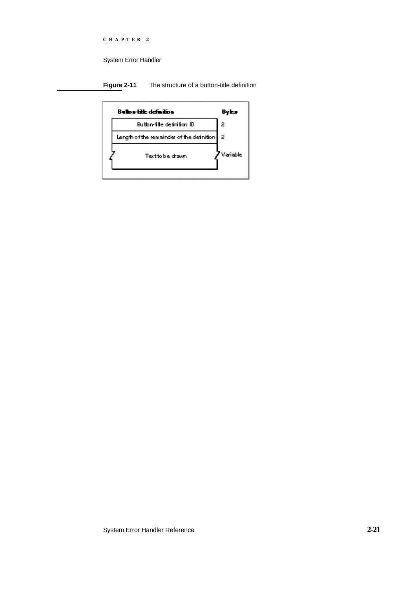System Error Handler

**Figure 2-11** The structure of a button-title definition

| Bullon-lith definition                    | Byl      |
|-------------------------------------------|----------|
| Button-file definition ID.                | 2        |
| Length of the remainder of the definition | 2        |
| Text to be drawn.                         | Variable |
|                                           |          |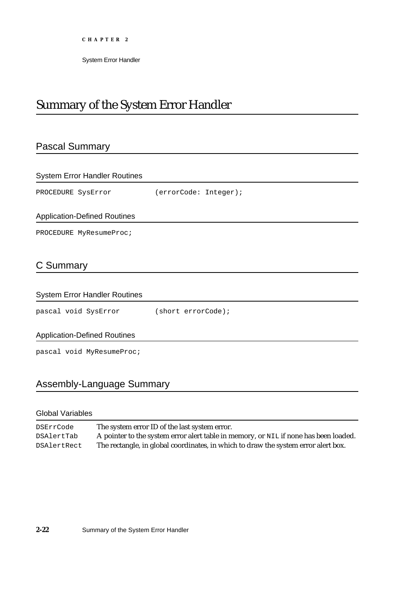System Error Handler

## Summary of the System Error Handler

## Pascal Summary

| <b>System Error Handler Routines</b> |                       |
|--------------------------------------|-----------------------|
| PROCEDURE SysError                   | (errorCode: Integer); |
| <b>Application-Defined Routines</b>  |                       |
| PROCEDURE MyResumeProc;              |                       |
| C Summary                            |                       |
| <b>System Error Handler Routines</b> |                       |
| pascal void SysError                 | (short errorCode);    |
| <b>Application-Defined Routines</b>  |                       |
| pascal void MyResumeProc;            |                       |
|                                      |                       |

## Assembly-Language Summary

## Global Variables

DSErrCode The system error ID of the last system error. DSAlertTab A pointer to the system error alert table in memory, or NIL if none has been loaded. DSAlertRect The rectangle, in global coordinates, in which to draw the system error alert box.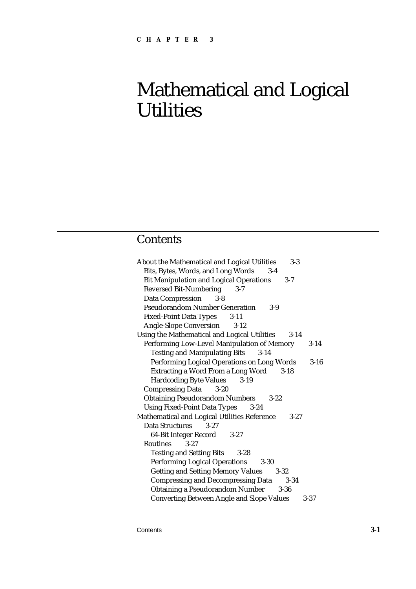## **Contents**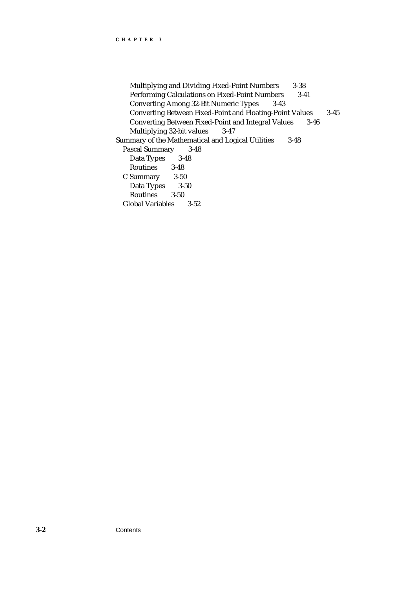Multiplying and Dividing Fixed-Point Numbers 3-38 Performing Calculations on Fixed-Point Numbers 3-41 Converting Among 32-Bit Numeric Types 3-43 Converting Between Fixed-Point and Floating-Point Values 3-45 Converting Between Fixed-Point and Integral Values 3-46 Multiplying 32-bit values 3-47 Summary of the Mathematical and Logical Utilities 3-48 Pascal Summary 3-48 Data Types 3-48 Routines 3-48 C Summary 3-50 Data Types 3-50 Routines 3-50 Global Variables 3-52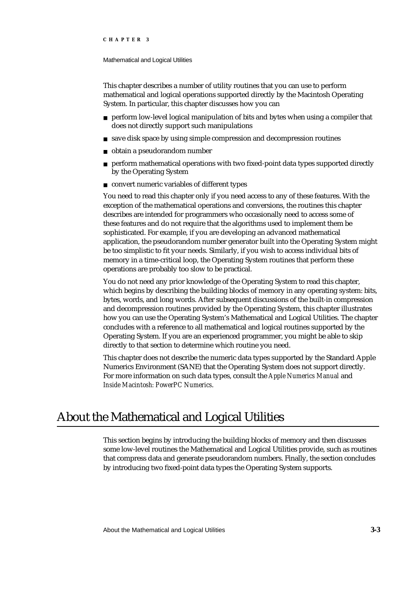#### Mathematical and Logical Utilities

This chapter describes a number of utility routines that you can use to perform mathematical and logical operations supported directly by the Macintosh Operating System. In particular, this chapter discusses how you can

- perform low-level logical manipulation of bits and bytes when using a compiler that does not directly support such manipulations
- n save disk space by using simple compression and decompression routines
- obtain a pseudorandom number  $\mathsf{n}$
- perform mathematical operations with two fixed-point data types supported directly  $\overline{p}$ by the Operating System
- convert numeric variables of different types

You need to read this chapter only if you need access to any of these features. With the exception of the mathematical operations and conversions, the routines this chapter describes are intended for programmers who occasionally need to access some of these features and do not require that the algorithms used to implement them be sophisticated. For example, if you are developing an advanced mathematical application, the pseudorandom number generator built into the Operating System might be too simplistic to fit your needs. Similarly, if you wish to access individual bits of memory in a time-critical loop, the Operating System routines that perform these operations are probably too slow to be practical.

You do not need any prior knowledge of the Operating System to read this chapter, which begins by describing the building blocks of memory in any operating system: bits, bytes, words, and long words. After subsequent discussions of the built-in compression and decompression routines provided by the Operating System, this chapter illustrates how you can use the Operating System's Mathematical and Logical Utilities. The chapter concludes with a reference to all mathematical and logical routines supported by the Operating System. If you are an experienced programmer, you might be able to skip directly to that section to determine which routine you need.

This chapter does not describe the numeric data types supported by the Standard Apple Numerics Environment (SANE) that the Operating System does not support directly. For more information on such data types, consult the *Apple Numerics Manual* and *Inside Macintosh: PowerPC Numerics*.

## About the Mathematical and Logical Utilities

This section begins by introducing the building blocks of memory and then discusses some low-level routines the Mathematical and Logical Utilities provide, such as routines that compress data and generate pseudorandom numbers. Finally, the section concludes by introducing two fixed-point data types the Operating System supports.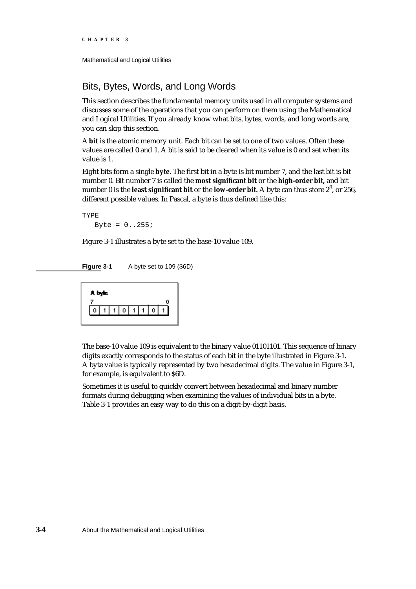```
CHAPTER 3
```
## Bits, Bytes, Words, and Long Words

This section describes the fundamental memory units used in all computer systems and discusses some of the operations that you can perform on them using the Mathematical and Logical Utilities. If you already know what bits, bytes, words, and long words are, you can skip this section.

A **bit** is the atomic memory unit. Each bit can be set to one of two values. Often these values are called 0 and 1. A bit is said to be cleared when its value is 0 and set when its value is 1.

Eight bits form a single **byte.** The first bit in a byte is bit number 7, and the last bit is bit number 0. Bit number 7 is called the **most significant bit** or the **high-order bit,** and bit number 0 is the **least significant bit** or the **low-order bit.** A byte can thus store 2<sup>8</sup> , or 256, different possible values. In Pascal, a byte is thus defined like this:

```
TYPE
   Byte = 0. .255i
```
Figure 3-1 illustrates a byte set to the base-10 value 109.

**Figure 3-1** A byte set to 109 (\$6D)



The base-10 value 109 is equivalent to the binary value 01101101. This sequence of binary digits exactly corresponds to the status of each bit in the byte illustrated in Figure 3-1. A byte value is typically represented by two hexadecimal digits. The value in Figure 3-1, for example, is equivalent to \$6D.

Sometimes it is useful to quickly convert between hexadecimal and binary number formats during debugging when examining the values of individual bits in a byte. Table 3-1 provides an easy way to do this on a digit-by-digit basis.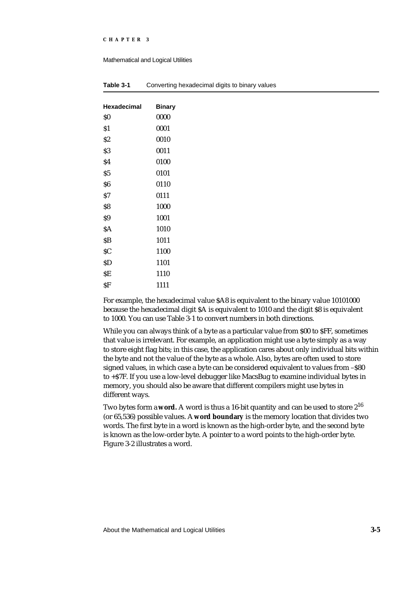#### Mathematical and Logical Utilities

| Hexadecimal | <b>Binary</b> |
|-------------|---------------|
| \$O         | 0000          |
| Š1          | 0001          |
| \$2         | 0010          |
| S3          | 0011          |
| \$4         | 0100          |
| S5          | 0101          |
| \$6         | 0110          |
| \$7         | 0111          |
| Ś8          | 1000          |
| \$9         | 1001          |
| \$Α         | 1010          |
| SΒ          | 1011          |
| \$C         | 1100          |
| \$D         | 1101          |
| \$Ε         | 1110          |
| \$F         | 1111          |

| Table 3-1 | Converting hexadecimal digits to binary values |  |  |
|-----------|------------------------------------------------|--|--|
|           |                                                |  |  |

For example, the hexadecimal value \$A8 is equivalent to the binary value 10101000 because the hexadecimal digit \$A is equivalent to 1010 and the digit \$8 is equivalent to 1000. You can use Table 3-1 to convert numbers in both directions.

While you can always think of a byte as a particular value from \$00 to \$FF, sometimes that value is irrelevant. For example, an application might use a byte simply as a way to store eight flag bits; in this case, the application cares about only individual bits within the byte and not the value of the byte as a whole. Also, bytes are often used to store signed values, in which case a byte can be considered equivalent to values from -\$80 to +\$7F. If you use a low-level debugger like MacsBug to examine individual bytes in memory, you should also be aware that different compilers might use bytes in different ways.

Two bytes form a **word.** A word is thus a 16-bit quantity and can be used to store 2<sup>16</sup> (or 65,536) possible values. A **word boundary** is the memory location that divides two words. The first byte in a word is known as the high-order byte, and the second byte is known as the low-order byte. A pointer to a word points to the high-order byte. Figure 3-2 illustrates a word.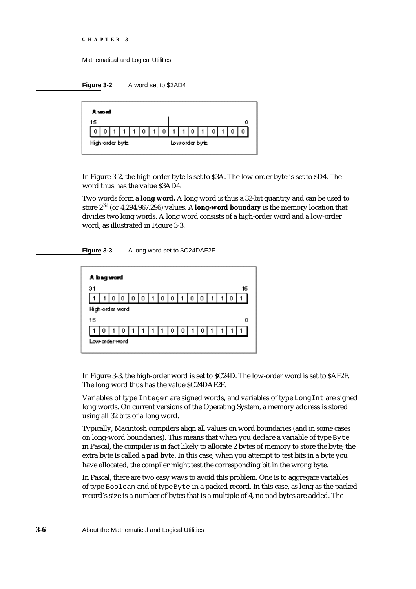```
CHAPTER 3
```
**Figure 3-2** A word set to \$3AD4



In Figure 3-2, the high-order byte is set to \$3A. The low-order byte is set to \$D4. The word thus has the value \$3AD4.

Two words form a **long word.** A long word is thus a 32-bit quantity and can be used to store 232 (or 4,294,967,296) values. A **long-word boundary** is the memory location that divides two long words. A long word consists of a high-order word and a low-order word, as illustrated in Figure 3-3.





In Figure 3-3, the high-order word is set to \$C24D. The low-order word is set to \$AF2F. The long word thus has the value \$C24DAF2F.

Variables of type Integer are signed words, and variables of type LongInt are signed long words. On current versions of the Operating System, a memory address is stored using all 32 bits of a long word.

Typically, Macintosh compilers align all values on word boundaries (and in some cases on long-word boundaries). This means that when you declare a variable of type Byte in Pascal, the compiler is in fact likely to allocate 2 bytes of memory to store the byte; the extra byte is called a **pad byte.** In this case, when you attempt to test bits in a byte you have allocated, the compiler might test the corresponding bit in the wrong byte.

In Pascal, there are two easy ways to avoid this problem. One is to aggregate variables of type Boolean and of type Byte in a packed record. In this case, as long as the packed record's size is a number of bytes that is a multiple of 4, no pad bytes are added. The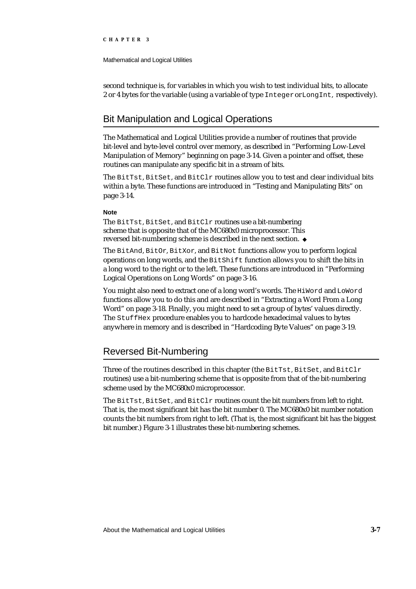Mathematical and Logical Utilities

second technique is, for variables in which you wish to test individual bits, to allocate 2 or 4 bytes for the variable (using a variable of type Integer or LongInt, respectively).

## Bit Manipulation and Logical Operations

The Mathematical and Logical Utilities provide a number of routines that provide bit-level and byte-level control over memory, as described in "Performing Low-Level Manipulation of Memory" beginning on page 3-14. Given a pointer and offset, these routines can manipulate any specific bit in a stream of bits.

The BitTst, BitSet, and BitClr routines allow you to test and clear individual bits within a byte. These functions are introduced in "Testing and Manipulating Bits" on page 3-14.

#### **Note**

The BitTst, BitSet, and BitClr routines use a bit-numbering scheme that is opposite that of the MC680x0 microprocessor. This reversed bit-numbering scheme is described in the next section.

The BitAnd, BitOr, BitXor, and BitNot functions allow you to perform logical operations on long words, and the BitShift function allows you to shift the bits in a long word to the right or to the left. These functions are introduced in "Performing Logical Operations on Long Words" on page 3-16.

You might also need to extract one of a long word's words. The HiWord and LoWord functions allow you to do this and are described in "Extracting a Word From a Long Word" on page 3-18. Finally, you might need to set a group of bytes' values directly. The StuffHex procedure enables you to hardcode hexadecimal values to bytes anywhere in memory and is described in "Hardcoding Byte Values" on page 3-19.

## Reversed Bit-Numbering

Three of the routines described in this chapter (the BitTst, BitSet, and BitClr routines) use a bit-numbering scheme that is opposite from that of the bit-numbering scheme used by the MC680x0 microprocessor.

The BitTst, BitSet, and BitClr routines count the bit numbers from left to right. That is, the most significant bit has the bit number 0. The MC680x0 bit number notation counts the bit numbers from right to left. (That is, the most significant bit has the biggest bit number.) Figure 3-1 illustrates these bit-numbering schemes.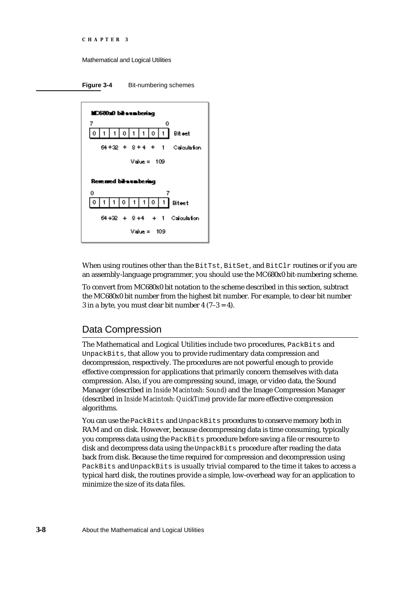```
CHAPTER 3
```
**Figure 3-4** Bit-numbering schemes



When using routines other than the BitTst, BitSet, and BitClr routines or if you are an assembly-language programmer, you should use the MC680x0 bit-numbering scheme.

To convert from MC680x0 bit notation to the scheme described in this section, subtract the MC680x0 bit number from the highest bit number. For example, to clear bit number 3 in a byte, you must clear bit number  $4(7-3=4)$ .

## Data Compression

The Mathematical and Logical Utilities include two procedures, PackBits and UnpackBits, that allow you to provide rudimentary data compression and decompression, respectively. The procedures are not powerful enough to provide effective compression for applications that primarily concern themselves with data compression. Also, if you are compressing sound, image, or video data, the Sound Manager (described in *Inside Macintosh: Sound*) and the Image Compression Manager (described in *Inside Macintosh: QuickTime*) provide far more effective compression algorithms.

You can use the PackBits and UnpackBits procedures to conserve memory both in RAM and on disk. However, because decompressing data is time consuming, typically you compress data using the PackBits procedure before saving a file or resource to disk and decompress data using the UnpackBits procedure after reading the data back from disk. Because the time required for compression and decompression using PackBits and UnpackBits is usually trivial compared to the time it takes to access a typical hard disk, the routines provide a simple, low-overhead way for an application to minimize the size of its data files.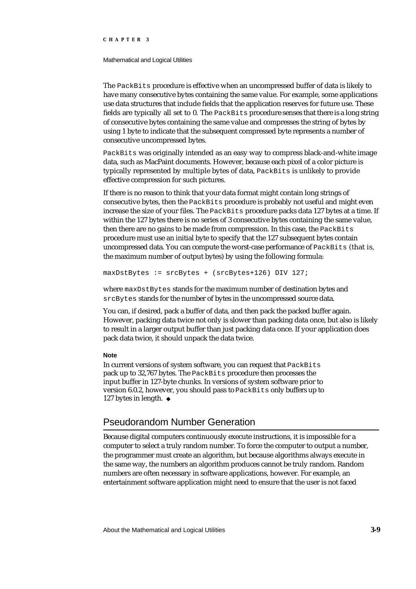#### Mathematical and Logical Utilities

The PackBits procedure is effective when an uncompressed buffer of data is likely to have many consecutive bytes containing the same value. For example, some applications use data structures that include fields that the application reserves for future use. These fields are typically all set to 0. The PackBits procedure senses that there is a long string of consecutive bytes containing the same value and compresses the string of bytes by using 1 byte to indicate that the subsequent compressed byte represents a number of consecutive uncompressed bytes.

PackBits was originally intended as an easy way to compress black-and-white image data, such as MacPaint documents. However, because each pixel of a color picture is typically represented by multiple bytes of data, PackBits is unlikely to provide effective compression for such pictures.

If there is no reason to think that your data format might contain long strings of consecutive bytes, then the PackBits procedure is probably not useful and might even increase the size of your files. The PackBits procedure packs data 127 bytes at a time. If within the 127 bytes there is no series of 3 consecutive bytes containing the same value, then there are no gains to be made from compression. In this case, the PackBits procedure must use an initial byte to specify that the 127 subsequent bytes contain uncompressed data. You can compute the worst-case performance of PackBits (that is, the maximum number of output bytes) by using the following formula:

maxDstBytes := srcBytes + (srcBytes+126) DIV 127;

where maxDstBytes stands for the maximum number of destination bytes and srcBytes stands for the number of bytes in the uncompressed source data.

You can, if desired, pack a buffer of data, and then pack the packed buffer again. However, packing data twice not only is slower than packing data once, but also is likely to result in a larger output buffer than just packing data once. If your application does pack data twice, it should unpack the data twice.

#### **Note**

In current versions of system software, you can request that PackBits pack up to 32,767 bytes. The PackBits procedure then processes the input buffer in 127-byte chunks. In versions of system software prior to version 6.0.2, however, you should pass to PackBits only buffers up to 127 bytes in length.

## Pseudorandom Number Generation

Because digital computers continuously execute instructions, it is impossible for a computer to select a truly random number. To force the computer to output a number, the programmer must create an algorithm, but because algorithms always execute in the same way, the numbers an algorithm produces cannot be truly random. Random numbers are often necessary in software applications, however. For example, an entertainment software application might need to ensure that the user is not faced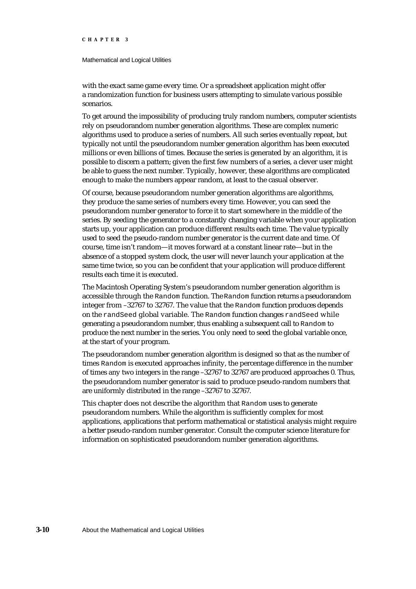#### Mathematical and Logical Utilities

with the exact same game every time. Or a spreadsheet application might offer a randomization function for business users attempting to simulate various possible scenarios.

To get around the impossibility of producing truly random numbers, computer scientists rely on pseudorandom number generation algorithms. These are complex numeric algorithms used to produce a series of numbers. All such series eventually repeat, but typically not until the pseudorandom number generation algorithm has been executed millions or even billions of times. Because the series is generated by an algorithm, it is possible to discern a pattern; given the first few numbers of a series, a clever user might be able to guess the next number. Typically, however, these algorithms are complicated enough to make the numbers appear random, at least to the casual observer.

Of course, because pseudorandom number generation algorithms are algorithms, they produce the same series of numbers every time. However, you can seed the pseudorandom number generator to force it to start somewhere in the middle of the series. By seeding the generator to a constantly changing variable when your application starts up, your application can produce different results each time. The value typically used to seed the pseudo-random number generator is the current date and time. Of course, time isn't random—it moves forward at a constant linear rate—but in the absence of a stopped system clock, the user will never launch your application at the same time twice, so you can be confident that your application will produce different results each time it is executed.

The Macintosh Operating System's pseudorandom number generation algorithm is accessible through the Random function. The Random function returns a pseudorandom integer from –32767 to 32767. The value that the Random function produces depends on the randSeed global variable. The Random function changes randSeed while generating a pseudorandom number, thus enabling a subsequent call to Random to produce the next number in the series. You only need to seed the global variable once, at the start of your program.

The pseudorandom number generation algorithm is designed so that as the number of times Random is executed approaches infinity, the percentage difference in the number of times any two integers in the range –32767 to 32767 are produced approaches 0. Thus, the pseudorandom number generator is said to produce pseudo-random numbers that are uniformly distributed in the range –32767 to 32767.

This chapter does not describe the algorithm that Random uses to generate pseudorandom numbers. While the algorithm is sufficiently complex for most applications, applications that perform mathematical or statistical analysis might require a better pseudo-random number generator. Consult the computer science literature for information on sophisticated pseudorandom number generation algorithms.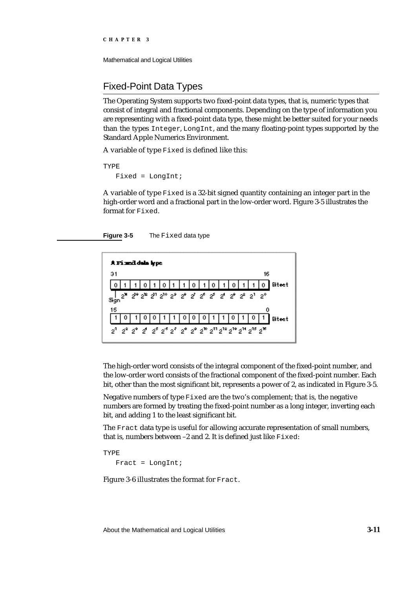Mathematical and Logical Utilities

## Fixed-Point Data Types

The Operating System supports two fixed-point data types, that is, numeric types that consist of integral and fractional components. Depending on the type of information you are representing with a fixed-point data type, these might be better suited for your needs than the types Integer, LongInt, and the many floating-point types supported by the Standard Apple Numerics Environment.

A variable of type Fixed is defined like this:

TYPE

Fixed = LongInt;

A variable of type  $Fixed$  is a 32-bit signed quantity containing an integer part in the high-order word and a fractional part in the low-order word. Figure 3-5 illustrates the format for Fixed.

**Figure 3-5** The Fixed data type



The high-order word consists of the integral component of the fixed-point number, and the low-order word consists of the fractional component of the fixed-point number. Each bit, other than the most significant bit, represents a power of 2, as indicated in Figure 3-5.

Negative numbers of type Fixed are the two's complement; that is, the negative numbers are formed by treating the fixed-point number as a long integer, inverting each bit, and adding 1 to the least significant bit.

The Fract data type is useful for allowing accurate representation of small numbers, that is, numbers between –2 and 2. It is defined just like Fixed:

TYPE Fract =  $LongInt;$ 

Figure 3-6 illustrates the format for Fract.

About the Mathematical and Logical Utilities **3-11**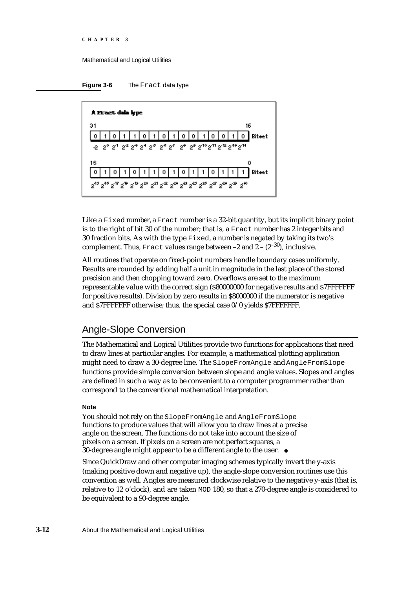



Like a Fixed number, a Fract number is a 32-bit quantity, but its implicit binary point is to the right of bit 30 of the number; that is, a Fract number has 2 integer bits and 30 fraction bits. As with the type Fixed, a number is negated by taking its two's complement. Thus, Fract values range between  $-2$  and  $2 - (2^{-30})$ , inclusive.

All routines that operate on fixed-point numbers handle boundary cases uniformly. Results are rounded by adding half a unit in magnitude in the last place of the stored precision and then chopping toward zero. Overflows are set to the maximum representable value with the correct sign (\$80000000 for negative results and \$7FFFFFFF for positive results). Division by zero results in \$8000000 if the numerator is negative and \$7FFFFFFF otherwise; thus, the special case 0/0 yields \$7FFFFFFF.

## Angle-Slope Conversion

The Mathematical and Logical Utilities provide two functions for applications that need to draw lines at particular angles. For example, a mathematical plotting application might need to draw a 30-degree line. The SlopeFromAngle and AngleFromSlope functions provide simple conversion between slope and angle values. Slopes and angles are defined in such a way as to be convenient to a computer programmer rather than correspond to the conventional mathematical interpretation.

### **Note**

You should not rely on the SlopeFromAngle and AngleFromSlope functions to produce values that will allow you to draw lines at a precise angle on the screen. The functions do not take into account the size of pixels on a screen. If pixels on a screen are not perfect squares, a 30-degree angle might appear to be a different angle to the user.

Since QuickDraw and other computer imaging schemes typically invert the y-axis (making positive down and negative up), the angle-slope conversion routines use this convention as well. Angles are measured clockwise relative to the negative y-axis (that is, relative to 12 o'clock), and are taken MOD 180, so that a 270-degree angle is considered to be equivalent to a 90-degree angle.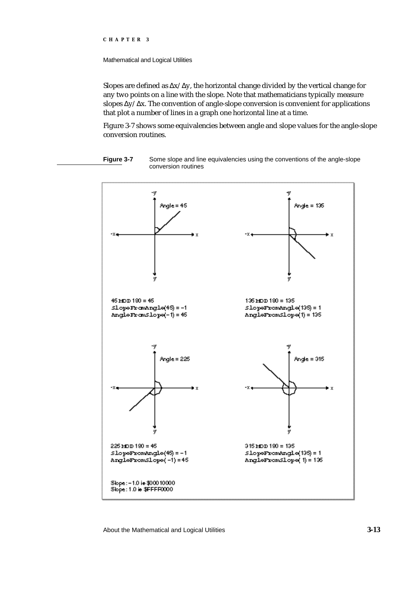#### Mathematical and Logical Utilities

Slopes are defined as  $x/ y$ , the horizontal change divided by the vertical change for any two points on a line with the slope. Note that mathematicians typically measure slopes  $y/x$ . The convention of angle-slope conversion is convenient for applications that plot a number of lines in a graph one horizontal line at a time.

Figure 3-7 shows some equivalencies between angle and slope values for the angle-slope conversion routines.



**Figure 3-7** Some slope and line equivalencies using the conventions of the angle-slope conversion routines

About the Mathematical and Logical Utilities **3-13**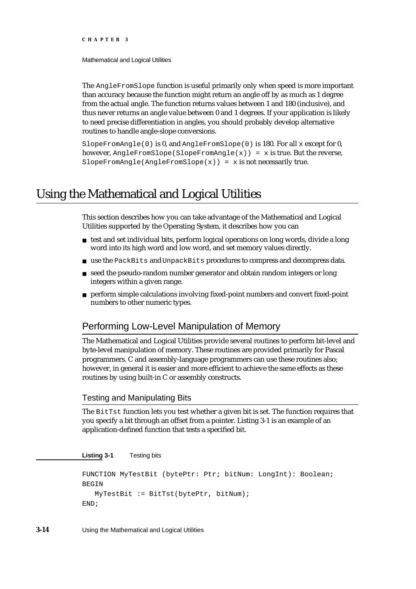Mathematical and Logical Utilities

The AngleFromSlope function is useful primarily only when speed is more important than accuracy because the function might return an angle off by as much as 1 degree from the actual angle. The function returns values between 1 and 180 (inclusive), and thus never returns an angle value between 0 and 1 degrees. If your application is likely to need precise differentiation in angles, you should probably develop alternative routines to handle angle-slope conversions.

SlopeFromAngle(0) is 0, and AngleFromSlope(0) is 180. For all  $x$  except for 0, however,  $AngleFromSlope(SlopeFromAngle(x)) = x$  is true. But the reverse, SlopeFromAngle(AngleFromSlope(x)) =  $x$  is not necessarily true.

## Using the Mathematical and Logical Utilities

This section describes how you can take advantage of the Mathematical and Logical Utilities supported by the Operating System, it describes how you can

- $n_{\text{t}}$  test and set individual bits, perform logical operations on long words, divide a long word into its high word and low word, and set memory values directly.
- n use the PackBits and UnpackBits procedures to compress and decompress data.
- seed the pseudo-random number generator and obtain random integers or long  $n$ integers within a given range.
- perform simple calculations involving fixed-point numbers and convert fixed-point numbers to other numeric types.

## Performing Low-Level Manipulation of Memory

The Mathematical and Logical Utilities provide several routines to perform bit-level and byte-level manipulation of memory. These routines are provided primarily for Pascal programmers. C and assembly-language programmers can use these routines also; however, in general it is easier and more efficient to achieve the same effects as these routines by using built-in C or assembly constructs.

## Testing and Manipulating Bits

The BitTst function lets you test whether a given bit is set. The function requires that you specify a bit through an offset from a pointer. Listing 3-1 is an example of an application-defined function that tests a specified bit.

**Listing 3-1** Testing bits

```
FUNCTION MyTestBit (bytePtr: Ptr; bitNum: LongInt): Boolean;
BEGIN
  MyTestBit := BitTst(bytePtr, bitNum);
END;
```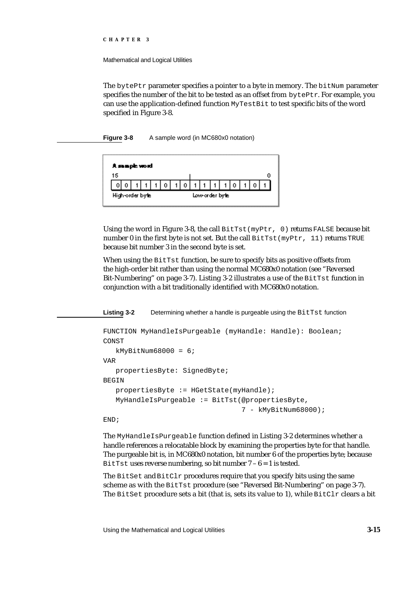Mathematical and Logical Utilities

The bytePtr parameter specifies a pointer to a byte in memory. The  $\text{bitNum}$  parameter specifies the number of the bit to be tested as an offset from bytePtr. For example, you can use the application-defined function MyTestBit to test specific bits of the word specified in Figure 3-8.

**Figure 3-8** A sample word (in MC680x0 notation)



Using the word in Figure 3-8, the call  $B$ itTst(myPtr, 0) returns FALSE because bit number 0 in the first byte is not set. But the call BitTst(myPtr, 11) returns TRUE because bit number 3 in the second byte is set.

When using the BitTst function, be sure to specify bits as positive offsets from the high-order bit rather than using the normal MC680x0 notation (see "Reversed Bit-Numbering" on page 3-7). Listing 3-2 illustrates a use of the  $BitTest$  function in conjunction with a bit traditionally identified with MC680x0 notation.

Listing 3-2 Determining whether a handle is purgeable using the BitTst function

```
FUNCTION MyHandleIsPurgeable (myHandle: Handle): Boolean;
CONST
   kMyBitNum68000 = 6;
VAR
   propertiesByte: SignedByte;
BEGIN
   propertiesByte := HGetState(myHandle);
   MyHandleIsPurgeable := BitTst(@propertiesByte,
                                  7 - kMyBitNum68000);
END;
```
The MyHandleIsPurgeable function defined in Listing 3-2 determines whether a handle references a relocatable block by examining the properties byte for that handle. The purgeable bit is, in MC680x0 notation, bit number 6 of the properties byte; because BitTst uses reverse numbering, so bit number  $7 - 6 = 1$  is tested.

The BitSet and BitClr procedures require that you specify bits using the same scheme as with the BitTst procedure (see "Reversed Bit-Numbering" on page 3-7). The BitSet procedure sets a bit (that is, sets its value to 1), while  $BitCLr$  clears a bit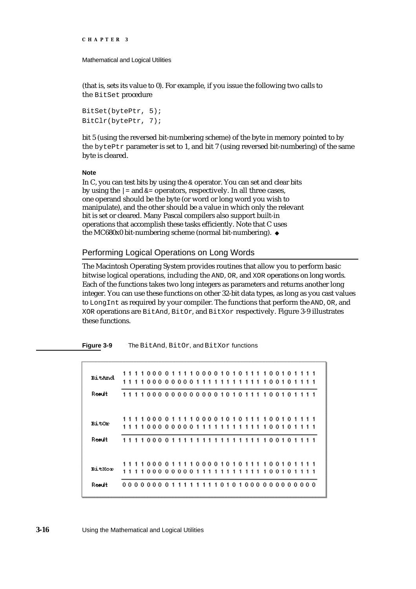Mathematical and Logical Utilities

(that is, sets its value to 0). For example, if you issue the following two calls to the BitSet procedure

BitSet(bytePtr, 5); BitClr(bytePtr, 7);

bit 5 (using the reversed bit-numbering scheme) of the byte in memory pointed to by the bytePtr parameter is set to 1, and bit 7 (using reversed bit-numbering) of the same byte is cleared.

#### **Note**

In C, you can test bits by using the  $\&$  operator. You can set and clear bits by using the  $| =$  and  $\& =$  operators, respectively. In all three cases, one operand should be the byte (or word or long word you wish to manipulate), and the other should be a value in which only the relevant bit is set or cleared. Many Pascal compilers also support built-in operations that accomplish these tasks efficiently. Note that C uses the MC680x0 bit-numbering scheme (normal bit-numbering).

#### Performing Logical Operations on Long Words

The Macintosh Operating System provides routines that allow you to perform basic bitwise logical operations, including the AND, OR, and XOR operations on long words. Each of the functions takes two long integers as parameters and returns another long integer. You can use these functions on other 32-bit data types, as long as you cast values to LongInt as required by your compiler. The functions that perform the AND, OR, and XOR operations are BitAnd, BitOr, and BitXor respectively. Figure 3-9 illustrates these functions.

**Figure 3-9** The BitAnd, BitOr, and BitXor functions

| BitAnd<br>Reault | 11110000111100001010111100101111<br>111100000000111111111111<br>1001011<br>111100000000000001010111100101111 |           |
|------------------|--------------------------------------------------------------------------------------------------------------|-----------|
| <b>BitOr</b>     | 11110000111100001010111100101111<br>1111000000001111111<br>1.<br>-1<br>11<br>100101                          |           |
| Reault           | 111100001111111111111111100101111                                                                            |           |
| <b>BitXor</b>    | 11110000000011111111111                                                                                      | 100101111 |
| Reault           | 11110101000000000000<br>00000000111                                                                          |           |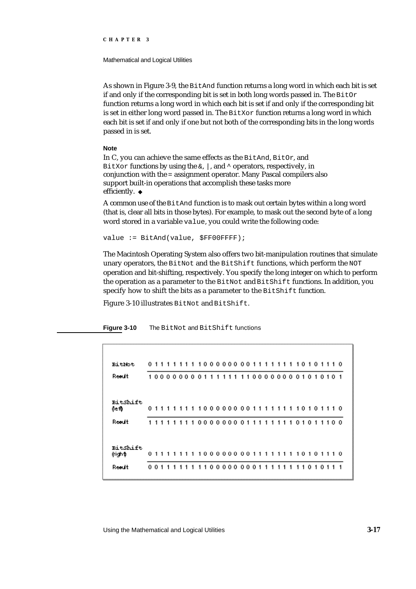Mathematical and Logical Utilities

As shown in Figure 3-9, the BitAnd function returns a long word in which each bit is set if and only if the corresponding bit is set in both long words passed in. The  $BitOr$ function returns a long word in which each bit is set if and only if the corresponding bit is set in either long word passed in. The  $BitXor$  function returns a long word in which each bit is set if and only if one but not both of the corresponding bits in the long words passed in is set.

#### **Note**

In C, you can achieve the same effects as the BitAnd, BitOr, and BitXor functions by using the  $\alpha$ ,  $\alpha$ , and  $\gamma$  operators, respectively, in conjunction with the = assignment operator. Many Pascal compilers also support built-in operations that accomplish these tasks more efficiently. u

A common use of the BitAnd function is to mask out certain bytes within a long word (that is, clear all bits in those bytes). For example, to mask out the second byte of a long word stored in a variable value, you could write the following code:

value := BitAnd(value, \$FF00FFFF);

The Macintosh Operating System also offers two bit-manipulation routines that simulate unary operators, the BitNot and the BitShift functions, which perform the NOT operation and bit-shifting, respectively. You specify the long integer on which to perform the operation as a parameter to the BitNot and BitShift functions. In addition, you specify how to shift the bits as a parameter to the BitShift function.

Figure 3-10 illustrates BitNot and BitShift.

**Figure 3-10** The BitNot and BitShift functions

| <b>BitNot</b>       |  |      |  | 01111111100000000111111110101110                                |  |  |  |  |  |  |  |  |  |  |  |  |
|---------------------|--|------|--|-----------------------------------------------------------------|--|--|--|--|--|--|--|--|--|--|--|--|
| Reault              |  |      |  | 1000000000111111110000000001010101                              |  |  |  |  |  |  |  |  |  |  |  |  |
| BitShift<br>≬efb    |  |      |  | 0 1 1 1 1 1 1 1 1 0 0 0 0 0 0 0 0 1 1 1 1 1 1 1 1 0 1 0 1 1 1 0 |  |  |  |  |  |  |  |  |  |  |  |  |
| Reault              |  | 1111 |  | 111000000001111111101011100                                     |  |  |  |  |  |  |  |  |  |  |  |  |
| BitShift<br>(right) |  |      |  | 011111111000000001111111101011110                               |  |  |  |  |  |  |  |  |  |  |  |  |
| Reault              |  | 0011 |  | 11111000000001111111101011                                      |  |  |  |  |  |  |  |  |  |  |  |  |

Using the Mathematical and Logical Utilities **3-17**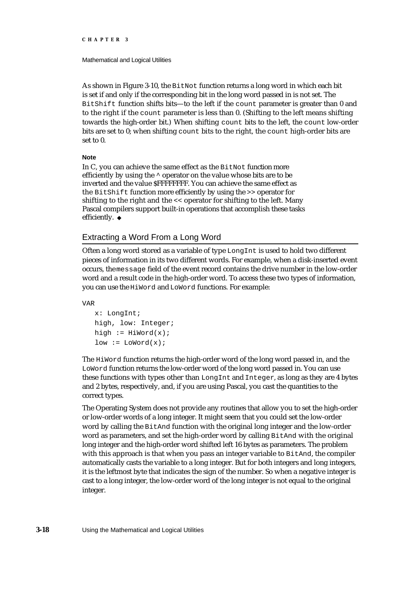#### Mathematical and Logical Utilities

As shown in Figure 3-10, the BitNot function returns a long word in which each bit is set if and only if the corresponding bit in the long word passed in is not set. The BitShift function shifts bits—to the left if the count parameter is greater than 0 and to the right if the count parameter is less than 0. (Shifting to the left means shifting towards the high-order bit.) When shifting count bits to the left, the count low-order bits are set to 0; when shifting count bits to the right, the count high-order bits are set to 0.

#### **Note**

In C, you can achieve the same effect as the BitNot function more efficiently by using the ^ operator on the value whose bits are to be inverted and the value \$FFFFFFFF. You can achieve the same effect as the BitShift function more efficiently by using the >> operator for shifting to the right and the << operator for shifting to the left. Many Pascal compilers support built-in operations that accomplish these tasks efficiently. u

### Extracting a Word From a Long Word

Often a long word stored as a variable of type LongInt is used to hold two different pieces of information in its two different words. For example, when a disk-inserted event occurs, the message field of the event record contains the drive number in the low-order word and a result code in the high-order word. To access these two types of information, you can use the HiWord and LoWord functions. For example:

VAR

```
x: LongInt;
high, low: Integer;
high := HiWord(x);
low := Loword(x);
```
The HiWord function returns the high-order word of the long word passed in, and the LoWord function returns the low-order word of the long word passed in. You can use these functions with types other than LongInt and Integer, as long as they are 4 bytes and 2 bytes, respectively, and, if you are using Pascal, you cast the quantities to the correct types.

The Operating System does not provide any routines that allow you to set the high-order or low-order words of a long integer. It might seem that you could set the low-order word by calling the BitAnd function with the original long integer and the low-order word as parameters, and set the high-order word by calling BitAnd with the original long integer and the high-order word shifted left 16 bytes as parameters. The problem with this approach is that when you pass an integer variable to BitAnd, the compiler automatically casts the variable to a long integer. But for both integers and long integers, it is the leftmost byte that indicates the sign of the number. So when a negative integer is cast to a long integer, the low-order word of the long integer is not equal to the original integer.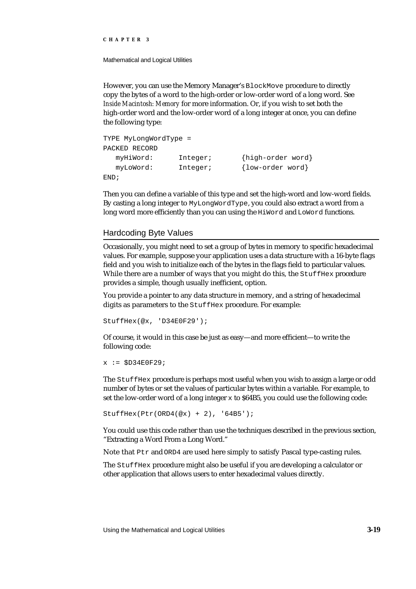Mathematical and Logical Utilities

However, you can use the Memory Manager's BlockMove procedure to directly copy the bytes of a word to the high-order or low-order word of a long word. See *Inside Macintosh: Memory* for more information. Or, if you wish to set both the high-order word and the low-order word of a long integer at once, you can define the following type:

```
TYPE MyLongWordType = 
PACKED RECORD
  myHiWord: Integer; {high-order word}
  myLoWord: Integer; {low-order word}
END;
```
Then you can define a variable of this type and set the high-word and low-word fields. By casting a long integer to MyLongWordType, you could also extract a word from a long word more efficiently than you can using the HiWord and LoWord functions.

#### Hardcoding Byte Values

Occasionally, you might need to set a group of bytes in memory to specific hexadecimal values. For example, suppose your application uses a data structure with a 16-byte flags field and you wish to initialize each of the bytes in the flags field to particular values. While there are a number of ways that you might do this, the StuffHex procedure provides a simple, though usually inefficient, option.

You provide a pointer to any data structure in memory, and a string of hexadecimal digits as parameters to the StuffHex procedure. For example:

```
StuffHex(@x, 'D34E0F29');
```
Of course, it would in this case be just as easy—and more efficient—to write the following code:

```
x := $D34E0F29;
```
The StuffHex procedure is perhaps most useful when you wish to assign a large or odd number of bytes or set the values of particular bytes within a variable. For example, to set the low-order word of a long integer  $\times$  to \$64B5, you could use the following code:

```
StuffHex(Ptr(ORD4(@x) + 2), '64B5');
```
You could use this code rather than use the techniques described in the previous section, "Extracting a Word From a Long Word."

Note that Ptr and ORD4 are used here simply to satisfy Pascal type-casting rules.

The StuffHex procedure might also be useful if you are developing a calculator or other application that allows users to enter hexadecimal values directly.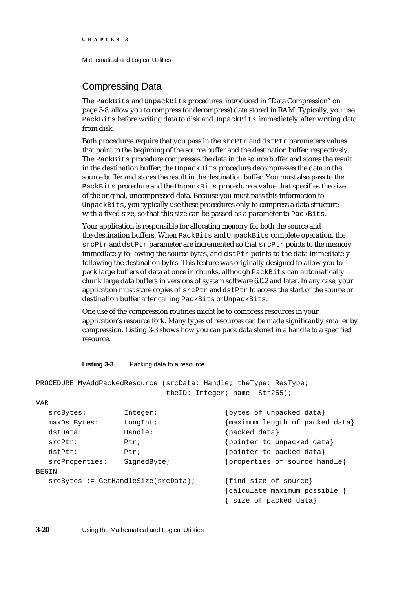## Compressing Data

The PackBits and UnpackBits procedures, introduced in "Data Compression" on page 3-8, allow you to compress (or decompress) data stored in RAM. Typically, you use PackBits before writing data to disk and UnpackBits immediately after writing data from disk.

Both procedures require that you pass in the  $\text{srcPtr}$  and  $\text{dstPtr}$  parameters values that point to the beginning of the source buffer and the destination buffer, respectively. The PackBits procedure compresses the data in the source buffer and stores the result in the destination buffer; the UnpackBits procedure decompresses the data in the source buffer and stores the result in the destination buffer. You must also pass to the PackBits procedure and the UnpackBits procedure a value that specifies the size of the original, uncompressed data. Because you must pass this information to UnpackBits, you typically use these procedures only to compress a data structure with a fixed size, so that this size can be passed as a parameter to PackBits.

Your application is responsible for allocating memory for both the source and the destination buffers. When PackBits and UnpackBits complete operation, the srcPtr and dstPtr parameter are incremented so that srcPtr points to the memory immediately following the source bytes, and dstPtr points to the data immediately following the destination bytes. This feature was originally designed to allow you to pack large buffers of data at once in chunks, although PackBits can automatically chunk large data buffers in versions of system software 6.0.2 and later. In any case, your application must store copies of srcPtr and dstPtr to access the start of the source or destination buffer after calling PackBits or UnpackBits.

One use of the compression routines might be to compress resources in your application's resource fork. Many types of resources can be made significantly smaller by compression. Listing 3-3 shows how you can pack data stored in a handle to a specified resource.

#### **Listing 3-3** Packing data to a resource

|                |                                       | PROCEDURE MyAddPackedResource (srcData: Handle; theType: ResType; |
|----------------|---------------------------------------|-------------------------------------------------------------------|
|                |                                       | the ID: Integer; name: Str255);                                   |
| VAR            |                                       |                                                                   |
| srcBytes:      | Integer;                              | {bytes of unpacked data}                                          |
| maxDstBytes:   | LongInt;                              | {maximum length of packed data}                                   |
| dstData:       | Handle;                               | ${packed data}$                                                   |
| srcPtr:        | Ptri                                  | {pointer to unpacked data}                                        |
| dstPtr:        | Ptr:                                  | {pointer to packed data}                                          |
| srcProperties: | SignedByte;                           | {properties of source handle}                                     |
| BEGIN          |                                       |                                                                   |
|                | $srcBytes := GetHandlesize(srcData);$ | {find size of source}                                             |
|                |                                       | $\{cal$                                                           |
|                |                                       | size of packed data}                                              |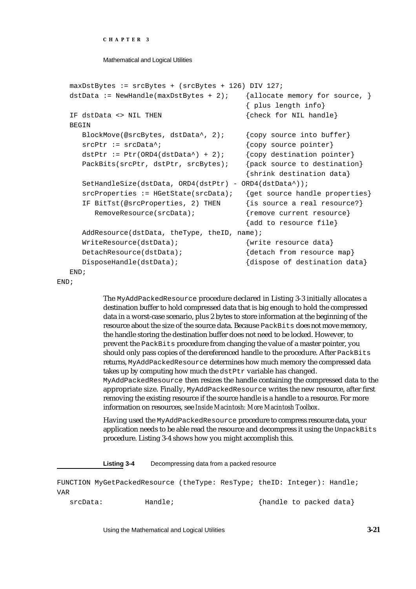```
CHAPTER 3
```

```
maxDstBytes := srcBytes + (srcBytes + 126) DIV 127;
dstData := NewHandle(maxDstBytes + 2); {allocate memory for source, }
                                     { plus length info}
IF dstData <> NIL THEN \{check\}BEGIN
  BlockMove(@srcBytes, dstData^, 2); {copy source into buffer}
  srcPtr := srcData^*; {copy source pointer}
  dstPtr := Ptr(ORD4(dstData^*) + 2); {copy destination pointer}
  PackBits(srcPtr, dstPtr, srcBytes); {pack source to destination}
                                     {shrink destination data}
  SetHandleSize(dstData, ORD4(dstPtr) - ORD4(dstData^));
  srcProperties := HGetState(srcData); {qet source handle properties}
  IF BitTst(@srcProperties, 2) THEN {is source a real resource?}
     RemoveResource(srcData); \{ remove current resource}
                                     {add to resource file}
  AddResource(dstData, theType, theID, name);
  WriteResource(dstData); {write resource data}
  DetachResource(dstData); {detact}DisposeHandle(dstData); \{ \text{dispose of destination data} \}END;
```

```
END;
```
The MyAddPackedResource procedure declared in Listing 3-3 initially allocates a destination buffer to hold compressed data that is big enough to hold the compressed data in a worst-case scenario, plus 2 bytes to store information at the beginning of the resource about the size of the source data. Because PackBits does not move memory, the handle storing the destination buffer does not need to be locked. However, to prevent the PackBits procedure from changing the value of a master pointer, you should only pass copies of the dereferenced handle to the procedure. After PackBits returns, MyAddPackedResource determines how much memory the compressed data takes up by computing how much the dstPtr variable has changed. MyAddPackedResource then resizes the handle containing the compressed data to the appropriate size. Finally, MyAddPackedResource writes the new resource, after first removing the existing resource if the source handle is a handle to a resource. For more information on resources, see *Inside Macintosh: More Macintosh Toolbox*.

Having used the MyAddPackedResource procedure to compress resource data, your application needs to be able read the resource and decompress it using the UnpackBits procedure. Listing 3-4 shows how you might accomplish this.

**Listing 3-4** Decompressing data from a packed resource

FUNCTION MyGetPackedResource (theType: ResType; theID: Integer): Handle; VAR srcData: Handle; Handle Handle to packed data}

Using the Mathematical and Logical Utilities **3-21**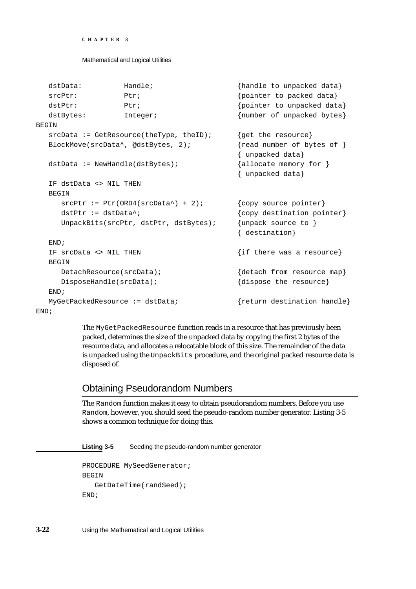```
CHAPTER 3
```

| dstData:                          | Handle;                                   | {handle to unpacked data}                          |
|-----------------------------------|-------------------------------------------|----------------------------------------------------|
| srcPtr:                           | Ptri                                      | {pointer to packed data}                           |
| dstPtr:                           | Ptri                                      | {pointer to unpacked data}                         |
| dstBytes:                         | Integer;                                  | {number of unpacked bytes}                         |
| BEGIN                             |                                           |                                                    |
|                                   | $srcData := GetResource(theType, theID);$ | {get the resource}                                 |
|                                   | BlockMove(srcData^, @dstBytes, 2);        | $\{read number of bytes of \}$<br>{ unpacked data} |
| $dstData := NewHandle(dstBytes);$ |                                           | ${allocate memory for }$<br>{ unpacked data}       |
| IF dstData <> NIL THEN            |                                           |                                                    |
| <b>BEGIN</b>                      |                                           |                                                    |
|                                   | $srcPtr := Ptr(ORD4(srcData*) + 2)$ ;     | {copy source pointer}                              |
| $dstPtr := dtData$ <sup>*</sup> ; |                                           | {copy destination pointer}                         |
|                                   | UnpackBits(srcPtr, dstPtr, dstBytes);     | {unpack source to }<br>{ destination}              |
| END <sub>i</sub>                  |                                           |                                                    |
| IF srcData <> NIL THEN            |                                           | $\{if there was a resource\}$                      |
| <b>BEGIN</b>                      |                                           |                                                    |
| DetachResource(srcData);          |                                           | {detach from resource map}                         |
| DisposeHandle(srcData);           |                                           | {dispose the resource}                             |
| END <sub>i</sub>                  |                                           |                                                    |
| MyGetPackedResource := dstData;   |                                           | {return destination handle}                        |
|                                   |                                           |                                                    |

END;

The MyGetPackedResource function reads in a resource that has previously been packed, determines the size of the unpacked data by copying the first 2 bytes of the resource data, and allocates a relocatable block of this size. The remainder of the data is unpacked using the UnpackBits procedure, and the original packed resource data is disposed of.

## Obtaining Pseudorandom Numbers

The Random function makes it easy to obtain pseudorandom numbers. Before you use Random, however, you should seed the pseudo-random number generator. Listing 3-5 shows a common technique for doing this.

**Listing 3-5** Seeding the pseudo-random number generator

```
PROCEDURE MySeedGenerator;
BEGIN
   GetDateTime(randSeed);
END;
```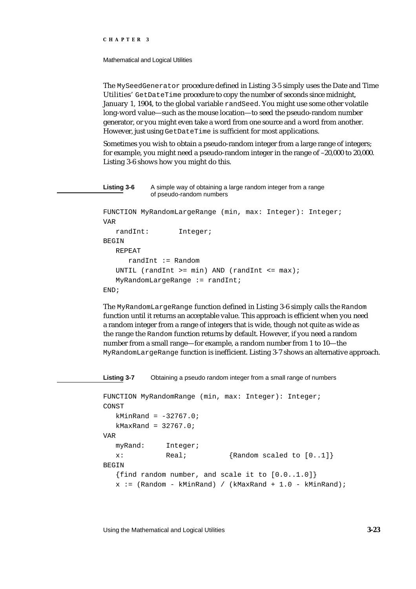Mathematical and Logical Utilities

The MySeedGenerator procedure defined in Listing 3-5 simply uses the Date and Time Utilities' GetDateTime procedure to copy the number of seconds since midnight, January 1, 1904, to the global variable randSeed. You might use some other volatile long-word value—such as the mouse location—to seed the pseudo-random number generator, or you might even take a word from one source and a word from another. However, just using GetDateTime is sufficient for most applications.

Sometimes you wish to obtain a pseudo-random integer from a large range of integers; for example, you might need a pseudo-random integer in the range of –20,000 to 20,000. Listing 3-6 shows how you might do this.

```
Listing 3-6 A simple way of obtaining a large random integer from a range
            of pseudo-random numbers
FUNCTION MyRandomLargeRange (min, max: Integer): Integer;
VAR
   randInt: Integer;
BEGIN
   REPEAT
      randInt := Random
   UNTIL (randInt >= min) AND (randInt <= max);
   MyRandomLargeRange := randInt;
END;
```
The MyRandomLargeRange function defined in Listing 3-6 simply calls the Random function until it returns an acceptable value. This approach is efficient when you need a random integer from a range of integers that is wide, though not quite as wide as the range the Random function returns by default. However, if you need a random number from a small range—for example, a random number from 1 to 10—the MyRandomLargeRange function is inefficient. Listing 3-7 shows an alternative approach.

**Listing 3-7** Obtaining a pseudo random integer from a small range of numbers

```
FUNCTION MyRandomRange (min, max: Integer): Integer;
CONST
  kMinRand = -32767.0;kMaxRand = 32767.0;VAR
  myRand: Integer;
  x: Real; {Real} Random scaled to [0..1]
BEGIN
   {find random number, and scale it to [0.0..1.0]}
  x := (Random - kMinRand) / (kMaxRand + 1.0 - kMinRand);
```
Using the Mathematical and Logical Utilities **3-23**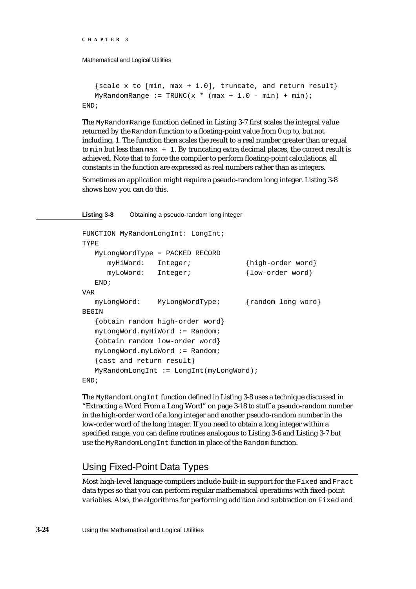```
CHAPTER 3
```

```
\{scale x to [min, max + 1.0], truncate, and return result\}MyRandomRange := TRUNC(x * (max + 1.0 - min) + min);END;
```
The MyRandomRange function defined in Listing 3-7 first scales the integral value returned by the Random function to a floating-point value from 0 up to, but not including, 1. The function then scales the result to a real number greater than or equal to min but less than  $max + 1$ . By truncating extra decimal places, the correct result is achieved. Note that to force the compiler to perform floating-point calculations, all constants in the function are expressed as real numbers rather than as integers.

Sometimes an application might require a pseudo-random long integer. Listing 3-8 shows how you can do this.

#### **Listing 3-8** Obtaining a pseudo-random long integer

```
FUNCTION MyRandomLongInt: LongInt;
TYPE
  MyLongWordType = PACKED RECORD
     myHiWord: Integer; {high-order word}
     myLoWord: Integer; {low-order word}
  END;
VAR
  myLongWord: MyLongWordType; {random long word}
BEGIN
  {obtain random high-order word}
  myLongWord.myHiWord := Random;
   {obtain random low-order word}
  myLongWord.myLoWord := Random;
  {cast and return result}
  MyRandomLongInt := LongInt(myLongWord);
END;
```
The MyRandomLongInt function defined in Listing 3-8 uses a technique discussed in "Extracting a Word From a Long Word" on page 3-18 to stuff a pseudo-random number in the high-order word of a long integer and another pseudo-random number in the low-order word of the long integer. If you need to obtain a long integer within a specified range, you can define routines analogous to Listing 3-6 and Listing 3-7 but use the MyRandomLongInt function in place of the Random function.

## Using Fixed-Point Data Types

Most high-level language compilers include built-in support for the Fixed and Fract data types so that you can perform regular mathematical operations with fixed-point variables. Also, the algorithms for performing addition and subtraction on Fixed and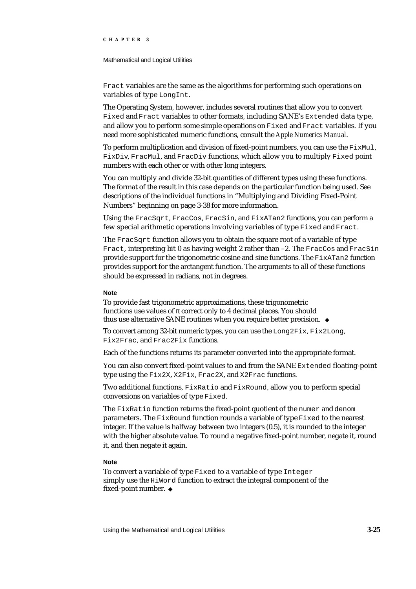#### Mathematical and Logical Utilities

Fract variables are the same as the algorithms for performing such operations on variables of type LongInt.

The Operating System, however, includes several routines that allow you to convert Fixed and Fract variables to other formats, including SANE's Extended data type, and allow you to perform some simple operations on Fixed and Fract variables. If you need more sophisticated numeric functions, consult the *Apple Numerics Manual*.

To perform multiplication and division of fixed-point numbers, you can use the  $FixMult$ FixDiv, FracMul, and FracDiv functions, which allow you to multiply Fixed point numbers with each other or with other long integers.

You can multiply and divide 32-bit quantities of different types using these functions. The format of the result in this case depends on the particular function being used. See descriptions of the individual functions in "Multiplying and Dividing Fixed-Point Numbers" beginning on page 3-38 for more information.

Using the FracSqrt, FracCos, FracSin, and FixATan2 functions, you can perform a few special arithmetic operations involving variables of type Fixed and Fract.

The FracSqrt function allows you to obtain the square root of a variable of type Fract, interpreting bit 0 as having weight 2 rather than –2. The FracCos and FracSin provide support for the trigonometric cosine and sine functions. The  $FixATan2$  function provides support for the arctangent function. The arguments to all of these functions should be expressed in radians, not in degrees.

#### **Note**

To provide fast trigonometric approximations, these trigonometric functions use values of correct only to 4 decimal places. You should thus use alternative SANE routines when you require better precision.

To convert among 32-bit numeric types, you can use the Long2Fix, Fix2Long, Fix2Frac, and Frac2Fix functions.

Each of the functions returns its parameter converted into the appropriate format.

You can also convert fixed-point values to and from the SANE Extended floating-point type using the Fix2X, X2Fix, Frac2X, and X2Frac functions.

Two additional functions, FixRatio and FixRound, allow you to perform special conversions on variables of type Fixed.

The FixRatio function returns the fixed-point quotient of the numer and denom parameters. The FixRound function rounds a variable of type Fixed to the nearest integer. If the value is halfway between two integers (0.5), it is rounded to the integer with the higher absolute value. To round a negative fixed-point number, negate it, round it, and then negate it again.

#### **Note**

To convert a variable of type Fixed to a variable of type Integer simply use the HiWord function to extract the integral component of the fixed-point number.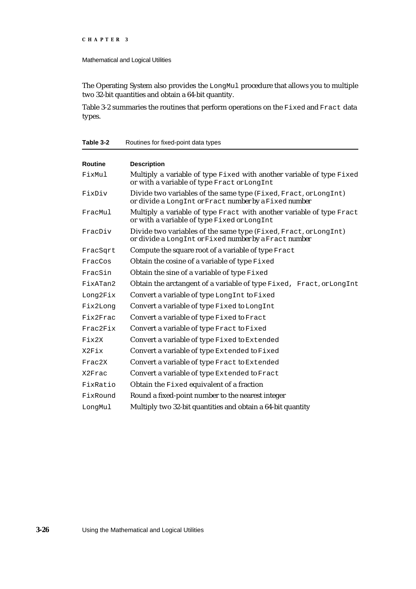The Operating System also provides the LongMul procedure that allows you to multiple two 32-bit quantities and obtain a 64-bit quantity.

Table 3-2 summaries the routines that perform operations on the Fixed and Fract data types.

**Table 3-2** Routines for fixed-point data types

| <b>Routine</b> | <b>Description</b>                                                                                                        |  |  |  |  |  |
|----------------|---------------------------------------------------------------------------------------------------------------------------|--|--|--|--|--|
| FixMul         | Multiply a variable of type Fixed with another variable of type Fixed<br>or with a variable of type Fract or LongInt      |  |  |  |  |  |
| FixDiv         | Divide two variables of the same type (Fixed, Fract, or LongInt)<br>or divide a LongInt or Fract number by a Fixed number |  |  |  |  |  |
| FracMul        | Multiply a variable of type Fract with another variable of type Fract<br>or with a variable of type Fixed or LongInt      |  |  |  |  |  |
| FracDiv        | Divide two variables of the same type (Fixed, Fract, or LongInt)<br>or divide a LongInt or Fixed number by a Fract number |  |  |  |  |  |
| FracSqrt       | Compute the square root of a variable of type Fract                                                                       |  |  |  |  |  |
| FracCos        | Obtain the cosine of a variable of type Fixed                                                                             |  |  |  |  |  |
| FracSin        | Obtain the sine of a variable of type Fixed                                                                               |  |  |  |  |  |
| FixATan2       | Obtain the arctangent of a variable of type Fixed, Fract, or Long Int                                                     |  |  |  |  |  |
| Long2Fix       | Convert a variable of type LongInt to Fixed                                                                               |  |  |  |  |  |
| Fix2Long       | Convert a variable of type Fixed to LongInt                                                                               |  |  |  |  |  |
| Fix2Frac       | Convert a variable of type Fixed to Fract                                                                                 |  |  |  |  |  |
| Frac2Fix       | Convert a variable of type Fract to Fixed                                                                                 |  |  |  |  |  |
| Fix2X          | Convert a variable of type Fixed to Extended                                                                              |  |  |  |  |  |
| X2Fix          | Convert a variable of type Extended to Fixed                                                                              |  |  |  |  |  |
| Frac2X         | Convert a variable of type Fract to Extended                                                                              |  |  |  |  |  |
| X2Frac         | Convert a variable of type Extended to Fract                                                                              |  |  |  |  |  |
| FixRatio       | Obtain the Fixed equivalent of a fraction                                                                                 |  |  |  |  |  |
| FixRound       | Round a fixed-point number to the nearest integer                                                                         |  |  |  |  |  |
| LongMul        | Multiply two 32-bit quantities and obtain a 64-bit quantity                                                               |  |  |  |  |  |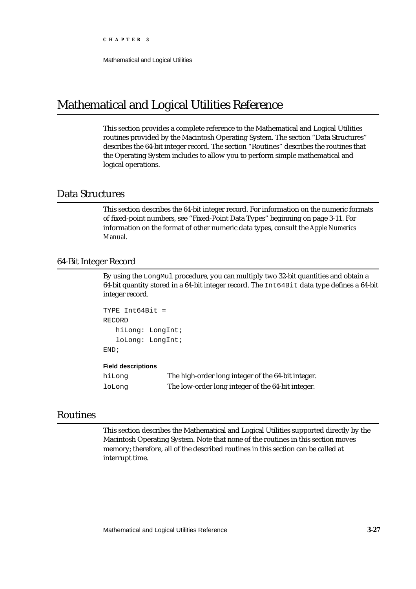## Mathematical and Logical Utilities Reference

This section provides a complete reference to the Mathematical and Logical Utilities routines provided by the Macintosh Operating System. The section "Data Structures" describes the 64-bit integer record. The section "Routines" describes the routines that the Operating System includes to allow you to perform simple mathematical and logical operations.

## Data Structures

This section describes the 64-bit integer record. For information on the numeric formats of fixed-point numbers, see "Fixed-Point Data Types" beginning on page 3-11. For information on the format of other numeric data types, consult the *Apple Numerics Manual*.

#### 64-Bit Integer Record

By using the LongMul procedure, you can multiply two 32-bit quantities and obtain a 64-bit quantity stored in a 64-bit integer record. The Int64Bit data type defines a 64-bit integer record.

```
TYPE Int64Bit =
RECORD
   hiLong: LongInt;
   loLong: LongInt;
END;
```
#### **Field descriptions**

| hiLonq | The high-order long integer of the 64-bit integer. |
|--------|----------------------------------------------------|
| loLong | The low-order long integer of the 64-bit integer.  |

## Routines

This section describes the Mathematical and Logical Utilities supported directly by the Macintosh Operating System. Note that none of the routines in this section moves memory; therefore, all of the described routines in this section can be called at interrupt time.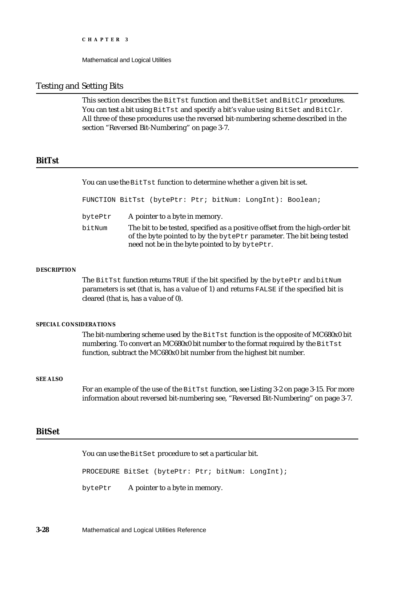#### Testing and Setting Bits

This section describes the BitTst function and the BitSet and BitClr procedures. You can test a bit using  $BitTest$  and specify a bit's value using BitSet and BitClr. All three of these procedures use the reversed bit-numbering scheme described in the section "Reversed Bit-Numbering" on page 3-7.

### **BitTst**

You can use the BitTst function to determine whether a given bit is set.

FUNCTION BitTst (bytePtr: Ptr; bitNum: LongInt): Boolean;

- bytePtr A pointer to a byte in memory.
- bitNum The bit to be tested, specified as a positive offset from the high-order bit of the byte pointed to by the bytePtr parameter. The bit being tested need not be in the byte pointed to by bytePtr.

#### **DESCRIPTION**

The BitTst function returns TRUE if the bit specified by the bytePtr and bitNum parameters is set (that is, has a value of 1) and returns FALSE if the specified bit is cleared (that is, has a value of 0).

#### **SPECIAL CONSIDERATIONS**

The bit-numbering scheme used by the BitTst function is the opposite of MC680x0 bit numbering. To convert an MC680x0 bit number to the format required by the BitTst function, subtract the MC680x0 bit number from the highest bit number.

#### **SEE ALSO**

For an example of the use of the BitTst function, see Listing 3-2 on page 3-15. For more information about reversed bit-numbering see, "Reversed Bit-Numbering" on page 3-7.

### **BitSet**

You can use the BitSet procedure to set a particular bit.

PROCEDURE BitSet (bytePtr: Ptr; bitNum: LongInt);

bytePtr A pointer to a byte in memory.

**3-28** Mathematical and Logical Utilities Reference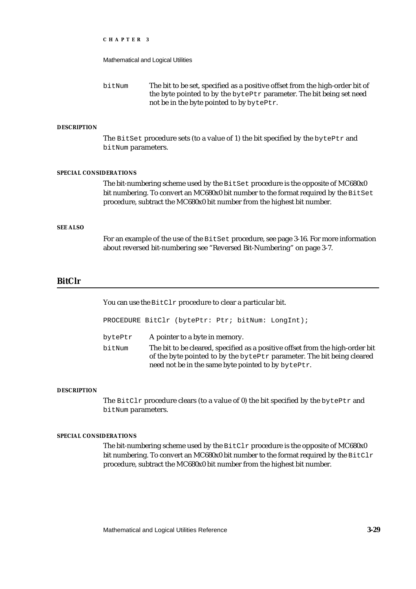|                               | CHAPTER 3                                                                                              |                                                                                                                                                                                                                                                     |  |  |  |  |  |  |
|-------------------------------|--------------------------------------------------------------------------------------------------------|-----------------------------------------------------------------------------------------------------------------------------------------------------------------------------------------------------------------------------------------------------|--|--|--|--|--|--|
|                               |                                                                                                        | Mathematical and Logical Utilities                                                                                                                                                                                                                  |  |  |  |  |  |  |
|                               | bitNum                                                                                                 | The bit to be set, specified as a positive offset from the high-order bit of<br>the byte pointed to by the bytePtr parameter. The bit being set need<br>not be in the byte pointed to by bytePtr.                                                   |  |  |  |  |  |  |
| <b>DESCRIPTION</b>            |                                                                                                        |                                                                                                                                                                                                                                                     |  |  |  |  |  |  |
|                               | The BitSet procedure sets (to a value of 1) the bit specified by the bytePtr and<br>bitNum parameters. |                                                                                                                                                                                                                                                     |  |  |  |  |  |  |
| <b>SPECIAL CONSIDERATIONS</b> |                                                                                                        |                                                                                                                                                                                                                                                     |  |  |  |  |  |  |
|                               |                                                                                                        | The bit-numbering scheme used by the BitSet procedure is the opposite of MC680x0<br>bit numbering. To convert an MC680x0 bit number to the format required by the BitSet<br>procedure, subtract the MC680x0 bit number from the highest bit number. |  |  |  |  |  |  |
| <b>SEE ALSO</b>               |                                                                                                        |                                                                                                                                                                                                                                                     |  |  |  |  |  |  |
|                               |                                                                                                        | For an example of the use of the BitSet procedure, see page 3-16. For more information<br>about reversed bit-numbering see "Reversed Bit-Numbering" on page 3-7.                                                                                    |  |  |  |  |  |  |

## **BitClr**

You can use the BitClr procedure to clear a particular bit.

|                   | PROCEDURE BitClr (bytePtr: Ptr; bitNum: LongInt); |  |                                                                                                                                                                                                                |
|-------------------|---------------------------------------------------|--|----------------------------------------------------------------------------------------------------------------------------------------------------------------------------------------------------------------|
| bytePtr<br>bitNum | A pointer to a byte in memory.                    |  | The bit to be cleared, specified as a positive offset from the high-order bit<br>of the byte pointed to by the bytePtr parameter. The bit being cleared<br>need not be in the same byte pointed to by bytePtr. |

#### **DESCRIPTION**

The BitClr procedure clears (to a value of 0) the bit specified by the bytePtr and bitNum parameters.

#### **SPECIAL CONSIDERATIONS**

The bit-numbering scheme used by the  $\texttt{BitClr}$  procedure is the opposite of MC680x0 bit numbering. To convert an MC680x0 bit number to the format required by the BitClr procedure, subtract the MC680x0 bit number from the highest bit number.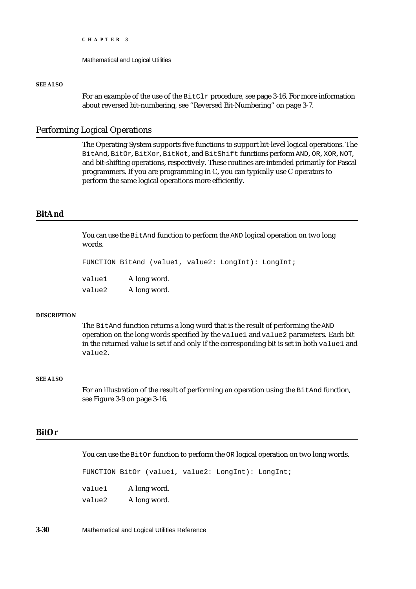Mathematical and Logical Utilities

#### **SEE ALSO**

For an example of the use of the  $BitCLr$  procedure, see page 3-16. For more information about reversed bit-numbering, see "Reversed Bit-Numbering" on page 3-7.

#### Performing Logical Operations

The Operating System supports five functions to support bit-level logical operations. The BitAnd, BitOr, BitXor, BitNot, and BitShift functions perform AND, OR, XOR, NOT, and bit-shifting operations, respectively. These routines are intended primarily for Pascal programmers. If you are programming in C, you can typically use C operators to perform the same logical operations more efficiently.

## **BitAnd**

You can use the BitAnd function to perform the AND logical operation on two long words.

```
FUNCTION BitAnd (value1, value2: LongInt): LongInt;
```

| value1 | A long word. |
|--------|--------------|
| value2 | A long word. |

#### **DESCRIPTION**

The BitAnd function returns a long word that is the result of performing the AND operation on the long words specified by the value1 and value2 parameters. Each bit in the returned value is set if and only if the corresponding bit is set in both value1 and value2.

#### **SEE ALSO**

For an illustration of the result of performing an operation using the BitAnd function, see Figure 3-9 on page 3-16.

## **BitOr**

You can use the BitOr function to perform the OR logical operation on two long words.

FUNCTION BitOr (value1, value2: LongInt): LongInt; value1 A long word. value2 A long word.

**3-30** Mathematical and Logical Utilities Reference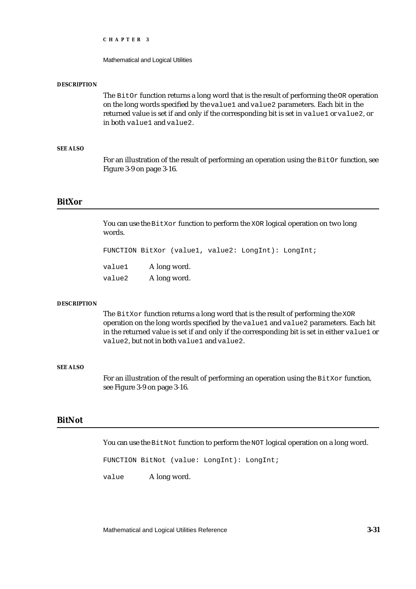Mathematical and Logical Utilities

#### **DESCRIPTION**

The  $BitOr$  function returns a long word that is the result of performing the  $OR$  operation on the long words specified by the value1 and value2 parameters. Each bit in the returned value is set if and only if the corresponding bit is set in value1 or value2, or in both value1 and value2.

#### **SEE ALSO**

For an illustration of the result of performing an operation using the  $BitOr$  function, see Figure 3-9 on page 3-16.

#### **BitXor**

You can use the BitXor function to perform the XOR logical operation on two long words.

FUNCTION BitXor (value1, value2: LongInt): LongInt;

value2 A long word.

#### **DESCRIPTION**

The BitXor function returns a long word that is the result of performing the XOR operation on the long words specified by the value1 and value2 parameters. Each bit in the returned value is set if and only if the corresponding bit is set in either value1 or value2, but not in both value1 and value2.

#### **SEE ALSO**

For an illustration of the result of performing an operation using the BitXor function, see Figure 3-9 on page 3-16.

#### **BitNot**

You can use the BitNot function to perform the NOT logical operation on a long word.

FUNCTION BitNot (value: LongInt): LongInt;

value A long word.

Mathematical and Logical Utilities Reference **3-31**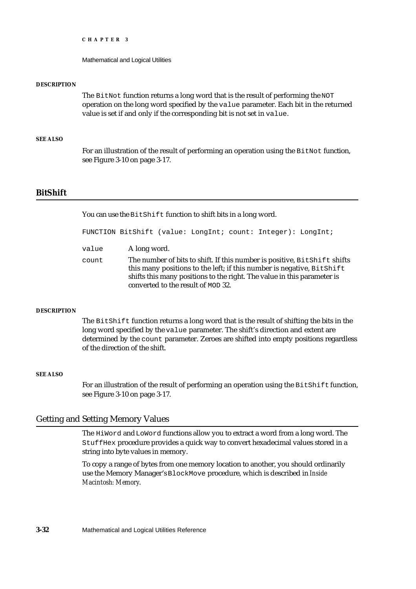Mathematical and Logical Utilities

#### **DESCRIPTION**

The BitNot function returns a long word that is the result of performing the NOT operation on the long word specified by the value parameter. Each bit in the returned value is set if and only if the corresponding bit is not set in value.

#### **SEE ALSO**

For an illustration of the result of performing an operation using the  $BitNot$  function, see Figure 3-10 on page 3-17.

### **BitShift**

You can use the BitShift function to shift bits in a long word.

FUNCTION BitShift (value: LongInt; count: Integer): LongInt;

value A long word. count The number of bits to shift. If this number is positive, BitShift shifts this many positions to the left; if this number is negative, BitShift shifts this many positions to the right. The value in this parameter is converted to the result of MOD 32.

#### **DESCRIPTION**

The BitShift function returns a long word that is the result of shifting the bits in the long word specified by the value parameter. The shift's direction and extent are determined by the count parameter. Zeroes are shifted into empty positions regardless of the direction of the shift.

#### **SEE ALSO**

For an illustration of the result of performing an operation using the BitShift function, see Figure 3-10 on page 3-17.

### Getting and Setting Memory Values

The HiWord and LoWord functions allow you to extract a word from a long word. The StuffHex procedure provides a quick way to convert hexadecimal values stored in a string into byte values in memory.

To copy a range of bytes from one memory location to another, you should ordinarily use the Memory Manager's BlockMove procedure, which is described in *Inside Macintosh: Memory*.

**3-32** Mathematical and Logical Utilities Reference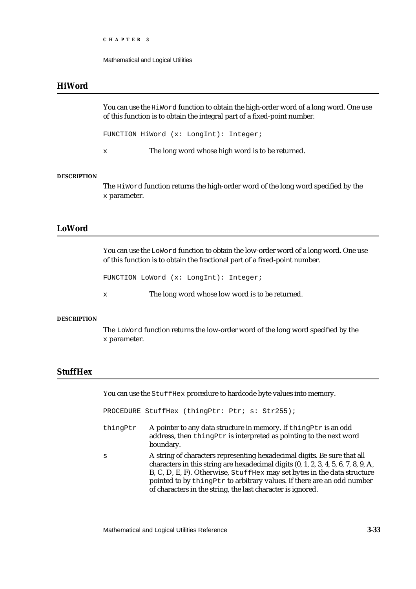```
CHAPTER 3
```
## **HiWord**

You can use the HiWord function to obtain the high-order word of a long word. One use of this function is to obtain the integral part of a fixed-point number.

FUNCTION HiWord (x: LongInt): Integer;

x The long word whose high word is to be returned.

#### **DESCRIPTION**

The HiWord function returns the high-order word of the long word specified by the x parameter.

## **LoWord**

You can use the LoWord function to obtain the low-order word of a long word. One use of this function is to obtain the fractional part of a fixed-point number.

FUNCTION LoWord (x: LongInt): Integer;

x The long word whose low word is to be returned.

#### **DESCRIPTION**

The LoWord function returns the low-order word of the long word specified by the x parameter.

## **StuffHex**

You can use the StuffHex procedure to hardcode byte values into memory.

PROCEDURE StuffHex (thingPtr: Ptr; s: Str255);

- thing Ptr  $\Delta$  pointer to any data structure in memory. If thing Ptr is an odd address, then thingPtr is interpreted as pointing to the next word boundary.
- s A string of characters representing hexadecimal digits. Be sure that all characters in this string are hexadecimal digits (0, 1, 2, 3, 4, 5, 6, 7, 8, 9, A, B, C, D, E, F). Otherwise, StuffHex may set bytes in the data structure pointed to by thingPtr to arbitrary values. If there are an odd number of characters in the string, the last character is ignored.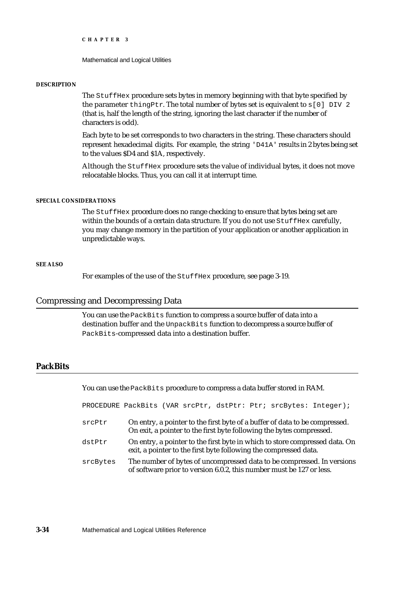Mathematical and Logical Utilities

#### **DESCRIPTION**

The StuffHex procedure sets bytes in memory beginning with that byte specified by the parameter thingPtr. The total number of bytes set is equivalent to  $s[0]$  DIV 2 (that is, half the length of the string, ignoring the last character if the number of characters is odd).

Each byte to be set corresponds to two characters in the string. These characters should represent hexadecimal digits. For example, the string 'D41A' results in 2 bytes being set to the values \$D4 and \$1A, respectively.

Although the StuffHex procedure sets the value of individual bytes, it does not move relocatable blocks. Thus, you can call it at interrupt time.

#### **SPECIAL CONSIDERATIONS**

The StuffHex procedure does no range checking to ensure that bytes being set are within the bounds of a certain data structure. If you do not use StuffHex carefully, you may change memory in the partition of your application or another application in unpredictable ways.

#### **SEE ALSO**

For examples of the use of the StuffHex procedure, see page 3-19.

#### Compressing and Decompressing Data

You can use the PackBits function to compress a source buffer of data into a destination buffer and the UnpackBits function to decompress a source buffer of PackBits-compressed data into a destination buffer.

## **PackBits**

You can use the PackBits procedure to compress a data buffer stored in RAM.

PROCEDURE PackBits (VAR srcPtr, dstPtr: Ptr; srcBytes: Integer);

- srcPtr On entry, a pointer to the first byte of a buffer of data to be compressed. On exit, a pointer to the first byte following the bytes compressed.
- dstPtr On entry, a pointer to the first byte in which to store compressed data. On exit, a pointer to the first byte following the compressed data.
- srcBytes The number of bytes of uncompressed data to be compressed. In versions of software prior to version 6.0.2, this number must be 127 or less.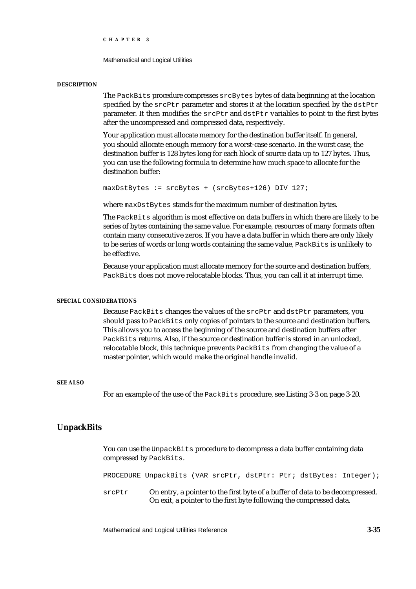Mathematical and Logical Utilities

#### **DESCRIPTION**

The PackBits procedure compresses srcBytes bytes of data beginning at the location specified by the  $srcPtr$  parameter and stores it at the location specified by the  $dstPtr$ parameter. It then modifies the srcPtr and dstPtr variables to point to the first bytes after the uncompressed and compressed data, respectively.

Your application must allocate memory for the destination buffer itself. In general, you should allocate enough memory for a worst-case scenario. In the worst case, the destination buffer is 128 bytes long for each block of source data up to 127 bytes. Thus, you can use the following formula to determine how much space to allocate for the destination buffer:

```
maxDstBytes := srcBytes + (srcBytes + 126) DIV 127;
```
where maxDstBytes stands for the maximum number of destination bytes.

The PackBits algorithm is most effective on data buffers in which there are likely to be series of bytes containing the same value. For example, resources of many formats often contain many consecutive zeros. If you have a data buffer in which there are only likely to be series of words or long words containing the same value, PackBits is unlikely to be effective.

Because your application must allocate memory for the source and destination buffers, PackBits does not move relocatable blocks. Thus, you can call it at interrupt time.

#### **SPECIAL CONSIDERATIONS**

Because PackBits changes the values of the srcPtr and dstPtr parameters, you should pass to PackBits only copies of pointers to the source and destination buffers. This allows you to access the beginning of the source and destination buffers after PackBits returns. Also, if the source or destination buffer is stored in an unlocked, relocatable block, this technique prevents PackBits from changing the value of a master pointer, which would make the original handle invalid.

#### **SEE ALSO**

For an example of the use of the PackBits procedure, see Listing 3-3 on page 3-20.

#### **UnpackBits**

You can use the UnpackBits procedure to decompress a data buffer containing data compressed by PackBits.

PROCEDURE UnpackBits (VAR srcPtr, dstPtr: Ptr; dstBytes: Integer);

srcPtr On entry, a pointer to the first byte of a buffer of data to be decompressed. On exit, a pointer to the first byte following the compressed data.

Mathematical and Logical Utilities Reference **3-35**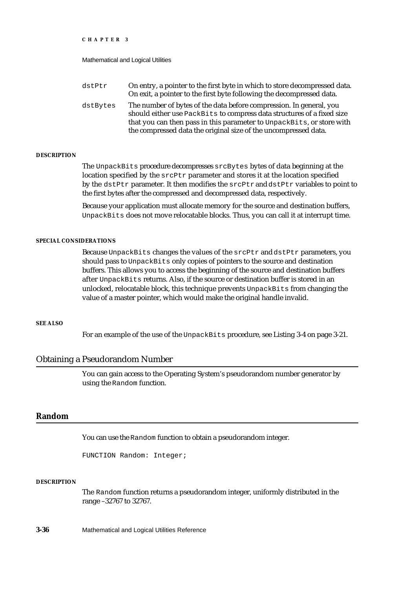Mathematical and Logical Utilities

| On entry, a pointer to the first byte in which to store decompressed data.<br>On exit, a pointer to the first byte following the decompressed data.                                                                    |
|------------------------------------------------------------------------------------------------------------------------------------------------------------------------------------------------------------------------|
| The number of bytes of the data before compression. In general, you<br>should either use PackBits to compress data structures of a fixed size<br>that you can then pass in this parameter to UnpackBits, or store with |
| the compressed data the original size of the uncompressed data.                                                                                                                                                        |
|                                                                                                                                                                                                                        |

#### **DESCRIPTION**

The UnpackBits procedure decompresses srcBytes bytes of data beginning at the location specified by the srcPtr parameter and stores it at the location specified by the dstPtr parameter. It then modifies the srcPtr and dstPtr variables to point to the first bytes after the compressed and decompressed data, respectively.

Because your application must allocate memory for the source and destination buffers, UnpackBits does not move relocatable blocks. Thus, you can call it at interrupt time.

## **SPECIAL CONSIDERATIONS**

Because UnpackBits changes the values of the srcPtr and dstPtr parameters, you should pass to UnpackBits only copies of pointers to the source and destination buffers. This allows you to access the beginning of the source and destination buffers after UnpackBits returns. Also, if the source or destination buffer is stored in an unlocked, relocatable block, this technique prevents UnpackBits from changing the value of a master pointer, which would make the original handle invalid.

#### **SEE ALSO**

For an example of the use of the UnpackBits procedure, see Listing 3-4 on page 3-21.

## Obtaining a Pseudorandom Number

You can gain access to the Operating System's pseudorandom number generator by using the Random function.

## **Random**

You can use the Random function to obtain a pseudorandom integer.

FUNCTION Random: Integer;

#### **DESCRIPTION**

The Random function returns a pseudorandom integer, uniformly distributed in the range –32767 to 32767.

**3-36** Mathematical and Logical Utilities Reference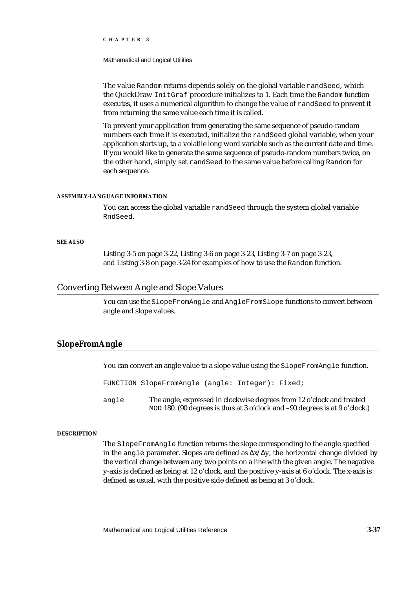#### Mathematical and Logical Utilities

The value Random returns depends solely on the global variable randSeed, which the QuickDraw InitGraf procedure initializes to 1. Each time the Random function executes, it uses a numerical algorithm to change the value of randSeed to prevent it from returning the same value each time it is called.

To prevent your application from generating the same sequence of pseudo-random numbers each time it is executed, initialize the randSeed global variable, when your application starts up, to a volatile long word variable such as the current date and time. If you would like to generate the same sequence of pseudo-random numbers twice, on the other hand, simply set randSeed to the same value before calling Random for each sequence.

#### **ASSEMBLY-LANGUAGE INFORMATION**

You can access the global variable randSeed through the system global variable RndSeed.

## **SEE ALSO**

Listing 3-5 on page 3-22, Listing 3-6 on page 3-23, Listing 3-7 on page 3-23, and Listing 3-8 on page 3-24 for examples of how to use the Random function.

# Converting Between Angle and Slope Values

You can use the SlopeFromAngle and AngleFromSlope functions to convert between angle and slope values.

# **SlopeFromAngle**

You can convert an angle value to a slope value using the SlopeFromAngle function.

FUNCTION SlopeFromAngle (angle: Integer): Fixed;

angle The angle, expressed in clockwise degrees from 12 o'clock and treated MOD 180. (90 degrees is thus at 3 o'clock and –90 degrees is at 9 o'clock.)

#### **DESCRIPTION**

The SlopeFromAngle function returns the slope corresponding to the angle specified in the angle parameter. Slopes are defined as  $x'$  y, the horizontal change divided by the vertical change between any two points on a line with the given angle. The negative y-axis is defined as being at 12 o'clock, and the positive y-axis at 6 o'clock. The x-axis is defined as usual, with the positive side defined as being at 3 o'clock.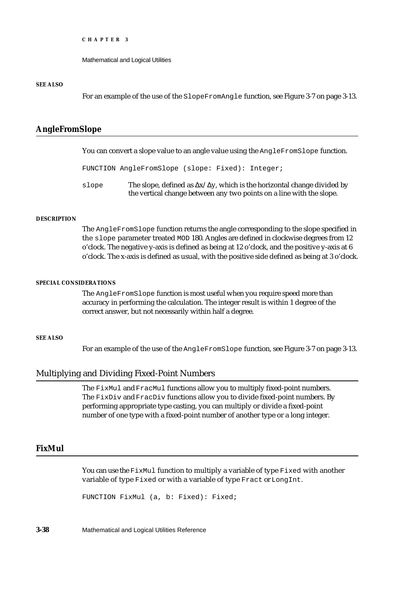Mathematical and Logical Utilities

#### **SEE ALSO**

For an example of the use of the SlopeFromAngle function, see Figure 3-7 on page 3-13.

# **AngleFromSlope**

You can convert a slope value to an angle value using the AngleFromSlope function.

```
FUNCTION AngleFromSlope (slope: Fixed): Integer;
```
slope The slope, defined as  $x/ y$ , which is the horizontal change divided by the vertical change between any two points on a line with the slope.

## **DESCRIPTION**

The AngleFromSlope function returns the angle corresponding to the slope specified in the slope parameter treated MOD 180. Angles are defined in clockwise degrees from 12 o'clock. The negative y-axis is defined as being at 12 o'clock, and the positive y-axis at 6 o'clock. The x-axis is defined as usual, with the positive side defined as being at 3 o'clock.

#### **SPECIAL CONSIDERATIONS**

The AngleFromSlope function is most useful when you require speed more than accuracy in performing the calculation. The integer result is within 1 degree of the correct answer, but not necessarily within half a degree.

#### **SEE ALSO**

For an example of the use of the AngleFromSlope function, see Figure 3-7 on page 3-13.

# Multiplying and Dividing Fixed-Point Numbers

The FixMul and FracMul functions allow you to multiply fixed-point numbers. The FixDiv and FracDiv functions allow you to divide fixed-point numbers. By performing appropriate type casting, you can multiply or divide a fixed-point number of one type with a fixed-point number of another type or a long integer.

# **FixMul**

You can use the FixMul function to multiply a variable of type Fixed with another variable of type Fixed or with a variable of type Fract or LongInt.

FUNCTION FixMul (a, b: Fixed): Fixed;

**3-38** Mathematical and Logical Utilities Reference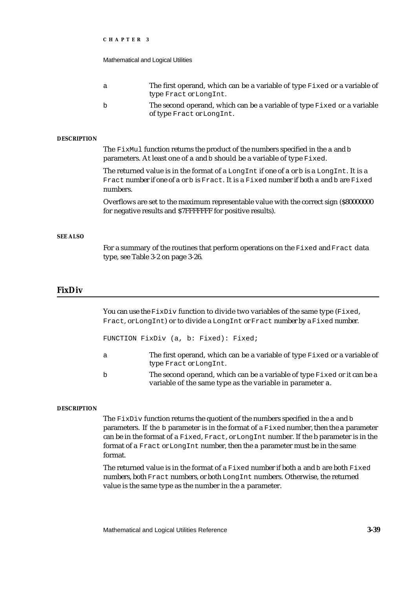|                    | CHAPTER 3                                                                                                                                                                                     |                                                                                                                                                      |  |  |  |  |
|--------------------|-----------------------------------------------------------------------------------------------------------------------------------------------------------------------------------------------|------------------------------------------------------------------------------------------------------------------------------------------------------|--|--|--|--|
|                    | Mathematical and Logical Utilities                                                                                                                                                            |                                                                                                                                                      |  |  |  |  |
|                    | a                                                                                                                                                                                             | The first operand, which can be a variable of type Fixed or a variable of<br>type Fract or LongInt.                                                  |  |  |  |  |
|                    | b                                                                                                                                                                                             | The second operand, which can be a variable of type Fixed or a variable<br>of type Fract or LongInt.                                                 |  |  |  |  |
| <b>DESCRIPTION</b> |                                                                                                                                                                                               |                                                                                                                                                      |  |  |  |  |
|                    | The FixMul function returns the product of the numbers specified in the a and b<br>parameters. At least one of a and b should be a variable of type Fixed.                                    |                                                                                                                                                      |  |  |  |  |
|                    | The returned value is in the format of a LongInt if one of a or b is a LongInt. It is a<br>Fract number if one of a or b is Fract. It is a Fixed number if both a and b are Fixed<br>numbers. |                                                                                                                                                      |  |  |  |  |
|                    |                                                                                                                                                                                               | Overflows are set to the maximum representable value with the correct sign (\$80000000<br>for negative results and \$7FFFFFFF for positive results). |  |  |  |  |
| <b>SEE ALSO</b>    |                                                                                                                                                                                               |                                                                                                                                                      |  |  |  |  |
|                    | For a summary of the routines that perform operations on the Fixed and Fract data<br>type, see Table 3-2 on page 3-26.                                                                        |                                                                                                                                                      |  |  |  |  |
|                    |                                                                                                                                                                                               |                                                                                                                                                      |  |  |  |  |

# **FixDiv**

You can use the  $FixDiv$  function to divide two variables of the same type (Fixed, Fract, or LongInt) or to divide a LongInt or Fract number by a Fixed number.

FUNCTION FixDiv (a, b: Fixed): Fixed;

- a The first operand, which can be a variable of type Fixed or a variable of type Fract or LongInt.
- b The second operand, which can be a variable of type Fixed or it can be a variable of the same type as the variable in parameter a.

#### **DESCRIPTION**

The  $FixDiv$  function returns the quotient of the numbers specified in the a and b parameters. If the b parameter is in the format of a Fixed number, then the a parameter can be in the format of a Fixed, Fract, or LongInt number. If the b parameter is in the format of a Fract or LongInt number, then the a parameter must be in the same format.

The returned value is in the format of a  $Fixed$  ixed number if both a and b are both  $Fixed$ numbers, both Fract numbers, or both LongInt numbers. Otherwise, the returned value is the same type as the number in the a parameter.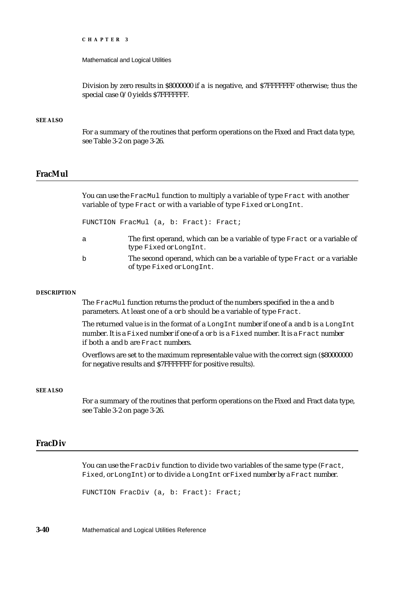Mathematical and Logical Utilities

Division by zero results in \$8000000 if a is negative, and \$7FFFFFFF otherwise; thus the special case 0/0 yields \$7FFFFFFF.

#### **SEE ALSO**

For a summary of the routines that perform operations on the Fixed and Fract data type, see Table 3-2 on page 3-26.

# **FracMul**

You can use the FracMul function to multiply a variable of type Fract with another variable of type Fract or with a variable of type Fixed or LongInt.

FUNCTION FracMul (a, b: Fract): Fract;

- a The first operand, which can be a variable of type Fract or a variable of type Fixed or LongInt.
- b The second operand, which can be a variable of type Fract or a variable of type Fixed or LongInt.

#### **DESCRIPTION**

The FracMul function returns the product of the numbers specified in the a and b parameters. At least one of a or b should be a variable of type Fract.

The returned value is in the format of a LongInt number if one of a and b is a LongInt number. It is a Fixed number if one of a or b is a Fixed number. It is a Fract number if both a and b are Fract numbers.

Overflows are set to the maximum representable value with the correct sign (\$80000000 for negative results and \$7FFFFFFF for positive results).

#### **SEE ALSO**

For a summary of the routines that perform operations on the Fixed and Fract data type, see Table 3-2 on page 3-26.

# **FracDiv**

You can use the FracDiv function to divide two variables of the same type (Fract, Fixed, or LongInt) or to divide a LongInt or Fixed number by a Fract number.

FUNCTION FracDiv (a, b: Fract): Fract;

**3-40** Mathematical and Logical Utilities Reference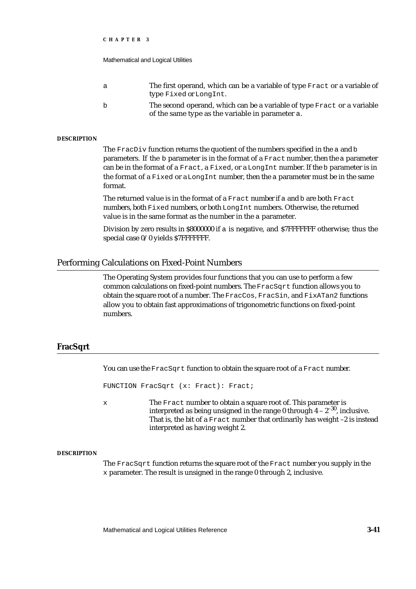Mathematical and Logical Utilities

| - a | The first operand, which can be a variable of type Fract or a variable of |
|-----|---------------------------------------------------------------------------|
|     | type Fixed or Long Int.                                                   |
| b   | The second operand, which can be a variable of type Fract or a variable   |

of the same type as the variable in parameter a.

#### **DESCRIPTION**

The FracDiv function returns the quotient of the numbers specified in the a and b parameters. If the b parameter is in the format of a Fract number, then the a parameter can be in the format of a Fract, a Fixed, or a LongInt number. If the b parameter is in the format of a Fixed or a LongInt number, then the a parameter must be in the same format.

The returned value is in the format of a Fract number if a and b are both Fract numbers, both Fixed numbers, or both LongInt numbers. Otherwise, the returned value is in the same format as the number in the a parameter.

Division by zero results in \$8000000 if a is negative, and \$7FFFFFFF otherwise; thus the special case 0/0 yields \$7FFFFFFF.

## Performing Calculations on Fixed-Point Numbers

The Operating System provides four functions that you can use to perform a few common calculations on fixed-point numbers. The FracSqrt function allows you to obtain the square root of a number. The FracCos, FracSin, and FixATan2 functions allow you to obtain fast approximations of trigonometric functions on fixed-point numbers.

## **FracSqrt**

You can use the FracSqrt function to obtain the square root of a Fract number.

FUNCTION FracSqrt (x: Fract): Fract;

x The Fract number to obtain a square root of. This parameter is interpreted as being unsigned in the range 0 through  $4 - 2^{-30}$ , inclusive. That is, the bit of a Fract number that ordinarily has weight –2 is instead interpreted as having weight 2.

#### **DESCRIPTION**

The FracSqrt function returns the square root of the Fract number you supply in the x parameter. The result is unsigned in the range 0 through 2, inclusive.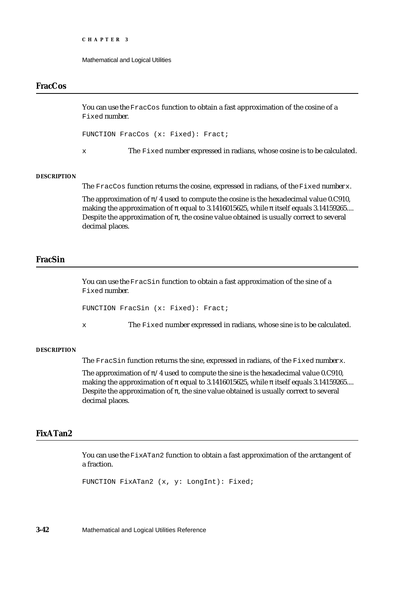Mathematical and Logical Utilities

# **FracCos**

You can use the FracCos function to obtain a fast approximation of the cosine of a Fixed number.

FUNCTION FracCos (x: Fixed): Fract;

x The Fixed number expressed in radians, whose cosine is to be calculated.

#### **DESCRIPTION**

The FracCos function returns the cosine, expressed in radians, of the Fixed number x.

The approximation of /4 used to compute the cosine is the hexadecimal value 0.C910, making the approximation of equal to 3.1416015625, while itself equals 3.14159265.... Despite the approximation of , the cosine value obtained is usually correct to several decimal places.

# **FracSin**

You can use the FracSin function to obtain a fast approximation of the sine of a Fixed number.

FUNCTION FracSin (x: Fixed): Fract;

x The Fixed number expressed in radians, whose sine is to be calculated.

#### **DESCRIPTION**

The FracSin function returns the sine, expressed in radians, of the Fixed number x.

The approximation of /4 used to compute the sine is the hexadecimal value 0.C910, making the approximation of equal to 3.1416015625, while itself equals 3.14159265.... Despite the approximation of , the sine value obtained is usually correct to several decimal places.

# **FixATan2**

You can use the FixATan2 function to obtain a fast approximation of the arctangent of a fraction.

FUNCTION FixATan2 (x, y: LongInt): Fixed;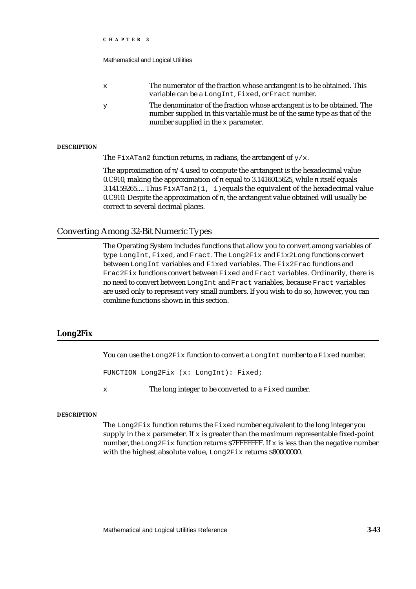Mathematical and Logical Utilities

| The numerator of the fraction whose arctangent is to be obtained. This |
|------------------------------------------------------------------------|
| variable can be a LongInt, Fixed, or Fract number.                     |

y The denominator of the fraction whose arctangent is to be obtained. The number supplied in this variable must be of the same type as that of the number supplied in the x parameter.

#### **DESCRIPTION**

The FixATan2 function returns, in radians, the arctangent of  $y/x$ .

The approximation of /4 used to compute the arctangent is the hexadecimal value 0.C910, making the approximation of equal to 3.1416015625, while itself equals 3.14159265.... Thus  $FixATan2(1, 1)$  equals the equivalent of the hexadecimal value 0.C910. Despite the approximation of , the arctangent value obtained will usually be correct to several decimal places.

# Converting Among 32-Bit Numeric Types

The Operating System includes functions that allow you to convert among variables of type LongInt, Fixed, and Fract. The Long2Fix and Fix2Long functions convert between LongInt variables and Fixed variables. The Fix2Frac functions and Frac2Fix functions convert between Fixed and Fract variables. Ordinarily, there is no need to convert between LongInt and Fract variables, because Fract variables are used only to represent very small numbers. If you wish to do so, however, you can combine functions shown in this section.

# **Long2Fix**

You can use the Long2Fix function to convert a LongInt number to a Fixed number.

FUNCTION Long2Fix (x: LongInt): Fixed;

x The long integer to be converted to a Fixed number.

#### **DESCRIPTION**

The Long2Fix function returns the Fixed number equivalent to the long integer you supply in the  $x$  parameter. If  $x$  is greater than the maximum representable fixed-point number, the Long2Fix function returns \$7FFFFFFF. If x is less than the negative number with the highest absolute value, Long2Fix returns \$80000000.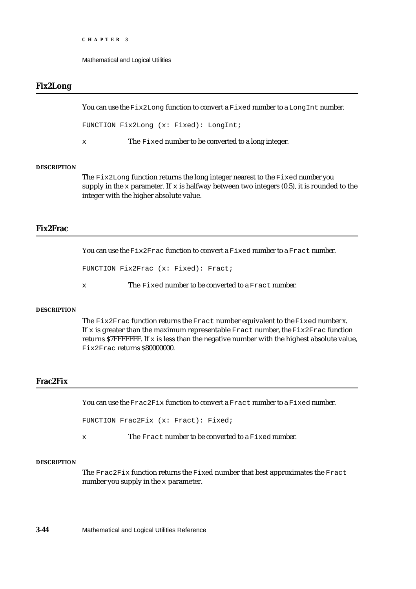Mathematical and Logical Utilities

# **Fix2Long**

You can use the  $Fix2Long$  function to convert a Fixed number to a LongInt number.

FUNCTION Fix2Long (x: Fixed): LongInt;

x The Fixed number to be converted to a long integer.

#### **DESCRIPTION**

The Fix2Long function returns the long integer nearest to the Fixed number you supply in the x parameter. If x is halfway between two integers  $(0.5)$ , it is rounded to the integer with the higher absolute value.

# **Fix2Frac**

You can use the  $Fix2Frac$  function to convert a Fixed number to a Fract number.

```
FUNCTION Fix2Frac (x: Fixed): Fract;
```
x The Fixed number to be converted to a Fract number.

#### **DESCRIPTION**

The Fix2Frac function returns the Fract number equivalent to the Fixed number x. If x is greater than the maximum representable Fract number, the Fix2Frac function returns  $$7$ FFFFFFF. If  $\times$  is less than the negative number with the highest absolute value, Fix2Frac returns \$80000000.

# **Frac2Fix**

You can use the Frac2Fix function to convert a Fract number to a Fixed number.

FUNCTION Frac2Fix (x: Fract): Fixed;

x The Fract number to be converted to a Fixed number.

#### **DESCRIPTION**

The Frac2Fix function returns the Fixed number that best approximates the Fract number you supply in the x parameter.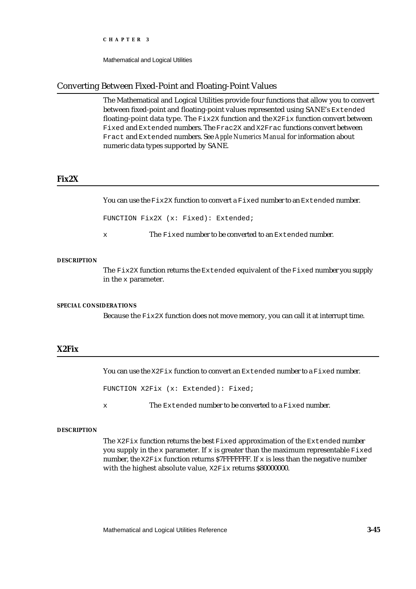Mathematical and Logical Utilities

# Converting Between Fixed-Point and Floating-Point Values

The Mathematical and Logical Utilities provide four functions that allow you to convert between fixed-point and floating-point values represented using SANE's Extended floating-point data type. The Fix2X function and the X2Fix function convert between Fixed and Extended numbers. The Frac2X and X2Frac functions convert between Fract and Extended numbers. See *Apple Numerics Manual* for information about numeric data types supported by SANE.

## **Fix2X**

You can use the  $Fix2X$  function to convert a Fixed number to an Extended number.

FUNCTION Fix2X (x: Fixed): Extended;

x The Fixed number to be converted to an Extended number.

#### **DESCRIPTION**

The Fix2X function returns the Extended equivalent of the Fixed number you supply in the x parameter.

#### **SPECIAL CONSIDERATIONS**

Because the  $Fix2X$  function does not move memory, you can call it at interrupt time.

# **X2Fix**

You can use the  $X2Fix$  function to convert an Extended number to a Fixed number.

FUNCTION X2Fix (x: Extended): Fixed;

x The Extended number to be converted to a Fixed number.

#### **DESCRIPTION**

The  $X2Fix$  function returns the best Fixed approximation of the Extended number you supply in the x parameter. If x is greater than the maximum representable  $Fixed$ number, the  $X2Fix$  function returns \$7FFFFFF. If x is less than the negative number with the highest absolute value, X2Fix returns \$80000000.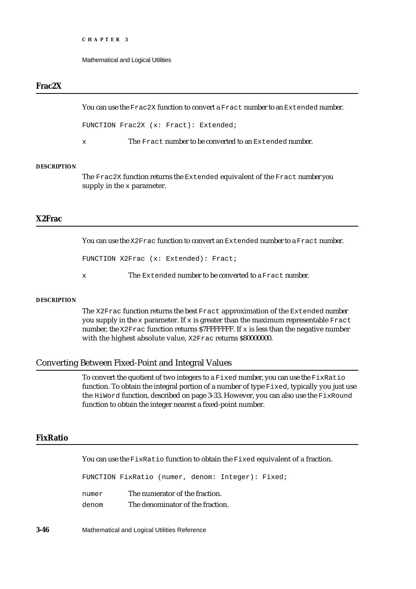Mathematical and Logical Utilities

# **Frac2X**

You can use the Frac2X function to convert a Fract number to an Extended number.

FUNCTION Frac2X (x: Fract): Extended;

x The Fract number to be converted to an Extended number.

## **DESCRIPTION**

The Frac2X function returns the Extended equivalent of the Fract number you supply in the  $x$  parameter.

# **X2Frac**

You can use the X2Frac function to convert an Extended number to a Fract number.

FUNCTION X2Frac (x: Extended): Fract;

x The Extended number to be converted to a Fract number.

#### **DESCRIPTION**

The X2Frac function returns the best Fract approximation of the Extended number you supply in the x parameter. If x is greater than the maximum representable  $\text{frac}$ number, the  $X2Frac$  function returns \$7FFFFFFF. If x is less than the negative number with the highest absolute value, X2Frac returns \$80000000.

# Converting Between Fixed-Point and Integral Values

To convert the quotient of two integers to a Fixed number, you can use the FixRatio function. To obtain the integral portion of a number of type  $Fixed$  ixed, typically you just use the HiWord function, described on page 3-33. However, you can also use the FixRound function to obtain the integer nearest a fixed-point number.

## **FixRatio**

You can use the FixRatio function to obtain the Fixed equivalent of a fraction.

FUNCTION FixRatio (numer, denom: Integer): Fixed; numer The numerator of the fraction. denom The denominator of the fraction.

**3-46** Mathematical and Logical Utilities Reference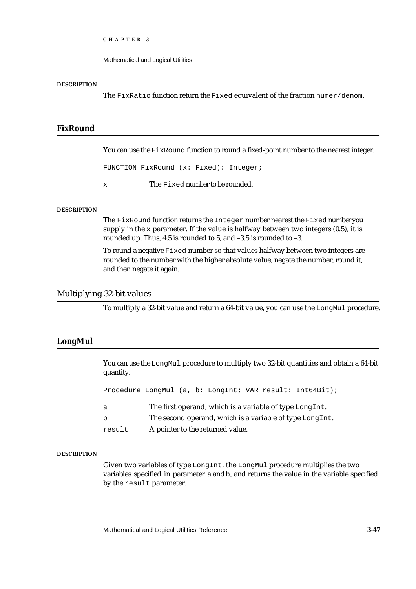Mathematical and Logical Utilities

#### **DESCRIPTION**

The FixRatio function return the Fixed equivalent of the fraction numer/denom.

# **FixRound**

You can use the FixRound function to round a fixed-point number to the nearest integer.

FUNCTION FixRound (x: Fixed): Integer;

x The Fixed number to be rounded.

#### **DESCRIPTION**

The FixRound function returns the Integer number nearest the Fixed number you supply in the  $x$  parameter. If the value is halfway between two integers  $(0.5)$ , it is rounded up. Thus, 4.5 is rounded to 5, and –3.5 is rounded to –3.

To round a negative Fixed number so that values halfway between two integers are rounded to the number with the higher absolute value, negate the number, round it, and then negate it again.

# Multiplying 32-bit values

To multiply a 32-bit value and return a 64-bit value, you can use the LongMul procedure.

## **LongMul**

You can use the LongMul procedure to multiply two 32-bit quantities and obtain a 64-bit quantity.

Procedure LongMul (a, b: LongInt; VAR result: Int64Bit);

| The first operand, which is a variable of type LongInt. |  |
|---------------------------------------------------------|--|
|---------------------------------------------------------|--|

- b The second operand, which is a variable of type LongInt.
- result A pointer to the returned value.

#### **DESCRIPTION**

Given two variables of type LongInt, the LongMul procedure multiplies the two variables specified in parameter a and b, and returns the value in the variable specified by the result parameter.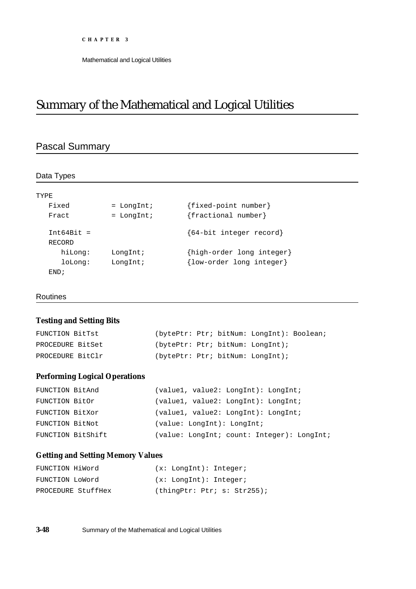Mathematical and Logical Utilities

# Summary of the Mathematical and Logical Utilities

# Pascal Summary

| TYPR.        |              |                           |
|--------------|--------------|---------------------------|
| Fixed        | $=$ LongInt; | {fixed-point number}      |
| Fract        | $=$ LongInt; | {fractional number}       |
| $Int64Bit =$ |              | ${64-bit integer record}$ |
| RECORD       |              |                           |
| hiLong:      | LongInt;     | {high-order long integer} |
| loLong:      | LongInt;     | {low-order long integer}  |
| FND;         |              |                           |

## Routines

# **Testing and Setting Bits**

| FUNCTION BitTst  |  | (bytePtr: Ptr; bitNum: LongInt): Boolean; |  |
|------------------|--|-------------------------------------------|--|
| PROCEDURE BitSet |  | (bytePtr: Ptr; bitNum: LongInt);          |  |
| PROCEDURE BitClr |  | (bytePtr: Ptr; bitNum: LongInt);          |  |

# **Performing Logical Operations**

| FUNCTION BitAnd |                   | $\{\text{value1}, \text{ value2}: \text{LongInt}\}\$ : LongInt; |
|-----------------|-------------------|-----------------------------------------------------------------|
| FUNCTION BitOr  |                   | (value1, value2: LongInt): LongInt;                             |
| FUNCTION BitXor |                   | $\{\text{value1}, \text{ value2}: \text{LongInt}\}\$ : LongInt; |
| FUNCTION BitNot |                   | (value: LongInt): LongInt;                                      |
|                 | FUNCTION BitShift | (value: LongInt; count: Integer): LongInt;                      |

# **Getting and Setting Memory Values**

| FUNCTION HiWord    | $(x:$ LongInt): Integer;    |
|--------------------|-----------------------------|
| FUNCTION LoWord    | $(x:$ LongInt): Integer;    |
| PROCEDURE StuffHex | (thingPtr: Ptr: s: Str255); |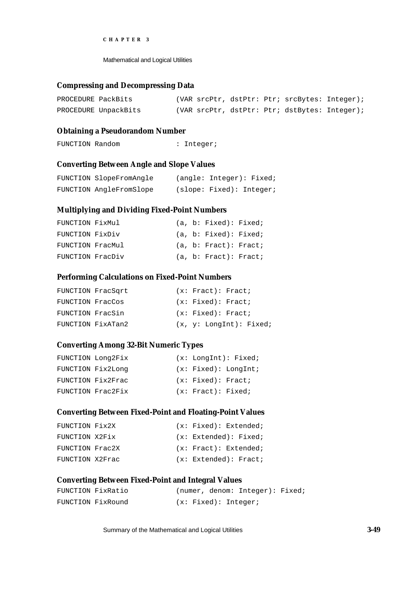Mathematical and Logical Utilities

## **Compressing and Decompressing Data**

| PROCEDURE PackBits |                      |  |  | (VAR srcPtr, dstPtr: Ptr; srcBytes: Integer); |  |
|--------------------|----------------------|--|--|-----------------------------------------------|--|
|                    | PROCEDURE UnpackBits |  |  | (VAR srcPtr, dstPtr: Ptr; dstBytes: Integer); |  |

# **Obtaining a Pseudorandom Number**

```
FUNCTION Random : Integer;
```
# **Converting Between Angle and Slope Values**

| FUNCTION SlopeFromAngle | (angle: Integer): Fixed; |  |
|-------------------------|--------------------------|--|
| FUNCTION AngleFromSlope | (slope: Fixed): Integer; |  |

## **Multiplying and Dividing Fixed-Point Numbers**

| FUNCTION FixMul  |  | (a, b: Fixed): Fixed  |  |
|------------------|--|-----------------------|--|
| FUNCTION FixDiv  |  | (a, b: Fixed): Fixed  |  |
| FUNCTION FracMul |  | (a, b: Fract): Fract; |  |
| FUNCTION FracDiv |  | (a, b: Fract): Fract  |  |

## **Performing Calculations on Fixed-Point Numbers**

|                  | FUNCTION FracSgrt | (x: Fract): Fract       |
|------------------|-------------------|-------------------------|
| FUNCTION FracCos |                   | (x: Fixed): Fract;      |
| FUNCTION FracSin |                   | (x: Fixed): Fract;      |
|                  | FUNCTION FixATan2 | (x, y: LondInt): Fixed; |

# **Converting Among 32-Bit Numeric Types**

| FUNCTION Long2Fix |                    | (x: LondInt): Fixed; |
|-------------------|--------------------|----------------------|
| FUNCTION Fix2Long |                    | (x: Fixed): LongInt; |
| FUNCTION Fix2Frac | (x: Fixed): Fract; |                      |
| FUNCTION Frac2Fix | (x: Fract): Fixed; |                      |

## **Converting Between Fixed-Point and Floating-Point Values**

| FUNCTION Fix2X  |  | (x: Fixed): Extended; |
|-----------------|--|-----------------------|
| FUNCTION X2Fix  |  | (x: Extended): Fixed; |
| FUNCTION Frac2X |  | (x: Fract): Extended; |
| FUNCTION X2Frac |  | (x: Extended): Fract; |

# **Converting Between Fixed-Point and Integral Values**

| FUNCTION FixRatio |  |  | (numer, denom: Integer): Fixed; |  |
|-------------------|--|--|---------------------------------|--|
| FUNCTION FixRound |  |  | (x: Fixed): Integer;            |  |

Summary of the Mathematical and Logical Utilities **3-49**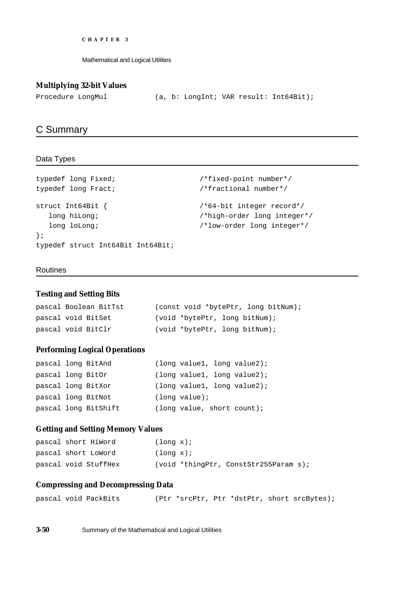Mathematical and Logical Utilities

# **Multiplying 32-bit Values**

```
Procedure LongMul (a, b: LongInt; VAR result: Int64Bit);
```
# C Summary

# Data Types

```
typedef long Fixed; {\tt /*fixed-point\ number* /}typedef long Fract; /*fractional number*/
struct Int64Bit { /*64-bit integer record*/
  long hiLong; /*high-order long integer*/
 long loLong; /*low-order long integer*/
};
typedef struct Int64Bit Int64Bit;
```
## Routines

## **Testing and Setting Bits**

```
pascal Boolean BitTst (const void *bytePtr, long bitNum);
pascal void BitSet (void *bytePtr, long bitNum);
pascal void BitClr (void *bytePtr, long bitNum);
```
# **Performing Logical Operations**

|                    | pascal long BitAnd   |                  | long value1, long value2);  |
|--------------------|----------------------|------------------|-----------------------------|
| pascal long BitOr  |                      |                  | (long value1, long value2); |
| pascal long BitXor |                      |                  | (long value1, long value2); |
|                    | pascal long BitNot   | $(lonq value)$ ; |                             |
|                    | pascal long BitShift |                  | (long value, short count);  |

# **Getting and Setting Memory Values**

| pascal short HiWord  | $(lonq x)$ ; |                                         |  |
|----------------------|--------------|-----------------------------------------|--|
| pascal short LoWord  | $(lonq x)$ ; |                                         |  |
| pascal void StuffHex |              | $(void *thingPtr, ConstStr255Param s);$ |  |

# **Compressing and Decompressing Data**

|  |  |  | pascal void PackBits |  |  |  |  |  | (Ptr *srcPtr, Ptr *dstPtr, short srcBytes); |
|--|--|--|----------------------|--|--|--|--|--|---------------------------------------------|
|--|--|--|----------------------|--|--|--|--|--|---------------------------------------------|

**3-50** Summary of the Mathematical and Logical Utilities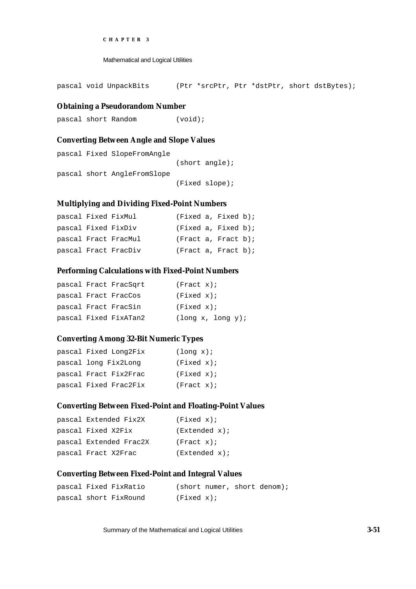```
CHAPTER 3
```
Mathematical and Logical Utilities

pascal void UnpackBits (Ptr \*srcPtr, Ptr \*dstPtr, short dstBytes);

#### **Obtaining a Pseudorandom Number**

pascal short Random (void);

# **Converting Between Angle and Slope Values**

```
pascal Fixed SlopeFromAngle
                             (short angle);
pascal short AngleFromSlope
                             (Fixed slope);
```
# **Multiplying and Dividing Fixed-Point Numbers**

|                     | pascal Fixed FixMul  | (Fixed a, Fixed b)     |  |  |
|---------------------|----------------------|------------------------|--|--|
| pascal Fixed FixDiv |                      | $(Fixed a, Fixed b)$ ; |  |  |
|                     | pascal Fract FracMul | (Fract a, Fract b);    |  |  |
|                     | pascal Fract FracDiv | (Fract a, Fract b);    |  |  |

## **Performing Calculations with Fixed-Point Numbers**

|  | pascal Fract FracSgrt | (Fract x);        |
|--|-----------------------|-------------------|
|  | pascal Fract FracCos  | (Fixed x);        |
|  | pascal Fract FracSin  | (Fixed x);        |
|  | pascal Fixed FixATan2 | (long x, long y); |

# **Converting Among 32-Bit Numeric Types**

| pascal Fixed Long2Fix | $(lonq x)$ ; |
|-----------------------|--------------|
| pascal long Fix2Long  | (Fixed x);   |
| pascal Fract Fix2Frac | (Fixed x);   |
| pascal Fixed Frac2Fix | (Fract x);   |

# **Converting Between Fixed-Point and Floating-Point Values**

| pascal Extended Fix2X  | (Fixed x);    |
|------------------------|---------------|
| pascal Fixed X2Fix     | (Extended x); |
| pascal Extended Frac2X | (Fract x);    |
| pascal Fract X2Frac    | (Extended x); |

# **Converting Between Fixed-Point and Integral Values**

|  | pascal Fixed FixRatio |            |  | (short numer, short denom); |
|--|-----------------------|------------|--|-----------------------------|
|  | pascal short FixRound | (Fixed x); |  |                             |

Summary of the Mathematical and Logical Utilities **3-51**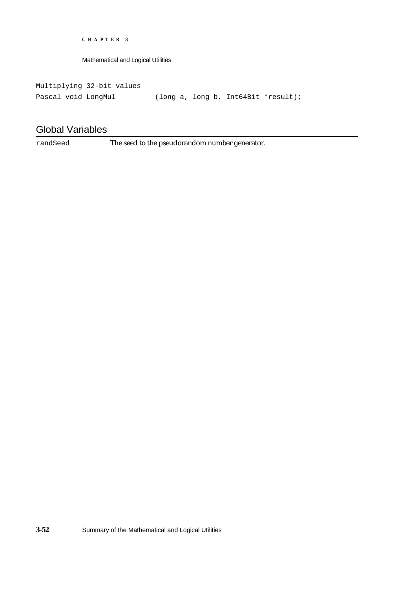Mathematical and Logical Utilities

Multiplying 32-bit values Pascal void LongMul (long a, long b, Int64Bit \*result);

# Global Variables

randSeed The seed to the pseudorandom number generator.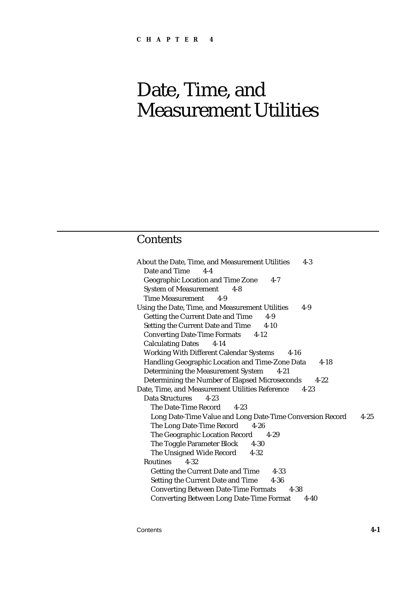# **Contents**

About the Date, Time, and Measurement Utilities 4-3 Date and Time 4-4 Geographic Location and Time Zone 4-7 System of Measurement 4-8 Time Measurement 4-9 Using the Date, Time, and Measurement Utilities 4-9 Getting the Current Date and Time 4-9 Setting the Current Date and Time 4-10 Converting Date-Time Formats 4-12 Calculating Dates 4-14 Working With Different Calendar Systems 4-16 Handling Geographic Location and Time-Zone Data 4-18 Determining the Measurement System 4-21 Determining the Number of Elapsed Microseconds 4-22 Date, Time, and Measurement Utilities Reference 4-23 Data Structures 4-23 The Date-Time Record 4-23 Long Date-Time Value and Long Date-Time Conversion Record 4-25 The Long Date-Time Record 4-26 The Geographic Location Record 4-29 The Toggle Parameter Block 4-30 The Unsigned Wide Record 4-32 Routines 4-32 Getting the Current Date and Time 4-33 Setting the Current Date and Time 4-36 Converting Between Date-Time Formats 4-38 Converting Between Long Date-Time Format 4-40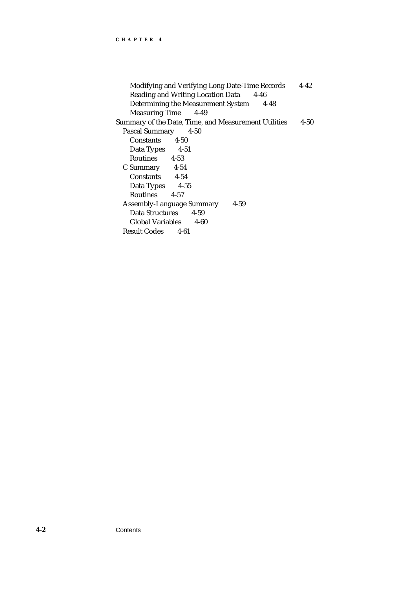```
Modifying and Verifying Long Date-Time Records 4-42
   Reading and Writing Location Data 4-46
   Determining the Measurement System 4-48
   Measuring Time 4-49
Summary of the Date, Time, and Measurement Utilities 4-50
 Pascal Summary 4-50
   Constants 4-50
   Data Types 4-51
   Routines 4-53
 C Summary 4-54
   Constants 4-54
   Data Types 4-55
   Routines 4-57
 Assembly-Language Summary 4-59
   Data Structures 4-59
   Global Variables 4-60
 Result Codes 4-61
```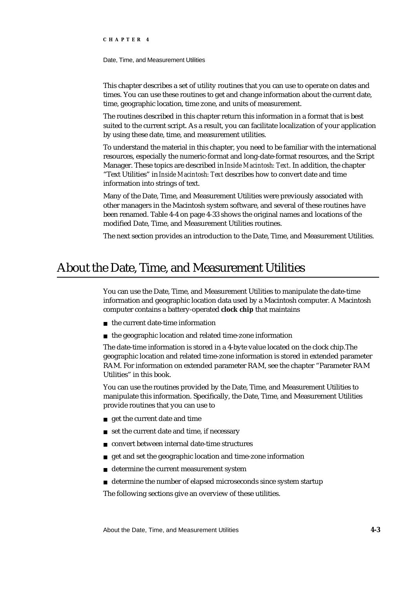Date, Time, and Measurement Utilities

This chapter describes a set of utility routines that you can use to operate on dates and times. You can use these routines to get and change information about the current date, time, geographic location, time zone, and units of measurement.

The routines described in this chapter return this information in a format that is best suited to the current script. As a result, you can facilitate localization of your application by using these date, time, and measurement utilities.

To understand the material in this chapter, you need to be familiar with the international resources, especially the numeric-format and long-date-format resources, and the Script Manager. These topics are described in *Inside Macintosh: Text*. In addition, the chapter "Text Utilities" in *Inside Macintosh: Text* describes how to convert date and time information into strings of text.

Many of the Date, Time, and Measurement Utilities were previously associated with other managers in the Macintosh system software, and several of these routines have been renamed. Table 4-4 on page 4-33 shows the original names and locations of the modified Date, Time, and Measurement Utilities routines.

The next section provides an introduction to the Date, Time, and Measurement Utilities.

# About the Date, Time, and Measurement Utilities

You can use the Date, Time, and Measurement Utilities to manipulate the date-time information and geographic location data used by a Macintosh computer. A Macintosh computer contains a battery-operated **clock chip** that maintains

- $n$  the current date-time information
- the geographic location and related time-zone information

The date-time information is stored in a 4-byte value located on the clock chip.The geographic location and related time-zone information is stored in extended parameter RAM. For information on extended parameter RAM, see the chapter "Parameter RAM Utilities" in this book.

You can use the routines provided by the Date, Time, and Measurement Utilities to manipulate this information. Specifically, the Date, Time, and Measurement Utilities provide routines that you can use to

- get the current date and time
- n set the current date and time, if necessary
- convert between internal date-time structures
- get and set the geographic location and time-zone information  $\overline{p}$
- determine the current measurement system
- n determine the number of elapsed microseconds since system startup

The following sections give an overview of these utilities.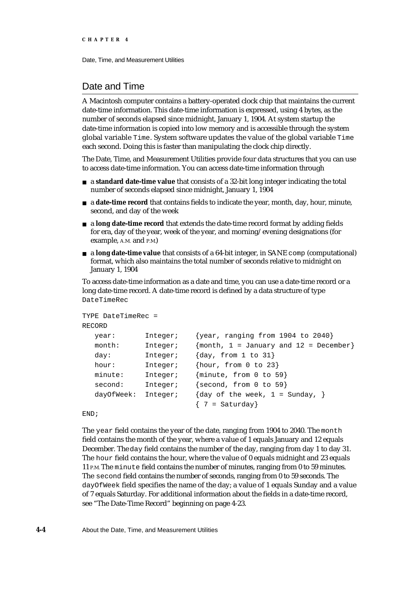# Date and Time

A Macintosh computer contains a battery-operated clock chip that maintains the current date-time information. This date-time information is expressed, using 4 bytes, as the number of seconds elapsed since midnight, January 1, 1904. At system startup the date-time information is copied into low memory and is accessible through the system global variable Time. System software updates the value of the global variable Time each second. Doing this is faster than manipulating the clock chip directly.

The Date, Time, and Measurement Utilities provide four data structures that you can use to access date-time information. You can access date-time information through

- a **standard date-time value** that consists of a 32-bit long integer indicating the total number of seconds elapsed since midnight, January 1, 1904
- a **date-time record** that contains fields to indicate the year, month, day, hour, minute, second, and day of the week
- a **long date-time record** that extends the date-time record format by adding fields for era, day of the year, week of the year, and morning/evening designations (for example, A.M. and P.M.)
- a **long date-time value** that consists of a 64-bit integer, in SANE comp (computational) format, which also maintains the total number of seconds relative to midnight on January 1, 1904

To access date-time information as a date and time, you can use a date-time record or a long date-time record. A date-time record is defined by a data structure of type DateTimeRec

```
TYPE DateTimeRec =
RECORD
  year: Integer; {year, ranging from 1904 to 2040}
  month: Integer; {mmth}, 1 = January and 12 = December
  day: Integer; {day, from 1 to 31}
  hour: Integer; {hour, from 0 to 23}
  minute: Integer; {minute, from 0 to 59}
  second: Integer; {second, from 0 to 59}
  dayOfWeek: Integer; \{day \text{ of the week, } 1 = Sunday\}\{7 = \text{Saturday}\}
```

```
END;
```
The year field contains the year of the date, ranging from 1904 to 2040. The month field contains the month of the year, where a value of 1 equals January and 12 equals December. The day field contains the number of the day, ranging from day 1 to day 31. The hour field contains the hour, where the value of 0 equals midnight and 23 equals 11 P.M. The minute field contains the number of minutes, ranging from 0 to 59 minutes. The second field contains the number of seconds, ranging from 0 to 59 seconds. The dayOfWeek field specifies the name of the day; a value of 1 equals Sunday and a value of 7 equals Saturday. For additional information about the fields in a date-time record, see "The Date-Time Record" beginning on page 4-23.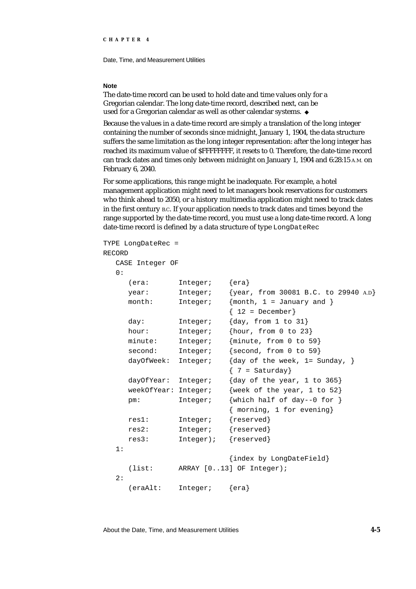Date, Time, and Measurement Utilities

#### **Note**

The date-time record can be used to hold date and time values only for a Gregorian calendar. The long date-time record, described next, can be used for a Gregorian calendar as well as other calendar systems.

Because the values in a date-time record are simply a translation of the long integer containing the number of seconds since midnight, January 1, 1904, the data structure suffers the same limitation as the long integer representation: after the long integer has reached its maximum value of \$FFFFFFFF, it resets to 0. Therefore, the date-time record can track dates and times only between midnight on January 1, 1904 and 6:28:15 A.M. on February 6, 2040.

For some applications, this range might be inadequate. For example, a hotel management application might need to let managers book reservations for customers who think ahead to 2050, or a history multimedia application might need to track dates in the first century B.C. If your application needs to track dates and times beyond the range supported by the date-time record, you must use a long date-time record. A long date-time record is defined by a data structure of type LongDateRec

```
TYPE LongDateRec =
RECORD
  CASE Integer OF
  0:
     (era: Integer; {era}
     year: Integer; {year, from 30081 B.C. to 29940 A.D}
     month: Integer; {month, 1 = January and }
                           {12 = December}day: Integer; {day, from 1 to 31}
     hour: Integer; {hour, from 0 to 23}
     minute: Integer; {minute, from 0 to 59}
     second: Integer; {second, from 0 to 59}
     dayOfWeek: Integer; \{day\ of\ the\ week\, 1= Sunday, \}\{7 = \text{Saturday}\}dayOfYear: Integer; {day of the year, 1 to 365}
     weekOfYear: Integer; {week of the year, 1 to 52}
     pm: Integer; {which half of day--0 for }
                           { morning, 1 for evening}
     res1: Integer; {reserved}
     res2: Integer; {reserved}
     res3: Integer); {reserved}
  1:
                           {index by LongDateField}
     (list: ARRAY [0..13] OF Integer);
  2:(eraAlt: Integer; {era}
```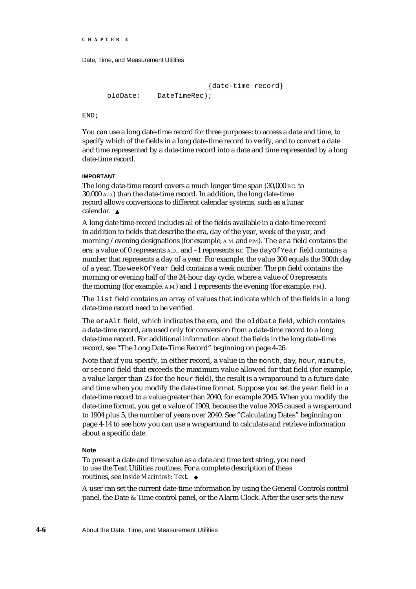```
{date-time record}
oldDate: DateTimeRec);
```
END;

You can use a long date-time record for three purposes: to access a date and time, to specify which of the fields in a long date-time record to verify, and to convert a date and time represented by a date-time record into a date and time represented by a long date-time record.

#### **IMPORTANT**

The long date-time record covers a much longer time span (30,000 B.C. to 30,000 A.D.) than the date-time record. In addition, the long date-time record allows conversions to different calendar systems, such as a lunar calendar.

A long date time-record includes all of the fields available in a date-time record in addition to fields that describe the era, day of the year, week of the year, and morning /evening designations (for example, A.M. and P.M.). The era field contains the era: a value of 0 represents A.D., and –1 represents B.C. The dayOfYear field contains a number that represents a day of a year. For example, the value 300 equals the 300th day of a year. The weekOfYear field contains a week number. The pm field contains the morning or evening half of the 24-hour day cycle, where a value of 0 represents the morning (for example, A.M.) and 1 represents the evening (for example, P.M.).

The list field contains an array of values that indicate which of the fields in a long date-time record need to be verified.

The eraAlt field, which indicates the era, and the oldDate field, which contains a date-time record, are used only for conversion from a date-time record to a long date-time record. For additional information about the fields in the long date-time record, see "The Long Date-Time Record" beginning on page 4-26.

Note that if you specify, in either record, a value in the month, day, hour, minute, or second field that exceeds the maximum value allowed for that field (for example, a value larger than 23 for the hour field), the result is a wraparound to a future date and time when you modify the date-time format. Suppose you set the year field in a date-time record to a value greater than 2040, for example 2045. When you modify the date-time format, you get a value of 1909, because the value 2045 caused a wraparound to 1904 plus 5, the number of years over 2040. See "Calculating Dates" beginning on page 4-14 to see how you can use a wraparound to calculate and retrieve information about a specific date.

#### **Note**

To present a date and time value as a date and time text string, you need to use the Text Utilities routines. For a complete description of these routines, see *Inside Macintosh: Text.* 

A user can set the current date-time information by using the General Controls control panel, the Date & Time control panel, or the Alarm Clock. After the user sets the new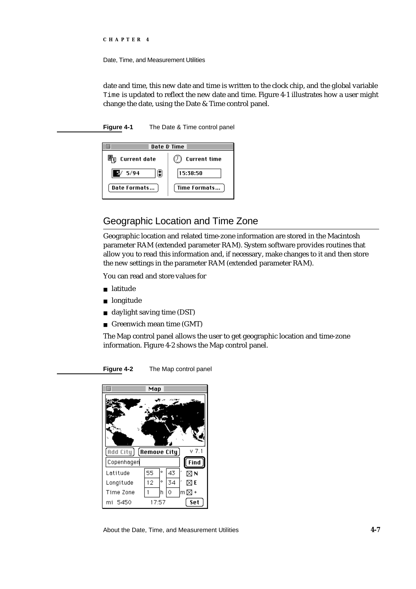Date, Time, and Measurement Utilities

date and time, this new date and time is written to the clock chip, and the global variable Time is updated to reflect the new date and time. Figure 4-1 illustrates how a user might change the date, using the Date & Time control panel.

**Figure 4-1** The Date & Time control panel



# Geographic Location and Time Zone

Geographic location and related time-zone information are stored in the Macintosh parameter RAM (extended parameter RAM). System software provides routines that allow you to read this information and, if necessary, make changes to it and then store the new settings in the parameter RAM (extended parameter RAM).

You can read and store values for

- latitude
- longitude
- daylight saving time (DST)  $\overline{p}$
- n Greenwich mean time (GMT)

The Map control panel allows the user to get geographic location and time-zone information. Figure 4-2 shows the Map control panel.

**Figure 4-2** The Map control panel



About the Date, Time, and Measurement Utilities **4-7**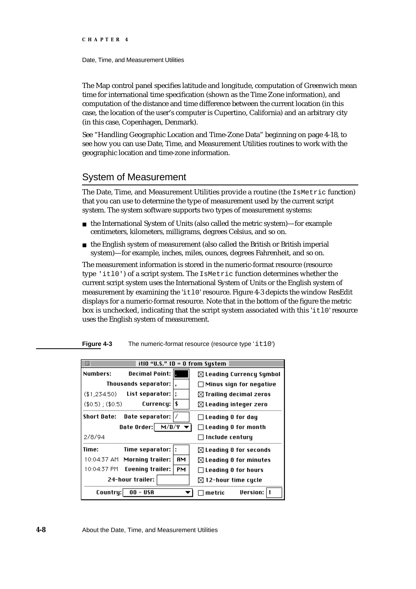Date, Time, and Measurement Utilities

The Map control panel specifies latitude and longitude, computation of Greenwich mean time for international time specification (shown as the Time Zone information), and computation of the distance and time difference between the current location (in this case, the location of the user's computer is Cupertino, California) and an arbitrary city (in this case, Copenhagen, Denmark).

See "Handling Geographic Location and Time-Zone Data" beginning on page 4-18, to see how you can use Date, Time, and Measurement Utilities routines to work with the geographic location and time-zone information.

# System of Measurement

The Date, Time, and Measurement Utilities provide a routine (the IsMetric function) that you can use to determine the type of measurement used by the current script system. The system software supports two types of measurement systems:

- $n$  the International System of Units (also called the metric system)—for example centimeters, kilometers, milligrams, degrees Celsius, and so on.
- n the English system of measurement (also called the British or British imperial system)—for example, inches, miles, ounces, degrees Fahrenheit, and so on.

The measurement information is stored in the numeric-format resource (resource type 'itl0') of a script system. The IsMetric function determines whether the current script system uses the International System of Units or the English system of measurement by examining the 'itl0' resource. Figure 4-3 depicts the window ResEdit displays for a numeric-format resource. Note that in the bottom of the figure the metric box is unchecked, indicating that the script system associated with this  $'_{i \text{t}} 10'$  resource uses the English system of measurement.

**Figure 4-3** The numeric-format resource (resource type 'it10')

|                                                         | itl0 "U.S." $ID = 0$ from System   |                                     |
|---------------------------------------------------------|------------------------------------|-------------------------------------|
| Numbers:                                                | Decimal Point: I <b>n</b>          | $\boxtimes$ Leading Currency Symbol |
| Thousands separator:                                    |                                    | $\Box$ Minus sign for negative      |
| (\$1,234.50)                                            | List separator:                    | $\boxtimes$ Trailing decimal zeros  |
| $($0.5)$ ; $($0.5)$                                     | \$<br>Currency:                    | $\boxtimes$ Leading integer zero    |
| Short Date:                                             | Date separator:                    | $\Box$ Leading 0 for day            |
|                                                         | Date Order: $M/D/Y$                | $\Box$ Leading 0 for month          |
| 2/8/94                                                  |                                    | $\sqcap$ Include centuru            |
| Time:                                                   | Time separator:                    | $\boxtimes$ Leading 0 for seconds   |
|                                                         | ĤМ<br>10:04:37 AM Morning trailer: | $\boxtimes$ Leading 0 for minutes   |
|                                                         | 10:04:37 PM Evening trailer:<br>PМ | $\Box$ Leading 0 for hours          |
|                                                         | 24-hour trailer:                   | $\boxtimes$ 12-hour time cycle      |
| <b>Version:</b><br>Countru: <br>USA<br>00 -<br>l metric |                                    |                                     |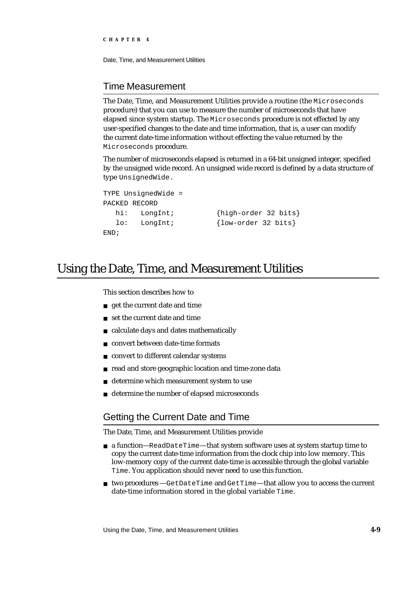Date, Time, and Measurement Utilities

# Time Measurement

The Date, Time, and Measurement Utilities provide a routine (the Microseconds procedure) that you can use to measure the number of microseconds that have elapsed since system startup. The Microseconds procedure is not effected by any user-specified changes to the date and time information, that is, a user can modify the current date-time information without effecting the value returned by the Microseconds procedure.

The number of microseconds elapsed is returned in a 64-bit unsigned integer, specified by the unsigned wide record. An unsigned wide record is defined by a data structure of type UnsignedWide.

```
TYPE UnsignedWide =
PACKED RECORD
  hi: LongInt; {high-order 32 bits}
  lo: LongInt; {low-order 32 bits}
END;
```
# Using the Date, Time, and Measurement Utilities

This section describes how to

- get the current date and time
- n set the current date and time
- calculate days and dates mathematically  $\overline{\mathsf{n}}$
- convert between date-time formats n.
- convert to different calendar systems  $\mathsf{n}$
- read and store geographic location and time-zone data  $\overline{p}$
- determine which measurement system to use n.
- determine the number of elapsed microseconds

# Getting the Current Date and Time

The Date, Time, and Measurement Utilities provide

- a function—ReadDateTime—that system software uses at system startup time to copy the current date-time information from the clock chip into low memory. This low-memory copy of the current date-time is accessible through the global variable Time. You application should never need to use this function.
- n two procedures —GetDateTime and GetTime—that allow you to access the current date-time information stored in the global variable Time.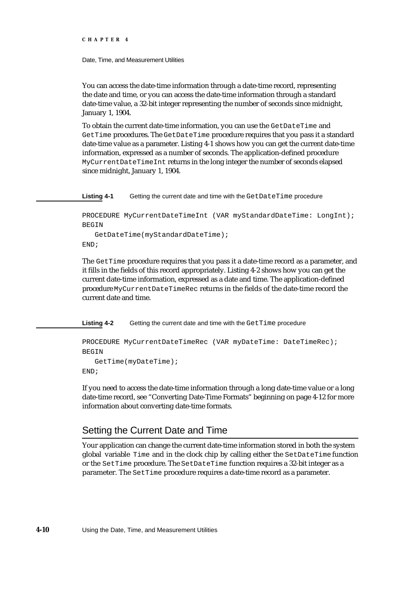Date, Time, and Measurement Utilities

You can access the date-time information through a date-time record, representing the date and time, or you can access the date-time information through a standard date-time value, a 32-bit integer representing the number of seconds since midnight, January 1, 1904.

To obtain the current date-time information, you can use the GetDateTime and GetTime procedures. The GetDateTime procedure requires that you pass it a standard date-time value as a parameter. Listing 4-1 shows how you can get the current date-time information, expressed as a number of seconds. The application-defined procedure MyCurrentDateTimeInt returns in the long integer the number of seconds elapsed since midnight, January 1, 1904.

Listing 4-1 Getting the current date and time with the GetDateTime procedure

PROCEDURE MyCurrentDateTimeInt (VAR myStandardDateTime: LongInt); BEGIN

```
GetDateTime(myStandardDateTime);
END;
```
The GetTime procedure requires that you pass it a date-time record as a parameter, and it fills in the fields of this record appropriately. Listing 4-2 shows how you can get the current date-time information, expressed as a date and time. The application-defined procedure MyCurrentDateTimeRec returns in the fields of the date-time record the current date and time.

Listing 4-2 Getting the current date and time with the GetTime procedure

```
PROCEDURE MyCurrentDateTimeRec (VAR myDateTime: DateTimeRec);
BEGIN
   GetTime(myDateTime);
END;
```
If you need to access the date-time information through a long date-time value or a long date-time record, see "Converting Date-Time Formats" beginning on page 4-12 for more information about converting date-time formats.

# Setting the Current Date and Time

Your application can change the current date-time information stored in both the system global variable Time and in the clock chip by calling either the SetDateTime function or the SetTime procedure. The SetDateTime function requires a 32-bit integer as a parameter. The SetTime procedure requires a date-time record as a parameter.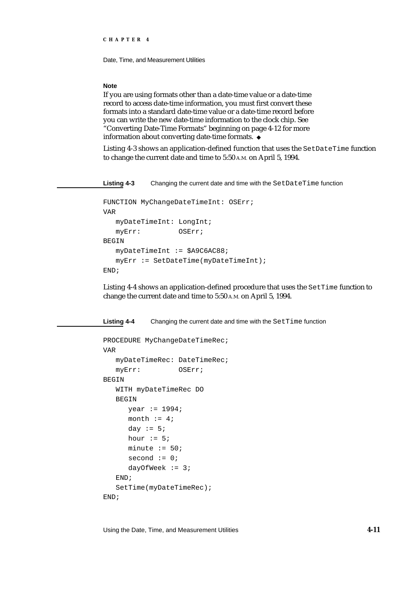Date, Time, and Measurement Utilities

#### **Note**

If you are using formats other than a date-time value or a date-time record to access date-time information, you must first convert these formats into a standard date-time value or a date-time record before you can write the new date-time information to the clock chip. See "Converting Date-Time Formats" beginning on page 4-12 for more information about converting date-time formats.

Listing 4-3 shows an application-defined function that uses the SetDateTime function to change the current date and time to 5:50 A.M. on April 5, 1994.

**Listing 4-3** Changing the current date and time with the SetDateTime function

```
FUNCTION MyChangeDateTimeInt: OSErr;
VAR
  myDateTimeInt: LongInt;
  myErr: OSErr;
BEGIN
  myDateTimeInt := $A9C6AC88;
  myErr := SetDateTime(myDateTimeInt);
END;
```
Listing 4-4 shows an application-defined procedure that uses the SetTime function to change the current date and time to 5:50 A.M. on April 5, 1994.

Listing 4-4 Changing the current date and time with the SetTime function

```
PROCEDURE MyChangeDateTimeRec;
VAR
  myDateTimeRec: DateTimeRec;
  myErr: OSErr;
BEGIN
  WITH myDateTimeRec DO
  BEGIN
     year := 1994;
     month := 4;day := 5;hour := 5;minute := 50;second := 0;dayOfWeek := 3;END;
  SetTime(myDateTimeRec);
END;
```
Using the Date, Time, and Measurement Utilities **4-11**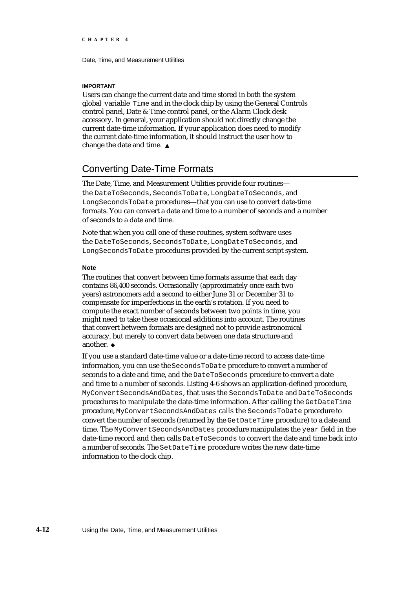#### **IMPORTANT**

Users can change the current date and time stored in both the system global variable Time and in the clock chip by using the General Controls control panel, Date & Time control panel, or the Alarm Clock desk accessory. In general, your application should not directly change the current date-time information. If your application does need to modify the current date-time information, it should instruct the user how to change the date and time.

# Converting Date-Time Formats

The Date, Time, and Measurement Utilities provide four routines the DateToSeconds, SecondsToDate, LongDateToSeconds, and LongSecondsToDate procedures—that you can use to convert date-time formats. You can convert a date and time to a number of seconds and a number of seconds to a date and time.

Note that when you call one of these routines, system software uses the DateToSeconds, SecondsToDate, LongDateToSeconds, and LongSecondsToDate procedures provided by the current script system.

#### **Note**

The routines that convert between time formats assume that each day contains 86,400 seconds. Occasionally (approximately once each two years) astronomers add a second to either June 31 or December 31 to compensate for imperfections in the earth's rotation. If you need to compute the exact number of seconds between two points in time, you might need to take these occasional additions into account. The routines that convert between formats are designed not to provide astronomical accuracy, but merely to convert data between one data structure and another.

If you use a standard date-time value or a date-time record to access date-time information, you can use the SecondsToDate procedure to convert a number of seconds to a date and time, and the DateToSeconds procedure to convert a date and time to a number of seconds. Listing 4-6 shows an application-defined procedure, MyConvertSecondsAndDates, that uses the SecondsToDate and DateToSeconds procedures to manipulate the date-time information. After calling the GetDateTime procedure, MyConvertSecondsAndDates calls the SecondsToDate procedure to convert the number of seconds (returned by the GetDateTime procedure) to a date and time. The MyConvertSecondsAndDates procedure manipulates the year field in the date-time record and then calls DateToSeconds to convert the date and time back into a number of seconds. The SetDateTime procedure writes the new date-time information to the clock chip.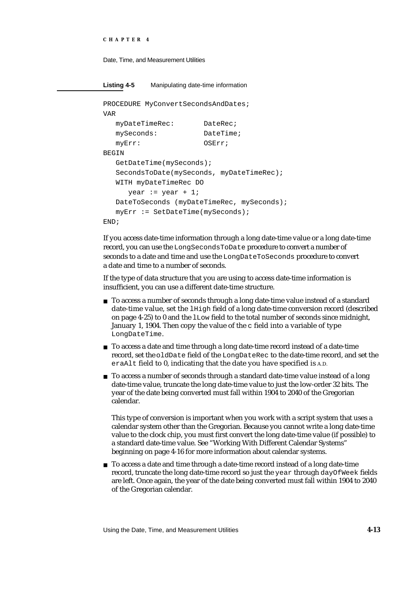```
CHAPTER 4
```
**Listing 4-5** Manipulating date-time information

```
PROCEDURE MyConvertSecondsAndDates;
VAR
  myDateTimeRec: DateRec;
  mySeconds: DateTime;
  myErr: OSErr;
BEGIN
  GetDateTime(mySeconds);
  SecondsToDate(mySeconds, myDateTimeRec); 
  WITH myDateTimeRec DO
     year := year +1;
  DateToSeconds (myDateTimeRec, mySeconds);
  myErr := SetDateTime(mySeconds);
END;
```
If you access date-time information through a long date-time value or a long date-time record, you can use the LongSecondsToDate procedure to convert a number of seconds to a date and time and use the LongDateToSeconds procedure to convert a date and time to a number of seconds.

If the type of data structure that you are using to access date-time information is insufficient, you can use a different date-time structure.

- n To access a number of seconds through a long date-time value instead of a standard date-time value, set the lHigh field of a long date-time conversion record (described on page 4-25) to 0 and the lLow field to the total number of seconds since midnight, January 1, 1904. Then copy the value of the  $\sigma$  field into a variable of type LongDateTime.
- n To access a date and time through a long date-time record instead of a date-time record, set the oldDate field of the LongDateRec to the date-time record, and set the eraAlt field to 0, indicating that the date you have specified is A.D.
- n To access a number of seconds through a standard date-time value instead of a long date-time value, truncate the long date-time value to just the low-order 32 bits. The year of the date being converted must fall within 1904 to 2040 of the Gregorian calendar.

This type of conversion is important when you work with a script system that uses a calendar system other than the Gregorian. Because you cannot write a long date-time value to the clock chip, you must first convert the long date-time value (if possible) to a standard date-time value. See "Working With Different Calendar Systems" beginning on page 4-16 for more information about calendar systems.

n To access a date and time through a date-time record instead of a long date-time record, truncate the long date-time record so just the year through dayOfWeek fields are left. Once again, the year of the date being converted must fall within 1904 to 2040 of the Gregorian calendar.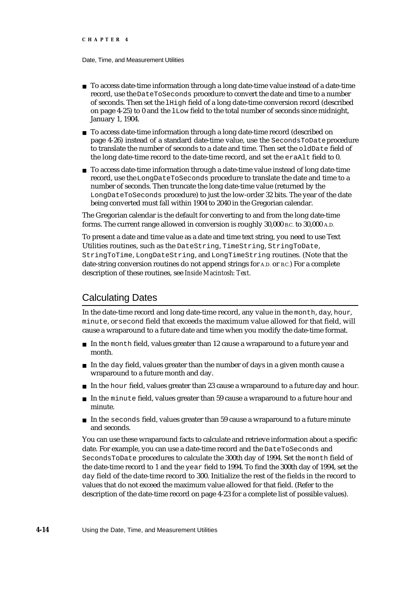- n To access date-time information through a long date-time value instead of a date-time record, use the DateToSeconds procedure to convert the date and time to a number of seconds. Then set the lHigh field of a long date-time conversion record (described on page 4-25) to 0 and the lLow field to the total number of seconds since midnight, January 1, 1904.
- n To access date-time information through a long date-time record (described on page 4-26) instead of a standard date-time value, use the SecondsToDate procedure to translate the number of seconds to a date and time. Then set the oldDate field of the long date-time record to the date-time record, and set the eraAlt field to 0.
- $n$  To access date-time information through a date-time value instead of long date-time record, use the LongDateToSeconds procedure to translate the date and time to a number of seconds. Then truncate the long date-time value (returned by the LongDateToSeconds procedure) to just the low-order 32 bits. The year of the date being converted must fall within 1904 to 2040 in the Gregorian calendar.

The Gregorian calendar is the default for converting to and from the long date-time forms. The current range allowed in conversion is roughly 30,000 B.C. to 30,000 A.D.

To present a date and time value as a date and time text string, you need to use Text Utilities routines, such as the DateString, TimeString, StringToDate, StringToTime, LongDateString, and LongTimeString routines. (Note that the date-string conversion routines do not append strings for A.D. or B.C.) For a complete description of these routines, see *Inside Macintosh: Text.* 

# Calculating Dates

In the date-time record and long date-time record, any value in the month, day, hour, minute, or second field that exceeds the maximum value allowed for that field, will cause a wraparound to a future date and time when you modify the date-time format.

- In the month field, values greater than 12 cause a wraparound to a future year and month.
- $n$  In the day field, values greater than the number of days in a given month cause a wraparound to a future month and day.
- n In the hour field, values greater than 23 cause a wraparound to a future day and hour.
- $n$  In the minute field, values greater than 59 cause a wraparound to a future hour and minute.
- $n$  In the seconds field, values greater than 59 cause a wraparound to a future minute and seconds.

You can use these wraparound facts to calculate and retrieve information about a specific date. For example, you can use a date-time record and the DateToSeconds and SecondsToDate procedures to calculate the 300th day of 1994. Set the month field of the date-time record to 1 and the year field to 1994. To find the 300th day of 1994, set the day field of the date-time record to 300. Initialize the rest of the fields in the record to values that do not exceed the maximum value allowed for that field. (Refer to the description of the date-time record on page 4-23 for a complete list of possible values).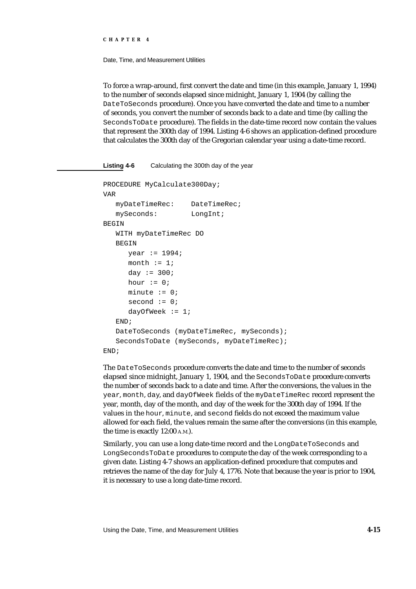Date, Time, and Measurement Utilities

To force a wrap-around, first convert the date and time (in this example, January 1, 1994) to the number of seconds elapsed since midnight, January 1, 1904 (by calling the DateToSeconds procedure). Once you have converted the date and time to a number of seconds, you convert the number of seconds back to a date and time (by calling the SecondsToDate procedure). The fields in the date-time record now contain the values that represent the 300th day of 1994. Listing 4-6 shows an application-defined procedure that calculates the 300th day of the Gregorian calendar year using a date-time record.

```
Listing 4-6 Calculating the 300th day of the year
PROCEDURE MyCalculate300Day;
VAR
   myDateTimeRec: DateTimeRec;
   mySeconds: LongInt;
BEGIN
   WITH myDateTimeRec DO
   BEGIN
      year := 1994;
      month := 1;day := 300;hour := 0;minute := 0;second := 0;dayOfWeek := 1;END; 
   DateToSeconds (myDateTimeRec, mySeconds);
   SecondsToDate (mySeconds, myDateTimeRec);
END;
```
The DateToSeconds procedure converts the date and time to the number of seconds elapsed since midnight, January 1, 1904, and the SecondsToDate procedure converts the number of seconds back to a date and time. After the conversions, the values in the year, month, day, and dayOfWeek fields of the myDateTimeRec record represent the year, month, day of the month, and day of the week for the 300th day of 1994. If the values in the hour, minute, and second fields do not exceed the maximum value allowed for each field, the values remain the same after the conversions (in this example, the time is exactly 12:00 A.M.).

Similarly, you can use a long date-time record and the LongDateToSeconds and LongSecondsToDate procedures to compute the day of the week corresponding to a given date. Listing 4-7 shows an application-defined procedure that computes and retrieves the name of the day for July 4, 1776. Note that because the year is prior to 1904, it is necessary to use a long date-time record.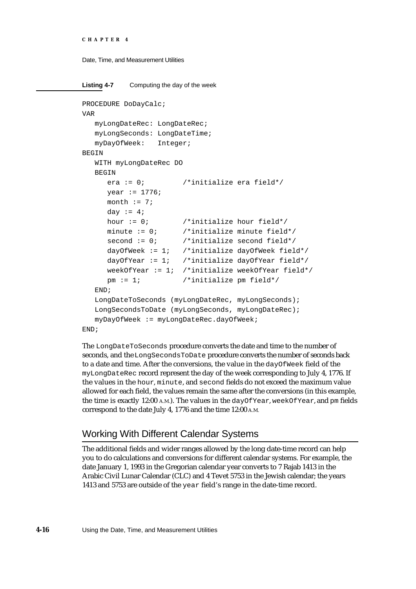```
CHAPTER 4
```

```
Listing 4-7 Computing the day of the week
PROCEDURE DoDayCalc;
VAR
  myLongDateRec: LongDateRec;
  myLongSeconds: LongDateTime;
  myDayOfWeek: Integer;
BEGIN
  WITH myLongDateRec DO
  BEGIN
     era := 0; /*initialize era field*/
     year := 1776;
     month := 7;day := 4;
     hour := 0; /*initialize hour field*/
     minute := 0; /*initialize minute field*/
     second := 0; /*initialize second field*/
     dayOfWeek := 1; /*initialize dayOfWeek field*/
     dayOfYear := 1; /*initialize dayOfYear field*/
     weekOfYear := 1; /*initialize weekOfYear field*/
     pm := 1; /*initialize pm field*/
  END;
  LongDateToSeconds (myLongDateRec, myLongSeconds);
  LongSecondsToDate (myLongSeconds, myLongDateRec);
  myDayOfWeek := myLongDateRec.dayOfWeek;
END;
```
The LongDateToSeconds procedure converts the date and time to the number of seconds, and the LongSecondsToDate procedure converts the number of seconds back to a date and time. After the conversions, the value in the dayOfWeek field of the myLongDateRec record represent the day of the week corresponding to July 4, 1776. If the values in the hour, minute, and second fields do not exceed the maximum value allowed for each field, the values remain the same after the conversions (in this example, the time is exactly 12:00 A.M.). The values in the dayOfYear, weekOfYear, and pm fields correspond to the date July 4, 1776 and the time 12:00 A.M.

# Working With Different Calendar Systems

The additional fields and wider ranges allowed by the long date-time record can help you to do calculations and conversions for different calendar systems. For example, the date January 1, 1993 in the Gregorian calendar year converts to 7 Rajab 1413 in the Arabic Civil Lunar Calendar (CLC) and 4 Tevet 5753 in the Jewish calendar; the years 1413 and 5753 are outside of the year field's range in the date-time record.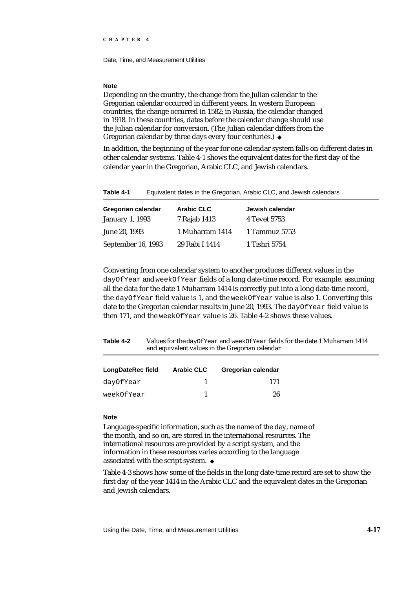#### **Note**

Depending on the country, the change from the Julian calendar to the Gregorian calendar occurred in different years. In western European countries, the change occurred in 1582; in Russia, the calendar changed in 1918. In these countries, dates before the calendar change should use the Julian calendar for conversion. (The Julian calendar differs from the Gregorian calendar by three days every four centuries.) u

In addition, the beginning of the year for one calendar system falls on different dates in other calendar systems. Table 4-1 shows the equivalent dates for the first day of the calendar year in the Gregorian, Arabic CLC, and Jewish calendars.

| Table 4-1 | Equivalent dates in the Gregorian, Arabic CLC, and Jewish calendars |
|-----------|---------------------------------------------------------------------|
|-----------|---------------------------------------------------------------------|

| Gregorian calendar     | <b>Arabic CLC</b> | Jewish calendar |
|------------------------|-------------------|-----------------|
| <b>January 1, 1993</b> | 7 Rajab 1413      | 4 Tevet 5753    |
| June 20, 1993          | 1 Muharram 1414   | 1 Tammuz 5753   |
| September 16, 1993     | 29 Rabi I 1414    | 1 Tishri 5754   |

Converting from one calendar system to another produces different values in the dayOfYear and weekOfYear fields of a long date-time record. For example, assuming all the data for the date 1 Muharram 1414 is correctly put into a long date-time record, the dayOfYear field value is 1, and the weekOfYear value is also 1. Converting this date to the Gregorian calendar results in June 20, 1993. The dayOfYear field value is then 171, and the weekOfYear value is 26. Table 4-2 shows these values.

**Table 4-2** Values for the dayOfYear and weekOfYear fields for the date 1 Muharram 1414 and equivalent values in the Gregorian calendar

| LongDateRec field | <b>Arabic CLC</b> | Gregorian calendar |
|-------------------|-------------------|--------------------|
| dayOfYear         |                   | 171                |
| weekOfYear        |                   | 26                 |

#### **Note**

Language-specific information, such as the name of the day, name of the month, and so on, are stored in the international resources. The international resources are provided by a script system, and the information in these resources varies according to the language associated with the script system.

Table 4-3 shows how some of the fields in the long date-time record are set to show the first day of the year 1414 in the Arabic CLC and the equivalent dates in the Gregorian and Jewish calendars.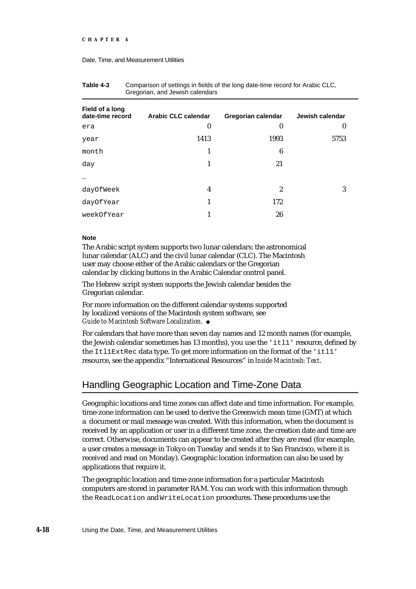#### Date, Time, and Measurement Utilities

| <b>Arabic CLC calendar</b> | Gregorian calendar | Jewish calendar  |
|----------------------------|--------------------|------------------|
| $\boldsymbol{0}$           | $\bf{0}$           | $\boldsymbol{0}$ |
| 1413                       | 1993               | 5753             |
| 1                          | 6                  |                  |
| 1                          | 21                 |                  |
|                            |                    |                  |
| 4                          | $\boldsymbol{2}$   | 3                |
| 1                          | 172                |                  |
| 1                          | 26                 |                  |
|                            |                    |                  |

| Table 4-3 | Comparison of settings in fields of the long date-time record for Arabic CLC, |
|-----------|-------------------------------------------------------------------------------|
|           | Gregorian, and Jewish calendars                                               |

#### **Note**

The Arabic script system supports two lunar calendars: the astronomical lunar calendar (ALC) and the civil lunar calendar (CLC). The Macintosh user may choose either of the Arabic calendars or the Gregorian calendar by clicking buttons in the Arabic Calendar control panel.

The Hebrew script system supports the Jewish calendar besides the Gregorian calendar.

For more information on the different calendar systems supported by localized versions of the Macintosh system software, see *Guide to Macintosh Software Localization*.

For calendars that have more than seven day names and 12 month names (for example, the Jewish calendar sometimes has 13 months), you use the 'itl1' resource, defined by the Itl1ExtRec data type. To get more information on the format of the 'itl1' resource, see the appendix "International Resources" in *Inside Macintosh: Text*.

# Handling Geographic Location and Time-Zone Data

Geographic locations and time zones can affect date and time information. For example, time-zone information can be used to derive the Greenwich mean time (GMT) at which a document or mail message was created. With this information, when the document is received by an application or user in a different time zone, the creation date and time are correct. Otherwise, documents can appear to be created after they are read (for example, a user creates a message in Tokyo on Tuesday and sends it to San Francisco, where it is received and read on Monday). Geographic location information can also be used by applications that require it.

The geographic location and time-zone information for a particular Macintosh computers are stored in parameter RAM. You can work with this information through the ReadLocation and WriteLocation procedures. These procedures use the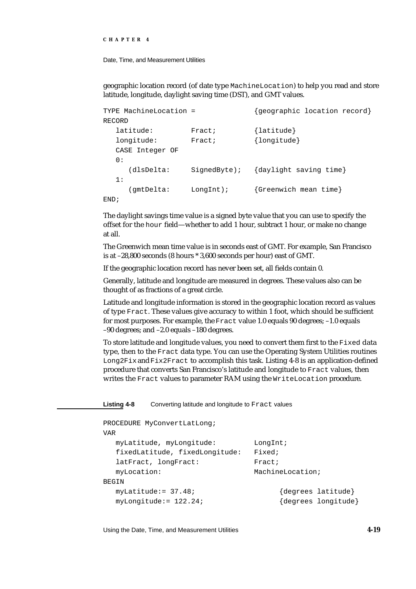Date, Time, and Measurement Utilities

geographic location record (of date type MachineLocation) to help you read and store latitude, longitude, daylight saving time (DST), and GMT values.

|      |        | TYPE MachineLocation = |              | {geographic location record} |
|------|--------|------------------------|--------------|------------------------------|
|      | RECORD |                        |              |                              |
|      |        | latitude:              | Fract;       | $\{$ latitude $\}$           |
|      |        | longitude:             | Fract;       | {longitude}                  |
|      |        | CASE Integer OF        |              |                              |
|      | 0:     |                        |              |                              |
|      |        | (dlsDelta:             | Sigma        | {daylight saving time}       |
|      | 1 :    |                        |              |                              |
|      |        | gmtDelta:              | $LongInt$ ); | {Greenwich mean time}        |
| END; |        |                        |              |                              |

The daylight savings time value is a signed byte value that you can use to specify the offset for the hour field—whether to add 1 hour, subtract 1 hour, or make no change at all.

The Greenwich mean time value is in seconds east of GMT. For example, San Francisco is at –28,800 seconds (8 hours \* 3,600 seconds per hour) east of GMT.

If the geographic location record has never been set, all fields contain 0.

Generally, latitude and longitude are measured in degrees. These values also can be thought of as fractions of a great circle.

Latitude and longitude information is stored in the geographic location record as values of type Fract. These values give accuracy to within 1 foot, which should be sufficient for most purposes. For example, the Fract value 1.0 equals 90 degrees; –1.0 equals –90 degrees; and –2.0 equals –180 degrees.

To store latitude and longitude values, you need to convert them first to the Fixed data type, then to the Fract data type. You can use the Operating System Utilities routines Long2Fix and Fix2Fract to accomplish this task. Listing 4-8 is an application-defined procedure that converts San Francisco's latitude and longitude to Fract values, then writes the Fract values to parameter RAM using the WriteLocation procedure.

| <b>Listing 4-8</b> |                                | Converting latitude and longitude to Fract values |
|--------------------|--------------------------------|---------------------------------------------------|
|                    | PROCEDURE MyConvertLatLong;    |                                                   |
| VAR                |                                |                                                   |
|                    | myLatitude, myLongitude:       | LongInt;                                          |
|                    | fixedLatitude, fixedLongitude: | Fixed;                                            |
|                    | latFract, longFract:           | Fract;                                            |
| myLocation:        |                                | MachineLocation;                                  |
| <b>BEGIN</b>       |                                |                                                   |
|                    | $myLatitude := 37.48$          | {degrees latitude}                                |
|                    | $myLongitude := 122.24;$       | {degrees longitude}                               |

Using the Date, Time, and Measurement Utilities **4-19**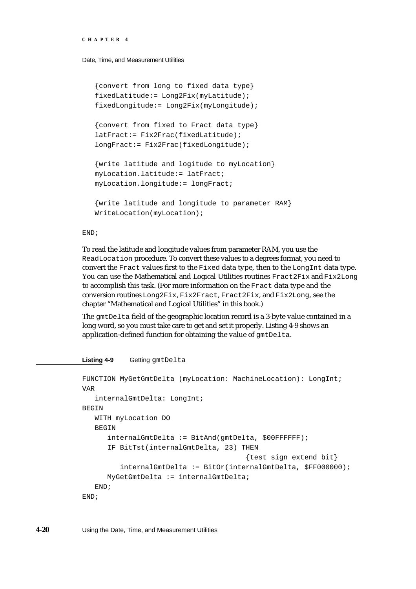Date, Time, and Measurement Utilities

```
{convert from long to fixed data type}
fixedLatitude:= Long2Fix(myLatitude);
fixedLongitude:= Long2Fix(myLongitude);
{convert from fixed to Fract data type}
latFract:= Fix2Frac(fixedLatitude);
longFract:= Fix2Frac(fixedLongitude);
{write latitude and logitude to myLocation}
myLocation.latitude:= latFract;
myLocation.longitude:= longFract;
{write latitude and longitude to parameter RAM}
WriteLocation(myLocation);
```
END;

To read the latitude and longitude values from parameter RAM, you use the ReadLocation procedure. To convert these values to a degrees format, you need to convert the Fract values first to the Fixed data type, then to the LongInt data type. You can use the Mathematical and Logical Utilities routines Fract2Fix and Fix2Long to accomplish this task. (For more information on the Fract data type and the conversion routines Long2Fix, Fix2Fract, Fract2Fix, and Fix2Long, see the chapter "Mathematical and Logical Utilities" in this book.)

The gmtDelta field of the geographic location record is a 3-byte value contained in a long word, so you must take care to get and set it properly. Listing 4-9 shows an application-defined function for obtaining the value of gmtDelta.

```
Listing 4-9 Getting gmtDelta
FUNCTION MyGetGmtDelta (myLocation: MachineLocation): LongInt;
VAR
   internalGmtDelta: LongInt;
BEGIN
  WITH myLocation DO 
   BEGIN
      internalGmtDelta := BitAnd(gmtDelta, $00FFFFFF);
      IF BitTst(internalGmtDelta, 23) THEN
                                        {test sign extend bit}
         internalGmtDelta := BitOr(internalGmtDelta, $FF000000);
      MyGetGmtDelta := internalGmtDelta;
   END;
END;
```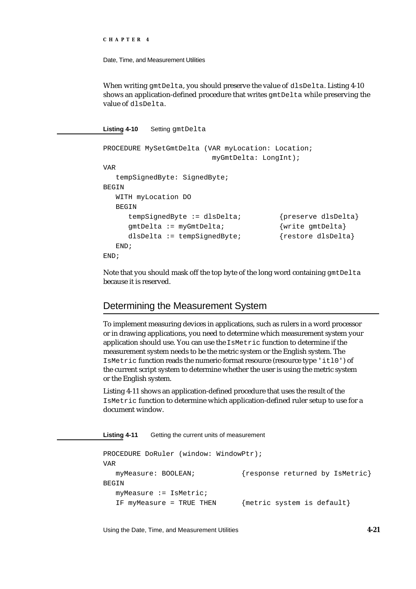Date, Time, and Measurement Utilities

When writing gmtDelta, you should preserve the value of dlsDelta. Listing 4-10 shows an application-defined procedure that writes gmtDelta while preserving the value of dlsDelta.

Listing 4-10 Setting gmtDelta

```
PROCEDURE MySetGmtDelta (VAR myLocation: Location; 
                         myGmtDelta: LongInt);
VAR
  tempSignedByte: SignedByte;
BEGIN
  WITH myLocation DO 
  BEGIN
     tempSignedByte := dlsDelta; {preserve dlsDelta}
     gmtDelta := myGmtDelta; {write gmtDelta}
     dlsDelta := tempSignedByte; {restore dlsDelta}
  END;
END;
```
Note that you should mask off the top byte of the long word containing gmtDelta because it is reserved.

### Determining the Measurement System

To implement measuring devices in applications, such as rulers in a word processor or in drawing applications, you need to determine which measurement system your application should use. You can use the IsMetric function to determine if the measurement system needs to be the metric system or the English system. The IsMetric function reads the numeric-format resource (resource type 'itl0') of the current script system to determine whether the user is using the metric system or the English system.

Listing 4-11 shows an application-defined procedure that uses the result of the IsMetric function to determine which application-defined ruler setup to use for a document window.

**Listing 4-11** Getting the current units of measurement PROCEDURE DoRuler (window: WindowPtr); VAR myMeasure: BOOLEAN; {response returned by IsMetric} BEGIN myMeasure := IsMetric; IF myMeasure = TRUE THEN  ${metric system is default}$ 

Using the Date, Time, and Measurement Utilities **4-21**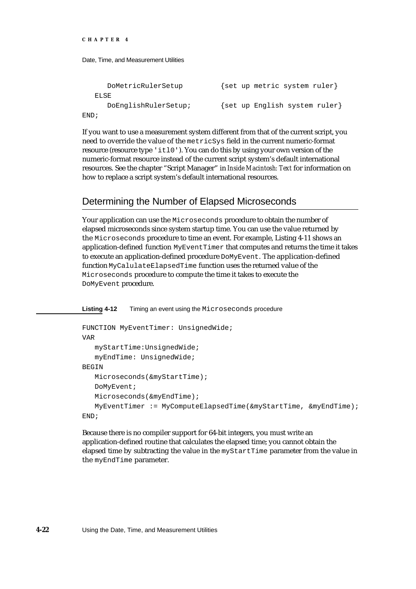| DoMetricRulerSetup   | {set up metric system ruler}  |
|----------------------|-------------------------------|
| ELSE                 |                               |
| DoEnglishRulerSetup; | {set up English system ruler} |
| END;                 |                               |

If you want to use a measurement system different from that of the current script, you need to override the value of the metricSys field in the current numeric-format resource (resource type 'itl0'). You can do this by using your own version of the numeric-format resource instead of the current script system's default international resources. See the chapter "Script Manager" in *Inside Macintosh: Text* for information on how to replace a script system's default international resources.

# Determining the Number of Elapsed Microseconds

Your application can use the Microseconds procedure to obtain the number of elapsed microseconds since system startup time. You can use the value returned by the Microseconds procedure to time an event. For example, Listing 4-11 shows an application-defined function MyEventTimer that computes and returns the time it takes to execute an application-defined procedure DoMyEvent. The application-defined function MyCalulateElapsedTime function uses the returned value of the Microseconds procedure to compute the time it takes to execute the DoMyEvent procedure.

**Listing 4-12** Timing an event using the Microseconds procedure

```
FUNCTION MyEventTimer: UnsignedWide;
VAR
  myStartTime:UnsignedWide;
   myEndTime: UnsignedWide;
BEGIN
   Microseconds(&myStartTime);
   DoMyEvent;
   Microseconds(&myEndTime);
   MyEventTimer := MyComputeElapsedTime(&myStartTime, &myEndTime);
END;
```
Because there is no compiler support for 64-bit integers, you must write an application-defined routine that calculates the elapsed time; you cannot obtain the elapsed time by subtracting the value in the myStartTime parameter from the value in the myEndTime parameter.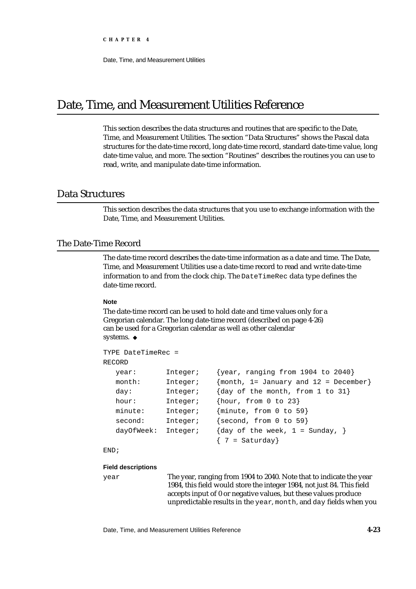# Date, Time, and Measurement Utilities Reference

This section describes the data structures and routines that are specific to the Date, Time, and Measurement Utilities. The section "Data Structures" shows the Pascal data structures for the date-time record, long date-time record, standard date-time value, long date-time value, and more. The section "Routines" describes the routines you can use to read, write, and manipulate date-time information.

### Data Structures

This section describes the data structures that you use to exchange information with the Date, Time, and Measurement Utilities.

### The Date-Time Record

The date-time record describes the date-time information as a date and time. The Date, Time, and Measurement Utilities use a date-time record to read and write date-time information to and from the clock chip. The DateTimeRec data type defines the date-time record.

#### **Note**

The date-time record can be used to hold date and time values only for a Gregorian calendar. The long date-time record (described on page 4-26) can be used for a Gregorian calendar as well as other calendar systems. u

```
TYPE DateTimeRec =
RECORD
  year: Integer; {year, ranging from 1904 to 2040}
  month: Integer; {math> from th, 1= January and 12 = December}
  day: Integer; {day of the month, from 1 to 31}
  hour: Integer; {hour, from 0 to 23}
  minute: Integer; {minute, from 0 to 59}
  second: Integer; {second, from 0 to 59}
  dayOfWeek: Integer; {day of the week, 1 = Sunday, }
                         \{7 = \text{Saturday}\}
```
END;

#### **Field descriptions**

year The year, ranging from 1904 to 2040. Note that to indicate the year 1984, this field would store the integer 1984, not just 84. This field accepts input of 0 or negative values, but these values produce unpredictable results in the year, month, and day fields when you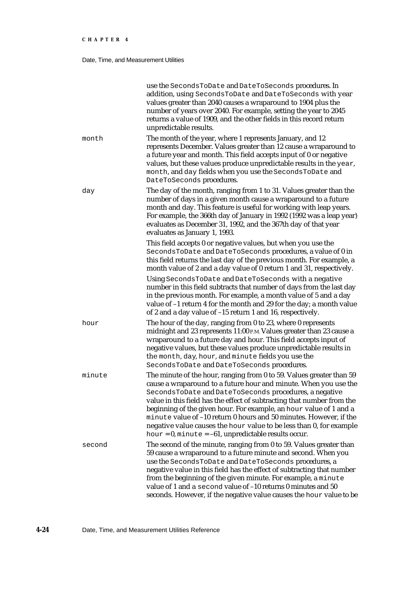### Date, Time, and Measurement Utilities

|        | use the SecondsToDate and DateToSeconds procedures. In<br>addition, using SecondsToDate and DateToSeconds with year<br>values greater than 2040 causes a wraparound to 1904 plus the<br>number of years over 2040. For example, setting the year to 2045<br>returns a value of 1909, and the other fields in this record return<br>unpredictable results.                                                                                                                                                                                                     |
|--------|---------------------------------------------------------------------------------------------------------------------------------------------------------------------------------------------------------------------------------------------------------------------------------------------------------------------------------------------------------------------------------------------------------------------------------------------------------------------------------------------------------------------------------------------------------------|
| month  | The month of the year, where 1 represents January, and 12<br>represents December. Values greater than 12 cause a wraparound to<br>a future year and month. This field accepts input of 0 or negative<br>values, but these values produce unpredictable results in the year,<br>month, and day fields when you use the SecondsToDate and<br>DateToSeconds procedures.                                                                                                                                                                                          |
| day    | The day of the month, ranging from 1 to 31. Values greater than the<br>number of days in a given month cause a wraparound to a future<br>month and day. This feature is useful for working with leap years.<br>For example, the 366th day of January in 1992 (1992 was a leap year)<br>evaluates as December 31, 1992, and the 367th day of that year<br>evaluates as January 1, 1993.                                                                                                                                                                        |
|        | This field accepts 0 or negative values, but when you use the<br>SecondsToDate and DateToSeconds procedures, a value of 0 in<br>this field returns the last day of the previous month. For example, a<br>month value of 2 and a day value of 0 return 1 and 31, respectively.                                                                                                                                                                                                                                                                                 |
|        | Using SecondsToDate and DateToSeconds with a negative<br>number in this field subtracts that number of days from the last day<br>in the previous month. For example, a month value of 5 and a day<br>value of -1 return 4 for the month and 29 for the day; a month value<br>of 2 and a day value of -15 return 1 and 16, respectively.                                                                                                                                                                                                                       |
| hour   | The hour of the day, ranging from 0 to 23, where 0 represents<br>midnight and 23 represents 11:00 P.M. Values greater than 23 cause a<br>wraparound to a future day and hour. This field accepts input of<br>negative values, but these values produce unpredictable results in<br>the month, day, hour, and minute fields you use the<br>SecondsToDate and DateToSeconds procedures.                                                                                                                                                                         |
| minute | The minute of the hour, ranging from 0 to 59. Values greater than 59<br>cause a wraparound to a future hour and minute. When you use the<br>SecondsToDate and DateToSeconds procedures, a negative<br>value in this field has the effect of subtracting that number from the<br>beginning of the given hour. For example, an hour value of 1 and a<br>minute value of -10 return 0 hours and 50 minutes. However, if the<br>negative value causes the hour value to be less than 0, for example<br>hour = $0$ , minute = $-61$ , unpredictable results occur. |
| second | The second of the minute, ranging from 0 to 59. Values greater than<br>59 cause a wraparound to a future minute and second. When you<br>use the SecondsToDate and DateToSeconds procedures, a<br>negative value in this field has the effect of subtracting that number<br>from the beginning of the given minute. For example, a minute<br>value of 1 and a second value of -10 returns 0 minutes and 50<br>seconds. However, if the negative value causes the hour value to be                                                                              |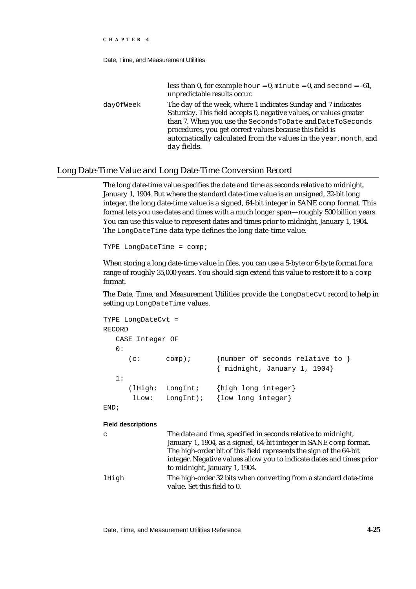Date, Time, and Measurement Utilities

|           | less than 0, for example hour = $0$ , minute = $0$ , and second = $-61$ ,<br>unpredictable results occur.                                                                                                                                                                                                                                      |
|-----------|------------------------------------------------------------------------------------------------------------------------------------------------------------------------------------------------------------------------------------------------------------------------------------------------------------------------------------------------|
| dayOfWeek | The day of the week, where 1 indicates Sunday and 7 indicates<br>Saturday. This field accepts 0, negative values, or values greater<br>than 7. When you use the SecondsToDate and DateToSeconds<br>procedures, you get correct values because this field is<br>automatically calculated from the values in the year, month, and<br>day fields. |

### Long Date-Time Value and Long Date-Time Conversion Record

The long date-time value specifies the date and time as seconds relative to midnight, January 1, 1904. But where the standard date-time value is an unsigned, 32-bit long integer, the long date-time value is a signed, 64-bit integer in SANE comp format. This format lets you use dates and times with a much longer span—roughly 500 billion years. You can use this value to represent dates and times prior to midnight, January 1, 1904. The LongDateTime data type defines the long date-time value.

TYPE LongDateTime = comp;

When storing a long date-time value in files, you can use a 5-byte or 6-byte format for a range of roughly 35,000 years. You should sign extend this value to restore it to a comp format.

The Date, Time, and Measurement Utilities provide the LongDateCvt record to help in setting up LongDateTime values.

|        | TYPE LongDateCvt = |                       |                                                                         |
|--------|--------------------|-----------------------|-------------------------------------------------------------------------|
| RECORD |                    |                       |                                                                         |
|        | CASE Integer OF    |                       |                                                                         |
| 0:     |                    |                       |                                                                         |
|        | (c:                | $comp)$ ;             | {number of seconds relative to }<br>$\{$ midnight, January 1, 1904 $\}$ |
| 1:     |                    |                       |                                                                         |
|        | (lHigh:<br>lLow:   | LongInt;<br>LongInt); | {high long integer}<br>{low long integer}                               |
|        |                    |                       |                                                                         |

END;

#### **Field descriptions**

| C     | The date and time, specified in seconds relative to midnight,<br>January 1, 1904, as a signed, 64-bit integer in SANE comp format. |
|-------|------------------------------------------------------------------------------------------------------------------------------------|
|       | The high-order bit of this field represents the sign of the 64-bit                                                                 |
|       | integer. Negative values allow you to indicate dates and times prior<br>to midnight, January 1, 1904.                              |
| lHigh | The high-order 32 bits when converting from a standard date-time<br>value. Set this field to 0.                                    |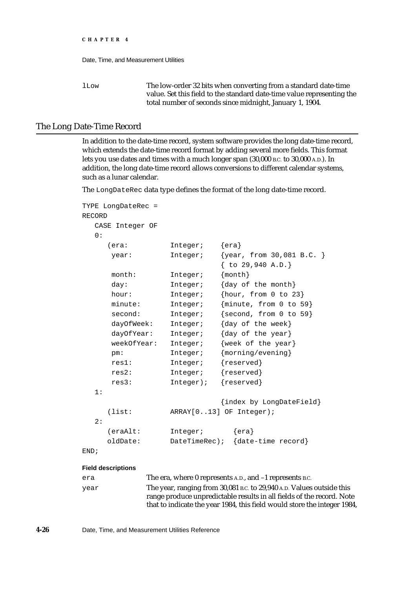lLow The low-order 32 bits when converting from a standard date-time value. Set this field to the standard date-time value representing the total number of seconds since midnight, January 1, 1904.

### The Long Date-Time Record

In addition to the date-time record, system software provides the long date-time record, which extends the date-time record format by adding several more fields. This format lets you use dates and times with a much longer span (30,000 B.C. to 30,000 A.D.). In addition, the long date-time record allows conversions to different calendar systems, such as a lunar calendar.

The LongDateRec data type defines the format of the long date-time record.

```
TYPE LongDateRec =
RECORD
  CASE Integer OF
  0:(era: Integer; {era}
     year: Integer; {year, from 30,081 B.C. }
                           { to 29,940 A.D.}
     month: Integer; {month}
     day: Integer; {day of the month}
     hour: Integer; {hour, from 0 to 23}
     minute: Integer; {minute, from 0 to 59}
     second: Integer; {second, from 0 to 59}
     dayOfWeek: Integer; {day of the week}
     dayOfYear: Integer; {day of the year}
     weekOfYear: Integer; {week of the year}
     pm: Integer; {morning/evening}
      res1: Integer; {reserved}
      res2: Integer; {reserved}
      res3: Integer); {reserved}
  1:
                           {index by LongDateField}
     (list: ARRAY[0..13] OF Integer);
  2:
     (eraAlt: Integer; {era}
    oldDate: DateTimeRec); {date-time record}
END;
```
#### **Field descriptions**

| era  | The era, where 0 represents A.D., and -1 represents B.C.                 |
|------|--------------------------------------------------------------------------|
| year | The year, ranging from 30,081 B.C. to 29,940 A.D. Values outside this    |
|      | range produce unpredictable results in all fields of the record. Note    |
|      | that to indicate the year 1984, this field would store the integer 1984, |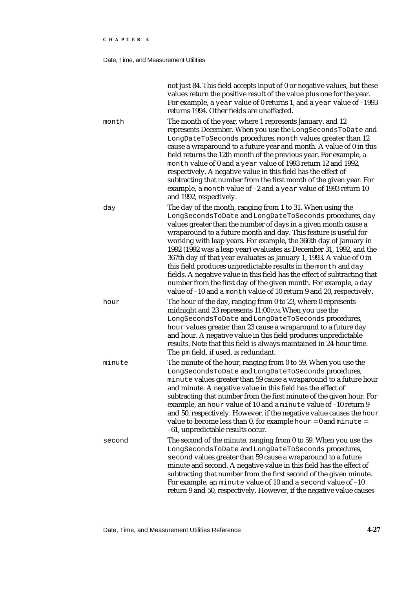### Date, Time, and Measurement Utilities

|        | not just 84. This field accepts input of 0 or negative values, but these<br>values return the positive result of the value plus one for the year.<br>For example, a year value of 0 returns 1, and a year value of -1993<br>returns 1994. Other fields are unaffected.                                                                                                                                                                                                                                                                                                                                                                                                                                                                                                     |
|--------|----------------------------------------------------------------------------------------------------------------------------------------------------------------------------------------------------------------------------------------------------------------------------------------------------------------------------------------------------------------------------------------------------------------------------------------------------------------------------------------------------------------------------------------------------------------------------------------------------------------------------------------------------------------------------------------------------------------------------------------------------------------------------|
| month  | The month of the year, where 1 represents January, and 12<br>represents December. When you use the LongSecondsToDate and<br>LongDateToSeconds procedures, month values greater than 12<br>cause a wraparound to a future year and month. A value of 0 in this<br>field returns the 12th month of the previous year. For example, a<br>month value of 0 and a year value of 1993 return 12 and 1992,<br>respectively. A negative value in this field has the effect of<br>subtracting that number from the first month of the given year. For<br>example, a month value of -2 and a year value of 1993 return 10<br>and 1992, respectively.                                                                                                                                 |
| day    | The day of the month, ranging from 1 to 31. When using the<br>LongSecondsToDate and LongDateToSeconds procedures, day<br>values greater than the number of days in a given month cause a<br>wraparound to a future month and day. This feature is useful for<br>working with leap years. For example, the 366th day of January in<br>1992 (1992 was a leap year) evaluates as December 31, 1992, and the<br>367th day of that year evaluates as January 1, 1993. A value of 0 in<br>this field produces unpredictable results in the month and day<br>fields. A negative value in this field has the effect of subtracting that<br>number from the first day of the given month. For example, a day<br>value of -10 and a month value of 10 return 9 and 20, respectively. |
| hour   | The hour of the day, ranging from 0 to 23, where 0 represents<br>midnight and 23 represents 11:00 P.M. When you use the<br>LongSecondsToDate and LongDateToSeconds procedures,<br>hour values greater than 23 cause a wraparound to a future day<br>and hour. A negative value in this field produces unpredictable<br>results. Note that this field is always maintained in 24-hour time.<br>The pm field, if used, is redundant.                                                                                                                                                                                                                                                                                                                                         |
| minute | The minute of the hour, ranging from 0 to 59. When you use the<br>LongSecondsToDate and LongDateToSeconds procedures,<br>minute values greater than 59 cause a wraparound to a future hour<br>and minute. A negative value in this field has the effect of<br>subtracting that number from the first minute of the given hour. For<br>example, an hour value of 10 and a minute value of -10 return 9<br>and 50, respectively. However, if the negative value causes the hour<br>value to become less than 0, for example hour = $0$ and minute =<br>-61, unpredictable results occur.                                                                                                                                                                                     |
| second | The second of the minute, ranging from 0 to 59. When you use the<br>LongSecondsToDate and LongDateToSeconds procedures,<br>second values greater than 59 cause a wraparound to a future<br>minute and second. A negative value in this field has the effect of<br>subtracting that number from the first second of the given minute.<br>For example, an minute value of 10 and a second value of -10<br>return 9 and 50, respectively. However, if the negative value causes                                                                                                                                                                                                                                                                                               |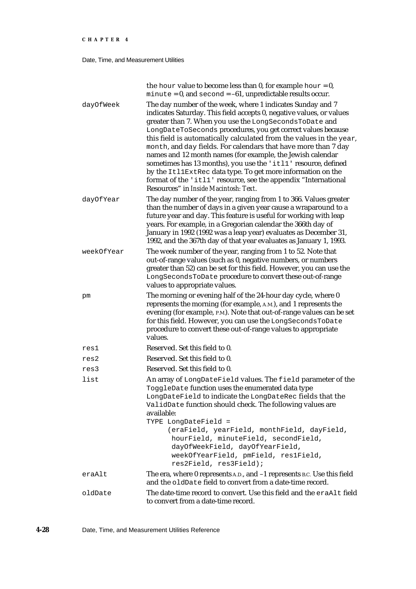Date, Time, and Measurement Utilities

| oldDate    | The date-time record to convert. Use this field and the eraalt field<br>to convert from a date-time record.                                                                                                                                                                                                                                                                                                                                                                                                                                                                                                                                                                                                     |
|------------|-----------------------------------------------------------------------------------------------------------------------------------------------------------------------------------------------------------------------------------------------------------------------------------------------------------------------------------------------------------------------------------------------------------------------------------------------------------------------------------------------------------------------------------------------------------------------------------------------------------------------------------------------------------------------------------------------------------------|
| eraAlt     | The era, where 0 represents A.D., and -1 represents B.C. Use this field<br>and the oldDate field to convert from a date-time record.                                                                                                                                                                                                                                                                                                                                                                                                                                                                                                                                                                            |
| list       | An array of LongDateField values. The field parameter of the<br>ToggleDate function uses the enumerated data type<br>LongDateField to indicate the LongDateRec fields that the<br>ValidDate function should check. The following values are<br>available:<br>TYPE LongDateField =<br>(eraField, yearField, monthField, dayField,<br>hourField, minuteField, secondField,<br>dayOfWeekField, dayOfYearField,<br>weekOfYearField, pmField, res1Field,<br>res2Field, res3Field);                                                                                                                                                                                                                                   |
| res3       | Reserved. Set this field to 0.                                                                                                                                                                                                                                                                                                                                                                                                                                                                                                                                                                                                                                                                                  |
| res2       | Reserved. Set this field to 0.                                                                                                                                                                                                                                                                                                                                                                                                                                                                                                                                                                                                                                                                                  |
| resl       | Reserved. Set this field to 0.                                                                                                                                                                                                                                                                                                                                                                                                                                                                                                                                                                                                                                                                                  |
| pm         | The morning or evening half of the 24-hour day cycle, where 0<br>represents the morning (for example, A.M.), and 1 represents the<br>evening (for example, P.M.). Note that out-of-range values can be set<br>for this field. However, you can use the LongSecondsToDate<br>procedure to convert these out-of-range values to appropriate<br>values.                                                                                                                                                                                                                                                                                                                                                            |
| weekOfYear | The week number of the year, ranging from 1 to 52. Note that<br>out-of-range values (such as 0, negative numbers, or numbers<br>greater than 52) can be set for this field. However, you can use the<br>LongSecondsToDate procedure to convert these out-of-range<br>values to appropriate values.                                                                                                                                                                                                                                                                                                                                                                                                              |
| dayOfYear  | The day number of the year, ranging from 1 to 366. Values greater<br>than the number of days in a given year cause a wraparound to a<br>future year and day. This feature is useful for working with leap<br>years. For example, in a Gregorian calendar the 366th day of<br>January in 1992 (1992 was a leap year) evaluates as December 31,<br>1992, and the 367th day of that year evaluates as January 1, 1993.                                                                                                                                                                                                                                                                                             |
| dayOfWeek  | The day number of the week, where 1 indicates Sunday and 7<br>indicates Saturday. This field accepts 0, negative values, or values<br>greater than 7. When you use the LongSecondsToDate and<br>LongDateToSeconds procedures, you get correct values because<br>this field is automatically calculated from the values in the year,<br>month, and day fields. For calendars that have more than 7 day<br>names and 12 month names (for example, the Jewish calendar<br>sometimes has 13 months), you use the 'itll' resource, defined<br>by the ItllExtRec data type. To get more information on the<br>format of the 'itll' resource, see the appendix "International<br>Resources" in Inside Macintosh: Text. |
|            | the hour value to become less than 0, for example hour = 0,<br>$minute = 0$ , and $second = -61$ , unpredictable results occur.                                                                                                                                                                                                                                                                                                                                                                                                                                                                                                                                                                                 |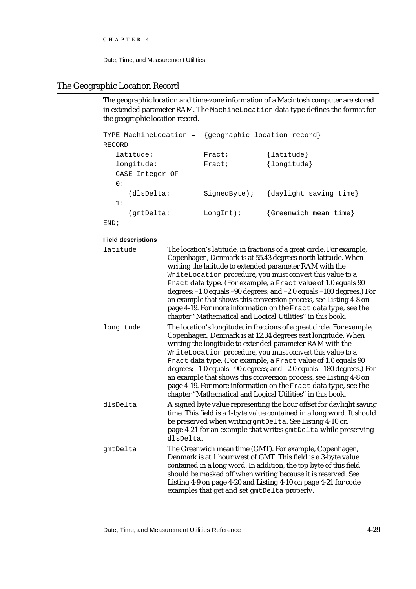Date, Time, and Measurement Utilities

# The Geographic Location Record

The geographic location and time-zone information of a Macintosh computer are stored in extended parameter RAM. The MachineLocation data type defines the format for the geographic location record.

| TYPE MachineLocation = | {geographic location record} |                        |
|------------------------|------------------------------|------------------------|
| RECORD                 |                              |                        |
| latitude:              | Fract;                       | $\{$ latitude $\}$     |
| longitude:             | Fract;                       | {longitude}            |
| CASE Integer OF        |                              |                        |
| 0:                     |                              |                        |
| (dlsDelta:             | $SignedByte)$ ;              | {daylight saving time} |
| 1:                     |                              |                        |
| (qmtDelta:             | $LongInt$ );                 | {Greenwich mean time}  |
| END;                   |                              |                        |

**Field descriptions**

| latitude  | The location's latitude, in fractions of a great circle. For example,<br>Copenhagen, Denmark is at 55.43 degrees north latitude. When<br>writing the latitude to extended parameter RAM with the<br>WriteLocation procedure, you must convert this value to a<br>Fract data type. (For example, a Fract value of 1.0 equals 90<br>degrees; -1.0 equals -90 degrees; and -2.0 equals -180 degrees.) For<br>an example that shows this conversion process, see Listing 4-8 on<br>page 4-19. For more information on the Fract data type, see the<br>chapter "Mathematical and Logical Utilities" in this book.   |
|-----------|----------------------------------------------------------------------------------------------------------------------------------------------------------------------------------------------------------------------------------------------------------------------------------------------------------------------------------------------------------------------------------------------------------------------------------------------------------------------------------------------------------------------------------------------------------------------------------------------------------------|
| longitude | The location's longitude, in fractions of a great circle. For example,<br>Copenhagen, Denmark is at 12.34 degrees east longitude. When<br>writing the longitude to extended parameter RAM with the<br>WriteLocation procedure, you must convert this value to a<br>Fract data type. (For example, a Fract value of 1.0 equals 90<br>degrees; -1.0 equals -90 degrees; and -2.0 equals -180 degrees.) For<br>an example that shows this conversion process, see Listing 4-8 on<br>page 4-19. For more information on the Fract data type, see the<br>chapter "Mathematical and Logical Utilities" in this book. |
| dlsDelta  | A signed byte value representing the hour offset for daylight saving<br>time. This field is a 1-byte value contained in a long word. It should<br>be preserved when writing gmtDelta. See Listing 4-10 on<br>page 4-21 for an example that writes gmtDelta while preserving<br>dlsDelta.                                                                                                                                                                                                                                                                                                                       |
| gmtDelta  | The Greenwich mean time (GMT). For example, Copenhagen,<br>Denmark is at 1 hour west of GMT. This field is a 3-byte value<br>contained in a long word. In addition, the top byte of this field<br>should be masked off when writing because it is reserved. See<br>Listing 4-9 on page 4-20 and Listing 4-10 on page 4-21 for code<br>examples that get and set gmtDelta properly.                                                                                                                                                                                                                             |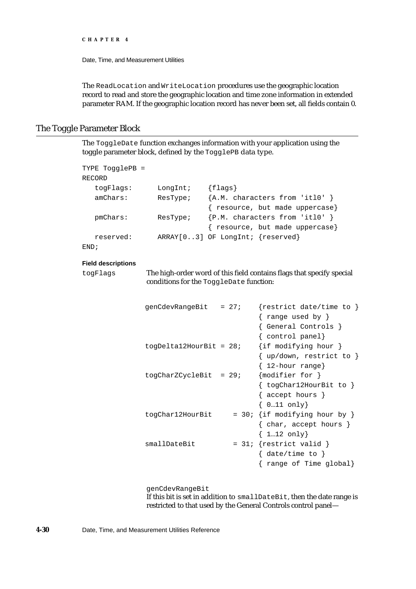Date, Time, and Measurement Utilities

The ReadLocation and WriteLocation procedures use the geographic location record to read and store the geographic location and time zone information in extended parameter RAM. If the geographic location record has never been set, all fields contain 0.

### The Toggle Parameter Block

The ToggleDate function exchanges information with your application using the toggle parameter block, defined by the TogglePB data type.

| TYPE TogglePB =           |                                         |                                  |                                                                       |
|---------------------------|-----------------------------------------|----------------------------------|-----------------------------------------------------------------------|
| RECORD                    |                                         |                                  |                                                                       |
| togFlags:                 | LongInt;                                | ${flags}$                        |                                                                       |
| amChars:                  | ResType;                                |                                  | ${A.M. characters from 'it10' }$                                      |
|                           |                                         |                                  | { resource, but made uppercase}                                       |
| pmChars:                  | ResType;                                |                                  | {P.M. characters from 'itl0' }                                        |
|                           |                                         |                                  | { resource, but made uppercase}                                       |
| reserved:                 |                                         | ARRAY[03] OF LongInt; {reserved} |                                                                       |
| END;                      |                                         |                                  |                                                                       |
| <b>Field descriptions</b> |                                         |                                  |                                                                       |
|                           |                                         |                                  |                                                                       |
| togFlags                  | conditions for the ToggleDate function: |                                  | The high-order word of this field contains flags that specify special |
|                           |                                         |                                  |                                                                       |
|                           |                                         |                                  |                                                                       |
|                           | genCdevRangeBit                         | $= 27i$                          | {restrict date/time to }                                              |
|                           |                                         |                                  | range used by $\}$                                                    |
|                           |                                         |                                  | { General Controls }                                                  |
|                           |                                         |                                  | { control panel}                                                      |
|                           | $togDeltal2HourBit = 28;$               |                                  | {if modifying hour }                                                  |
|                           |                                         |                                  | $\{ up/down, restrict to \}$                                          |
|                           |                                         |                                  | 12-hour range}                                                        |
|                           | $togCharZCycleBit = 29;$                |                                  | ${modelier for}$                                                      |
|                           |                                         |                                  | { togChar12HourBit to }                                               |
|                           |                                         |                                  | { accept hours }                                                      |
|                           |                                         |                                  | $\{ 011 \text{ only} \}$                                              |
|                           | togChar12HourBit                        |                                  | = 30; {if modifying hour by }                                         |
|                           |                                         |                                  | $\{char, accept hours\}$                                              |
|                           |                                         |                                  | ${112}$ only}                                                         |
|                           | smallDateBit                            |                                  | = $31:$ {restrict valid }                                             |
|                           |                                         |                                  | $\{ date/time to \}$                                                  |
|                           |                                         |                                  | range of Time global}                                                 |

genCdevRangeBit

If this bit is set in addition to smallDateBit, then the date range is restricted to that used by the General Controls control panel—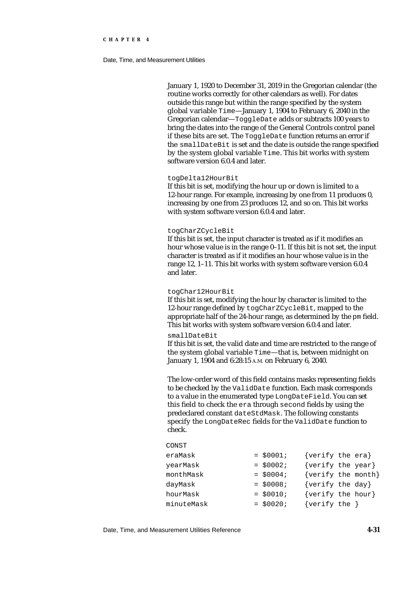#### Date, Time, and Measurement Utilities

January 1, 1920 to December 31, 2019 in the Gregorian calendar (the routine works correctly for other calendars as well). For dates outside this range but within the range specified by the system global variable Time—January 1, 1904 to February 6, 2040 in the Gregorian calendar—ToggleDate adds or subtracts 100 years to bring the dates into the range of the General Controls control panel if these bits are set. The ToggleDate function returns an error if the smallDateBit is set and the date is outside the range specified by the system global variable Time. This bit works with system software version 6.0.4 and later.

#### togDelta12HourBit

If this bit is set, modifying the hour up or down is limited to a 12-hour range. For example, increasing by one from 11 produces 0, increasing by one from 23 produces 12, and so on. This bit works with system software version 6.0.4 and later.

#### togCharZCycleBit

If this bit is set, the input character is treated as if it modifies an hour whose value is in the range 0–11. If this bit is not set, the input character is treated as if it modifies an hour whose value is in the range 12, 1–11. This bit works with system software version 6.0.4 and later.

#### togChar12HourBit

If this bit is set, modifying the hour by character is limited to the 12-hour range defined by togCharZCycleBit, mapped to the appropriate half of the 24-hour range, as determined by the pm field. This bit works with system software version 6.0.4 and later.

#### smallDateBit

If this bit is set, the valid date and time are restricted to the range of the system global variable Time—that is, between midnight on January 1, 1904 and 6:28:15 A.M. on February 6, 2040.

The low-order word of this field contains masks representing fields to be checked by the ValidDate function. Each mask corresponds to a value in the enumerated type LongDateField. You can set this field to check the era through second fields by using the predeclared constant dateStdMask. The following constants specify the LongDateRec fields for the ValidDate function to check.

#### CONST

| eraMask    | $= $0001;$  | {verify the era}   |  |
|------------|-------------|--------------------|--|
| yearMask   | $=$ \$0002; | {verify the year}  |  |
| monthMask  | $=$ \$0004; | {verify the month} |  |
| dayMask    | $=$ \$0008; | {verify the day}   |  |
| hourMask   | $= $0010;$  | {verify the hour}  |  |
| minuteMask | $=$ \$0020; | $\{verify the \}$  |  |
|            |             |                    |  |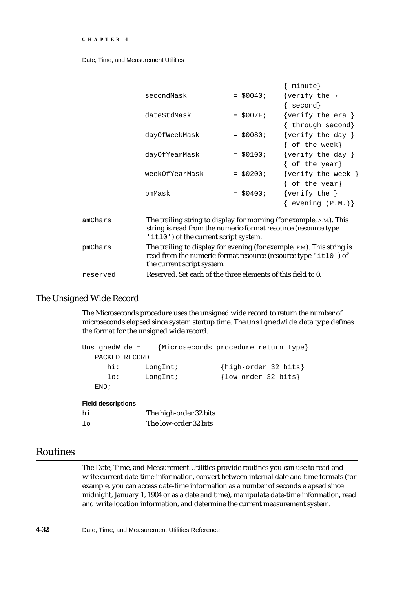```
CHAPTER 4
```

|         |                                                                                                         |             | { minute}                                                                                                                                  |
|---------|---------------------------------------------------------------------------------------------------------|-------------|--------------------------------------------------------------------------------------------------------------------------------------------|
|         | secondMask                                                                                              | $=$ \$0040; | $\{verify the \}$                                                                                                                          |
|         |                                                                                                         |             | $\{ second\}$                                                                                                                              |
|         | dateStdMask                                                                                             | $=$ \$007F; | $\{verify the era \}$                                                                                                                      |
|         |                                                                                                         |             | { through second}                                                                                                                          |
|         | dayOfWeekMask                                                                                           | $=$ \$0080; | $\{verify the day \}$                                                                                                                      |
|         |                                                                                                         |             | $\{$ of the week $\}$                                                                                                                      |
|         | dayOfYearMask                                                                                           | $=$ \$0100; | {verify the day }                                                                                                                          |
|         |                                                                                                         |             | $\{$ of the year $\}$                                                                                                                      |
|         | weekOfYearMask                                                                                          | $=$ \$0200; | $\{verify the week \}$                                                                                                                     |
|         |                                                                                                         |             | { $of$ the year}                                                                                                                           |
|         | pmMask                                                                                                  | $=$ \$0400; | $\{verify the \}$                                                                                                                          |
|         |                                                                                                         |             | $\{$ evening $(P.M.)\}$                                                                                                                    |
| amChars | string is read from the numeric-format resource (resource type<br>'it10') of the current script system. |             | The trailing string to display for morning (for example, A.M.). This                                                                       |
| pmChars | the current script system.                                                                              |             | The trailing to display for evening (for example, P.M.). This string is<br>read from the numeric-format resource (resource type 'itl0') of |

# The Unsigned Wide Record

The Microseconds procedure uses the unsigned wide record to return the number of microseconds elapsed since system startup time. The UnsignedWide data type defines the format for the unsigned wide record.

```
UnsignedWide = {Microseconds procedure return type}
  PACKED RECORD
    hi: LongInt; {high-order 32 bits}
     lo: LongInt; {low-order 32 bits}
  END;
```
reserved Reserved. Set each of the three elements of this field to 0.

#### **Field descriptions**

| hi       | The high-order 32 bits |
|----------|------------------------|
| $1\circ$ | The low-order 32 bits  |

# Routines

The Date, Time, and Measurement Utilities provide routines you can use to read and write current date-time information, convert between internal date and time formats (for example, you can access date-time information as a number of seconds elapsed since midnight, January 1, 1904 or as a date and time), manipulate date-time information, read and write location information, and determine the current measurement system.

**4-32** Date, Time, and Measurement Utilities Reference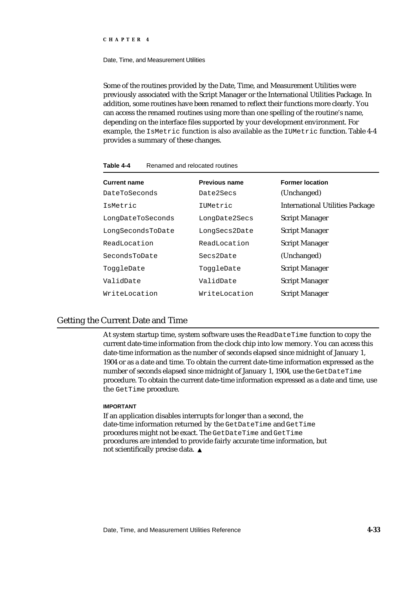#### Date, Time, and Measurement Utilities

Some of the routines provided by the Date, Time, and Measurement Utilities were previously associated with the Script Manager or the International Utilities Package. In addition, some routines have been renamed to reflect their functions more clearly. You can access the renamed routines using more than one spelling of the routine's name, depending on the interface files supported by your development environment. For example, the IsMetric function is also available as the IUMetric function. Table 4-4 provides a summary of these changes.

| <b>Current name</b> | <b>Previous name</b> | <b>Former location</b>                 |
|---------------------|----------------------|----------------------------------------|
| DateToSeconds       | Date2Secs            | (Unchanged)                            |
| IsMetric            | IUMetric             | <b>International Utilities Package</b> |
| LongDateToSeconds   | LongDate2Secs        | <b>Script Manager</b>                  |
| LongSecondsToDate   | LongSecs2Date        | <b>Script Manager</b>                  |
| ReadLocation        | ReadLocation         | <b>Script Manager</b>                  |
| SecondsToDate       | Secs2Date            | (Unchanged)                            |
| ToggleDate          | ToggleDate           | <b>Script Manager</b>                  |
| ValidDate           | ValidDate            | <b>Script Manager</b>                  |
| WriteLocation       | WriteLocation        | <b>Script Manager</b>                  |

**Table 4-4** Renamed and relocated routines

### Getting the Current Date and Time

At system startup time, system software uses the ReadDateTime function to copy the current date-time information from the clock chip into low memory. You can access this date-time information as the number of seconds elapsed since midnight of January 1, 1904 or as a date and time. To obtain the current date-time information expressed as the number of seconds elapsed since midnight of January 1, 1904, use the GetDateTime procedure. To obtain the current date-time information expressed as a date and time, use the GetTime procedure.

#### **IMPORTANT**

If an application disables interrupts for longer than a second, the date-time information returned by the GetDateTime and GetTime procedures might not be exact. The GetDateTime and GetTime procedures are intended to provide fairly accurate time information, but not scientifically precise data.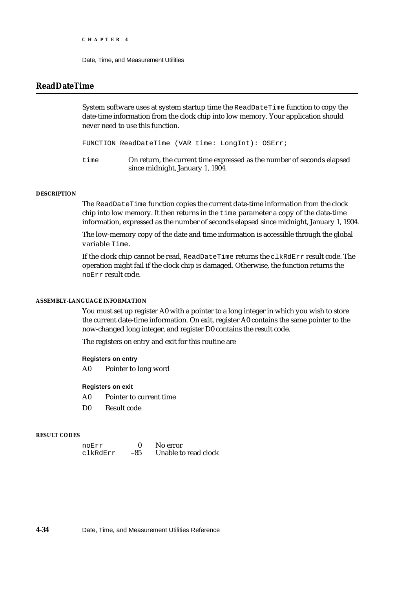Date, Time, and Measurement Utilities

### **ReadDateTime**

System software uses at system startup time the ReadDateTime function to copy the date-time information from the clock chip into low memory. Your application should never need to use this function.

FUNCTION ReadDateTime (VAR time: LongInt): OSErr;

time On return, the current time expressed as the number of seconds elapsed since midnight, January 1, 1904.

#### **DESCRIPTION**

The ReadDateTime function copies the current date-time information from the clock chip into low memory. It then returns in the time parameter a copy of the date-time information, expressed as the number of seconds elapsed since midnight, January 1, 1904.

The low-memory copy of the date and time information is accessible through the global variable Time.

If the clock chip cannot be read, ReadDateTime returns the clkRdErr result code. The operation might fail if the clock chip is damaged. Otherwise, the function returns the noErr result code.

#### **ASSEMBLY-LANGUAGE INFORMATION**

You must set up register A0 with a pointer to a long integer in which you wish to store the current date-time information. On exit, register A0 contains the same pointer to the now-changed long integer, and register D0 contains the result code.

The registers on entry and exit for this routine are

#### **Registers on entry**

A0 Pointer to long word

#### **Registers on exit**

- A0 Pointer to current time
- D0 Result code

#### **RESULT CODES**

| noErr    |     | No error             |
|----------|-----|----------------------|
| clkRdErr | -85 | Unable to read clock |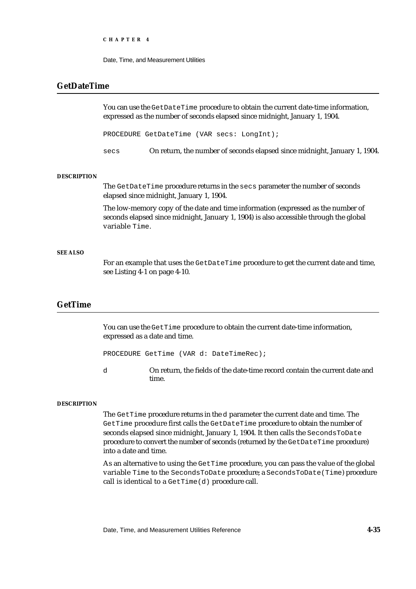Date, Time, and Measurement Utilities

### **GetDateTime**

You can use the GetDateTime procedure to obtain the current date-time information, expressed as the number of seconds elapsed since midnight, January 1, 1904.

PROCEDURE GetDateTime (VAR secs: LongInt);

secs On return, the number of seconds elapsed since midnight, January 1, 1904.

#### **DESCRIPTION**

The GetDateTime procedure returns in the secs parameter the number of seconds elapsed since midnight, January 1, 1904.

The low-memory copy of the date and time information (expressed as the number of seconds elapsed since midnight, January 1, 1904) is also accessible through the global variable Time.

#### **SEE ALSO**

For an example that uses the GetDateTime procedure to get the current date and time, see Listing 4-1 on page 4-10.

### **GetTime**

You can use the GetTime procedure to obtain the current date-time information, expressed as a date and time.

PROCEDURE GetTime (VAR d: DateTimeRec);

d On return, the fields of the date-time record contain the current date and time.

#### **DESCRIPTION**

The GetTime procedure returns in the d parameter the current date and time. The GetTime procedure first calls the GetDateTime procedure to obtain the number of seconds elapsed since midnight, January 1, 1904. It then calls the SecondsToDate procedure to convert the number of seconds (returned by the GetDateTime procedure) into a date and time.

As an alternative to using the GetTime procedure, you can pass the value of the global variable Time to the SecondsToDate procedure; a SecondsToDate(Time) procedure call is identical to a  $G$ etTime $(d)$  procedure call.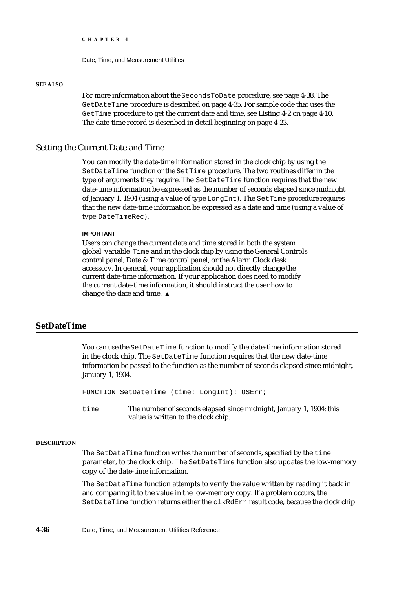Date, Time, and Measurement Utilities

#### **SEE ALSO**

For more information about the SecondsToDate procedure, see page 4-38. The GetDateTime procedure is described on page 4-35. For sample code that uses the GetTime procedure to get the current date and time, see Listing 4-2 on page 4-10. The date-time record is described in detail beginning on page 4-23.

### Setting the Current Date and Time

You can modify the date-time information stored in the clock chip by using the SetDateTime function or the SetTime procedure. The two routines differ in the type of arguments they require. The SetDateTime function requires that the new date-time information be expressed as the number of seconds elapsed since midnight of January 1, 1904 (using a value of type LongInt). The SetTime procedure requires that the new date-time information be expressed as a date and time (using a value of type DateTimeRec).

#### **IMPORTANT**

Users can change the current date and time stored in both the system global variable Time and in the clock chip by using the General Controls control panel, Date & Time control panel, or the Alarm Clock desk accessory. In general, your application should not directly change the current date-time information. If your application does need to modify the current date-time information, it should instruct the user how to change the date and time.

### **SetDateTime**

You can use the SetDateTime function to modify the date-time information stored in the clock chip. The SetDateTime function requires that the new date-time information be passed to the function as the number of seconds elapsed since midnight, January 1, 1904.

FUNCTION SetDateTime (time: LongInt): OSErr;

time The number of seconds elapsed since midnight, January 1, 1904; this value is written to the clock chip.

#### **DESCRIPTION**

The SetDateTime function writes the number of seconds, specified by the time parameter, to the clock chip. The SetDateTime function also updates the low-memory copy of the date-time information.

The SetDateTime function attempts to verify the value written by reading it back in and comparing it to the value in the low-memory copy. If a problem occurs, the SetDateTime function returns either the clkRdErr result code, because the clock chip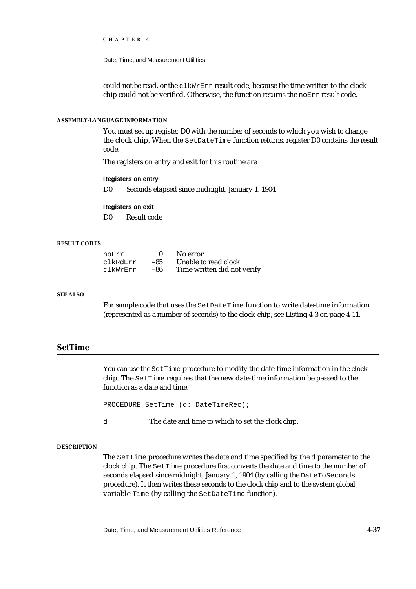Date, Time, and Measurement Utilities

could not be read, or the  $c1kWrErr$  result code, because the time written to the clock chip could not be verified. Otherwise, the function returns the noErr result code.

#### **ASSEMBLY-LANGUAGE INFORMATION**

You must set up register D0 with the number of seconds to which you wish to change the clock chip. When the SetDateTime function returns, register D0 contains the result code.

The registers on entry and exit for this routine are

#### **Registers on entry**

D0 Seconds elapsed since midnight, January 1, 1904

#### **Registers on exit**

D0 Result code

#### **RESULT CODES**

| noErr    |       | No error                    |
|----------|-------|-----------------------------|
| clkRdErr | $-85$ | Unable to read clock        |
| clkWrErr | -86   | Time written did not verify |

#### **SEE ALSO**

For sample code that uses the SetDateTime function to write date-time information (represented as a number of seconds) to the clock-chip, see Listing 4-3 on page 4-11.

### **SetTime**

You can use the SetTime procedure to modify the date-time information in the clock chip. The SetTime requires that the new date-time information be passed to the function as a date and time.

PROCEDURE SetTime (d: DateTimeRec);

d The date and time to which to set the clock chip.

#### **DESCRIPTION**

The SetTime procedure writes the date and time specified by the d parameter to the clock chip. The SetTime procedure first converts the date and time to the number of seconds elapsed since midnight, January 1, 1904 (by calling the DateToSeconds procedure). It then writes these seconds to the clock chip and to the system global variable Time (by calling the SetDateTime function).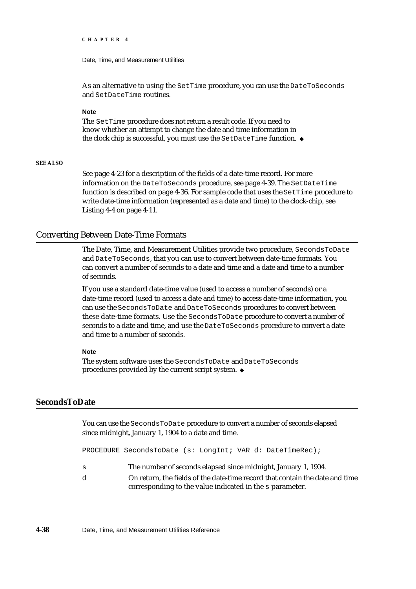Date, Time, and Measurement Utilities

As an alternative to using the SetTime procedure, you can use the DateToSeconds and SetDateTime routines.

#### **Note**

The SetTime procedure does not return a result code. If you need to know whether an attempt to change the date and time information in the clock chip is successful, you must use the SetDateTime function.

#### **SEE ALSO**

See page 4-23 for a description of the fields of a date-time record. For more information on the DateToSeconds procedure, see page 4-39. The SetDateTime function is described on page 4-36. For sample code that uses the SetTime procedure to write date-time information (represented as a date and time) to the clock-chip, see Listing 4-4 on page 4-11.

### Converting Between Date-Time Formats

The Date, Time, and Measurement Utilities provide two procedure, SecondsToDate and DateToSeconds, that you can use to convert between date-time formats. You can convert a number of seconds to a date and time and a date and time to a number of seconds.

If you use a standard date-time value (used to access a number of seconds) or a date-time record (used to access a date and time) to access date-time information, you can use the SecondsToDate and DateToSeconds procedures to convert between these date-time formats. Use the SecondsToDate procedure to convert a number of seconds to a date and time, and use the DateToSeconds procedure to convert a date and time to a number of seconds.

#### **Note**

The system software uses the SecondsToDate and DateToSeconds procedures provided by the current script system.

### **SecondsToDate**

You can use the SecondsToDate procedure to convert a number of seconds elapsed since midnight, January 1, 1904 to a date and time.

PROCEDURE SecondsToDate (s: LongInt; VAR d: DateTimeRec);

- s The number of seconds elapsed since midnight, January 1, 1904.
- d On return, the fields of the date-time record that contain the date and time corresponding to the value indicated in the s parameter.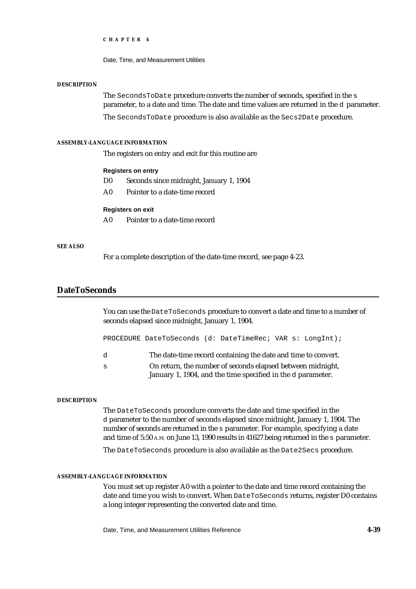Date, Time, and Measurement Utilities

#### **DESCRIPTION**

The SecondsToDate procedure converts the number of seconds, specified in the s parameter, to a date and time. The date and time values are returned in the d parameter.

The SecondsToDate procedure is also available as the Secs2Date procedure.

#### **ASSEMBLY-LANGUAGE INFORMATION**

The registers on entry and exit for this routine are

#### **Registers on entry**

- D0 Seconds since midnight, January 1, 1904
- A0 Pointer to a date-time record

#### **Registers on exit**

A0 Pointer to a date-time record

#### **SEE ALSO**

For a complete description of the date-time record, see page 4-23.

### **DateToSeconds**

You can use the DateToSeconds procedure to convert a date and time to a number of seconds elapsed since midnight, January 1, 1904.

PROCEDURE DateToSeconds (d: DateTimeRec; VAR s: LongInt);

- d The date-time record containing the date and time to convert.
- s On return, the number of seconds elapsed between midnight, January 1, 1904, and the time specified in the d parameter.

#### **DESCRIPTION**

The DateToSeconds procedure converts the date and time specified in the d parameter to the number of seconds elapsed since midnight, January 1, 1904. The number of seconds are returned in the s parameter. For example, specifying a date and time of 5:50 A.M. on June 13, 1990 results in 41627 being returned in the s parameter.

The DateToSeconds procedure is also available as the Date2Secs procedure.

#### **ASSEMBLY-LANGUAGE INFORMATION**

You must set up register A0 with a pointer to the date and time record containing the date and time you wish to convert. When DateToSeconds returns, register D0 contains a long integer representing the converted date and time.

Date, Time, and Measurement Utilities Reference **4-39**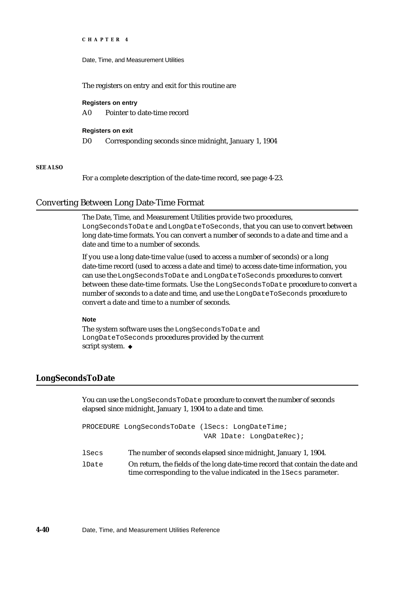```
CHAPTER 4
```
The registers on entry and exit for this routine are

### **Registers on entry**

A0 Pointer to date-time record

### **Registers on exit**

D0 Corresponding seconds since midnight, January 1, 1904

### **SEE ALSO**

For a complete description of the date-time record, see page 4-23.

### Converting Between Long Date-Time Format

The Date, Time, and Measurement Utilities provide two procedures, LongSecondsToDate and LongDateToSeconds, that you can use to convert between long date-time formats. You can convert a number of seconds to a date and time and a date and time to a number of seconds.

If you use a long date-time value (used to access a number of seconds) or a long date-time record (used to access a date and time) to access date-time information, you can use the LongSecondsToDate and LongDateToSeconds procedures to convert between these date-time formats. Use the LongSecondsToDate procedure to convert a number of seconds to a date and time, and use the LongDateToSeconds procedure to convert a date and time to a number of seconds.

#### **Note**

The system software uses the LongSecondsToDate and LongDateToSeconds procedures provided by the current script system. u

### **LongSecondsToDate**

You can use the LongSecondsToDate procedure to convert the number of seconds elapsed since midnight, January 1, 1904 to a date and time.

```
PROCEDURE LongSecondsToDate (lSecs: LongDateTime; 
                               VAR lDate: LongDateRec);
```
- lSecs The number of seconds elapsed since midnight, January 1, 1904.
- lDate On return, the fields of the long date-time record that contain the date and time corresponding to the value indicated in the lSecs parameter.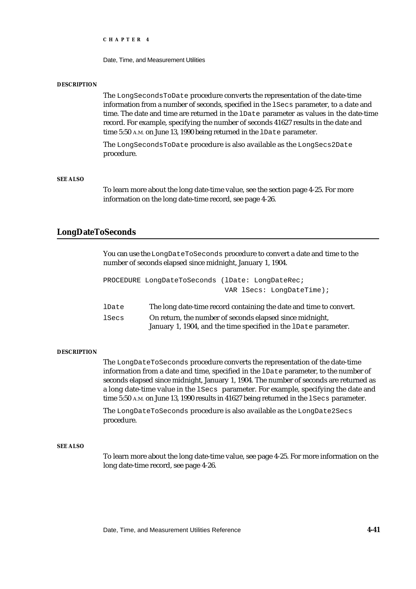Date, Time, and Measurement Utilities

#### **DESCRIPTION**

The LongSecondsToDate procedure converts the representation of the date-time information from a number of seconds, specified in the lSecs parameter, to a date and time. The date and time are returned in the lDate parameter as values in the date-time record. For example, specifying the number of seconds 41627 results in the date and time 5:50 A.M. on June 13, 1990 being returned in the lDate parameter.

The LongSecondsToDate procedure is also available as the LongSecs2Date procedure.

#### **SEE ALSO**

To learn more about the long date-time value, see the section page 4-25. For more information on the long date-time record, see page 4-26.

### **LongDateToSeconds**

You can use the LongDateToSeconds procedure to convert a date and time to the number of seconds elapsed since midnight, January 1, 1904.

|       | PROCEDURE LongDateToSeconds (lDate: LongDateRec;                                                                            |
|-------|-----------------------------------------------------------------------------------------------------------------------------|
|       | VAR lSecs: LongDateTime);                                                                                                   |
| lDate | The long date-time record containing the date and time to convert.                                                          |
| lSecs | On return, the number of seconds elapsed since midnight,<br>January 1, 1904, and the time specified in the 1Date parameter. |

#### **DESCRIPTION**

The LongDateToSeconds procedure converts the representation of the date-time information from a date and time, specified in the lDate parameter, to the number of seconds elapsed since midnight, January 1, 1904. The number of seconds are returned as a long date-time value in the lSecs parameter. For example, specifying the date and time 5:50 A.M. on June 13, 1990 results in 41627 being returned in the lSecs parameter.

The LongDateToSeconds procedure is also available as the LongDate2Secs procedure.

#### **SEE ALSO**

To learn more about the long date-time value, see page 4-25. For more information on the long date-time record, see page 4-26.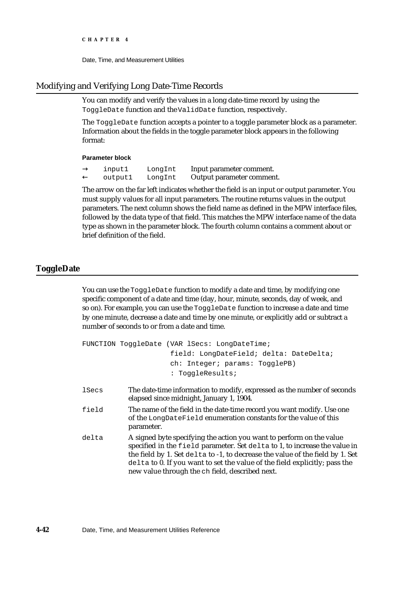Date, Time, and Measurement Utilities

### Modifying and Verifying Long Date-Time Records

You can modify and verify the values in a long date-time record by using the ToggleDate function and the ValidDate function, respectively.

The ToggleDate function accepts a pointer to a toggle parameter block as a parameter. Information about the fields in the toggle parameter block appears in the following format:

#### **Parameter block**

input1 LongInt Input parameter comment. output1 LongInt Output parameter comment.

The arrow on the far left indicates whether the field is an input or output parameter. You must supply values for all input parameters. The routine returns values in the output parameters. The next column shows the field name as defined in the MPW interface files, followed by the data type of that field. This matches the MPW interface name of the data type as shown in the parameter block. The fourth column contains a comment about or brief definition of the field.

### **ToggleDate**

You can use the ToggleDate function to modify a date and time, by modifying one specific component of a date and time (day, hour, minute, seconds, day of week, and so on). For example, you can use the ToggleDate function to increase a date and time by one minute, decrease a date and time by one minute, or explicitly add or subtract a number of seconds to or from a date and time.

```
FUNCTION ToggleDate (VAR lSecs: LongDateTime;
                     field: LongDateField; delta: DateDelta;
                     ch: Integer; params: TogglePB)
                     : ToggleResults;
```
- lSecs The date-time information to modify, expressed as the number of seconds elapsed since midnight, January 1, 1904.
- field The name of the field in the date-time record you want modify. Use one of the LongDateField enumeration constants for the value of this parameter.
- delta A signed byte specifying the action you want to perform on the value specified in the field parameter. Set delta to 1, to increase the value in the field by 1. Set delta to -1, to decrease the value of the field by 1. Set delta to 0. If you want to set the value of the field explicitly; pass the new value through the ch field, described next.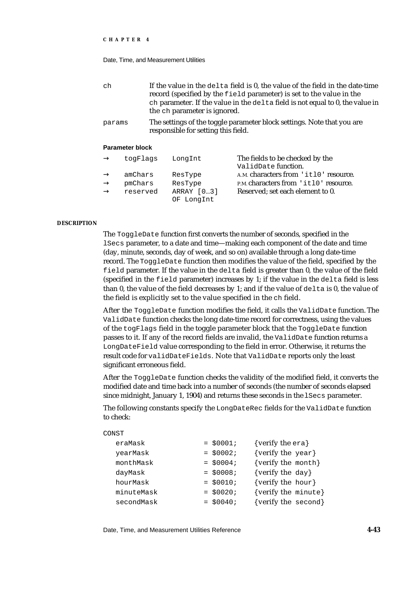#### Date, Time, and Measurement Utilities

| ch     | If the value in the delta field is 0, the value of the field in the date-time<br>record (specified by the field parameter) is set to the value in the<br>ch parameter. If the value in the delta field is not equal to 0, the value in<br>the ch parameter is ignored. |
|--------|------------------------------------------------------------------------------------------------------------------------------------------------------------------------------------------------------------------------------------------------------------------------|
| params | The settings of the toggle parameter block settings. Note that you are<br>responsible for setting this field.                                                                                                                                                          |

#### **Parameter block**

| togFlags                       | LongInt                                        | The fields to be checked by the<br>ValidDate function.                                                             |
|--------------------------------|------------------------------------------------|--------------------------------------------------------------------------------------------------------------------|
| amChars<br>pmChars<br>reserved | ResType<br>ResType<br>ARRAY [03]<br>OF LongInt | A.M. characters from 'itl0' resource.<br>P.M. characters from 'itl0' resource.<br>Reserved; set each element to 0. |

#### **DESCRIPTION**

The ToggleDate function first converts the number of seconds, specified in the lSecs parameter, to a date and time—making each component of the date and time (day, minute, seconds, day of week, and so on) available through a long date-time record. The ToggleDate function then modifies the value of the field, specified by the field parameter. If the value in the delta field is greater than 0, the value of the field (specified in the field parameter) increases by 1; if the value in the delta field is less than 0, the value of the field decreases by 1; and if the value of  $\text{delta } 0$ , the value of the field is explicitly set to the value specified in the ch field.

After the ToggleDate function modifies the field, it calls the ValidDate function. The ValidDate function checks the long date-time record for correctness, using the values of the togFlags field in the toggle parameter block that the ToggleDate function passes to it. If any of the record fields are invalid, the ValidDate function returns a LongDateField value corresponding to the field in error. Otherwise, it returns the result code for validDateFields. Note that ValidDate reports only the least significant erroneous field.

After the ToggleDate function checks the validity of the modified field, it converts the modified date and time back into a number of seconds (the number of seconds elapsed since midnight, January 1, 1904) and returns these seconds in the lSecs parameter.

The following constants specify the LongDateRec fields for the ValidDate function to check:

| $=$ \$0001; | {verify the $era$ }  |
|-------------|----------------------|
| $=$ \$0002; | {verify the $year$ } |
| $=$ \$0004; | {verify the month}   |
| $=$ \$0008; | {verify the $day$ }  |
| $= $0010;$  | {verify the hour}    |
| $=$ \$0020; | {verify the minute}  |
| $=$ \$0040; | {verify the second}  |
|             |                      |

Date, Time, and Measurement Utilities Reference **4-43**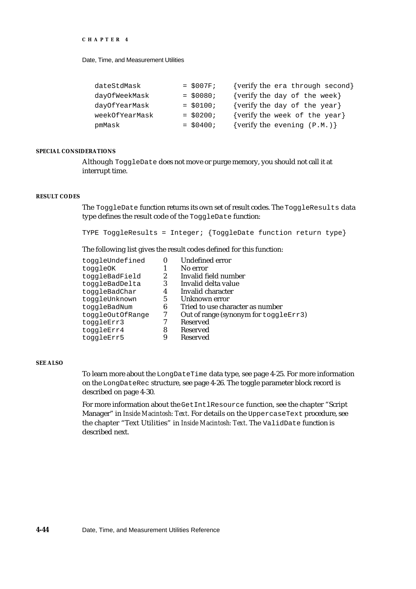Date, Time, and Measurement Utilities

| dateStdMask    | $= $007F;$  | {verify the era through second} |
|----------------|-------------|---------------------------------|
| dayOfWeekMask  | $= $0080;$  | {verify the day of the week}    |
| dayOfYearMask  | $=$ \$0100; | {verify the day of the year}    |
| weekOfYearMask | $=$ \$0200; | {verify the week of the year}   |
| pmMask         | $=$ \$0400; | {verify the evening $(P.M.)$ }  |

#### **SPECIAL CONSIDERATIONS**

Although ToggleDate does not move or purge memory, you should not call it at interrupt time.

#### **RESULT CODES**

The ToggleDate function returns its own set of result codes. The ToggleResults data type defines the result code of the ToggleDate function:

TYPE ToggleResults = Integer; {ToggleDate function return type}

The following list gives the result codes defined for this function:

| toggleUndefined  |   | <b>Undefined error</b>                |
|------------------|---|---------------------------------------|
| toggleOK         |   | No error                              |
| toggleBadField   | 2 | Invalid field number                  |
| toggleBadDelta   | 3 | Invalid delta value                   |
| toggleBadChar    | 4 | Invalid character                     |
| toggleUnknown    | 5 | Unknown error                         |
| toggleBadNum     | 6 | Tried to use character as number      |
| toggleOutOfRange |   | Out of range (synonym for toggleErr3) |
| toggleErr3       |   | <b>Reserved</b>                       |
| toggleErr4       | 8 | <b>Reserved</b>                       |
| toggleErr5       |   | <b>Reserved</b>                       |

#### **SEE ALSO**

To learn more about the LongDateTime data type, see page 4-25. For more information on the LongDateRec structure, see page 4-26. The toggle parameter block record is described on page 4-30.

For more information about the GetIntlResource function, see the chapter "Script Manager" in *Inside Macintosh: Text*. For details on the UppercaseText procedure, see the chapter "Text Utilities" in *Inside Macintosh: Text*. The ValidDate function is described next.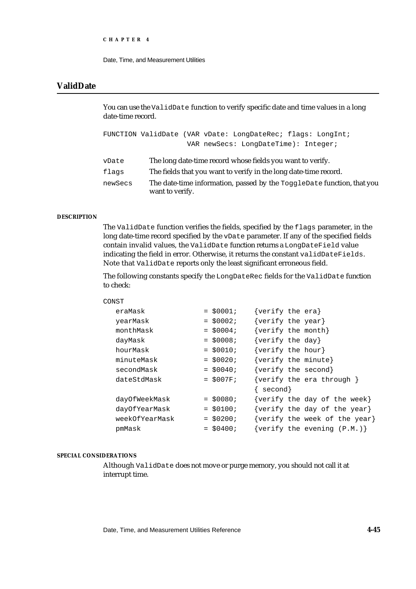```
CHAPTER 4
```
### **ValidDate**

You can use the ValidDate function to verify specific date and time values in a long date-time record.

|         | FUNCTION ValidDate (VAR vDate: LongDateRec; flags: LongInt;                               |
|---------|-------------------------------------------------------------------------------------------|
|         | VAR newSecs: LongDateTime): Integer;                                                      |
|         |                                                                                           |
| vDate   | The long date-time record whose fields you want to verify.                                |
| flags   | The fields that you want to verify in the long date-time record.                          |
| newSecs | The date-time information, passed by the ToggleDate function, that you<br>want to verify. |

#### **DESCRIPTION**

The ValidDate function verifies the fields, specified by the flags parameter, in the long date-time record specified by the vDate parameter. If any of the specified fields contain invalid values, the ValidDate function returns a LongDateField value indicating the field in error. Otherwise, it returns the constant validDateFields. Note that ValidDate reports only the least significant erroneous field.

The following constants specify the LongDateRec fields for the ValidDate function to check:

| CONST |                |             |                       |                                       |
|-------|----------------|-------------|-----------------------|---------------------------------------|
|       | eraMask        | $=$ \$0001; | $\{verify the era\}$  |                                       |
|       | yearMask       | $=$ \$0002; | $\{verify the year\}$ |                                       |
|       | monthMask      | $=$ \$0004; | {verify the month}    |                                       |
|       | dayMask        | $=$ \$0008; | $\{verify the day\}$  |                                       |
|       | hourMask       | $=$ \$0010; | $\{verify the hour\}$ |                                       |
|       | minuteMask     | $=$ \$0020; | {verify the minute}   |                                       |
|       | secondMask     | $=$ \$0040; | {verify the second}   |                                       |
|       | dateStdMask    | $=$ \$007F; |                       | {verify the era through }             |
|       |                |             | $\{$ second $\}$      |                                       |
|       | dayOfWeekMask  | $=$ \$0080; |                       | $\{verify\ the\ day\ of\ the\ week\}$ |
|       | dayOfYearMask  | $=$ \$0100; |                       | {verify the day of the year}          |
|       | weekOfYearMask | $=$ \$0200; |                       | {verify the week of the year}         |
|       | pmMask         | $=$ \$0400; |                       | {verify the evening $(P.M.)$ }        |
|       |                |             |                       |                                       |

#### **SPECIAL CONSIDERATIONS**

Although ValidDate does not move or purge memory, you should not call it at interrupt time.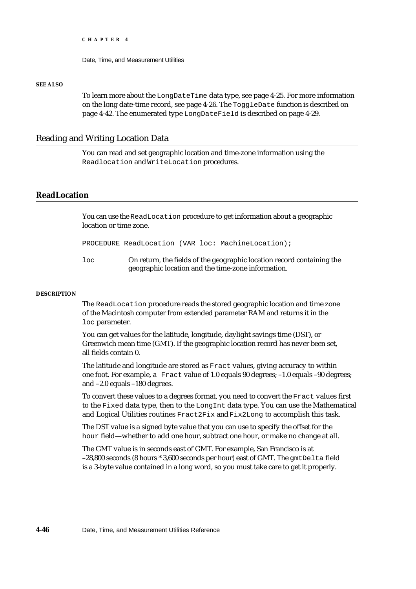Date, Time, and Measurement Utilities

#### **SEE ALSO**

To learn more about the LongDateTime data type, see page 4-25. For more information on the long date-time record, see page 4-26. The ToggleDate function is described on page 4-42. The enumerated type LongDateField is described on page 4-29.

### Reading and Writing Location Data

You can read and set geographic location and time-zone information using the Readlocation and WriteLocation procedures.

### **ReadLocation**

You can use the ReadLocation procedure to get information about a geographic location or time zone.

PROCEDURE ReadLocation (VAR loc: MachineLocation);

loc On return, the fields of the geographic location record containing the geographic location and the time-zone information.

#### **DESCRIPTION**

The ReadLocation procedure reads the stored geographic location and time zone of the Macintosh computer from extended parameter RAM and returns it in the loc parameter.

You can get values for the latitude, longitude, daylight savings time (DST), or Greenwich mean time (GMT). If the geographic location record has never been set, all fields contain 0.

The latitude and longitude are stored as Fract values, giving accuracy to within one foot. For example, a Fract value of 1.0 equals 90 degrees; –1.0 equals –90 degrees; and –2.0 equals –180 degrees.

To convert these values to a degrees format, you need to convert the Fract values first to the Fixed data type, then to the LongInt data type. You can use the Mathematical and Logical Utilities routines Fract2Fix and Fix2Long to accomplish this task.

The DST value is a signed byte value that you can use to specify the offset for the hour field—whether to add one hour, subtract one hour, or make no change at all.

The GMT value is in seconds east of GMT. For example, San Francisco is at –28,800 seconds (8 hours \* 3,600 seconds per hour) east of GMT. The gmtDelta field is a 3-byte value contained in a long word, so you must take care to get it properly.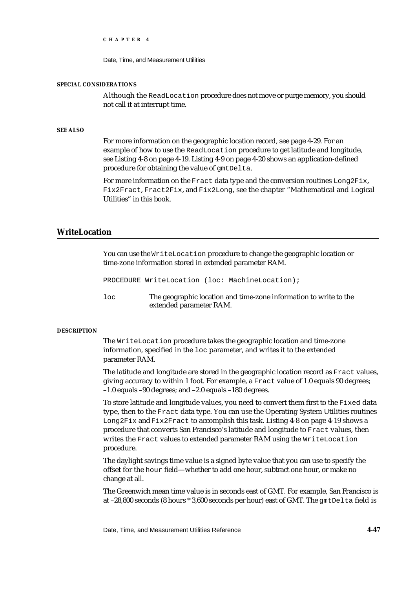Date, Time, and Measurement Utilities

#### **SPECIAL CONSIDERATIONS**

Although the ReadLocation procedure does not move or purge memory, you should not call it at interrupt time.

#### **SEE ALSO**

For more information on the geographic location record, see page 4-29. For an example of how to use the ReadLocation procedure to get latitude and longitude, see Listing 4-8 on page 4-19. Listing 4-9 on page 4-20 shows an application-defined procedure for obtaining the value of gmtDelta.

For more information on the  $\text{Exact}$  data type and the conversion routines  $\text{Long}$   $\text{End}$ Fix2Fract, Fract2Fix, and Fix2Long, see the chapter "Mathematical and Logical Utilities" in this book.

### **WriteLocation**

You can use the WriteLocation procedure to change the geographic location or time-zone information stored in extended parameter RAM.

PROCEDURE WriteLocation (loc: MachineLocation);

loc The geographic location and time-zone information to write to the extended parameter RAM.

#### **DESCRIPTION**

The WriteLocation procedure takes the geographic location and time-zone information, specified in the loc parameter, and writes it to the extended parameter RAM.

The latitude and longitude are stored in the geographic location record as Fract values, giving accuracy to within 1 foot. For example, a Fract value of 1.0 equals 90 degrees; –1.0 equals –90 degrees; and –2.0 equals –180 degrees.

To store latitude and longitude values, you need to convert them first to the Fixed data type, then to the Fract data type. You can use the Operating System Utilities routines Long2Fix and Fix2Fract to accomplish this task. Listing 4-8 on page 4-19 shows a procedure that converts San Francisco's latitude and longitude to Fract values, then writes the Fract values to extended parameter RAM using the WriteLocation procedure.

The daylight savings time value is a signed byte value that you can use to specify the offset for the hour field—whether to add one hour, subtract one hour, or make no change at all.

The Greenwich mean time value is in seconds east of GMT. For example, San Francisco is at –28,800 seconds (8 hours \* 3,600 seconds per hour) east of GMT. The gmtDelta field is

Date, Time, and Measurement Utilities Reference **4-47**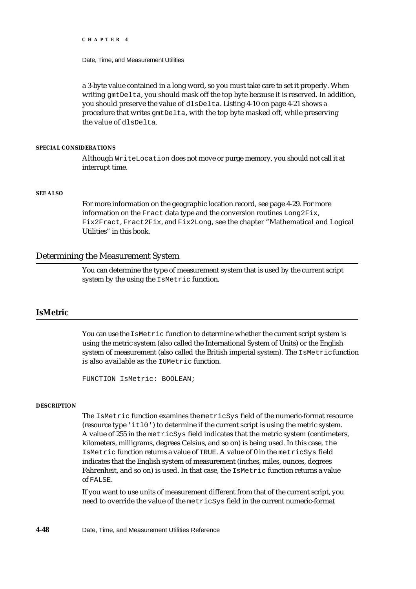Date, Time, and Measurement Utilities

a 3-byte value contained in a long word, so you must take care to set it properly. When writing  $\varphi$ mtDelta, you should mask off the top byte because it is reserved. In addition, you should preserve the value of dlsDelta. Listing 4-10 on page 4-21 shows a procedure that writes gmtDelta, with the top byte masked off, while preserving the value of dlsDelta.

#### **SPECIAL CONSIDERATIONS**

Although WriteLocation does not move or purge memory, you should not call it at interrupt time.

#### **SEE ALSO**

For more information on the geographic location record, see page 4-29. For more information on the Fract data type and the conversion routines Long2Fix, Fix2Fract, Fract2Fix, and Fix2Long, see the chapter "Mathematical and Logical Utilities" in this book.

### Determining the Measurement System

You can determine the type of measurement system that is used by the current script system by the using the IsMetric function.

#### **IsMetric**

You can use the IsMetric function to determine whether the current script system is using the metric system (also called the International System of Units) or the English system of measurement (also called the British imperial system). The IsMetric function is also available as the IUMetric function.

FUNCTION IsMetric: BOOLEAN;

#### **DESCRIPTION**

The IsMetric function examines the metricSys field of the numeric-format resource (resource type  $(i \text{tl0'})$  to determine if the current script is using the metric system. A value of 255 in the metricSys field indicates that the metric system (centimeters, kilometers, milligrams, degrees Celsius, and so on) is being used. In this case, the IsMetric function returns a value of TRUE. A value of 0 in the metricSys field indicates that the English system of measurement (inches, miles, ounces, degrees Fahrenheit, and so on) is used. In that case, the IsMetric function returns a value of FALSE.

If you want to use units of measurement different from that of the current script, you need to override the value of the metricSys field in the current numeric-format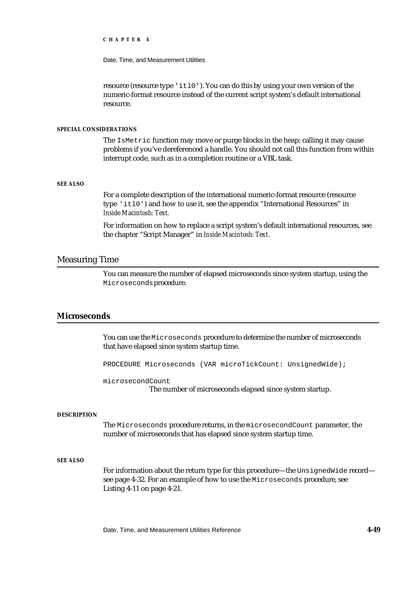Date, Time, and Measurement Utilities

resource (resource type 'itl0'). You can do this by using your own version of the numeric-format resource instead of the current script system's default international resource.

#### **SPECIAL CONSIDERATIONS**

The IsMetric function may move or purge blocks in the heap; calling it may cause problems if you've dereferenced a handle. You should not call this function from within interrupt code, such as in a completion routine or a VBL task.

#### **SEE ALSO**

For a complete description of the international numeric-format resource (resource type 'itl0') and how to use it, see the appendix "International Resources" in *Inside Macintosh: Text.*

For information on how to replace a script system's default international resources, see the chapter "Script Manager" in *Inside Macintosh: Text*.

### Measuring Time

You can measure the number of elapsed microseconds since system startup, using the Microseconds procedure.

#### **Microseconds**

You can use the Microseconds procedure to determine the number of microseconds that have elapsed since system startup time.

PROCEDURE Microseconds (VAR microTickCount: UnsignedWide);

microsecondCount

The number of microseconds elapsed since system startup.

#### **DESCRIPTION**

The Microseconds procedure returns, in the microsecondCount parameter, the number of microseconds that has elapsed since system startup time.

#### **SEE ALSO**

For information about the return type for this procedure—the UnsignedWide record see page 4-32. For an example of how to use the Microseconds procedure, see Listing 4-11 on page 4-21.

Date, Time, and Measurement Utilities Reference **4-49**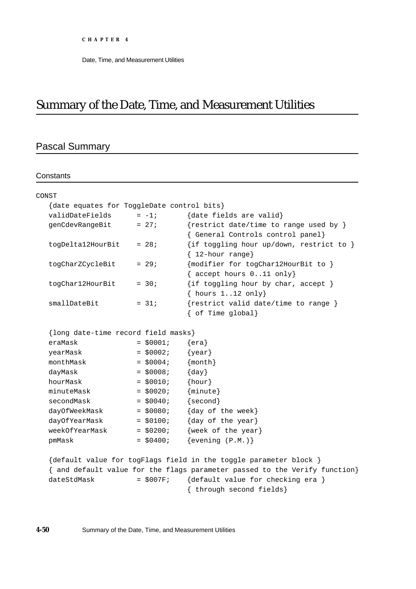# Summary of the Date, Time, and Measurement Utilities

# Pascal Summary

**Constants** 

| CONST                                      |             |                                                                            |  |  |  |
|--------------------------------------------|-------------|----------------------------------------------------------------------------|--|--|--|
| {date equates for ToggleDate control bits} |             |                                                                            |  |  |  |
| validDateFields                            | $= -1;$     | {date fields are valid}                                                    |  |  |  |
| genCdevRangeBit                            | $= 27i$     | {restrict date/time to range used by }                                     |  |  |  |
|                                            |             | { General Controls control panel}                                          |  |  |  |
| togDelta12HourBit                          | $= 28i$     | {if toggling hour up/down, restrict to }<br>$\{ 12$ -hour range}           |  |  |  |
| togCharZCycleBit                           | $= 29;$     | ${modelier for togChar12HourBit to }$                                      |  |  |  |
|                                            |             | { accept hours $011$ only}                                                 |  |  |  |
| togChar12HourBit                           | $= 30;$     | {if toggling hour by char, accept }                                        |  |  |  |
|                                            |             | $\{ hours 112 only\}$                                                      |  |  |  |
| smallDateBit                               | $= 31;$     | {restrict valid date/time to range }                                       |  |  |  |
|                                            |             | { of Time global}                                                          |  |  |  |
|                                            |             |                                                                            |  |  |  |
| {long date-time record field masks}        |             |                                                                            |  |  |  |
| eraMask                                    | $= $0001;$  | $\{era\}$                                                                  |  |  |  |
| yearMask                                   | $=$ \$0002; | $\{year\}$                                                                 |  |  |  |
| monthMask                                  | $=$ \$0004; | ${month}$                                                                  |  |  |  |
| dayMask                                    | $=$ \$0008; | $\{day\}$                                                                  |  |  |  |
| hourMask                                   | $=$ \$0010; | ${hour}$                                                                   |  |  |  |
| minuteMask                                 | $=$ \$0020; | $\{minute\}$                                                               |  |  |  |
| secondMask                                 | $=$ \$0040; | $\{second\}$                                                               |  |  |  |
| dayOfWeekMask                              | $=$ \$0080; | {day of the week}                                                          |  |  |  |
| dayOfYearMask                              | $=$ \$0100; | {day of the year}                                                          |  |  |  |
| weekOfYearMask                             | $=$ \$0200; | {week of the year}                                                         |  |  |  |
| pmMask                                     | $=$ \$0400; | $\{evening (P.M.)\}$                                                       |  |  |  |
|                                            |             |                                                                            |  |  |  |
|                                            |             | {default value for togFlags field in the toggle parameter block }          |  |  |  |
|                                            |             | { and default value for the flags parameter passed to the Verify function} |  |  |  |
| dateStdMask                                | $=$ \$007F; | {default value for checking era }                                          |  |  |  |
|                                            |             | { through second fields}                                                   |  |  |  |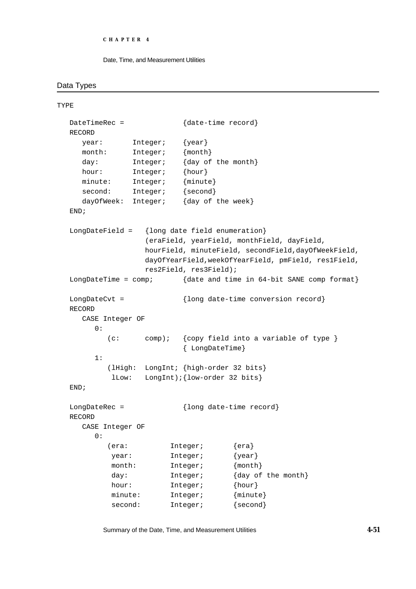```
CHAPTER 4
```
### Data Types

TYPE

```
DateTimeRec = {date-time record}
RECORD
  year: Integer; {year}
  month: Integer; {month}
  day: Integer; {day of the month}
  hour: Integer; {hour}
  minute: Integer; {minute}
  second: Integer; {second}
  dayOfWeek: Integer; {day of the week}
END;
LongDateField = {long date field enumeration}
               (eraField, yearField, monthField, dayField,
               hourField, minuteField, secondField,dayOfWeekField,
               dayOfYearField,weekOfYearField, pmField, res1Field,
               res2Field, res3Field);
LongDateTime = comp; {date and time in 64-bit SANE comp format}
LongDateCvt = {long date-time conversion record}
RECORD
  CASE Integer OF
     0:(c: comp); {copy field into a variable of type }
                       { LongDateTime}
     1:
       (lHigh: LongInt; {high-order 32 bits}
         lLow: LongInt);{low-order 32 bits}
END;
LongDateRec = \{long\} date-time record}
RECORD
  CASE Integer OF
     0:
       (era: Integer; {era}
        year: Integer; {year}
        month: Integer; {month}
        day: Integer; {day of the month}
        hour: Integer; {hour}
        minute: Integer; {minute}
        second: Integer; {second}
```
Summary of the Date, Time, and Measurement Utilities **4-51**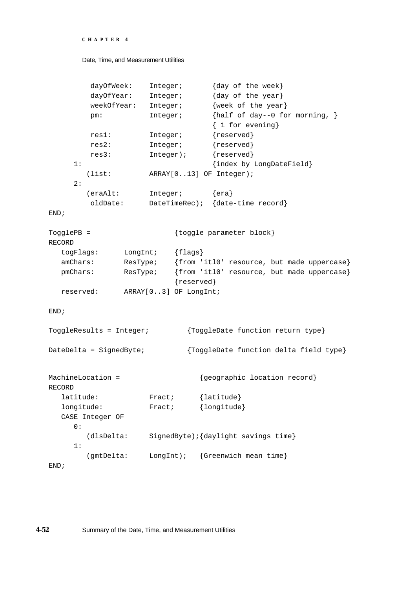```
CHAPTER 4
```

```
dayOfWeek: Integer; {day of the week}
        dayOfYear: Integer; {day of the year}
        weekOfYear: Integer; {week of the year}
        pm: Integer; {half of day--0 for morning, }
                               { 1 for evening}
        res1: Integer; {reserved}
        res2: Integer; {reserved}
         res3: Integer); {reserved}
    1: {index by LongDateField}
       (list: ARRAY[0..13] OF Integer);
    2:
       (eraAlt: Integer; {era}
        oldDate: DateTimeRec); {date-time record}
END;
TogglePB = \{toggle parameter block
RECORD
  togFlags: LongInt; {flags}
  amChars: ResType; {from 'itl0' resource, but made uppercase}
  pmChars: ResType; {from 'itl0' resource, but made uppercase}
                        {reserved}
  reserved: ARRAY[0..3] OF LongInt;
END;
ToggleResults = Integer; {ToggleDate function return type}
DateDelta = SignedByte; {ToggleDate function delta field type}
MachineLocation = {geographic location record}RECORD
  latitude: Fract; {latitude}
  longitude: Fract; {longitude}
  CASE Integer OF
    0:(dlsDelta: SignedByte);{daylight savings time}
    1:
       (gmtDelta: LongInt); {Greenwich mean time}
END;
```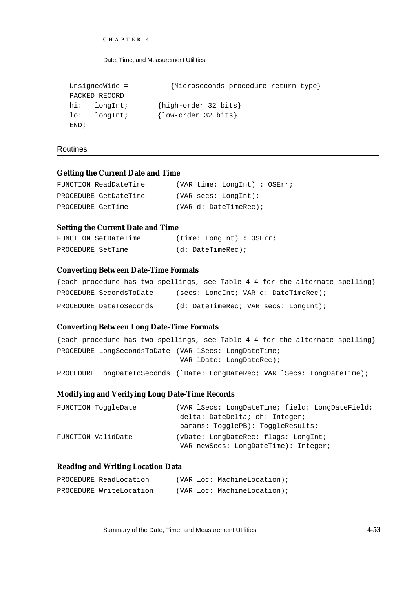```
CHAPTER 4
```

```
UnsignedWide = {Microseconds procedure return type}
PACKED RECORD
hi: longInt; {high-order 32 bits}
lo: longInt; {low-order 32 bits}
END;
```
Routines

### **Getting the Current Date and Time**

```
FUNCTION ReadDateTime (VAR time: LongInt) : OSErr;
PROCEDURE GetDateTime (VAR secs: LongInt);
PROCEDURE GetTime (VAR d: DateTimeRec);
```
### **Setting the Current Date and Time**

| FUNCTION SetDateTime | (time: LongInt) : OSErr; |
|----------------------|--------------------------|
| PROCEDURE SetTime    | $(d: DateTimeRec)$ ;     |

### **Converting Between Date-Time Formats**

|                         | {each procedure has two spellings, see Table $4-4$ for the alternate spelling} |
|-------------------------|--------------------------------------------------------------------------------|
| PROCEDURE SecondsToDate | (secs: LongInt; VAR d: DateTimeRec);                                           |
| PROCEDURE DateToSeconds | (d: DateTimeRec: VAR Secs: LongInt);                                           |

### **Converting Between Long Date-Time Formats**

{each procedure has two spellings, see Table 4-4 for the alternate spelling} PROCEDURE LongSecondsToDate (VAR lSecs: LongDateTime; VAR lDate: LongDateRec); PROCEDURE LongDateToSeconds (lDate: LongDateRec; VAR lSecs: LongDateTime);

### **Modifying and Verifying Long Date-Time Records**

| FUNCTION ToggleDate | (VAR lSecs: LongDateTime; field: LongDateField; |
|---------------------|-------------------------------------------------|
|                     | delta: DateDelta; ch: Integer;                  |
|                     | params: TogglePB): ToggleResults;               |
| FUNCTION ValidDate  | (vDate: LongDateRec; flags: LongInt;            |
|                     | VAR newSecs: LongDateTime): Integer;            |

### **Reading and Writing Location Data**

| PROCEDURE ReadLocation  |  | (VAR loc: MachineLocation); |
|-------------------------|--|-----------------------------|
| PROCEDURE WriteLocation |  | (VAR loc: MachineLocation); |

Summary of the Date, Time, and Measurement Utilities **4-53**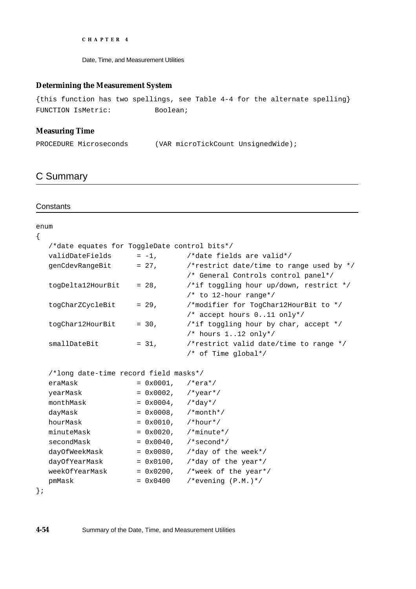Date, Time, and Measurement Utilities

### **Determining the Measurement System**

{this function has two spellings, see Table 4-4 for the alternate spelling} FUNCTION IsMetric: Boolean;

### **Measuring Time**

PROCEDURE Microseconds (VAR microTickCount UnsignedWide);

# C Summary

### **Constants**

| enum |                                              |                              |                                          |
|------|----------------------------------------------|------------------------------|------------------------------------------|
| {    |                                              |                              |                                          |
|      | /*date equates for ToggleDate control bits*/ |                              |                                          |
|      | validDateFields                              |                              | $= -1$ , $/*date$ fields are valid*/     |
|      | genCdevRangeBit                              | $= 27$ ,                     | /*restrict date/time to range used by */ |
|      |                                              |                              | /* General Controls control panel*/      |
|      | togDelta12HourBit                            | $= 28$ ,                     | /*if toggling hour up/down, restrict */  |
|      |                                              |                              | $/*$ to 12-hour range*/                  |
|      | togCharZCycleBit                             | $= 29.$                      | /*modifier for TogCharl2HourBit to */    |
|      |                                              |                              | /* accept hours $011$ only*/             |
|      | togChar12HourBit                             | $= 30,$                      | /*if toggling hour by char, accept $*/$  |
|      |                                              |                              | $/*$ hours 112 only*/                    |
|      | smallDateBit                                 | $= 31,$                      | /*restrict valid date/time to range */   |
|      |                                              |                              | $/*$ of Time global*/                    |
|      | /*long date-time record field masks*/        |                              |                                          |
|      | eraMask                                      | $= 0x0001,$ /*era*/          |                                          |
|      | yearMask                                     | $= 0x0002,$ /*year*/         |                                          |
|      | monthMask                                    | $= 0x0004$ , $/\text{*day*}$ |                                          |
|      | dayMask                                      | $= 0x0008$ , /*month*/       |                                          |
|      | hourMask                                     | $= 0x0010$ , /*hour*/        |                                          |
|      | minuteMask                                   |                              | $= 0x0020$ , /*minute*/                  |
|      | secondMask                                   |                              | $= 0x0040$ , /*second*/                  |
|      | dayOfWeekMask                                |                              | = $0x0080$ , /*day of the week*/         |
|      | dayOfYearMask                                |                              | = $0x0100$ , /*day of the year*/         |
|      | weekOfYearMask                               |                              | = $0x0200$ , /*week of the year*/        |
|      | pmMask                                       | $= 0x0400$                   | /*evening $(P.M.)*/$                     |
|      |                                              |                              |                                          |

```
};
```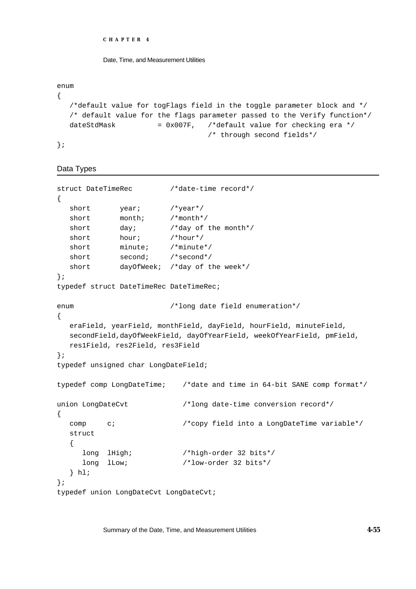```
CHAPTER 4
```
Date, Time, and Measurement Utilities

enum

```
{
  /*default value for togFlags field in the toggle parameter block and */
  /* default value for the flags parameter passed to the Verify function*/
  dateStdMask = 0x007F, /*default value for checking era */
                                  /* through second fields*/
};
```
# Data Types

```
struct DateTimeRec /*date-time record*/
{
  short year; /*year*/
  short month; /*month*/
  short day; \frac{1}{4} /*day of the month*/
  short hour; /*hour*/
  short minute; /*minute*/
  short second; /*second*/
  short dayOfWeek; /*day of the week*/
};
typedef struct DateTimeRec DateTimeRec;
enum /*long date field enumeration*/
{
  eraField, yearField, monthField, dayField, hourField, minuteField,
  secondField,dayOfWeekField, dayOfYearField, weekOfYearField, pmField,
  res1Field, res2Field, res3Field
};
typedef unsigned char LongDateField;
typedef comp LongDateTime; /*date and time in 64-bit SANE comp format*/
union LongDateCvt /*long date-time conversion record*/
{
  comp c; /*copy field into a LongDateTime variable*/
  struct
  {
     long lHigh; /*high-order 32 bits*/
     long lLow; /*low-order 32 bits*/
  } hl;
};
typedef union LongDateCvt LongDateCvt;
```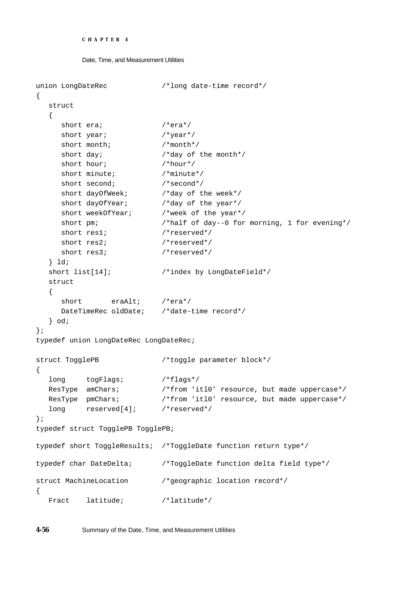```
CHAPTER 4
```

```
Date, Time, and Measurement Utilities
```

```
union LongDateRec /*long date-time record*/
{
  struct
  {
     short era; /*era*/short year; /*year*/short month; /* month*/
     short day; \frac{d}{dx} /*day of the month*/
     short hour; /*hour*/
     short minute; /*minute*/
     short second; /*second*/short dayOfWeek; /*day of the week*/
     short dayOfYear; /*day of the year*/
     short weekOfYear; /*week of the year*/
     short pm; \overline{\qquad} /*half of day--0 for morning, 1 for evening*/
     short res1; /*reserved*/
     short res2; /*reserved*/
     short res3; /*reserved*/
  } ld;
  short list[14]; \overline{\qquad} /*index by LongDateField*/
  struct
  {
     short eraAlt; /*era*/
     DateTimeRec oldDate; /*date-time record*/
  } od;
};
typedef union LongDateRec LongDateRec;
struct TogglePB /*toggle parameter block*/
{
  long togFlags; /*flags*/
  ResType amChars; /* from 'itl0' resource, but made uppercase*/
  ResType pmChars; \overline{\hspace{1cm}} /*from 'itl0' resource, but made uppercase*/
  long reserved[4]; /*reserved*/
};
typedef struct TogglePB TogglePB;
typedef short ToggleResults; /*ToggleDate function return type*/
typedef char DateDelta; /*ToggleDate function delta field type*/
struct MachineLocation /*geographic location record*/
{
  Fract latitude; /*latitude*/
```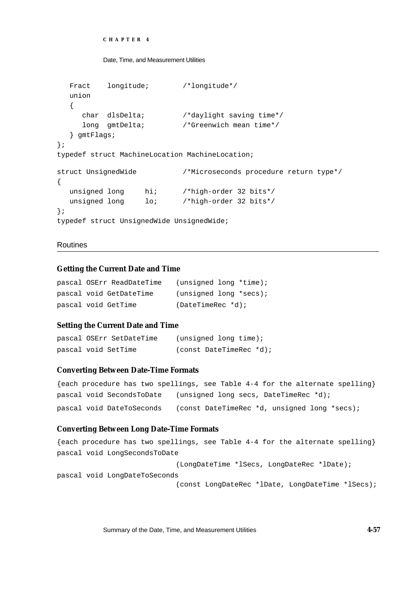```
CHAPTER 4
```

```
Date, Time, and Measurement Utilities
```

```
Fract longitude; /*longitude*/
  union
  {
     char dlsDelta; /*daylight saving time*/
     long gmtDelta; /*Greenwich mean time*/
  } gmtFlags;
};
typedef struct MachineLocation MachineLocation;
struct UnsignedWide /*Microseconds procedure return type*/
{
  unsigned long hi; /*high-order 32 bits*/
  unsigned long lo; /*high-order 32 bits*/
};
typedef struct UnsignedWide UnsignedWide;
```
# Routines

# **Getting the Current Date and Time**

|  | pascal OSErr ReadDateTime | $(unsigned long * time);$ |  |
|--|---------------------------|---------------------------|--|
|  | pascal void GetDateTime   | $(unsigned long *secs):$  |  |
|  | pascal void GetTime       | $(DaterimeRec * d)$ ;     |  |

# **Setting the Current Date and Time**

```
pascal OSErr SetDateTime (unsigned long time);
pascal void SetTime (const DateTimeRec *d);
```
# **Converting Between Date-Time Formats**

| {each procedure has two spellings, see Table $4-4$ for the alternate spelling} |  |  |                                       |  |  |  |                                              |  |
|--------------------------------------------------------------------------------|--|--|---------------------------------------|--|--|--|----------------------------------------------|--|
| pascal void SecondsToDate                                                      |  |  | (unsigned long secs, DateTimeRec *d); |  |  |  |                                              |  |
| pascal void DateToSeconds                                                      |  |  |                                       |  |  |  | (const DateTimeRec *d, unsigned long *secs); |  |

# **Converting Between Long Date-Time Formats**

```
{each procedure has two spellings, see Table 4-4 for the alternate spelling}
pascal void LongSecondsToDate
                            (LongDateTime *lSecs, LongDateRec *lDate);
pascal void LongDateToSeconds
                            (const LongDateRec *lDate, LongDateTime *lSecs);
```
Summary of the Date, Time, and Measurement Utilities **4-57**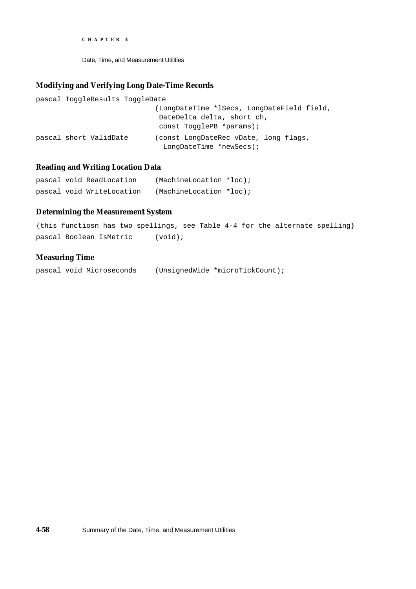Date, Time, and Measurement Utilities

### **Modifying and Verifying Long Date-Time Records**

```
pascal ToggleResults ToggleDate
                            (LongDateTime *lSecs, LongDateField field,
                             DateDelta delta, short ch,
                             const TogglePB *params);
pascal short ValidDate (const LongDateRec vDate, long flags,
                               LongDateTime *newSecs);
```
## **Reading and Writing Location Data**

|  | pascal void ReadLocation  | $(MachineLocation *loc);$ |  |
|--|---------------------------|---------------------------|--|
|  | pascal void WriteLocation | $(MachineLocation *loc);$ |  |

### **Determining the Measurement System**

```
{this functiosn has two spellings, see Table 4-4 for the alternate spelling}
pascal Boolean IsMetric (void);
```
### **Measuring Time**

pascal void Microseconds (UnsignedWide \*microTickCount);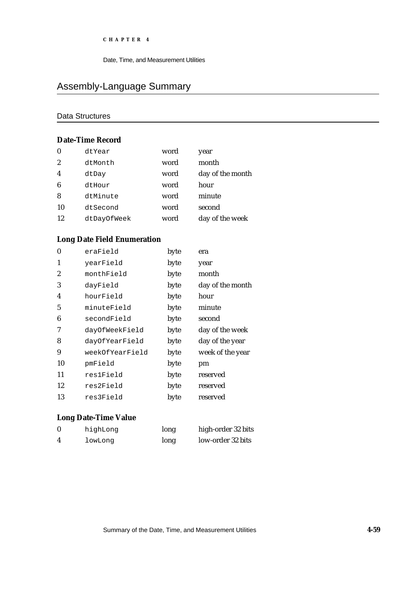Date, Time, and Measurement Utilities

# Assembly-Language Summary

# Data Structures

# **Date-Time Record**

| $\bf{0}$         | dtYear      | word | year             |
|------------------|-------------|------|------------------|
| $\boldsymbol{2}$ | dtMonth     | word | month            |
| $\overline{4}$   | dtDay       | word | day of the month |
| 6                | dtHour      | word | hour             |
| 8                | dtMinute    | word | minute           |
| 10               | dtSecond    | word | second           |
| 12               | dtDayOfWeek | word | day of the week  |

# **Long Date Field Enumeration**

| $\bf{0}$ | eraField        | byte | era              |
|----------|-----------------|------|------------------|
| 1        | yearField       | byte | year             |
| 2        | monthField      | byte | month            |
| 3        | dayField        | byte | day of the month |
| 4        | hourField       | byte | hour             |
| 5        | minuteField     | byte | minute           |
| 6        | secondField     | byte | second           |
| 7        | dayOfWeekField  | byte | day of the week  |
| 8        | dayOfYearField  | byte | day of the year  |
| 9        | weekOfYearField | byte | week of the year |
| 10       | pmField         | byte | pm               |
| 11       | res1Field       | byte | reserved         |
| 12       | res2Field       | byte | reserved         |
| 13       | res3Field       | byte | reserved         |

# **Long Date-Time Value**

| $\bf{0}$ | highLong | long | high-order 32 bits |
|----------|----------|------|--------------------|
|          | lowLong  | long | low-order 32 bits  |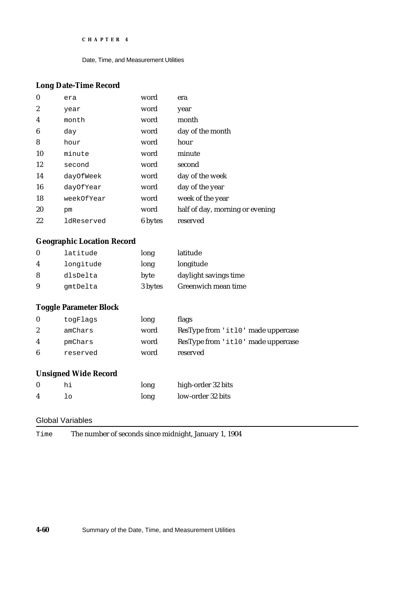Date, Time, and Measurement Utilities

# **Long Date-Time Record**

| $\bf{0}$         | era        | word    | era                             |
|------------------|------------|---------|---------------------------------|
| $\boldsymbol{2}$ | year       | word    | year                            |
| 4                | month      | word    | month                           |
| 6                | day        | word    | day of the month                |
| 8                | hour       | word    | hour                            |
| 10               | minute     | word    | minute                          |
| 12               | second     | word    | second                          |
| 14               | dayOfWeek  | word    | day of the week                 |
| 16               | dayOfYear  | word    | day of the year                 |
| 18               | weekOfYear | word    | week of the year                |
| 20               | pm         | word    | half of day, morning or evening |
| 22               | ldReserved | 6 bytes | reserved                        |

# **Geographic Location Record**

| $\mathbf{0}$ | latitude  | long    | latitude              |
|--------------|-----------|---------|-----------------------|
| 4            | longitude | long    | longitude             |
| 8            | dlsDelta  | byte    | daylight savings time |
| 9            | qmtDelta  | 3 bytes | Greenwich mean time   |

# **Toggle Parameter Block**

| togFlags | long | <b>flags</b>                       |
|----------|------|------------------------------------|
| amChars  | word | ResType from 'itl0' made uppercase |
| pmChars  | word | ResType from 'itl0' made uppercase |
| reserved | word | reserved                           |
|          |      |                                    |

# **Unsigned Wide Record**

| hi | long | high-order 32 bits |
|----|------|--------------------|
|    | long | low-order 32 bits  |

# Global Variables

Time The number of seconds since midnight, January 1, 1904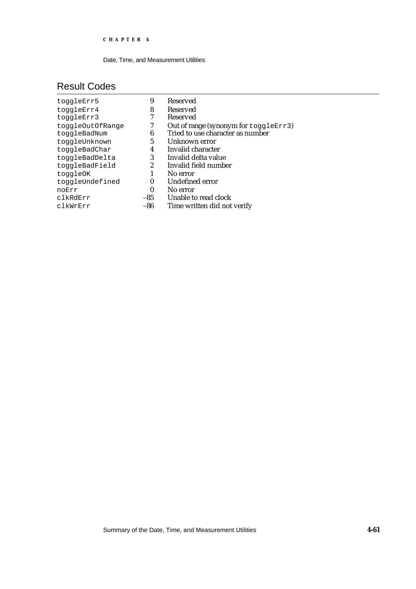Date, Time, and Measurement Utilities

# Result Codes

| toggleErr5       | 9        | <b>Reserved</b>                       |
|------------------|----------|---------------------------------------|
| toggleErr4       | 8        | <b>Reserved</b>                       |
| toggleErr3       |          | <b>Reserved</b>                       |
| toggleOutOfRange |          | Out of range (synonym for toggleErr3) |
| toggleBadNum     | 6        | Tried to use character as number      |
| toggleUnknown    | 5        | Unknown error                         |
| toggleBadChar    | 4        | Invalid character                     |
| toggleBadDelta   | 3        | Invalid delta value                   |
| toggleBadField   | 2        | Invalid field number                  |
| toggleOK         |          | No error                              |
| toggleUndefined  | 0        | Undefined error                       |
| noErr            | $\bf{0}$ | No error                              |
| clkRdErr         | -85      | Unable to read clock                  |
| clkWrErr         | -86      | Time written did not verify           |
|                  |          |                                       |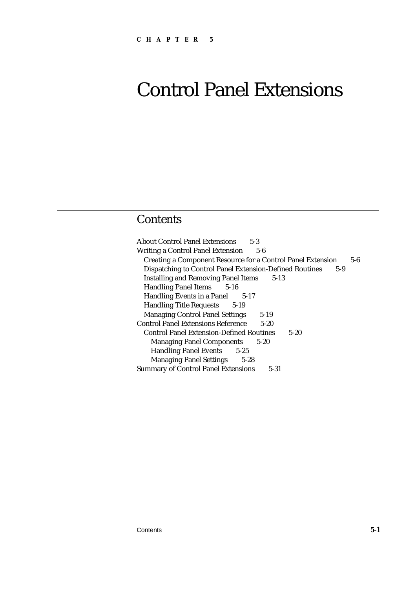# **Contents**

About Control Panel Extensions 5-3 Writing a Control Panel Extension 5-6 Creating a Component Resource for a Control Panel Extension 5-6 Dispatching to Control Panel Extension-Defined Routines 5-9 Installing and Removing Panel Items 5-13 Handling Panel Items 5-16 Handling Events in a Panel 5-17 Handling Title Requests 5-19 Managing Control Panel Settings 5-19 Control Panel Extensions Reference 5-20 Control Panel Extension-Defined Routines 5-20 Managing Panel Components 5-20 Handling Panel Events 5-25 Managing Panel Settings 5-28 Summary of Control Panel Extensions 5-31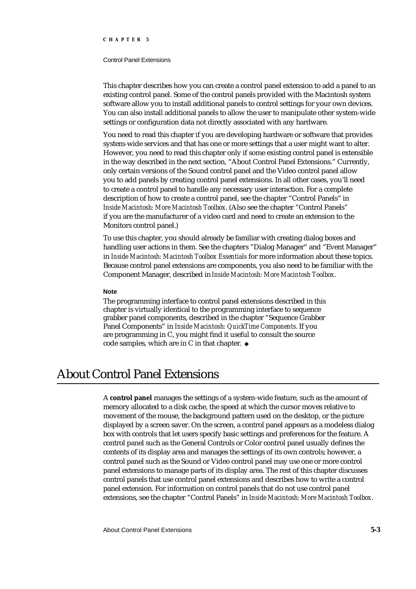#### Control Panel Extensions

This chapter describes how you can create a control panel extension to add a panel to an existing control panel. Some of the control panels provided with the Macintosh system software allow you to install additional panels to control settings for your own devices. You can also install additional panels to allow the user to manipulate other system-wide settings or configuration data not directly associated with any hardware.

You need to read this chapter if you are developing hardware or software that provides system-wide services and that has one or more settings that a user might want to alter. However, you need to read this chapter only if some existing control panel is extensible in the way described in the next section, "About Control Panel Extensions." Currently, only certain versions of the Sound control panel and the Video control panel allow you to add panels by creating control panel extensions. In all other cases, you'll need to create a control panel to handle any necessary user interaction. For a complete description of how to create a control panel, see the chapter "Control Panels" in *Inside Macintosh: More Macintosh Toolbox*. (Also see the chapter "Control Panels" if you are the manufacturer of a video card and need to create an extension to the Monitors control panel.)

To use this chapter, you should already be familiar with creating dialog boxes and handling user actions in them. See the chapters "Dialog Manager" and "Event Manager" in *Inside Macintosh: Macintosh Toolbox Essentials* for more information about these topics. Because control panel extensions are components, you also need to be familiar with the Component Manager, described in *Inside Macintosh: More Macintosh Toolbox*.

#### **Note**

The programming interface to control panel extensions described in this chapter is virtually identical to the programming interface to sequence grabber panel components, described in the chapter "Sequence Grabber Panel Components" in *Inside Macintosh: QuickTime Components.* If you are programming in C, you might find it useful to consult the source code samples, which are in C in that chapter.

# About Control Panel Extensions

A **control panel** manages the settings of a system-wide feature, such as the amount of memory allocated to a disk cache, the speed at which the cursor moves relative to movement of the mouse, the background pattern used on the desktop, or the picture displayed by a screen saver. On the screen, a control panel appears as a modeless dialog box with controls that let users specify basic settings and preferences for the feature. A control panel such as the General Controls or Color control panel usually defines the contents of its display area and manages the settings of its own controls; however, a control panel such as the Sound or Video control panel may use one or more control panel extensions to manage parts of its display area. The rest of this chapter discusses control panels that use control panel extensions and describes how to write a control panel extension. For information on control panels that do not use control panel extensions, see the chapter "Control Panels" in *Inside Macintosh: More Macintosh Toolbox*.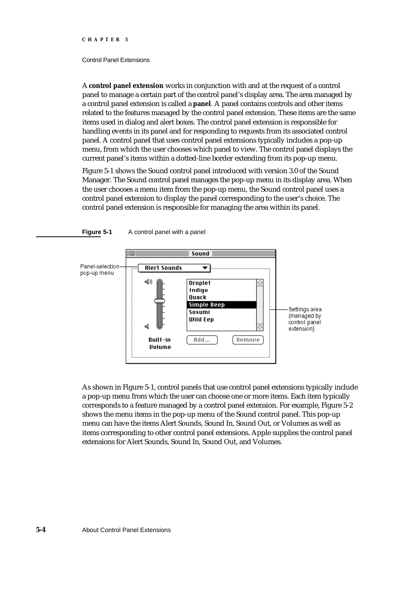#### Control Panel Extensions

**Figure 5-1** A control panel with a panel

A **control panel extension** works in conjunction with and at the request of a control panel to manage a certain part of the control panel's display area. The area managed by a control panel extension is called a **panel**. A panel contains controls and other items related to the features managed by the control panel extension. These items are the same items used in dialog and alert boxes. The control panel extension is responsible for handling events in its panel and for responding to requests from its associated control panel. A control panel that uses control panel extensions typically includes a pop-up menu, from which the user chooses which panel to view. The control panel displays the current panel's items within a dotted-line border extending from its pop-up menu.

Figure 5-1 shows the Sound control panel introduced with version 3.0 of the Sound Manager. The Sound control panel manages the pop-up menu in its display area. When the user chooses a menu item from the pop-up menu, the Sound control panel uses a control panel extension to display the panel corresponding to the user's choice. The control panel extension is responsible for managing the area within its panel.



As shown in Figure 5-1, control panels that use control panel extensions typically include a pop-up menu from which the user can choose one or more items. Each item typically corresponds to a feature managed by a control panel extension. For example, Figure 5-2 shows the menu items in the pop-up menu of the Sound control panel. This pop-up menu can have the items Alert Sounds, Sound In, Sound Out, or Volumes as well as items corresponding to other control panel extensions. Apple supplies the control panel extensions for Alert Sounds, Sound In, Sound Out, and Volumes.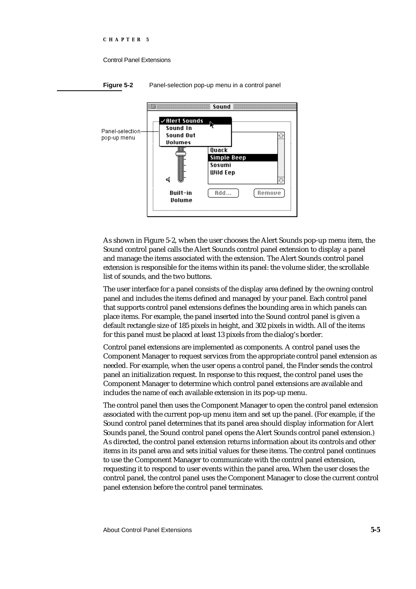

As shown in Figure 5-2, when the user chooses the Alert Sounds pop-up menu item, the Sound control panel calls the Alert Sounds control panel extension to display a panel and manage the items associated with the extension. The Alert Sounds control panel extension is responsible for the items within its panel: the volume slider, the scrollable list of sounds, and the two buttons.

The user interface for a panel consists of the display area defined by the owning control panel and includes the items defined and managed by your panel. Each control panel that supports control panel extensions defines the bounding area in which panels can place items. For example, the panel inserted into the Sound control panel is given a default rectangle size of 185 pixels in height, and 302 pixels in width. All of the items for this panel must be placed at least 13 pixels from the dialog's border.

Control panel extensions are implemented as components. A control panel uses the Component Manager to request services from the appropriate control panel extension as needed. For example, when the user opens a control panel, the Finder sends the control panel an initialization request. In response to this request, the control panel uses the Component Manager to determine which control panel extensions are available and includes the name of each available extension in its pop-up menu.

The control panel then uses the Component Manager to open the control panel extension associated with the current pop-up menu item and set up the panel. (For example, if the Sound control panel determines that its panel area should display information for Alert Sounds panel, the Sound control panel opens the Alert Sounds control panel extension.) As directed, the control panel extension returns information about its controls and other items in its panel area and sets initial values for these items. The control panel continues to use the Component Manager to communicate with the control panel extension, requesting it to respond to user events within the panel area. When the user closes the control panel, the control panel uses the Component Manager to close the current control panel extension before the control panel terminates.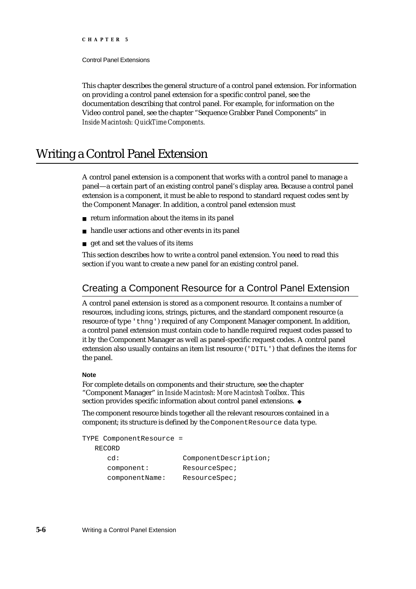Control Panel Extensions

This chapter describes the general structure of a control panel extension. For information on providing a control panel extension for a specific control panel, see the documentation describing that control panel. For example, for information on the Video control panel, see the chapter "Sequence Grabber Panel Components" in *Inside Macintosh: QuickTime Components.*

# Writing a Control Panel Extension

A control panel extension is a component that works with a control panel to manage a panel—a certain part of an existing control panel's display area. Because a control panel extension is a component, it must be able to respond to standard request codes sent by the Component Manager. In addition, a control panel extension must

- $n$  return information about the items in its panel
- handle user actions and other events in its panel
- get and set the values of its items n.

This section describes how to write a control panel extension. You need to read this section if you want to create a new panel for an existing control panel.

# Creating a Component Resource for a Control Panel Extension

A control panel extension is stored as a component resource. It contains a number of resources, including icons, strings, pictures, and the standard component resource (a resource of type 'thng') required of any Component Manager component. In addition, a control panel extension must contain code to handle required request codes passed to it by the Component Manager as well as panel-specific request codes. A control panel extension also usually contains an item list resource ('DITL') that defines the items for the panel.

#### **Note**

For complete details on components and their structure, see the chapter "Component Manager" in *Inside Macintosh: More Macintosh Toolbox*. This section provides specific information about control panel extensions. u

The component resource binds together all the relevant resources contained in a component; its structure is defined by the ComponentResource data type.

TYPE ComponentResource = RECORD

| cd:            | ComponentDescription; |
|----------------|-----------------------|
| component:     | ResourceSpec;         |
| componentName: | ResourceSpec;         |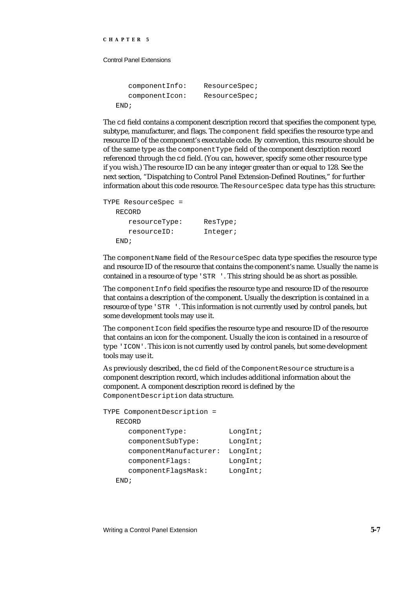Control Panel Extensions

```
componentInfo: ResourceSpec;
  componentIcon: ResourceSpec;
END;
```
The cd field contains a component description record that specifies the component type, subtype, manufacturer, and flags. The component field specifies the resource type and resource ID of the component's executable code. By convention, this resource should be of the same type as the componentType field of the component description record referenced through the cd field. (You can, however, specify some other resource type if you wish.) The resource ID can be any integer greater than or equal to 128. See the next section, "Dispatching to Control Panel Extension-Defined Routines," for further information about this code resource. The ResourceSpec data type has this structure:

```
TYPE ResourceSpec =
  RECORD
     resourceType: ResType;
     resourceID: Integer;
  END;
```
The componentName field of the ResourceSpec data type specifies the resource type and resource ID of the resource that contains the component's name. Usually the name is contained in a resource of type 'STR '. This string should be as short as possible.

The componentInfo field specifies the resource type and resource ID of the resource that contains a description of the component. Usually the description is contained in a resource of type 'STR '. This information is not currently used by control panels, but some development tools may use it.

The componentIcon field specifies the resource type and resource ID of the resource that contains an icon for the component. Usually the icon is contained in a resource of type 'ICON'. This icon is not currently used by control panels, but some development tools may use it.

As previously described, the cd field of the ComponentResource structure is a component description record, which includes additional information about the component. A component description record is defined by the ComponentDescription data structure.

```
TYPE ComponentDescription =
  RECORD
     componentType: LongInt;
     componentSubType: LongInt;
     componentManufacturer: LongInt;
     componentFlags: LongInt;
     componentFlagsMask: LongInt;
  END;
```
Writing a Control Panel Extension **5-7**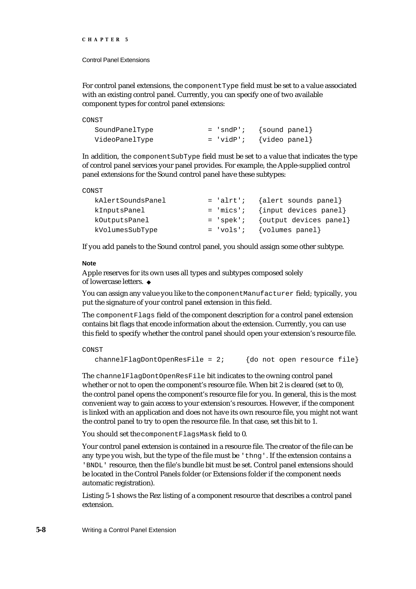For control panel extensions, the componentType field must be set to a value associated with an existing control panel. Currently, you can specify one of two available component types for control panel extensions:

| CONST          |                             |
|----------------|-----------------------------|
| SoundPanelType | $=$ 'sndP'; {sound panel}   |
| VideoPanelType | $= 'vidP'; \{video panel\}$ |

In addition, the componentSubType field must be set to a value that indicates the type of control panel services your panel provides. For example, the Apple-supplied control panel extensions for the Sound control panel have these subtypes:

| kAlertSoundsPanel |  | $=$ 'alrt'; {alert sounds panel}   |
|-------------------|--|------------------------------------|
| kInputsPanel      |  | $= 'mics'$ ; {input devices panel} |
| kOutputsPanel     |  | $=$ 'spek'; {output devices panel} |
| kVolumesSubType   |  | $= 'vols'; {volumes panel}$        |

If you add panels to the Sound control panel, you should assign some other subtype.

#### **Note**

Apple reserves for its own uses all types and subtypes composed solely of lowercase letters.

You can assign any value you like to the componentManufacturer field; typically, you put the signature of your control panel extension in this field.

The componentFlags field of the component description for a control panel extension contains bit flags that encode information about the extension. Currently, you can use this field to specify whether the control panel should open your extension's resource file.

CONST

channelFlagDontOpenResFile =  $2$ ; {do not open resource file}

The channelFlagDontOpenResFile bit indicates to the owning control panel whether or not to open the component's resource file. When bit 2 is cleared (set to 0), the control panel opens the component's resource file for you. In general, this is the most convenient way to gain access to your extension's resources. However, if the component is linked with an application and does not have its own resource file, you might not want the control panel to try to open the resource file. In that case, set this bit to 1.

You should set the component FlagsMask field to 0.

Your control panel extension is contained in a resource file. The creator of the file can be any type you wish, but the type of the file must be 'thng'. If the extension contains a 'BNDL' resource, then the file's bundle bit must be set. Control panel extensions should be located in the Control Panels folder (or Extensions folder if the component needs automatic registration).

Listing 5-1 shows the Rez listing of a component resource that describes a control panel extension.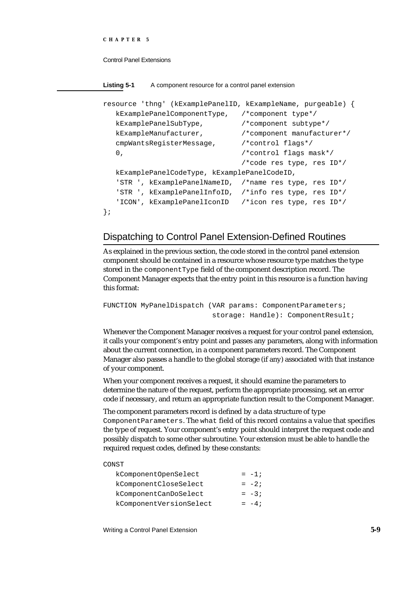```
CHAPTER 5
```
**Listing 5-1** A component resource for a control panel extension

```
resource 'thng' (kExamplePanelID, kExampleName, purgeable) {
  kExamplePanelComponentType, /*component type*/
  kExamplePanelSubType, /*component subtype*/
  kExampleManufacturer, /*component manufacturer*/
  cmpWantsRegisterMessage, /*control flags*/
  0, \sqrt{2} /*control flags mask*/
                              /*code res type, res ID*/
  kExamplePanelCodeType, kExamplePanelCodeID,
  'STR ', kExamplePanelNameID, /*name res type, res ID*/
   'STR ', kExamplePanelInfoID, /*info res type, res ID*/
   'ICON', kExamplePanelIconID /*icon res type, res ID*/
};
```
# Dispatching to Control Panel Extension-Defined Routines

As explained in the previous section, the code stored in the control panel extension component should be contained in a resource whose resource type matches the type stored in the componentType field of the component description record. The Component Manager expects that the entry point in this resource is a function having this format:

```
FUNCTION MyPanelDispatch (VAR params: ComponentParameters;
                           storage: Handle): ComponentResult;
```
Whenever the Component Manager receives a request for your control panel extension, it calls your component's entry point and passes any parameters, along with information about the current connection, in a component parameters record. The Component Manager also passes a handle to the global storage (if any) associated with that instance of your component.

When your component receives a request, it should examine the parameters to determine the nature of the request, perform the appropriate processing, set an error code if necessary, and return an appropriate function result to the Component Manager.

The component parameters record is defined by a data structure of type ComponentParameters. The what field of this record contains a value that specifies the type of request. Your component's entry point should interpret the request code and possibly dispatch to some other subroutine. Your extension must be able to handle the required request codes, defined by these constants:

#### CONST

| kComponentOpenSelect    | $= -1;$ |
|-------------------------|---------|
| kComponentCloseSelect   | $= -2i$ |
| kComponentCanDoSelect   | $= -3i$ |
| kComponentVersionSelect | $= -4;$ |

Writing a Control Panel Extension **5-9**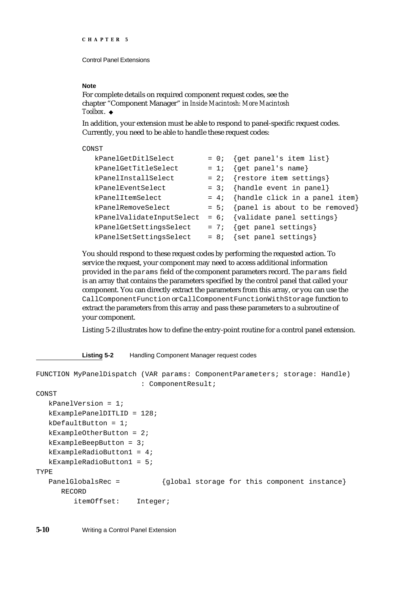#### **Note**

For complete details on required component request codes, see the chapter "Component Manager" in *Inside Macintosh: More Macintosh Toolbox*.

In addition, your extension must be able to respond to panel-specific request codes. Currently, you need to be able to handle these request codes:

#### CONST

| kPanelGetDitlSelect       |        | $= 0$ ; {get panel's item list}        |
|---------------------------|--------|----------------------------------------|
| kPanelGetTitleSelect      | $= 1;$ | {get panel's name}                     |
| kPanelInstallSelect       | $= 2i$ | {restore item settings}                |
| kPanelEventSelect         | $= 3i$ | {handle event in panel}                |
| kPanelItemSelect          |        | = $4$ ; {handle click in a panel item} |
| kPanelRemoveSelect        |        | $= 5;$ {panel is about to be removed}  |
| kPanelValidateInputSelect | $= 6;$ | {validate panel settings}              |
| kPanelGetSettingsSelect   | $= 7i$ | {get panel settings}                   |
| kPanelSetSettingsSelect   | $= 8i$ | {set panel settings}                   |

You should respond to these request codes by performing the requested action. To service the request, your component may need to access additional information provided in the params field of the component parameters record. The params field is an array that contains the parameters specified by the control panel that called your component. You can directly extract the parameters from this array, or you can use the CallComponentFunction or CallComponentFunctionWithStorage function to extract the parameters from this array and pass these parameters to a subroutine of your component.

Listing 5-2 illustrates how to define the entry-point routine for a control panel extension.

**Listing 5-2** Handling Component Manager request codes

```
FUNCTION MyPanelDispatch (VAR params: ComponentParameters; storage: Handle) 
                         : ComponentResult;
CONST
  kPanelVersion = 1;
  kExamplePanelDITLID = 128;
  kDefaultButton = 1;
  kExampleOtherButton = 2;
  kExampleBeepButton = 3;
  kExampleRadioButton1 = 4;
  kExampleRadioButton1 = 5;
TYPE
  PanelGlobalsRec = {global storage for this component instance}
     RECORD
        itemOffset: Integer;
```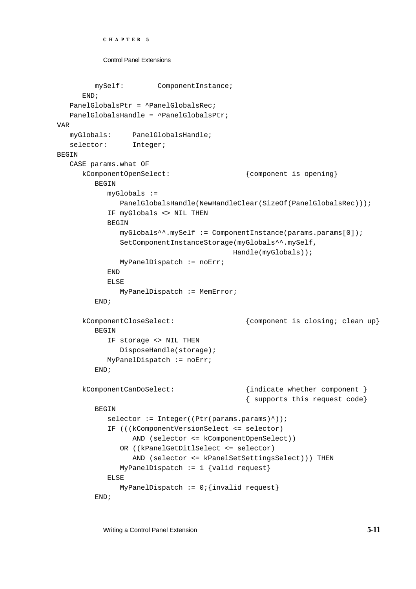```
CHAPTER 5
```

```
mySelf: ComponentInstance;
     END;
   PanelGlobalsPtr = ^PanelGlobalsRec;
   PanelGlobalsHandle = ^PanelGlobalsPtr;
VAR
  myGlobals: PanelGlobalsHandle;
   selector: Integer;
BEGIN
   CASE params.what OF
     kComponentOpenSelect: {component is opening}
        BEGIN
           myGlobals := 
              PanelGlobalsHandle(NewHandleClear(SizeOf(PanelGlobalsRec)));
           IF myGlobals <> NIL THEN
           BEGIN
              myGlobals^^.mySelf := ComponentInstance(params.params[0]);
              SetComponentInstanceStorage(myGlobals^^.mySelf,
                                        Handle(myGlobals));
              MyPanelDispatch := noErr;
           END
           ELSE
              MyPanelDispatch := MemError;
        END;
     kComponentCloseSelect: {component is closing; clean up}
        BEGIN
           IF storage <> NIL THEN
              DisposeHandle(storage);
           MyPanelDispatch := noErr;
        END;
     kComponentCanDoSelect: {indicate whether component }
                                           { supports this request code}
        BEGIN
           selector := Integer((Ptr(params.params)^));
           IF (((kComponentVersionSelect <= selector) 
                 AND (selector <= kComponentOpenSelect))
              OR ((kPanelGetDitlSelect <= selector) 
                 AND (selector <= kPanelSetSettingsSelect))) THEN
              MyPanelDispatch := 1 \{valid request\}ELSE
              MyPanelDispatch := 0; {invalid request}
        END;
```
Writing a Control Panel Extension **5-11**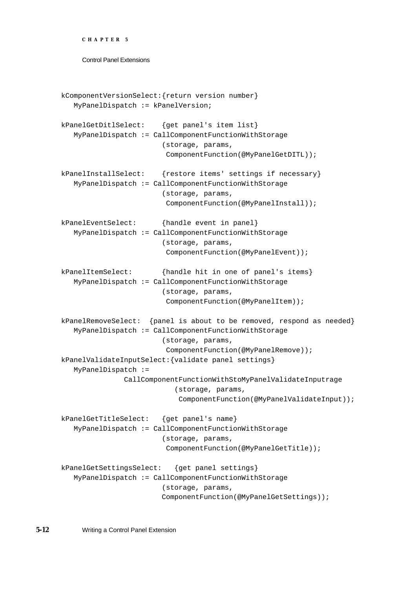```
CHAPTER 5
```

```
kComponentVersionSelect:{return version number}
   MyPanelDispatch := kPanelVersion;
kPanelGetDitlSelect: {get panel's item list}
   MyPanelDispatch := CallComponentFunctionWithStorage
                        (storage, params, 
                          ComponentFunction(@MyPanelGetDITL));
kPanelInstallSelect: {restore items' settings if necessary}
   MyPanelDispatch := CallComponentFunctionWithStorage
                        (storage, params, 
                          ComponentFunction(@MyPanelInstall));
kPanelEventSelect: {handle event in panel}
   MyPanelDispatch := CallComponentFunctionWithStorage
                        (storage, params, 
                          ComponentFunction(@MyPanelEvent));
kPanelItemSelect: {handle hit in one of panel's items}
   MyPanelDispatch := CallComponentFunctionWithStorage
                        (storage, params, 
                          ComponentFunction(@MyPanelItem));
kPanelRemoveSelect: {panel is about to be removed, respond as needed}
   MyPanelDispatch := CallComponentFunctionWithStorage
                        (storage, params, 
                          ComponentFunction(@MyPanelRemove));
kPanelValidateInputSelect:{validate panel settings}
   MyPanelDispatch := 
               CallComponentFunctionWithStoMyPanelValidateInputrage
                           (storage, params, 
                             ComponentFunction(@MyPanelValidateInput));
kPanelGetTitleSelect: {get panel's name}
   MyPanelDispatch := CallComponentFunctionWithStorage
                        (storage, params, 
                          ComponentFunction(@MyPanelGetTitle));
kPanelGetSettingsSelect: {get panel settings}
   MyPanelDispatch := CallComponentFunctionWithStorage
                        (storage, params, 
                        ComponentFunction(@MyPanelGetSettings));
```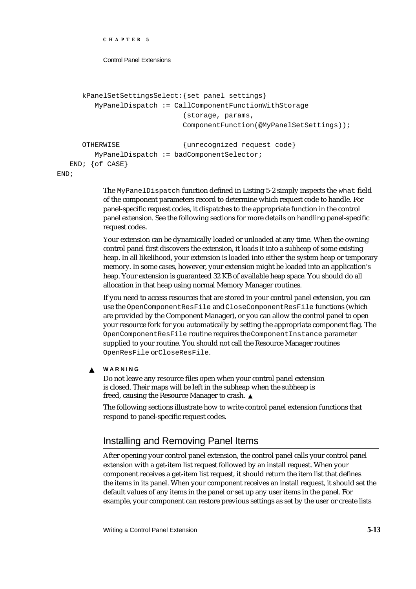```
CHAPTER 5
```

```
kPanelSetSettingsSelect:{set panel settings}
     MyPanelDispatch := CallComponentFunctionWithStorage
                          (storage, params, 
                          ComponentFunction(@MyPanelSetSettings));
  OTHERWISE {unrecognized request code}
     MyPanelDispatch := badComponentSelector;
END; {of CASE}
```
END;

The MyPanelDispatch function defined in Listing 5-2 simply inspects the what field of the component parameters record to determine which request code to handle. For panel-specific request codes, it dispatches to the appropriate function in the control panel extension. See the following sections for more details on handling panel-specific request codes.

Your extension can be dynamically loaded or unloaded at any time. When the owning control panel first discovers the extension, it loads it into a subheap of some existing heap. In all likelihood, your extension is loaded into either the system heap or temporary memory. In some cases, however, your extension might be loaded into an application's heap. Your extension is guaranteed 32 KB of available heap space. You should do all allocation in that heap using normal Memory Manager routines.

If you need to access resources that are stored in your control panel extension, you can use the OpenComponentResFile and CloseComponentResFile functions (which are provided by the Component Manager), or you can allow the control panel to open your resource fork for you automatically by setting the appropriate component flag. The OpenComponentResFile routine requires the ComponentInstance parameter supplied to your routine. You should not call the Resource Manager routines OpenResFile or CloseResFile.

#### **WARNING**  $\mathbf{S}$

Do not leave any resource files open when your control panel extension is closed. Their maps will be left in the subheap when the subheap is freed, causing the Resource Manager to crash.

The following sections illustrate how to write control panel extension functions that respond to panel-specific request codes.

# Installing and Removing Panel Items

After opening your control panel extension, the control panel calls your control panel extension with a get-item list request followed by an install request. When your component receives a get-item list request, it should return the item list that defines the items in its panel. When your component receives an install request, it should set the default values of any items in the panel or set up any user items in the panel. For example, your component can restore previous settings as set by the user or create lists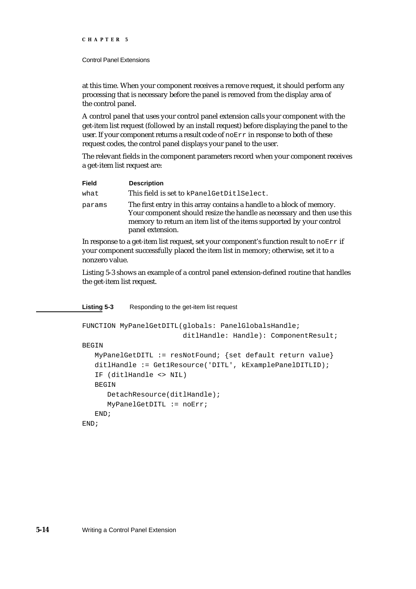#### Control Panel Extensions

at this time. When your component receives a remove request, it should perform any processing that is necessary before the panel is removed from the display area of the control panel.

A control panel that uses your control panel extension calls your component with the get-item list request (followed by an install request) before displaying the panel to the user. If your component returns a result code of noErr in response to both of these request codes, the control panel displays your panel to the user.

The relevant fields in the component parameters record when your component receives a get-item list request are:

| <b>Field</b> | <b>Description</b>                                                                                                                                                                                                                          |
|--------------|---------------------------------------------------------------------------------------------------------------------------------------------------------------------------------------------------------------------------------------------|
| what         | This field is set to kPanelGetDitlSelect.                                                                                                                                                                                                   |
| params       | The first entry in this array contains a handle to a block of memory.<br>Your component should resize the handle as necessary and then use this<br>memory to return an item list of the items supported by your control<br>panel extension. |

In response to a get-item list request, set your component's function result to  $\eta_0 E_T$  if your component successfully placed the item list in memory; otherwise, set it to a nonzero value.

Listing 5-3 shows an example of a control panel extension-defined routine that handles the get-item list request.

**Listing 5-3** Responding to the get-item list request

```
FUNCTION MyPanelGetDITL(globals: PanelGlobalsHandle; 
                        ditlHandle: Handle): ComponentResult;
BEGIN
  MyPanelGetDITL := resNotFound; {set default return value}
   ditlHandle := Get1Resource('DITL', kExamplePanelDITLID);
   IF (ditlHandle <> NIL)
   BEGIN
      DetachResource(ditlHandle);
      MyPanelGetDITL := noErr;
   END;
END;
```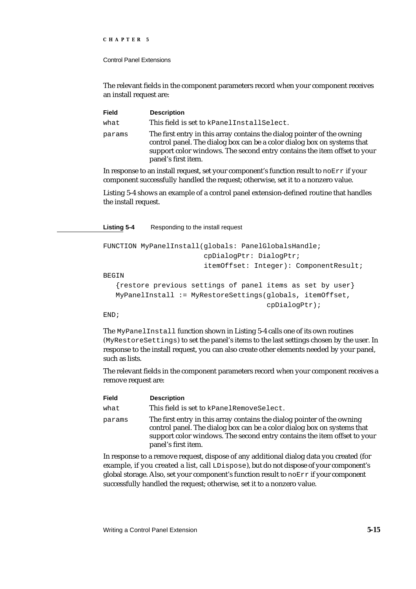#### Control Panel Extensions

The relevant fields in the component parameters record when your component receives an install request are:

| <b>Field</b> | <b>Description</b>                                                                                                                                                                                                                                    |
|--------------|-------------------------------------------------------------------------------------------------------------------------------------------------------------------------------------------------------------------------------------------------------|
| what         | This field is set to kPanelInstallSelect.                                                                                                                                                                                                             |
| params       | The first entry in this array contains the dialog pointer of the owning<br>control panel. The dialog box can be a color dialog box on systems that<br>support color windows. The second entry contains the item offset to your<br>panel's first item. |

In response to an install request, set your component's function result to noErr if your component successfully handled the request; otherwise, set it to a nonzero value.

Listing 5-4 shows an example of a control panel extension-defined routine that handles the install request.

**Listing 5-4** Responding to the install request

```
FUNCTION MyPanelInstall(globals: PanelGlobalsHandle; 
                        cpDialogPtr: DialogPtr; 
                        itemOffset: Integer): ComponentResult;
BEGIN
   {restore previous settings of panel items as set by user}
   MyPanelInstall := MyRestoreSettings(globals, itemOffset,
                                         cpDialogPtr);
```
END;

The MyPanelInstall function shown in Listing 5-4 calls one of its own routines (MyRestoreSettings) to set the panel's items to the last settings chosen by the user. In response to the install request, you can also create other elements needed by your panel, such as lists.

The relevant fields in the component parameters record when your component receives a remove request are:

| Field  | <b>Description</b>                                                                                                                                                                                                                                    |
|--------|-------------------------------------------------------------------------------------------------------------------------------------------------------------------------------------------------------------------------------------------------------|
| what   | This field is set to kPanelRemoveSelect.                                                                                                                                                                                                              |
| params | The first entry in this array contains the dialog pointer of the owning<br>control panel. The dialog box can be a color dialog box on systems that<br>support color windows. The second entry contains the item offset to your<br>panel's first item. |
|        | In response to a remove request dispose of any additional dialog data you created (for                                                                                                                                                                |

In response to a remove request, dispose of any additional dialog data you created (for example, if you created a list, call LDispose), but do not dispose of your component's global storage. Also, set your component's function result to  $\eta_{\text{EFT}}$  if your component successfully handled the request; otherwise, set it to a nonzero value.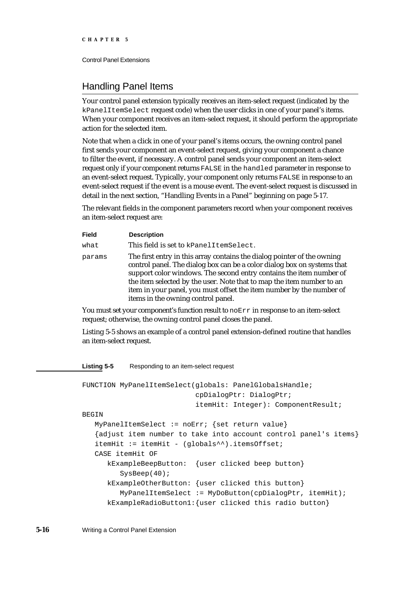# Handling Panel Items

Your control panel extension typically receives an item-select request (indicated by the kPanelItemSelect request code) when the user clicks in one of your panel's items. When your component receives an item-select request, it should perform the appropriate action for the selected item.

Note that when a click in one of your panel's items occurs, the owning control panel first sends your component an event-select request, giving your component a chance to filter the event, if necessary. A control panel sends your component an item-select request only if your component returns FALSE in the handled parameter in response to an event-select request. Typically, your component only returns FALSE in response to an event-select request if the event is a mouse event. The event-select request is discussed in detail in the next section, "Handling Events in a Panel" beginning on page 5-17.

The relevant fields in the component parameters record when your component receives an item-select request are:

| <b>Field</b> | <b>Description</b>                                                                                                                                                                                                                                                                                                                                                                                               |
|--------------|------------------------------------------------------------------------------------------------------------------------------------------------------------------------------------------------------------------------------------------------------------------------------------------------------------------------------------------------------------------------------------------------------------------|
| what         | This field is set to kPanelItemSelect.                                                                                                                                                                                                                                                                                                                                                                           |
| params       | The first entry in this array contains the dialog pointer of the owning<br>control panel. The dialog box can be a color dialog box on systems that<br>support color windows. The second entry contains the item number of<br>the item selected by the user. Note that to map the item number to an<br>item in your panel, you must offset the item number by the number of<br>items in the owning control panel. |

You must set your component's function result to noErr in response to an item-select request; otherwise, the owning control panel closes the panel.

Listing 5-5 shows an example of a control panel extension-defined routine that handles an item-select request.

**Listing 5-5** Responding to an item-select request

```
FUNCTION MyPanelItemSelect(globals: PanelGlobalsHandle; 
                           cpDialogPtr: DialogPtr;
                           itemHit: Integer): ComponentResult;
BEGIN
   MyPanelItemSelect := noErr; {set return value}
   {adjust item number to take into account control panel's items}
   itemHit := itemHit - (globals^*).itemsOffset;
   CASE itemHit OF
      kExampleBeepButton: {user clicked beep button}
         SysBeep(40);
      kExampleOtherButton: {user clicked this button}
         MyPanelItemSelect := MyDoButton(cpDialogPtr, itemHit);
      kExampleRadioButton1:{user clicked this radio button}
```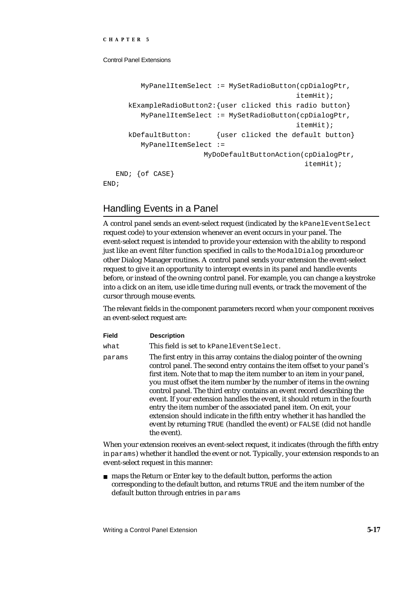```
MyPanelItemSelect := MySetRadioButton(cpDialogPtr,
                                               itemHit);
     kExampleRadioButton2:{user clicked this radio button}
         MyPanelItemSelect := MySetRadioButton(cpDialogPtr,
                                                itemHit);
     kDefaultButton: {user clicked the default button}
         MyPanelItemSelect := 
                        MyDoDefaultButtonAction(cpDialogPtr,
                                                 itemHit);
   END; {of CASE}
END;
```
# Handling Events in a Panel

A control panel sends an event-select request (indicated by the kPanelEventSelect request code) to your extension whenever an event occurs in your panel. The event-select request is intended to provide your extension with the ability to respond just like an event filter function specified in calls to the ModalDialog procedure or other Dialog Manager routines. A control panel sends your extension the event-select request to give it an opportunity to intercept events in its panel and handle events before, or instead of the owning control panel. For example, you can change a keystroke into a click on an item, use idle time during null events, or track the movement of the cursor through mouse events.

The relevant fields in the component parameters record when your component receives an event-select request are:

| <b>Field</b> | <b>Description</b>                                                                                                                                                                                                                                                                                                                                                                                                                                                                                                                                                                                                                                                                                   |
|--------------|------------------------------------------------------------------------------------------------------------------------------------------------------------------------------------------------------------------------------------------------------------------------------------------------------------------------------------------------------------------------------------------------------------------------------------------------------------------------------------------------------------------------------------------------------------------------------------------------------------------------------------------------------------------------------------------------------|
| what         | This field is set to kPanelEventSelect.                                                                                                                                                                                                                                                                                                                                                                                                                                                                                                                                                                                                                                                              |
| params       | The first entry in this array contains the dialog pointer of the owning<br>control panel. The second entry contains the item offset to your panel's<br>first item. Note that to map the item number to an item in your panel,<br>you must offset the item number by the number of items in the owning<br>control panel. The third entry contains an event record describing the<br>event. If your extension handles the event, it should return in the fourth<br>entry the item number of the associated panel item. On exit, your<br>extension should indicate in the fifth entry whether it has handled the<br>event by returning TRUE (handled the event) or FALSE (did not handle<br>the event). |

When your extension receives an event-select request, it indicates (through the fifth entry in params) whether it handled the event or not. Typically, your extension responds to an event-select request in this manner:

maps the Return or Enter key to the default button, performs the action corresponding to the default button, and returns TRUE and the item number of the default button through entries in params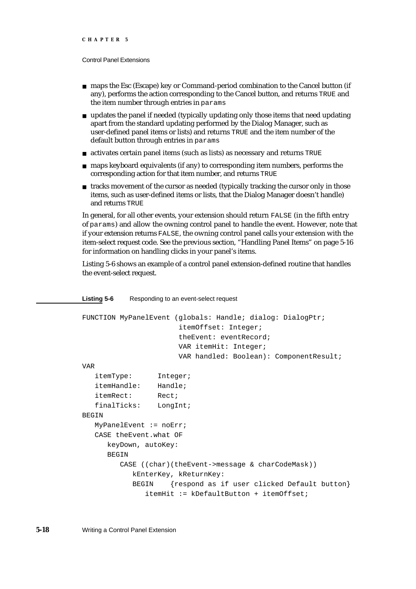- maps the Esc (Escape) key or Command-period combination to the Cancel button (if any), performs the action corresponding to the Cancel button, and returns TRUE and the item number through entries in params
- $n$  updates the panel if needed (typically updating only those items that need updating apart from the standard updating performed by the Dialog Manager, such as user-defined panel items or lists) and returns TRUE and the item number of the default button through entries in params
- activates certain panel items (such as lists) as necessary and returns TRUE
- n maps keyboard equivalents (if any) to corresponding item numbers, performs the corresponding action for that item number, and returns TRUE
- $n$  tracks movement of the cursor as needed (typically tracking the cursor only in those items, such as user-defined items or lists, that the Dialog Manager doesn't handle) and returns TRUE

In general, for all other events, your extension should return FALSE (in the fifth entry of params) and allow the owning control panel to handle the event. However, note that if your extension returns FALSE, the owning control panel calls your extension with the item-select request code. See the previous section, "Handling Panel Items" on page 5-16 for information on handling clicks in your panel's items.

Listing 5-6 shows an example of a control panel extension-defined routine that handles the event-select request.

#### **Listing 5-6** Responding to an event-select request

```
FUNCTION MyPanelEvent (globals: Handle; dialog: DialogPtr; 
                        itemOffset: Integer; 
                        theEvent: eventRecord; 
                       VAR itemHit: Integer; 
                       VAR handled: Boolean): ComponentResult;
VAR
   itemType: Integer;
   itemHandle: Handle;
   itemRect: Rect;
   finalTicks: LongInt;
BEGIN
  MyPanelEvent := noErr;
   CASE theEvent.what OF
      keyDown, autoKey:
      BEGIN
        CASE ((char)(theEvent->message & charCodeMask))
           kEnterKey, kReturnKey:
           BEGIN {respond as if user clicked Default button}
               itemHit := kDefaultButton + itemOffset;
```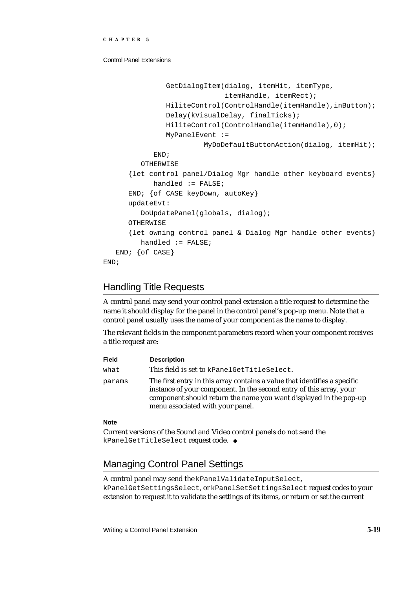```
GetDialogItem(dialog, itemHit, itemType,
                               itemHandle, itemRect);
               HiliteControl(ControlHandle(itemHandle),inButton);
               Delay(kVisualDelay, finalTicks);
               HiliteControl(ControlHandle(itemHandle),0);
               MyPanelEvent := 
                        MyDoDefaultButtonAction(dialog, itemHit);
            END;
         OTHERWISE
      {let control panel/Dialog Mgr handle other keyboard events}
            handled := FALSE;
      END; {of CASE keyDown, autoKey}
      updateEvt:
         DoUpdatePanel(globals, dialog);
      OTHERWISE
      {let owning control panel & Dialog Mgr handle other events}
         handled := FALSE;
   END; {of CASE}
END;
```
# Handling Title Requests

A control panel may send your control panel extension a title request to determine the name it should display for the panel in the control panel's pop-up menu. Note that a control panel usually uses the name of your component as the name to display.

The relevant fields in the component parameters record when your component receives a title request are:

| Field  | <b>Description</b>                                                                                                                                                                                                                                        |
|--------|-----------------------------------------------------------------------------------------------------------------------------------------------------------------------------------------------------------------------------------------------------------|
| what   | This field is set to kPanelGetTitleSelect.                                                                                                                                                                                                                |
| params | The first entry in this array contains a value that identifies a specific<br>instance of your component. In the second entry of this array, your<br>component should return the name you want displayed in the pop-up<br>menu associated with your panel. |

#### **Note**

Current versions of the Sound and Video control panels do not send the kPanelGetTitleSelect request code.

# Managing Control Panel Settings

A control panel may send the kPanelValidateInputSelect, kPanelGetSettingsSelect, or kPanelSetSettingsSelect request codes to your extension to request it to validate the settings of its items, or return or set the current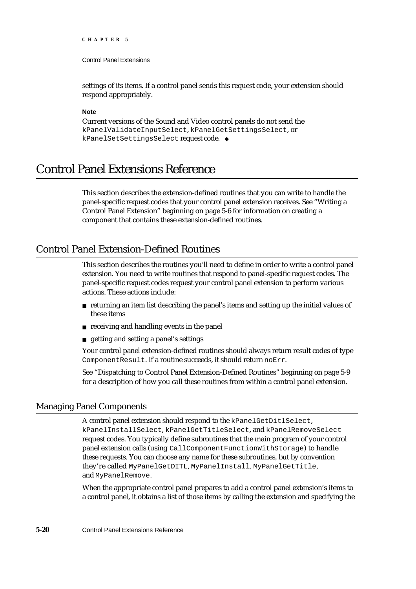Control Panel Extensions

settings of its items. If a control panel sends this request code, your extension should respond appropriately.

#### **Note**

Current versions of the Sound and Video control panels do not send the kPanelValidateInputSelect, kPanelGetSettingsSelect, or kPanelSetSettingsSelect request code. u

# Control Panel Extensions Reference

This section describes the extension-defined routines that you can write to handle the panel-specific request codes that your control panel extension receives. See "Writing a Control Panel Extension" beginning on page 5-6 for information on creating a component that contains these extension-defined routines.

# Control Panel Extension-Defined Routines

This section describes the routines you'll need to define in order to write a control panel extension. You need to write routines that respond to panel-specific request codes. The panel-specific request codes request your control panel extension to perform various actions. These actions include:

- $n$  returning an item list describing the panel's items and setting up the initial values of these items
- receiving and handling events in the panel
- getting and setting a panel's settings

Your control panel extension-defined routines should always return result codes of type ComponentResult. If a routine succeeds, it should return noErr.

See "Dispatching to Control Panel Extension-Defined Routines" beginning on page 5-9 for a description of how you call these routines from within a control panel extension.

# Managing Panel Components

A control panel extension should respond to the kPanelGetDitlSelect, kPanelInstallSelect, kPanelGetTitleSelect, and kPanelRemoveSelect request codes. You typically define subroutines that the main program of your control panel extension calls (using CallComponentFunctionWithStorage) to handle these requests. You can choose any name for these subroutines, but by convention they're called MyPanelGetDITL, MyPanelInstall, MyPanelGetTitle, and MyPanelRemove.

When the appropriate control panel prepares to add a control panel extension's items to a control panel, it obtains a list of those items by calling the extension and specifying the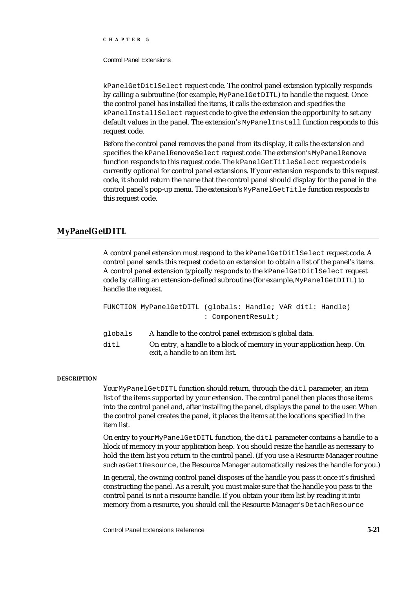Control Panel Extensions

kPanelGetDitlSelect request code. The control panel extension typically responds by calling a subroutine (for example, MyPanelGetDITL) to handle the request. Once the control panel has installed the items, it calls the extension and specifies the kPanelInstallSelect request code to give the extension the opportunity to set any default values in the panel. The extension's MyPanelInstall function responds to this request code.

Before the control panel removes the panel from its display, it calls the extension and specifies the kPanelRemoveSelect request code. The extension's MyPanelRemove function responds to this request code. The kPanelGetTitleSelect request code is currently optional for control panel extensions. If your extension responds to this request code, it should return the name that the control panel should display for the panel in the control panel's pop-up menu. The extension's MyPanelGetTitle function responds to this request code.

# **MyPanelGetDITL**

A control panel extension must respond to the kPanelGetDitlSelect request code. A control panel sends this request code to an extension to obtain a list of the panel's items. A control panel extension typically responds to the kPanelGetDitlSelect request code by calling an extension-defined subroutine (for example, MyPanelGetDITL) to handle the request.

FUNCTION MyPanelGetDITL (globals: Handle; VAR ditl: Handle) : ComponentResult;

| globals | A handle to the control panel extension's global data.               |
|---------|----------------------------------------------------------------------|
| ditl    | On entry, a handle to a block of memory in your application heap. On |
|         | exit. a handle to an item list.                                      |

#### **DESCRIPTION**

Your MyPanelGetDITL function should return, through the ditl parameter, an item list of the items supported by your extension. The control panel then places those items into the control panel and, after installing the panel, displays the panel to the user. When the control panel creates the panel, it places the items at the locations specified in the item list.

On entry to your MyPanelGetDITL function, the ditl parameter contains a handle to a block of memory in your application heap. You should resize the handle as necessary to hold the item list you return to the control panel. (If you use a Resource Manager routine such as Get1Resource, the Resource Manager automatically resizes the handle for you.)

In general, the owning control panel disposes of the handle you pass it once it's finished constructing the panel. As a result, you must make sure that the handle you pass to the control panel is not a resource handle. If you obtain your item list by reading it into memory from a resource, you should call the Resource Manager's DetachResource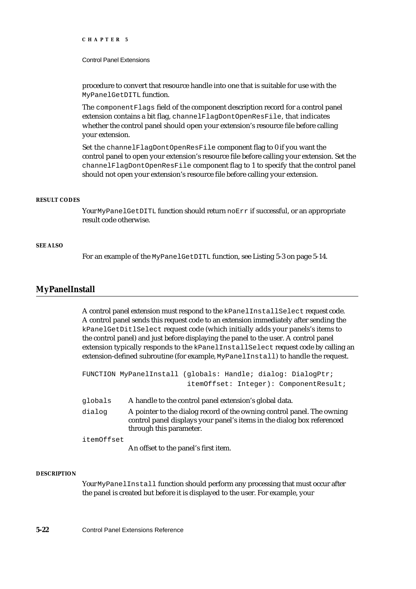#### Control Panel Extensions

procedure to convert that resource handle into one that is suitable for use with the MyPanelGetDITL function.

The componentFlags field of the component description record for a control panel extension contains a bit flag, channelFlagDontOpenResFile, that indicates whether the control panel should open your extension's resource file before calling your extension.

Set the channelFlagDontOpenResFile component flag to 0 if you want the control panel to open your extension's resource file before calling your extension. Set the channelFlagDontOpenResFile component flag to 1 to specify that the control panel should not open your extension's resource file before calling your extension.

#### **RESULT CODES**

Your MyPanelGetDITL function should return noErr if successful, or an appropriate result code otherwise.

#### **SEE ALSO**

For an example of the MyPanelGetDITL function, see Listing 5-3 on page 5-14.

## **MyPanelInstall**

A control panel extension must respond to the kPanelInstallSelect request code. A control panel sends this request code to an extension immediately after sending the kPanelGetDitlSelect request code (which initially adds your panels's items to the control panel) and just before displaying the panel to the user. A control panel extension typically responds to the kPanelInstallSelect request code by calling an extension-defined subroutine (for example, MyPanelInstall) to handle the request.

|            | FUNCTION MyPanelInstall (globals: Handle; dialog: DialogPtr;                                                                                                                |
|------------|-----------------------------------------------------------------------------------------------------------------------------------------------------------------------------|
|            | itemOffset: Integer): ComponentResult;                                                                                                                                      |
| globals    | A handle to the control panel extension's global data.                                                                                                                      |
| dialog     | A pointer to the dialog record of the owning control panel. The owning<br>control panel displays your panel's items in the dialog box referenced<br>through this parameter. |
| itemOffset |                                                                                                                                                                             |

An offset to the panel's first item.

#### **DESCRIPTION**

Your MyPanelInstall function should perform any processing that must occur after the panel is created but before it is displayed to the user. For example, your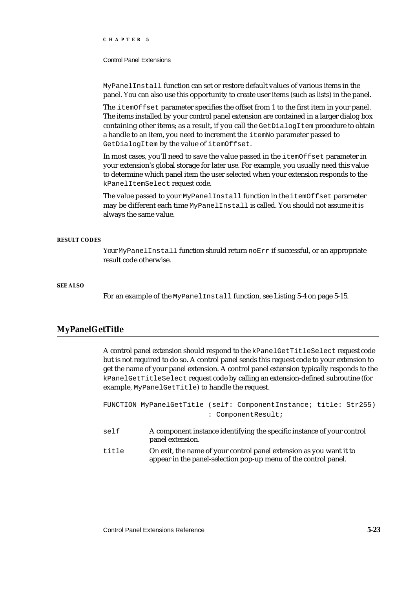Control Panel Extensions

MyPanelInstall function can set or restore default values of various items in the panel. You can also use this opportunity to create user items (such as lists) in the panel.

The itemOffset parameter specifies the offset from 1 to the first item in your panel. The items installed by your control panel extension are contained in a larger dialog box containing other items; as a result, if you call the GetDialogItem procedure to obtain a handle to an item, you need to increment the itemNo parameter passed to GetDialogItem by the value of itemOffset.

In most cases, you'll need to save the value passed in the itemOffset parameter in your extension's global storage for later use. For example, you usually need this value to determine which panel item the user selected when your extension responds to the kPanelItemSelect request code.

The value passed to your MyPanelInstall function in the itemOffset parameter may be different each time MyPanelInstall is called. You should not assume it is always the same value.

#### **RESULT CODES**

Your MyPanelInstall function should return noErr if successful, or an appropriate result code otherwise.

#### **SEE ALSO**

For an example of the MyPanelInstall function, see Listing 5-4 on page 5-15.

# **MyPanelGetTitle**

A control panel extension should respond to the kPanelGetTitleSelect request code but is not required to do so. A control panel sends this request code to your extension to get the name of your panel extension. A control panel extension typically responds to the kPanelGetTitleSelect request code by calling an extension-defined subroutine (for example, MyPanelGetTitle) to handle the request.

FUNCTION MyPanelGetTitle (self: ComponentInstance; title: Str255) : ComponentResult;

- self A component instance identifying the specific instance of your control panel extension.
- title On exit, the name of your control panel extension as you want it to appear in the panel-selection pop-up menu of the control panel.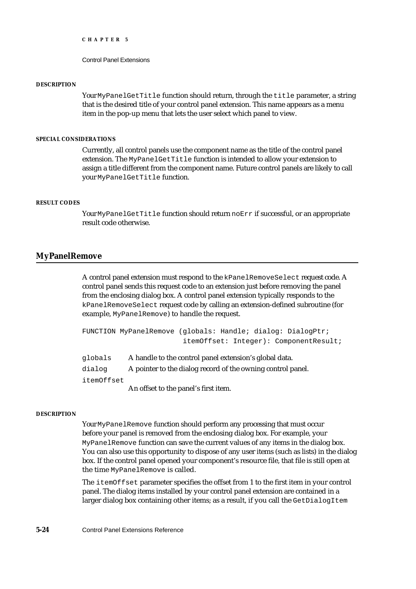Control Panel Extensions

#### **DESCRIPTION**

Your MyPanelGetTitle function should return, through the title parameter, a string that is the desired title of your control panel extension. This name appears as a menu item in the pop-up menu that lets the user select which panel to view.

#### **SPECIAL CONSIDERATIONS**

Currently, all control panels use the component name as the title of the control panel extension. The MyPanelGetTitle function is intended to allow your extension to assign a title different from the component name. Future control panels are likely to call your MyPanelGetTitle function.

#### **RESULT CODES**

Your MyPanelGetTitle function should return noErr if successful, or an appropriate result code otherwise.

### **MyPanelRemove**

A control panel extension must respond to the kPanelRemoveSelect request code. A control panel sends this request code to an extension just before removing the panel from the enclosing dialog box. A control panel extension typically responds to the kPanelRemoveSelect request code by calling an extension-defined subroutine (for example, MyPanelRemove) to handle the request.

```
FUNCTION MyPanelRemove (globals: Handle; dialog: DialogPtr; 
                        itemOffset: Integer): ComponentResult;
```
globals A handle to the control panel extension's global data. dialog A pointer to the dialog record of the owning control panel. itemOffset An offset to the panel's first item.

#### **DESCRIPTION**

Your MyPanelRemove function should perform any processing that must occur before your panel is removed from the enclosing dialog box. For example, your MyPanelRemove function can save the current values of any items in the dialog box. You can also use this opportunity to dispose of any user items (such as lists) in the dialog box. If the control panel opened your component's resource file, that file is still open at the time MyPanelRemove is called.

The itemOffset parameter specifies the offset from 1 to the first item in your control panel. The dialog items installed by your control panel extension are contained in a larger dialog box containing other items; as a result, if you call the GetDialogItem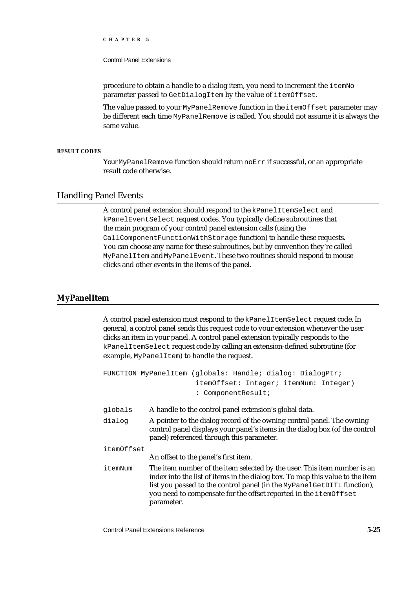#### Control Panel Extensions

procedure to obtain a handle to a dialog item, you need to increment the itemNo parameter passed to GetDialogItem by the value of itemOffset.

The value passed to your MyPanelRemove function in the itemOffset parameter may be different each time MyPanelRemove is called. You should not assume it is always the same value.

#### **RESULT CODES**

Your MyPanelRemove function should return noErr if successful, or an appropriate result code otherwise.

### Handling Panel Events

A control panel extension should respond to the kPanelItemSelect and kPanelEventSelect request codes. You typically define subroutines that the main program of your control panel extension calls (using the CallComponentFunctionWithStorage function) to handle these requests. You can choose any name for these subroutines, but by convention they're called MyPanelItem and MyPanelEvent. These two routines should respond to mouse clicks and other events in the items of the panel.

#### **MyPanelItem**

A control panel extension must respond to the kPanelItemSelect request code. In general, a control panel sends this request code to your extension whenever the user clicks an item in your panel. A control panel extension typically responds to the kPanelItemSelect request code by calling an extension-defined subroutine (for example, MyPanelItem) to handle the request.

|            | FUNCTION MyPanelItem (qlobals: Handle; dialog: DialogPtr;<br>itemOffset: Integer; itemNum: Integer)<br>: ComponentResult;                                                                                                                                                                                             |
|------------|-----------------------------------------------------------------------------------------------------------------------------------------------------------------------------------------------------------------------------------------------------------------------------------------------------------------------|
| globals    | A handle to the control panel extension's global data.                                                                                                                                                                                                                                                                |
| dialog     | A pointer to the dialog record of the owning control panel. The owning<br>control panel displays your panel's items in the dialog box (of the control<br>panel) referenced through this parameter.                                                                                                                    |
| itemOffset | An offset to the panel's first item.                                                                                                                                                                                                                                                                                  |
| itemNum    | The item number of the item selected by the user. This item number is an<br>index into the list of items in the dialog box. To map this value to the item<br>list you passed to the control panel (in the MyPanelGetDITL function),<br>you need to compensate for the offset reported in the itemOffset<br>parameter. |

Control Panel Extensions Reference **5-25**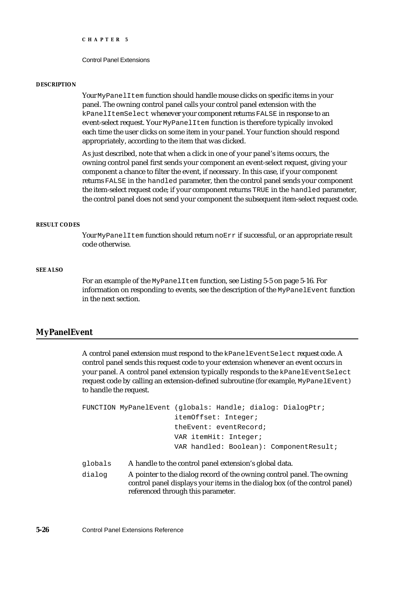```
CHAPTER 5
```
#### **DESCRIPTION**

Your MyPanelItem function should handle mouse clicks on specific items in your panel. The owning control panel calls your control panel extension with the kPanelItemSelect whenever your component returns FALSE in response to an event-select request. Your MyPanelItem function is therefore typically invoked each time the user clicks on some item in your panel. Your function should respond appropriately, according to the item that was clicked.

As just described, note that when a click in one of your panel's items occurs, the owning control panel first sends your component an event-select request, giving your component a chance to filter the event, if necessary. In this case, if your component returns FALSE in the handled parameter, then the control panel sends your component the item-select request code; if your component returns TRUE in the handled parameter, the control panel does not send your component the subsequent item-select request code.

#### **RESULT CODES**

Your MyPanelItem function should return noErr if successful, or an appropriate result code otherwise.

#### **SEE ALSO**

For an example of the MyPanelItem function, see Listing 5-5 on page 5-16. For information on responding to events, see the description of the MyPanelEvent function in the next section.

# **MyPanelEvent**

A control panel extension must respond to the kPanelEventSelect request code. A control panel sends this request code to your extension whenever an event occurs in your panel. A control panel extension typically responds to the kPanelEventSelect request code by calling an extension-defined subroutine (for example, MyPanelEvent) to handle the request.

```
FUNCTION MyPanelEvent (globals: Handle; dialog: DialogPtr; 
                        itemOffset: Integer; 
                        theEvent: eventRecord; 
                        VAR itemHit: Integer; 
                        VAR handled: Boolean): ComponentResult;
```
globals A handle to the control panel extension's global data.

dialog A pointer to the dialog record of the owning control panel. The owning control panel displays your items in the dialog box (of the control panel) referenced through this parameter.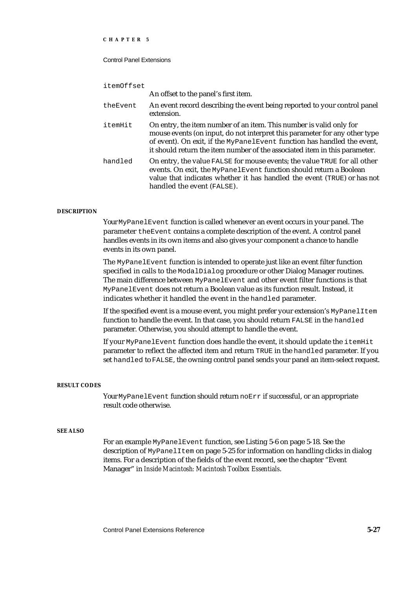#### Control Panel Extensions

| itemOffset |                                                                                                                                                                                                                                                                                                            |
|------------|------------------------------------------------------------------------------------------------------------------------------------------------------------------------------------------------------------------------------------------------------------------------------------------------------------|
|            | An offset to the panel's first item.                                                                                                                                                                                                                                                                       |
| theEvent   | An event record describing the event being reported to your control panel<br>extension.                                                                                                                                                                                                                    |
| itemHit    | On entry, the item number of an item. This number is valid only for<br>mouse events (on input, do not interpret this parameter for any other type<br>of event). On exit, if the MyPanelEvent function has handled the event,<br>it should return the item number of the associated item in this parameter. |
| handled    | On entry, the value FALSE for mouse events; the value TRUE for all other<br>events. On exit, the MyPanelEvent function should return a Boolean<br>value that indicates whether it has handled the event (TRUE) or has not<br>handled the event (FALSE).                                                    |

#### **DESCRIPTION**

Your MyPanelEvent function is called whenever an event occurs in your panel. The parameter theEvent contains a complete description of the event. A control panel handles events in its own items and also gives your component a chance to handle events in its own panel.

The MyPanelEvent function is intended to operate just like an event filter function specified in calls to the ModalDialog procedure or other Dialog Manager routines. The main difference between MyPanelEvent and other event filter functions is that MyPanelEvent does not return a Boolean value as its function result. Instead, it indicates whether it handled the event in the handled parameter.

If the specified event is a mouse event, you might prefer your extension's MyPanelItem function to handle the event. In that case, you should return FALSE in the handled parameter. Otherwise, you should attempt to handle the event.

If your MyPanelEvent function does handle the event, it should update the itemHit parameter to reflect the affected item and return TRUE in the handled parameter. If you set handled to FALSE, the owning control panel sends your panel an item-select request.

#### **RESULT CODES**

Your MyPanelEvent function should return noErr if successful, or an appropriate result code otherwise.

#### **SEE ALSO**

For an example MyPanelEvent function, see Listing 5-6 on page 5-18. See the description of MyPanelItem on page 5-25 for information on handling clicks in dialog items. For a description of the fields of the event record, see the chapter "Event Manager" in *Inside Macintosh: Macintosh Toolbox Essentials*.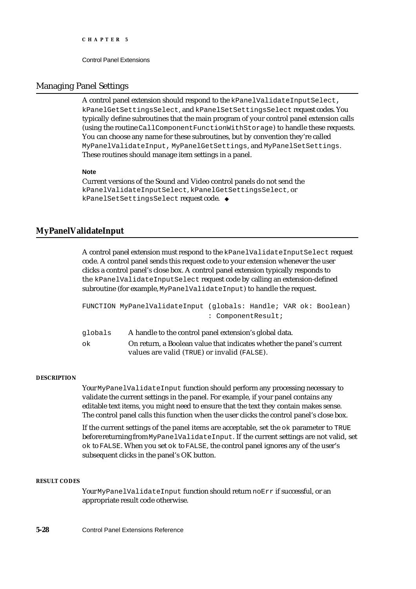# Managing Panel Settings

A control panel extension should respond to the kPanelValidateInputSelect, kPanelGetSettingsSelect, and kPanelSetSettingsSelect request codes. You typically define subroutines that the main program of your control panel extension calls (using the routine CallComponentFunctionWithStorage) to handle these requests. You can choose any name for these subroutines, but by convention they're called MyPanelValidateInput, MyPanelGetSettings, and MyPanelSetSettings. These routines should manage item settings in a panel.

#### **Note**

Current versions of the Sound and Video control panels do not send the kPanelValidateInputSelect, kPanelGetSettingsSelect, or kPanelSetSettingsSelect request code. u

# **MyPanelValidateInput**

A control panel extension must respond to the kPanelValidateInputSelect request code. A control panel sends this request code to your extension whenever the user clicks a control panel's close box. A control panel extension typically responds to the kPanelValidateInputSelect request code by calling an extension-defined subroutine (for example, MyPanelValidateInput) to handle the request.

```
FUNCTION MyPanelValidateInput (globals: Handle; VAR ok: Boolean) 
                               : ComponentResult;
```

| globals | A handle to the control panel extension's global data.                |
|---------|-----------------------------------------------------------------------|
| ok      | On return, a Boolean value that indicates whether the panel's current |
|         | values are valid (TRUE) or invalid (FALSE).                           |

#### **DESCRIPTION**

Your MyPanelValidateInput function should perform any processing necessary to validate the current settings in the panel. For example, if your panel contains any editable text items, you might need to ensure that the text they contain makes sense. The control panel calls this function when the user clicks the control panel's close box.

If the current settings of the panel items are acceptable, set the ok parameter to TRUE before returning from MyPanelValidateInput. If the current settings are not valid, set ok to FALSE. When you set ok to FALSE, the control panel ignores any of the user's subsequent clicks in the panel's OK button.

#### **RESULT CODES**

Your MyPanelValidateInput function should return noErr if successful, or an appropriate result code otherwise.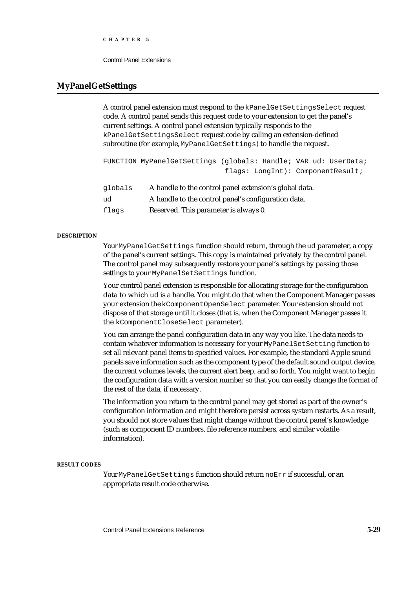Control Panel Extensions

#### **MyPanelGetSettings**

A control panel extension must respond to the kPanelGetSettingsSelect request code. A control panel sends this request code to your extension to get the panel's current settings. A control panel extension typically responds to the kPanelGetSettingsSelect request code by calling an extension-defined subroutine (for example, MyPanelGetSettings) to handle the request.

```
FUNCTION MyPanelGetSettings (globals: Handle; VAR ud: UserData; 
                              flags: LongInt): ComponentResult;
```

| qlobals | A handle to the control panel extension's global data. |
|---------|--------------------------------------------------------|
| ud      | A handle to the control panel's configuration data.    |
| flags   | Reserved. This parameter is always 0.                  |

#### **DESCRIPTION**

Your MyPanelGetSettings function should return, through the ud parameter, a copy of the panel's current settings. This copy is maintained privately by the control panel. The control panel may subsequently restore your panel's settings by passing those settings to your MyPanelSetSettings function.

Your control panel extension is responsible for allocating storage for the configuration data to which ud is a handle. You might do that when the Component Manager passes your extension the kComponentOpenSelect parameter. Your extension should not dispose of that storage until it closes (that is, when the Component Manager passes it the kComponentCloseSelect parameter).

You can arrange the panel configuration data in any way you like. The data needs to contain whatever information is necessary for your MyPanelSetSetting function to set all relevant panel items to specified values. For example, the standard Apple sound panels save information such as the component type of the default sound output device, the current volumes levels, the current alert beep, and so forth. You might want to begin the configuration data with a version number so that you can easily change the format of the rest of the data, if necessary.

The information you return to the control panel may get stored as part of the owner's configuration information and might therefore persist across system restarts. As a result, you should not store values that might change without the control panel's knowledge (such as component ID numbers, file reference numbers, and similar volatile information).

#### **RESULT CODES**

Your MyPanelGetSettings function should return noErr if successful, or an appropriate result code otherwise.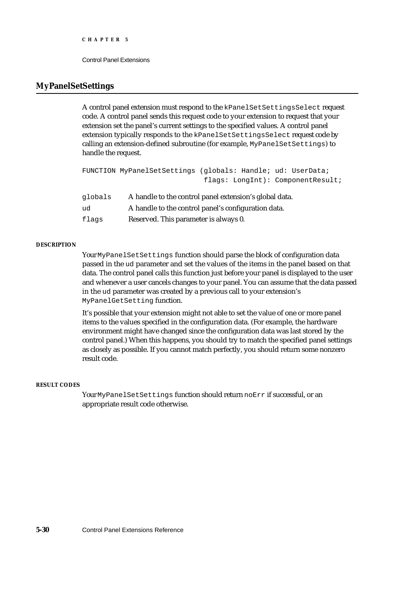#### **MyPanelSetSettings**

A control panel extension must respond to the kPanelSetSettingsSelect request code. A control panel sends this request code to your extension to request that your extension set the panel's current settings to the specified values. A control panel extension typically responds to the kPanelSetSettingsSelect request code by calling an extension-defined subroutine (for example, MyPanelSetSettings) to handle the request.

```
FUNCTION MyPanelSetSettings (globals: Handle; ud: UserData; 
                               flags: LongInt): ComponentResult;
```

| qlobals | A handle to the control panel extension's global data. |
|---------|--------------------------------------------------------|
| ud      | A handle to the control panel's configuration data.    |
| flags   | Reserved. This parameter is always 0.                  |

#### **DESCRIPTION**

Your MyPanelSetSettings function should parse the block of configuration data passed in the ud parameter and set the values of the items in the panel based on that data. The control panel calls this function just before your panel is displayed to the user and whenever a user cancels changes to your panel. You can assume that the data passed in the ud parameter was created by a previous call to your extension's MyPanelGetSetting function.

It's possible that your extension might not able to set the value of one or more panel items to the values specified in the configuration data. (For example, the hardware environment might have changed since the configuration data was last stored by the control panel.) When this happens, you should try to match the specified panel settings as closely as possible. If you cannot match perfectly, you should return some nonzero result code.

#### **RESULT CODES**

Your MyPanelSetSettings function should return noErr if successful, or an appropriate result code otherwise.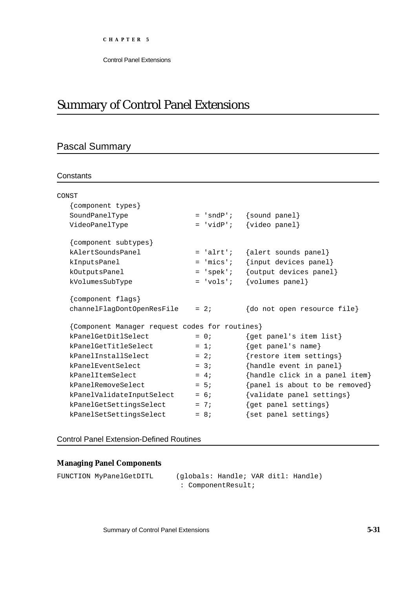## Summary of Control Panel Extensions

### Pascal Summary

#### **Constants**

| CONST                                          |             |                                |
|------------------------------------------------|-------------|--------------------------------|
| {component types}                              |             |                                |
| SoundPanelType                                 | $= 'sndP';$ | $\{sound panel\}$              |
| VideoPanelType                                 | $= 'vidP';$ | $\{video panel\}$              |
| {component subtypes}                           |             |                                |
| kAlertSoundsPanel                              | $= 'alrt';$ | {alert sounds panel}           |
| kInputsPanel                                   | $=$ 'mics'; | {input devices panel}          |
| kOutputsPanel                                  | $= 'spek'$  | {output devices panel}         |
| kVolumesSubType                                | $= 'vols'$  | {volumes panel}                |
| {component flags}                              |             |                                |
| channelFlagDontOpenResFile                     | $= 2i$      | {do not open resource file}    |
| {Component Manager request codes for routines} |             |                                |
| kPanelGetDitlSelect                            | $= 0$ ;     | {get panel's item list}        |
| kPanelGetTitleSelect                           | $= 1i$      | {get panel's name}             |
| kPanelInstallSelect                            | $= 2i$      | {restore item settings}        |
| kPanelEventSelect                              | $= 3i$      | {handle event in panel}        |
| kPanelItemSelect                               | $= 4i$      | {handle click in a panel item} |
| kPanelRemoveSelect                             | $= 5i$      | {panel is about to be removed} |
| kPanelValidateInputSelect                      | $= 6;$      | {validate panel settings}      |
| kPanelGetSettingsSelect                        | $= 7i$      | {get panel settings}           |
| kPanelSetSettingsSelect                        | $= 8i$      | {set panel settings}           |

#### Control Panel Extension-Defined Routines

#### **Managing Panel Components**

FUNCTION MyPanelGetDITL (globals: Handle; VAR ditl: Handle) : ComponentResult;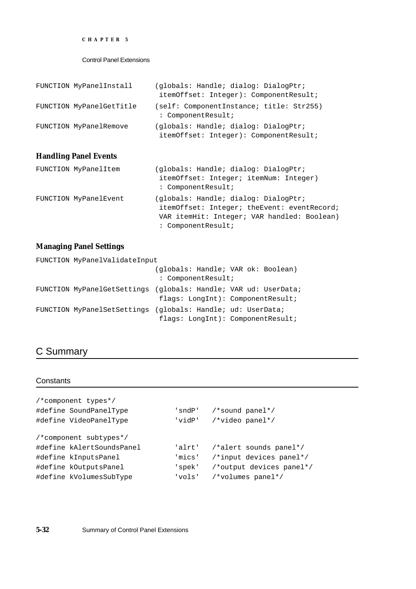```
CHAPTER 5
```

| FUNCTION MyPanelInstall  | (globals: Handle; dialog: DialogPtr;<br>itemOffset: Integer): ComponentResult; |
|--------------------------|--------------------------------------------------------------------------------|
| FUNCTION MyPanelGetTitle | (self: ComponentInstance; title: Str255)<br>: ComponentResult;                 |
| FUNCTION MyPanelRemove   | (globals: Handle; dialog: DialogPtr;<br>itemOffset: Integer): ComponentResult; |

### **Handling Panel Events**

| FUNCTION MyPanelItem  | (globals: Handle; dialog: DialogPtr;<br>itemOffset: Integer; itemNum: Integer)<br>: ComponentResult;                                                     |
|-----------------------|----------------------------------------------------------------------------------------------------------------------------------------------------------|
| FUNCTION MyPanelEvent | (globals: Handle; dialog: DialogPtr;<br>itemOffset: Integer; theEvent: eventRecord;<br>VAR itemHit: Integer; VAR handled: Boolean)<br>: ComponentResult; |

### **Managing Panel Settings**

| FUNCTION MyPanelValidateInput |                                                                 |
|-------------------------------|-----------------------------------------------------------------|
|                               | (globals: Handle; VAR ok: Boolean)                              |
|                               | : ComponentResult;                                              |
|                               | FUNCTION MyPanelGetSettings (globals: Handle; VAR ud: UserData; |
|                               | flags: LongInt): ComponentResult;                               |
|                               | FUNCTION MyPanelSetSettings (globals: Handle; ud: UserData;     |
|                               | flags: LongInt): ComponentResult;                               |

### C Summary

### **Constants**

| /*component types*/       |        |                          |
|---------------------------|--------|--------------------------|
| #define SoundPanelType    | 'sndP' | /*sound panel*/          |
| #define VideoPanelType    | 'vidP' | /*video panel*/          |
|                           |        |                          |
| /*component subtypes*/    |        |                          |
| #define kAlertSoundsPanel | 'alrt' | /*alert sounds panel*/   |
| #define kInputsPanel      | 'mics' | /*input devices panel*/  |
| #define kOutputsPanel     | 'spek' | /*output devices panel*/ |
| #define kVolumesSubType   | 'vols' | /*volumes panel*/        |
|                           |        |                          |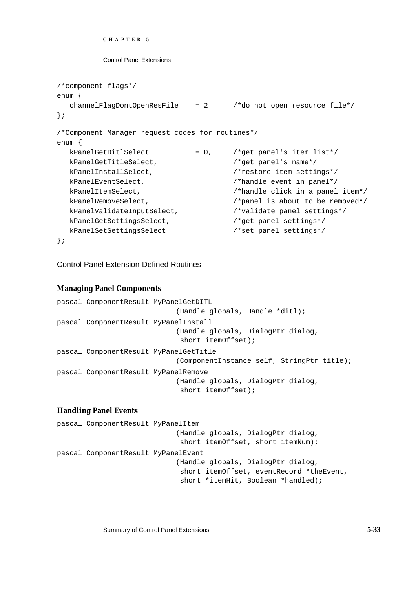```
CHAPTER 5
```

```
/*component flags*/
enum {
  channelFlagDontOpenResFile = 2 /*do not open resource file*/
};
/*Component Manager request codes for routines*/
enum {
  kPanelGetDitlSelect = 0, \frac{1}{k} /*get panel's item list*/
  kPanelGetTitleSelect, /*get panel's name*/
  kPanelInstallSelect, /*restore item settings*/
  kPanelEventSelect, \mu /*handle event in panel*/
  kPanelItemSelect, \overline{\phantom{a}} /*handle click in a panel item*/
  kPanelRemoveSelect, \sqrt{\frac{1}{2}} /*panel is about to be removed*/
  kPanelValidateInputSelect, /*validate panel settings*/
  kPanelGetSettingsSelect, \sqrt{*}get panel settings*/
  kPanelSetSettingsSelect /*set panel settings*/
};
```
Control Panel Extension-Defined Routines

#### **Managing Panel Components**

```
pascal ComponentResult MyPanelGetDITL
                             (Handle globals, Handle *ditl);
pascal ComponentResult MyPanelInstall
                             (Handle globals, DialogPtr dialog, 
                              short itemOffset);
pascal ComponentResult MyPanelGetTitle
                             (ComponentInstance self, StringPtr title);
pascal ComponentResult MyPanelRemove
                             (Handle globals, DialogPtr dialog, 
                             short itemOffset);
```
### **Handling Panel Events**

```
pascal ComponentResult MyPanelItem
                             (Handle globals, DialogPtr dialog, 
                              short itemOffset, short itemNum);
pascal ComponentResult MyPanelEvent
                             (Handle globals, DialogPtr dialog, 
                              short itemOffset, eventRecord *theEvent, 
                              short *itemHit, Boolean *handled);
```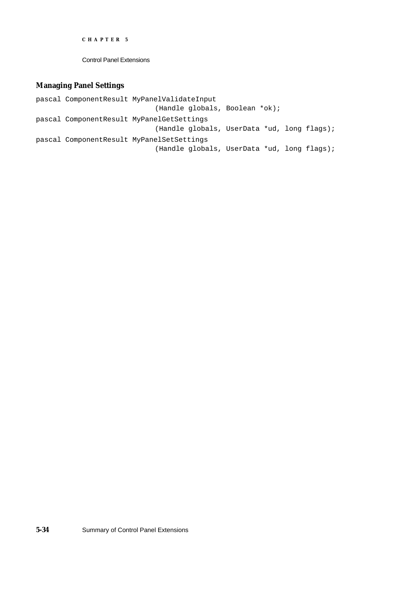Control Panel Extensions

### **Managing Panel Settings**

pascal ComponentResult MyPanelValidateInput (Handle globals, Boolean \*ok); pascal ComponentResult MyPanelGetSettings (Handle globals, UserData \*ud, long flags); pascal ComponentResult MyPanelSetSettings (Handle globals, UserData \*ud, long flags);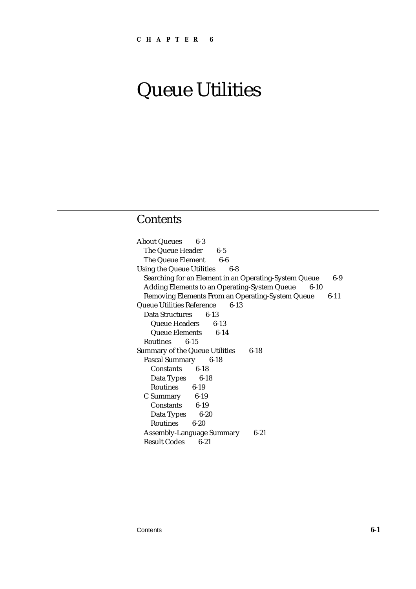### **Contents**

About Queues 6-3 The Queue Header 6-5 The Queue Element 6-6 Using the Queue Utilities 6-8 Searching for an Element in an Operating-System Queue 6-9 Adding Elements to an Operating-System Queue 6-10 Removing Elements From an Operating-System Queue 6-11 Queue Utilities Reference 6-13 Data Structures 6-13 Queue Headers 6-13 Queue Elements 6-14 Routines 6-15 Summary of the Queue Utilities 6-18 Pascal Summary 6-18 Constants 6-18 Data Types 6-18 Routines 6-19 C Summary 6-19 Constants 6-19 Data Types 6-20 Routines 6-20 Assembly-Language Summary 6-21 Result Codes 6-21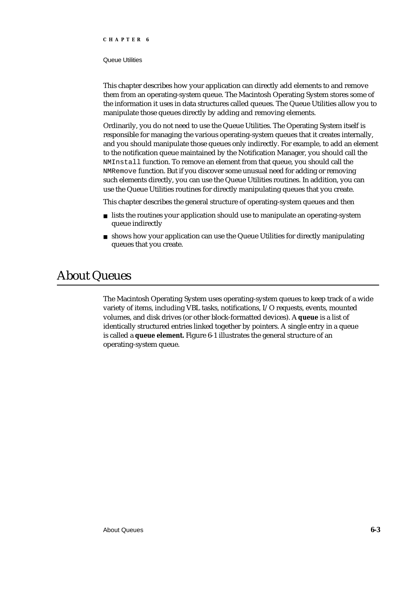#### Queue Utilities

This chapter describes how your application can directly add elements to and remove them from an operating-system queue. The Macintosh Operating System stores some of the information it uses in data structures called queues. The Queue Utilities allow you to manipulate those queues directly by adding and removing elements.

Ordinarily, you do not need to use the Queue Utilities. The Operating System itself is responsible for managing the various operating-system queues that it creates internally, and you should manipulate those queues only indirectly. For example, to add an element to the notification queue maintained by the Notification Manager, you should call the NMInstall function. To remove an element from that queue, you should call the NMRemove function. But if you discover some unusual need for adding or removing such elements directly, you can use the Queue Utilities routines. In addition, you can use the Queue Utilities routines for directly manipulating queues that you create.

This chapter describes the general structure of operating-system queues and then

- lists the routines your application should use to manipulate an operating-system queue indirectly
- n shows how your application can use the Queue Utilities for directly manipulating queues that you create.

### About Queues

The Macintosh Operating System uses operating-system queues to keep track of a wide variety of items, including VBL tasks, notifications, I/O requests, events, mounted volumes, and disk drives (or other block-formatted devices). A **queue** is a list of identically structured entries linked together by pointers. A single entry in a queue is called a **queue element.** Figure 6-1 illustrates the general structure of an operating-system queue.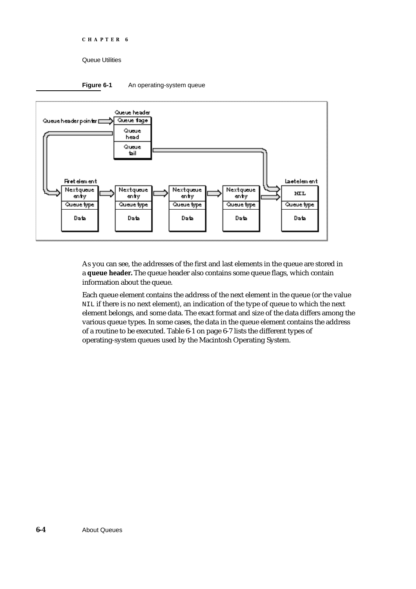Queue Utilities





As you can see, the addresses of the first and last elements in the queue are stored in a **queue header.** The queue header also contains some queue flags, which contain information about the queue.

Each queue element contains the address of the next element in the queue (or the value NIL if there is no next element), an indication of the type of queue to which the next element belongs, and some data. The exact format and size of the data differs among the various queue types. In some cases, the data in the queue element contains the address of a routine to be executed. Table 6-1 on page 6-7 lists the different types of operating-system queues used by the Macintosh Operating System.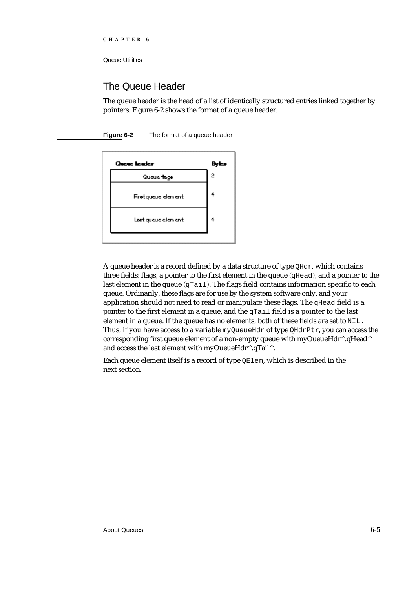### The Queue Header

The queue header is the head of a list of identically structured entries linked together by pointers. Figure 6-2 shows the format of a queue header.

**Figure 6-2** The format of a queue header

| <b>Queue leader</b> | Byles |
|---------------------|-------|
| Queue flage         | 2     |
| Firetqueue element  |       |
| Last queue element  |       |
|                     |       |

A queue header is a record defined by a data structure of type QHdr, which contains three fields: flags, a pointer to the first element in the queue (qHead), and a pointer to the last element in the queue (qTail). The flags field contains information specific to each queue. Ordinarily, these flags are for use by the system software only, and your application should not need to read or manipulate these flags. The qHead field is a pointer to the first element in a queue, and the  $qTail$  field is a pointer to the last element in a queue. If the queue has no elements, both of these fields are set to NIL. Thus, if you have access to a variable myQueueHdr of type QHdrPtr, you can access the corresponding first queue element of a non-empty queue with myQueueHdr^.qHead^ and access the last element with myQueueHdr^.qTail^.

Each queue element itself is a record of type QElem, which is described in the next section.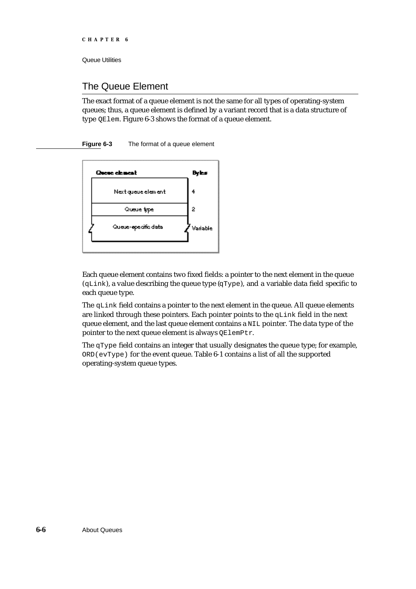### The Queue Element

The exact format of a queue element is not the same for all types of operating-system queues; thus, a queue element is defined by a variant record that is a data structure of type QElem. Figure 6-3 shows the format of a queue element.

**Figure 6-3** The format of a queue element



Each queue element contains two fixed fields: a pointer to the next element in the queue  $(qLink)$ , a value describing the queue type  $(qType)$ , and a variable data field specific to each queue type.

The qLink field contains a pointer to the next element in the queue. All queue elements are linked through these pointers. Each pointer points to the qLink field in the next queue element, and the last queue element contains a NIL pointer. The data type of the pointer to the next queue element is always QElemPtr.

The qType field contains an integer that usually designates the queue type; for example, ORD(evType) for the event queue. Table 6-1 contains a list of all the supported operating-system queue types.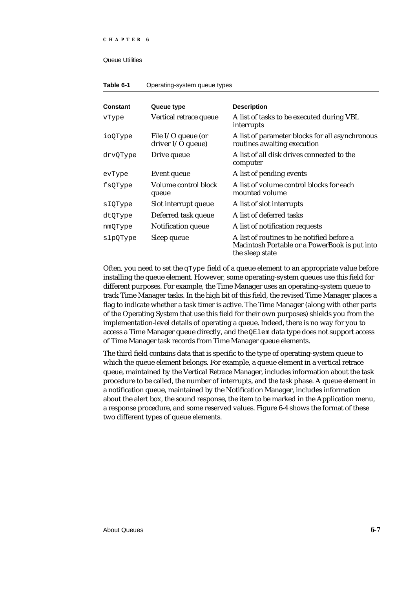#### Queue Utilities

#### **Table 6-1** Operating-system queue types

| Constant | Queue type                                | <b>Description</b>                                                                                             |
|----------|-------------------------------------------|----------------------------------------------------------------------------------------------------------------|
| vType    | Vertical retrace queue                    | A list of tasks to be executed during VBL<br>interrupts                                                        |
| ioQType  | File $I/O$ queue (or<br>driver I/O queue) | A list of parameter blocks for all asynchronous<br>routines awaiting execution                                 |
| drvQType | Drive queue                               | A list of all disk drives connected to the<br>computer                                                         |
| evType   | <b>Event queue</b>                        | A list of pending events                                                                                       |
| fsQType  | Volume control block<br>queue             | A list of volume control blocks for each<br>mounted volume                                                     |
| sIQType  | Slot interrupt queue                      | A list of slot interrupts                                                                                      |
| dtQType  | Deferred task queue                       | A list of deferred tasks                                                                                       |
| nmQType  | Notification queue                        | A list of notification requests                                                                                |
| slpQType | Sleep queue                               | A list of routines to be notified before a<br>Macintosh Portable or a PowerBook is put into<br>the sleep state |

Often, you need to set the qType field of a queue element to an appropriate value before installing the queue element. However, some operating-system queues use this field for different purposes. For example, the Time Manager uses an operating-system queue to track Time Manager tasks. In the high bit of this field, the revised Time Manager places a flag to indicate whether a task timer is active. The Time Manager (along with other parts of the Operating System that use this field for their own purposes) shields you from the implementation-level details of operating a queue. Indeed, there is no way for you to access a Time Manager queue directly, and the  $QE1em$  data type does not support access of Time Manager task records from Time Manager queue elements.

The third field contains data that is specific to the type of operating-system queue to which the queue element belongs. For example, a queue element in a vertical retrace queue, maintained by the Vertical Retrace Manager, includes information about the task procedure to be called, the number of interrupts, and the task phase. A queue element in a notification queue, maintained by the Notification Manager, includes information about the alert box, the sound response, the item to be marked in the Application menu, a response procedure, and some reserved values. Figure 6-4 shows the format of these two different types of queue elements.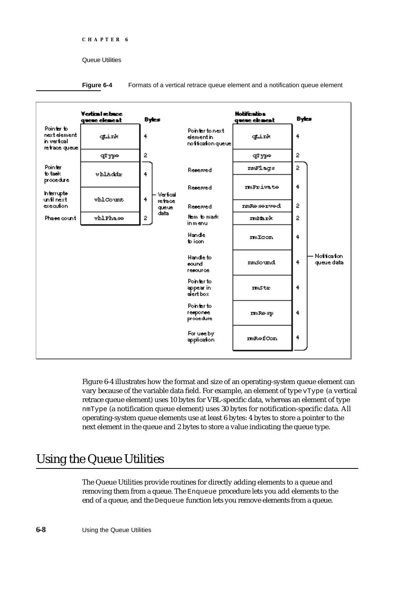**Figure 6-4** Formats of a vertical retrace queue element and a notification queue element



Figure 6-4 illustrates how the format and size of an operating-system queue element can vary because of the variable data field. For example, an element of type  $\forall$ Type (a vertical retrace queue element) uses 10 bytes for VBL-specific data, whereas an element of type nmType (a notification queue element) uses 30 bytes for notification-specific data. All operating-system queue elements use at least 6 bytes: 4 bytes to store a pointer to the next element in the queue and 2 bytes to store a value indicating the queue type.

## Using the Queue Utilities

The Queue Utilities provide routines for directly adding elements to a queue and removing them from a queue. The Enqueue procedure lets you add elements to the end of a queue, and the Dequeue function lets you remove elements from a queue.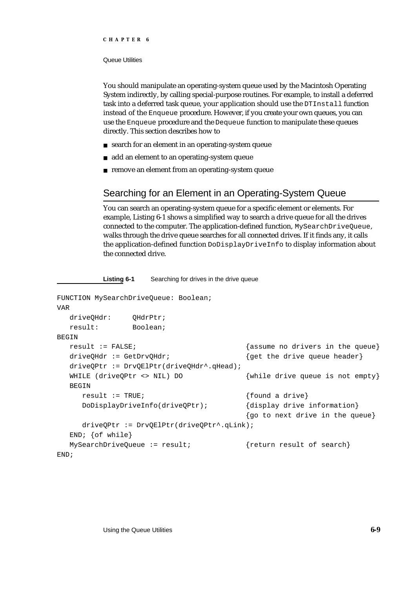#### Queue Utilities

You should manipulate an operating-system queue used by the Macintosh Operating System indirectly, by calling special-purpose routines. For example, to install a deferred task into a deferred task queue, your application should use the DTInstall function instead of the Enqueue procedure. However, if you create your own queues, you can use the Enqueue procedure and the Dequeue function to manipulate these queues directly. This section describes how to

- n search for an element in an operating-system queue
- n add an element to an operating-system queue

**Listing 6-1** Searching for drives in the drive queue

n remove an element from an operating-system queue

### Searching for an Element in an Operating-System Queue

You can search an operating-system queue for a specific element or elements. For example, Listing 6-1 shows a simplified way to search a drive queue for all the drives connected to the computer. The application-defined function, MySearchDriveQueue, walks through the drive queue searches for all connected drives. If it finds any, it calls the application-defined function DoDisplayDriveInfo to display information about the connected drive.

```
FUNCTION MySearchDriveQueue: Boolean;
VAR
  driveQHdr: QHdrPtr;
  result: Boolean;
BEGIN
  result := FALSE; {asume no drivers in the queue}driveQHdr := GetDrvQHdr; {get the drive queue header}
  driveQPtr := DrvQElPtr(driveQHdr^.qHead);
  WHILE (driveQPtr <> NIL) DO {while drive queue is not empty}
  BEGIN
     result := TRUE; {\text{found a drive}}DoDisplayDriveInfo(driveQPtr); {display drive information}
                                      {go to next drive in the queue}
     driveQPtr := DrvQElPtr(driveQPtr^.qLink);
  END; {of while}
  MySearchDriveQueue := result; {return result of search}
END;
```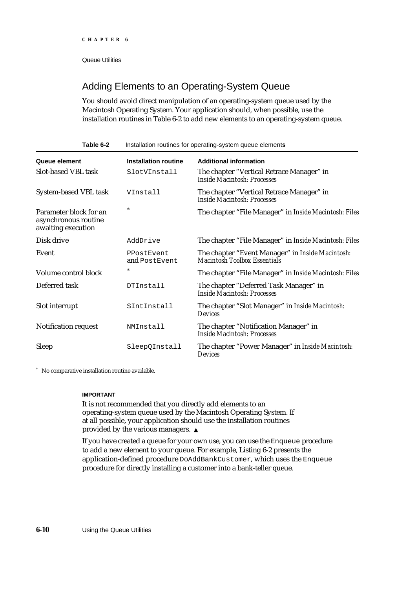### Adding Elements to an Operating-System Queue

You should avoid direct manipulation of an operating-system queue used by the Macintosh Operating System. Your application should, when possible, use the installation routines in Table 6-2 to add new elements to an operating-system queue.

| Table 6-2                                                            | Installation routines for operating-system queue elements |                                                                                  |  |
|----------------------------------------------------------------------|-----------------------------------------------------------|----------------------------------------------------------------------------------|--|
| Queue element                                                        | <b>Installation routine</b>                               | <b>Additional information</b>                                                    |  |
| <b>Slot-based VBL task</b>                                           | SlotVInstall                                              | The chapter "Vertical Retrace Manager" in<br>Inside Macintosh: Processes         |  |
| <b>System-based VBL task</b>                                         | VInstall                                                  | The chapter "Vertical Retrace Manager" in<br>Inside Macintosh: Processes         |  |
| Parameter block for an<br>asynchronous routine<br>awaiting execution | $\ast$                                                    | The chapter "File Manager" in Inside Macintosh: Files                            |  |
| Disk drive                                                           | AddDrive                                                  | The chapter "File Manager" in Inside Macintosh: Files                            |  |
| Event                                                                | PPostEvent<br>and PostEvent                               | The chapter "Event Manager" in Inside Macintosh:<br>Macintosh Toolbox Essentials |  |
| Volume control block                                                 | $\ast$                                                    | The chapter "File Manager" in Inside Macintosh: Files                            |  |
| Deferred task                                                        | DTInstall                                                 | The chapter "Deferred Task Manager" in<br>Inside Macintosh: Processes            |  |
| Slot interrupt                                                       | SIntInstall                                               | The chapter "Slot Manager" in Inside Macintosh:<br>Devices                       |  |
| Notification request                                                 | NMInstall                                                 | The chapter "Notification Manager" in<br>Inside Macintosh: Processes             |  |
| <b>Sleep</b>                                                         | SleepQInstall                                             | The chapter "Power Manager" in Inside Macintosh:<br>Devices                      |  |

No comparative installation routine available.

#### **IMPORTANT**

It is not recommended that you directly add elements to an operating-system queue used by the Macintosh Operating System. If at all possible, your application should use the installation routines provided by the various managers.

If you have created a queue for your own use, you can use the Enqueue procedure to add a new element to your queue. For example, Listing 6-2 presents the application-defined procedure DoAddBankCustomer, which uses the Enqueue procedure for directly installing a customer into a bank-teller queue.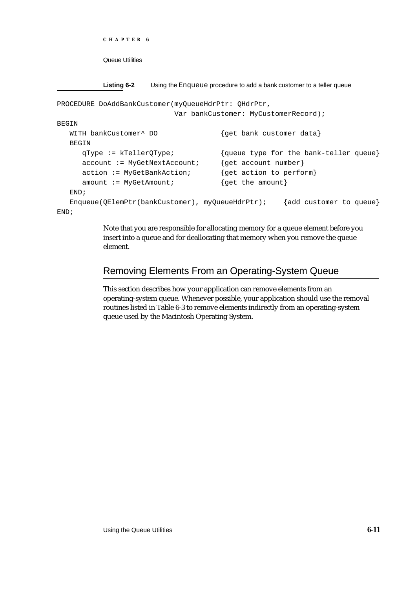```
CHAPTER 6
```
**Listing 6-2** Using the Enqueue procedure to add a bank customer to a teller queue

```
PROCEDURE DoAddBankCustomer(myQueueHdrPtr: QHdrPtr,
                          Var bankCustomer: MyCustomerRecord);
BEGIN
  WITH bankCustomer^ DO {get bank customer data}BEGIN
     qType := kTellerQType; {queue type for the bank-teller queue}
     account := MyGetNextAccount; {get account number}
     action := MyGetBankAction; {get action to perform}
     amount := MyGetAmount; {qet the amount}
  END;
  Enqueue(QElemPtr(bankCustomer), myQueueHdrPtr); {add customer to queue}
END;
```
Note that you are responsible for allocating memory for a queue element before you insert into a queue and for deallocating that memory when you remove the queue element.

### Removing Elements From an Operating-System Queue

This section describes how your application can remove elements from an operating-system queue. Whenever possible, your application should use the removal routines listed in Table 6-3 to remove elements indirectly from an operating-system queue used by the Macintosh Operating System.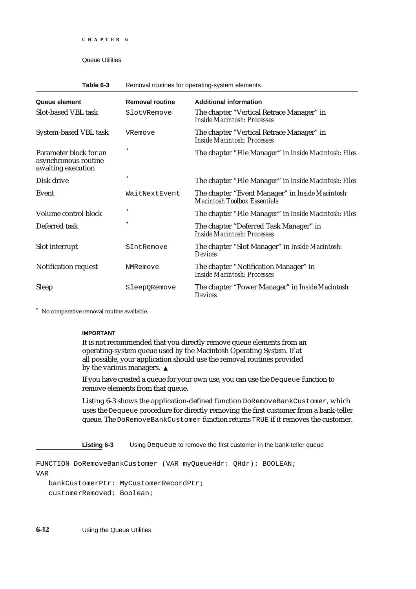#### Table 6-3 Removal routines for operating-system elements

| Queue element                                                        | <b>Removal routine</b> | <b>Additional information</b>                                                    |
|----------------------------------------------------------------------|------------------------|----------------------------------------------------------------------------------|
| <b>Slot-based VBL task</b>                                           | SlotVRemove            | The chapter "Vertical Retrace Manager" in<br>Inside Macintosh: Processes         |
| <b>System-based VBL task</b>                                         | VRemove                | The chapter "Vertical Retrace Manager" in<br>Inside Macintosh: Processes         |
| Parameter block for an<br>asynchronous routine<br>awaiting execution | $^\ast$                | The chapter "File Manager" in Inside Macintosh: Files                            |
| Disk drive                                                           | $\star$                | The chapter "File Manager" in Inside Macintosh: Files                            |
| Event                                                                | WaitNextEvent          | The chapter "Event Manager" in Inside Macintosh:<br>Macintosh Toolbox Essentials |
| Volume control block                                                 | *                      | The chapter "File Manager" in Inside Macintosh: Files                            |
| Deferred task                                                        | $\star$                | The chapter "Deferred Task Manager" in<br>Inside Macintosh: Processes            |
| Slot interrupt                                                       | SIntRemove             | The chapter "Slot Manager" in Inside Macintosh:<br>Devices                       |
| <b>Notification request</b>                                          | NMRemove               | The chapter "Notification Manager" in<br>Inside Macintosh: Processes             |
| <b>Sleep</b>                                                         | SleepORemove           | The chapter "Power Manager" in Inside Macintosh:<br>Devices                      |

No comparative removal routine available.

#### **IMPORTANT**

It is not recommended that you directly remove queue elements from an operating-system queue used by the Macintosh Operating System. If at all possible, your application should use the removal routines provided by the various managers. s

If you have created a queue for your own use, you can use the Dequeue function to remove elements from that queue.

Listing 6-3 shows the application-defined function DoRemoveBankCustomer, which uses the Dequeue procedure for directly removing the first customer from a bank-teller queue. The DoRemoveBankCustomer function returns TRUE if it removes the customer.

**Listing 6-3** Using Dequeue to remove the first customer in the bank-teller queue

FUNCTION DoRemoveBankCustomer (VAR myQueueHdr: QHdr): BOOLEAN; VAR bankCustomerPtr: MyCustomerRecordPtr;

customerRemoved: Boolean;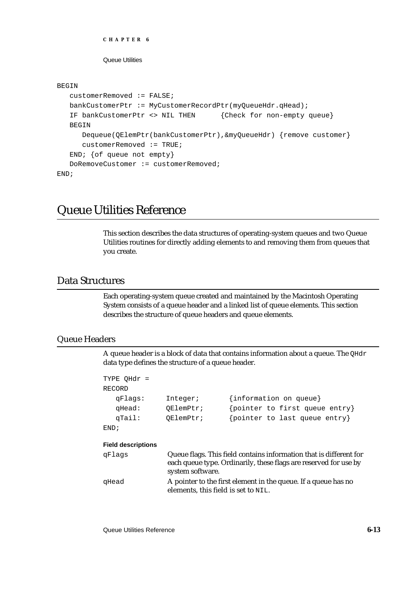```
CHAPTER 6
```
#### BEGIN

```
customerRemoved := FALSE;
   bankCustomerPtr := MyCustomerRecordPtr(myQueueHdr.qHead);
   IF bankCustomerPtr <> NIL THEN {Check for non-empty queue}
   BEGIN
     Dequeue(QElemPtr(bankCustomerPtr),&myQueueHdr) {remove customer}
      customerRemoved := TRUE;
   END; {of queue not empty}
   DoRemoveCustomer := customerRemoved;
END;
```
### Queue Utilities Reference

This section describes the data structures of operating-system queues and two Queue Utilities routines for directly adding elements to and removing them from queues that you create.

### Data Structures

Each operating-system queue created and maintained by the Macintosh Operating System consists of a queue header and a linked list of queue elements. This section describes the structure of queue headers and queue elements.

#### Queue Headers

A queue header is a block of data that contains information about a queue. The QHdr data type defines the structure of a queue header.

| TYPE OHdr =               |                                        |                                                                                                                                        |
|---------------------------|----------------------------------------|----------------------------------------------------------------------------------------------------------------------------------------|
| RECORD                    |                                        |                                                                                                                                        |
| qFlaqs:                   | Integer;                               | {information on queue}                                                                                                                 |
| qHead:                    | OElemPtr;                              | {pointer to first queue entry}                                                                                                         |
| qTail:                    | OElemPtr;                              | {pointer to last queue entry}                                                                                                          |
| END;                      |                                        |                                                                                                                                        |
| <b>Field descriptions</b> |                                        |                                                                                                                                        |
| qFlaqs                    | system software.                       | Queue flags. This field contains information that is different for<br>each queue type. Ordinarily, these flags are reserved for use by |
| qHead                     | elements, this field is set to $NIL$ . | A pointer to the first element in the queue. If a queue has no                                                                         |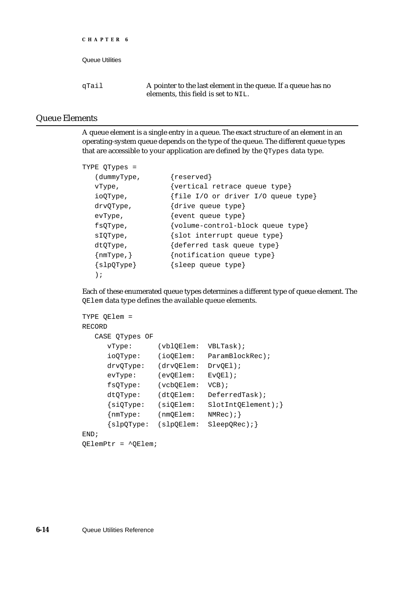| Queue Utilities |                                                                                                      |
|-----------------|------------------------------------------------------------------------------------------------------|
| qTail           | A pointer to the last element in the queue. If a queue has no<br>elements, this field is set to NIL. |

### Queue Elements

**CHAPTER 6**

A queue element is a single entry in a queue. The exact structure of an element in an operating-system queue depends on the type of the queue. The different queue types that are accessible to your application are defined by the QTypes data type.

```
TYPE QTypes =
  (dummyType, {reserved}
  vType, {vertical retrace queue type}
  ioQType, {file I/O or driver I/O queue type}
  drvQType, {drive queue type}
  evType, {event queue type}
  fsQType, {volume-control-block queue type}
  sIQType, {slot interrupt queue type}
  dtQType, {deferred task queue type}
  {nmType,} {notification queue type}
  {slpQType} {sleep queue type}
  );
```
Each of these enumerated queue types determines a different type of queue element. The QElem data type defines the available queue elements.

```
TYPE QElem = 
RECORD
  CASE QTypes OF
     vType: (vblQElem: VBLTask);
     ioQType: (ioQElem: ParamBlockRec);
     drvQType: (drvQElem: DrvQEl);
     evType: (evQElem: EvQEl);
     fsQType: (vcbQElem: VCB);
     dtQType: (dtQElem: DeferredTask);
     {siQType: (siQElem: SlotIntQElement);}
     {mmType: (nmQElem: NMRec)}{slpQType: (slpQElem: SleepQRec);}
END;
QElemPtr = ^QElem;
```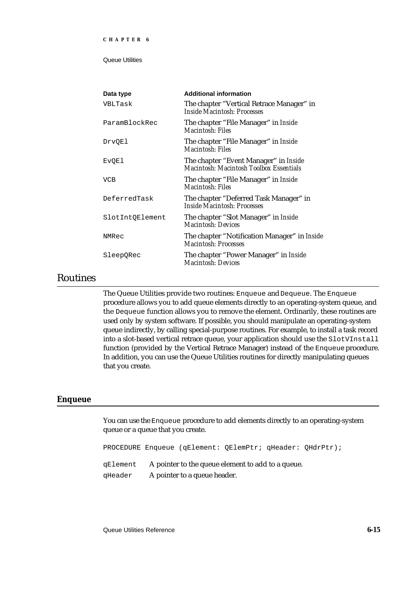| Data type       | <b>Additional information</b>                                                    |
|-----------------|----------------------------------------------------------------------------------|
| VBLTask         | The chapter "Vertical Retrace Manager" in<br>Inside Macintosh: Processes         |
| ParamBlockRec   | The chapter "File Manager" in Inside<br>Macintosh: Files                         |
| <b>DrvQEl</b>   | The chapter "File Manager" in Inside<br>Macintosh: Files                         |
| <b>EVQE1</b>    | The chapter "Event Manager" in Inside<br>Macintosh: Macintosh Toolbox Essentials |
| <b>VCB</b>      | The chapter "File Manager" in Inside<br>Macintosh: Files                         |
| DeferredTask    | The chapter "Deferred Task Manager" in<br>Inside Macintosh: Processes            |
| SlotIntQElement | The chapter "Slot Manager" in Inside<br>Macintosh: Devices                       |
| NMRec           | The chapter "Notification Manager" in Inside<br>Macintosh: Processes             |
| SleepQRec       | The chapter "Power Manager" in Inside<br>Macintosh: Devices                      |
|                 |                                                                                  |

### Routines

The Queue Utilities provide two routines: Enqueue and Dequeue. The Enqueue procedure allows you to add queue elements directly to an operating-system queue, and the Dequeue function allows you to remove the element. Ordinarily, these routines are used only by system software. If possible, you should manipulate an operating-system queue indirectly, by calling special-purpose routines. For example, to install a task record into a slot-based vertical retrace queue, your application should use the SlotVInstall function (provided by the Vertical Retrace Manager) instead of the Enqueue procedure. In addition, you can use the Queue Utilities routines for directly manipulating queues that you create.

#### **Enqueue**

You can use the Enqueue procedure to add elements directly to an operating-system queue or a queue that you create.

PROCEDURE Enqueue (qElement: QElemPtr; qHeader: QHdrPtr); qElement A pointer to the queue element to add to a queue. qHeader A pointer to a queue header.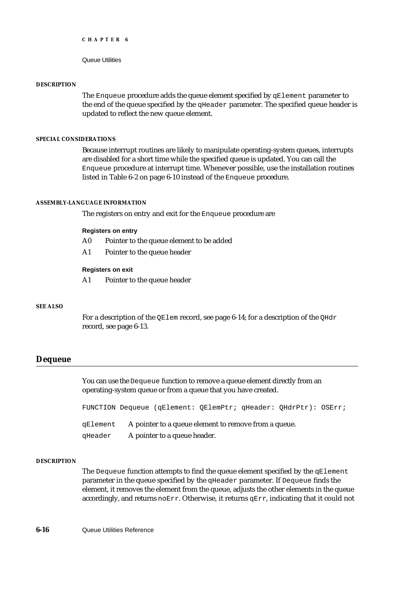Queue Utilities

#### **DESCRIPTION**

The Enqueue procedure adds the queue element specified by qElement parameter to the end of the queue specified by the qHeader parameter. The specified queue header is updated to reflect the new queue element.

#### **SPECIAL CONSIDERATIONS**

Because interrupt routines are likely to manipulate operating-system queues, interrupts are disabled for a short time while the specified queue is updated. You can call the Enqueue procedure at interrupt time. Whenever possible, use the installation routines listed in Table 6-2 on page 6-10 instead of the Enqueue procedure.

#### **ASSEMBLY-LANGUAGE INFORMATION**

The registers on entry and exit for the Enqueue procedure are

#### **Registers on entry**

- A0 Pointer to the queue element to be added
- A1 Pointer to the queue header

#### **Registers on exit**

A1 Pointer to the queue header

#### **SEE ALSO**

For a description of the QElem record, see page 6-14; for a description of the QHdr record, see page 6-13.

#### **Dequeue**

You can use the Dequeue function to remove a queue element directly from an operating-system queue or from a queue that you have created.

FUNCTION Dequeue (qElement: QElemPtr; qHeader: QHdrPtr): OSErr; qElement A pointer to a queue element to remove from a queue. qHeader A pointer to a queue header.

#### **DESCRIPTION**

The Dequeue function attempts to find the queue element specified by the  $qE$ lement parameter in the queue specified by the qHeader parameter. If Dequeue finds the element, it removes the element from the queue, adjusts the other elements in the queue accordingly, and returns  $\eta_0 E \to \eta_1$ . Otherwise, it returns  $\eta_0 E \to \eta_2$ , indicating that it could not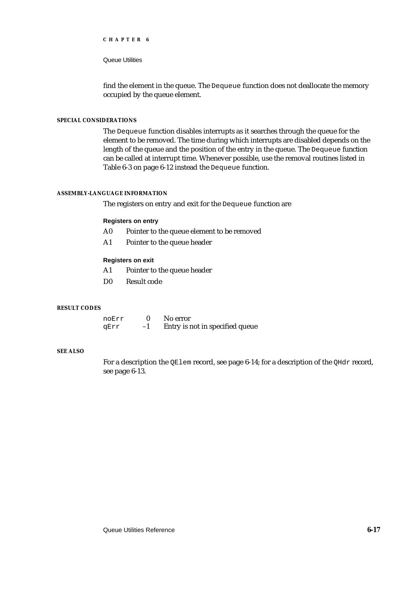#### Queue Utilities

find the element in the queue. The Dequeue function does not deallocate the memory occupied by the queue element.

#### **SPECIAL CONSIDERATIONS**

The Dequeue function disables interrupts as it searches through the queue for the element to be removed. The time during which interrupts are disabled depends on the length of the queue and the position of the entry in the queue. The Dequeue function can be called at interrupt time. Whenever possible, use the removal routines listed in Table 6-3 on page 6-12 instead the Dequeue function.

#### **ASSEMBLY-LANGUAGE INFORMATION**

The registers on entry and exit for the Dequeue function are

#### **Registers on entry**

- A0 Pointer to the queue element to be removed
- A1 Pointer to the queue header

#### **Registers on exit**

- A1 Pointer to the queue header
- D0 Result code

#### **RESULT CODES**

| noErr |      | No error                        |
|-------|------|---------------------------------|
| qErr  | $-1$ | Entry is not in specified queue |

#### **SEE ALSO**

For a description the QElem record, see page 6-14; for a description of the QHdr record, see page 6-13.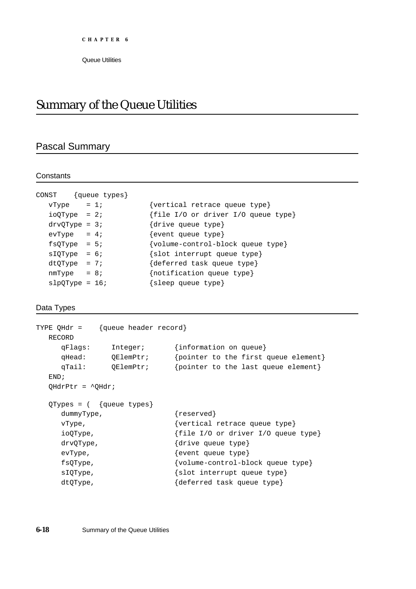## Summary of the Queue Utilities

### Pascal Summary

#### **Constants**

| CONST {queue types}      |                                     |
|--------------------------|-------------------------------------|
| $vType = 1;$             | {vertical retrace queue type}       |
| $ioQType = 2i$           | {file I/O or driver I/O queue type} |
| $\frac{divQType}{}$ = 3; | {drive queue type}                  |
| $evType = 4;$            | {event queue type}                  |
| $f$ sQType = 5;          | {volume-control-block queue type}   |
| $slQType = 6;$           | ${slot$ interrupt queue type}       |
| $dtQType = 7;$           | {deferred task queue type}          |
| $nmType = 8;$            | {notification queue type}           |
| $slpQType = 16;$         | {sleep queue type}                  |
|                          |                                     |

#### Data Types

```
TYPE QHdr = {queue header record}
 RECORD
    qFlags: Integer; {information on queue}
    qHead: QElemPtr; {pointer to the first queue element}
    qTail: QElemPtr; {pointer to the last queue element}
  END;
  QHdrPtr = ^QHdr;
  QTypes = ( {queue types}
    dummyType, \{respect\}vType, {vertex}ioQType, {file I/O or driver I/O queue type}
    drvQType, \{drive queue type\}evType, {every}fsQType, {volume-control-block queue type}
    sIQType, {slot interrupt queue type}
    dtQType, {deferred task queue type}
```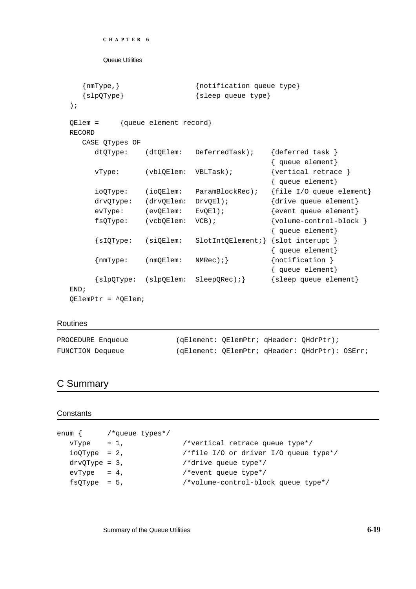```
{nmType,} {notification queue type}
  {slpQType} {sleep queue type}
);
QElem = {queue element record}
RECORD
  CASE QTypes OF
     dtQType: (dtQElem: DeferredTask); {deferred task }
                                        { queue element}
    vType: (vblQElem: VBLTask); {vertical retrace }
                                        { queue element}
     ioQType: (ioQElem: ParamBlockRec); {file I/O queue element}
    drvQType: (drvQElem: DrvQEl); {drive queue element}
     evType: (evOElem: EvOEl); {event queue element}
    fsQType: (vcbQElem: VCB); {volume-control-block }
                                        { queue element}
     {sIQType: (siQElem: SlotIntQElement;} {slot interupt }
                                        { queue element}
     {mmType:} (nmQElem: NMRec); {nollication}{ queue element}
     {slpQType: (slpQElem: SleepQRec);} {sleep queue element}
END;
```
QElemPtr = ^QElem;

#### Routines

| PROCEDURE Enqueue | (gElement: OElemPtr; gHeader: OHdrPtr);        |  |  |
|-------------------|------------------------------------------------|--|--|
| FUNCTION Dequeue  | (gElement: OElemPtr; gHeader: OHdrPtr): OSErr; |  |  |

### C Summary

#### **Constants**

```
enum { /*queue types*/
  vType = 1, /*vertical retrace queue type*/
  ioQType = 2, \frac{i}{\sqrt{t}} /*file I/O or driver I/O queue type*/
  drvQType = 3, / *drive queue type*/\text{evType} = 4, \text{/*event queue type*}/fsQType = 5, /*volume-control-block queue type*/
```
Summary of the Queue Utilities **6-19**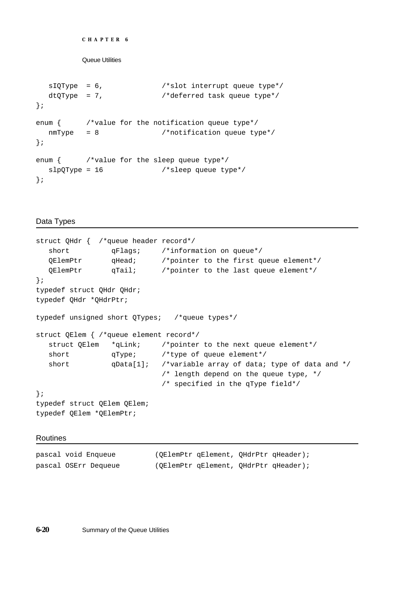```
CHAPTER 6
```

```
sIQType = 6, /*slot interrupt queue type*/dtQType = 7, /*deferred task queue type*/
};
enum { /*value for the notification queue type*/
  nmType = 8 /*notification queue type*/
};
enum { /*value for the sleep queue type*/
  slpQType = 16 /*sleep queue type*/
};
```
#### Data Types

```
struct QHdr { /*queue header record*/
  short qFlags; /*information on queue*/
  QElemPtr qHead; /*pointer to the first queue element*/
  QElemPtr qTail; /*pointer to the last queue element*/
};
typedef struct QHdr QHdr;
typedef QHdr *QHdrPtr;
typedef unsigned short QTypes; /*queue types*/
struct QElem { /*queue element record*/
  struct QElem *qLink; /*pointer to the next queue element*/
  short qType; /*type of queue element*/
  short qData[1]; /*variable array of data; type of data and */
                           /* length depend on the queue type, */
                           /* specified in the qType field*/
};
typedef struct QElem QElem;
typedef QElem *QElemPtr;
```
Routines

| pascal void Enqueue  | (QElemPtr qElement, QHdrPtr qHeader); |  |
|----------------------|---------------------------------------|--|
| pascal OSErr Dequeue | (OElemPtr qElement, OHdrPtr qHeader); |  |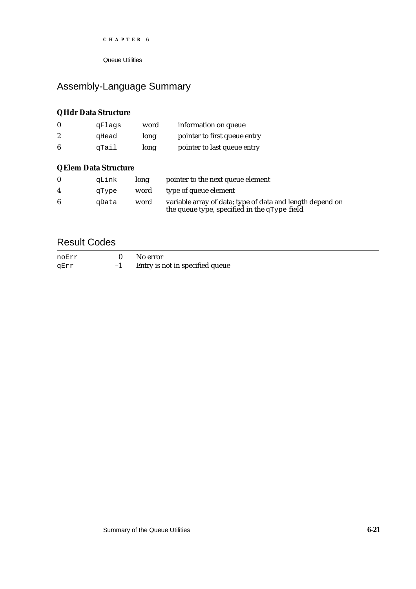Queue Utilities

### Assembly-Language Summary

### **QHdr Data Structure**

| $\bf{0}$         | qFlaqs | word | information on queue         |
|------------------|--------|------|------------------------------|
| $\boldsymbol{2}$ | qHead  | long | pointer to first queue entry |
| 6                | qTail  | long | pointer to last queue entry  |

### **QElem Data Structure**

|   | qLink | long | pointer to the next queue element                                                                         |
|---|-------|------|-----------------------------------------------------------------------------------------------------------|
| 4 | qType |      | word type of queue element                                                                                |
| 6 | aData | word | variable array of data; type of data and length depend on<br>the queue type, specified in the qType field |

### Result Codes

| noErr |      | No error                        |
|-------|------|---------------------------------|
| qErr  | $-1$ | Entry is not in specified queue |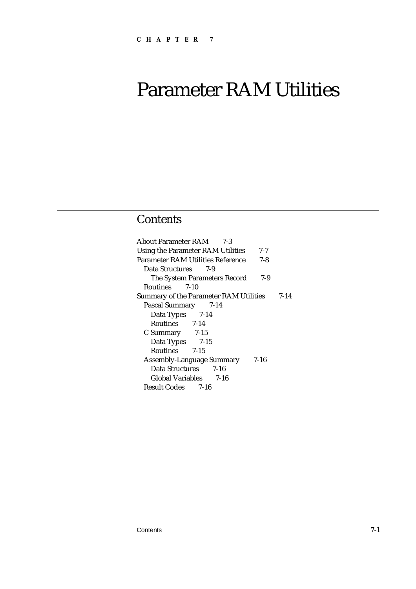# Parameter RAM Utilities

### **Contents**

About Parameter RAM 7-3 Using the Parameter RAM Utilities 7-7 Parameter RAM Utilities Reference 7-8 Data Structures 7-9 The System Parameters Record 7-9 Routines 7-10 Summary of the Parameter RAM Utilities 7-14 Pascal Summary 7-14 Data Types 7-14 Routines 7-14 C Summary 7-15 Data Types 7-15 Routines 7-15 Assembly-Language Summary 7-16 Data Structures 7-16 Global Variables 7-16 Result Codes 7-16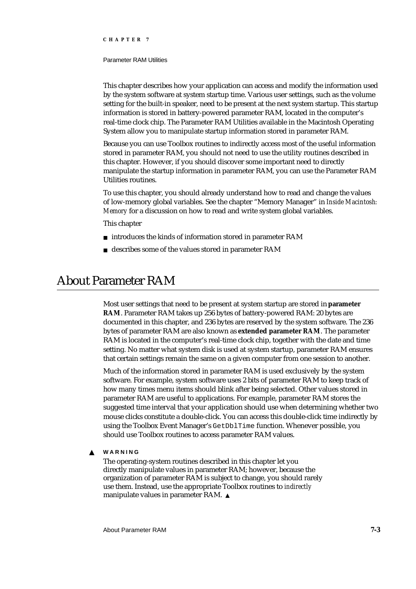#### Parameter RAM Utilities

This chapter describes how your application can access and modify the information used by the system software at system startup time. Various user settings, such as the volume setting for the built-in speaker, need to be present at the next system startup. This startup information is stored in battery-powered parameter RAM, located in the computer's real-time clock chip. The Parameter RAM Utilities available in the Macintosh Operating System allow you to manipulate startup information stored in parameter RAM.

Because you can use Toolbox routines to indirectly access most of the useful information stored in parameter RAM, you should not need to use the utility routines described in this chapter. However, if you should discover some important need to directly manipulate the startup information in parameter RAM, you can use the Parameter RAM Utilities routines.

To use this chapter, you should already understand how to read and change the values of low-memory global variables. See the chapter "Memory Manager" in *Inside Macintosh: Memory* for a discussion on how to read and write system global variables.

#### This chapter

- n introduces the kinds of information stored in parameter RAM
- describes some of the values stored in parameter RAM

### About Parameter RAM

Most user settings that need to be present at system startup are stored in **parameter RAM**. Parameter RAM takes up 256 bytes of battery-powered RAM: 20 bytes are documented in this chapter, and 236 bytes are reserved by the system software. The 236 bytes of parameter RAM are also known as **extended parameter RAM**. The parameter RAM is located in the computer's real-time clock chip, together with the date and time setting. No matter what system disk is used at system startup, parameter RAM ensures that certain settings remain the same on a given computer from one session to another.

Much of the information stored in parameter RAM is used exclusively by the system software. For example, system software uses 2 bits of parameter RAM to keep track of how many times menu items should blink after being selected. Other values stored in parameter RAM are useful to applications. For example, parameter RAM stores the suggested time interval that your application should use when determining whether two mouse clicks constitute a double-click. You can access this double-click time indirectly by using the Toolbox Event Manager's GetDblTime function. Whenever possible, you should use Toolbox routines to access parameter RAM values.

**WARNING**  $\mathbf{s}$ 

> The operating-system routines described in this chapter let you directly manipulate values in parameter RAM; however, because the organization of parameter RAM is subject to change, you should rarely use them. Instead, use the appropriate Toolbox routines to *indirectly* manipulate values in parameter RAM.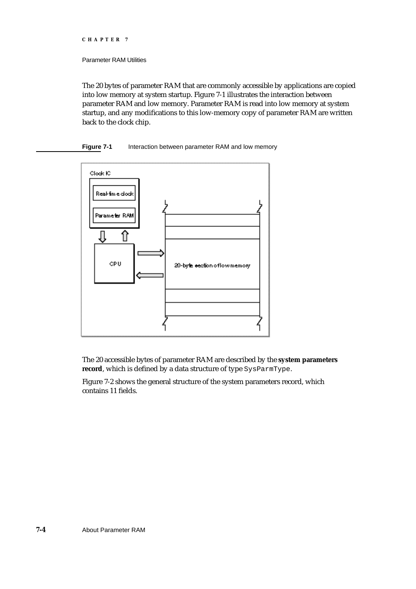#### Parameter RAM Utilities

The 20 bytes of parameter RAM that are commonly accessible by applications are copied into low memory at system startup. Figure 7-1 illustrates the interaction between parameter RAM and low memory. Parameter RAM is read into low memory at system startup, and any modifications to this low-memory copy of parameter RAM are written back to the clock chip.

#### **Figure 7-1** Interaction between parameter RAM and low memory



The 20 accessible bytes of parameter RAM are described by the **system parameters record**, which is defined by a data structure of type SysParmType.

Figure 7-2 shows the general structure of the system parameters record, which contains 11 fields.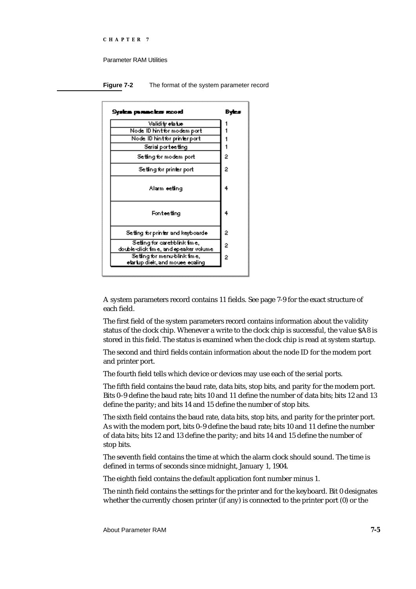#### Parameter RAM Utilities

**Figure 7-2** The format of the system parameter record



A system parameters record contains 11 fields. See page 7-9 for the exact structure of each field.

The first field of the system parameters record contains information about the validity status of the clock chip. Whenever a write to the clock chip is successful, the value \$A8 is stored in this field. The status is examined when the clock chip is read at system startup.

The second and third fields contain information about the node ID for the modem port and printer port.

The fourth field tells which device or devices may use each of the serial ports.

The fifth field contains the baud rate, data bits, stop bits, and parity for the modem port. Bits 0–9 define the baud rate; bits 10 and 11 define the number of data bits; bits 12 and 13 define the parity; and bits 14 and 15 define the number of stop bits.

The sixth field contains the baud rate, data bits, stop bits, and parity for the printer port. As with the modem port, bits 0–9 define the baud rate; bits 10 and 11 define the number of data bits; bits 12 and 13 define the parity; and bits 14 and 15 define the number of stop bits.

The seventh field contains the time at which the alarm clock should sound. The time is defined in terms of seconds since midnight, January 1, 1904.

The eighth field contains the default application font number minus 1.

The ninth field contains the settings for the printer and for the keyboard. Bit 0 designates whether the currently chosen printer (if any) is connected to the printer port (0) or the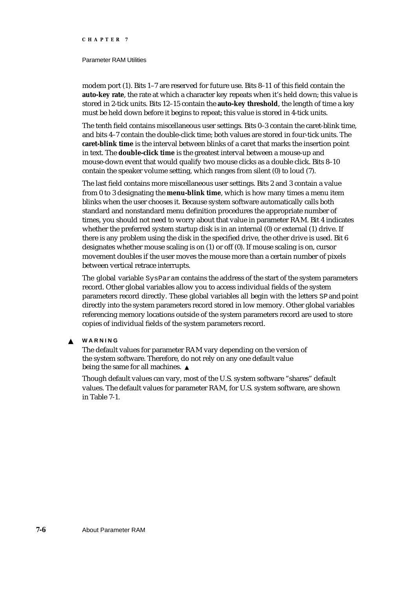#### Parameter RAM Utilities

modem port (1). Bits 1–7 are reserved for future use. Bits 8–11 of this field contain the **auto-key rate**, the rate at which a character key repeats when it's held down; this value is stored in 2-tick units. Bits 12–15 contain the **auto-key threshold**, the length of time a key must be held down before it begins to repeat; this value is stored in 4-tick units.

The tenth field contains miscellaneous user settings. Bits 0–3 contain the caret-blink time, and bits 4–7 contain the double-click time; both values are stored in four-tick units. The **caret-blink time** is the interval between blinks of a caret that marks the insertion point in text. The **double-click time** is the greatest interval between a mouse-up and mouse-down event that would qualify two mouse clicks as a double click. Bits 8–10 contain the speaker volume setting, which ranges from silent (0) to loud (7).

The last field contains more miscellaneous user settings. Bits 2 and 3 contain a value from 0 to 3 designating the **menu-blink time**, which is how many times a menu item blinks when the user chooses it. Because system software automatically calls both standard and nonstandard menu definition procedures the appropriate number of times, you should not need to worry about that value in parameter RAM. Bit 4 indicates whether the preferred system startup disk is in an internal (0) or external (1) drive. If there is any problem using the disk in the specified drive, the other drive is used. Bit 6 designates whether mouse scaling is on (1) or off (0). If mouse scaling is on, cursor movement doubles if the user moves the mouse more than a certain number of pixels between vertical retrace interrupts.

The global variable SysParam contains the address of the start of the system parameters record. Other global variables allow you to access individual fields of the system parameters record directly. These global variables all begin with the letters SP and point directly into the system parameters record stored in low memory. Other global variables referencing memory locations outside of the system parameters record are used to store copies of individual fields of the system parameters record.

**WARNING**  $\mathbf{s}$ 

> The default values for parameter RAM vary depending on the version of the system software. Therefore, do not rely on any one default value being the same for all machines.

Though default values can vary, most of the U.S. system software "shares" default values. The default values for parameter RAM, for U.S. system software, are shown in Table 7-1.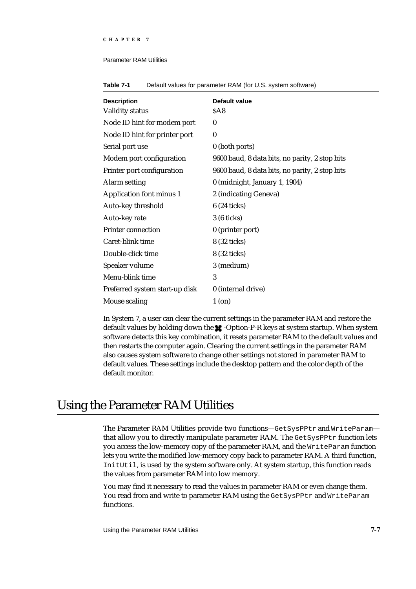#### Parameter RAM Utilities

| <b>Description</b>              | Default value                                  |
|---------------------------------|------------------------------------------------|
| <b>Validity status</b>          | \$A8                                           |
| Node ID hint for modem port     | $\bf{0}$                                       |
| Node ID hint for printer port   | $\bf{0}$                                       |
| Serial port use                 | 0 (both ports)                                 |
| Modem port configuration        | 9600 baud, 8 data bits, no parity, 2 stop bits |
| Printer port configuration      | 9600 baud, 8 data bits, no parity, 2 stop bits |
| <b>Alarm setting</b>            | 0 (midnight, January 1, 1904)                  |
| <b>Application font minus 1</b> | 2 (indicating Geneva)                          |
| Auto-key threshold              | 6 (24 ticks)                                   |
| Auto-key rate                   | 3 (6 ticks)                                    |
| <b>Printer connection</b>       | 0 (printer port)                               |
| Caret-blink time                | 8 (32 ticks)                                   |
| Double-click time               | 8 (32 ticks)                                   |
| Speaker volume                  | 3 (medium)                                     |
| Menu-blink time                 | 3                                              |
| Preferred system start-up disk  | 0 (internal drive)                             |
| Mouse scaling                   | 1 (on)                                         |

**Table 7-1** Default values for parameter RAM (for U.S. system software)

In System 7, a user can clear the current settings in the parameter RAM and restore the default values by holding down the  $\star$ -Option-P-R keys at system startup. When system software detects this key combination, it resets parameter RAM to the default values and then restarts the computer again. Clearing the current settings in the parameter RAM also causes system software to change other settings not stored in parameter RAM to default values. These settings include the desktop pattern and the color depth of the default monitor.

### Using the Parameter RAM Utilities

The Parameter RAM Utilities provide two functions-GetSysPPtr and WriteParamthat allow you to directly manipulate parameter RAM. The GetSysPPtr function lets you access the low-memory copy of the parameter RAM, and the WriteParam function lets you write the modified low-memory copy back to parameter RAM. A third function, InitUtil, is used by the system software only. At system startup, this function reads the values from parameter RAM into low memory.

You may find it necessary to read the values in parameter RAM or even change them. You read from and write to parameter RAM using the GetSysPPtr and WriteParam functions.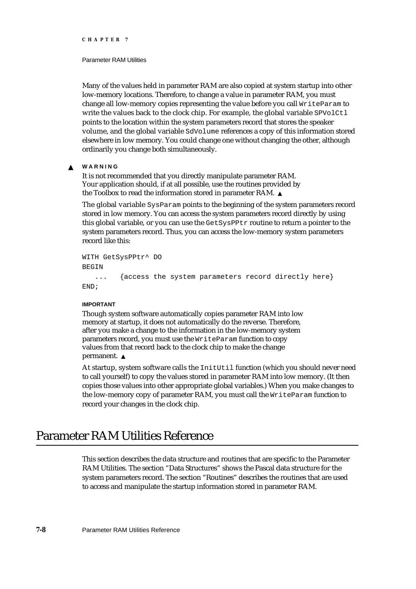#### Parameter RAM Utilities

Many of the values held in parameter RAM are also copied at system startup into other low-memory locations. Therefore, to change a value in parameter RAM, you must change all low-memory copies representing the value before you call WriteParam to write the values back to the clock chip. For example, the global variable  $SPUolCL$ points to the location within the system parameters record that stores the speaker volume, and the global variable SdVolume references a copy of this information stored elsewhere in low memory. You could change one without changing the other, although ordinarily you change both simultaneously.

#### **WARNING**  $\mathbf{c}$

It is not recommended that you directly manipulate parameter RAM. Your application should, if at all possible, use the routines provided by the Toolbox to read the information stored in parameter RAM.

The global variable SysParam points to the beginning of the system parameters record stored in low memory. You can access the system parameters record directly by using this global variable, or you can use the GetSysPPtr routine to return a pointer to the system parameters record. Thus, you can access the low-memory system parameters record like this:

```
WITH GetSysPPtr^ DO
BEGIN
   ... {access the system parameters record directly here}
END;
```
#### **IMPORTANT**

Though system software automatically copies parameter RAM into low memory at startup, it does not automatically do the reverse. Therefore, after you make a change to the information in the low-memory system parameters record, you must use the WriteParam function to copy values from that record back to the clock chip to make the change permanent. s

At startup, system software calls the InitUtil function (which you should never need to call yourself) to copy the values stored in parameter RAM into low memory. (It then copies those values into other appropriate global variables.) When you make changes to the low-memory copy of parameter RAM, you must call the WriteParam function to record your changes in the clock chip.

### Parameter RAM Utilities Reference

This section describes the data structure and routines that are specific to the Parameter RAM Utilities. The section "Data Structures" shows the Pascal data structure for the system parameters record. The section "Routines" describes the routines that are used to access and manipulate the startup information stored in parameter RAM.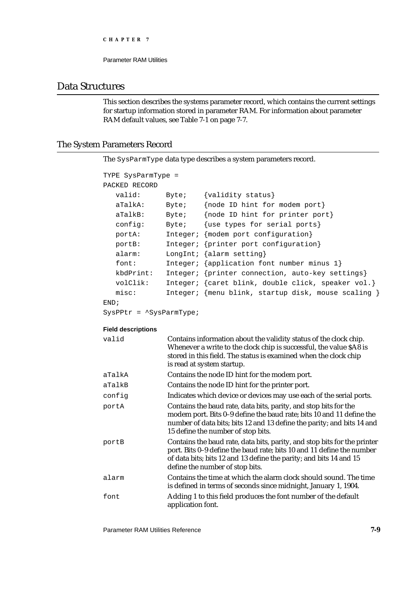# Data Structures

This section describes the systems parameter record, which contains the current settings for startup information stored in parameter RAM. For information about parameter RAM default values, see Table 7-1 on page 7-7.

# The System Parameters Record

The SysParmType data type describes a system parameters record.

```
TYPE SysParmType =
PACKED RECORD
  valid: Byte; {validity status}
  aTalkA: Byte; {node ID hint for modem port}
  aTalkB: Byte; {node ID hint for printer port}
  config: Byte; {use types for serial ports}
  portA: Integer; {modem port configuration}
  portB: Integer; {printer port configuration}
  alarm: LongInt; {alarm setting}
  font: Integer; {application font number minus 1}
  kbdPrint: Integer; {printer connection, auto-key settings}
  volClik: Integer; {caret blink, double click, speaker vol.}
  misc: Integer; {menu blink, startup disk, mouse scaling }
END;
```
SysPPtr = ^SysParmType;

#### **Field descriptions**

| valid  | Contains information about the validity status of the clock chip.<br>Whenever a write to the clock chip is successful, the value \$A8 is<br>stored in this field. The status is examined when the clock chip<br>is read at system startup.                 |
|--------|------------------------------------------------------------------------------------------------------------------------------------------------------------------------------------------------------------------------------------------------------------|
| aTalkA | Contains the node ID hint for the modem port.                                                                                                                                                                                                              |
| aTalkB | Contains the node ID hint for the printer port.                                                                                                                                                                                                            |
| config | Indicates which device or devices may use each of the serial ports.                                                                                                                                                                                        |
| portA  | Contains the baud rate, data bits, parity, and stop bits for the<br>modem port. Bits 0-9 define the baud rate; bits 10 and 11 define the<br>number of data bits; bits 12 and 13 define the parity; and bits 14 and<br>15 define the number of stop bits.   |
| portB  | Contains the baud rate, data bits, parity, and stop bits for the printer<br>port. Bits 0-9 define the baud rate; bits 10 and 11 define the number<br>of data bits; bits 12 and 13 define the parity; and bits 14 and 15<br>define the number of stop bits. |
| alarm  | Contains the time at which the alarm clock should sound. The time<br>is defined in terms of seconds since midnight, January 1, 1904.                                                                                                                       |
| font   | Adding 1 to this field produces the font number of the default<br>application font.                                                                                                                                                                        |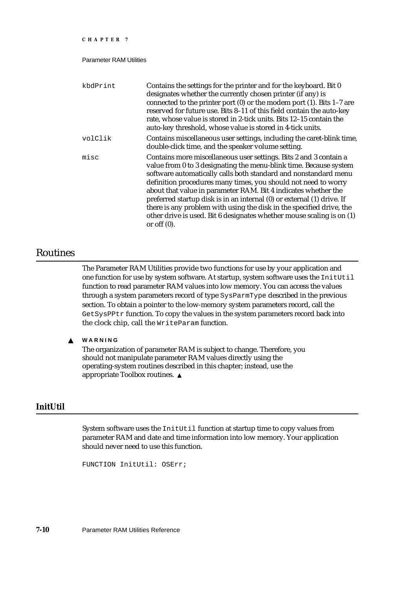| CHAPTER 7                      |                                                                                                                                                                                                                                                                                                                                                                                                                                                                                                                                                                                            |
|--------------------------------|--------------------------------------------------------------------------------------------------------------------------------------------------------------------------------------------------------------------------------------------------------------------------------------------------------------------------------------------------------------------------------------------------------------------------------------------------------------------------------------------------------------------------------------------------------------------------------------------|
| <b>Parameter RAM Utilities</b> |                                                                                                                                                                                                                                                                                                                                                                                                                                                                                                                                                                                            |
| kbdPrint                       | Contains the settings for the printer and for the keyboard. Bit 0<br>designates whether the currently chosen printer (if any) is<br>connected to the printer port $(0)$ or the modem port $(1)$ . Bits 1-7 are<br>reserved for future use. Bits 8-11 of this field contain the auto-key<br>rate, whose value is stored in 2-tick units. Bits 12-15 contain the<br>auto-key threshold, whose value is stored in 4-tick units.                                                                                                                                                               |
| volClik                        | Contains miscellaneous user settings, including the caret-blink time,<br>double-click time, and the speaker volume setting.                                                                                                                                                                                                                                                                                                                                                                                                                                                                |
| misc                           | Contains more miscellaneous user settings. Bits 2 and 3 contain a<br>value from 0 to 3 designating the menu-blink time. Because system<br>software automatically calls both standard and nonstandard menu<br>definition procedures many times, you should not need to worry<br>about that value in parameter RAM. Bit 4 indicates whether the<br>preferred startup disk is in an internal (0) or external (1) drive. If<br>there is any problem with using the disk in the specified drive, the<br>other drive is used. Bit 6 designates whether mouse scaling is on (1)<br>or off $(0)$ . |

# Routines

The Parameter RAM Utilities provide two functions for use by your application and one function for use by system software. At startup, system software uses the InitUtil function to read parameter RAM values into low memory. You can access the values through a system parameters record of type SysParmType described in the previous section. To obtain a pointer to the low-memory system parameters record, call the GetSysPPtr function. To copy the values in the system parameters record back into the clock chip, call the WriteParam function.

**WARNING**  $\mathbf s$ 

> The organization of parameter RAM is subject to change. Therefore, you should not manipulate parameter RAM values directly using the operating-system routines described in this chapter; instead, use the appropriate Toolbox routines.

# **InitUtil**

System software uses the InitUtil function at startup time to copy values from parameter RAM and date and time information into low memory. Your application should never need to use this function.

```
FUNCTION InitUtil: OSErr;
```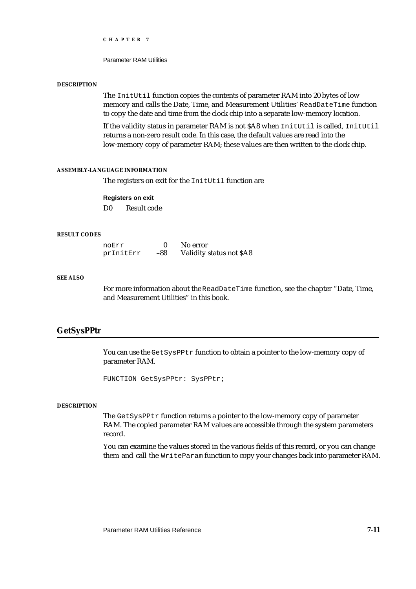Parameter RAM Utilities

#### **DESCRIPTION**

The InitUtil function copies the contents of parameter RAM into 20 bytes of low memory and calls the Date, Time, and Measurement Utilities' ReadDateTime function to copy the date and time from the clock chip into a separate low-memory location.

If the validity status in parameter RAM is not \$A8 when InitUtil is called, InitUtil returns a non-zero result code. In this case, the default values are read into the low-memory copy of parameter RAM; these values are then written to the clock chip.

## **ASSEMBLY-LANGUAGE INFORMATION**

The registers on exit for the InitUtil function are

#### **Registers on exit**

D0 Result code

## **RESULT CODES**

| noErr     |     | No error                 |
|-----------|-----|--------------------------|
| prInitErr | -88 | Validity status not \$A8 |

#### **SEE ALSO**

For more information about the ReadDateTime function, see the chapter "Date, Time, and Measurement Utilities" in this book.

# **GetSysPPtr**

You can use the GetSysPPtr function to obtain a pointer to the low-memory copy of parameter RAM.

FUNCTION GetSysPPtr: SysPPtr;

#### **DESCRIPTION**

The GetSysPPtr function returns a pointer to the low-memory copy of parameter RAM. The copied parameter RAM values are accessible through the system parameters record.

You can examine the values stored in the various fields of this record, or you can change them and call the WriteParam function to copy your changes back into parameter RAM.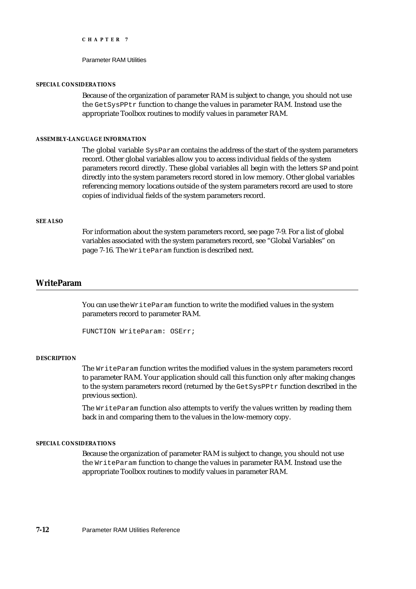Parameter RAM Utilities

#### **SPECIAL CONSIDERATIONS**

Because of the organization of parameter RAM is subject to change, you should not use the GetSysPPtr function to change the values in parameter RAM. Instead use the appropriate Toolbox routines to modify values in parameter RAM.

#### **ASSEMBLY-LANGUAGE INFORMATION**

The global variable SysParam contains the address of the start of the system parameters record. Other global variables allow you to access individual fields of the system parameters record directly. These global variables all begin with the letters SP and point directly into the system parameters record stored in low memory. Other global variables referencing memory locations outside of the system parameters record are used to store copies of individual fields of the system parameters record.

## **SEE ALSO**

For information about the system parameters record, see page 7-9. For a list of global variables associated with the system parameters record, see "Global Variables" on page 7-16. The WriteParam function is described next.

# **WriteParam**

You can use the WriteParam function to write the modified values in the system parameters record to parameter RAM.

```
FUNCTION WriteParam: OSErr;
```
# **DESCRIPTION**

The WriteParam function writes the modified values in the system parameters record to parameter RAM. Your application should call this function only after making changes to the system parameters record (returned by the GetSysPPtr function described in the previous section).

The WriteParam function also attempts to verify the values written by reading them back in and comparing them to the values in the low-memory copy.

#### **SPECIAL CONSIDERATIONS**

Because the organization of parameter RAM is subject to change, you should not use the WriteParam function to change the values in parameter RAM. Instead use the appropriate Toolbox routines to modify values in parameter RAM.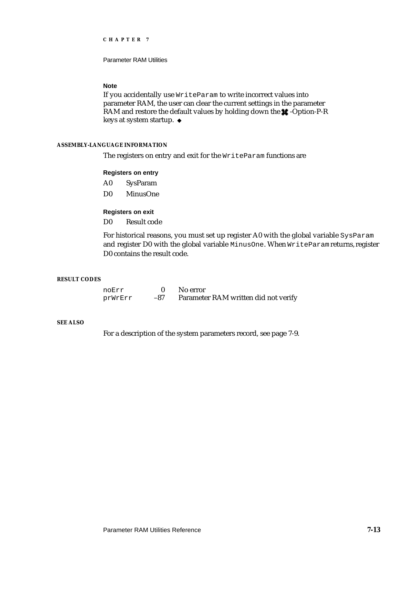Parameter RAM Utilities

# **Note**

If you accidentally use WriteParam to write incorrect values into parameter RAM, the user can clear the current settings in the parameter RAM and restore the default values by holding down the  $\star$ -Option-P-R keys at system startup.

## **ASSEMBLY-LANGUAGE INFORMATION**

The registers on entry and exit for the WriteParam functions are

## **Registers on entry**

- A0 SysParam
- D0 MinusOne

# **Registers on exit**

D0 Result code

For historical reasons, you must set up register A0 with the global variable SysParam and register D0 with the global variable MinusOne. When WriteParam returns, register D0 contains the result code.

### **RESULT CODES**

| noErr   |     | No error                             |
|---------|-----|--------------------------------------|
| prWrErr | -87 | Parameter RAM written did not verify |

# **SEE ALSO**

For a description of the system parameters record, see page 7-9.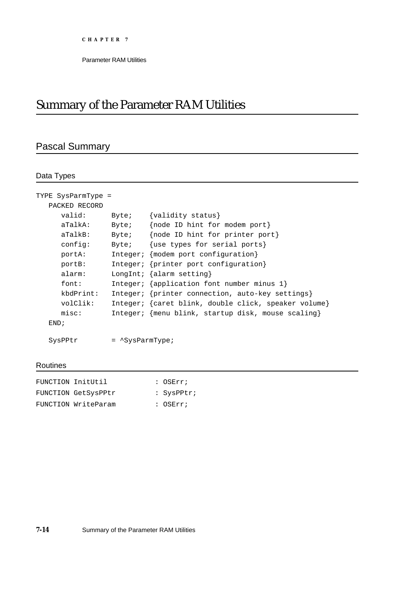# Summary of the Parameter RAM Utilities

# Pascal Summary

# Data Types

| TYPE SysParmType = |                              |                                                      |
|--------------------|------------------------------|------------------------------------------------------|
| PACKED RECORD      |                              |                                                      |
| valid:             | Byte;                        | {validity status}                                    |
| aTalkA:            | Byte;                        | {node ID hint for modem port}                        |
| aTalkB:            | Byte;                        | {node ID hint for printer port}                      |
| config:            | Byte;                        | {use types for serial ports}                         |
| portA:             |                              | Integer; ${modelm}$ port configuration}              |
| portB:             |                              | Integer; {printer port configuration}                |
| alarm:             |                              | LongInt; $\{$ alarm setting $\}$                     |
| font:              |                              | Integer; $\{application font number minus 1\}$       |
| kbdPrint:          |                              | Integer; {printer connection, auto-key settings}     |
| volClik:           |                              | Integer; {caret blink, double click, speaker volume} |
| misc:              |                              | Integer; {menu blink, startup disk, mouse scaling}   |
| END:               |                              |                                                      |
|                    |                              |                                                      |
| SysPPtr            | $=$ $^{\wedge}$ SysParmType; |                                                      |

# Routines

| FUNCTION InitUtil   | $:$ OSErr;    |
|---------------------|---------------|
| FUNCTION GetSysPPtr | : $SysPPLr$ ; |
| FUNCTION WriteParam | : OSErr;      |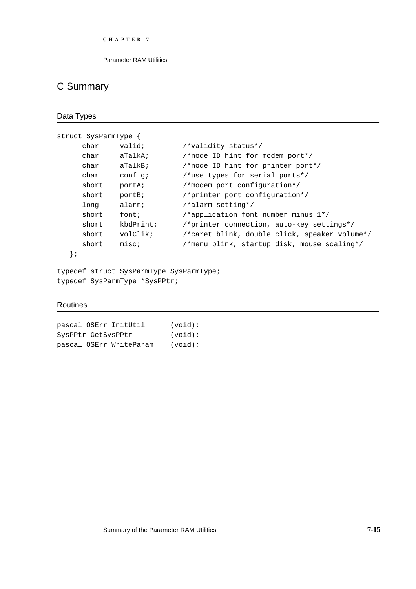# C Summary

```
Data Types
```

| struct SysParmType |           |                                               |  |  |
|--------------------|-----------|-----------------------------------------------|--|--|
| char               | valid;    | /*validity status*/                           |  |  |
| char               | aTalkA;   | /*node ID hint for modem port*/               |  |  |
| char               | aTableB   | /*node ID hint for printer port*/             |  |  |
| char               | config;   | /*use types for serial ports*/                |  |  |
| short              | portA;    | /*modem port configuration*/                  |  |  |
| short              | portB;    | /*printer port configuration*/                |  |  |
| long               | alarm;    | /*alarm setting*/                             |  |  |
| short              | font;     | /*application font number minus $1*/$         |  |  |
| short              | kbdPrint; | /*printer connection, auto-key settings*/     |  |  |
| short              | volClik;  | /*caret blink, double click, speaker volume*/ |  |  |
| short              | misc:     | /*menu blink, startup disk, mouse scaling*/   |  |  |
|                    |           |                                               |  |  |

```
};
```
typedef struct SysParmType SysParmType; typedef SysParmType \*SysPPtr;

# Routines

pascal OSErr InitUtil (void); SysPPtr GetSysPPtr (void); pascal OSErr WriteParam (void);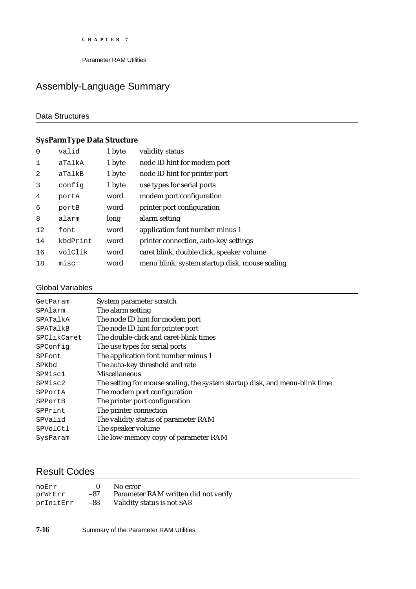# Assembly-Language Summary

# Data Structures

# **SysParmType Data Structure**

| $\Omega$ | valid    | 1 byte | validity status                                |
|----------|----------|--------|------------------------------------------------|
| 1        | aTalkA   | 1 byte | node ID hint for modem port                    |
| 2        | aTalkB   | 1 byte | node ID hint for printer port                  |
| 3        | config   | 1 byte | use types for serial ports                     |
| 4        | portA    | word   | modem port configuration                       |
| 6        | portB    | word   | printer port configuration                     |
| 8        | alarm    | long   | alarm setting                                  |
| 12       | font     | word   | application font number minus 1                |
| 14       | kbdPrint | word   | printer connection, auto-key settings          |
| 16       | volClik  | word   | caret blink, double click, speaker volume      |
| 18       | misc     | word   | menu blink, system startup disk, mouse scaling |

# Global Variables

| GetParam    | System parameter scratch                                                    |
|-------------|-----------------------------------------------------------------------------|
| SPAlarm     | The alarm setting                                                           |
| SPATalkA    | The node ID hint for modem port                                             |
| SPATalkB    | The node ID hint for printer port                                           |
| SPClikCaret | The double-click and caret-blink times                                      |
| SPConfig    | The use types for serial ports                                              |
| SPFont      | The application font number minus 1                                         |
| SPKbd       | The auto-key threshold and rate                                             |
| SPMisc1     | <b>Miscellaneous</b>                                                        |
| SPMisc2     | The setting for mouse scaling, the system startup disk, and menu-blink time |
| SPPortA     | The modem port configuration                                                |
| SPPortB     | The printer port configuration                                              |
| SPPrint     | The printer connection                                                      |
| SPValid     | The validity status of parameter RAM                                        |
| SPVolCtl    | The speaker volume                                                          |
| SysParam    | The low-memory copy of parameter RAM                                        |

# Result Codes

| noErr     |     | No error                             |
|-----------|-----|--------------------------------------|
| prWrErr   | -87 | Parameter RAM written did not verify |
| prInitErr | -88 | Validity status is not \$A8          |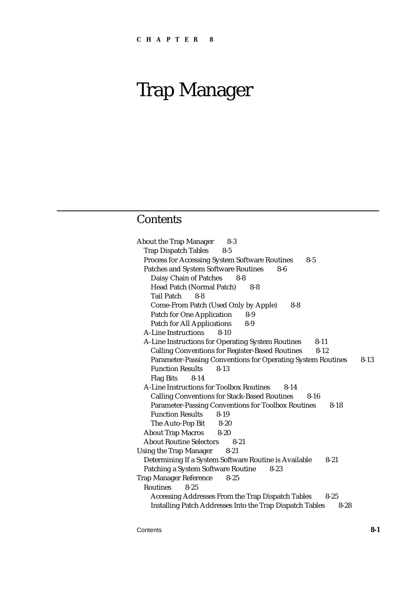# **Contents**

About the Trap Manager 8-3 Trap Dispatch Tables 8-5 Process for Accessing System Software Routines 8-5 Patches and System Software Routines 8-6 Daisy Chain of Patches 8-8 Head Patch (Normal Patch) 8-8 Tail Patch 8-8 Come-From Patch (Used Only by Apple) 8-8 Patch for One Application 8-9 Patch for All Applications 8-9 A-Line Instructions 8-10 A-Line Instructions for Operating System Routines 8-11 Calling Conventions for Register-Based Routines 8-12 Parameter-Passing Conventions for Operating System Routines 8-13 Function Results 8-13 Flag Bits 8-14 A-Line Instructions for Toolbox Routines 8-14 Calling Conventions for Stack-Based Routines 8-16 Parameter-Passing Conventions for Toolbox Routines 8-18 Function Results 8-19 The Auto-Pop Bit 8-20 About Trap Macros 8-20 About Routine Selectors 8-21 Using the Trap Manager 8-21 Determining If a System Software Routine is Available 8-21 Patching a System Software Routine 8-23 Trap Manager Reference 8-25 Routines 8-25 Accessing Addresses From the Trap Dispatch Tables 8-25 Installing Patch Addresses Into the Trap Dispatch Tables 8-28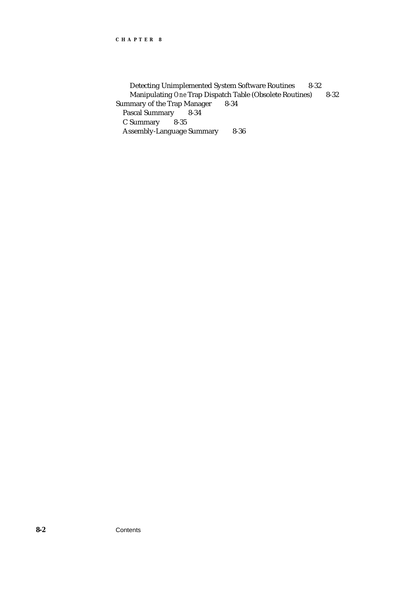Detecting Unimplemented System Software Routines 8-32 Manipulating *One* Trap Dispatch Table (Obsolete Routines) 8-32 Summary of the Trap Manager 8-34 Pascal Summary 8-34 C Summary Assembly-Language Summary 8-36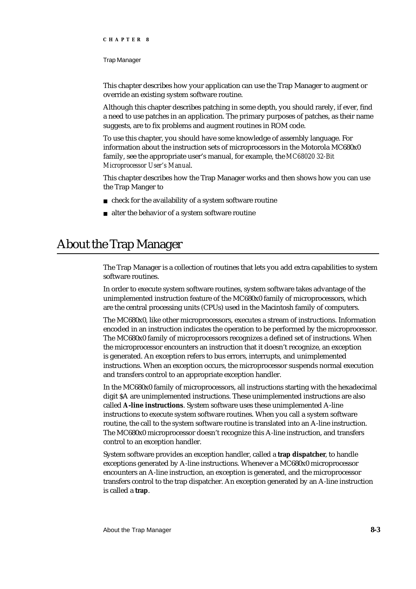#### Trap Manager

This chapter describes how your application can use the Trap Manager to augment or override an existing system software routine.

Although this chapter describes patching in some depth, you should rarely, if ever, find a need to use patches in an application. The primary purposes of patches, as their name suggests, are to fix problems and augment routines in ROM code.

To use this chapter, you should have some knowledge of assembly language. For information about the instruction sets of microprocessors in the Motorola MC680x0 family, see the appropriate user's manual, for example, the *MC68020 32-Bit Microprocessor User's Manual*.

This chapter describes how the Trap Manager works and then shows how you can use the Trap Manger to

- n check for the availability of a system software routine
- alter the behavior of a system software routine

# About the Trap Manager

The Trap Manager is a collection of routines that lets you add extra capabilities to system software routines.

In order to execute system software routines, system software takes advantage of the unimplemented instruction feature of the MC680x0 family of microprocessors, which are the central processing units (CPUs) used in the Macintosh family of computers.

The MC680x0, like other microprocessors, executes a stream of instructions. Information encoded in an instruction indicates the operation to be performed by the microprocessor. The MC680x0 family of microprocessors recognizes a defined set of instructions. When the microprocessor encounters an instruction that it doesn't recognize, an exception is generated. An exception refers to bus errors, interrupts, and unimplemented instructions. When an exception occurs, the microprocessor suspends normal execution and transfers control to an appropriate exception handler.

In the MC680x0 family of microprocessors, all instructions starting with the hexadecimal digit \$A are unimplemented instructions. These unimplemented instructions are also called **A-line instructions**. System software uses these unimplemented A-line instructions to execute system software routines. When you call a system software routine, the call to the system software routine is translated into an A-line instruction. The MC680x0 microprocessor doesn't recognize this A-line instruction, and transfers control to an exception handler.

System software provides an exception handler, called a **trap dispatcher**, to handle exceptions generated by A-line instructions. Whenever a MC680x0 microprocessor encounters an A-line instruction, an exception is generated, and the microprocessor transfers control to the trap dispatcher. An exception generated by an A-line instruction is called a **trap**.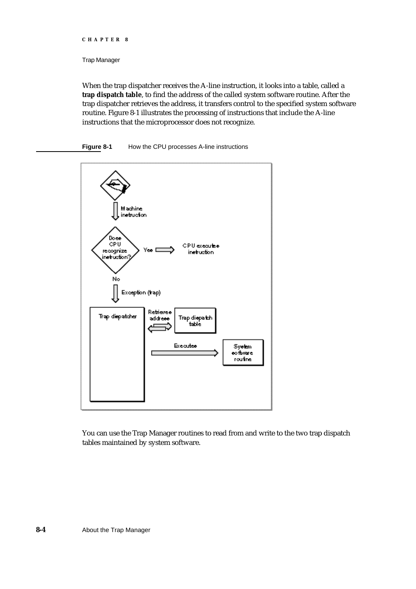Trap Manager

When the trap dispatcher receives the A-line instruction, it looks into a table, called a **trap dispatch table**, to find the address of the called system software routine. After the trap dispatcher retrieves the address, it transfers control to the specified system software routine. Figure 8-1 illustrates the processing of instructions that include the A-line instructions that the microprocessor does not recognize.

## **Figure 8-1** How the CPU processes A-line instructions



You can use the Trap Manager routines to read from and write to the two trap dispatch tables maintained by system software.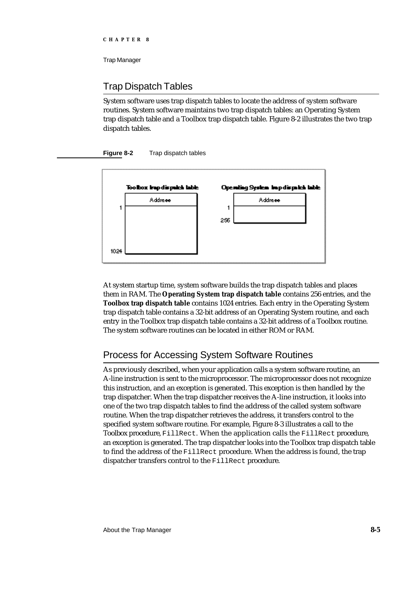# Trap Dispatch Tables

System software uses trap dispatch tables to locate the address of system software routines. System software maintains two trap dispatch tables: an Operating System trap dispatch table and a Toolbox trap dispatch table. Figure 8-2 illustrates the two trap dispatch tables.

# **Figure 8-2** Trap dispatch tables



At system startup time, system software builds the trap dispatch tables and places them in RAM. The **Operating System trap dispatch table** contains 256 entries, and the **Toolbox trap dispatch table** contains 1024 entries. Each entry in the Operating System trap dispatch table contains a 32-bit address of an Operating System routine, and each entry in the Toolbox trap dispatch table contains a 32-bit address of a Toolbox routine. The system software routines can be located in either ROM or RAM.

# Process for Accessing System Software Routines

As previously described, when your application calls a system software routine, an A-line instruction is sent to the microprocessor. The microprocessor does not recognize this instruction, and an exception is generated. This exception is then handled by the trap dispatcher. When the trap dispatcher receives the A-line instruction, it looks into one of the two trap dispatch tables to find the address of the called system software routine. When the trap dispatcher retrieves the address, it transfers control to the specified system software routine. For example, Figure 8-3 illustrates a call to the Toolbox procedure, FillRect. When the application calls the FillRect procedure, an exception is generated. The trap dispatcher looks into the Toolbox trap dispatch table to find the address of the FillRect procedure. When the address is found, the trap dispatcher transfers control to the FillRect procedure.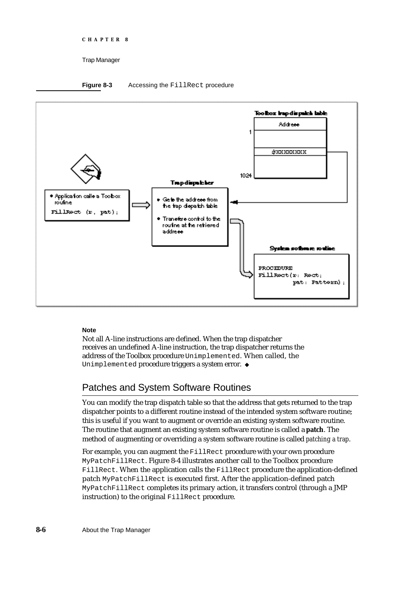```
CHAPTER 8
```
## **Figure 8-3** Accessing the FillRect procedure



# **Note**

Not all A-line instructions are defined. When the trap dispatcher receives an undefined A-line instruction, the trap dispatcher returns the address of the Toolbox procedure Unimplemented. When called, the Unimplemented procedure triggers a system error. u

# Patches and System Software Routines

You can modify the trap dispatch table so that the address that gets returned to the trap dispatcher points to a different routine instead of the intended system software routine; this is useful if you want to augment or override an existing system software routine. The routine that augment an existing system software routine is called a **patch**. The method of augmenting or overriding a system software routine is called *patching a trap*.

For example, you can augment the FillRect procedure with your own procedure MyPatchFillRect. Figure 8-4 illustrates another call to the Toolbox procedure FillRect. When the application calls the FillRect procedure the application-defined patch MyPatchFillRect is executed first. After the application-defined patch MyPatchFillRect completes its primary action, it transfers control (through a JMP instruction) to the original FillRect procedure.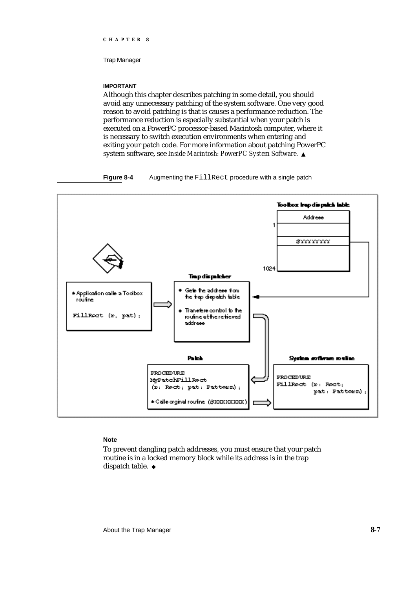Trap Manager

#### **IMPORTANT**

Although this chapter describes patching in some detail, you should avoid any unnecessary patching of the system software. One very good reason to avoid patching is that is causes a performance reduction. The performance reduction is especially substantial when your patch is executed on a PowerPC processor-based Macintosh computer, where it is necessary to switch execution environments when entering and exiting your patch code. For more information about patching PowerPC system software, see *Inside Macintosh: PowerPC System Software*.

### **Figure 8-4** Augmenting the FillRect procedure with a single patch



# **Note**

To prevent dangling patch addresses, you must ensure that your patch routine is in a locked memory block while its address is in the trap dispatch table. u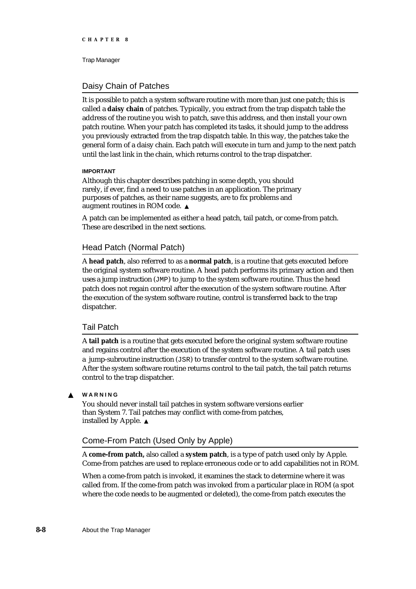# Daisy Chain of Patches

It is possible to patch a system software routine with more than just one patch; this is called a **daisy chain** of patches. Typically, you extract from the trap dispatch table the address of the routine you wish to patch, save this address, and then install your own patch routine. When your patch has completed its tasks, it should jump to the address you previously extracted from the trap dispatch table. In this way, the patches take the general form of a daisy chain. Each patch will execute in turn and jump to the next patch until the last link in the chain, which returns control to the trap dispatcher.

## **IMPORTANT**

Although this chapter describes patching in some depth, you should rarely, if ever, find a need to use patches in an application. The primary purposes of patches, as their name suggests, are to fix problems and augment routines in ROM code.

A patch can be implemented as either a head patch, tail patch, or come-from patch. These are described in the next sections.

# Head Patch (Normal Patch)

A **head patch**, also referred to as a **normal patch**, is a routine that gets executed before the original system software routine. A head patch performs its primary action and then uses a jump instruction (JMP) to jump to the system software routine. Thus the head patch does not regain control after the execution of the system software routine. After the execution of the system software routine, control is transferred back to the trap dispatcher.

# Tail Patch

A **tail patch** is a routine that gets executed before the original system software routine and regains control after the execution of the system software routine. A tail patch uses a jump-subroutine instruction (JSR) to transfer control to the system software routine. After the system software routine returns control to the tail patch, the tail patch returns control to the trap dispatcher.

#### **WARNING**  $\mathbf{s}$

You should never install tail patches in system software versions earlier than System 7. Tail patches may conflict with come-from patches, installed by Apple.

# Come-From Patch (Used Only by Apple)

A **come-from patch,** also called a **system patch**, is a type of patch used only by Apple. Come-from patches are used to replace erroneous code or to add capabilities not in ROM.

When a come-from patch is invoked, it examines the stack to determine where it was called from. If the come-from patch was invoked from a particular place in ROM (a spot where the code needs to be augmented or deleted), the come-from patch executes the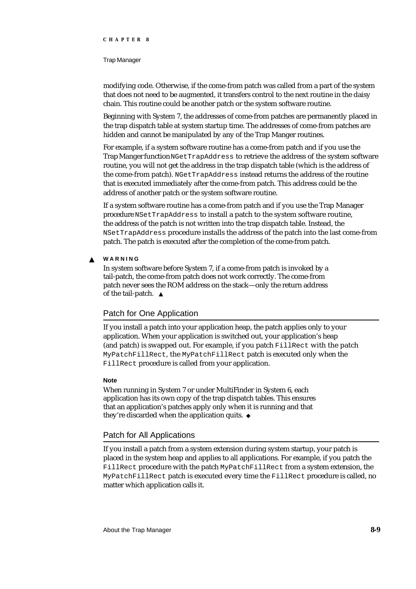#### Trap Manager

modifying code. Otherwise, if the come-from patch was called from a part of the system that does not need to be augmented, it transfers control to the next routine in the daisy chain. This routine could be another patch or the system software routine.

Beginning with System 7, the addresses of come-from patches are permanently placed in the trap dispatch table at system startup time. The addresses of come-from patches are hidden and cannot be manipulated by any of the Trap Manger routines.

For example, if a system software routine has a come-from patch and if you use the Trap Manger function NGetTrapAddress to retrieve the address of the system software routine, you will not get the address in the trap dispatch table (which is the address of the come-from patch). NGetTrapAddress instead returns the address of the routine that is executed immediately after the come-from patch. This address could be the address of another patch or the system software routine.

If a system software routine has a come-from patch and if you use the Trap Manager procedure NSetTrapAddress to install a patch to the system software routine, the address of the patch is not written into the trap dispatch table. Instead, the NSetTrapAddress procedure installs the address of the patch into the last come-from patch. The patch is executed after the completion of the come-from patch.

#### **WARNING**  $\mathbf{c}$

In system software before System 7, if a come-from patch is invoked by a tail-patch, the come-from patch does not work correctly. The come-from patch never sees the ROM address on the stack—only the return address of the tail-patch.

# Patch for One Application

If you install a patch into your application heap, the patch applies only to your application. When your application is switched out, your application's heap (and patch) is swapped out. For example, if you patch FillRect with the patch MyPatchFillRect, the MyPatchFillRect patch is executed only when the FillRect procedure is called from your application.

## **Note**

When running in System 7 or under MultiFinder in System 6, each application has its own copy of the trap dispatch tables. This ensures that an application's patches apply only when it is running and that they're discarded when the application quits.

# Patch for All Applications

If you install a patch from a system extension during system startup, your patch is placed in the system heap and applies to all applications. For example, if you patch the FillRect procedure with the patch MyPatchFillRect from a system extension, the MyPatchFillRect patch is executed every time the FillRect procedure is called, no matter which application calls it.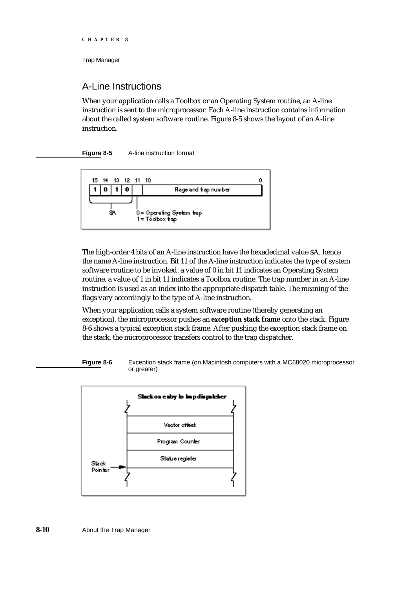# A-Line Instructions

When your application calls a Toolbox or an Operating System routine, an A-line instruction is sent to the microprocessor. Each A-line instruction contains information about the called system software routine. Figure 8-5 shows the layout of an A-line instruction.





The high-order 4 bits of an A-line instruction have the hexadecimal value \$A, hence the name A-line instruction. Bit 11 of the A-line instruction indicates the type of system software routine to be invoked: a value of 0 in bit 11 indicates an Operating System routine, a value of 1 in bit 11 indicates a Toolbox routine. The trap number in an A-line instruction is used as an index into the appropriate dispatch table. The meaning of the flags vary accordingly to the type of A-line instruction.

When your application calls a system software routine (thereby generating an exception), the microprocessor pushes an **exception stack frame** onto the stack. Figure 8-6 shows a typical exception stack frame. After pushing the exception stack frame on the stack, the microprocessor transfers control to the trap dispatcher.



**Figure 8-6** Exception stack frame (on Macintosh computers with a MC68020 microprocessor or greater)

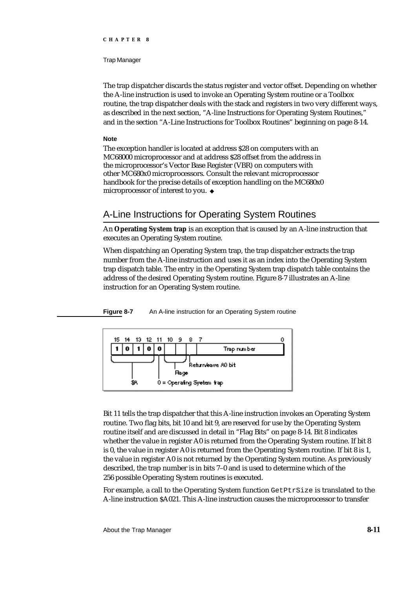#### Trap Manager

The trap dispatcher discards the status register and vector offset. Depending on whether the A-line instruction is used to invoke an Operating System routine or a Toolbox routine, the trap dispatcher deals with the stack and registers in two very different ways, as described in the next section, "A-line Instructions for Operating System Routines," and in the section "A-Line Instructions for Toolbox Routines" beginning on page 8-14.

#### **Note**

The exception handler is located at address \$28 on computers with an MC68000 microprocessor and at address \$28 offset from the address in the microprocessor's Vector Base Register (VBR) on computers with other MC680x0 microprocessors. Consult the relevant microprocessor handbook for the precise details of exception handling on the MC680x0 microprocessor of interest to you.

# A-Line Instructions for Operating System Routines

An **Operating System trap** is an exception that is caused by an A-line instruction that executes an Operating System routine.

When dispatching an Operating System trap, the trap dispatcher extracts the trap number from the A-line instruction and uses it as an index into the Operating System trap dispatch table. The entry in the Operating System trap dispatch table contains the address of the desired Operating System routine. Figure 8-7 illustrates an A-line instruction for an Operating System routine.

**Figure 8-7** An A-line instruction for an Operating System routine



Bit 11 tells the trap dispatcher that this A-line instruction invokes an Operating System routine. Two flag bits, bit 10 and bit 9, are reserved for use by the Operating System routine itself and are discussed in detail in "Flag Bits" on page 8-14. Bit 8 indicates whether the value in register A0 is returned from the Operating System routine. If bit 8 is 0, the value in register A0 is returned from the Operating System routine. If bit 8 is 1, the value in register A0 is not returned by the Operating System routine. As previously described, the trap number is in bits 7–0 and is used to determine which of the 256 possible Operating System routines is executed.

For example, a call to the Operating System function Get PtrSize is translated to the A-line instruction \$A021. This A-line instruction causes the microprocessor to transfer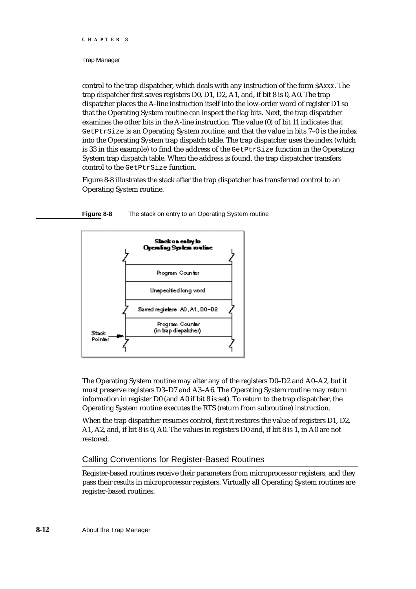#### Trap Manager

control to the trap dispatcher, which deals with any instruction of the form \$A*xxx*. The trap dispatcher first saves registers D0, D1, D2, A1, and, if bit 8 is 0, A0. The trap dispatcher places the A-line instruction itself into the low-order word of register D1 so that the Operating System routine can inspect the flag bits. Next, the trap dispatcher examines the other bits in the A-line instruction. The value (0) of bit 11 indicates that GetPtrSize is an Operating System routine, and that the value in bits 7–0 is the index into the Operating System trap dispatch table. The trap dispatcher uses the index (which is 33 in this example) to find the address of the  $\text{GetPtrSize}$  function in the Operating System trap dispatch table. When the address is found, the trap dispatcher transfers control to the GetPtrSize function.

Figure 8-8 illustrates the stack after the trap dispatcher has transferred control to an Operating System routine.

**Figure 8-8** The stack on entry to an Operating System routine



The Operating System routine may alter any of the registers D0–D2 and A0–A2, but it must preserve registers D3–D7 and A3–A6. The Operating System routine may return information in register D0 (and A0 if bit 8 is set). To return to the trap dispatcher, the Operating System routine executes the RTS (return from subroutine) instruction.

When the trap dispatcher resumes control, first it restores the value of registers D1, D2, A1, A2, and, if bit 8 is 0, A0. The values in registers D0 and, if bit 8 is 1, in A0 are not restored.

# Calling Conventions for Register-Based Routines

Register-based routines receive their parameters from microprocessor registers, and they pass their results in microprocessor registers. Virtually all Operating System routines are register-based routines.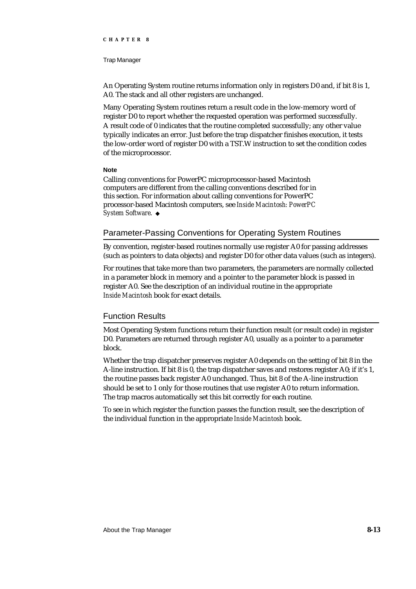#### Trap Manager

An Operating System routine returns information only in registers D0 and, if bit 8 is 1, A0. The stack and all other registers are unchanged.

Many Operating System routines return a result code in the low-memory word of register D0 to report whether the requested operation was performed successfully. A result code of 0 indicates that the routine completed successfully; any other value typically indicates an error. Just before the trap dispatcher finishes execution, it tests the low-order word of register D0 with a TST.W instruction to set the condition codes of the microprocessor.

#### **Note**

Calling conventions for PowerPC microprocessor-based Macintosh computers are different from the calling conventions described for in this section. For information about calling conventions for PowerPC processor-based Macintosh computers, see *Inside Macintosh: PowerPC System Software*.

# Parameter-Passing Conventions for Operating System Routines

By convention, register-based routines normally use register A0 for passing addresses (such as pointers to data objects) and register D0 for other data values (such as integers).

For routines that take more than two parameters, the parameters are normally collected in a parameter block in memory and a pointer to the parameter block is passed in register A0. See the description of an individual routine in the appropriate *Inside Macintosh* book for exact details.

# Function Results

Most Operating System functions return their function result (or result code) in register D0. Parameters are returned through register A0, usually as a pointer to a parameter block.

Whether the trap dispatcher preserves register A0 depends on the setting of bit 8 in the A-line instruction. If bit 8 is 0, the trap dispatcher saves and restores register A0; if it's 1, the routine passes back register A0 unchanged. Thus, bit 8 of the A-line instruction should be set to 1 only for those routines that use register A0 to return information. The trap macros automatically set this bit correctly for each routine.

To see in which register the function passes the function result, see the description of the individual function in the appropriate *Inside Macintosh* book.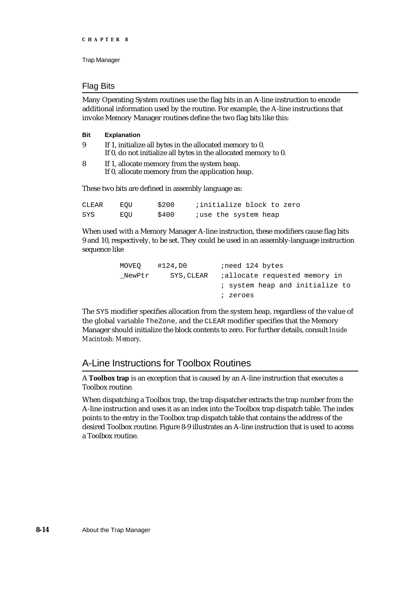# Flag Bits

Many Operating System routines use the flag bits in an A-line instruction to encode additional information used by the routine. For example, the A-line instructions that invoke Memory Manager routines define the two flag bits like this:

| Bit | <b>Explanation</b>                                                                                                          |
|-----|-----------------------------------------------------------------------------------------------------------------------------|
| 9   | If 1, initialize all bytes in the allocated memory to 0.<br>If 0, do not initialize all bytes in the allocated memory to 0. |
| 8   | If 1, allocate memory from the system heap.<br>If 0, allocate memory from the application heap.                             |
|     | These two bits are defined in assembly language as:                                                                         |

| CLEAR | EOU | \$200 | initialize block to zero |
|-------|-----|-------|--------------------------|
| SYS   | EOU | \$400 | juse the system heap     |

When used with a Memory Manager A-line instruction, these modifiers cause flag bits 9 and 10, respectively, to be set. They could be used in an assembly-language instruction sequence like

| MOVEO  | #124,DO    | ineed 124 bytes                       |
|--------|------------|---------------------------------------|
| NewPtr | SYS, CLEAR | <i>i</i> allocate requested memory in |
|        |            | ; system heap and initialize to       |
|        |            | ; zeroes                              |
|        |            |                                       |

The SYS modifier specifies allocation from the system heap, regardless of the value of the global variable TheZone, and the CLEAR modifier specifies that the Memory Manager should initialize the block contents to zero. For further details, consult *Inside Macintosh: Memory*.

# A-Line Instructions for Toolbox Routines

A **Toolbox trap** is an exception that is caused by an A-line instruction that executes a Toolbox routine.

When dispatching a Toolbox trap, the trap dispatcher extracts the trap number from the A-line instruction and uses it as an index into the Toolbox trap dispatch table. The index points to the entry in the Toolbox trap dispatch table that contains the address of the desired Toolbox routine. Figure 8-9 illustrates an A-line instruction that is used to access a Toolbox routine.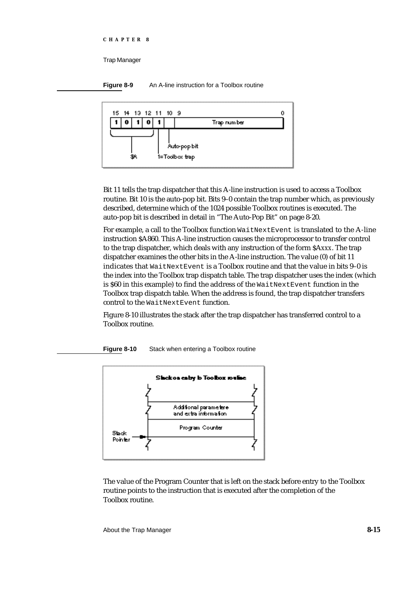**Figure 8-9** An A-line instruction for a Toolbox routine



Bit 11 tells the trap dispatcher that this A-line instruction is used to access a Toolbox routine. Bit 10 is the auto-pop bit. Bits 9–0 contain the trap number which, as previously described, determine which of the 1024 possible Toolbox routines is executed. The auto-pop bit is described in detail in "The Auto-Pop Bit" on page 8-20.

For example, a call to the Toolbox function WaitNextEvent is translated to the A-line instruction \$A860. This A-line instruction causes the microprocessor to transfer control to the trap dispatcher, which deals with any instruction of the form \$A*xxx*. The trap dispatcher examines the other bits in the A-line instruction. The value (0) of bit 11 indicates that WaitNextEvent is a Toolbox routine and that the value in bits 9–0 is the index into the Toolbox trap dispatch table. The trap dispatcher uses the index (which is \$60 in this example) to find the address of the WaitNextEvent function in the Toolbox trap dispatch table. When the address is found, the trap dispatcher transfers control to the WaitNextEvent function.

Figure 8-10 illustrates the stack after the trap dispatcher has transferred control to a Toolbox routine.



**Figure 8-10** Stack when entering a Toolbox routine

The value of the Program Counter that is left on the stack before entry to the Toolbox routine points to the instruction that is executed after the completion of the Toolbox routine.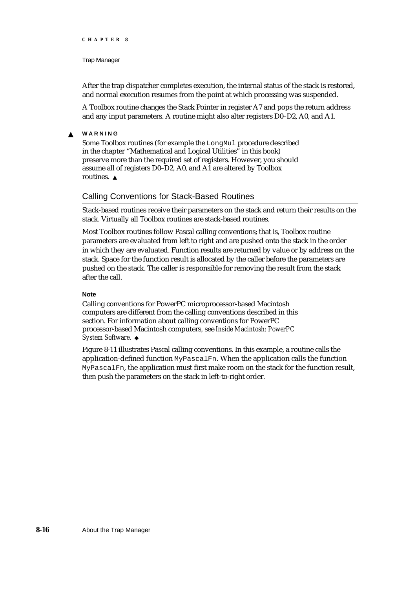#### Trap Manager

After the trap dispatcher completes execution, the internal status of the stack is restored, and normal execution resumes from the point at which processing was suspended.

A Toolbox routine changes the Stack Pointer in register A7 and pops the return address and any input parameters. A routine might also alter registers D0–D2, A0, and A1.

#### **WARNING**  $\mathbf{s}$

Some Toolbox routines (for example the LongMul procedure described in the chapter "Mathematical and Logical Utilities" in this book) preserve more than the required set of registers. However, you should assume all of registers D0–D2, A0, and A1 are altered by Toolbox routines.

# Calling Conventions for Stack-Based Routines

Stack-based routines receive their parameters on the stack and return their results on the stack. Virtually all Toolbox routines are stack-based routines.

Most Toolbox routines follow Pascal calling conventions; that is, Toolbox routine parameters are evaluated from left to right and are pushed onto the stack in the order in which they are evaluated. Function results are returned by value or by address on the stack. Space for the function result is allocated by the caller before the parameters are pushed on the stack. The caller is responsible for removing the result from the stack after the call.

## **Note**

Calling conventions for PowerPC microprocessor-based Macintosh computers are different from the calling conventions described in this section. For information about calling conventions for PowerPC processor-based Macintosh computers, see *Inside Macintosh: PowerPC System Software*.

Figure 8-11 illustrates Pascal calling conventions. In this example, a routine calls the application-defined function MyPascalFn. When the application calls the function MyPascalFn, the application must first make room on the stack for the function result, then push the parameters on the stack in left-to-right order.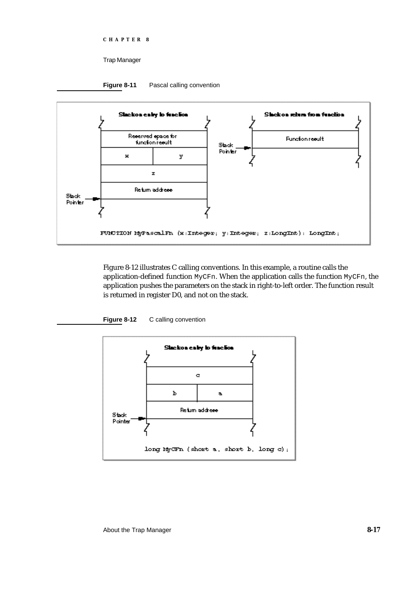Trap Manager





Figure 8-12 illustrates C calling conventions. In this example, a routine calls the application-defined function MyCFn. When the application calls the function MyCFn, the application pushes the parameters on the stack in right-to-left order. The function result is returned in register D0, and not on the stack.



Figure 8-12 C calling convention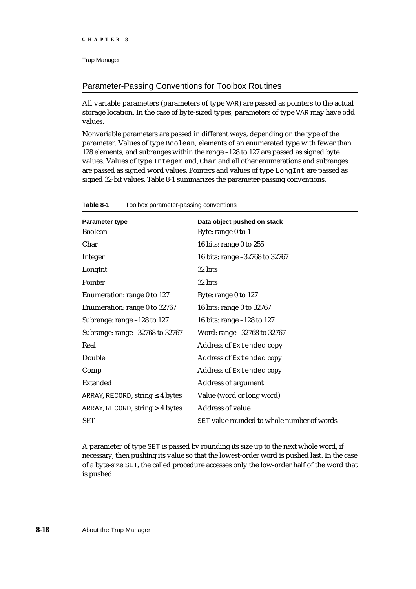# Parameter-Passing Conventions for Toolbox Routines

All variable parameters (parameters of type VAR) are passed as pointers to the actual storage location. In the case of byte-sized types, parameters of type VAR may have odd values.

Nonvariable parameters are passed in different ways, depending on the type of the parameter. Values of type Boolean, elements of an enumerated type with fewer than 128 elements, and subranges within the range –128 to 127 are passed as signed byte values. Values of type Integer and, Char and all other enumerations and subranges are passed as signed word values. Pointers and values of type LongInt are passed as signed 32-bit values. Table 8-1 summarizes the parameter-passing conventions.

| <b>Parameter type</b>            | Data object pushed on stack                |
|----------------------------------|--------------------------------------------|
| <b>Boolean</b>                   | Byte: range 0 to 1                         |
| Char                             | 16 bits: range 0 to 255                    |
| Integer                          | 16 bits: range -32768 to 32767             |
| LongInt                          | 32 bits                                    |
| Pointer                          | 32 bits                                    |
| Enumeration: range 0 to 127      | Byte: range 0 to 127                       |
| Enumeration: range 0 to 32767    | 16 bits: range 0 to 32767                  |
| Subrange: range -128 to 127      | 16 bits: range $-128$ to 127               |
| Subrange: range -32768 to 32767  | Word: range -32768 to 32767                |
| Real                             | Address of Extended copy                   |
| Double                           | Address of Extended copy                   |
| Comp                             | Address of Extended copy                   |
| <b>Extended</b>                  | <b>Address of argument</b>                 |
| ARRAY, RECORD, string<br>4 bytes | Value (word or long word)                  |
| ARRAY, RECORD, string > 4 bytes  | <b>Address of value</b>                    |
| <b>SET</b>                       | SET value rounded to whole number of words |

**Table 8-1** Toolbox parameter-passing conventions

A parameter of type SET is passed by rounding its size up to the next whole word, if necessary, then pushing its value so that the lowest-order word is pushed last. In the case of a byte-size SET, the called procedure accesses only the low-order half of the word that is pushed.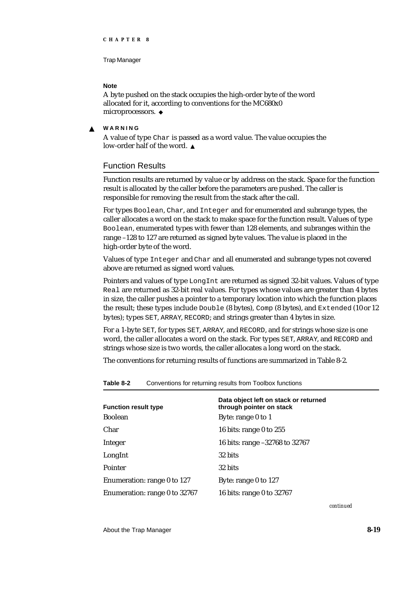## **Note**

A byte pushed on the stack occupies the high-order byte of the word allocated for it, according to conventions for the MC680x0 microprocessors. u

#### **WARNING**  $\epsilon$

A value of type Char is passed as a word value. The value occupies the low-order half of the word.

# Function Results

Function results are returned by value or by address on the stack. Space for the function result is allocated by the caller before the parameters are pushed. The caller is responsible for removing the result from the stack after the call.

For types Boolean, Char, and Integer and for enumerated and subrange types, the caller allocates a word on the stack to make space for the function result. Values of type Boolean, enumerated types with fewer than 128 elements, and subranges within the range –128 to 127 are returned as signed byte values. The value is placed in the high-order byte of the word.

Values of type Integer and Char and all enumerated and subrange types not covered above are returned as signed word values.

Pointers and values of type LongInt are returned as signed 32-bit values. Values of type Real are returned as 32-bit real values. For types whose values are greater than 4 bytes in size, the caller pushes a pointer to a temporary location into which the function places the result; these types include Double (8 bytes), Comp (8 bytes), and Extended (10 or 12 bytes); types SET, ARRAY, RECORD; and strings greater than 4 bytes in size.

For a 1-byte SET, for types SET, ARRAY, and RECORD, and for strings whose size is one word, the caller allocates a word on the stack. For types SET, ARRAY, and RECORD and strings whose size is two words, the caller allocates a long word on the stack.

The conventions for returning results of functions are summarized in Table 8-2.

| <b>Function result type</b>   | Data object left on stack or returned<br>through pointer on stack |
|-------------------------------|-------------------------------------------------------------------|
| Boolean                       | Byte: range 0 to 1                                                |
| Char                          | 16 bits: range $0$ to $255$                                       |
| Integer                       | 16 bits: range -32768 to 32767                                    |
| LongInt                       | 32 bits                                                           |
| Pointer                       | 32 bits                                                           |
| Enumeration: range 0 to 127   | Byte: range 0 to 127                                              |
| Enumeration: range 0 to 32767 | 16 bits: range 0 to 32767                                         |
|                               |                                                                   |

**Table 8-2** Conventions for returning results from Toolbox functions

*continued*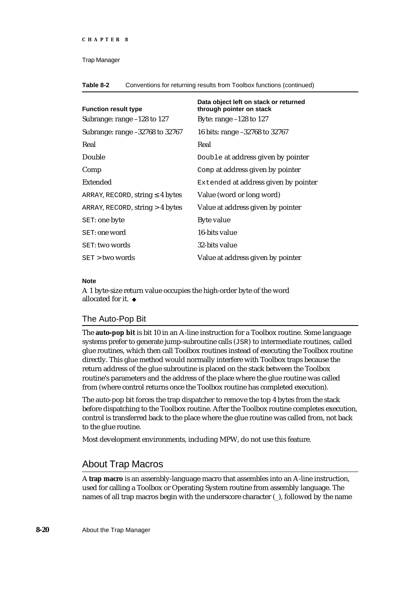#### Trap Manager

**Table 8-2** Conventions for returning results from Toolbox functions (continued)

| <b>Function result type</b>      | Data object left on stack or returned<br>through pointer on stack |
|----------------------------------|-------------------------------------------------------------------|
| Subrange: range -128 to 127      | Byte: range -128 to 127                                           |
| Subrange: range -32768 to 32767  | 16 bits: range -32768 to 32767                                    |
| Real                             | Real                                                              |
| Double                           | Double at address given by pointer                                |
| Comp                             | Comp at address given by pointer                                  |
| Extended                         | Extended at address given by pointer                              |
| ARRAY, RECORD, string<br>4 bytes | Value (word or long word)                                         |
| ARRAY, RECORD, string > 4 bytes  | Value at address given by pointer                                 |
| SET: one byte                    | <b>Byte value</b>                                                 |
| SET: one word                    | 16-bits value                                                     |
| <b>SET:</b> two words            | 32-bits value                                                     |
| $SET >$ two words                | Value at address given by pointer                                 |

## **Note**

A 1 byte-size return value occupies the high-order byte of the word allocated for it. u

# The Auto-Pop Bit

The **auto-pop bit** is bit 10 in an A-line instruction for a Toolbox routine. Some language systems prefer to generate jump-subroutine calls (JSR) to intermediate routines, called glue routines, which then call Toolbox routines instead of executing the Toolbox routine directly. This glue method would normally interfere with Toolbox traps because the return address of the glue subroutine is placed on the stack between the Toolbox routine's parameters and the address of the place where the glue routine was called from (where control returns once the Toolbox routine has completed execution).

The auto-pop bit forces the trap dispatcher to remove the top 4 bytes from the stack before dispatching to the Toolbox routine. After the Toolbox routine completes execution, control is transferred back to the place where the glue routine was called from, not back to the glue routine.

Most development environments, including MPW, do not use this feature.

# About Trap Macros

A **trap macro** is an assembly-language macro that assembles into an A-line instruction, used for calling a Toolbox or Operating System routine from assembly language. The names of all trap macros begin with the underscore character (), followed by the name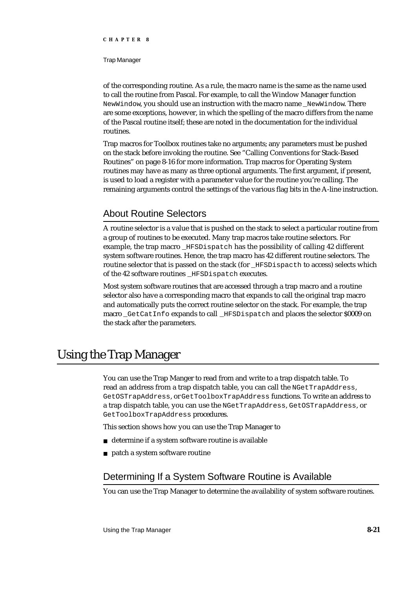#### Trap Manager

of the corresponding routine. As a rule, the macro name is the same as the name used to call the routine from Pascal. For example, to call the Window Manager function NewWindow, you should use an instruction with the macro name \_NewWindow. There are some exceptions, however, in which the spelling of the macro differs from the name of the Pascal routine itself; these are noted in the documentation for the individual routines.

Trap macros for Toolbox routines take no arguments; any parameters must be pushed on the stack before invoking the routine. See "Calling Conventions for Stack-Based Routines" on page 8-16 for more information. Trap macros for Operating System routines may have as many as three optional arguments. The first argument, if present, is used to load a register with a parameter value for the routine you're calling. The remaining arguments control the settings of the various flag bits in the A-line instruction.

# About Routine Selectors

A routine selector is a value that is pushed on the stack to select a particular routine from a group of routines to be executed. Many trap macros take routine selectors. For example, the trap macro \_HFSDispatch has the possibility of calling 42 different system software routines. Hence, the trap macro has 42 different routine selectors. The routine selector that is passed on the stack (for \_HFSDispacth to access) selects which of the 42 software routines HFSDispatch executes.

Most system software routines that are accessed through a trap macro and a routine selector also have a corresponding macro that expands to call the original trap macro and automatically puts the correct routine selector on the stack. For example, the trap macro GetCatInfo expands to call HFSDispatch and places the selector \$0009 on the stack after the parameters.

# Using the Trap Manager

You can use the Trap Manger to read from and write to a trap dispatch table. To read an address from a trap dispatch table, you can call the NGetTrapAddress, GetOSTrapAddress, or GetToolboxTrapAddress functions. To write an address to a trap dispatch table, you can use the NGetTrapAddress, GetOSTrapAddress, or GetToolboxTrapAddress procedures.

This section shows how you can use the Trap Manager to

- determine if a system software routine is available
- patch a system software routine

# Determining If a System Software Routine is Available

You can use the Trap Manager to determine the availability of system software routines.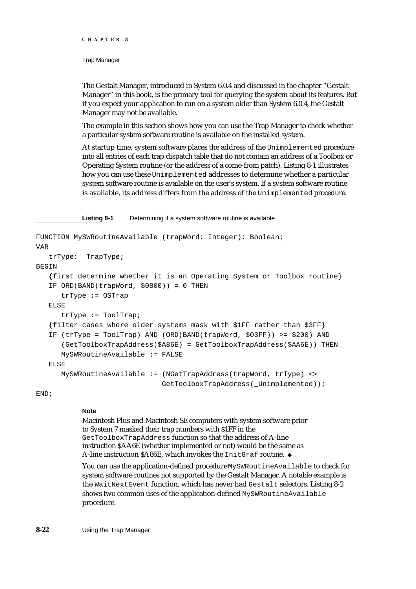Trap Manager

The Gestalt Manager, introduced in System 6.0.4 and discussed in the chapter "Gestalt Manager" in this book, is the primary tool for querying the system about its features. But if you expect your application to run on a system older than System 6.0.4, the Gestalt Manager may not be available.

The example in this section shows how you can use the Trap Manager to check whether a particular system software routine is available on the installed system.

At startup time, system software places the address of the Unimplemented procedure into all entries of each trap dispatch table that do not contain an address of a Toolbox or Operating System routine (or the address of a come-from patch). Listing 8-1 illustrates how you can use these Unimplemented addresses to determine whether a particular system software routine is available on the user's system. If a system software routine is available, its address differs from the address of the Unimplemented procedure.

**Listing 8-1** Determining if a system software routine is available

```
FUNCTION MySWRoutineAvailable (trapWord: Integer): Boolean;
VAR
  trType: TrapType;
BEGIN
  {first determine whether it is an Operating System or Toolbox routine}
  IF ORD(BAND(trapWord, $0800)) = 0 THEN
     trType := OSTrap
  ELSE
     trType := ToolTrap;
   {filter cases where older systems mask with $1FF rather than $3FF}
  IF (trType = ToolTrap) AND (ORD(BAND(trapWord, $03FF)) >= $200) AND
      (GetToolboxTrapAddress($A86E) = GetToolboxTrapAddress($AA6E)) THEN
     MySWRoutineAvailable := FALSE
  ELSE
     MySWRoutineAvailable := (NGetTrapAddress(trapWord, trType) <>
                              GetToolboxTrapAddress(_Unimplemented));
```
END;

# **Note**

Macintosh Plus and Macintosh SE computers with system software prior to System 7 masked their trap numbers with \$1FF in the GetToolboxTrapAddress function so that the address of A-line instruction \$AA6E (whether implemented or not) would be the same as A-line instruction \$A86E, which invokes the InitGraf routine. u

You can use the application-defined procedure MySWRoutineAvailable to check for system software routines not supported by the Gestalt Manager. A notable example is the WaitNextEvent function, which has never had Gestalt selectors. Listing 8-2 shows two common uses of the application-defined MySWRoutineAvailable procedure.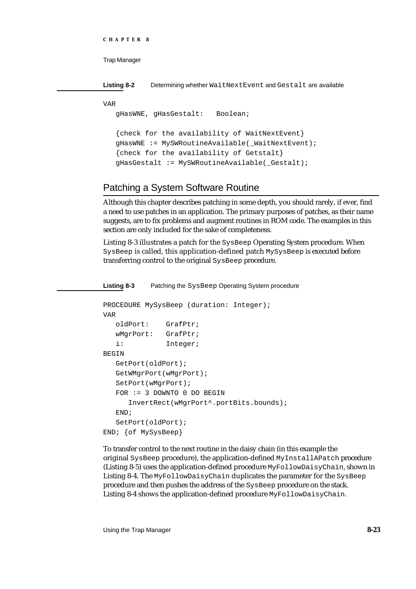```
CHAPTER 8
```
**Listing 8-2** Determining whether WaitNextEvent and Gestalt are available

VAR

gHasWNE, gHasGestalt: Boolean;

```
{check for the availability of WaitNextEvent}
gHasWNE := MySWRoutineAvailable(_WaitNextEvent);
{check for the availability of Getstalt}
gHasGestalt := MySWRoutineAvailable(_Gestalt);
```
# Patching a System Software Routine

Although this chapter describes patching in some depth, you should rarely, if ever, find a need to use patches in an application. The primary purposes of patches, as their name suggests, are to fix problems and augment routines in ROM code. The examples in this section are only included for the sake of completeness.

Listing 8-3 illustrates a patch for the SysBeep Operating System procedure. When SysBeep is called, this application-defined patch MySysBeep is executed before transferring control to the original SysBeep procedure.

**Listing 8-3** Patching the SysBeep Operating System procedure

```
PROCEDURE MySysBeep (duration: Integer);
VAR
  oldPort: GrafPtr;
  wMgrPort: GrafPtr;
  i: Integer;
BEGIN
  GetPort(oldPort);
  GetWMgrPort(wMgrPort);
  SetPort(wMgrPort);
  FOR := 3 DOWNTO 0 DO BEGIN
     InvertRect(wMgrPort^.portBits.bounds);
  END;
  SetPort(oldPort);
END; {of MySysBeep}
```
To transfer control to the next routine in the daisy chain (in this example the original SysBeep procedure), the application-defined MyInstallAPatch procedure (Listing 8-5) uses the application-defined procedure MyFollowDaisyChain, shown in Listing 8-4. The MyFollowDaisyChain duplicates the parameter for the SysBeep procedure and then pushes the address of the SysBeep procedure on the stack. Listing 8-4 shows the application-defined procedure MyFollowDaisyChain.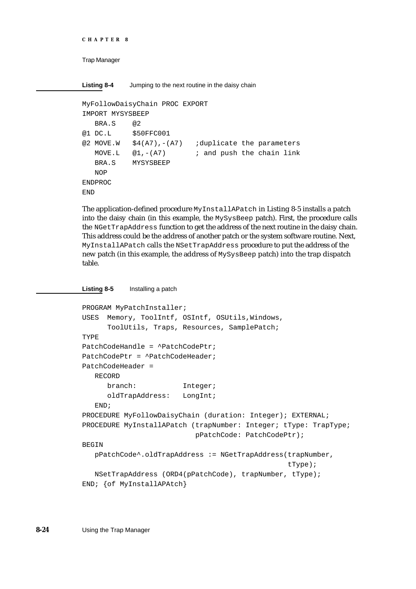```
CHAPTER 8
```
**Listing 8-4** Jumping to the next routine in the daisy chain

```
MyFollowDaisyChain PROC EXPORT
IMPORT MYSYSBEEP
  BRA.S @2
@1 DC.L $50FFC001
@2 MOVE.W $4(A7),-(A7) ;duplicate the parameters
  MOVE.L @1, -(A7) ; and push the chain link
  BRA.S MYSYSBEEP
  NOP
ENDPROC
END
```
The application-defined procedure MyInstallAPatch in Listing 8-5 installs a patch into the daisy chain (in this example, the MySysBeep patch). First, the procedure calls the NGetTrapAddress function to get the address of the next routine in the daisy chain. This address could be the address of another patch or the system software routine. Next, MyInstallAPatch calls the NSetTrapAddress procedure to put the address of the new patch (in this example, the address of MySysBeep patch) into the trap dispatch table.

**Listing 8-5** Installing a patch

```
PROGRAM MyPatchInstaller;
USES Memory, ToolIntf, OSIntf, OSUtils, Windows,
      ToolUtils, Traps, Resources, SamplePatch;
TYPE
PatchCodeHandle = ^PatchCodePtr;
PatchCodePtr = ^PatchCodeHeader;
PatchCodeHeader =
  RECORD
     branch: Integer;
      oldTrapAddress: LongInt;
   END;
PROCEDURE MyFollowDaisyChain (duration: Integer); EXTERNAL;
PROCEDURE MyInstallAPatch (trapNumber: Integer; tType: TrapType;
                          pPatchCode: PatchCodePtr);
BEGIN
  pPatchCode^.oldTrapAddress := NGetTrapAddress(trapNumber,
                                                  tType);
  NSetTrapAddress (ORD4(pPatchCode), trapNumber, tType);
END; {of MyInstallAPAtch}
```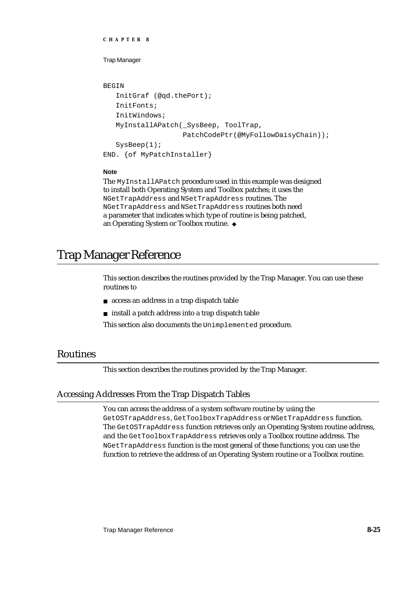```
CHAPTER 8
```

```
BEGIN
   InitGraf (@qd.thePort);
   InitFonts;
   InitWindows;
   MyInstallAPatch(_SysBeep, ToolTrap,
                    PatchCodePtr(@MyFollowDaisyChain));
   SysBeep(1);
END. {of MyPatchInstaller}
```
# **Note**

```
The MyInstallAPatch procedure used in this example was designed 
to install both Operating System and Toolbox patches; it uses the 
NGetTrapAddress and NSetTrapAddress routines. The 
NGetTrapAddress and NSetTrapAddress routines both need 
a parameter that indicates which type of routine is being patched, 
an Operating System or Toolbox routine.
```
# Trap Manager Reference

This section describes the routines provided by the Trap Manager. You can use these routines to

- access an address in a trap dispatch table
- $n$  install a patch address into a trap dispatch table

This section also documents the Unimplemented procedure.

# Routines

This section describes the routines provided by the Trap Manager.

# Accessing Addresses From the Trap Dispatch Tables

You can access the address of a system software routine by using the GetOSTrapAddress, GetToolboxTrapAddress or NGetTrapAddress function. The GetOSTrapAddress function retrieves only an Operating System routine address, and the GetToolboxTrapAddress retrieves only a Toolbox routine address. The NGetTrapAddress function is the most general of these functions; you can use the function to retrieve the address of an Operating System routine or a Toolbox routine.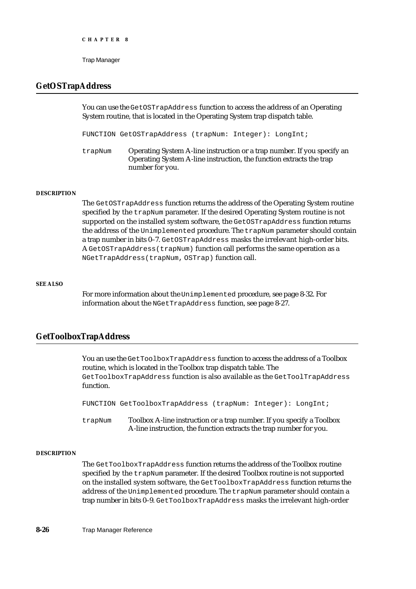# **GetOSTrapAddress**

You can use the GetOSTrapAddress function to access the address of an Operating System routine, that is located in the Operating System trap dispatch table.

FUNCTION GetOSTrapAddress (trapNum: Integer): LongInt;

trapNum Operating System A-line instruction or a trap number. If you specify an Operating System A-line instruction, the function extracts the trap number for you.

#### **DESCRIPTION**

The GetOSTrapAddress function returns the address of the Operating System routine specified by the trapNum parameter. If the desired Operating System routine is not supported on the installed system software, the GetOSTrapAddress function returns the address of the Unimplemented procedure. The trapNum parameter should contain a trap number in bits 0–7. GetOSTrapAddress masks the irrelevant high-order bits. A GetOSTrapAddress(trapNum) function call performs the same operation as a NGetTrapAddress(trapNum, OSTrap) function call.

#### **SEE ALSO**

For more information about the Unimplemented procedure, see page 8-32. For information about the NGetTrapAddress function, see page 8-27.

# **GetToolboxTrapAddress**

You an use the GetToolboxTrapAddress function to access the address of a Toolbox routine, which is located in the Toolbox trap dispatch table. The GetToolboxTrapAddress function is also available as the GetToolTrapAddress function.

FUNCTION GetToolboxTrapAddress (trapNum: Integer): LongInt;

trapNum Toolbox A-line instruction or a trap number. If you specify a Toolbox A-line instruction, the function extracts the trap number for you.

#### **DESCRIPTION**

The GetToolboxTrapAddress function returns the address of the Toolbox routine specified by the trapNum parameter. If the desired Toolbox routine is not supported on the installed system software, the GetToolboxTrapAddress function returns the address of the Unimplemented procedure. The trapNum parameter should contain a trap number in bits 0–9. GetToolboxTrapAddress masks the irrelevant high-order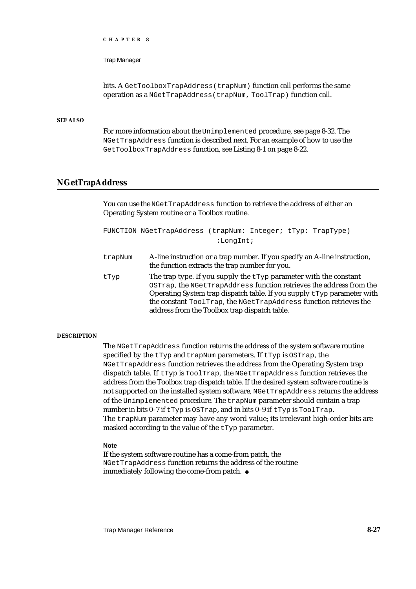Trap Manager

bits. A GetToolboxTrapAddress(trapNum) function call performs the same operation as a NGetTrapAddress(trapNum, ToolTrap) function call.

## **SEE ALSO**

For more information about the Unimplemented procedure, see page 8-32. The NGetTrapAddress function is described next. For an example of how to use the GetToolboxTrapAddress function, see Listing 8-1 on page 8-22.

# **NGetTrapAddress**

You can use the NGetTrapAddress function to retrieve the address of either an Operating System routine or a Toolbox routine.

```
FUNCTION NGetTrapAddress (trapNum: Integer; tTyp: TrapType)
                           :LongInt;
```
- trapNum A-line instruction or a trap number. If you specify an A-line instruction, the function extracts the trap number for you.
- tTyp The trap type. If you supply the  $tTyp$  parameter with the constant OSTrap, the NGetTrapAddress function retrieves the address from the Operating System trap dispatch table. If you supply  $tTyp$  parameter with the constant ToolTrap, the NGetTrapAddress function retrieves the address from the Toolbox trap dispatch table.

## **DESCRIPTION**

The NGetTrapAddress function returns the address of the system software routine specified by the tTyp and trapNum parameters. If tTyp is OSTrap, the NGetTrapAddress function retrieves the address from the Operating System trap dispatch table. If tTyp is ToolTrap, the NGetTrapAddress function retrieves the address from the Toolbox trap dispatch table. If the desired system software routine is not supported on the installed system software, NGetTrapAddress returns the address of the Unimplemented procedure. The trapNum parameter should contain a trap number in bits 0–7 if  $tTyp$  is OSTrap, and in bits 0–9 if  $tTyp$  is ToolTrap. The trapNum parameter may have any word value; its irrelevant high-order bits are masked according to the value of the tTyp parameter.

## **Note**

If the system software routine has a come-from patch, the NGetTrapAddress function returns the address of the routine immediately following the come-from patch.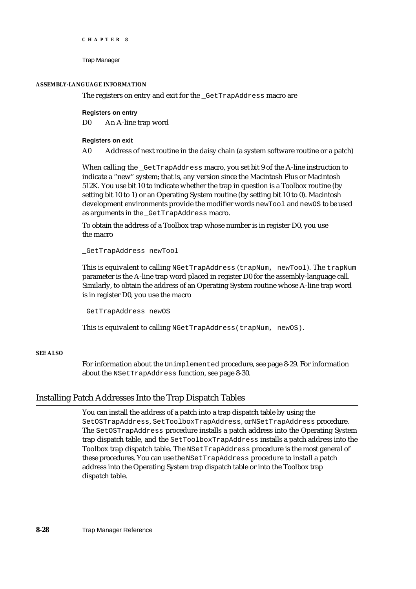```
CHAPTER 8
```
# **ASSEMBLY-LANGUAGE INFORMATION**

The registers on entry and exit for the \_GetTrapAddress macro are

# **Registers on entry**

D0 An A-line trap word

# **Registers on exit**

A0 Address of next routine in the daisy chain (a system software routine or a patch)

When calling the \_GetTrapAddress macro, you set bit 9 of the A-line instruction to indicate a "new" system; that is, any version since the Macintosh Plus or Macintosh 512K. You use bit 10 to indicate whether the trap in question is a Toolbox routine (by setting bit 10 to 1) or an Operating System routine (by setting bit 10 to 0). Macintosh development environments provide the modifier words newTool and newOS to be used as arguments in the \_GetTrapAddress macro.

To obtain the address of a Toolbox trap whose number is in register D0, you use the macro

\_GetTrapAddress newTool

This is equivalent to calling NGetTrapAddress (trapNum, newTool). The trapNum parameter is the A-line trap word placed in register D0 for the assembly-language call. Similarly, to obtain the address of an Operating System routine whose A-line trap word is in register D0, you use the macro

\_GetTrapAddress newOS

This is equivalent to calling NGetTrapAddress(trapNum, newOS).

# **SEE ALSO**

For information about the Unimplemented procedure, see page 8-29. For information about the NSetTrapAddress function, see page 8-30.

# Installing Patch Addresses Into the Trap Dispatch Tables

You can install the address of a patch into a trap dispatch table by using the SetOSTrapAddress, SetToolboxTrapAddress, or NSetTrapAddress procedure. The SetOSTrapAddress procedure installs a patch address into the Operating System trap dispatch table, and the SetToolboxTrapAddress installs a patch address into the Toolbox trap dispatch table. The NSetTrapAddress procedure is the most general of these procedures. You can use the NSetTrapAddress procedure to install a patch address into the Operating System trap dispatch table or into the Toolbox trap dispatch table.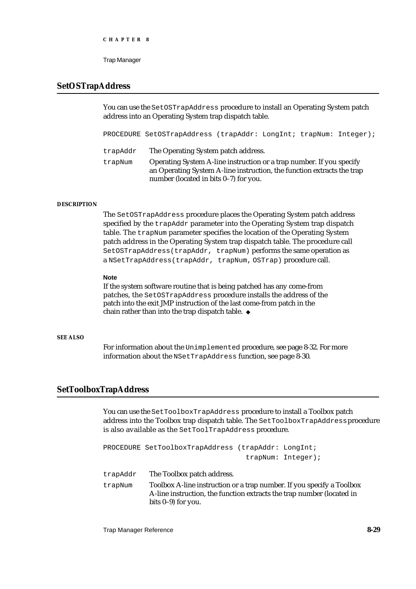```
CHAPTER 8
```
### **SetOSTrapAddress**

You can use the SetOSTrapAddress procedure to install an Operating System patch address into an Operating System trap dispatch table.

PROCEDURE SetOSTrapAddress (trapAddr: LongInt; trapNum: Integer); trapAddr The Operating System patch address. trapNum Operating System A-line instruction or a trap number. If you specify an Operating System A-line instruction, the function extracts the trap number (located in bits 0–7) for you.

#### **DESCRIPTION**

The SetOSTrapAddress procedure places the Operating System patch address specified by the trapAddr parameter into the Operating System trap dispatch table. The trapNum parameter specifies the location of the Operating System patch address in the Operating System trap dispatch table. The procedure call SetOSTrapAddress(trapAddr, trapNum) performs the same operation as a NSetTrapAddress(trapAddr, trapNum, OSTrap) procedure call.

#### **Note**

If the system software routine that is being patched has any come-from patches, the SetOSTrapAddress procedure installs the address of the patch into the exit JMP instruction of the last come-from patch in the chain rather than into the trap dispatch table.

#### **SEE ALSO**

For information about the Unimplemented procedure, see page 8-32. For more information about the NSetTrapAddress function, see page 8-30.

### **SetToolboxTrapAddress**

You can use the SetToolboxTrapAddress procedure to install a Toolbox patch address into the Toolbox trap dispatch table. The SetToolboxTrapAddress procedure is also available as the SetToolTrapAddress procedure.

PROCEDURE SetToolboxTrapAddress (trapAddr: LongInt; trapNum: Integer);

trapAddr The Toolbox patch address.

trapNum Toolbox A-line instruction or a trap number. If you specify a Toolbox A-line instruction, the function extracts the trap number (located in bits 0–9) for you.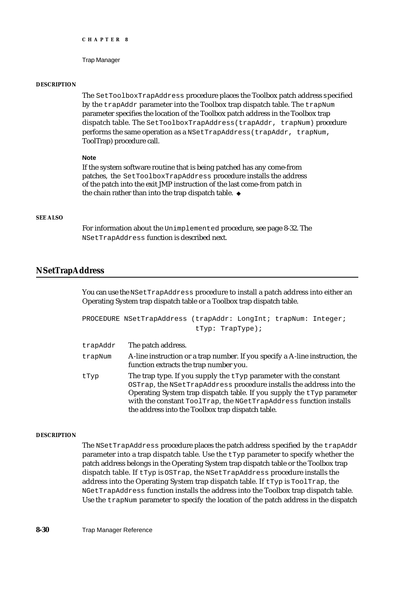#### Trap Manager

#### **DESCRIPTION**

The SetToolboxTrapAddress procedure places the Toolbox patch address specified by the trapAddr parameter into the Toolbox trap dispatch table. The trapNum parameter specifies the location of the Toolbox patch address in the Toolbox trap dispatch table. The SetToolboxTrapAddress(trapAddr, trapNum) procedure performs the same operation as a NSetTrapAddress(trapAddr, trapNum, ToolTrap) procedure call.

#### **Note**

If the system software routine that is being patched has any come-from patches, the SetToolboxTrapAddress procedure installs the address of the patch into the exit JMP instruction of the last come-from patch in the chain rather than into the trap dispatch table. u

#### **SEE ALSO**

For information about the Unimplemented procedure, see page 8-32. The NSetTrapAddress function is described next.

#### **NSetTrapAddress**

You can use the NSetTrapAddress procedure to install a patch address into either an Operating System trap dispatch table or a Toolbox trap dispatch table.

```
PROCEDURE NSetTrapAddress (trapAddr: LongInt; trapNum: Integer;
                           tTyp: TrapType);
```

| trapAddr | The patch address.                                                                                                                                                                                                                                                                                                                                |
|----------|---------------------------------------------------------------------------------------------------------------------------------------------------------------------------------------------------------------------------------------------------------------------------------------------------------------------------------------------------|
| trapNum  | A-line instruction or a trap number. If you specify a A-line instruction, the<br>function extracts the trap number you.                                                                                                                                                                                                                           |
| tTyp     | The trap type. If you supply the $t$ typ parameter with the constant<br>OSTrap, the NSetTrapAddress procedure installs the address into the<br>Operating System trap dispatch table. If you supply the $tTyp$ parameter<br>with the constant ToolTrap, the NGetTrapAddress function installs<br>the address into the Toolbox trap dispatch table. |

#### **DESCRIPTION**

The NSetTrapAddress procedure places the patch address specified by the trapAddr parameter into a trap dispatch table. Use the tTyp parameter to specify whether the patch address belongs in the Operating System trap dispatch table or the Toolbox trap dispatch table. If tTyp is OSTrap, the NSetTrapAddress procedure installs the address into the Operating System trap dispatch table. If  $tTyp$  is ToolTrap, the NGetTrapAddress function installs the address into the Toolbox trap dispatch table. Use the trapNum parameter to specify the location of the patch address in the dispatch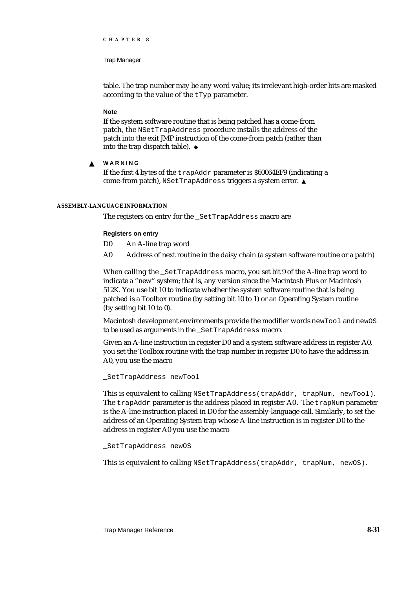Trap Manager

table. The trap number may be any word value; its irrelevant high-order bits are masked according to the value of the tTyp parameter.

#### **Note**

If the system software routine that is being patched has a come-from patch, the NSetTrapAddress procedure installs the address of the patch into the exit JMP instruction of the come-from patch (rather than into the trap dispatch table).

**WARNING** s

> If the first 4 bytes of the trapAddr parameter is \$60064EF9 (indicating a come-from patch), NSetTrapAddress triggers a system error.

#### **ASSEMBLY-LANGUAGE INFORMATION**

The registers on entry for the SetTrapAddress macro are

#### **Registers on entry**

- D0 An A-line trap word
- A0 Address of next routine in the daisy chain (a system software routine or a patch)

When calling the \_SetTrapAddress macro, you set bit 9 of the A-line trap word to indicate a "new" system; that is, any version since the Macintosh Plus or Macintosh 512K. You use bit 10 to indicate whether the system software routine that is being patched is a Toolbox routine (by setting bit 10 to 1) or an Operating System routine (by setting bit 10 to 0).

Macintosh development environments provide the modifier words newTool and newOS to be used as arguments in the \_SetTrapAddress macro.

Given an A-line instruction in register D0 and a system software address in register A0, you set the Toolbox routine with the trap number in register D0 to have the address in A0, you use the macro

\_SetTrapAddress newTool

This is equivalent to calling NSetTrapAddress(trapAddr, trapNum, newTool). The trapAddr parameter is the address placed in register A0. The trapNum parameter is the A-line instruction placed in D0 for the assembly-language call. Similarly, to set the address of an Operating System trap whose A-line instruction is in register D0 to the address in register A0 you use the macro

#### \_SetTrapAddress newOS

This is equivalent to calling NSetTrapAddress(trapAddr, trapNum, newOS).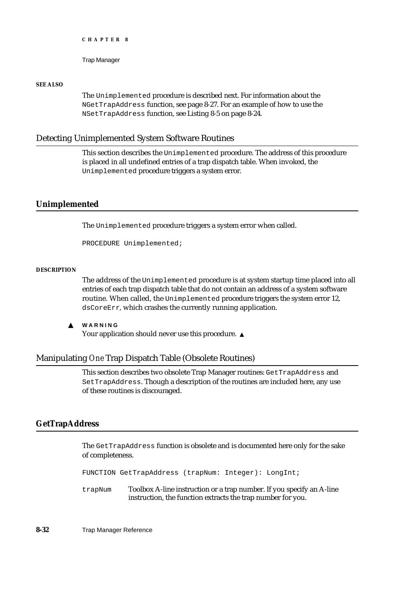Trap Manager

#### **SEE ALSO**

The Unimplemented procedure is described next. For information about the NGetTrapAddress function, see page 8-27. For an example of how to use the NSetTrapAddress function, see Listing 8-5 on page 8-24.

#### Detecting Unimplemented System Software Routines

This section describes the Unimplemented procedure. The address of this procedure is placed in all undefined entries of a trap dispatch table. When invoked, the Unimplemented procedure triggers a system error.

#### **Unimplemented**

The Unimplemented procedure triggers a system error when called.

PROCEDURE Unimplemented;

#### **DESCRIPTION**

The address of the Unimplemented procedure is at system startup time placed into all entries of each trap dispatch table that do not contain an address of a system software routine. When called, the Unimplemented procedure triggers the system error 12, dsCoreErr, which crashes the currently running application.

 $\mathbf{s}$ **WARNING** Your application should never use this procedure. s

#### Manipulating *One* Trap Dispatch Table (Obsolete Routines)

This section describes two obsolete Trap Manager routines: GetTrapAddress and SetTrapAddress. Though a description of the routines are included here, any use of these routines is discouraged.

### **GetTrapAddress**

The GetTrapAddress function is obsolete and is documented here only for the sake of completeness.

FUNCTION GetTrapAddress (trapNum: Integer): LongInt;

trapNum Toolbox A-line instruction or a trap number. If you specify an A-line instruction, the function extracts the trap number for you.

**8-32** Trap Manager Reference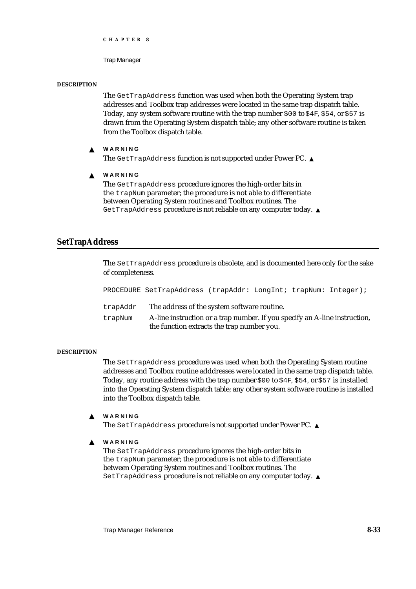Trap Manager

#### **DESCRIPTION**

The GetTrapAddress function was used when both the Operating System trap addresses and Toolbox trap addresses were located in the same trap dispatch table. Today, any system software routine with the trap number  $$00$  to  $$4F, $54,$  or  $$57$  is drawn from the Operating System dispatch table; any other software routine is taken from the Toolbox dispatch table.

#### **WARNING**  $\mathbf{s}$

The GetTrapAddress function is not supported under Power PC. s

 $\mathbf{s}$ **WARNING**

> The GetTrapAddress procedure ignores the high-order bits in the trapNum parameter; the procedure is not able to differentiate between Operating System routines and Toolbox routines. The GetTrapAddress procedure is not reliable on any computer today.

### **SetTrapAddress**

The SetTrapAddress procedure is obsolete, and is documented here only for the sake of completeness.

|          | PROCEDURE SetTrapAddress (trapAddr: LongInt; trapNum: Integer);                                                          |  |  |
|----------|--------------------------------------------------------------------------------------------------------------------------|--|--|
| trapAddr | The address of the system software routine.                                                                              |  |  |
| trapNum  | A-line instruction or a trap number. If you specify an A-line instruction,<br>the function extracts the trap number you. |  |  |

#### **DESCRIPTION**

The SetTrapAddress procedure was used when both the Operating System routine addresses and Toolbox routine adddresses were located in the same trap dispatch table. Today, any routine address with the trap number  $$00$  to  $$4F, $54$ , or  $$57$  is installed into the Operating System dispatch table; any other system software routine is installed into the Toolbox dispatch table.

#### **WARNING** s

The SetTrapAddress procedure is not supported under Power PC.

 $\epsilon$ **WARNING**

> The SetTrapAddress procedure ignores the high-order bits in the trapNum parameter; the procedure is not able to differentiate between Operating System routines and Toolbox routines. The SetTrapAddress procedure is not reliable on any computer today. s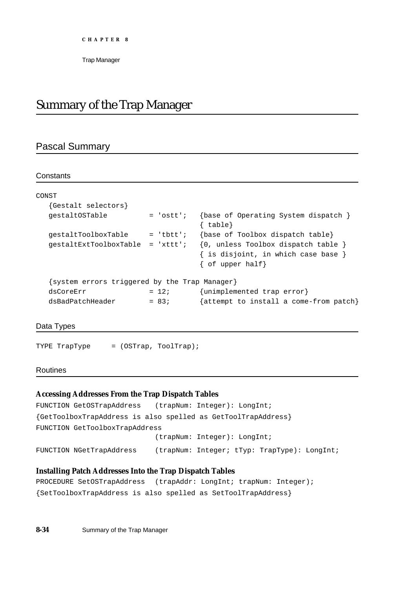# Summary of the Trap Manager

### Pascal Summary

#### **Constants**

| CONST                                         |             |                                                                                                                   |
|-----------------------------------------------|-------------|-------------------------------------------------------------------------------------------------------------------|
| {Gestalt selectors}                           |             |                                                                                                                   |
| qestaltOSTable                                | $= 'ostt';$ | $\{base of Operating System dispatch\}$<br>$\{ table\}$                                                           |
| qestaltToolboxTable                           | $=$ 'tbtt'; | {base of Toolbox dispatch table}                                                                                  |
| $qestaltExt{\texttt{ToolboxTable}}$ = 'xttt'; |             | $\{0, \text{ unless Toolbox dispatch table }\}$<br>{ is disjoint, in which case base }<br>$\{$ of upper half $\}$ |
| system errors triggered by the Trap Manager}  |             |                                                                                                                   |
| dsCoreErr                                     | $= 12i$     | {unimplemented trap error}                                                                                        |
| dsBadPatchHeader                              | $= 83;$     | attempt to install a come-from patch}                                                                             |

Data Types

TYPE TrapType = (OSTrap, ToolTrap);

#### Routines

#### **Accessing Addresses From the Trap Dispatch Tables**

```
FUNCTION GetOSTrapAddress (trapNum: Integer): LongInt;
{GetToolboxTrapAddress is also spelled as GetToolTrapAddress}
FUNCTION GetToolboxTrapAddress
                            (trapNum: Integer): LongInt;
FUNCTION NGetTrapAddress (trapNum: Integer; tTyp: TrapType): LongInt;
```
### **Installing Patch Addresses Into the Trap Dispatch Tables**

```
PROCEDURE SetOSTrapAddress (trapAddr: LongInt; trapNum: Integer);
{SetToolboxTrapAddress is also spelled as SetToolTrapAddress}
```
**8-34** Summary of the Trap Manager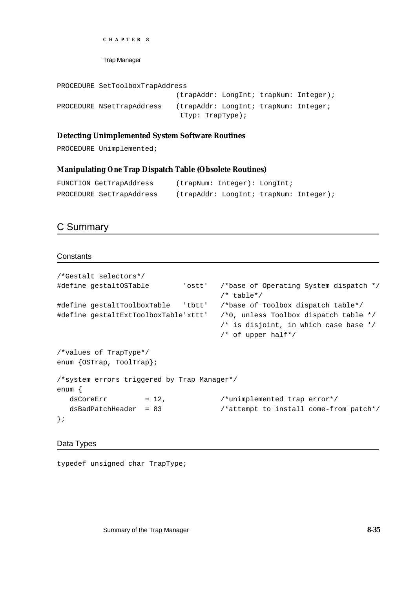```
CHAPTER 8
```
PROCEDURE SetToolboxTrapAddress

```
(trapAddr: LongInt; trapNum: Integer);
PROCEDURE NSetTrapAddress (trapAddr: LongInt; trapNum: Integer;
                             tTyp: TrapType);
```
#### **Detecting Unimplemented System Software Routines**

PROCEDURE Unimplemented;

#### **Manipulating** *One* **Trap Dispatch Table (Obsolete Routines)**

```
FUNCTION GetTrapAddress (trapNum: Integer): LongInt;
PROCEDURE SetTrapAddress (trapAddr: LongInt; trapNum: Integer);
```
### C Summary

**Constants** 

```
/*Gestalt selectors*/
#define gestaltOSTable 'ostt' /*base of Operating System dispatch */
                                     /* table*/
#define gestaltToolboxTable 'tbtt' /*base of Toolbox dispatch table*/
#define gestaltExtToolboxTable'xttt' /*0, unless Toolbox dispatch table */
                                     /* is disjoint, in which case base */
                                     /* of upper half*/
/*values of TrapType*/
enum {OSTrap, ToolTrap};
/*system errors triggered by Trap Manager*/
enum {
  dsCoreErr = 12, {\scriptstyle \prime} +unimplemented trap error*/
  dsBadPatchHeader = 83 /*attempt to install come-from patch*/
};
```
Data Types

typedef unsigned char TrapType;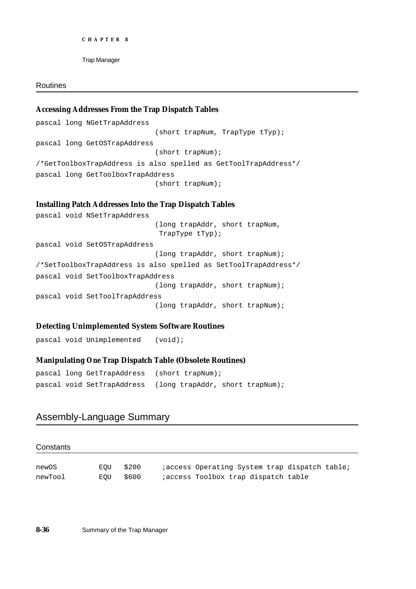```
CHAPTER 8
```
#### Routines

### **Accessing Addresses From the Trap Dispatch Tables**

pascal long NGetTrapAddress (short trapNum, TrapType tTyp); pascal long GetOSTrapAddress (short trapNum); /\*GetToolboxTrapAddress is also spelled as GetToolTrapAddress\*/ pascal long GetToolboxTrapAddress (short trapNum);

#### **Installing Patch Addresses Into the Trap Dispatch Tables**

pascal void NSetTrapAddress (long trapAddr, short trapNum, TrapType tTyp); pascal void SetOSTrapAddress (long trapAddr, short trapNum); /\*SetToolboxTrapAddress is also spelled as SetToolTrapAddress\*/ pascal void SetToolboxTrapAddress (long trapAddr, short trapNum); pascal void SetToolTrapAddress (long trapAddr, short trapNum);

#### **Detecting Unimplemented System Software Routines**

pascal void Unimplemented (void);

### **Manipulating** *One* **Trap Dispatch Table (Obsolete Routines)**

```
pascal long GetTrapAddress (short trapNum);
pascal void SetTrapAddress (long trapAddr, short trapNum);
```
### Assembly-Language Summary

#### **Constants**

| newOS   | EOU \$200 |  | <i>i</i> access Operating System trap dispatch table; |  |  |
|---------|-----------|--|-------------------------------------------------------|--|--|
| newTool | EOU \$600 |  | iaccess Toolbox trap dispatch table                   |  |  |

**8-36** Summary of the Trap Manager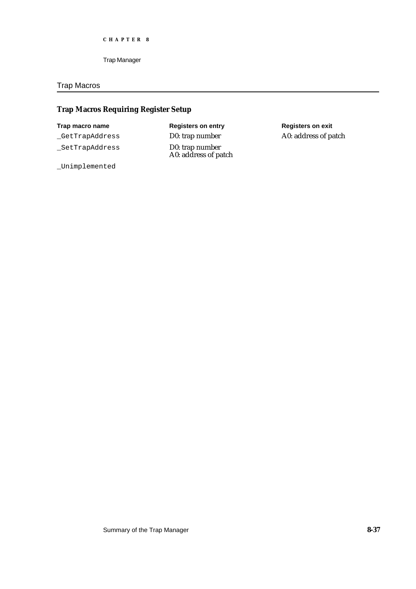#### Trap Macros

### **Trap Macros Requiring Register Setup**

\_GetTrapAddress D0: trap number A0: address of patch

\_SetTrapAddress D0: trap number

# **Trap macro name Registers on entry Registers on exit** A0: address of patch

\_Unimplemented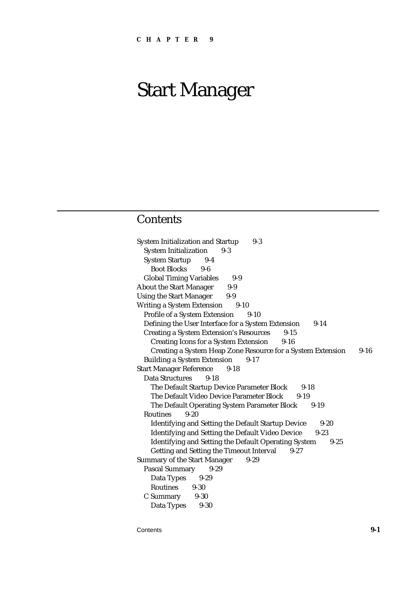### **Contents**

System Initialization and Startup 9-3 System Initialization 9-3 System Startup 9-4 Boot Blocks 9-6 Global Timing Variables 9-9 About the Start Manager 9-9 Using the Start Manager 9-9 Writing a System Extension 9-10 Profile of a System Extension 9-10 Defining the User Interface for a System Extension 9-14 Creating a System Extension's Resources 9-15 Creating Icons for a System Extension 9-16 Creating a System Heap Zone Resource for a System Extension 9-16 Building a System Extension 9-17 Start Manager Reference 9-18 Data Structures 9-18 The Default Startup Device Parameter Block 9-18 The Default Video Device Parameter Block 9-19 The Default Operating System Parameter Block 9-19 Routines 9-20 Identifying and Setting the Default Startup Device 9-20 Identifying and Setting the Default Video Device 9-23 Identifying and Setting the Default Operating System 9-25 Getting and Setting the Timeout Interval 9-27 Summary of the Start Manager 9-29 Pascal Summary 9-29 Data Types 9-29 Routines 9-30 C Summary 9-30 Data Types 9-30

Contents **9-1**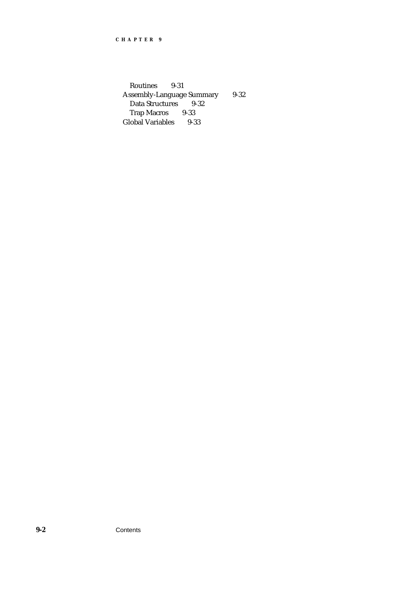Routines 9-31 Assembly-Language Summary 9-32<br>Data Structures 9-32 Data Structures 9-<br>Trap Macros 9-33 Trap Macros Global Variables 9-33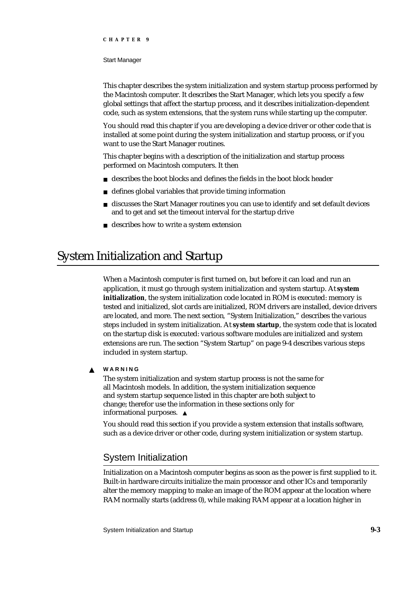#### Start Manager

This chapter describes the system initialization and system startup process performed by the Macintosh computer. It describes the Start Manager, which lets you specify a few global settings that affect the startup process, and it describes initialization-dependent code, such as system extensions, that the system runs while starting up the computer.

You should read this chapter if you are developing a device driver or other code that is installed at some point during the system initialization and startup process, or if you want to use the Start Manager routines.

This chapter begins with a description of the initialization and startup process performed on Macintosh computers. It then

- describes the boot blocks and defines the fields in the boot block header
- defines global variables that provide timing information
- discusses the Start Manager routines you can use to identify and set default devices  $\overline{a}$ and to get and set the timeout interval for the startup drive
- describes how to write a system extension

# System Initialization and Startup

When a Macintosh computer is first turned on, but before it can load and run an application, it must go through system initialization and system startup. At **system initialization**, the system initialization code located in ROM is executed: memory is tested and initialized, slot cards are initialized, ROM drivers are installed, device drivers are located, and more. The next section*,* "System Initialization," describes the various steps included in system initialization. At **system startup**, the system code that is located on the startup disk is executed: various software modules are initialized and system extensions are run. The section "System Startup" on page 9-4 describes various steps included in system startup.

**WARNING** S

> The system initialization and system startup process is not the same for all Macintosh models. In addition, the system initialization sequence and system startup sequence listed in this chapter are both subject to change; therefor use the information in these sections only for informational purposes.

You should read this section if you provide a system extension that installs software, such as a device driver or other code, during system initialization or system startup.

### System Initialization

Initialization on a Macintosh computer begins as soon as the power is first supplied to it. Built-in hardware circuits initialize the main processor and other ICs and temporarily alter the memory mapping to make an image of the ROM appear at the location where RAM normally starts (address 0), while making RAM appear at a location higher in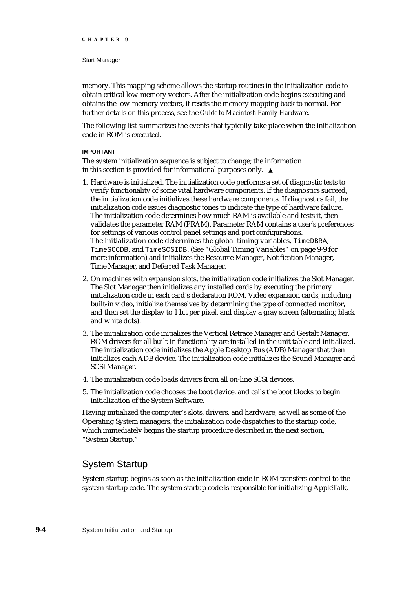#### Start Manager

memory. This mapping scheme allows the startup routines in the initialization code to obtain critical low-memory vectors. After the initialization code begins executing and obtains the low-memory vectors, it resets the memory mapping back to normal. For further details on this process, see the *Guide to Macintosh Family Hardware.*

The following list summarizes the events that typically take place when the initialization code in ROM is executed.

#### **IMPORTANT**

The system initialization sequence is subject to change; the information in this section is provided for informational purposes only.

- 1. Hardware is initialized. The initialization code performs a set of diagnostic tests to verify functionality of some vital hardware components. If the diagnostics succeed, the initialization code initializes these hardware components. If diagnostics fail, the initialization code issues diagnostic tones to indicate the type of hardware failure. The initialization code determines how much RAM is available and tests it, then validates the parameter RAM (PRAM). Parameter RAM contains a user's preferences for settings of various control panel settings and port configurations. The initialization code determines the global timing variables, TimeDBRA, TimeSCCDB, and TimeSCSIDB. (See "Global Timing Variables" on page 9-9 for more information) and initializes the Resource Manager, Notification Manager, Time Manager, and Deferred Task Manager.
- 2. On machines with expansion slots, the initialization code initializes the Slot Manager. The Slot Manager then initializes any installed cards by executing the primary initialization code in each card's declaration ROM. Video expansion cards, including built-in video, initialize themselves by determining the type of connected monitor, and then set the display to 1 bit per pixel, and display a gray screen (alternating black and white dots).
- 3. The initialization code initializes the Vertical Retrace Manager and Gestalt Manager. ROM drivers for all built-in functionality are installed in the unit table and initialized. The initialization code initializes the Apple Desktop Bus (ADB) Manager that then initializes each ADB device. The initialization code initializes the Sound Manager and SCSI Manager.
- 4. The initialization code loads drivers from all on-line SCSI devices.
- 5. The initialization code chooses the boot device, and calls the boot blocks to begin initialization of the System Software.

Having initialized the computer's slots, drivers, and hardware, as well as some of the Operating System managers, the initialization code dispatches to the startup code, which immediately begins the startup procedure described in the next section, "System Startup."

### System Startup

System startup begins as soon as the initialization code in ROM transfers control to the system startup code. The system startup code is responsible for initializing AppleTalk,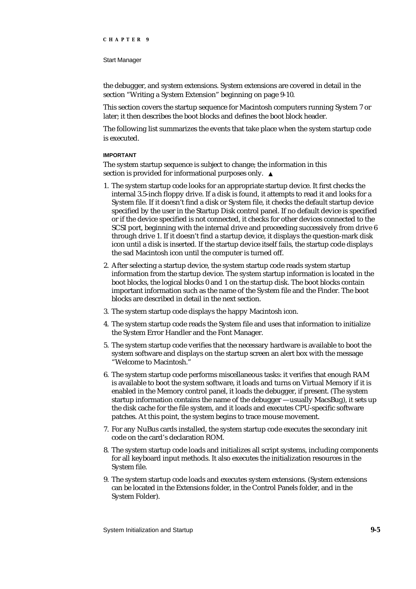the debugger, and system extensions. System extensions are covered in detail in the section "Writing a System Extension" beginning on page 9-10.

This section covers the startup sequence for Macintosh computers running System 7 or later; it then describes the boot blocks and defines the boot block header.

The following list summarizes the events that take place when the system startup code is executed.

#### **IMPORTANT**

The system startup sequence is subject to change; the information in this section is provided for informational purposes only. s

- 1. The system startup code looks for an appropriate startup device. It first checks the internal 3.5-inch floppy drive. If a disk is found, it attempts to read it and looks for a System file. If it doesn't find a disk or System file, it checks the default startup device specified by the user in the Startup Disk control panel. If no default device is specified or if the device specified is not connected, it checks for other devices connected to the SCSI port, beginning with the internal drive and proceeding successively from drive 6 through drive 1. If it doesn't find a startup device, it displays the question-mark disk icon until a disk is inserted. If the startup device itself fails, the startup code displays the sad Macintosh icon until the computer is turned off.
- 2. After selecting a startup device, the system startup code reads system startup information from the startup device. The system startup information is located in the boot blocks, the logical blocks 0 and 1 on the startup disk. The boot blocks contain important information such as the name of the System file and the Finder. The boot blocks are described in detail in the next section.
- 3. The system startup code displays the happy Macintosh icon.
- 4. The system startup code reads the System file and uses that information to initialize the System Error Handler and the Font Manager.
- 5. The system startup code verifies that the necessary hardware is available to boot the system software and displays on the startup screen an alert box with the message "Welcome to Macintosh."
- 6. The system startup code performs miscellaneous tasks: it verifies that enough RAM is available to boot the system software, it loads and turns on Virtual Memory if it is enabled in the Memory control panel, it loads the debugger, if present. (The system startup information contains the name of the debugger —usually MacsBug), it sets up the disk cache for the file system, and it loads and executes CPU-specific software patches. At this point, the system begins to trace mouse movement.
- 7. For any NuBus cards installed, the system startup code executes the secondary init code on the card's declaration ROM.
- 8. The system startup code loads and initializes all script systems, including components for all keyboard input methods. It also executes the initialization resources in the System file.
- 9. The system startup code loads and executes system extensions. (System extensions can be located in the Extensions folder, in the Control Panels folder, and in the System Folder).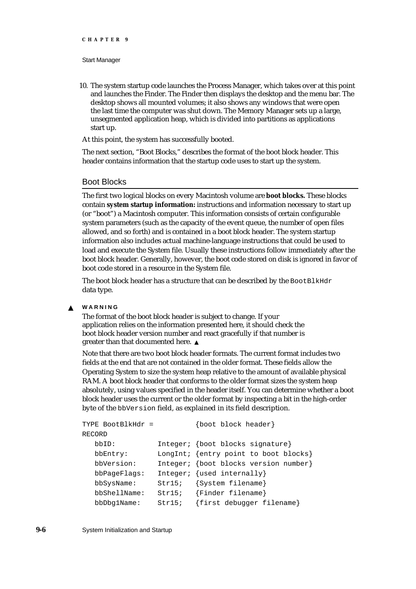10. The system startup code launches the Process Manager, which takes over at this point and launches the Finder. The Finder then displays the desktop and the menu bar. The desktop shows all mounted volumes; it also shows any windows that were open the last time the computer was shut down. The Memory Manager sets up a large, unsegmented application heap, which is divided into partitions as applications start up.

At this point, the system has successfully booted.

The next section, "Boot Blocks," describes the format of the boot block header. This header contains information that the startup code uses to start up the system.

### Boot Blocks

The first two logical blocks on every Macintosh volume are **boot blocks.** These blocks contain **system startup information:** instructions and information necessary to start up (or "boot") a Macintosh computer. This information consists of certain configurable system parameters (such as the capacity of the event queue, the number of open files allowed, and so forth) and is contained in a boot block header. The system startup information also includes actual machine-language instructions that could be used to load and execute the System file. Usually these instructions follow immediately after the boot block header. Generally, however, the boot code stored on disk is ignored in favor of boot code stored in a resource in the System file.

The boot block header has a structure that can be described by the  $\texttt{BoolBlkHdr}$ data type.

#### **WARNING**  $\mathbf{s}$

The format of the boot block header is subject to change. If your application relies on the information presented here, it should check the boot block header version number and react gracefully if that number is greater than that documented here.

Note that there are two boot block header formats. The current format includes two fields at the end that are not contained in the older format. These fields allow the Operating System to size the system heap relative to the amount of available physical RAM. A boot block header that conforms to the older format sizes the system heap absolutely, using values specified in the header itself. You can determine whether a boot block header uses the current or the older format by inspecting a bit in the high-order byte of the bbVersion field, as explained in its field description.

```
TYPE BootBlkHdr = {boot block header}
RECORD
  bbID: Integer; {boot blocks signature}
  bbEntry: LongInt; {entry point to boot blocks}
  bbVersion: Integer; {boot blocks version number}
  bbPageFlags: Integer; {used internally}
  bbSysName: Str15; {System filename}
  bbShellName: Str15; {Finder filename}
  bbDbg1Name: Str15; {first debugger filename}
```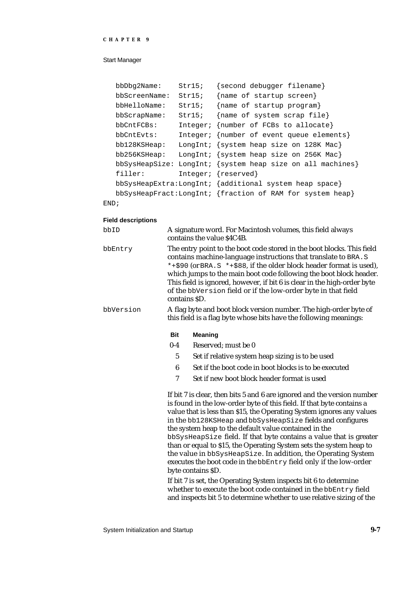#### Start Manager

|      | $bbD$ b $q$ 2Name:   | Str15;   | {second debugger filename}                                |
|------|----------------------|----------|-----------------------------------------------------------|
|      | bbScreenName:        | Str15;   | {name of startup screen}                                  |
|      | bbHelloName:         | Str15;   | {name of startup program}                                 |
|      | bbScrapName:         | Str15;   | {name of system scrap file}                               |
|      | bbCntFCBs:           | Integer; | {number of FCBs to allocate}                              |
|      | bbCntEvts:           |          | Integer; {number of event queue elements}                 |
|      | bb128KSHeap:         |          | LongInt; $\{system\ heap\ size\ on\ 128K\ Mac\}$          |
|      | $bb256KSE$ ap:       |          | LongInt; {system heap size on 256K Mac}                   |
|      | $bbS$ ysHeap $Size:$ |          | LongInt; {system heap size on all machines}               |
|      | filler:              |          | Integer; {reserved}                                       |
|      |                      |          | $bbSysHeapExtra:LongInt; {additional system heap space}$  |
|      |                      |          | bbSysHeapFract:LongInt; {fraction of RAM for system heap} |
| END; |                      |          |                                                           |

### **Field descriptions**

| bbID      | A signature word. For Macintosh volumes, this field always<br>contains the value \$4C4B.                                                                                                                                                                                                                                                                                                                                                             |                                                                                                                                                                                                                                                                                                                                                                                                                                                                                                                                                                                                                                                           |  |
|-----------|------------------------------------------------------------------------------------------------------------------------------------------------------------------------------------------------------------------------------------------------------------------------------------------------------------------------------------------------------------------------------------------------------------------------------------------------------|-----------------------------------------------------------------------------------------------------------------------------------------------------------------------------------------------------------------------------------------------------------------------------------------------------------------------------------------------------------------------------------------------------------------------------------------------------------------------------------------------------------------------------------------------------------------------------------------------------------------------------------------------------------|--|
| bbEntry   | The entry point to the boot code stored in the boot blocks. This field<br>contains machine-language instructions that translate to BRA. S<br>*+\$90 (or BRA. S *+\$88, if the older block header format is used),<br>which jumps to the main boot code following the boot block header.<br>This field is ignored, however, if bit 6 is clear in the high-order byte<br>of the bbVersion field or if the low-order byte in that field<br>contains SD. |                                                                                                                                                                                                                                                                                                                                                                                                                                                                                                                                                                                                                                                           |  |
| bbVersion |                                                                                                                                                                                                                                                                                                                                                                                                                                                      | A flag byte and boot block version number. The high-order byte of<br>this field is a flag byte whose bits have the following meanings:                                                                                                                                                                                                                                                                                                                                                                                                                                                                                                                    |  |
|           | <b>Bit</b>                                                                                                                                                                                                                                                                                                                                                                                                                                           | <b>Meaning</b>                                                                                                                                                                                                                                                                                                                                                                                                                                                                                                                                                                                                                                            |  |
|           | $0 - 4$                                                                                                                                                                                                                                                                                                                                                                                                                                              | Reserved; must be 0                                                                                                                                                                                                                                                                                                                                                                                                                                                                                                                                                                                                                                       |  |
|           | $\mathbf 5$                                                                                                                                                                                                                                                                                                                                                                                                                                          | Set if relative system heap sizing is to be used                                                                                                                                                                                                                                                                                                                                                                                                                                                                                                                                                                                                          |  |
|           | 6                                                                                                                                                                                                                                                                                                                                                                                                                                                    | Set if the boot code in boot blocks is to be executed                                                                                                                                                                                                                                                                                                                                                                                                                                                                                                                                                                                                     |  |
|           | 7                                                                                                                                                                                                                                                                                                                                                                                                                                                    | Set if new boot block header format is used                                                                                                                                                                                                                                                                                                                                                                                                                                                                                                                                                                                                               |  |
|           |                                                                                                                                                                                                                                                                                                                                                                                                                                                      | If bit 7 is clear, then bits 5 and 6 are ignored and the version number<br>is found in the low-order byte of this field. If that byte contains a<br>value that is less than \$15, the Operating System ignores any values<br>in the bb128KSHeap and bbSysHeapSize fields and configures<br>the system heap to the default value contained in the<br>bbSysHeapSize field. If that byte contains a value that is greater<br>than or equal to \$15, the Operating System sets the system heap to<br>the value in bbSysHeapSize. In addition, the Operating System<br>executes the boot code in the bbEntry field only if the low-order<br>byte contains \$D. |  |
|           |                                                                                                                                                                                                                                                                                                                                                                                                                                                      | If bit 7 is set, the Operating System inspects bit 6 to determine<br>whether to execute the boot code contained in the bbEntry field                                                                                                                                                                                                                                                                                                                                                                                                                                                                                                                      |  |

and inspects bit 5 to determine whether to use relative sizing of the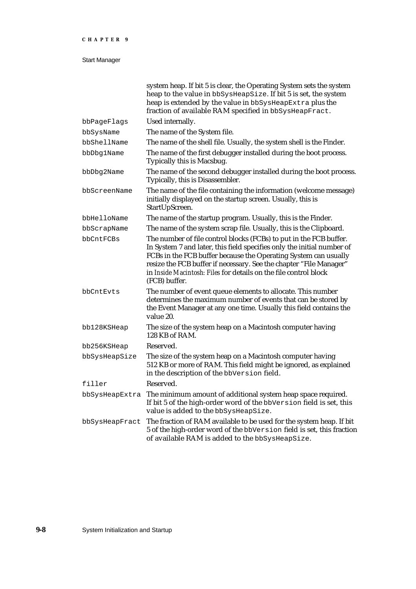|                | system heap. If bit 5 is clear, the Operating System sets the system<br>heap to the value in bbSysHeapSize. If bit 5 is set, the system<br>heap is extended by the value in bbSysHeapExtra plus the<br>fraction of available RAM specified in bbSysHeapFract.                                                                                                              |
|----------------|----------------------------------------------------------------------------------------------------------------------------------------------------------------------------------------------------------------------------------------------------------------------------------------------------------------------------------------------------------------------------|
| bbPageFlags    | Used internally.                                                                                                                                                                                                                                                                                                                                                           |
| bbSysName      | The name of the System file.                                                                                                                                                                                                                                                                                                                                               |
| bbShellName    | The name of the shell file. Usually, the system shell is the Finder.                                                                                                                                                                                                                                                                                                       |
| bbDbg1Name     | The name of the first debugger installed during the boot process.<br>Typically this is Macsbug.                                                                                                                                                                                                                                                                            |
| bbDbg2Name     | The name of the second debugger installed during the boot process.<br>Typically, this is Disassembler.                                                                                                                                                                                                                                                                     |
| bbScreenName   | The name of the file containing the information (welcome message)<br>initially displayed on the startup screen. Usually, this is<br>StartUpScreen.                                                                                                                                                                                                                         |
| bbHelloName    | The name of the startup program. Usually, this is the Finder.                                                                                                                                                                                                                                                                                                              |
| bbScrapName    | The name of the system scrap file. Usually, this is the Clipboard.                                                                                                                                                                                                                                                                                                         |
| bbCntFCBs      | The number of file control blocks (FCBs) to put in the FCB buffer.<br>In System 7 and later, this field specifies only the initial number of<br>FCBs in the FCB buffer because the Operating System can usually<br>resize the FCB buffer if necessary. See the chapter "File Manager"<br>in Inside Macintosh: Files for details on the file control block<br>(FCB) buffer. |
| bbCntEvts      | The number of event queue elements to allocate. This number<br>determines the maximum number of events that can be stored by<br>the Event Manager at any one time. Usually this field contains the<br>value 20.                                                                                                                                                            |
| bb128KSHeap    | The size of the system heap on a Macintosh computer having<br>128 KB of RAM.                                                                                                                                                                                                                                                                                               |
| bb256KSHeap    | Reserved.                                                                                                                                                                                                                                                                                                                                                                  |
| bbSysHeapSize  | The size of the system heap on a Macintosh computer having<br>512 KB or more of RAM. This field might be ignored, as explained<br>in the description of the bbVersion field.                                                                                                                                                                                               |
| filler         | Reserved.                                                                                                                                                                                                                                                                                                                                                                  |
| bbSysHeapExtra | The minimum amount of additional system heap space required.<br>If bit 5 of the high-order word of the bbVersion field is set, this<br>value is added to the bbSysHeapSize.                                                                                                                                                                                                |
| bbSysHeapFract | The fraction of RAM available to be used for the system heap. If bit<br>5 of the high-order word of the bbVersion field is set, this fraction<br>of available RAM is added to the bbSysHeapSize.                                                                                                                                                                           |
|                |                                                                                                                                                                                                                                                                                                                                                                            |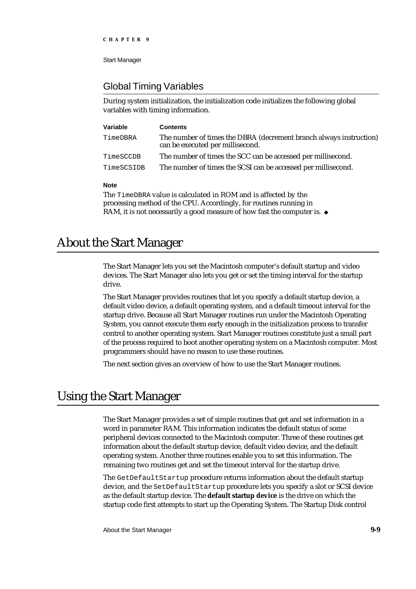### Global Timing Variables

During system initialization, the initialization code initializes the following global variables with timing information.

| Variable   | <b>Contents</b>                                                                                        |
|------------|--------------------------------------------------------------------------------------------------------|
| TimeDBRA   | The number of times the DBRA (decrement branch always instruction)<br>can be executed per millisecond. |
| TimeSCCDB  | The number of times the SCC can be accessed per millisecond.                                           |
| TimeSCSIDB | The number of times the SCSI can be accessed per millisecond.                                          |

#### **Note**

The TimeDBRA value is calculated in ROM and is affected by the processing method of the CPU. Accordingly, for routines running in RAM, it is not necessarily a good measure of how fast the computer is. u

# About the Start Manager

The Start Manager lets you set the Macintosh computer's default startup and video devices. The Start Manager also lets you get or set the timing interval for the startup drive.

The Start Manager provides routines that let you specify a default startup device, a default video device, a default operating system, and a default timeout interval for the startup drive. Because all Start Manager routines run under the Macintosh Operating System, you cannot execute them early enough in the initialization process to transfer control to another operating system. Start Manager routines constitute just a small part of the process required to boot another operating system on a Macintosh computer. Most programmers should have no reason to use these routines.

The next section gives an overview of how to use the Start Manager routines.

# Using the Start Manager

The Start Manager provides a set of simple routines that get and set information in a word in parameter RAM. This information indicates the default status of some peripheral devices connected to the Macintosh computer. Three of these routines get information about the default startup device, default video device, and the default operating system. Another three routines enable you to set this information. The remaining two routines get and set the timeout interval for the startup drive.

The GetDefaultStartup procedure returns information about the default startup device, and the SetDefaultStartup procedure lets you specify a slot or SCSI device as the default startup device. The **default startup device** is the drive on which the startup code first attempts to start up the Operating System. The Startup Disk control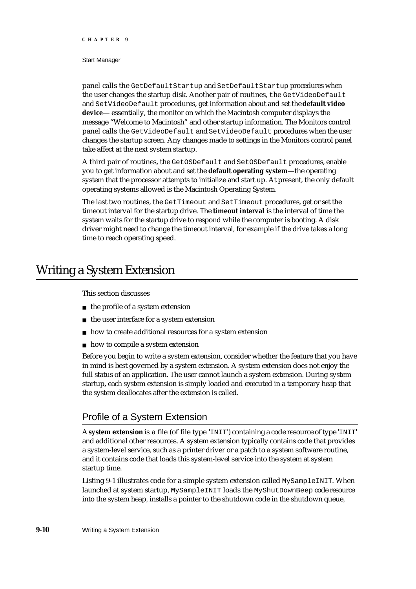#### Start Manager

panel calls the GetDefaultStartup and SetDefaultStartup procedures when the user changes the startup disk. Another pair of routines, the GetVideoDefault and SetVideoDefault procedures, get information about and set the **default video device**— essentially, the monitor on which the Macintosh computer displays the message "Welcome to Macintosh" and other startup information. The Monitors control panel calls the GetVideoDefault and SetVideoDefault procedures when the user changes the startup screen. Any changes made to settings in the Monitors control panel take affect at the next system startup.

A third pair of routines, the GetOSDefault and SetOSDefault procedures, enable you to get information about and set the **default operating system**—the operating system that the processor attempts to initialize and start up. At present, the only default operating systems allowed is the Macintosh Operating System.

The last two routines, the GetTimeout and SetTimeout procedures, get or set the timeout interval for the startup drive. The **timeout interval** is the interval of time the system waits for the startup drive to respond while the computer is booting. A disk driver might need to change the timeout interval, for example if the drive takes a long time to reach operating speed.

### Writing a System Extension

#### This section discusses

- $n$  the profile of a system extension
- $n$  the user interface for a system extension
- how to create additional resources for a system extension
- $n$  how to compile a system extension

Before you begin to write a system extension, consider whether the feature that you have in mind is best governed by a system extension. A system extension does not enjoy the full status of an application. The user cannot launch a system extension. During system startup, each system extension is simply loaded and executed in a temporary heap that the system deallocates after the extension is called.

### Profile of a System Extension

A **system extension** is a file (of file type 'INIT') containing a code resource of type 'INIT' and additional other resources. A system extension typically contains code that provides a system-level service, such as a printer driver or a patch to a system software routine, and it contains code that loads this system-level service into the system at system startup time.

Listing 9-1 illustrates code for a simple system extension called MySampleINIT. When launched at system startup, MySampleINIT loads the MyShutDownBeep code resource into the system heap, installs a pointer to the shutdown code in the shutdown queue,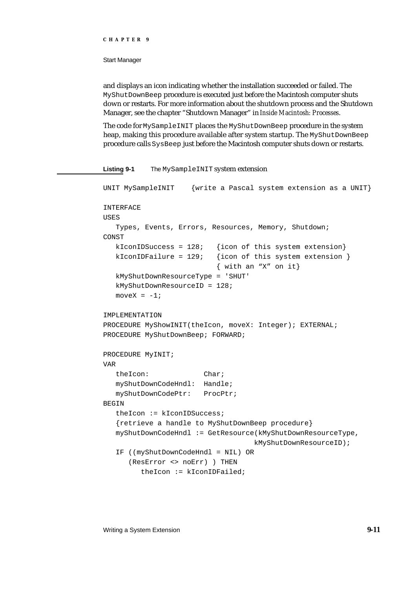#### Start Manager

and displays an icon indicating whether the installation succeeded or failed. The MyShutDownBeep procedure is executed just before the Macintosh computer shuts down or restarts. For more information about the shutdown process and the Shutdown Manager, see the chapter "Shutdown Manager" in *Inside Macintosh: Processes*.

The code for MySampleINIT places the MyShutDownBeep procedure in the system heap, making this procedure available after system startup. The MyShutDownBeep procedure calls SysBeep just before the Macintosh computer shuts down or restarts.

**Listing 9-1** The MySampleINIT system extension

```
UNIT MySampleINIT {write a Pascal system extension as a UNIT}
INTERFACE
USES
  Types, Events, Errors, Resources, Memory, Shutdown;
CONST
  kIconIDSuccess = 128; {icon of this system extension}
  kIconIDFailure = 129; {icon of this system extension }
                           { with an "X" on it}
  kMyShutDownResourceType = 'SHUT'
  kMyShutDownResourceID = 128;
  moveX = -1;IMPLEMENTATION
PROCEDURE MyShowINIT(theIcon, moveX: Integer); EXTERNAL;
PROCEDURE MyShutDownBeep; FORWARD;
PROCEDURE MyINIT;
VAR
  theIcon: Char;
  myShutDownCodeHndl: Handle;
  myShutDownCodePtr: ProcPtr;
BEGIN
  theIcon := kIconIDSuccess;
   {retrieve a handle to MyShutDownBeep procedure}
  myShutDownCodeHndl := GetResource(kMyShutDownResourceType,
                                   kMyShutDownResourceID);
  IF ((myShutDownCodeHndl = NIL) OR
      (ResError <> noErr) ) THEN
        theIcon := kIconIDFailed;
```
#### Writing a System Extension **9-11**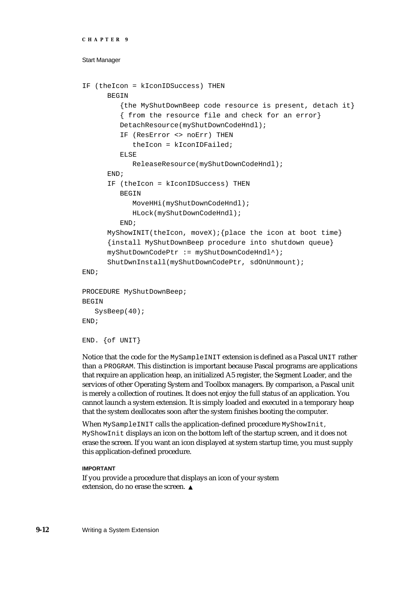```
CHAPTER 9
```

```
IF (theIcon = kIconIDSuccess) THEN
      BEGIN
         {the MyShutDownBeep code resource is present, detach it}
         { from the resource file and check for an error}
         DetachResource(myShutDownCodeHndl);
         IF (ResError <> noErr) THEN
            theIcon = kIconIDFailed;
         ELSE
            ReleaseResource(myShutDownCodeHndl);
      END;
      IF (theIcon = kIconIDSuccess) THEN
         BEGIN
            MoveHHi(myShutDownCodeHndl);
            HLock(myShutDownCodeHndl);
         END;
      MyShowINIT(theIcon, moveX);{place the icon at boot time}
      {install MyShutDownBeep procedure into shutdown queue}
      myShutDownCodePtr := myShutDownCodeHndl^);
      ShutDwnInstall(myShutDownCodePtr, sdOnUnmount);
END;
PROCEDURE MyShutDownBeep;
BEGIN
   SysBeep(40);
END;
END. {of UNIT}
```
Notice that the code for the MySampleINIT extension is defined as a Pascal UNIT rather than a PROGRAM. This distinction is important because Pascal programs are applications that require an application heap, an initialized A5 register, the Segment Loader, and the services of other Operating System and Toolbox managers. By comparison, a Pascal unit is merely a collection of routines. It does not enjoy the full status of an application. You cannot launch a system extension. It is simply loaded and executed in a temporary heap that the system deallocates soon after the system finishes booting the computer.

When MySampleINIT calls the application-defined procedure MyShowInit, MyShowInit displays an icon on the bottom left of the startup screen, and it does not erase the screen. If you want an icon displayed at system startup time, you must supply this application-defined procedure.

### **IMPORTANT**

If you provide a procedure that displays an icon of your system extension, do no erase the screen.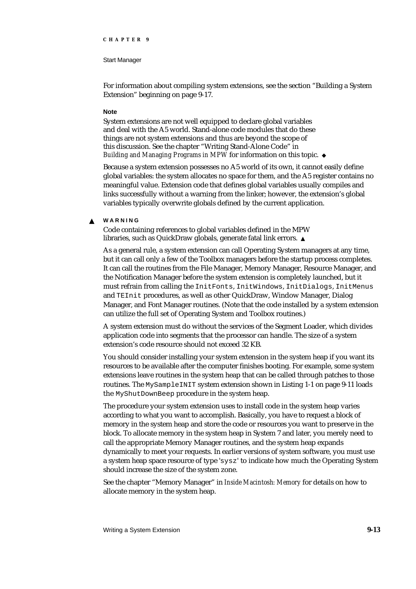#### Start Manager

For information about compiling system extensions, see the section "Building a System Extension" beginning on page 9-17.

#### **Note**

System extensions are not well equipped to declare global variables and deal with the A5 world. Stand-alone code modules that do these things are not system extensions and thus are beyond the scope of this discussion. See the chapter "Writing Stand-Alone Code" in *Building and Managing Programs in MPW* for information on this topic.

Because a system extension possesses no A5 world of its own, it cannot easily define global variables: the system allocates no space for them, and the A5 register contains no meaningful value. Extension code that defines global variables usually compiles and links successfully without a warning from the linker; however, the extension's global variables typically overwrite globals defined by the current application.

#### **WARNING**  $\epsilon$

Code containing references to global variables defined in the MPW libraries, such as QuickDraw globals, generate fatal link errors.

As a general rule, a system extension can call Operating System managers at any time, but it can call only a few of the Toolbox managers before the startup process completes. It can call the routines from the File Manager, Memory Manager, Resource Manager, and the Notification Manager before the system extension is completely launched, but it must refrain from calling the InitFonts, InitWindows, InitDialogs, InitMenus and TEInit procedures, as well as other QuickDraw, Window Manager, Dialog Manager, and Font Manager routines. (Note that the code installed by a system extension can utilize the full set of Operating System and Toolbox routines.)

A system extension must do without the services of the Segment Loader, which divides application code into segments that the processor can handle. The size of a system extension's code resource should not exceed 32 KB.

You should consider installing your system extension in the system heap if you want its resources to be available after the computer finishes booting. For example, some system extensions leave routines in the system heap that can be called through patches to those routines. The MySampleINIT system extension shown in Listing 1-1 on page 9-11 loads the MyShutDownBeep procedure in the system heap.

The procedure your system extension uses to install code in the system heap varies according to what you want to accomplish. Basically, you have to request a block of memory in the system heap and store the code or resources you want to preserve in the block. To allocate memory in the system heap in System 7 and later, you merely need to call the appropriate Memory Manager routines, and the system heap expands dynamically to meet your requests. In earlier versions of system software, you must use a system heap space resource of type 'sysz' to indicate how much the Operating System should increase the size of the system zone.

See the chapter "Memory Manager" in *Inside Macintosh: Memory* for details on how to allocate memory in the system heap.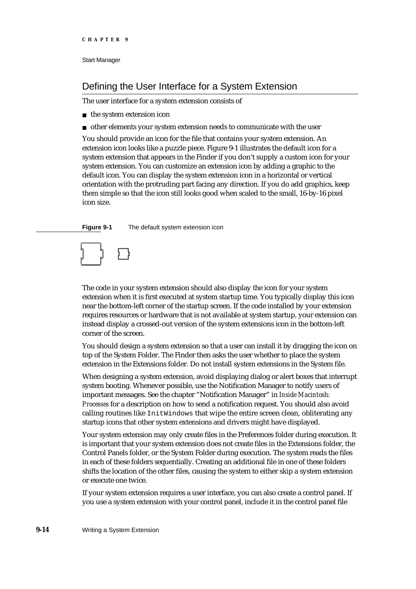### Defining the User Interface for a System Extension

The user interface for a system extension consists of

n the system extension icon

other elements your system extension needs to communicate with the user

You should provide an icon for the file that contains your system extension. An extension icon looks like a puzzle piece. Figure 9-1 illustrates the default icon for a system extension that appears in the Finder if you don't supply a custom icon for your system extension. You can customize an extension icon by adding a graphic to the default icon. You can display the system extension icon in a horizontal or vertical orientation with the protruding part facing any direction. If you do add graphics, keep them simple so that the icon still looks good when scaled to the small, 16-by-16 pixel icon size.

**Figure 9-1** The default system extension icon



The code in your system extension should also display the icon for your system extension when it is first executed at system startup time. You typically display this icon near the bottom-left corner of the startup screen. If the code installed by your extension requires resources or hardware that is not available at system startup, your extension can instead display a crossed-out version of the system extensions icon in the bottom-left corner of the screen.

You should design a system extension so that a user can install it by dragging the icon on top of the System Folder. The Finder then asks the user whether to place the system extension in the Extensions folder. Do not install system extensions in the System file.

When designing a system extension, avoid displaying dialog or alert boxes that interrupt system booting. Whenever possible, use the Notification Manager to notify users of important messages. See the chapter "Notification Manager" in *Inside Macintosh: Processes* for a description on how to send a notification request. You should also avoid calling routines like InitWindows that wipe the entire screen clean, obliterating any startup icons that other system extensions and drivers might have displayed.

Your system extension may only create files in the Preferences folder during execution. It is important that your system extension does not create files in the Extensions folder, the Control Panels folder, or the System Folder during execution. The system reads the files in each of these folders sequentially. Creating an additional file in one of these folders shifts the location of the other files, causing the system to either skip a system extension or execute one twice.

If your system extension requires a user interface, you can also create a control panel. If you use a system extension with your control panel, include it in the control panel file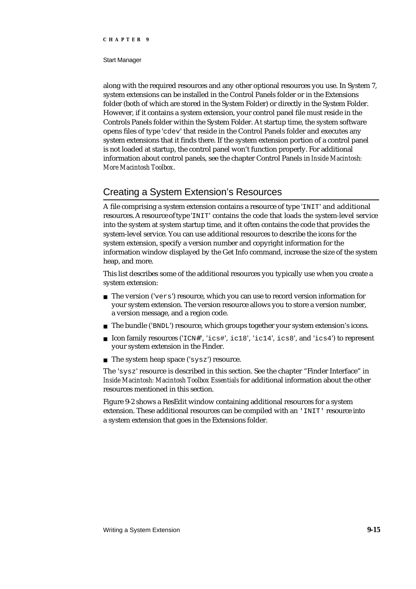#### Start Manager

along with the required resources and any other optional resources you use. In System 7, system extensions can be installed in the Control Panels folder or in the Extensions folder (both of which are stored in the System Folder) or directly in the System Folder. However, if it contains a system extension, your control panel file must reside in the Controls Panels folder within the System Folder. At startup time, the system software opens files of type 'cdev' that reside in the Control Panels folder and executes any system extensions that it finds there. If the system extension portion of a control panel is not loaded at startup, the control panel won't function properly. For additional information about control panels, see the chapter Control Panels in *Inside Macintosh: More Macintosh Toolbox*.

### Creating a System Extension's Resources

A file comprising a system extension contains a resource of type 'INIT' and additional resources. A resource of type 'INIT' contains the code that loads the system-level service into the system at system startup time, and it often contains the code that provides the system-level service. You can use additional resources to describe the icons for the system extension, specify a version number and copyright information for the information window displayed by the Get Info command, increase the size of the system heap, and more.

This list describes some of the additional resources you typically use when you create a system extension:

- $n$  The version ('vers') resource, which you can use to record version information for your system extension. The version resource allows you to store a version number, a version message, and a region code.
- n The bundle ('BNDL') resource, which groups together your system extension's icons.
- Icon family resources ('ICN#', 'ics#', ic18', 'ic14', ics8', and 'ics4') to represent your system extension in the Finder.
- The system heap space ('sysz') resource.

The 'sysz' resource is described in this section. See the chapter "Finder Interface" in *Inside Macintosh: Macintosh Toolbox Essentials* for additional information about the other resources mentioned in this section.

Figure 9-2 shows a ResEdit window containing additional resources for a system extension. These additional resources can be compiled with an 'INIT' resource into a system extension that goes in the Extensions folder.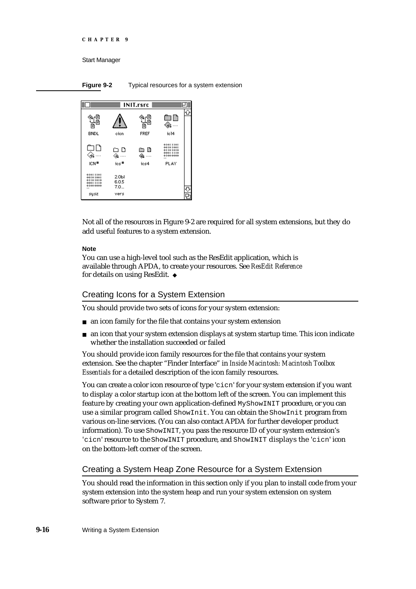```
CHAPTER 9
```
**Figure 9-2** Typical resources for a system extension



Not all of the resources in Figure 9-2 are required for all system extensions, but they do add useful features to a system extension.

#### **Note**

You can use a high-level tool such as the ResEdit application, which is available through APDA, to create your resources. See *ResEdit Reference* for details on using ResEdit.

### Creating Icons for a System Extension

You should provide two sets of icons for your system extension:

- n an icon family for the file that contains your system extension
- an icon that your system extension displays at system startup time. This icon indicate whether the installation succeeded or failed

You should provide icon family resources for the file that contains your system extension. See the chapter "Finder Interface" in *Inside Macintosh: Macintosh Toolbox Essentials* for a detailed description of the icon family resources.

You can create a color icon resource of type 'cicn' for your system extension if you want to display a color startup icon at the bottom left of the screen. You can implement this feature by creating your own application-defined MyShowINIT procedure, or you can use a similar program called ShowInit. You can obtain the ShowInit program from various on-line services. (You can also contact APDA for further developer product information). To use ShowINIT, you pass the resource ID of your system extension's 'cicn' resource to the ShowINIT procedure, and ShowINIT displays the 'cicn' icon on the bottom-left corner of the screen.

### Creating a System Heap Zone Resource for a System Extension

You should read the information in this section only if you plan to install code from your system extension into the system heap and run your system extension on system software prior to System 7.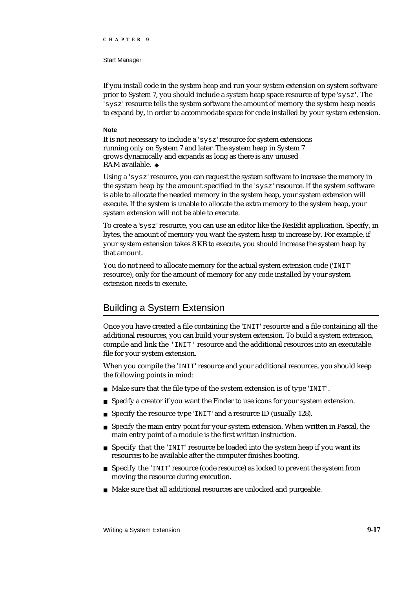#### Start Manager

If you install code in the system heap and run your system extension on system software prior to System 7, you should include a system heap space resource of type 'sysz'. The 'sysz' resource tells the system software the amount of memory the system heap needs to expand by, in order to accommodate space for code installed by your system extension.

#### **Note**

It is not necessary to include a 'sysz' resource for system extensions running only on System 7 and later. The system heap in System 7 grows dynamically and expands as long as there is any unused RAM available.

Using a 'sysz' resource, you can request the system software to increase the memory in the system heap by the amount specified in the 'sysz' resource. If the system software is able to allocate the needed memory in the system heap, your system extension will execute. If the system is unable to allocate the extra memory to the system heap, your system extension will not be able to execute.

To create a 'sysz' resource, you can use an editor like the ResEdit application. Specify, in bytes, the amount of memory you want the system heap to increase by. For example, if your system extension takes 8 KB to execute, you should increase the system heap by that amount.

You do not need to allocate memory for the actual system extension code ('INIT' resource), only for the amount of memory for any code installed by your system extension needs to execute.

### Building a System Extension

Once you have created a file containing the 'INIT' resource and a file containing all the additional resources, you can build your system extension. To build a system extension, compile and link the 'INIT' resource and the additional resources into an executable file for your system extension.

When you compile the 'INIT' resource and your additional resources, you should keep the following points in mind:

- n Make sure that the file type of the system extension is of type 'INIT'.
- Specify a creator if you want the Finder to use icons for your system extension.  $\overline{\mathsf{n}}$
- Specify the resource type 'INIT' and a resource ID (usually 128). n.
- $n$  Specify the main entry point for your system extension. When written in Pascal, the main entry point of a module is the first written instruction.
- Specify that the 'INIT' resource be loaded into the system heap if you want its resources to be available after the computer finishes booting.
- Specify the 'INIT' resource (code resource) as locked to prevent the system from moving the resource during execution.
- n Make sure that all additional resources are unlocked and purgeable.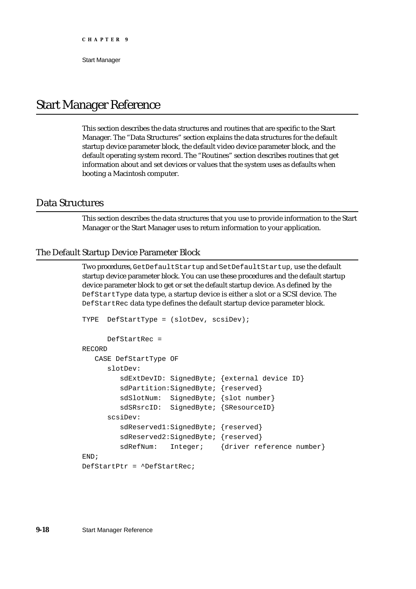# Start Manager Reference

This section describes the data structures and routines that are specific to the Start Manager. The "Data Structures" section explains the data structures for the default startup device parameter block, the default video device parameter block, and the default operating system record. The "Routines" section describes routines that get information about and set devices or values that the system uses as defaults when booting a Macintosh computer.

### Data Structures

This section describes the data structures that you use to provide information to the Start Manager or the Start Manager uses to return information to your application.

### The Default Startup Device Parameter Block

Two procedures, GetDefaultStartup and SetDefaultStartup, use the default startup device parameter block. You can use these procedures and the default startup device parameter block to get or set the default startup device. As defined by the DefStartType data type, a startup device is either a slot or a SCSI device. The DefStartRec data type defines the default startup device parameter block.

```
TYPE DefStartType = (slotDev, scsiDev);
      DefStartRec = 
RECORD
   CASE DefStartType OF
      slotDev:
         sdExtDevID: SignedByte; {external device ID}
         sdPartition:SignedByte; {reserved}
         sdSlotNum: SignedByte; { slot number }
         sdSRsrcID: SignedByte; {SResourceID}
      scsiDev:
         sdReserved1:SignedByte; {reserved}
         sdReserved2:SignedByte; {reserved}
         sdRefNum: Integer; {driver reference number}
END;
DefStartPtr = ^DefStartRec;
```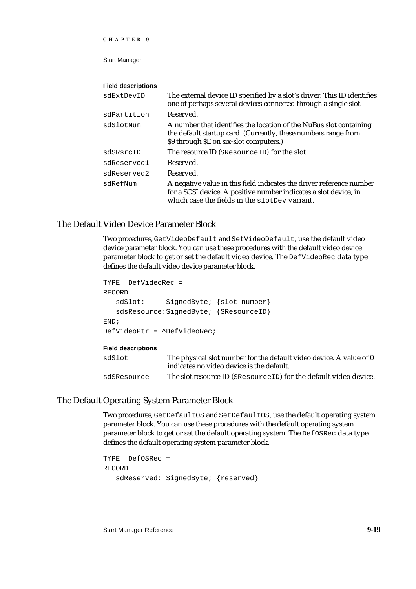Start Manager

#### **Field descriptions**

| sdExtDevID  | The external device ID specified by a slot's driver. This ID identifies<br>one of perhaps several devices connected through a single slot.                                                |
|-------------|-------------------------------------------------------------------------------------------------------------------------------------------------------------------------------------------|
| sdPartition | Reserved.                                                                                                                                                                                 |
| sdSlotNum   | A number that identifies the location of the NuBus slot containing<br>the default startup card. (Currently, these numbers range from<br>\$9 through \$E on six-slot computers.)           |
| sdSRsrcID   | The resource ID (SResource ID) for the slot.                                                                                                                                              |
| sdReserved1 | Reserved.                                                                                                                                                                                 |
| sdReserved2 | Reserved.                                                                                                                                                                                 |
| sdRefNum    | A negative value in this field indicates the driver reference number<br>for a SCSI device. A positive number indicates a slot device, in<br>which case the fields in the slotDev variant. |

#### The Default Video Device Parameter Block

Two procedures, GetVideoDefault and SetVideoDefault, use the default video device parameter block. You can use these procedures with the default video device parameter block to get or set the default video device. The DefVideoRec data type defines the default video device parameter block.

```
TYPE DefVideoRec = 
RECORD
   sdSlot: SignedByte; {slot number}
   sdsResource:SignedByte; {SResourceID}
END;
DefVideoPtr = ^DefVideoRec;
Field descriptions
sdSlot The physical slot number for the default video device. A value of 0
                 indicates no video device is the default.
```
#### sdSResource The slot resource ID (SResourceID) for the default video device.

#### The Default Operating System Parameter Block

Two procedures, GetDefaultOS and SetDefaultOS, use the default operating system parameter block. You can use these procedures with the default operating system parameter block to get or set the default operating system. The DefOSRec data type defines the default operating system parameter block.

```
TYPE DefOSRec = 
RECORD
   sdReserved: SignedByte; {reserved}
```
Start Manager Reference **9-19**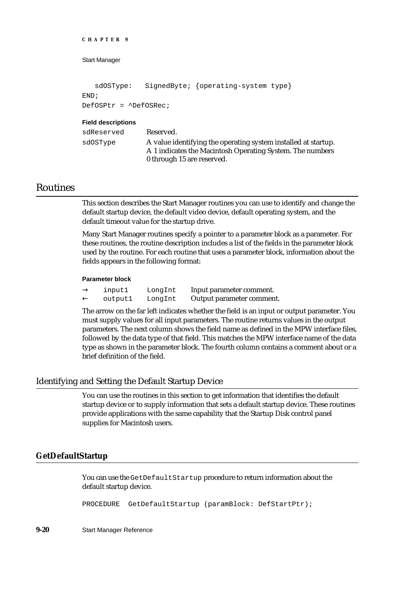```
CHAPTER 9
```

```
sdOSType: SignedByte; {operating-system type}
END;
DefOSPtr = ^DefOSRec;
```
#### **Field descriptions**

| sdReserved | Reserved.                                                                                                                                                 |
|------------|-----------------------------------------------------------------------------------------------------------------------------------------------------------|
| sdOSType   | A value identifying the operating system installed at startup.<br>A 1 indicates the Macintosh Operating System. The numbers<br>0 through 15 are reserved. |

### Routines

This section describes the Start Manager routines you can use to identify and change the default startup device, the default video device, default operating system, and the default timeout value for the startup drive.

Many Start Manager routines specify a pointer to a parameter block as a parameter. For these routines, the routine description includes a list of the fields in the parameter block used by the routine. For each routine that uses a parameter block, information about the fields appears in the following format:

#### **Parameter block**

| input1  | LongInt | Input parameter comment.  |
|---------|---------|---------------------------|
| outputl | LongInt | Output parameter comment. |

The arrow on the far left indicates whether the field is an input or output parameter. You must supply values for all input parameters. The routine returns values in the output parameters. The next column shows the field name as defined in the MPW interface files, followed by the data type of that field. This matches the MPW interface name of the data type as shown in the parameter block. The fourth column contains a comment about or a brief definition of the field.

#### Identifying and Setting the Default Startup Device

You can use the routines in this section to get information that identifies the default startup device or to supply information that sets a default startup device. These routines provide applications with the same capability that the Startup Disk control panel supplies for Macintosh users.

#### **GetDefaultStartup**

You can use the GetDefaultStartup procedure to return information about the default startup device.

PROCEDURE GetDefaultStartup (paramBlock: DefStartPtr);

**9-20** Start Manager Reference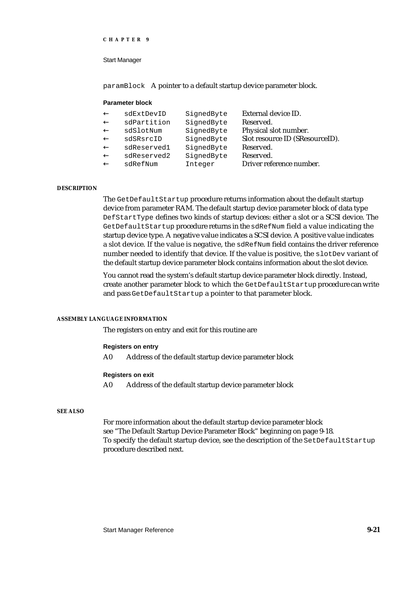Start Manager

paramBlock A pointer to a default startup device parameter block.

#### **Parameter block**

| SignedByte | External device ID.             |
|------------|---------------------------------|
| SignedByte | Reserved.                       |
| SignedByte | Physical slot number.           |
| SignedByte | Slot resource ID (SResourceID). |
| SignedByte | Reserved.                       |
| SignedByte | Reserved.                       |
| Integer    | Driver reference number.        |
|            |                                 |

#### **DESCRIPTION**

The GetDefaultStartup procedure returns information about the default startup device from parameter RAM. The default startup device parameter block of data type DefStartType defines two kinds of startup devices: either a slot or a SCSI device. The GetDefaultStartup procedure returns in the sdRefNum field a value indicating the startup device type. A negative value indicates a SCSI device. A positive value indicates a slot device. If the value is negative, the sdRefNum field contains the driver reference number needed to identify that device. If the value is positive, the slotDev variant of the default startup device parameter block contains information about the slot device.

You cannot read the system's default startup device parameter block directly. Instead, create another parameter block to which the GetDefaultStartup procedure can write and pass GetDefaultStartup a pointer to that parameter block.

#### **ASSEMBLY LANGUAGE INFORMATION**

The registers on entry and exit for this routine are

#### **Registers on entry**

A0 Address of the default startup device parameter block

#### **Registers on exit**

A0 Address of the default startup device parameter block

#### **SEE ALSO**

For more information about the default startup device parameter block see "The Default Startup Device Parameter Block" beginning on page 9-18. To specify the default startup device, see the description of the SetDefaultStartup procedure described next.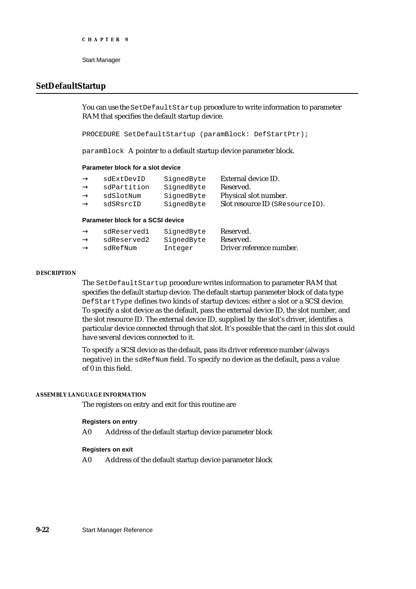#### **SetDefaultStartup**

You can use the SetDefaultStartup procedure to write information to parameter RAM that specifies the default startup device.

PROCEDURE SetDefaultStartup (paramBlock: DefStartPtr);

paramBlock A pointer to a default startup device parameter block.

#### **Parameter block for a slot device**

| sdExtDevID  | SignedByte | External device ID.             |
|-------------|------------|---------------------------------|
| sdPartition | SignedByte | Reserved.                       |
| sdSlotNum   | SignedByte | Physical slot number.           |
| sdSRsrcID   | SignedByte | Slot resource ID (SResourceID). |
|             |            |                                 |

#### **Parameter block for a SCSI device**

| sdReserved1 | SignedByte | Reserved.                |
|-------------|------------|--------------------------|
| sdReserved2 | SignedByte | Reserved.                |
| sdRefNum    | Integer    | Driver reference number. |

#### **DESCRIPTION**

The SetDefaultStartup procedure writes information to parameter RAM that specifies the default startup device. The default startup parameter block of data type DefStartType defines two kinds of startup devices: either a slot or a SCSI device. To specify a slot device as the default, pass the external device ID, the slot number, and the slot resource ID. The external device ID, supplied by the slot's driver, identifies a particular device connected through that slot. It's possible that the card in this slot could have several devices connected to it.

To specify a SCSI device as the default, pass its driver reference number (always negative) in the sdRefNum field. To specify no device as the default, pass a value of 0 in this field.

#### **ASSEMBLY LANGUAGE INFORMATION**

The registers on entry and exit for this routine are

#### **Registers on entry**

A0 Address of the default startup device parameter block

#### **Registers on exit**

A0 Address of the default startup device parameter block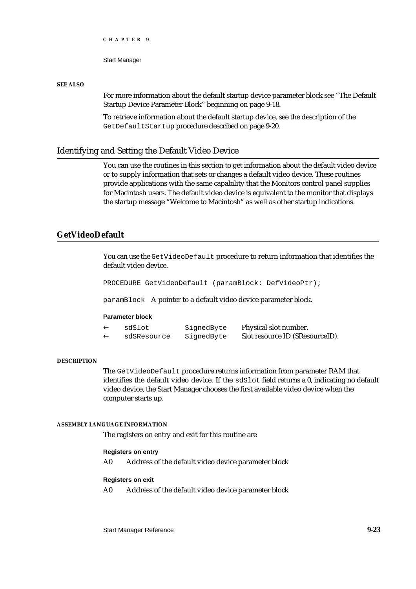Start Manager

#### **SEE ALSO**

For more information about the default startup device parameter block see "The Default Startup Device Parameter Block" beginning on page 9-18.

To retrieve information about the default startup device, see the description of the GetDefaultStartup procedure described on page 9-20.

#### Identifying and Setting the Default Video Device

You can use the routines in this section to get information about the default video device or to supply information that sets or changes a default video device. These routines provide applications with the same capability that the Monitors control panel supplies for Macintosh users. The default video device is equivalent to the monitor that displays the startup message "Welcome to Macintosh" as well as other startup indications.

### **GetVideoDefault**

You can use the GetVideoDefault procedure to return information that identifies the default video device.

PROCEDURE GetVideoDefault (paramBlock: DefVideoPtr);

paramBlock A pointer to a default video device parameter block.

#### **Parameter block**

| sdSlot      | SignedByte | Physical slot number.           |
|-------------|------------|---------------------------------|
| sdSResource | SignedByte | Slot resource ID (SResourceID). |

#### **DESCRIPTION**

The GetVideoDefault procedure returns information from parameter RAM that identifies the default video device. If the sdSlot field returns a 0, indicating no default video device, the Start Manager chooses the first available video device when the computer starts up.

#### **ASSEMBLY LANGUAGE INFORMATION**

The registers on entry and exit for this routine are

#### **Registers on entry**

A0 Address of the default video device parameter block

#### **Registers on exit**

A0 Address of the default video device parameter block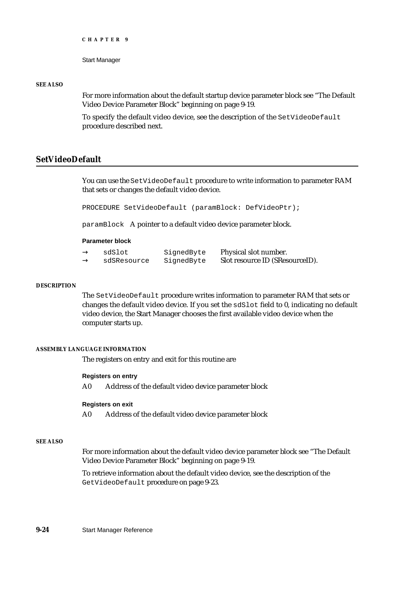```
CHAPTER 9
```
#### **SEE ALSO**

For more information about the default startup device parameter block see "The Default Video Device Parameter Block" beginning on page 9-19.

To specify the default video device, see the description of the SetVideoDefault procedure described next.

#### **SetVideoDefault**

You can use the SetVideoDefault procedure to write information to parameter RAM that sets or changes the default video device.

PROCEDURE SetVideoDefault (paramBlock: DefVideoPtr);

paramBlock A pointer to a default video device parameter block.

#### **Parameter block**

| sdSlot      | SignedByte | Physical slot number.           |
|-------------|------------|---------------------------------|
| sdSResource | SignedByte | Slot resource ID (SResourceID). |

#### **DESCRIPTION**

The SetVideoDefault procedure writes information to parameter RAM that sets or changes the default video device. If you set the sdSlot field to 0, indicating no default video device, the Start Manager chooses the first available video device when the computer starts up.

#### **ASSEMBLY LANGUAGE INFORMATION**

The registers on entry and exit for this routine are

#### **Registers on entry**

A0 Address of the default video device parameter block

#### **Registers on exit**

A0 Address of the default video device parameter block

#### **SEE ALSO**

For more information about the default video device parameter block see "The Default Video Device Parameter Block" beginning on page 9-19.

To retrieve information about the default video device, see the description of the GetVideoDefault procedure on page 9-23.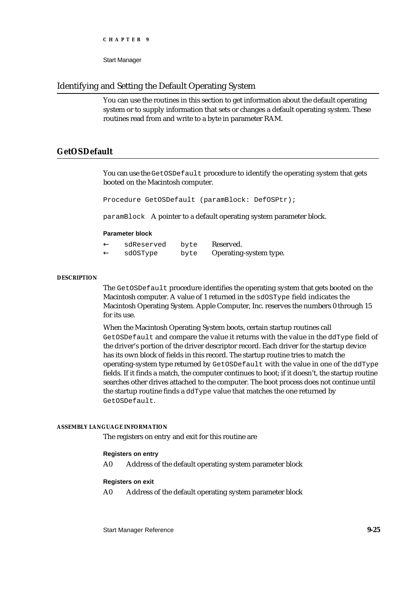Start Manager

### Identifying and Setting the Default Operating System

You can use the routines in this section to get information about the default operating system or to supply information that sets or changes a default operating system. These routines read from and write to a byte in parameter RAM.

### **GetOSDefault**

You can use the GetOSDefault procedure to identify the operating system that gets booted on the Macintosh computer.

Procedure GetOSDefault (paramBlock: DefOSPtr);

paramBlock A pointer to a default operating system parameter block.

#### **Parameter block**

| sdReserved | byte | Reserved.              |
|------------|------|------------------------|
| sdOSType   | byte | Operating-system type. |

#### **DESCRIPTION**

The GetOSDefault procedure identifies the operating system that gets booted on the Macintosh computer. A value of 1 returned in the sdOSType field indicates the Macintosh Operating System. Apple Computer, Inc. reserves the numbers 0 through 15 for its use.

When the Macintosh Operating System boots, certain startup routines call GetOSDefault and compare the value it returns with the value in the ddType field of the driver's portion of the driver descriptor record. Each driver for the startup device has its own block of fields in this record. The startup routine tries to match the operating-system type returned by GetOSDefault with the value in one of the ddType fields. If it finds a match, the computer continues to boot; if it doesn't, the startup routine searches other drives attached to the computer. The boot process does not continue until the startup routine finds a ddType value that matches the one returned by GetOSDefault.

#### **ASSEMBLY LANGUAGE INFORMATION**

The registers on entry and exit for this routine are

#### **Registers on entry**

A0 Address of the default operating system parameter block

#### **Registers on exit**

A0 Address of the default operating system parameter block

Start Manager Reference **9-25**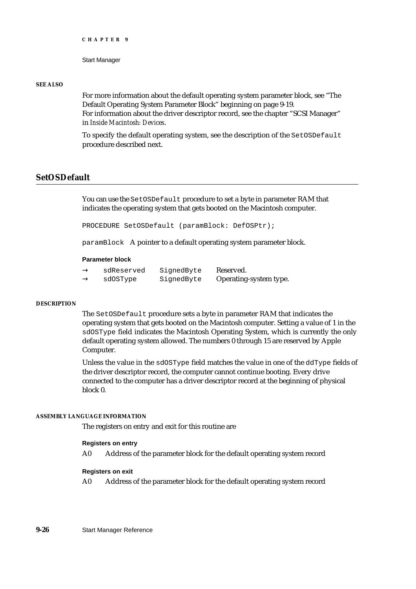```
CHAPTER 9
```
#### **SEE ALSO**

For more information about the default operating system parameter block, see "The Default Operating System Parameter Block" beginning on page 9-19. For information about the driver descriptor record, see the chapter "SCSI Manager" in *Inside Macintosh: Devices*.

To specify the default operating system, see the description of the SetOSDefault procedure described next.

### **SetOSDefault**

You can use the SetOSDefault procedure to set a byte in parameter RAM that indicates the operating system that gets booted on the Macintosh computer.

PROCEDURE SetOSDefault (paramBlock: DefOSPtr);

paramBlock A pointer to a default operating system parameter block.

#### **Parameter block**

| sdReserved | SignedByte | Reserved.              |
|------------|------------|------------------------|
| sdOSType   | SignedByte | Operating-system type. |

#### **DESCRIPTION**

The SetOSDefault procedure sets a byte in parameter RAM that indicates the operating system that gets booted on the Macintosh computer. Setting a value of 1 in the sdOSType field indicates the Macintosh Operating System, which is currently the only default operating system allowed. The numbers 0 through 15 are reserved by Apple Computer.

Unless the value in the sdOSType field matches the value in one of the ddType fields of the driver descriptor record, the computer cannot continue booting. Every drive connected to the computer has a driver descriptor record at the beginning of physical block 0.

#### **ASSEMBLY LANGUAGE INFORMATION**

The registers on entry and exit for this routine are

#### **Registers on entry**

A0 Address of the parameter block for the default operating system record

#### **Registers on exit**

A0 Address of the parameter block for the default operating system record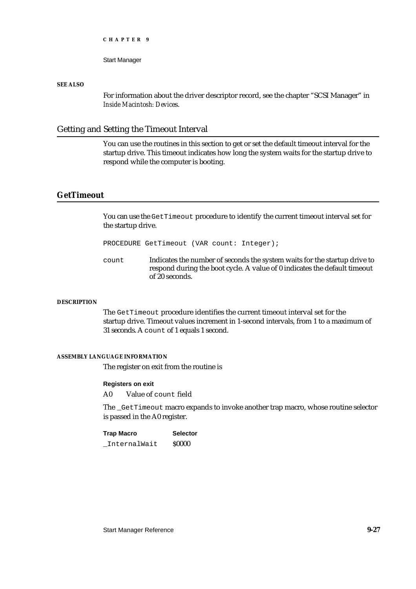**CHAPTER 9**

#### Start Manager

#### **SEE ALSO**

For information about the driver descriptor record, see the chapter "SCSI Manager" in *Inside Macintosh: Device*s.

#### Getting and Setting the Timeout Interval

You can use the routines in this section to get or set the default timeout interval for the startup drive. This timeout indicates how long the system waits for the startup drive to respond while the computer is booting.

#### **GetTimeout**

You can use the GetTimeout procedure to identify the current timeout interval set for the startup drive.

PROCEDURE GetTimeout (VAR count: Integer);

count Indicates the number of seconds the system waits for the startup drive to respond during the boot cycle. A value of 0 indicates the default timeout of 20 seconds.

#### **DESCRIPTION**

The GetTimeout procedure identifies the current timeout interval set for the startup drive. Timeout values increment in 1-second intervals, from 1 to a maximum of 31 seconds. A count of 1 equals 1 second.

#### **ASSEMBLY LANGUAGE INFORMATION**

The register on exit from the routine is

#### **Registers on exit**

A0 Value of count field

The \_GetTimeout macro expands to invoke another trap macro, whose routine selector is passed in the A0 register.

| <b>Trap Macro</b> | <b>Selector</b> |
|-------------------|-----------------|
| InternalWait      | <b>S0000</b>    |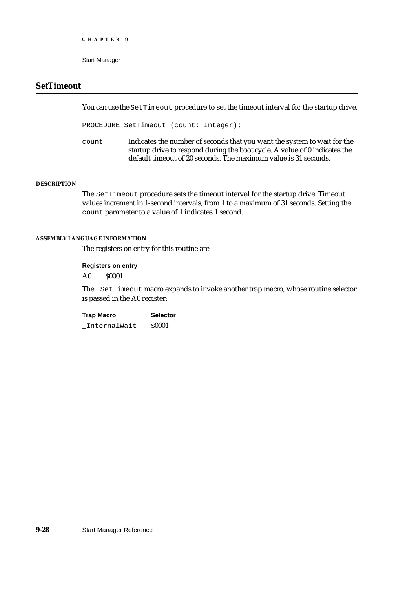Start Manager

#### **SetTimeout**

You can use the SetTimeout procedure to set the timeout interval for the startup drive.

PROCEDURE SetTimeout (count: Integer);

count Indicates the number of seconds that you want the system to wait for the startup drive to respond during the boot cycle. A value of 0 indicates the default timeout of 20 seconds. The maximum value is 31 seconds.

#### **DESCRIPTION**

The SetTimeout procedure sets the timeout interval for the startup drive. Timeout values increment in 1-second intervals, from 1 to a maximum of 31 seconds. Setting the count parameter to a value of 1 indicates 1 second.

#### **ASSEMBLY LANGUAGE INFORMATION**

The registers on entry for this routine are

#### **Registers on entry**

A0 \$0001

The \_SetTimeout macro expands to invoke another trap macro, whose routine selector is passed in the A0 register:

**Trap Macro Selector** \_InternalWait \$0001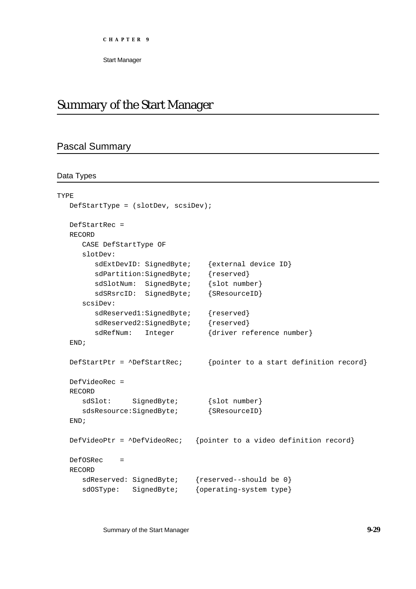**CHAPTER 9**

Start Manager

## Summary of the Start Manager

## Pascal Summary

#### Data Types

```
TYPE
  DefStartType = (slotDev, scsiDev);
  DefStartRec = 
  RECORD
     CASE DefStartType OF
     slotDev:
        sdExtDevID: SignedByte; {external device ID}
        sdPartition:SignedByte; {reserved}
        sdSlotNum: SignedByte; {slot number}
        sdSRsrcID: SignedByte; {SResourceID}
     scsiDev:
        sdReserved1:SignedByte; {reserved}
        sdReserved2:SignedByte; {reserved}
        sdRefNum: Integer {driver reference number}
  END;
  DefStartPtr = ^DefStartRec; {pointer to a start definition record}
  DefVideoRec =
  RECORD
     sdSlot: SignedByte; {slot number}
     sdsResource: SignedByte; {SResourceID}
  END;
  DefVideoPtr = ^DefVideoRec; {pointer to a video definition record}
  DefOSRec = 
  RECORD
     sdReserved: SignedByte; {reserved--should be 0}
     sdOSType: SignedByte; {operating-system type}
```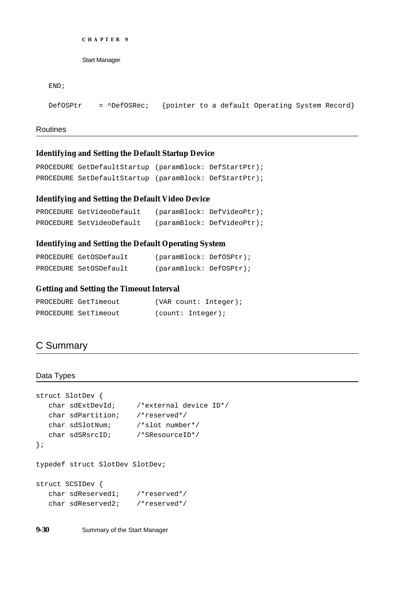```
CHAPTER 9
```
Start Manager

```
END;
```
DefOSPtr = ^DefOSRec; {pointer to a default Operating System Record}

Routines

#### **Identifying and Setting the Default Startup Device**

```
PROCEDURE GetDefaultStartup (paramBlock: DefStartPtr);
PROCEDURE SetDefaultStartup (paramBlock: DefStartPtr);
```
#### **Identifying and Setting the Default Video Device**

```
PROCEDURE GetVideoDefault (paramBlock: DefVideoPtr);
PROCEDURE SetVideoDefault (paramBlock: DefVideoPtr);
```
#### **Identifying and Setting the Default Operating System**

| PROCEDURE GetOSDefault | (paramBlock: DefOSPtr); |  |
|------------------------|-------------------------|--|
| PROCEDURE SetOSDefault | (paramBlock: DefOSPtr); |  |

#### **Getting and Setting the Timeout Interval**

| PROCEDURE GetTimeout |                   | (VAR count: Integer); |
|----------------------|-------------------|-----------------------|
| PROCEDURE SetTimeout | (count: Integer); |                       |

## C Summary

#### Data Types

```
struct SlotDev {
  char sdExtDevId; /*external device ID*/
  char sdPartition; /*reserved*/
  char sdSlotNum; /*slot number*/
  char sdSRsrcID; /*SResourceID*/
};
typedef struct SlotDev SlotDev;
struct SCSIDev {
  char sdReserved1; /*reserved*/
```
**9-30** Summary of the Start Manager

char sdReserved2; /\*reserved\*/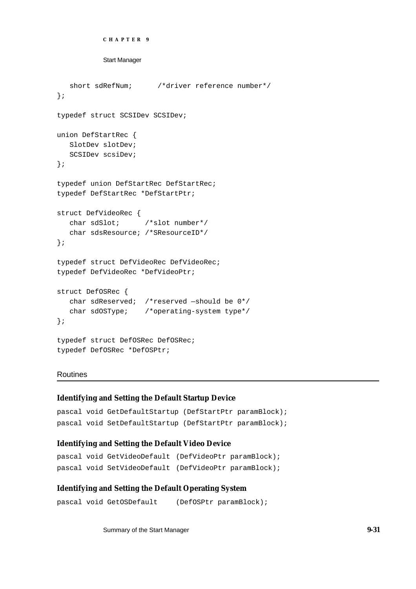```
CHAPTER 9
```
Start Manager

```
short sdRefNum; /*driver reference number*/
};
typedef struct SCSIDev SCSIDev;
union DefStartRec {
   SlotDev slotDev;
   SCSIDev scsiDev;
};
typedef union DefStartRec DefStartRec;
typedef DefStartRec *DefStartPtr;
struct DefVideoRec {
  char sdSlot; /*slot number*/
   char sdsResource; /*SResourceID*/
};
typedef struct DefVideoRec DefVideoRec;
typedef DefVideoRec *DefVideoPtr;
struct DefOSRec {
  char sdReserved; /*reserved —should be 0*/
   char sdOSType; /*operating-system type*/
};
typedef struct DefOSRec DefOSRec;
typedef DefOSRec *DefOSPtr;
```
#### Routines

#### **Identifying and Setting the Default Startup Device**

```
pascal void GetDefaultStartup (DefStartPtr paramBlock);
pascal void SetDefaultStartup (DefStartPtr paramBlock);
```
#### **Identifying and Setting the Default Video Device**

```
pascal void GetVideoDefault (DefVideoPtr paramBlock);
pascal void SetVideoDefault (DefVideoPtr paramBlock);
```
#### **Identifying and Setting the Default Operating System**

```
pascal void GetOSDefault (DefOSPtr paramBlock);
```
Summary of the Start Manager **9-31**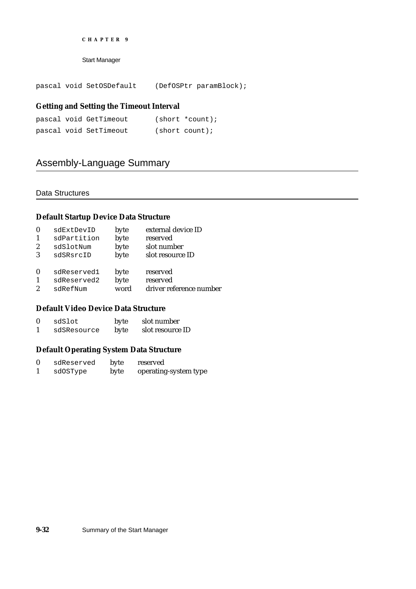#### **CHAPTER 9**

Start Manager

pascal void SetOSDefault (DefOSPtr paramBlock);

#### **Getting and Setting the Timeout Interval**

|  | pascal void GetTimeout | $(short * count);$ |
|--|------------------------|--------------------|
|  | pascal void SetTimeout | (short count);     |

## Assembly-Language Summary

#### Data Structures

#### **Default Startup Device Data Structure**

| $\bf{0}$         | sdExtDevID  | byte | external device ID      |
|------------------|-------------|------|-------------------------|
|                  | sdPartition | byte | reserved                |
| $\boldsymbol{2}$ | sdSlotNum   | byte | slot number             |
| 3                | sdSRsrcID   | byte | slot resource ID        |
| $\bf{0}$         | sdReserved1 | byte | reserved                |
|                  | sdReserved2 | byte | reserved                |
| $\overline{2}$   | sdRefNum    | word | driver reference number |
|                  |             |      |                         |

#### **Default Video Device Data Structure**

| $\mathbf{0}$ | sdSlot      | byte | slot number      |
|--------------|-------------|------|------------------|
|              | sdSResource | byte | slot resource ID |

#### **Default Operating System Data Structure**

| sdReserved | byte | reserved              |
|------------|------|-----------------------|
| sdOSType   | byte | operating-system type |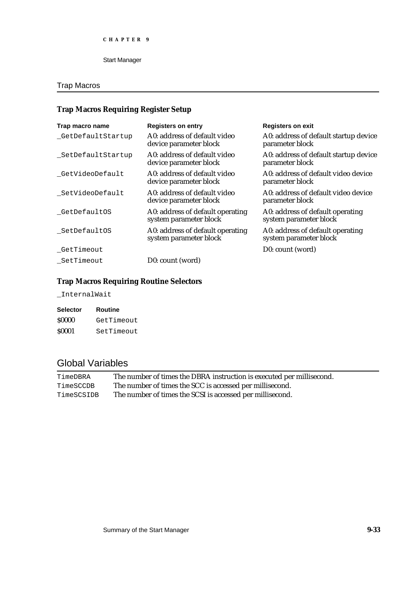Start Manager

## Trap Macros

## **Trap Macros Requiring Register Setup**

| Trap macro name    | <b>Registers on entry</b>                                  | <b>Registers on exit</b>                                   |
|--------------------|------------------------------------------------------------|------------------------------------------------------------|
| _GetDefaultStartup | A0: address of default video<br>device parameter block     | A0: address of default startup device<br>parameter block   |
| SetDefaultStartup  | A0: address of default video<br>device parameter block     | A0: address of default startup device<br>parameter block   |
| GetVideoDefault    | A0: address of default video<br>device parameter block     | A0: address of default video device<br>parameter block     |
| _SetVideoDefault   | A0: address of default video<br>device parameter block     | A0: address of default video device<br>parameter block     |
| _GetDefaultOS      | A0: address of default operating<br>system parameter block | A0: address of default operating<br>system parameter block |
| _SetDefaultOS      | A0: address of default operating<br>system parameter block | A0: address of default operating<br>system parameter block |
| _GetTimeout        |                                                            | D0: count (word)                                           |
| SetTimeout         | D0: count (word)                                           |                                                            |

## **Trap Macros Requiring Routine Selectors**

\_InternalWait

| <b>Selector</b> | Routine    |
|-----------------|------------|
| \$0000          | GetTimeout |
| \$0001          | SetTimeout |

## Global Variables

| TimeDBRA   | The number of times the DBRA instruction is executed per millisecond. |
|------------|-----------------------------------------------------------------------|
| TimeSCCDB  | The number of times the SCC is accessed per millisecond.              |
| TimeSCSIDB | The number of times the SCSI is accessed per millisecond.             |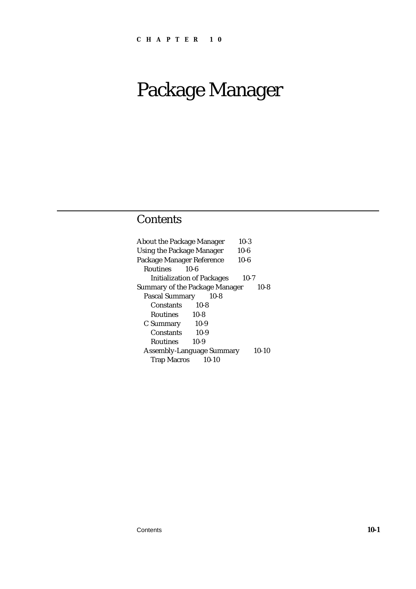## **Contents**

| <b>About the Package Manager</b>  |           | $10-3$   |         |
|-----------------------------------|-----------|----------|---------|
| <b>Using the Package Manager</b>  |           | $10 - 6$ |         |
| Package Manager Reference         |           | $10-6$   |         |
| <b>Routines</b>                   | 10-6      |          |         |
| <b>Initialization of Packages</b> |           | $10-7$   |         |
| Summary of the Package Manager    |           |          | $10-8$  |
| <b>Pascal Summary</b>             | $10-8$    |          |         |
| Constants                         | $10-8$    |          |         |
| Routines 10-8                     |           |          |         |
| C Summary 10-9                    |           |          |         |
| Constants                         | $10-9$    |          |         |
| <b>Routines</b>                   | $10-9$    |          |         |
| <b>Assembly-Language Summary</b>  |           |          | $10-10$ |
| <b>Trap Macros</b>                | $10 - 10$ |          |         |
|                                   |           |          |         |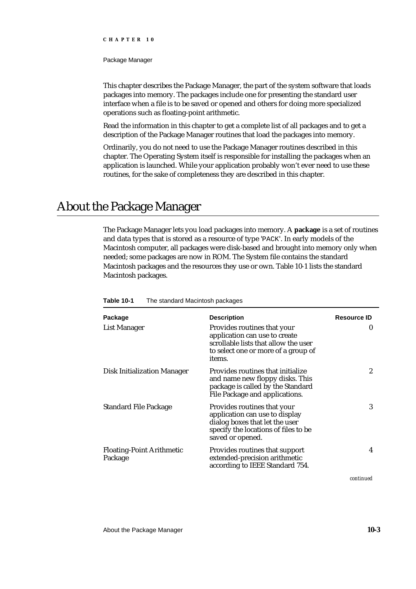#### **CHAPTER 10**

#### Package Manager

This chapter describes the Package Manager, the part of the system software that loads packages into memory. The packages include one for presenting the standard user interface when a file is to be saved or opened and others for doing more specialized operations such as floating-point arithmetic.

Read the information in this chapter to get a complete list of all packages and to get a description of the Package Manager routines that load the packages into memory.

Ordinarily, you do not need to use the Package Manager routines described in this chapter. The Operating System itself is responsible for installing the packages when an application is launched. While your application probably won't ever need to use these routines, for the sake of completeness they are described in this chapter.

## About the Package Manager

The Package Manager lets you load packages into memory. A **package** is a set of routines and data types that is stored as a resource of type 'PACK'. In early models of the Macintosh computer, all packages were disk-based and brought into memory only when needed; some packages are now in ROM. The System file contains the standard Macintosh packages and the resources they use or own. Table 10-1 lists the standard Macintosh packages.

| Package                                     | <b>Description</b>                                                                                                                                          | <b>Resource ID</b> |
|---------------------------------------------|-------------------------------------------------------------------------------------------------------------------------------------------------------------|--------------------|
| List Manager                                | Provides routines that your<br>application can use to create<br>scrollable lists that allow the user<br>to select one or more of a group of<br>items.       | 0                  |
| <b>Disk Initialization Manager</b>          | Provides routines that initialize<br>and name new floppy disks. This<br>package is called by the Standard<br>File Package and applications.                 | 2                  |
| <b>Standard File Package</b>                | Provides routines that your<br>application can use to display<br>dialog boxes that let the user<br>specify the locations of files to be<br>saved or opened. | 3                  |
| <b>Floating-Point Arithmetic</b><br>Package | Provides routines that support<br>extended-precision arithmetic<br>according to IEEE Standard 754.                                                          | 4                  |

**Table 10-1** The standard Macintosh packages

*continued*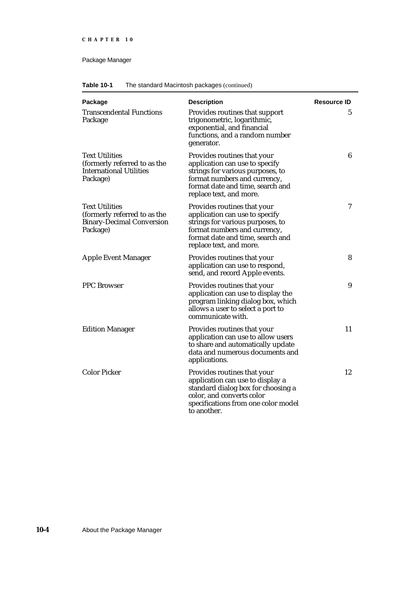| Table 10-1<br>The standard Macintosh packages (continued) |  |
|-----------------------------------------------------------|--|
|-----------------------------------------------------------|--|

| Package                                                                                               | <b>Description</b>                                                                                                                                                                               | <b>Resource ID</b> |
|-------------------------------------------------------------------------------------------------------|--------------------------------------------------------------------------------------------------------------------------------------------------------------------------------------------------|--------------------|
| <b>Transcendental Functions</b><br>Package                                                            | Provides routines that support<br>trigonometric, logarithmic,<br>exponential, and financial<br>functions, and a random number<br>generator.                                                      | 5                  |
| <b>Text Utilities</b><br>(formerly referred to as the<br><b>International Utilities</b><br>Package)   | Provides routines that your<br>application can use to specify<br>strings for various purposes, to<br>format numbers and currency,<br>format date and time, search and<br>replace text, and more. | 6                  |
| <b>Text Utilities</b><br>(formerly referred to as the<br><b>Binary-Decimal Conversion</b><br>Package) | Provides routines that your<br>application can use to specify<br>strings for various purposes, to<br>format numbers and currency,<br>format date and time, search and<br>replace text, and more. | 7                  |
| <b>Apple Event Manager</b>                                                                            | Provides routines that your<br>application can use to respond,<br>send, and record Apple events.                                                                                                 | 8                  |
| <b>PPC</b> Browser                                                                                    | Provides routines that your<br>application can use to display the<br>program linking dialog box, which<br>allows a user to select a port to<br>communicate with.                                 | 9                  |
| <b>Edition Manager</b>                                                                                | Provides routines that your<br>application can use to allow users<br>to share and automatically update<br>data and numerous documents and<br>applications.                                       | 11                 |
| <b>Color Picker</b>                                                                                   | Provides routines that your<br>application can use to display a<br>standard dialog box for choosing a<br>color, and converts color<br>specifications from one color model<br>to another.         | 12                 |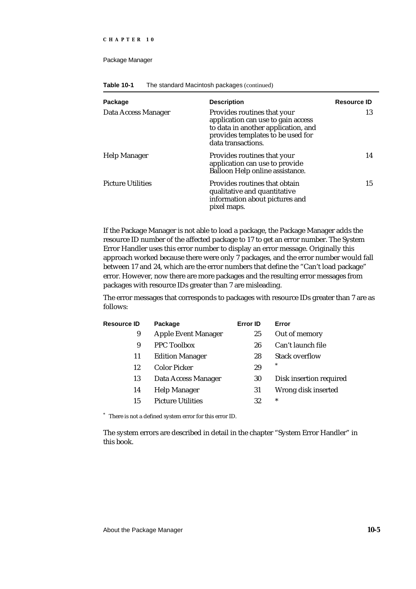#### **CHAPTER 10**

#### Package Manager

| Package                  | <b>Description</b>                                                                                                                                                  | <b>Resource ID</b> |
|--------------------------|---------------------------------------------------------------------------------------------------------------------------------------------------------------------|--------------------|
| Data Access Manager      | Provides routines that your<br>application can use to gain access<br>to data in another application, and<br>provides templates to be used for<br>data transactions. | 13                 |
| <b>Help Manager</b>      | Provides routines that your<br>application can use to provide<br>Balloon Help online assistance.                                                                    | 14                 |
| <b>Picture Utilities</b> | Provides routines that obtain<br>qualitative and quantitative<br>information about pictures and<br>pixel maps.                                                      | 15                 |

**Table 10-1** The standard Macintosh packages (continued)

If the Package Manager is not able to load a package, the Package Manager adds the resource ID number of the affected package to 17 to get an error number. The System Error Handler uses this error number to display an error message. Originally this approach worked because there were only 7 packages, and the error number would fall between 17 and 24, which are the error numbers that define the "Can't load package" error. However, now there are more packages and the resulting error messages from packages with resource IDs greater than 7 are misleading.

The error messages that corresponds to packages with resource IDs greater than 7 are as follows:

| Package                    | <b>Error ID</b> | Error                   |
|----------------------------|-----------------|-------------------------|
| <b>Apple Event Manager</b> | 25              | Out of memory           |
| <b>PPC Toolbox</b>         | 26              | Can't launch file       |
| <b>Edition Manager</b>     | 28              | <b>Stack overflow</b>   |
| <b>Color Picker</b>        | 29              | *                       |
| Data Access Manager        | 30              | Disk insertion required |
| <b>Help Manager</b>        | 31              | Wrong disk inserted     |
| <b>Picture Utilities</b>   | 32              | $\ast$                  |
|                            |                 |                         |

\* There is not a defined system error for this error ID.

The system errors are described in detail in the chapter "System Error Handler" in this book.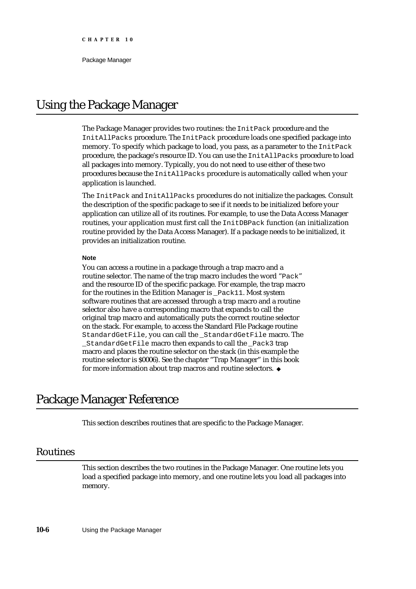## Using the Package Manager

The Package Manager provides two routines: the InitPack procedure and the InitAllPacks procedure. The InitPack procedure loads one specified package into memory. To specify which package to load, you pass, as a parameter to the InitPack procedure, the package's resource ID. You can use the InitAllPacks procedure to load all packages into memory. Typically, you do not need to use either of these two procedures because the InitAllPacks procedure is automatically called when your application is launched.

The InitPack and InitAllPacks procedures do not initialize the packages. Consult the description of the specific package to see if it needs to be initialized before your application can utilize all of its routines. For example, to use the Data Access Manager routines, your application must first call the InitDBPack function (an initialization routine provided by the Data Access Manager). If a package needs to be initialized, it provides an initialization routine.

#### **Note**

You can access a routine in a package through a trap macro and a routine selector. The name of the trap macro includes the word "Pack" and the resource ID of the specific package. For example, the trap macro for the routines in the Edition Manager is \_Pack11. Most system software routines that are accessed through a trap macro and a routine selector also have a corresponding macro that expands to call the original trap macro and automatically puts the correct routine selector on the stack. For example, to access the Standard File Package routine StandardGetFile, you can call the \_StandardGetFile macro. The StandardGetFile macro then expands to call the Pack3 trap macro and places the routine selector on the stack (in this example the routine selector is \$0006). See the chapter "Trap Manager" in this book for more information about trap macros and routine selectors.

## Package Manager Reference

This section describes routines that are specific to the Package Manager.

### Routines

This section describes the two routines in the Package Manager. One routine lets you load a specified package into memory, and one routine lets you load all packages into memory.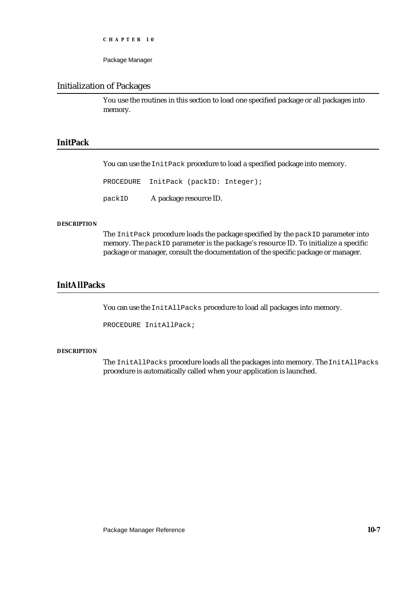```
CHAPTER 10
```
#### Initialization of Packages

You use the routines in this section to load one specified package or all packages into memory.

#### **InitPack**

You can use the InitPack procedure to load a specified package into memory.

PROCEDURE InitPack (packID: Integer); packID A package resource ID.

#### **DESCRIPTION**

The InitPack procedure loads the package specified by the packID parameter into memory. The packID parameter is the package's resource ID. To initialize a specific package or manager, consult the documentation of the specific package or manager.

#### **InitAllPacks**

You can use the InitAllPacks procedure to load all packages into memory.

PROCEDURE InitAllPack;

#### **DESCRIPTION**

The InitAllPacks procedure loads all the packages into memory. The InitAllPacks procedure is automatically called when your application is launched.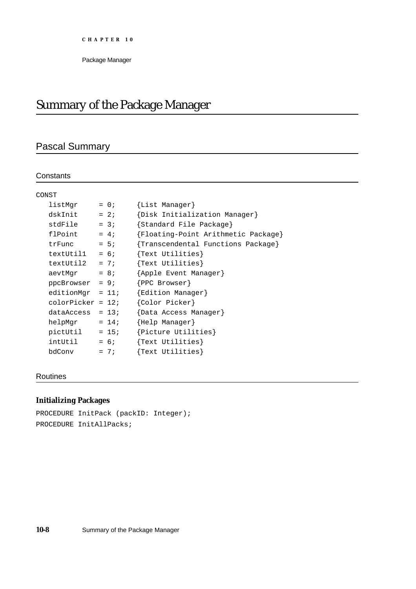## Summary of the Package Manager

## Pascal Summary

#### **Constants**

| CONST              |         |                                     |
|--------------------|---------|-------------------------------------|
| listMqr            | $= 0;$  | {List Manager}                      |
| dskInit            | $= 2i$  | {Disk Initialization Manager}       |
| stdFile            | $= 3i$  | {Standard File Package}             |
| flPoint            | $= 4i$  | {Floating-Point Arithmetic Package} |
| trFunc             | $= 5i$  | {Transcendental Functions Package}  |
| textUtil1          | $= 6;$  | ${Text Utilities}$                  |
| textUtil2          | $= 7i$  | {Text Utilities}                    |
| aevtMqr            | $= 8i$  | {Apple Event Manager}               |
| $ppcBrowser = 9;$  |         | $\{$ PPC Browser $\}$               |
| editionMqr = $11;$ |         | {Edition Manager}                   |
| $color = 12;$      |         | {Color Picker}                      |
| dataAccess         | $= 13;$ | {Data Access Manager}               |
| helpMqr            | $= 14;$ | {Help Manager}                      |
|                    |         | {Picture Utilities}                 |
| intUtil            | $= 6i$  | ${Text Utilities}$                  |
| bdConv             | $= 7i$  | {Text Utilities}                    |

#### Routines

## **Initializing Packages**

```
PROCEDURE InitPack (packID: Integer);
PROCEDURE InitAllPacks;
```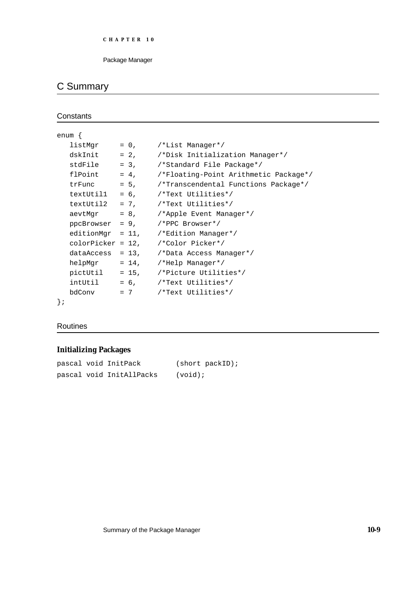## C Summary

```
Constants
```

```
enum {
  listMqr = 0, \t/*List Management/dskInit = 2, /*Disk Initialization Manager*/
  stdFile = 3, /*Standard File Package*/
  flPoint = 4, /*Floating-Point Arithmetic Package*/
  trFunc = 5, /*Transcendental Functions Package*/
  textUtil1 = 6, /*Text Utilities*/
  textUtil2 = 7, /*Text Utilities*/
  aevtMgr = 8, / *Apple Event Manager*/ppcBrowser = 9, /*PPC Browser*/
  editionMqr = 11, /*Edition Manager*/
  colorPicker = 12, /*Color Picker*/
  dataAccess = 13, /*Data Access Manager*/
  helpMqr = 14, /*Help Manager*/
  pictUtil = 15, /*Picture Utilities*/
  intUtil = 6, /*Text Utilities*/
  bdConv = 7 /*Text Utilities*/
};
```
#### Routines

#### **Initializing Packages**

```
pascal void InitPack (short packID);
pascal void InitAllPacks (void);
```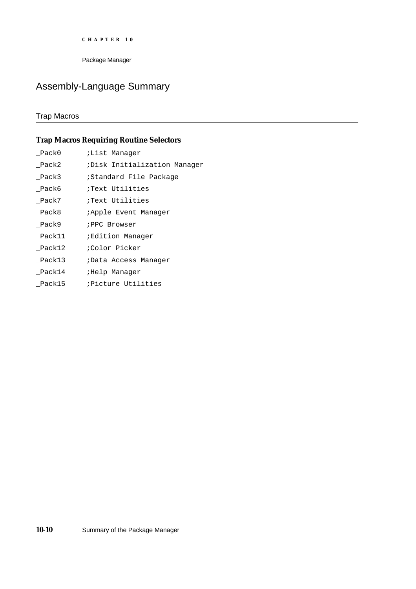```
CHAPTER 10
```
## Assembly-Language Summary

## Trap Macros

## **Trap Macros Requiring Routine Selectors**

| Pack0  | ;List Manaqer                |
|--------|------------------------------|
| Pack2  | Disk Initialization Manager  |
| Pack3  | ;Standard File Package       |
| Pack6  | Text Utilities               |
| Pack7  | Text Utilities               |
| Pack8  | <i>i</i> Apple Event Manager |
| Pack9  | <b>; PPC Browser</b>         |
| Pack11 | ;Edition Manager             |
| Pack12 | ;Color Picker                |
| Pack13 | ;Data Access Manager         |
| Pack14 | Help Manager,                |
| Pack15 | <i>;Picture Utilities</i>    |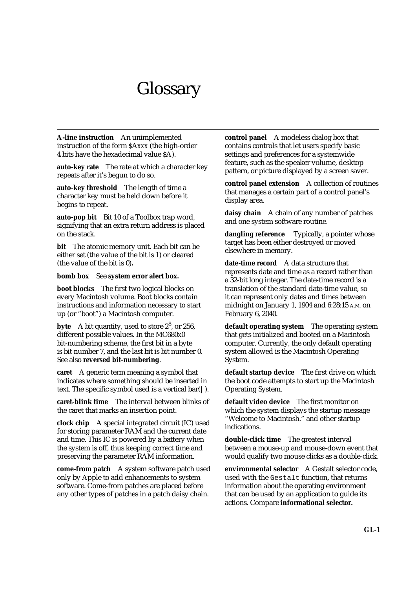## Glossary

**A-line instruction** An unimplemented instruction of the form \$A*xxx* (the high-order 4 bits have the hexadecimal value \$A).

**auto-key rate** The rate at which a character key repeats after it's begun to do so.

**auto-key threshold** The length of time a character key must be held down before it begins to repeat.

**auto-pop bit** Bit 10 of a Toolbox trap word, signifying that an extra return address is placed on the stack.

**bit** The atomic memory unit. Each bit can be either set (the value of the bit is 1) or cleared (the value of the bit is 0)**.**

**bomb box** See **system error alert box.**

**boot blocks** The first two logical blocks on every Macintosh volume. Boot blocks contain instructions and information necessary to start up (or "boot") a Macintosh computer.

byte A bit quantity, used to store 2<sup>8</sup>, or 256, different possible values. In the MC680x0 bit-numbering scheme, the first bit in a byte is bit number 7, and the last bit is bit number 0. See also **reversed bit-numbering**.

**caret** A generic term meaning a symbol that indicates where something should be inserted in text. The specific symbol used is a vertical bar(|).

**caret-blink time** The interval between blinks of the caret that marks an insertion point.

**clock chip** A special integrated circuit (IC) used for storing parameter RAM and the current date and time. This IC is powered by a battery when the system is off, thus keeping correct time and preserving the parameter RAM information.

**come-from patch** A system software patch used only by Apple to add enhancements to system software. Come-from patches are placed before any other types of patches in a patch daisy chain.

**control panel** A modeless dialog box that contains controls that let users specify basic settings and preferences for a systemwide feature, such as the speaker volume, desktop pattern, or picture displayed by a screen saver.

**control panel extension** A collection of routines that manages a certain part of a control panel's display area.

**daisy chain** A chain of any number of patches and one system software routine.

**dangling reference** Typically, a pointer whose target has been either destroyed or moved elsewhere in memory.

**date-time record** A data structure that represents date and time as a record rather than a 32-bit long integer. The date-time record is a translation of the standard date-time value, so it can represent only dates and times between midnight on January 1, 1904 and 6:28:15 A.M. on February 6, 2040.

**default operating system** The operating system that gets initialized and booted on a Macintosh computer. Currently, the only default operating system allowed is the Macintosh Operating System.

**default startup device** The first drive on which the boot code attempts to start up the Macintosh Operating System.

**default video device** The first monitor on which the system displays the startup message "Welcome to Macintosh." and other startup indications.

**double-click time** The greatest interval between a mouse-up and mouse-down event that would qualify two mouse clicks as a double-click.

**environmental selector** A Gestalt selector code, used with the Gestalt function, that returns information about the operating environment that can be used by an application to guide its actions. Compare **informational selector.**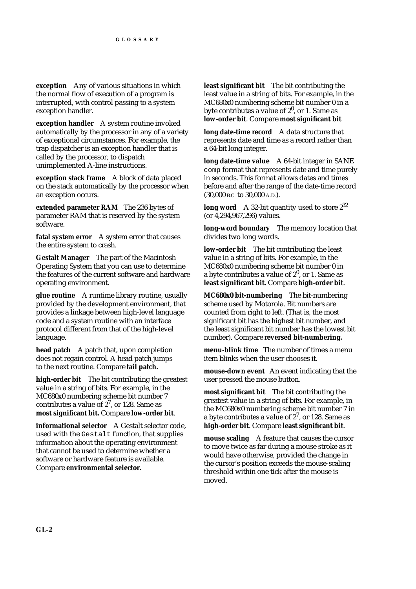**exception** Any of various situations in which the normal flow of execution of a program is interrupted, with control passing to a system exception handler.

**exception handler** A system routine invoked automatically by the processor in any of a variety of exceptional circumstances. For example, the trap dispatcher is an exception handler that is called by the processor, to dispatch unimplemented A-line instructions.

**exception stack frame** A block of data placed on the stack automatically by the processor when an exception occurs.

**extended parameter RAM** The 236 bytes of parameter RAM that is reserved by the system software.

**fatal system error** A system error that causes the entire system to crash.

**Gestalt Manager** The part of the Macintosh Operating System that you can use to determine the features of the current software and hardware operating environment.

**glue routine** A runtime library routine, usually provided by the development environment, that provides a linkage between high-level language code and a system routine with an interface protocol different from that of the high-level language.

**head patch** A patch that, upon completion does not regain control. A head patch jumps to the next routine. Compare **tail patch.**

**high-order bit** The bit contributing the greatest value in a string of bits. For example, in the MC680x0 numbering scheme bit number 7 contributes a value of  $2^7$ , or 128. Same as **most significant bit.** Compare **low-order bit**.

**informational selector** A Gestalt selector code, used with the Gestalt function, that supplies information about the operating environment that cannot be used to determine whether a software or hardware feature is available. Compare **environmental selector.**

**least significant bit** The bit contributing the least value in a string of bits. For example, in the MC680x0 numbering scheme bit number 0 in a byte contributes a value of  $2^0$ , or 1. Same as **low-order bit**. Compare **most significant bit**

**long date-time record** A data structure that represents date and time as a record rather than a 64-bit long integer.

**long date-time value** A 64-bit integer in SANE comp format that represents date and time purely in seconds. This format allows dates and times before and after the range of the date-time record (30,000 B.C. to 30,000 A.D.).

**long word** A 32-bit quantity used to store  $2^{32}$ (or 4,294,967,296) values.

**long-word boundary** The memory location that divides two long words.

**low-order bit** The bit contributing the least value in a string of bits. For example, in the MC680x0 numbering scheme bit number 0 in a byte contributes a value of  $2^0$ , or 1. Same as **least significant bit**. Compare **high-order bit**.

**MC680x0 bit-numbering** The bit-numbering scheme used by Motorola. Bit numbers are counted from right to left. (That is, the most significant bit has the highest bit number, and the least significant bit number has the lowest bit number). Compare **reversed bit-numbering.**

**menu-blink time** The number of times a menu item blinks when the user chooses it.

**mouse-down event** An event indicating that the user pressed the mouse button.

**most significant bit** The bit contributing the greatest value in a string of bits. For example, in the MC680x0 numbering scheme bit number 7 in a byte contributes a value of  $2^7$ , or 128. Same as **high-order bit**. Compare **least significant bit**.

**mouse scaling** A feature that causes the cursor to move twice as far during a mouse stroke as it would have otherwise, provided the change in the cursor's position exceeds the mouse-scaling threshold within one tick after the mouse is moved.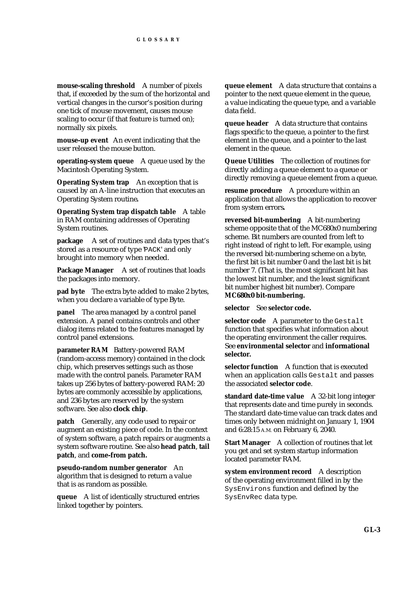**mouse-scaling threshold** A number of pixels that, if exceeded by the sum of the horizontal and vertical changes in the cursor's position during one tick of mouse movement, causes mouse scaling to occur (if that feature is turned on); normally six pixels.

**mouse-up event** An event indicating that the user released the mouse button.

**operating-system queue** A queue used by the Macintosh Operating System.

**Operating System trap** An exception that is caused by an A-line instruction that executes an Operating System routine**.**

**Operating System trap dispatch table** A table in RAM containing addresses of Operating System routines.

**package** A set of routines and data types that's stored as a resource of type 'PACK' and only brought into memory when needed.

**Package Manager** A set of routines that loads the packages into memory.

**pad byte** The extra byte added to make 2 bytes, when you declare a variable of type Byte.

**panel** The area managed by a control panel extension. A panel contains controls and other dialog items related to the features managed by control panel extensions.

**parameter RAM** Battery-powered RAM (random-access memory) contained in the clock chip, which preserves settings such as those made with the control panels. Parameter RAM takes up 256 bytes of battery-powered RAM: 20 bytes are commonly accessible by applications, and 236 bytes are reserved by the system software. See also **clock chip**.

**patch** Generally, any code used to repair or augment an existing piece of code. In the context of system software, a patch repairs or augments a system software routine. See also **head patch**, **tail patch**, and **come-from patch.**

**pseudo-random number generator** An algorithm that is designed to return a value that is as random as possible.

**queue** A list of identically structured entries linked together by pointers.

**queue element** A data structure that contains a pointer to the next queue element in the queue, a value indicating the queue type, and a variable data field.

**queue header** A data structure that contains flags specific to the queue, a pointer to the first element in the queue, and a pointer to the last element in the queue.

**Queue Utilities** The collection of routines for directly adding a queue element to a queue or directly removing a queue element from a queue.

**resume procedure** A procedure within an application that allows the application to recover from system errors**.**

**reversed bit-numbering** A bit-numbering scheme opposite that of the MC680x0 numbering scheme. Bit numbers are counted from left to right instead of right to left. For example, using the reversed bit-numbering scheme on a byte, the first bit is bit number 0 and the last bit is bit number 7. (That is, the most significant bit has the lowest bit number, and the least significant bit number highest bit number). Compare **MC680x0 bit-numbering.**

**selector** See **selector code.**

**selector code** A parameter to the Gestalt function that specifies what information about the operating environment the caller requires. See **environmental selector** and **informational selector.**

**selector function** A function that is executed when an application calls Gestalt and passes the associated **selector code**.

**standard date-time value** A 32-bit long integer that represents date and time purely in seconds. The standard date-time value can track dates and times only between midnight on January 1, 1904 and 6:28:15 A.M. on February 6, 2040.

**Start Manager** A collection of routines that let you get and set system startup information located parameter RAM.

**system environment record** A description of the operating environment filled in by the SysEnvirons function and defined by the SysEnvRec data type.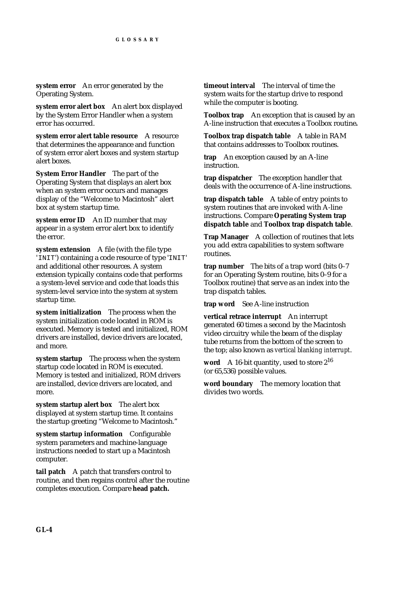**system error** An error generated by the Operating System.

**system error alert box** An alert box displayed by the System Error Handler when a system error has occurred.

**system error alert table resource** A resource that determines the appearance and function of system error alert boxes and system startup alert boxes.

**System Error Handler** The part of the Operating System that displays an alert box when an system error occurs and manages display of the "Welcome to Macintosh" alert box at system startup time.

**system error ID** An ID number that may appear in a system error alert box to identify the error.

**system extension** A file (with the file type 'INIT') containing a code resource of type 'INIT' and additional other resources. A system extension typically contains code that performs a system-level service and code that loads this system-level service into the system at system startup time.

**system initialization** The process when the system initialization code located in ROM is executed. Memory is tested and initialized, ROM drivers are installed, device drivers are located, and more.

**system startup** The process when the system startup code located in ROM is executed. Memory is tested and initialized, ROM drivers are installed, device drivers are located, and more.

**system startup alert box** The alert box displayed at system startup time. It contains the startup greeting "Welcome to Macintosh."

**system startup information** Configurable system parameters and machine-language instructions needed to start up a Macintosh computer.

**tail patch** A patch that transfers control to routine, and then regains control after the routine completes execution. Compare **head patch.**

**timeout interval** The interval of time the system waits for the startup drive to respond while the computer is booting.

**Toolbox trap** An exception that is caused by an A-line instruction that executes a Toolbox routine**.**

**Toolbox trap dispatch table** A table in RAM that contains addresses to Toolbox routines.

**trap** An exception caused by an A-line instruction.

**trap dispatcher** The exception handler that deals with the occurrence of A-line instructions.

**trap dispatch table** A table of entry points to system routines that are invoked with A-line instructions. Compare **Operating System trap dispatch table** and **Toolbox trap dispatch table**.

**Trap Manager** A collection of routines that lets you add extra capabilities to system software routines.

**trap number** The bits of a trap word (bits 0–7 for an Operating System routine, bits 0–9 for a Toolbox routine) that serve as an index into the trap dispatch tables.

**trap word** See A-line instruction

**vertical retrace interrupt** An interrupt generated 60 times a second by the Macintosh video circuitry while the beam of the display tube returns from the bottom of the screen to the top; also known as *vertical blanking interrupt*.

**word** A 16-bit quantity, used to store 2<sup>16</sup> (or 65,536) possible values.

**word boundary** The memory location that divides two words.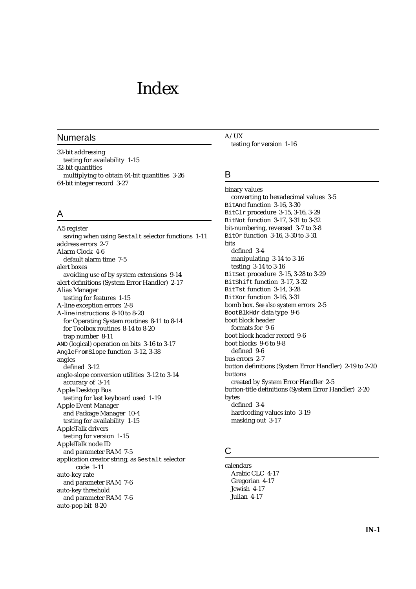## Index

#### Numerals

32-bit addressing testing for availability 1-15 32-bit quantities multiplying to obtain 64-bit quantities 3-26 64-bit integer record 3-27

### A

A5 register saving when using Gestalt selector functions 1-11 address errors 2-7 Alarm Clock 4-6 default alarm time 7-5 alert boxes avoiding use of by system extensions 9-14 alert definitions (System Error Handler) 2-17 Alias Manager testing for features 1-15 A-line exception errors 2-8 A-line instructions 8-10 to 8-20 for Operating System routines 8-11 to 8-14 for Toolbox routines 8-14 to 8-20 trap number 8-11 AND (logical) operation on bits 3-16 to 3-17 AngleFromSlope function 3-12, 3-38 angles defined 3-12 angle-slope conversion utilities 3-12 to 3-14 accuracy of 3-14 Apple Desktop Bus testing for last keyboard used 1-19 Apple Event Manager and Package Manager 10-4 testing for availability 1-15 AppleTalk drivers testing for version 1-15 AppleTalk node ID and parameter RAM 7-5 application creator string, as Gestalt selector code 1-11 auto-key rate and parameter RAM 7-6 auto-key threshold and parameter RAM 7-6 auto-pop bit 8-20

A/UX testing for version 1-16

#### B

binary values converting to hexadecimal values 3-5 BitAnd function 3-16, 3-30 BitClr procedure 3-15, 3-16, 3-29 BitNot function 3-17, 3-31 to 3-32 bit-numbering, reversed 3-7 to 3-8 BitOr function 3-16, 3-30 to 3-31 bits defined 3-4 manipulating 3-14 to 3-16 testing 3-14 to 3-16 BitSet procedure 3-15, 3-28 to 3-29 BitShift function 3-17, 3-32 BitTst function 3-14, 3-28 BitXor function 3-16, 3-31 bomb box. *See also* system errors 2-5 BootBlkHdr data type 9-6 boot block header formats for 9-6 boot block header record 9-6 boot blocks 9-6 to 9-8 defined 9-6 bus errors 2-7 button definitions (System Error Handler) 2-19 to 2-20 buttons created by System Error Handler 2-5 button-title definitions (System Error Handler) 2-20 bytes defined 3-4 hardcoding values into 3-19 masking out 3-17

#### C

calendars Arabic CLC 4-17 Gregorian 4-17 Jewish 4-17 Julian 4-17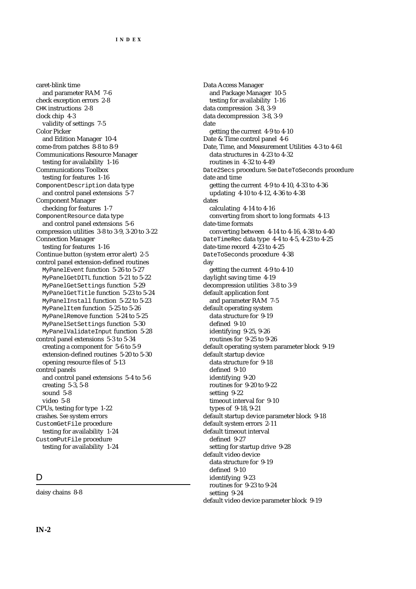caret-blink time and parameter RAM 7-6 check exception errors 2-8 CHK instructions 2-8 clock chip 4-3 validity of settings 7-5 Color Picker and Edition Manager 10-4 come-from patches 8-8 to 8-9 Communications Resource Manager testing for availability 1-16 Communications Toolbox testing for features 1-16 ComponentDescription data type and control panel extensions 5-7 Component Manager checking for features 1-7 ComponentResource data type and control panel extensions 5-6 compression utilities 3-8 to 3-9, 3-20 to 3-22 Connection Manager testing for features 1-16 Continue button (system error alert) 2-5 control panel extension-defined routines MyPanelEvent function 5-26 to 5-27 MyPanelGetDITL function 5-21 to 5-22 MyPanelGetSettings function 5-29 MyPanelGetTitle function 5-23 to 5-24 MyPanelInstall function 5-22 to 5-23 MyPanelItem function 5-25 to 5-26 MyPanelRemove function 5-24 to 5-25 MyPanelSetSettings function 5-30 MyPanelValidateInput function 5-28 control panel extensions 5-3 to 5-34 creating a component for 5-6 to 5-9 extension-defined routines 5-20 to 5-30 opening resource files of 5-13 control panels and control panel extensions 5-4 to 5-6 creating 5-3, 5-8 sound 5-8 video 5-8 CPUs, testing for type 1-22 crashes. *See* system errors CustomGetFile procedure testing for availability 1-24 CustomPutFile procedure testing for availability 1-24

#### $\mathsf{D}$

daisy chains 8-8

Data Access Manager and Package Manager 10-5 testing for availability 1-16 data compression 3-8, 3-9 data decompression 3-8, 3-9 date getting the current 4-9 to 4-10 Date & Time control panel 4-6 Date, Time, and Measurement Utilities 4-3 to 4-61 data structures in 4-23 to 4-32 routines in 4-32 to 4-49 Date2Secs procedure. *See* DateToSeconds procedure date and time getting the current 4-9 to 4-10, 4-33 to 4-36 updating 4-10 to 4-12, 4-36 to 4-38 dates calculating 4-14 to 4-16 converting from short to long formats 4-13 date-time formats converting between 4-14 to 4-16, 4-38 to 4-40 DateTimeRec data type 4-4 to 4-5, 4-23 to 4-25 date-time record 4-23 to 4-25 DateToSeconds procedure 4-38 day getting the current 4-9 to 4-10 daylight saving time 4-19 decompression utilities 3-8 to 3-9 default application font and parameter RAM 7-5 default operating system data structure for 9-19 defined 9-10 identifying 9-25, 9-26 routines for 9-25 to 9-26 default operating system parameter block 9-19 default startup device data structure for 9-18 defined 9-10 identifying 9-20 routines for 9-20 to 9-22 setting 9-22 timeout interval for 9-10 types of 9-18, 9-21 default startup device parameter block 9-18 default system errors 2-11 default timeout interval defined 9-27 setting for startup drive 9-28 default video device data structure for 9-19 defined 9-10 identifying 9-23 routines for 9-23 to 9-24 setting 9-24 default video device parameter block 9-19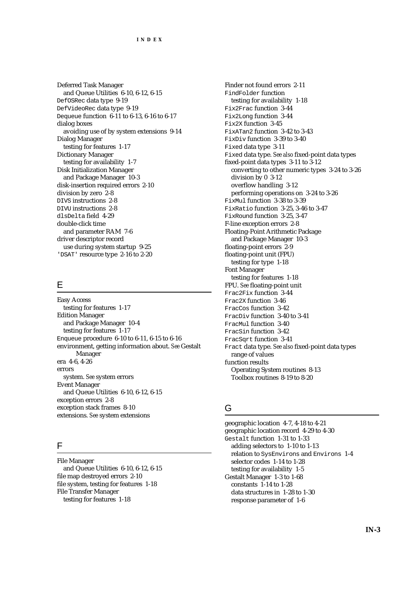Deferred Task Manager and Queue Utilities 6-10, 6-12, 6-15 DefOSRec data type 9-19 DefVideoRec data type 9-19 Dequeue function 6-11 to 6-13, 6-16 to 6-17 dialog boxes avoiding use of by system extensions 9-14 Dialog Manager testing for features 1-17 Dictionary Manager testing for availability 1-7 Disk Initialization Manager and Package Manager 10-3 disk-insertion required errors 2-10 division by zero 2-8 DIVS instructions 2-8 DIVU instructions 2-8 dlsDelta field 4-29 double-click time and parameter RAM 7-6 driver descriptor record use during system startup 9-25 'DSAT' resource type 2-16 to 2-20

#### E

Easy Access testing for features 1-17 Edition Manager and Package Manager 10-4 testing for features 1-17 Enqueue procedure 6-10 to 6-11, 6-15 to 6-16 environment, getting information about. *See* Gestalt Manager era 4-6, 4-26 errors system. *See* system errors Event Manager and Queue Utilities 6-10, 6-12, 6-15 exception errors 2-8 exception stack frames 8-10 extensions. *See* system extensions

#### F

File Manager and Queue Utilities 6-10, 6-12, 6-15 file map destroyed errors 2-10 file system, testing for features 1-18 File Transfer Manager testing for features 1-18

Finder not found errors 2-11 FindFolder function testing for availability 1-18 Fix2Frac function 3-44 Fix2Long function 3-44 Fix2X function 3-45 FixATan2 function 3-42 to 3-43 FixDiv function 3-39 to 3-40 Fixed data type 3-11 Fixed data type. *See also* fixed-point data types fixed-point data types 3-11 to 3-12 converting to other numeric types 3-24 to 3-26 division by 0 3-12 overflow handling 3-12 performing operations on 3-24 to 3-26 FixMul function 3-38 to 3-39 FixRatio function 3-25, 3-46 to 3-47 FixRound function 3-25, 3-47 F-line exception errors 2-8 Floating-Point Arithmetic Package and Package Manager 10-3 floating-point errors 2-9 floating-point unit (FPU) testing for type 1-18 Font Manager testing for features 1-18 FPU. *See* floating-point unit Frac2Fix function 3-44 Frac2X function 3-46 FracCos function 3-42 FracDiv function 3-40 to 3-41 FracMul function 3-40 FracSin function 3-42 FracSqrt function 3-41 Fract data type. *See also* fixed-point data types range of values function results Operating System routines 8-13 Toolbox routines 8-19 to 8-20

#### G

geographic location 4-7, 4-18 to 4-21 geographic location record 4-29 to 4-30 Gestalt function 1-31 to 1-33 adding selectors to 1-10 to 1-13 relation to SysEnvirons and Environs 1-4 selector codes 1-14 to 1-28 testing for availability 1-5 Gestalt Manager 1-3 to 1-68 constants 1-14 to 1-28 data structures in 1-28 to 1-30 response parameter of 1-6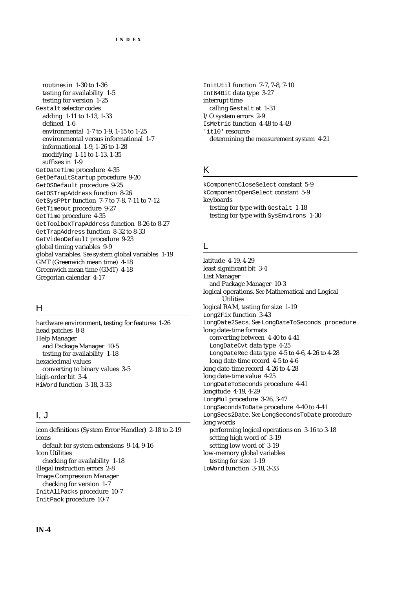routines in 1-30 to 1-36 testing for availability 1-5 testing for version 1-25 Gestalt selector codes adding 1-11 to 1-13, 1-33 defined 1-6 environmental 1-7 to 1-9, 1-15 to 1-25 environmental versus informational 1-7 informational 1-9, 1-26 to 1-28 modifying 1-11 to 1-13, 1-35 suffixes in 1-9 GetDateTime procedure 4-35 GetDefaultStartup procedure 9-20 GetOSDefault procedure 9-25 GetOSTrapAddress function 8-26 GetSysPPtr function 7-7 to 7-8, 7-11 to 7-12 GetTimeout procedure 9-27 GetTime procedure 4-35 GetToolboxTrapAddress function 8-26 to 8-27 GetTrapAddress function 8-32 to 8-33 GetVideoDefault procedure 9-23 global timing variables 9-9 global variables. *See* system global variables 1-19 GMT (Greenwich mean time) 4-18 Greenwich mean time (GMT) 4-18 Gregorian calendar 4-17

#### H

hardware environment, testing for features 1-26 head patches 8-8 Help Manager and Package Manager 10-5 testing for availability 1-18 hexadecimal values converting to binary values 3-5 high-order bit 3-4 HiWord function 3-18, 3-33

#### I, J

icon definitions (System Error Handler) 2-18 to 2-19 icons default for system extensions 9-14, 9-16 Icon Utilities checking for availability 1-18 illegal instruction errors 2-8 Image Compression Manager checking for version 1-7 InitAllPacks procedure 10-7 InitPack procedure 10-7

InitUtil function 7-7, 7-8, 7-10 Int64Bit data type 3-27 interrupt time calling Gestalt at 1-31 I/O system errors 2-9 IsMetric function 4-48 to 4-49 'itl0' resource determining the measurement system 4-21

#### K

kComponentCloseSelect constant 5-9 kComponentOpenSelect constant 5-9 keyboards testing for type with Gestalt 1-18 testing for type with SysEnvirons 1-30

#### L

latitude 4-19, 4-29 least significant bit 3-4 List Manager and Package Manager 10-3 logical operations. *See* Mathematical and Logical **Utilities** logical RAM, testing for size 1-19 Long2Fix function 3-43 LongDate2Secs. *See* LongDateToSeconds procedure long date-time formats converting between 4-40 to 4-41 LongDateCvt data type 4-25 LongDateRec data type 4-5 to 4-6, 4-26 to 4-28 long date-time record 4-5 to 4-6 long date-time record 4-26 to 4-28 long date-time value 4-25 LongDateToSeconds procedure 4-41 longitude 4-19, 4-29 LongMul procedure 3-26, 3-47 LongSecondsToDate procedure 4-40 to 4-41 LongSecs2Date. *See* LongSecondsToDate procedure long words performing logical operations on 3-16 to 3-18 setting high word of 3-19 setting low word of 3-19 low-memory global variables testing for size 1-19 LoWord function 3-18, 3-33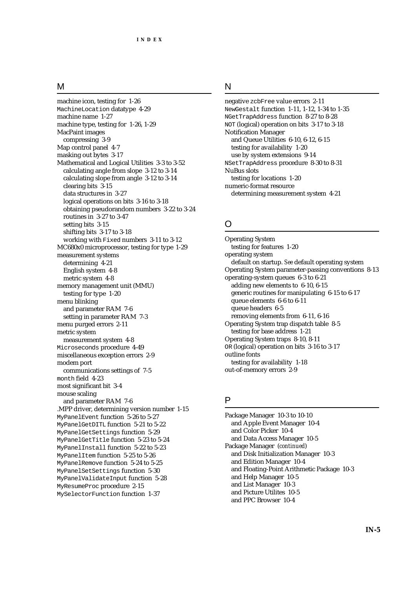#### M

machine icon, testing for 1-26 MachineLocation datatype 4-29 machine name 1-27 machine type, testing for 1-26, 1-29 MacPaint images compressing 3-9 Map control panel 4-7 masking out bytes 3-17 Mathematical and Logical Utilities 3-3 to 3-52 calculating angle from slope 3-12 to 3-14 calculating slope from angle 3-12 to 3-14 clearing bits 3-15 data structures in 3-27 logical operations on bits 3-16 to 3-18 obtaining pseudorandom numbers 3-22 to 3-24 routines in 3-27 to 3-47 setting bits 3-15 shifting bits 3-17 to 3-18 working with Fixed numbers 3-11 to 3-12 MC680x0 microprocessor, testing for type 1-29 measurement systems determining 4-21 English system 4-8 metric system 4-8 memory management unit (MMU) testing for type 1-20 menu blinking and parameter RAM 7-6 setting in parameter RAM 7-3 menu purged errors 2-11 metric system measurement system 4-8 Microseconds procedure 4-49 miscellaneous exception errors 2-9 modem port communications settings of 7-5 month field 4-23 most significant bit 3-4 mouse scaling and parameter RAM 7-6 .MPP driver, determining version number 1-15 MyPanelEvent function 5-26 to 5-27 MyPanelGetDITL function 5-21 to 5-22 MyPanelGetSettings function 5-29 MyPanelGetTitle function 5-23 to 5-24 MyPanelInstall function 5-22 to 5-23 MyPanelItem function 5-25 to 5-26 MyPanelRemove function 5-24 to 5-25 MyPanelSetSettings function 5-30 MyPanelValidateInput function 5-28 MyResumeProc procedure 2-15 MySelectorFunction function 1-37

#### N

negative zcbFree value errors 2-11 NewGestalt function 1-11, 1-12, 1-34 to 1-35 NGetTrapAddress function 8-27 to 8-28 NOT (logical) operation on bits 3-17 to 3-18 Notification Manager and Queue Utilities 6-10, 6-12, 6-15 testing for availability 1-20 use by system extensions 9-14 NSetTrapAddress procedure 8-30 to 8-31 NuBus slots testing for locations 1-20 numeric-format resource determining measurement system 4-21

#### $\Omega$

Operating System testing for features 1-20 operating system default on startup. *See* default operating system Operating System parameter-passing conventions 8-13 operating-system queues 6-3 to 6-21 adding new elements to 6-10, 6-15 generic routines for manipulating 6-15 to 6-17 queue elements 6-6 to 6-11 queue headers 6-5 removing elements from 6-11, 6-16 Operating System trap dispatch table 8-5 testing for base address 1-21 Operating System traps 8-10, 8-11 OR (logical) operation on bits 3-16 to 3-17 outline fonts testing for availability 1-18 out-of-memory errors 2-9

#### P

Package Manager 10-3 to 10-10 and Apple Event Manager 10-4 and Color Picker 10-4 and Data Access Manager 10-5 Package Manager (*continued*) and Disk Initialization Manager 10-3 and Edition Manager 10-4 and Floating-Point Arithmetic Package 10-3 and Help Manager 10-5 and List Manager 10-3 and Picture Utilites 10-5 and PPC Browser 10-4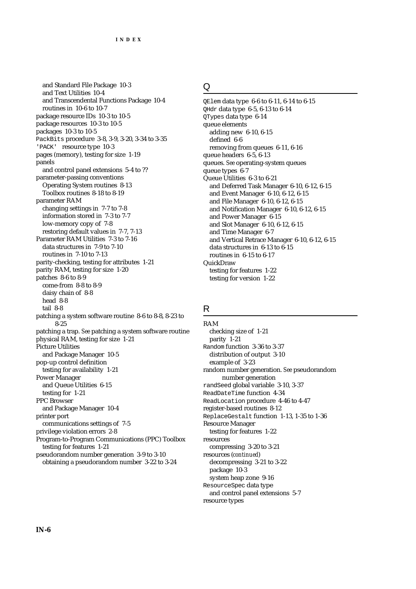and Standard File Package 10-3 and Text Utilities 10-4 and Transcendental Functions Package 10-4 routines in 10-6 to 10-7 package resource IDs 10-3 to 10-5 package resources 10-3 to 10-5 packages 10-3 to 10-5 PackBits procedure 3-8, 3-9, 3-20, 3-34 to 3-35 'PACK' resource type 10-3 pages (memory), testing for size 1-19 panels and control panel extensions 5-4 to ?? parameter-passing conventions Operating System routines 8-13 Toolbox routines 8-18 to 8-19 parameter RAM changing settings in 7-7 to 7-8 information stored in 7-3 to 7-7 low-memory copy of 7-8 restoring default values in 7-7, 7-13 Parameter RAM Utilities 7-3 to 7-16 data structures in 7-9 to 7-10 routines in 7-10 to 7-13 parity-checking, testing for attributes 1-21 parity RAM, testing for size 1-20 patches 8-6 to 8-9 come-from 8-8 to 8-9 daisy chain of 8-8 head 8-8 tail 8-8 patching a system software routine 8-6 to 8-8, 8-23 to 8-25 patching a trap. *See* patching a system software routine physical RAM, testing for size 1-21 Picture Utilities and Package Manager 10-5 pop-up control definition testing for availability 1-21 Power Manager and Queue Utilities 6-15 testing for 1-21 PPC Browser and Package Manager 10-4 printer port communications settings of 7-5 privilege violation errors 2-8 Program-to-Program Communications (PPC) Toolbox testing for features 1-21 pseudorandom number generation 3-9 to 3-10 obtaining a pseudorandom number 3-22 to 3-24

#### Q

QElem data type 6-6 to 6-11, 6-14 to 6-15 QHdr data type 6-5, 6-13 to 6-14 QTypes data type 6-14 queue elements adding new 6-10, 6-15 defined 6-6 removing from queues 6-11, 6-16 queue headers 6-5, 6-13 queues. *See* operating-system queues queue types 6-7 Queue Utilities 6-3 to 6-21 and Deferred Task Manager 6-10, 6-12, 6-15 and Event Manager 6-10, 6-12, 6-15 and File Manager 6-10, 6-12, 6-15 and Notification Manager 6-10, 6-12, 6-15 and Power Manager 6-15 and Slot Manager 6-10, 6-12, 6-15 and Time Manager 6-7 and Vertical Retrace Manager 6-10, 6-12, 6-15 data structures in 6-13 to 6-15 routines in 6-15 to 6-17 **QuickDraw** testing for features 1-22 testing for version 1-22

#### R

RAM checking size of 1-21 parity 1-21 Random function 3-36 to 3-37 distribution of output 3-10 example of 3-23 random number generation. *See* pseudorandom number generation randSeed global variable 3-10, 3-37 ReadDateTime function 4-34 ReadLocation procedure 4-46 to 4-47 register-based routines 8-12 ReplaceGestalt function 1-13, 1-35 to 1-36 Resource Manager testing for features 1-22 resources compressing 3-20 to 3-21 resources (*continued*) decompressing 3-21 to 3-22 package 10-3 system heap zone 9-16 ResourceSpec data type and control panel extensions 5-7 resource types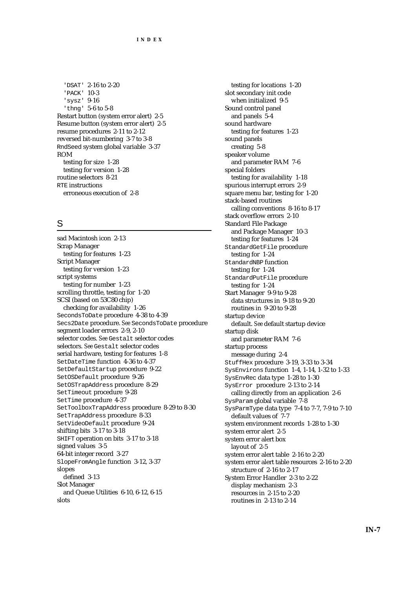'DSAT' 2-16 to 2-20 'PACK' 10-3 'sysz' 9-16 'thng' 5-6 to 5-8 Restart button (system error alert) 2-5 Resume button (system error alert) 2-5 resume procedures 2-11 to 2-12 reversed bit-numbering 3-7 to 3-8 RndSeed system global variable 3-37 ROM testing for size 1-28 testing for version 1-28 routine selectors 8-21 RTE instructions erroneous execution of 2-8

### S

sad Macintosh icon 2-13 Scrap Manager testing for features 1-23 Script Manager testing for version 1-23 script systems testing for number 1-23 scrolling throttle, testing for 1-20 SCSI (based on 53C80 chip) checking for availability 1-26 SecondsToDate procedure 4-38 to 4-39 Secs2Date procedure. *See* SecondsToDate procedure segment loader errors 2-9, 2-10 selector codes. *See* Gestalt selector codes selectors. *See* Gestalt selector codes serial hardware, testing for features 1-8 SetDateTime function 4-36 to 4-37 SetDefaultStartup procedure 9-22 SetOSDefault procedure 9-26 SetOSTrapAddress procedure 8-29 SetTimeout procedure 9-28 SetTime procedure 4-37 SetToolboxTrapAddress procedure 8-29 to 8-30 SetTrapAddress procedure 8-33 SetVideoDefault procedure 9-24 shifting bits 3-17 to 3-18 SHIFT operation on bits 3-17 to 3-18 signed values 3-5 64-bit integer record 3-27 SlopeFromAngle function 3-12, 3-37 slopes defined 3-13 Slot Manager and Queue Utilities 6-10, 6-12, 6-15 slots

testing for locations 1-20 slot secondary init code when initialized 9-5 Sound control panel and panels 5-4 sound hardware testing for features 1-23 sound panels creating 5-8 speaker volume and parameter RAM 7-6 special folders testing for availability 1-18 spurious interrupt errors 2-9 square menu bar, testing for 1-20 stack-based routines calling conventions 8-16 to 8-17 stack overflow errors 2-10 Standard File Package and Package Manager 10-3 testing for features 1-24 StandardGetFile procedure testing for 1-24 StandardNBP function testing for 1-24 StandardPutFile procedure testing for 1-24 Start Manager 9-9 to 9-28 data structures in 9-18 to 9-20 routines in 9-20 to 9-28 startup device default. *See* default startup device startup disk and parameter RAM 7-6 startup process message during 2-4 StuffHex procedure 3-19, 3-33 to 3-34 SysEnvirons function 1-4, 1-14, 1-32 to 1-33 SysEnvRec data type 1-28 to 1-30 SysError procedure 2-13 to 2-14 calling directly from an application 2-6 SysParam global variable 7-8 SysParmType data type 7-4 to 7-7, 7-9 to 7-10 default values of 7-7 system environment records 1-28 to 1-30 system error alert 2-5 system error alert box layout of 2-5 system error alert table 2-16 to 2-20 system error alert table resources 2-16 to 2-20 structure of 2-16 to 2-17 System Error Handler 2-3 to 2-22 display mechanism 2-3 resources in 2-15 to 2-20 routines in 2-13 to 2-14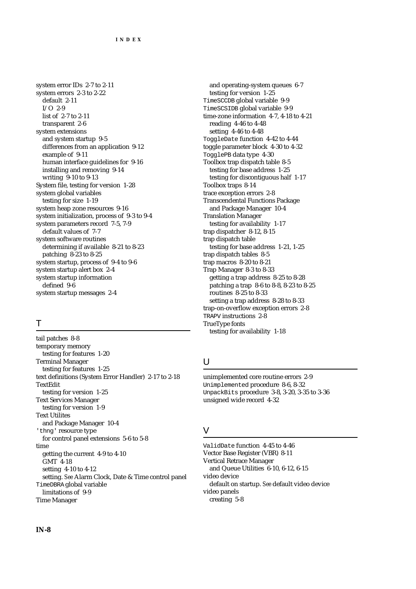system error IDs 2-7 to 2-11 system errors 2-3 to 2-22 default 2-11 I/O 2-9 list of 2-7 to 2-11 transparent 2-6 system extensions and system startup 9-5 differences from an application 9-12 example of 9-11 human interface guidelines for 9-16 installing and removing 9-14 writing 9-10 to 9-13 System file, testing for version 1-28 system global variables testing for size 1-19 system heap zone resources 9-16 system initialization, process of 9-3 to 9-4 system parameters record 7-5, 7-9 default values of 7-7 system software routines determining if available 8-21 to 8-23 patching 8-23 to 8-25 system startup, process of 9-4 to 9-6 system startup alert box 2-4 system startup information defined 9-6 system startup messages 2-4

### T

tail patches 8-8 temporary memory testing for features 1-20 Terminal Manager testing for features 1-25 text definitions (System Error Handler) 2-17 to 2-18 TextEdit testing for version 1-25 Text Services Manager testing for version 1-9 Text Utilites and Package Manager 10-4 'thng' resource type for control panel extensions 5-6 to 5-8 time getting the current 4-9 to 4-10 GMT 4-18 setting 4-10 to 4-12 setting. *See* Alarm Clock, Date & Time control panel TimeDBRA global variable limitations of 9-9 Time Manager

and operating-system queues 6-7 testing for version 1-25 TimeSCCDB global variable 9-9 TimeSCSIDB global variable 9-9 time-zone information 4-7, 4-18 to 4-21 reading 4-46 to 4-48 setting 4-46 to 4-48 ToggleDate function 4-42 to 4-44 toggle parameter block 4-30 to 4-32 TogglePB data type 4-30 Toolbox trap dispatch table 8-5 testing for base address 1-25 testing for discontiguous half 1-17 Toolbox traps 8-14 trace exception errors 2-8 Transcendental Functions Package and Package Manager 10-4 Translation Manager testing for availability 1-17 trap dispatcher 8-12, 8-15 trap dispatch table testing for base address 1-21, 1-25 trap dispatch tables 8-5 trap macros 8-20 to 8-21 Trap Manager 8-3 to 8-33 getting a trap address 8-25 to 8-28 patching a trap 8-6 to 8-8, 8-23 to 8-25 routines 8-25 to 8-33 setting a trap address 8-28 to 8-33 trap-on-overflow exception errors 2-8 TRAPV instructions 2-8 TrueType fonts testing for availability 1-18

## U

unimplemented core routine errors 2-9 Unimplemented procedure 8-6, 8-32 UnpackBits procedure 3-8, 3-20, 3-35 to 3-36 unsigned wide record 4-32

#### V

ValidDate function 4-45 to 4-46 Vector Base Register (VBR) 8-11 Vertical Retrace Manager and Queue Utilities 6-10, 6-12, 6-15 video device default on startup. *See* default video device video panels creating 5-8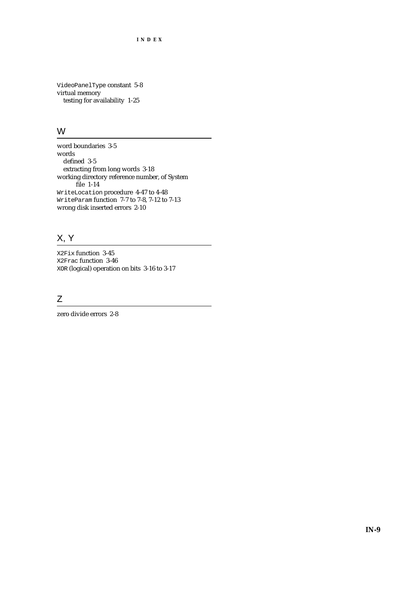VideoPanelType constant 5-8 virtual memory testing for availability 1-25

### W

word boundaries 3-5 words defined 3-5 extracting from long words 3-18 working directory reference number, of System file 1-14 WriteLocation procedure 4-47 to 4-48 WriteParam function 7-7 to 7-8, 7-12 to 7-13 wrong disk inserted errors 2-10

## X, Y

X2Fix function 3-45 X2Frac function 3-46 XOR (logical) operation on bits 3-16 to 3-17

## Z

zero divide errors 2-8